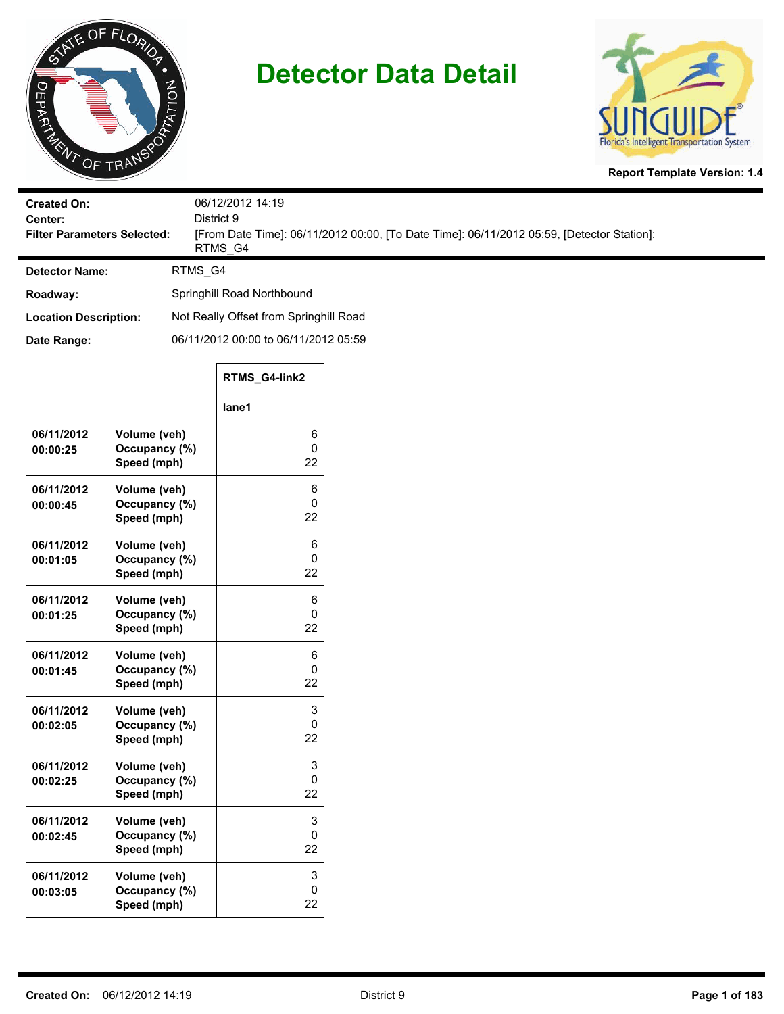



**Report Template Version: 1.4**

| <b>Created On:</b><br>Center:<br><b>Filter Parameters Selected:</b> | 06/12/2012 14:19<br>District 9<br>[From Date Time]: 06/11/2012 00:00, [To Date Time]: 06/11/2012 05:59, [Detector Station]:<br>RTMS G4 |  |
|---------------------------------------------------------------------|----------------------------------------------------------------------------------------------------------------------------------------|--|
| <b>Detector Name:</b>                                               | RTMS G4                                                                                                                                |  |
| Roadway:                                                            | Springhill Road Northbound                                                                                                             |  |
| <b>Location Description:</b>                                        | Not Really Offset from Springhill Road                                                                                                 |  |
| Date Range:                                                         | 06/11/2012 00:00 to 06/11/2012 05:59                                                                                                   |  |

|                        |                                              | RTMS G4-link2 |
|------------------------|----------------------------------------------|---------------|
|                        |                                              | lane1         |
| 06/11/2012<br>00:00:25 | Volume (veh)<br>Occupancy (%)<br>Speed (mph) | 6<br>0<br>22  |
| 06/11/2012<br>00:00:45 | Volume (veh)<br>Occupancy (%)<br>Speed (mph) | 6<br>0<br>22  |
| 06/11/2012<br>00:01:05 | Volume (veh)<br>Occupancy (%)<br>Speed (mph) | 6<br>0<br>22  |
| 06/11/2012<br>00:01:25 | Volume (veh)<br>Occupancy (%)<br>Speed (mph) | 6<br>0<br>22  |
| 06/11/2012<br>00:01:45 | Volume (veh)<br>Occupancy (%)<br>Speed (mph) | 6<br>0<br>22  |
| 06/11/2012<br>00:02:05 | Volume (veh)<br>Occupancy (%)<br>Speed (mph) | 3<br>0<br>22  |
| 06/11/2012<br>00:02:25 | Volume (veh)<br>Occupancy (%)<br>Speed (mph) | 3<br>0<br>22  |
| 06/11/2012<br>00:02:45 | Volume (veh)<br>Occupancy (%)<br>Speed (mph) | 3<br>0<br>22  |
| 06/11/2012<br>00:03:05 | Volume (veh)<br>Occupancy (%)<br>Speed (mph) | 3<br>0<br>22  |

 $\Gamma$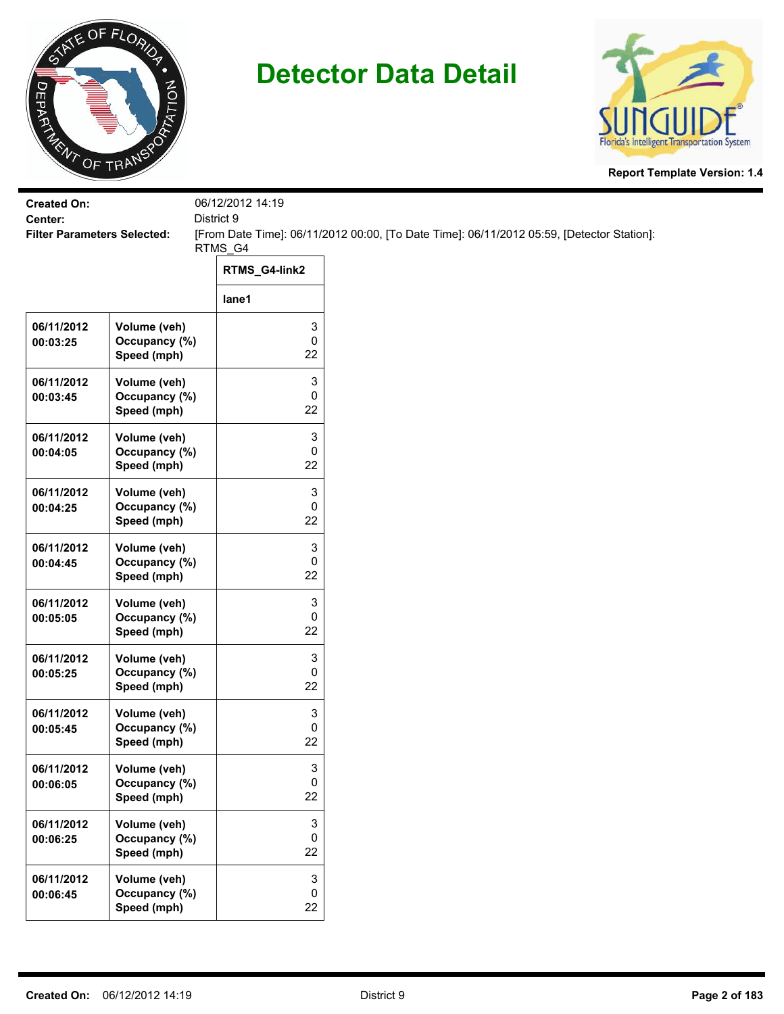



| <b>Created On:</b><br>Center:      |                                              | 06/12/2012 14:19<br>District 9 |                                                                                           |
|------------------------------------|----------------------------------------------|--------------------------------|-------------------------------------------------------------------------------------------|
| <b>Filter Parameters Selected:</b> |                                              |                                | [From Date Time]: 06/11/2012 00:00, [To Date Time]: 06/11/2012 05:59, [Detector Station]: |
|                                    |                                              | RTMS_G4<br>RTMS_G4-link2       |                                                                                           |
|                                    |                                              | lane1                          |                                                                                           |
| 06/11/2012<br>00:03:25             | Volume (veh)<br>Occupancy (%)<br>Speed (mph) | 3<br>0<br>22                   |                                                                                           |
| 06/11/2012<br>00:03:45             | Volume (veh)<br>Occupancy (%)<br>Speed (mph) | 3<br>0<br>22                   |                                                                                           |
| 06/11/2012<br>00:04:05             | Volume (veh)<br>Occupancy (%)<br>Speed (mph) | 3<br>0<br>22                   |                                                                                           |
| 06/11/2012<br>00:04:25             | Volume (veh)<br>Occupancy (%)<br>Speed (mph) | 3<br>0<br>22                   |                                                                                           |
| 06/11/2012<br>00:04:45             | Volume (veh)<br>Occupancy (%)<br>Speed (mph) | 3<br>0<br>22                   |                                                                                           |
| 06/11/2012<br>00:05:05             | Volume (veh)<br>Occupancy (%)<br>Speed (mph) | 3<br>0<br>22                   |                                                                                           |
| 06/11/2012<br>00:05:25             | Volume (veh)<br>Occupancy (%)<br>Speed (mph) | 3<br>0<br>22                   |                                                                                           |
| 06/11/2012<br>00:05:45             | Volume (veh)<br>Occupancy (%)<br>Speed (mph) | 3<br>0<br>22                   |                                                                                           |
| 06/11/2012<br>00:06:05             | Volume (veh)<br>Occupancy (%)<br>Speed (mph) | 3<br>0<br>22                   |                                                                                           |
| 06/11/2012<br>00:06:25             | Volume (veh)<br>Occupancy (%)<br>Speed (mph) | 3<br>0<br>22                   |                                                                                           |
| 06/11/2012<br>00:06:45             | Volume (veh)<br>Occupancy (%)<br>Speed (mph) | 3<br>0<br>22                   |                                                                                           |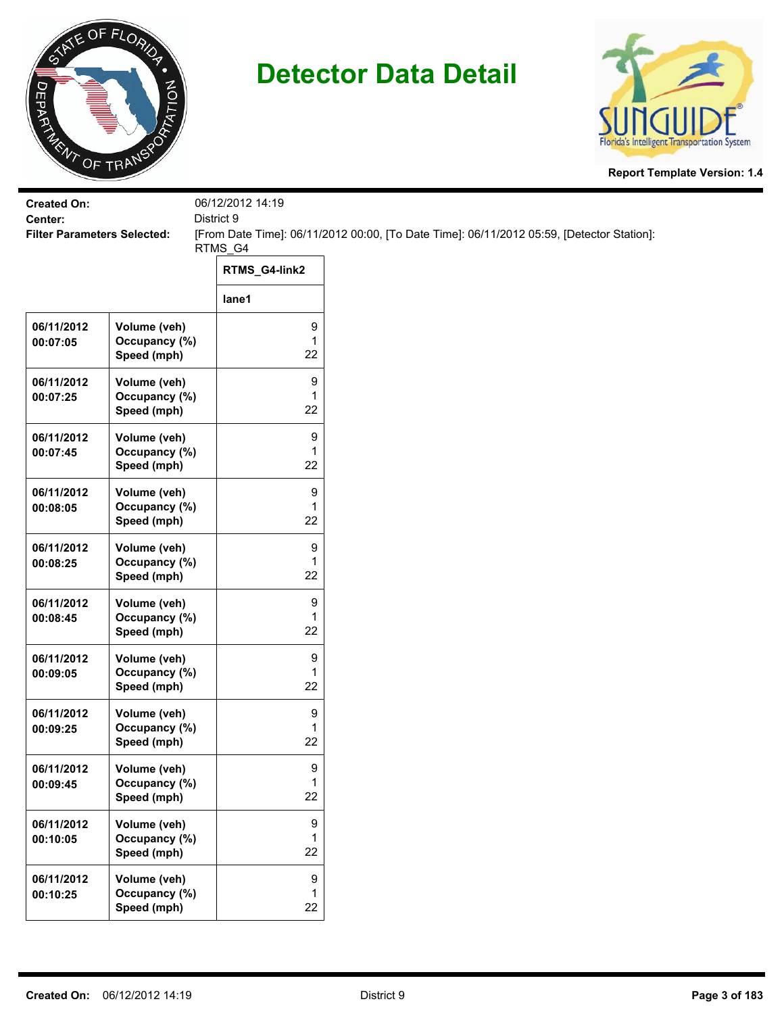



| <b>Created On:</b>                 |                                              | 06/12/2012 14:19 |                                                                                           |
|------------------------------------|----------------------------------------------|------------------|-------------------------------------------------------------------------------------------|
| Center:                            |                                              | District 9       |                                                                                           |
| <b>Filter Parameters Selected:</b> |                                              | RTMS_G4          | [From Date Time]: 06/11/2012 00:00, [To Date Time]: 06/11/2012 05:59, [Detector Station]: |
|                                    |                                              | RTMS_G4-link2    |                                                                                           |
|                                    |                                              | lane1            |                                                                                           |
| 06/11/2012<br>00:07:05             | Volume (veh)<br>Occupancy (%)<br>Speed (mph) | 9<br>1<br>22     |                                                                                           |
| 06/11/2012<br>00:07:25             | Volume (veh)<br>Occupancy (%)<br>Speed (mph) | 9<br>1<br>22     |                                                                                           |
| 06/11/2012<br>00:07:45             | Volume (veh)<br>Occupancy (%)<br>Speed (mph) | 9<br>1<br>22     |                                                                                           |
| 06/11/2012<br>00:08:05             | Volume (veh)<br>Occupancy (%)<br>Speed (mph) | 9<br>1<br>22     |                                                                                           |
| 06/11/2012<br>00:08:25             | Volume (veh)<br>Occupancy (%)<br>Speed (mph) | 9<br>1<br>22     |                                                                                           |
| 06/11/2012<br>00:08:45             | Volume (veh)<br>Occupancy (%)<br>Speed (mph) | 9<br>1<br>22     |                                                                                           |
| 06/11/2012<br>00:09:05             | Volume (veh)<br>Occupancy (%)<br>Speed (mph) | 9<br>1<br>22     |                                                                                           |
| 06/11/2012<br>00:09:25             | Volume (veh)<br>Occupancy (%)<br>Speed (mph) | 9<br>1<br>22     |                                                                                           |
| 06/11/2012<br>00:09:45             | Volume (veh)<br>Occupancy (%)<br>Speed (mph) | 9<br>1<br>22     |                                                                                           |
| 06/11/2012<br>00:10:05             | Volume (veh)<br>Occupancy (%)<br>Speed (mph) | 9<br>1<br>22     |                                                                                           |
| 06/11/2012<br>00:10:25             | Volume (veh)<br>Occupancy (%)<br>Speed (mph) | 9<br>1<br>22     |                                                                                           |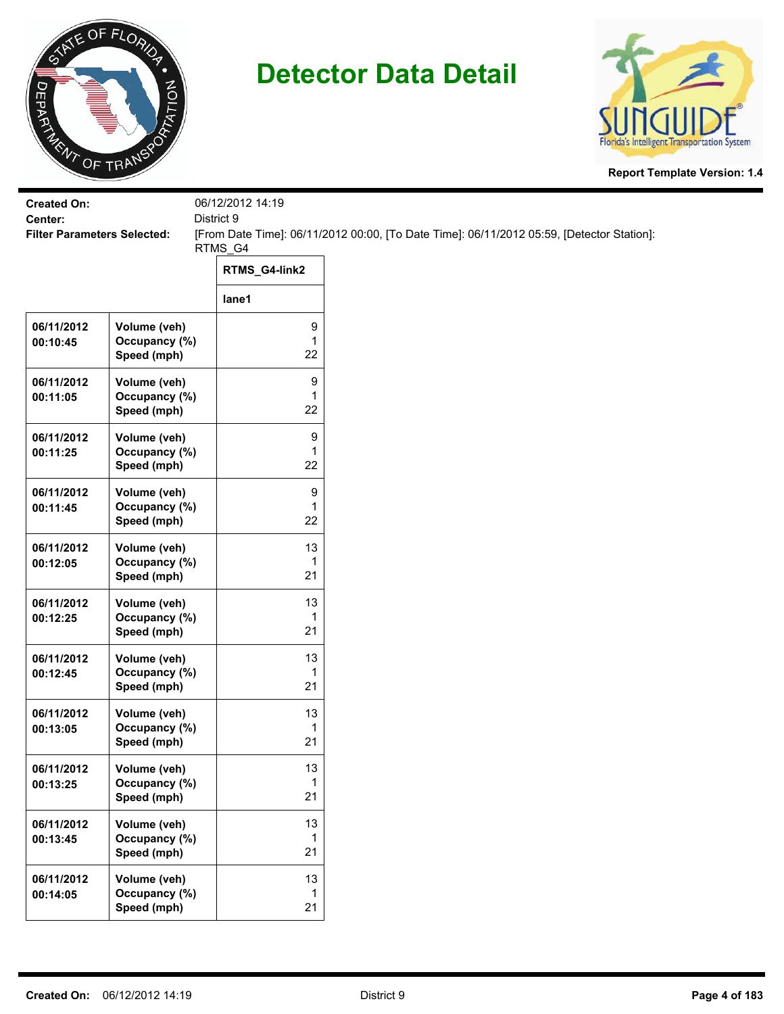



| <b>Created On:</b>                            |                                              | 06/12/2012 14:19        |                                                                                           |
|-----------------------------------------------|----------------------------------------------|-------------------------|-------------------------------------------------------------------------------------------|
| Center:<br><b>Filter Parameters Selected:</b> |                                              | District 9              | [From Date Time]: 06/11/2012 00:00, [To Date Time]: 06/11/2012 05:59, [Detector Station]: |
|                                               |                                              | RTMS_G4                 |                                                                                           |
|                                               |                                              | RTMS_G4-link2           |                                                                                           |
|                                               |                                              | lane1                   |                                                                                           |
| 06/11/2012<br>00:10:45                        | Volume (veh)<br>Occupancy (%)<br>Speed (mph) | 9<br>$\mathbf{1}$<br>22 |                                                                                           |
| 06/11/2012<br>00:11:05                        | Volume (veh)<br>Occupancy (%)<br>Speed (mph) | 9<br>1<br>22            |                                                                                           |
| 06/11/2012<br>00:11:25                        | Volume (veh)<br>Occupancy (%)<br>Speed (mph) | 9<br>1<br>22            |                                                                                           |
| 06/11/2012<br>00:11:45                        | Volume (veh)<br>Occupancy (%)<br>Speed (mph) | 9<br>$\mathbf{1}$<br>22 |                                                                                           |
| 06/11/2012<br>00:12:05                        | Volume (veh)<br>Occupancy (%)<br>Speed (mph) | 13<br>1<br>21           |                                                                                           |
| 06/11/2012<br>00:12:25                        | Volume (veh)<br>Occupancy (%)<br>Speed (mph) | 13<br>1<br>21           |                                                                                           |
| 06/11/2012<br>00:12:45                        | Volume (veh)<br>Occupancy (%)<br>Speed (mph) | 13<br>1<br>21           |                                                                                           |
| 06/11/2012<br>00:13:05                        | Volume (veh)<br>Occupancy (%)<br>Speed (mph) | 13<br>1<br>21           |                                                                                           |
| 06/11/2012<br>00:13:25                        | Volume (veh)<br>Occupancy (%)<br>Speed (mph) | 13<br>1<br>21           |                                                                                           |
| 06/11/2012<br>00:13:45                        | Volume (veh)<br>Occupancy (%)<br>Speed (mph) | 13<br>1<br>21           |                                                                                           |
| 06/11/2012<br>00:14:05                        | Volume (veh)<br>Occupancy (%)<br>Speed (mph) | 13<br>1<br>21           |                                                                                           |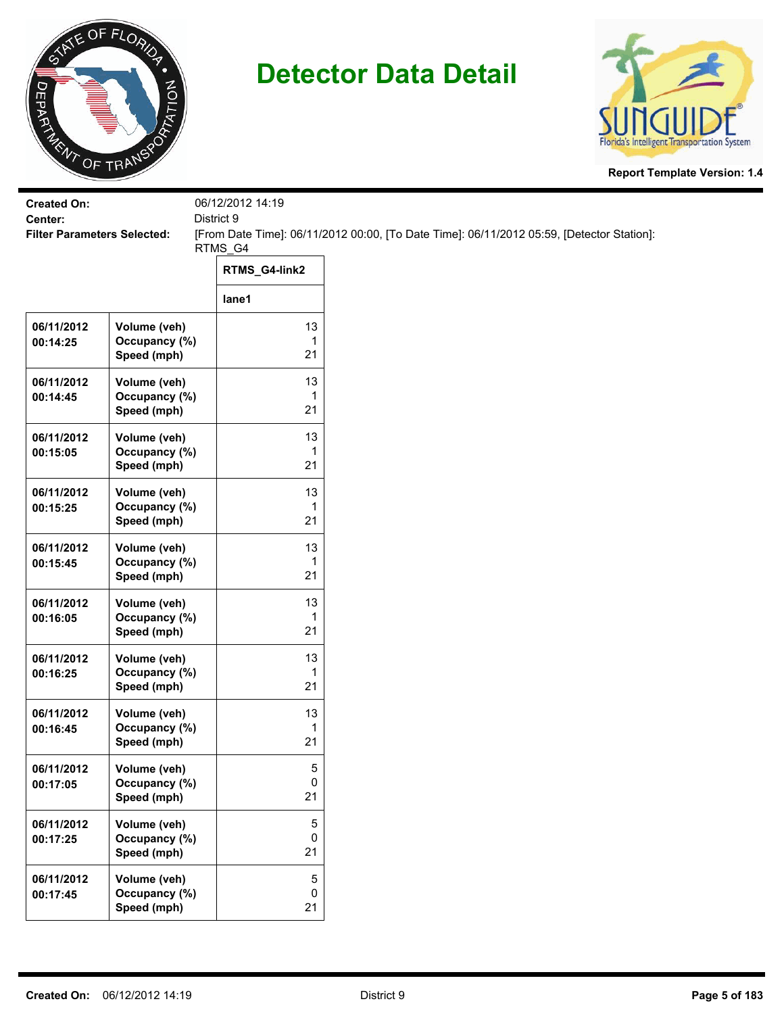



| <b>Created On:</b><br>Center:      |                                              | 06/12/2012 14:19<br>District 9 |                                                                                           |
|------------------------------------|----------------------------------------------|--------------------------------|-------------------------------------------------------------------------------------------|
| <b>Filter Parameters Selected:</b> |                                              | RTMS_G4                        | [From Date Time]: 06/11/2012 00:00, [To Date Time]: 06/11/2012 05:59, [Detector Station]: |
|                                    |                                              | RTMS_G4-link2                  |                                                                                           |
|                                    |                                              | lane1                          |                                                                                           |
| 06/11/2012<br>00:14:25             | Volume (veh)<br>Occupancy (%)<br>Speed (mph) | 13<br>1<br>21                  |                                                                                           |
| 06/11/2012<br>00:14:45             | Volume (veh)<br>Occupancy (%)<br>Speed (mph) | 13<br>1<br>21                  |                                                                                           |
| 06/11/2012<br>00:15:05             | Volume (veh)<br>Occupancy (%)<br>Speed (mph) | 13<br>1<br>21                  |                                                                                           |
| 06/11/2012<br>00:15:25             | Volume (veh)<br>Occupancy (%)<br>Speed (mph) | 13<br>1<br>21                  |                                                                                           |
| 06/11/2012<br>00:15:45             | Volume (veh)<br>Occupancy (%)<br>Speed (mph) | 13<br>1<br>21                  |                                                                                           |
| 06/11/2012<br>00:16:05             | Volume (veh)<br>Occupancy (%)<br>Speed (mph) | 13<br>1<br>21                  |                                                                                           |
| 06/11/2012<br>00:16:25             | Volume (veh)<br>Occupancy (%)<br>Speed (mph) | 13<br>1<br>21                  |                                                                                           |
| 06/11/2012<br>00:16:45             | Volume (veh)<br>Occupancy (%)<br>Speed (mph) | 13<br>1<br>21                  |                                                                                           |
| 06/11/2012<br>00:17:05             | Volume (veh)<br>Occupancy (%)<br>Speed (mph) | 5<br>0<br>21                   |                                                                                           |
| 06/11/2012<br>00:17:25             | Volume (veh)<br>Occupancy (%)<br>Speed (mph) | $\mathbf 5$<br>0<br>21         |                                                                                           |
| 06/11/2012<br>00:17:45             | Volume (veh)<br>Occupancy (%)<br>Speed (mph) | $\mathbf 5$<br>0<br>21         |                                                                                           |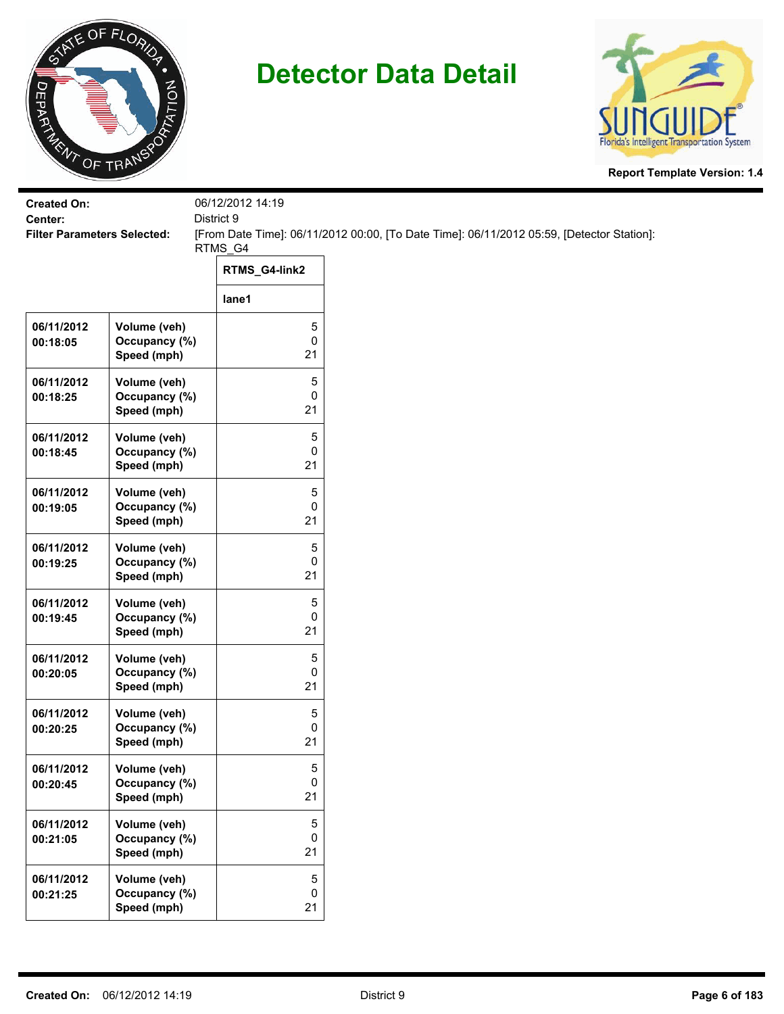



| <b>Created On:</b>                            |                                              | 06/12/2012 14:19       |                                                                                           |
|-----------------------------------------------|----------------------------------------------|------------------------|-------------------------------------------------------------------------------------------|
| Center:<br><b>Filter Parameters Selected:</b> |                                              | District 9             | [From Date Time]: 06/11/2012 00:00, [To Date Time]: 06/11/2012 05:59, [Detector Station]: |
|                                               |                                              | RTMS_G4                |                                                                                           |
|                                               |                                              | RTMS_G4-link2          |                                                                                           |
|                                               |                                              | lane1                  |                                                                                           |
| 06/11/2012<br>00:18:05                        | Volume (veh)<br>Occupancy (%)<br>Speed (mph) | 5<br>0<br>21           |                                                                                           |
| 06/11/2012<br>00:18:25                        | Volume (veh)<br>Occupancy (%)<br>Speed (mph) | 5<br>0<br>21           |                                                                                           |
| 06/11/2012<br>00:18:45                        | Volume (veh)<br>Occupancy (%)<br>Speed (mph) | 5<br>0<br>21           |                                                                                           |
| 06/11/2012<br>00:19:05                        | Volume (veh)<br>Occupancy (%)<br>Speed (mph) | 5<br>0<br>21           |                                                                                           |
| 06/11/2012<br>00:19:25                        | Volume (veh)<br>Occupancy (%)<br>Speed (mph) | 5<br>0<br>21           |                                                                                           |
| 06/11/2012<br>00:19:45                        | Volume (veh)<br>Occupancy (%)<br>Speed (mph) | 5<br>0<br>21           |                                                                                           |
| 06/11/2012<br>00:20:05                        | Volume (veh)<br>Occupancy (%)<br>Speed (mph) | 5<br>0<br>21           |                                                                                           |
| 06/11/2012<br>00:20:25                        | Volume (veh)<br>Occupancy (%)<br>Speed (mph) | 5<br>0<br>21           |                                                                                           |
| 06/11/2012<br>00:20:45                        | Volume (veh)<br>Occupancy (%)<br>Speed (mph) | 5<br>0<br>21           |                                                                                           |
| 06/11/2012<br>00:21:05                        | Volume (veh)<br>Occupancy (%)<br>Speed (mph) | $\,$ 5 $\,$<br>0<br>21 |                                                                                           |
| 06/11/2012<br>00:21:25                        | Volume (veh)<br>Occupancy (%)<br>Speed (mph) | $\sqrt{5}$<br>0<br>21  |                                                                                           |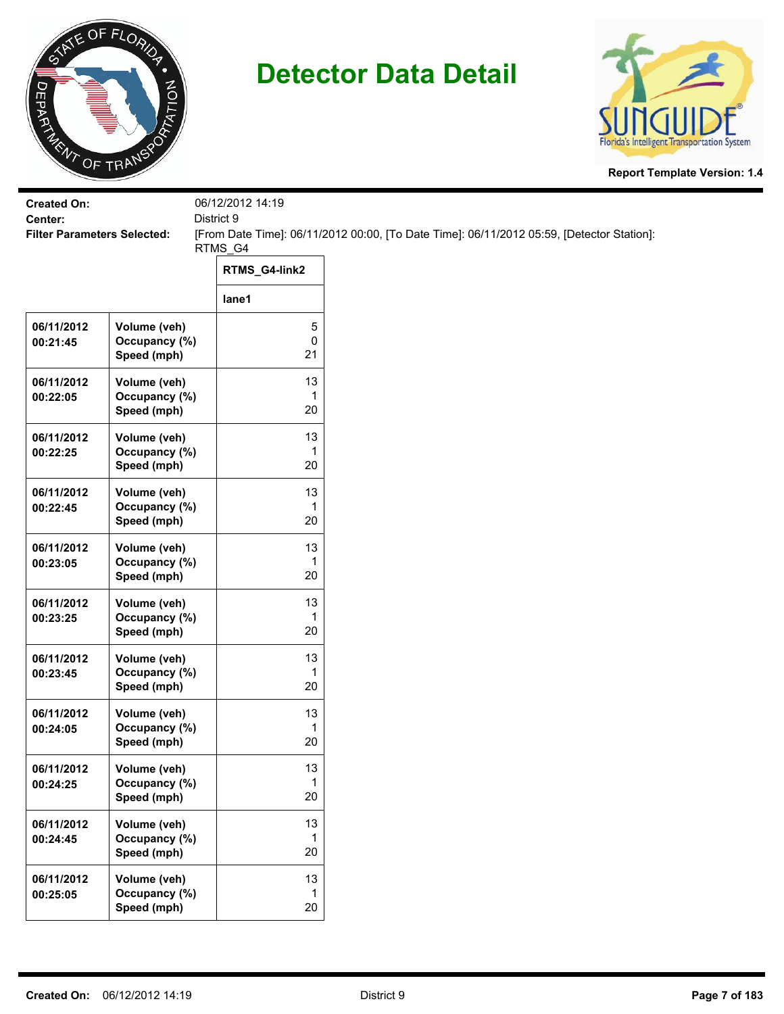



| <b>Created On:</b><br>Center:      |                                              | 06/12/2012 14:19<br>District 9 |                                                                                           |
|------------------------------------|----------------------------------------------|--------------------------------|-------------------------------------------------------------------------------------------|
| <b>Filter Parameters Selected:</b> |                                              | RTMS_G4                        | [From Date Time]: 06/11/2012 00:00, [To Date Time]: 06/11/2012 05:59, [Detector Station]: |
|                                    |                                              | RTMS_G4-link2                  |                                                                                           |
|                                    |                                              | lane1                          |                                                                                           |
| 06/11/2012<br>00:21:45             | Volume (veh)<br>Occupancy (%)<br>Speed (mph) | 5<br>0<br>21                   |                                                                                           |
| 06/11/2012<br>00:22:05             | Volume (veh)<br>Occupancy (%)<br>Speed (mph) | 13<br>1<br>20                  |                                                                                           |
| 06/11/2012<br>00:22:25             | Volume (veh)<br>Occupancy (%)<br>Speed (mph) | 13<br>1<br>20                  |                                                                                           |
| 06/11/2012<br>00:22:45             | Volume (veh)<br>Occupancy (%)<br>Speed (mph) | 13<br>1<br>20                  |                                                                                           |
| 06/11/2012<br>00:23:05             | Volume (veh)<br>Occupancy (%)<br>Speed (mph) | 13<br>1<br>20                  |                                                                                           |
| 06/11/2012<br>00:23:25             | Volume (veh)<br>Occupancy (%)<br>Speed (mph) | 13<br>1<br>20                  |                                                                                           |
| 06/11/2012<br>00:23:45             | Volume (veh)<br>Occupancy (%)<br>Speed (mph) | 13<br>1<br>20                  |                                                                                           |
| 06/11/2012<br>00:24:05             | Volume (veh)<br>Occupancy (%)<br>Speed (mph) | 13<br>1<br>20                  |                                                                                           |
| 06/11/2012<br>00:24:25             | Volume (veh)<br>Occupancy (%)<br>Speed (mph) | 13<br>1<br>20                  |                                                                                           |
| 06/11/2012<br>00:24:45             | Volume (veh)<br>Occupancy (%)<br>Speed (mph) | 13<br>1<br>20                  |                                                                                           |
| 06/11/2012<br>00:25:05             | Volume (veh)<br>Occupancy (%)<br>Speed (mph) | 13<br>1<br>20                  |                                                                                           |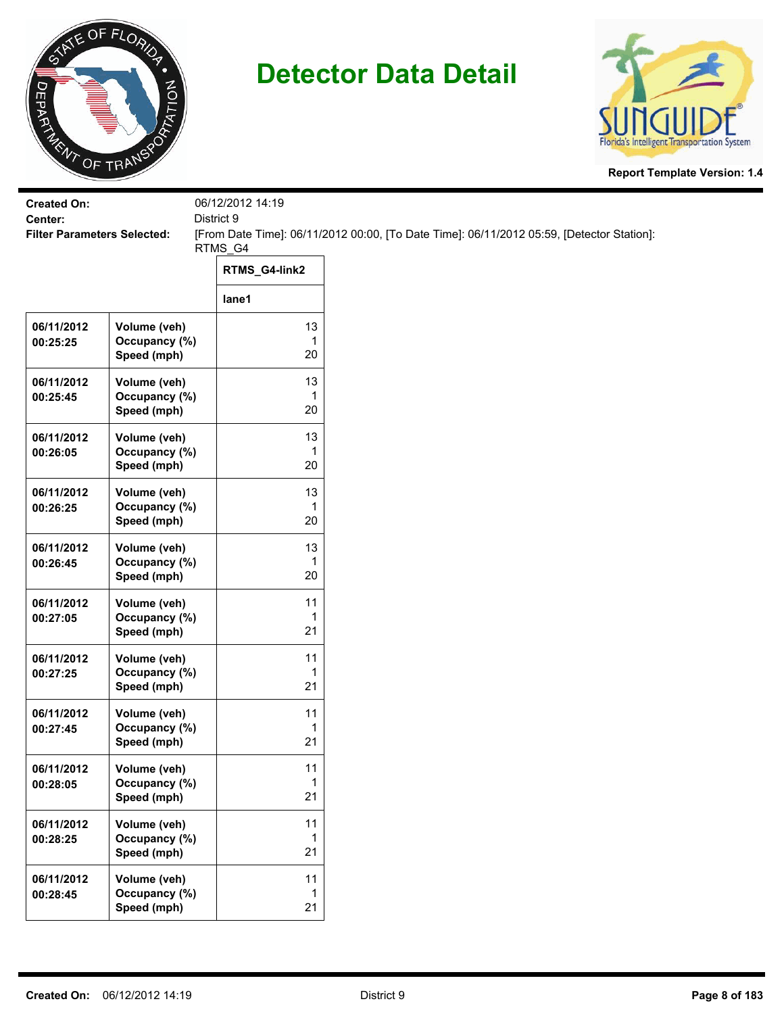



| <b>Created On:</b><br>Center:      |                                              | 06/12/2012 14:19<br>District 9 |                                                                                           |
|------------------------------------|----------------------------------------------|--------------------------------|-------------------------------------------------------------------------------------------|
| <b>Filter Parameters Selected:</b> |                                              |                                | [From Date Time]: 06/11/2012 00:00, [To Date Time]: 06/11/2012 05:59, [Detector Station]: |
|                                    |                                              | RTMS_G4                        |                                                                                           |
|                                    |                                              | RTMS_G4-link2                  |                                                                                           |
|                                    |                                              | lane1                          |                                                                                           |
| 06/11/2012<br>00:25:25             | Volume (veh)<br>Occupancy (%)<br>Speed (mph) | 13<br>$\mathbf{1}$<br>20       |                                                                                           |
| 06/11/2012<br>00:25:45             | Volume (veh)<br>Occupancy (%)<br>Speed (mph) | 13<br>1<br>20                  |                                                                                           |
| 06/11/2012<br>00:26:05             | Volume (veh)<br>Occupancy (%)<br>Speed (mph) | 13<br>1<br>20                  |                                                                                           |
| 06/11/2012<br>00:26:25             | Volume (veh)<br>Occupancy (%)<br>Speed (mph) | 13<br>1<br>20                  |                                                                                           |
| 06/11/2012<br>00:26:45             | Volume (veh)<br>Occupancy (%)<br>Speed (mph) | 13<br>1<br>20                  |                                                                                           |
| 06/11/2012<br>00:27:05             | Volume (veh)<br>Occupancy (%)<br>Speed (mph) | 11<br>1<br>21                  |                                                                                           |
| 06/11/2012<br>00:27:25             | Volume (veh)<br>Occupancy (%)<br>Speed (mph) | 11<br>1<br>21                  |                                                                                           |
| 06/11/2012<br>00:27:45             | Volume (veh)<br>Occupancy (%)<br>Speed (mph) | 11<br>1<br>21                  |                                                                                           |
| 06/11/2012<br>00:28:05             | Volume (veh)<br>Occupancy (%)<br>Speed (mph) | 11<br>$\mathbf 1$<br>21        |                                                                                           |
| 06/11/2012<br>00:28:25             | Volume (veh)<br>Occupancy (%)<br>Speed (mph) | 11<br>$\mathbf{1}$<br>21       |                                                                                           |
| 06/11/2012<br>00:28:45             | Volume (veh)<br>Occupancy (%)<br>Speed (mph) | 11<br>$\mathbf{1}$<br>21       |                                                                                           |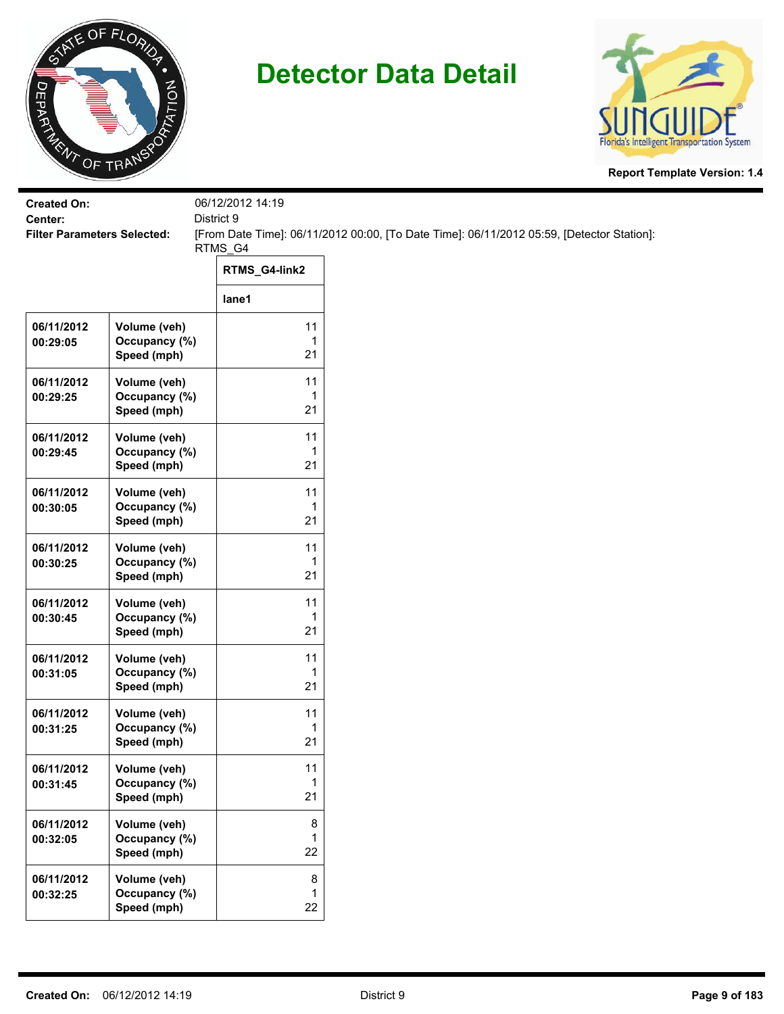



| <b>Created On:</b><br>Center:      |                                              | 06/12/2012 14:19<br>District 9 |                                                                                           |
|------------------------------------|----------------------------------------------|--------------------------------|-------------------------------------------------------------------------------------------|
| <b>Filter Parameters Selected:</b> |                                              | RTMS_G4                        | [From Date Time]: 06/11/2012 00:00, [To Date Time]: 06/11/2012 05:59, [Detector Station]: |
|                                    |                                              | RTMS_G4-link2                  |                                                                                           |
|                                    |                                              | lane1                          |                                                                                           |
| 06/11/2012<br>00:29:05             | Volume (veh)<br>Occupancy (%)<br>Speed (mph) | 11<br>1<br>21                  |                                                                                           |
| 06/11/2012<br>00:29:25             | Volume (veh)<br>Occupancy (%)<br>Speed (mph) | 11<br>1<br>21                  |                                                                                           |
| 06/11/2012<br>00:29:45             | Volume (veh)<br>Occupancy (%)<br>Speed (mph) | 11<br>1<br>21                  |                                                                                           |
| 06/11/2012<br>00:30:05             | Volume (veh)<br>Occupancy (%)<br>Speed (mph) | 11<br>1<br>21                  |                                                                                           |
| 06/11/2012<br>00:30:25             | Volume (veh)<br>Occupancy (%)<br>Speed (mph) | 11<br>1<br>21                  |                                                                                           |
| 06/11/2012<br>00:30:45             | Volume (veh)<br>Occupancy (%)<br>Speed (mph) | 11<br>1<br>21                  |                                                                                           |
| 06/11/2012<br>00:31:05             | Volume (veh)<br>Occupancy (%)<br>Speed (mph) | 11<br>1<br>21                  |                                                                                           |
| 06/11/2012<br>00:31:25             | Volume (veh)<br>Occupancy (%)<br>Speed (mph) | 11<br>1<br>21                  |                                                                                           |
| 06/11/2012<br>00:31:45             | Volume (veh)<br>Occupancy (%)<br>Speed (mph) | 11<br>1<br>21                  |                                                                                           |
| 06/11/2012<br>00:32:05             | Volume (veh)<br>Occupancy (%)<br>Speed (mph) | 8<br>1<br>22                   |                                                                                           |
| 06/11/2012<br>00:32:25             | Volume (veh)<br>Occupancy (%)<br>Speed (mph) | 8<br>1<br>22                   |                                                                                           |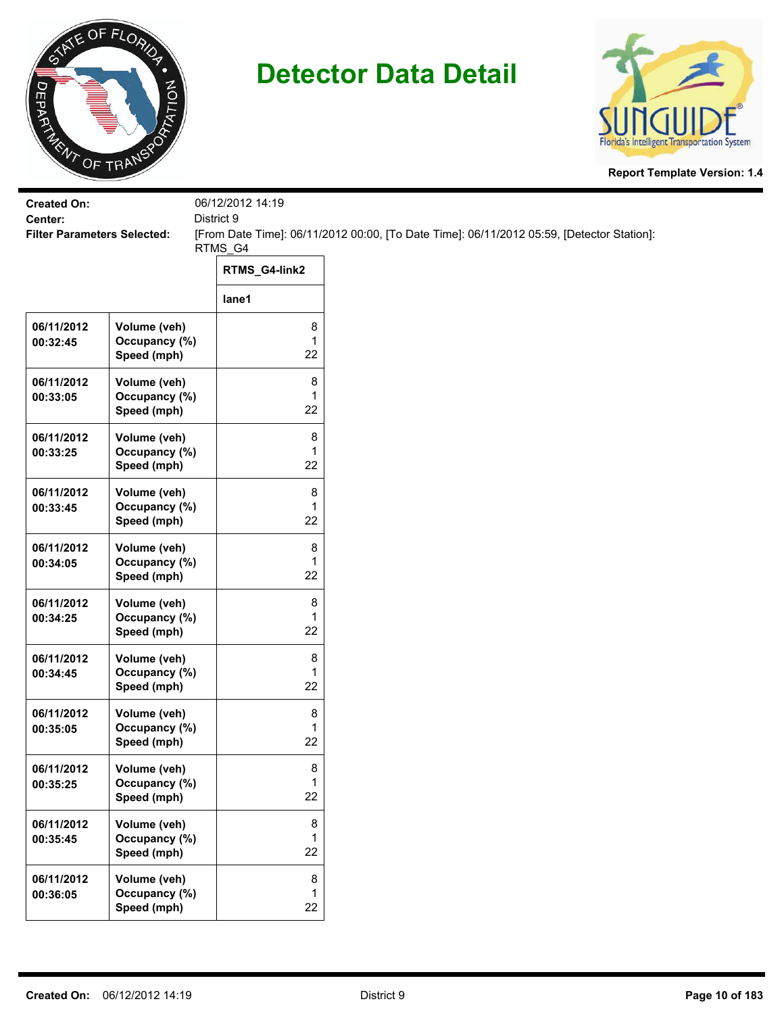



| <b>Created On:</b>                 |                                              | 06/12/2012 14:19             |                                                                                           |
|------------------------------------|----------------------------------------------|------------------------------|-------------------------------------------------------------------------------------------|
| Center:                            |                                              | District 9                   |                                                                                           |
| <b>Filter Parameters Selected:</b> |                                              | RTMS_G4                      | [From Date Time]: 06/11/2012 00:00, [To Date Time]: 06/11/2012 05:59, [Detector Station]: |
|                                    |                                              | RTMS_G4-link2                |                                                                                           |
|                                    |                                              | lane1                        |                                                                                           |
| 06/11/2012<br>00:32:45             | Volume (veh)<br>Occupancy (%)<br>Speed (mph) | 8<br>$\mathbf{1}$<br>22      |                                                                                           |
| 06/11/2012<br>00:33:05             | Volume (veh)<br>Occupancy (%)<br>Speed (mph) | 8<br>1<br>22                 |                                                                                           |
| 06/11/2012<br>00:33:25             | Volume (veh)<br>Occupancy (%)<br>Speed (mph) | 8<br>1<br>22                 |                                                                                           |
| 06/11/2012<br>00:33:45             | Volume (veh)<br>Occupancy (%)<br>Speed (mph) | 8<br>1<br>22                 |                                                                                           |
| 06/11/2012<br>00:34:05             | Volume (veh)<br>Occupancy (%)<br>Speed (mph) | 8<br>1<br>22                 |                                                                                           |
| 06/11/2012<br>00:34:25             | Volume (veh)<br>Occupancy (%)<br>Speed (mph) | 8<br>1<br>22                 |                                                                                           |
| 06/11/2012<br>00:34:45             | Volume (veh)<br>Occupancy (%)<br>Speed (mph) | 8<br>1<br>22                 |                                                                                           |
| 06/11/2012<br>00:35:05             | Volume (veh)<br>Occupancy (%)<br>Speed (mph) | 8<br>1<br>22                 |                                                                                           |
| 06/11/2012<br>00:35:25             | Volume (veh)<br>Occupancy (%)<br>Speed (mph) | 8<br>$\mathbf{1}$<br>22      |                                                                                           |
| 06/11/2012<br>00:35:45             | Volume (veh)<br>Occupancy (%)<br>Speed (mph) | 8<br>1<br>22                 |                                                                                           |
| 06/11/2012<br>00:36:05             | Volume (veh)<br>Occupancy (%)<br>Speed (mph) | $\bf 8$<br>$\mathbf 1$<br>22 |                                                                                           |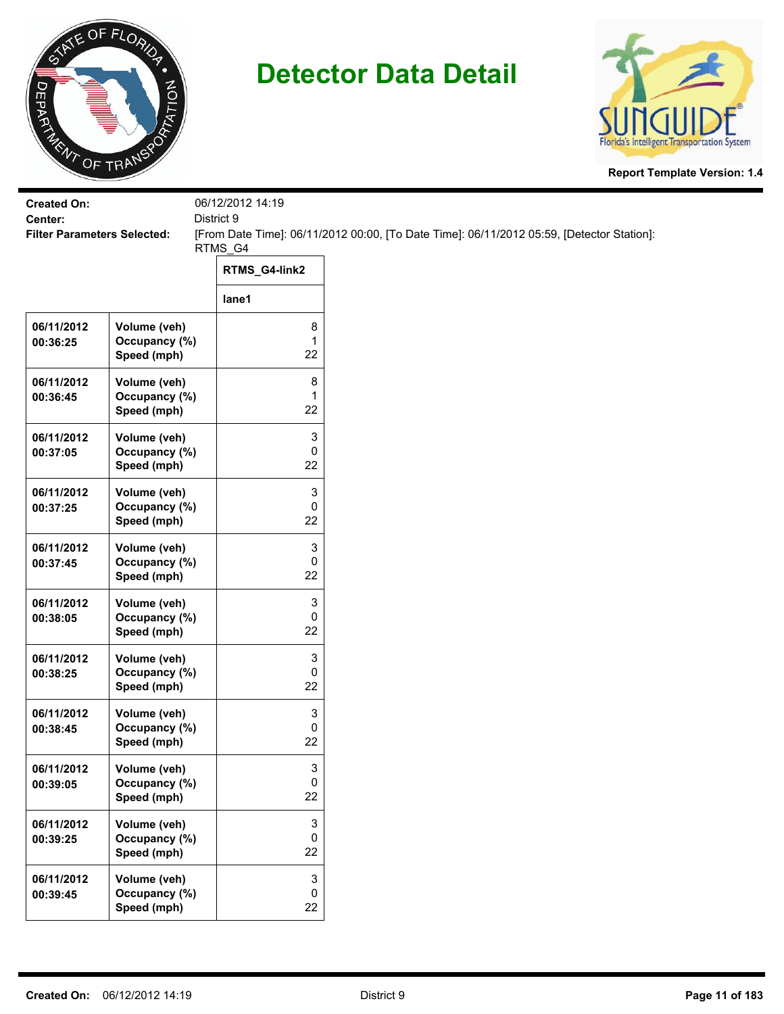



| <b>Created On:</b>                            |                                              | 06/12/2012 14:19<br>District 9       |                                                                                           |
|-----------------------------------------------|----------------------------------------------|--------------------------------------|-------------------------------------------------------------------------------------------|
| Center:<br><b>Filter Parameters Selected:</b> |                                              |                                      | [From Date Time]: 06/11/2012 00:00, [To Date Time]: 06/11/2012 05:59, [Detector Station]: |
|                                               |                                              | RTMS_G4                              |                                                                                           |
|                                               |                                              | RTMS_G4-link2                        |                                                                                           |
|                                               |                                              | lane1                                |                                                                                           |
| 06/11/2012<br>00:36:25                        | Volume (veh)<br>Occupancy (%)<br>Speed (mph) | 8<br>$\mathbf{1}$<br>22              |                                                                                           |
| 06/11/2012<br>00:36:45                        | Volume (veh)<br>Occupancy (%)<br>Speed (mph) | 8<br>1<br>22                         |                                                                                           |
| 06/11/2012<br>00:37:05                        | Volume (veh)<br>Occupancy (%)<br>Speed (mph) | 3<br>0<br>22                         |                                                                                           |
| 06/11/2012<br>00:37:25                        | Volume (veh)<br>Occupancy (%)<br>Speed (mph) | 3<br>0<br>22                         |                                                                                           |
| 06/11/2012<br>00:37:45                        | Volume (veh)<br>Occupancy (%)<br>Speed (mph) | 3<br>0<br>22                         |                                                                                           |
| 06/11/2012<br>00:38:05                        | Volume (veh)<br>Occupancy (%)<br>Speed (mph) | 3<br>0<br>22                         |                                                                                           |
| 06/11/2012<br>00:38:25                        | Volume (veh)<br>Occupancy (%)<br>Speed (mph) | 3<br>0<br>22                         |                                                                                           |
| 06/11/2012<br>00:38:45                        | Volume (veh)<br>Occupancy (%)<br>Speed (mph) | 3<br>0<br>22                         |                                                                                           |
| 06/11/2012<br>00:39:05                        | Volume (veh)<br>Occupancy (%)<br>Speed (mph) | 3<br>0<br>22                         |                                                                                           |
| 06/11/2012<br>00:39:25                        | Volume (veh)<br>Occupancy (%)<br>Speed (mph) | 3<br>0<br>22                         |                                                                                           |
| 06/11/2012<br>00:39:45                        | Volume (veh)<br>Occupancy (%)<br>Speed (mph) | $\ensuremath{\mathsf{3}}$<br>0<br>22 |                                                                                           |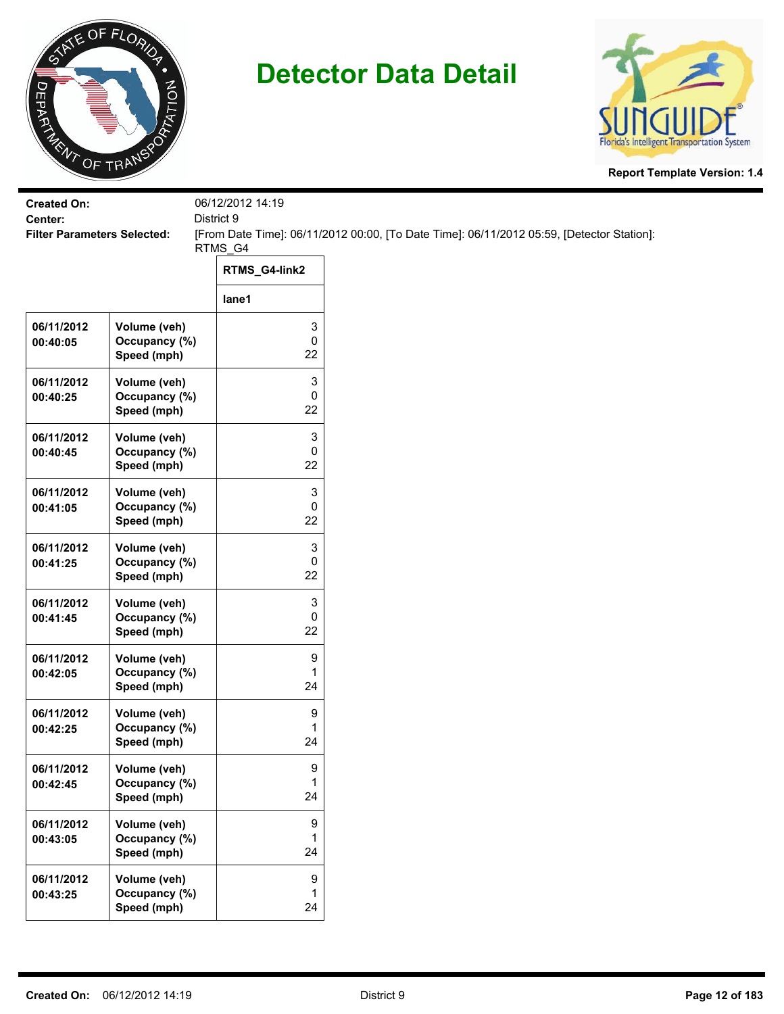



| <b>Created On:</b><br>Center:      |                                              | 06/12/2012 14:19<br>District 9 |                                                                                           |
|------------------------------------|----------------------------------------------|--------------------------------|-------------------------------------------------------------------------------------------|
| <b>Filter Parameters Selected:</b> |                                              |                                | [From Date Time]: 06/11/2012 00:00, [To Date Time]: 06/11/2012 05:59, [Detector Station]: |
|                                    |                                              | RTMS_G4<br>RTMS_G4-link2       |                                                                                           |
|                                    |                                              |                                |                                                                                           |
|                                    |                                              | lane1                          |                                                                                           |
| 06/11/2012<br>00:40:05             | Volume (veh)<br>Occupancy (%)<br>Speed (mph) | 3<br>0<br>22                   |                                                                                           |
| 06/11/2012<br>00:40:25             | Volume (veh)<br>Occupancy (%)<br>Speed (mph) | 3<br>0<br>22                   |                                                                                           |
| 06/11/2012<br>00:40:45             | Volume (veh)<br>Occupancy (%)<br>Speed (mph) | 3<br>0<br>22                   |                                                                                           |
| 06/11/2012<br>00:41:05             | Volume (veh)<br>Occupancy (%)<br>Speed (mph) | 3<br>0<br>22                   |                                                                                           |
| 06/11/2012<br>00:41:25             | Volume (veh)<br>Occupancy (%)<br>Speed (mph) | 3<br>0<br>22                   |                                                                                           |
| 06/11/2012<br>00:41:45             | Volume (veh)<br>Occupancy (%)<br>Speed (mph) | 3<br>0<br>22                   |                                                                                           |
| 06/11/2012<br>00:42:05             | Volume (veh)<br>Occupancy (%)<br>Speed (mph) | 9<br>1<br>24                   |                                                                                           |
| 06/11/2012<br>00:42:25             | Volume (veh)<br>Occupancy (%)<br>Speed (mph) | 9<br>1<br>24                   |                                                                                           |
| 06/11/2012<br>00:42:45             | Volume (veh)<br>Occupancy (%)<br>Speed (mph) | 9<br>1<br>24                   |                                                                                           |
| 06/11/2012<br>00:43:05             | Volume (veh)<br>Occupancy (%)<br>Speed (mph) | 9<br>1<br>24                   |                                                                                           |
| 06/11/2012<br>00:43:25             | Volume (veh)<br>Occupancy (%)<br>Speed (mph) | 9<br>1<br>24                   |                                                                                           |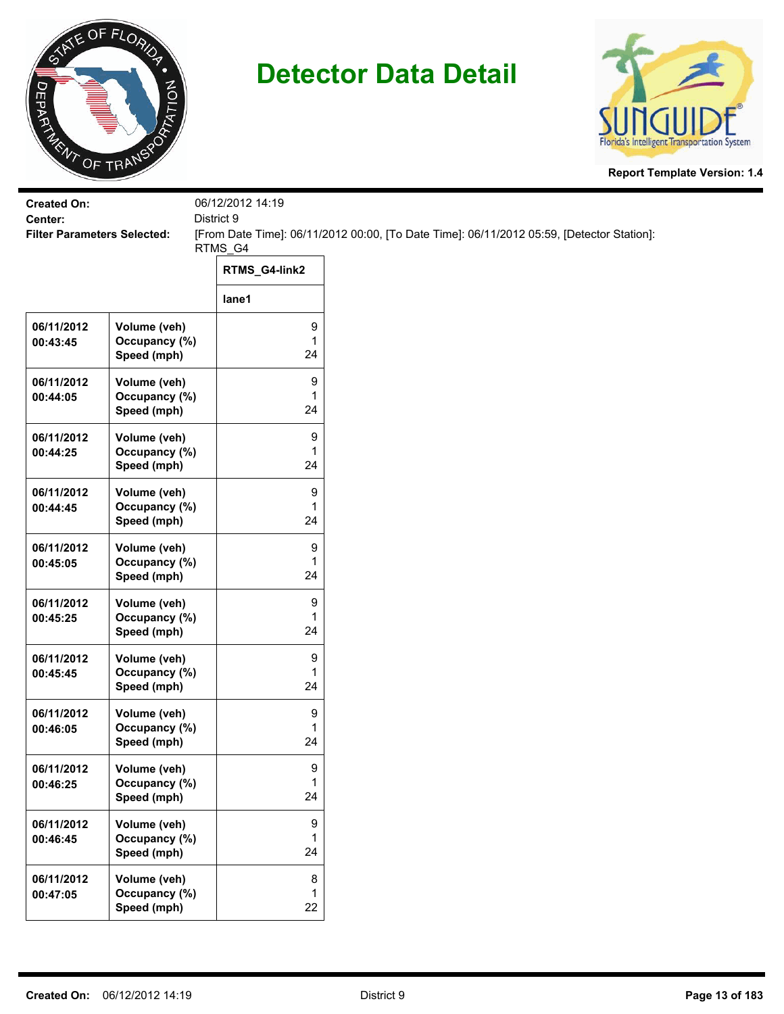



| <b>Created On:</b>                            |                                              | 06/12/2012 14:19<br>District 9 |                                                                                           |
|-----------------------------------------------|----------------------------------------------|--------------------------------|-------------------------------------------------------------------------------------------|
| Center:<br><b>Filter Parameters Selected:</b> |                                              |                                | [From Date Time]: 06/11/2012 00:00, [To Date Time]: 06/11/2012 05:59, [Detector Station]: |
|                                               |                                              | RTMS_G4<br>RTMS_G4-link2       |                                                                                           |
|                                               |                                              | lane1                          |                                                                                           |
| 06/11/2012<br>00:43:45                        | Volume (veh)<br>Occupancy (%)<br>Speed (mph) | 9<br>1<br>24                   |                                                                                           |
| 06/11/2012<br>00:44:05                        | Volume (veh)<br>Occupancy (%)<br>Speed (mph) | 9<br>1<br>24                   |                                                                                           |
| 06/11/2012<br>00:44:25                        | Volume (veh)<br>Occupancy (%)<br>Speed (mph) | 9<br>1<br>24                   |                                                                                           |
| 06/11/2012<br>00:44:45                        | Volume (veh)<br>Occupancy (%)<br>Speed (mph) | 9<br>1<br>24                   |                                                                                           |
| 06/11/2012<br>00:45:05                        | Volume (veh)<br>Occupancy (%)<br>Speed (mph) | 9<br>1<br>24                   |                                                                                           |
| 06/11/2012<br>00:45:25                        | Volume (veh)<br>Occupancy (%)<br>Speed (mph) | 9<br>1<br>24                   |                                                                                           |
| 06/11/2012<br>00:45:45                        | Volume (veh)<br>Occupancy (%)<br>Speed (mph) | 9<br>1<br>24                   |                                                                                           |
| 06/11/2012<br>00:46:05                        | Volume (veh)<br>Occupancy (%)<br>Speed (mph) | 9<br>1<br>24                   |                                                                                           |
| 06/11/2012<br>00:46:25                        | Volume (veh)<br>Occupancy (%)<br>Speed (mph) | 9<br>1<br>24                   |                                                                                           |
| 06/11/2012<br>00:46:45                        | Volume (veh)<br>Occupancy (%)<br>Speed (mph) | 9<br>1<br>24                   |                                                                                           |
| 06/11/2012<br>00:47:05                        | Volume (veh)<br>Occupancy (%)<br>Speed (mph) | 8<br>1<br>22                   |                                                                                           |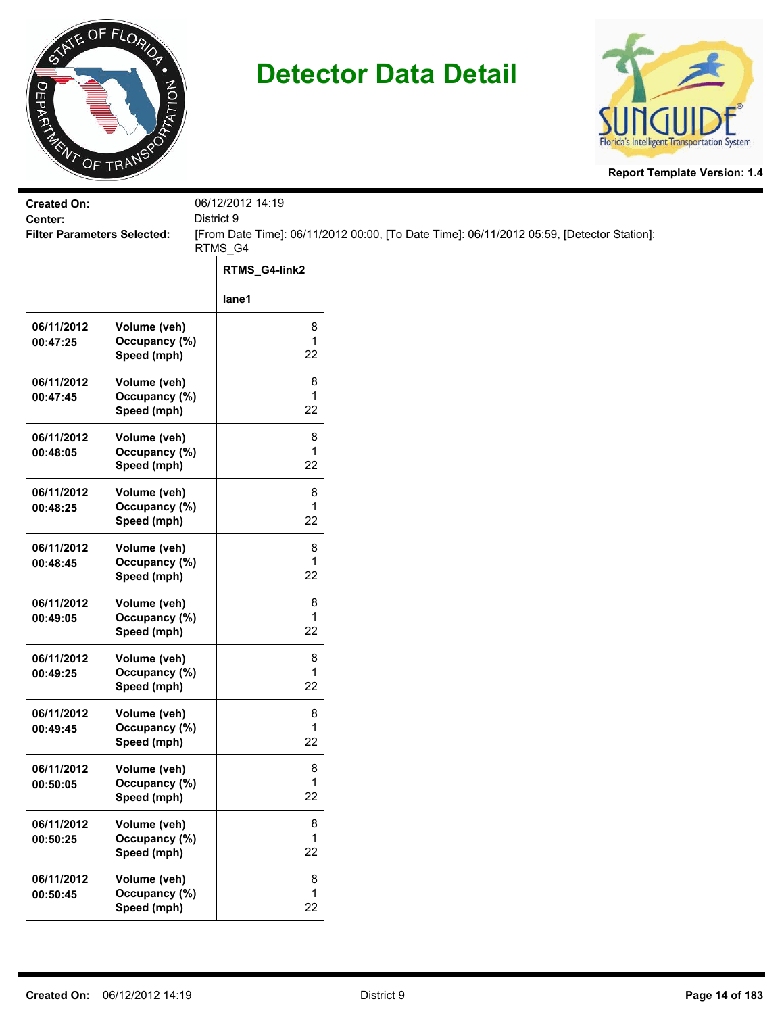



| <b>Created On:</b><br>District 9<br>Center: |                                              | 06/12/2012 14:19 |                                                                                           |
|---------------------------------------------|----------------------------------------------|------------------|-------------------------------------------------------------------------------------------|
| <b>Filter Parameters Selected:</b>          |                                              |                  | [From Date Time]: 06/11/2012 00:00, [To Date Time]: 06/11/2012 05:59, [Detector Station]: |
|                                             |                                              | RTMS_G4          |                                                                                           |
|                                             |                                              | RTMS_G4-link2    |                                                                                           |
|                                             |                                              | lane1            |                                                                                           |
| 06/11/2012<br>00:47:25                      | Volume (veh)<br>Occupancy (%)<br>Speed (mph) | 8<br>1<br>22     |                                                                                           |
| 06/11/2012<br>00:47:45                      | Volume (veh)<br>Occupancy (%)<br>Speed (mph) | 8<br>1<br>22     |                                                                                           |
| 06/11/2012<br>00:48:05                      | Volume (veh)<br>Occupancy (%)<br>Speed (mph) | 8<br>1<br>22     |                                                                                           |
| 06/11/2012<br>00:48:25                      | Volume (veh)<br>Occupancy (%)<br>Speed (mph) | 8<br>1<br>22     |                                                                                           |
| 06/11/2012<br>00:48:45                      | Volume (veh)<br>Occupancy (%)<br>Speed (mph) | 8<br>1<br>22     |                                                                                           |
| 06/11/2012<br>00:49:05                      | Volume (veh)<br>Occupancy (%)<br>Speed (mph) | 8<br>1<br>22     |                                                                                           |
| 06/11/2012<br>00:49:25                      | Volume (veh)<br>Occupancy (%)<br>Speed (mph) | 8<br>1<br>22     |                                                                                           |
| 06/11/2012<br>00:49:45                      | Volume (veh)<br>Occupancy (%)<br>Speed (mph) | 8<br>1<br>22     |                                                                                           |
| 06/11/2012<br>00:50:05                      | Volume (veh)<br>Occupancy (%)<br>Speed (mph) | 8<br>1<br>22     |                                                                                           |
| 06/11/2012<br>00:50:25                      | Volume (veh)<br>Occupancy (%)<br>Speed (mph) | 8<br>1<br>22     |                                                                                           |
| 06/11/2012<br>00:50:45                      | Volume (veh)<br>Occupancy (%)<br>Speed (mph) | 8<br>1<br>22     |                                                                                           |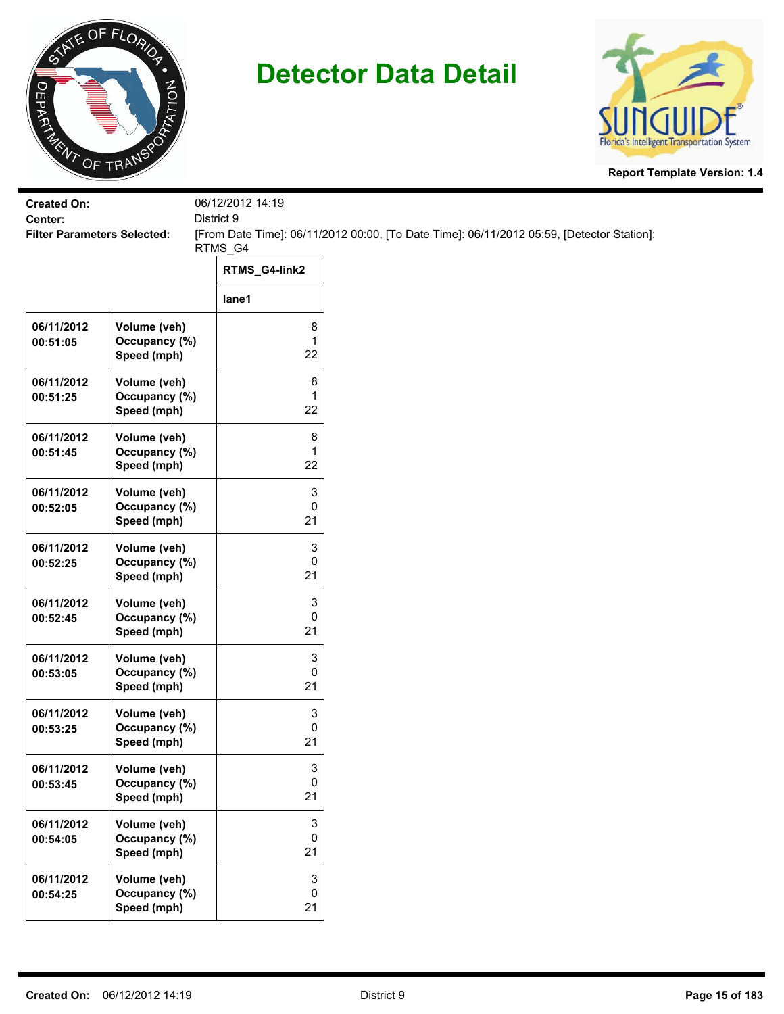



| <b>Created On:</b>                            |                                              | 06/12/2012 14:19               |                                                                                           |
|-----------------------------------------------|----------------------------------------------|--------------------------------|-------------------------------------------------------------------------------------------|
| Center:<br><b>Filter Parameters Selected:</b> |                                              | District 9                     | [From Date Time]: 06/11/2012 00:00, [To Date Time]: 06/11/2012 05:59, [Detector Station]: |
|                                               |                                              | RTMS_G4                        |                                                                                           |
|                                               |                                              | RTMS_G4-link2                  |                                                                                           |
|                                               |                                              | lane1                          |                                                                                           |
| 06/11/2012<br>00:51:05                        | Volume (veh)<br>Occupancy (%)<br>Speed (mph) | 8<br>$\mathbf{1}$<br>22        |                                                                                           |
| 06/11/2012<br>00:51:25                        | Volume (veh)<br>Occupancy (%)<br>Speed (mph) | 8<br>1<br>22                   |                                                                                           |
| 06/11/2012<br>00:51:45                        | Volume (veh)<br>Occupancy (%)<br>Speed (mph) | 8<br>1<br>22                   |                                                                                           |
| 06/11/2012<br>00:52:05                        | Volume (veh)<br>Occupancy (%)<br>Speed (mph) | 3<br>0<br>21                   |                                                                                           |
| 06/11/2012<br>00:52:25                        | Volume (veh)<br>Occupancy (%)<br>Speed (mph) | 3<br>0<br>21                   |                                                                                           |
| 06/11/2012<br>00:52:45                        | Volume (veh)<br>Occupancy (%)<br>Speed (mph) | 3<br>$\pmb{0}$<br>21           |                                                                                           |
| 06/11/2012<br>00:53:05                        | Volume (veh)<br>Occupancy (%)<br>Speed (mph) | 3<br>0<br>21                   |                                                                                           |
| 06/11/2012<br>00:53:25                        | Volume (veh)<br>Occupancy (%)<br>Speed (mph) | 3<br>$\pmb{0}$<br>21           |                                                                                           |
| 06/11/2012<br>00:53:45                        | Volume (veh)<br>Occupancy (%)<br>Speed (mph) | 3<br>$\mathbf 0$<br>21         |                                                                                           |
| 06/11/2012<br>00:54:05                        | Volume (veh)<br>Occupancy (%)<br>Speed (mph) | 3<br>0<br>21                   |                                                                                           |
| 06/11/2012<br>00:54:25                        | Volume (veh)<br>Occupancy (%)<br>Speed (mph) | 3<br>$\mathsf{O}\xspace$<br>21 |                                                                                           |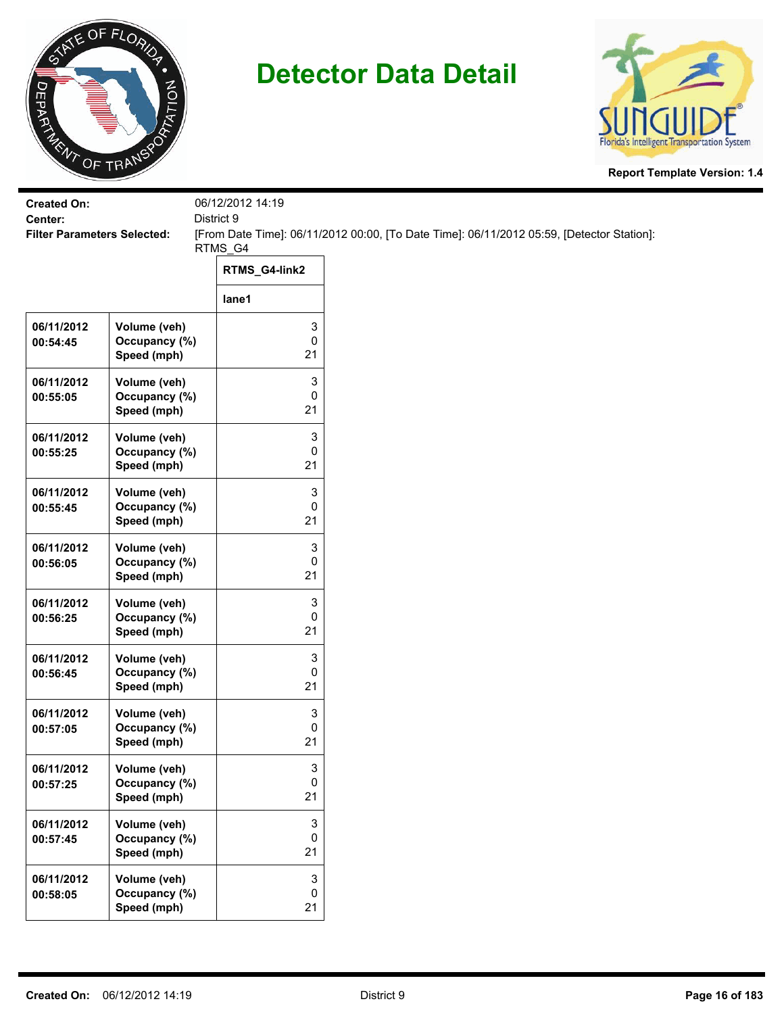



| <b>Created On:</b><br>Center:      |                                              | 06/12/2012 14:19<br>District 9       |                                                                                           |  |
|------------------------------------|----------------------------------------------|--------------------------------------|-------------------------------------------------------------------------------------------|--|
| <b>Filter Parameters Selected:</b> |                                              | RTMS_G4                              | [From Date Time]: 06/11/2012 00:00, [To Date Time]: 06/11/2012 05:59, [Detector Station]: |  |
|                                    |                                              | RTMS_G4-link2                        |                                                                                           |  |
|                                    |                                              | lane1                                |                                                                                           |  |
| 06/11/2012<br>00:54:45             | Volume (veh)<br>Occupancy (%)<br>Speed (mph) | 3<br>0<br>21                         |                                                                                           |  |
| 06/11/2012<br>00:55:05             | Volume (veh)<br>Occupancy (%)<br>Speed (mph) | 3<br>0<br>21                         |                                                                                           |  |
| 06/11/2012<br>00:55:25             | Volume (veh)<br>Occupancy (%)<br>Speed (mph) | 3<br>0<br>21                         |                                                                                           |  |
| 06/11/2012<br>00:55:45             | Volume (veh)<br>Occupancy (%)<br>Speed (mph) | 3<br>0<br>21                         |                                                                                           |  |
| 06/11/2012<br>00:56:05             | Volume (veh)<br>Occupancy (%)<br>Speed (mph) | 3<br>0<br>21                         |                                                                                           |  |
| 06/11/2012<br>00:56:25             | Volume (veh)<br>Occupancy (%)<br>Speed (mph) | 3<br>0<br>21                         |                                                                                           |  |
| 06/11/2012<br>00:56:45             | Volume (veh)<br>Occupancy (%)<br>Speed (mph) | 3<br>0<br>21                         |                                                                                           |  |
| 06/11/2012<br>00:57:05             | Volume (veh)<br>Occupancy (%)<br>Speed (mph) | 3<br>0<br>21                         |                                                                                           |  |
| 06/11/2012<br>00:57:25             | Volume (veh)<br>Occupancy (%)<br>Speed (mph) | 3<br>0<br>21                         |                                                                                           |  |
| 06/11/2012<br>00:57:45             | Volume (veh)<br>Occupancy (%)<br>Speed (mph) | 3<br>0<br>21                         |                                                                                           |  |
| 06/11/2012<br>00:58:05             | Volume (veh)<br>Occupancy (%)<br>Speed (mph) | $\ensuremath{\mathsf{3}}$<br>0<br>21 |                                                                                           |  |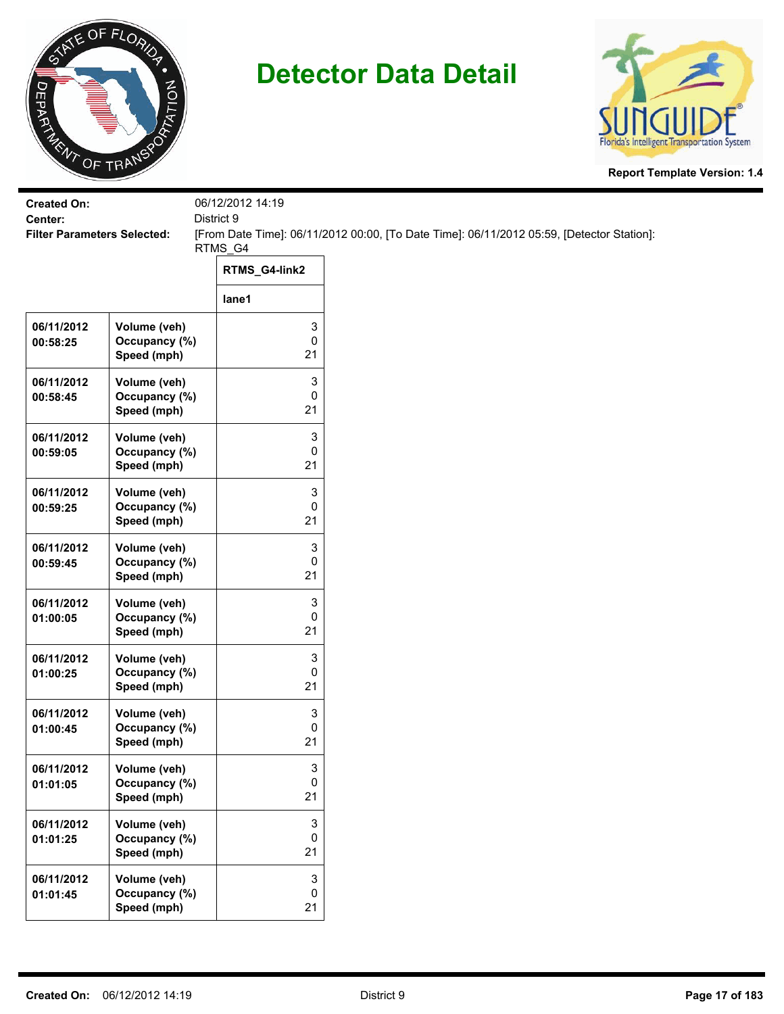



| <b>Created On:</b><br>Center:      |                                              | 06/12/2012 14:19<br>District 9 |                                                                                           |
|------------------------------------|----------------------------------------------|--------------------------------|-------------------------------------------------------------------------------------------|
| <b>Filter Parameters Selected:</b> |                                              |                                | [From Date Time]: 06/11/2012 00:00, [To Date Time]: 06/11/2012 05:59, [Detector Station]: |
|                                    |                                              | RTMS_G4<br>RTMS_G4-link2       |                                                                                           |
|                                    |                                              | lane1                          |                                                                                           |
| 06/11/2012<br>00:58:25             | Volume (veh)<br>Occupancy (%)<br>Speed (mph) | 3<br>0<br>21                   |                                                                                           |
| 06/11/2012<br>00:58:45             | Volume (veh)<br>Occupancy (%)<br>Speed (mph) | 3<br>0<br>21                   |                                                                                           |
| 06/11/2012<br>00:59:05             | Volume (veh)<br>Occupancy (%)<br>Speed (mph) | 3<br>0<br>21                   |                                                                                           |
| 06/11/2012<br>00:59:25             | Volume (veh)<br>Occupancy (%)<br>Speed (mph) | 3<br>0<br>21                   |                                                                                           |
| 06/11/2012<br>00:59:45             | Volume (veh)<br>Occupancy (%)<br>Speed (mph) | 3<br>0<br>21                   |                                                                                           |
| 06/11/2012<br>01:00:05             | Volume (veh)<br>Occupancy (%)<br>Speed (mph) | 3<br>0<br>21                   |                                                                                           |
| 06/11/2012<br>01:00:25             | Volume (veh)<br>Occupancy (%)<br>Speed (mph) | 3<br>0<br>21                   |                                                                                           |
| 06/11/2012<br>01:00:45             | Volume (veh)<br>Occupancy (%)<br>Speed (mph) | 3<br>0<br>21                   |                                                                                           |
| 06/11/2012<br>01:01:05             | Volume (veh)<br>Occupancy (%)<br>Speed (mph) | 3<br>0<br>21                   |                                                                                           |
| 06/11/2012<br>01:01:25             | Volume (veh)<br>Occupancy (%)<br>Speed (mph) | 3<br>0<br>21                   |                                                                                           |
| 06/11/2012<br>01:01:45             | Volume (veh)<br>Occupancy (%)<br>Speed (mph) | 3<br>$\pmb{0}$<br>21           |                                                                                           |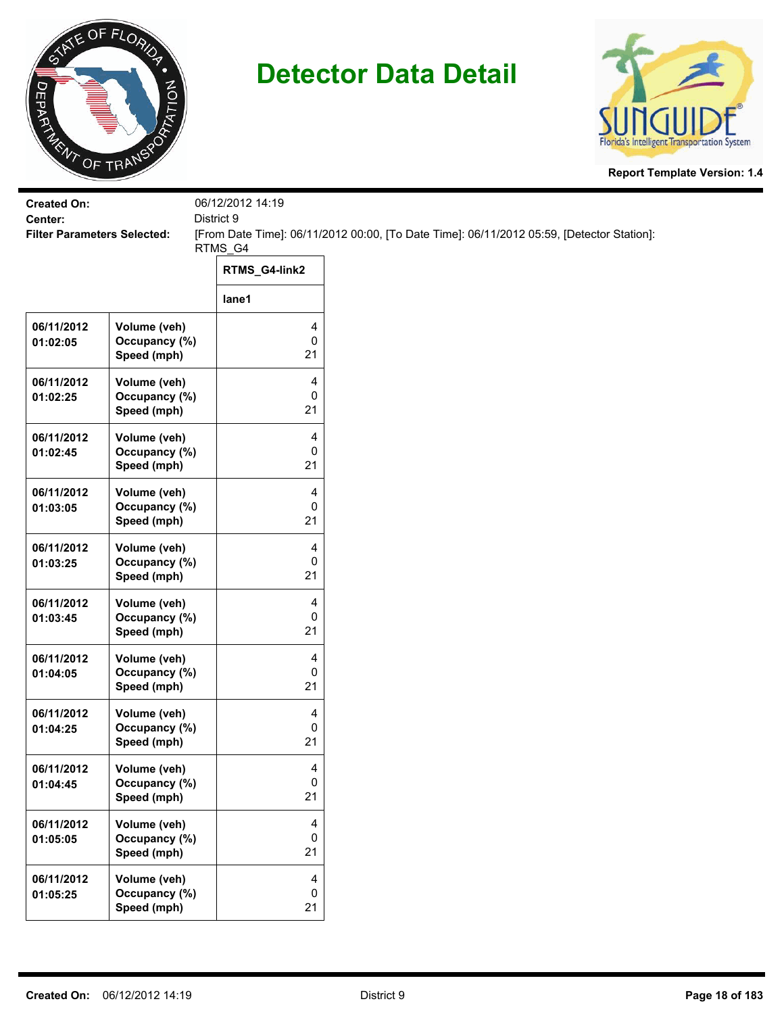



| <b>Created On:</b>                            |                                              | 06/12/2012 14:19       |                                                                                           |
|-----------------------------------------------|----------------------------------------------|------------------------|-------------------------------------------------------------------------------------------|
| Center:<br><b>Filter Parameters Selected:</b> |                                              | District 9             | [From Date Time]: 06/11/2012 00:00, [To Date Time]: 06/11/2012 05:59, [Detector Station]: |
|                                               |                                              | RTMS_G4                |                                                                                           |
|                                               |                                              | RTMS_G4-link2          |                                                                                           |
|                                               |                                              | lane1                  |                                                                                           |
| 06/11/2012<br>01:02:05                        | Volume (veh)<br>Occupancy (%)<br>Speed (mph) | 4<br>$\pmb{0}$<br>21   |                                                                                           |
| 06/11/2012<br>01:02:25                        | Volume (veh)<br>Occupancy (%)<br>Speed (mph) | 4<br>0<br>21           |                                                                                           |
| 06/11/2012<br>01:02:45                        | Volume (veh)<br>Occupancy (%)<br>Speed (mph) | 4<br>0<br>21           |                                                                                           |
| 06/11/2012<br>01:03:05                        | Volume (veh)<br>Occupancy (%)<br>Speed (mph) | 4<br>0<br>21           |                                                                                           |
| 06/11/2012<br>01:03:25                        | Volume (veh)<br>Occupancy (%)<br>Speed (mph) | 4<br>0<br>21           |                                                                                           |
| 06/11/2012<br>01:03:45                        | Volume (veh)<br>Occupancy (%)<br>Speed (mph) | 4<br>$\pmb{0}$<br>21   |                                                                                           |
| 06/11/2012<br>01:04:05                        | Volume (veh)<br>Occupancy (%)<br>Speed (mph) | 4<br>0<br>21           |                                                                                           |
| 06/11/2012<br>01:04:25                        | Volume (veh)<br>Occupancy (%)<br>Speed (mph) | 4<br>0<br>21           |                                                                                           |
| 06/11/2012<br>01:04:45                        | Volume (veh)<br>Occupancy (%)<br>Speed (mph) | 4<br>$\pmb{0}$<br>21   |                                                                                           |
| 06/11/2012<br>01:05:05                        | Volume (veh)<br>Occupancy (%)<br>Speed (mph) | 4<br>$\mathbf 0$<br>21 |                                                                                           |
| 06/11/2012<br>01:05:25                        | Volume (veh)<br>Occupancy (%)<br>Speed (mph) | 4<br>$\mathbf 0$<br>21 |                                                                                           |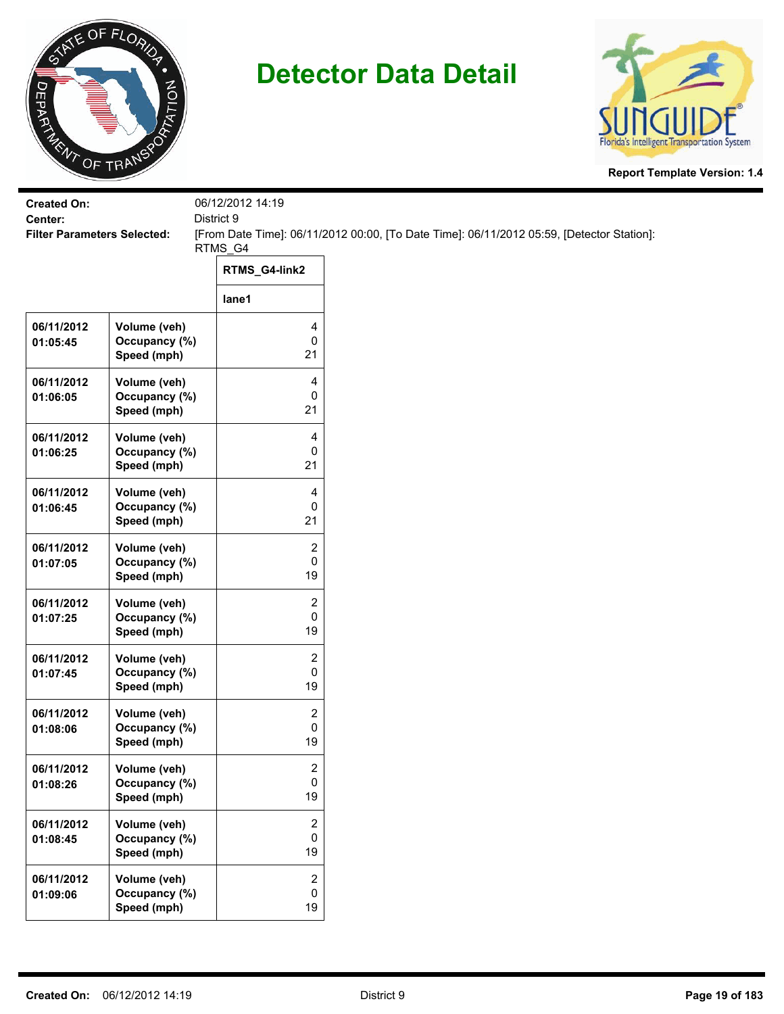



| <b>Created On:</b><br>Center:      |                                              | 06/12/2012 14:19<br>District 9     |                                                                                           |
|------------------------------------|----------------------------------------------|------------------------------------|-------------------------------------------------------------------------------------------|
| <b>Filter Parameters Selected:</b> |                                              |                                    | [From Date Time]: 06/11/2012 00:00, [To Date Time]: 06/11/2012 05:59, [Detector Station]: |
|                                    |                                              | RTMS_G4<br>RTMS_G4-link2           |                                                                                           |
|                                    |                                              | lane1                              |                                                                                           |
| 06/11/2012<br>01:05:45             | Volume (veh)<br>Occupancy (%)<br>Speed (mph) | 4<br>0<br>21                       |                                                                                           |
| 06/11/2012<br>01:06:05             | Volume (veh)<br>Occupancy (%)<br>Speed (mph) | 4<br>0<br>21                       |                                                                                           |
| 06/11/2012<br>01:06:25             | Volume (veh)<br>Occupancy (%)<br>Speed (mph) | 4<br>0<br>21                       |                                                                                           |
| 06/11/2012<br>01:06:45             | Volume (veh)<br>Occupancy (%)<br>Speed (mph) | 4<br>0<br>21                       |                                                                                           |
| 06/11/2012<br>01:07:05             | Volume (veh)<br>Occupancy (%)<br>Speed (mph) | 2<br>0<br>19                       |                                                                                           |
| 06/11/2012<br>01:07:25             | Volume (veh)<br>Occupancy (%)<br>Speed (mph) | 2<br>0<br>19                       |                                                                                           |
| 06/11/2012<br>01:07:45             | Volume (veh)<br>Occupancy (%)<br>Speed (mph) | $\overline{c}$<br>0<br>19          |                                                                                           |
| 06/11/2012<br>01:08:06             | Volume (veh)<br>Occupancy (%)<br>Speed (mph) | 2<br>0<br>19                       |                                                                                           |
| 06/11/2012<br>01:08:26             | Volume (veh)<br>Occupancy (%)<br>Speed (mph) | $\overline{\mathbf{c}}$<br>0<br>19 |                                                                                           |
| 06/11/2012<br>01:08:45             | Volume (veh)<br>Occupancy (%)<br>Speed (mph) | $\overline{c}$<br>$\pmb{0}$<br>19  |                                                                                           |
| 06/11/2012<br>01:09:06             | Volume (veh)<br>Occupancy (%)<br>Speed (mph) | 2<br>0<br>19                       |                                                                                           |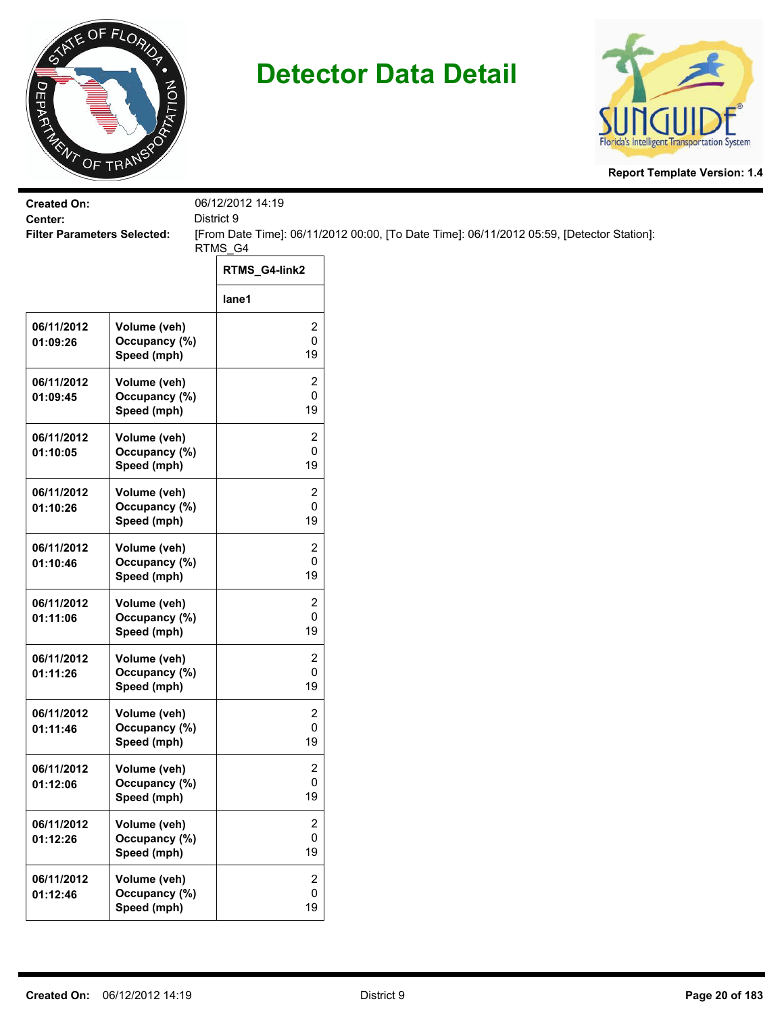



| <b>Created On:</b>                            |                                              | 06/12/2012 14:19                   |                                                                                           |
|-----------------------------------------------|----------------------------------------------|------------------------------------|-------------------------------------------------------------------------------------------|
| Center:<br><b>Filter Parameters Selected:</b> |                                              | District 9                         | [From Date Time]: 06/11/2012 00:00, [To Date Time]: 06/11/2012 05:59, [Detector Station]: |
|                                               |                                              | RTMS_G4                            |                                                                                           |
|                                               |                                              | RTMS_G4-link2                      |                                                                                           |
|                                               |                                              | lane1                              |                                                                                           |
| 06/11/2012<br>01:09:26                        | Volume (veh)<br>Occupancy (%)<br>Speed (mph) | 2<br>0<br>19                       |                                                                                           |
| 06/11/2012<br>01:09:45                        | Volume (veh)<br>Occupancy (%)<br>Speed (mph) | 2<br>0<br>19                       |                                                                                           |
| 06/11/2012<br>01:10:05                        | Volume (veh)<br>Occupancy (%)<br>Speed (mph) | 2<br>0<br>19                       |                                                                                           |
| 06/11/2012<br>01:10:26                        | Volume (veh)<br>Occupancy (%)<br>Speed (mph) | 2<br>0<br>19                       |                                                                                           |
| 06/11/2012<br>01:10:46                        | Volume (veh)<br>Occupancy (%)<br>Speed (mph) | 2<br>0<br>19                       |                                                                                           |
| 06/11/2012<br>01:11:06                        | Volume (veh)<br>Occupancy (%)<br>Speed (mph) | 2<br>0<br>19                       |                                                                                           |
| 06/11/2012<br>01:11:26                        | Volume (veh)<br>Occupancy (%)<br>Speed (mph) | 2<br>0<br>19                       |                                                                                           |
| 06/11/2012<br>01:11:46                        | Volume (veh)<br>Occupancy (%)<br>Speed (mph) | 2<br>0<br>19                       |                                                                                           |
| 06/11/2012<br>01:12:06                        | Volume (veh)<br>Occupancy (%)<br>Speed (mph) | $\overline{\mathbf{c}}$<br>0<br>19 |                                                                                           |
| 06/11/2012<br>01:12:26                        | Volume (veh)<br>Occupancy (%)<br>Speed (mph) | $\overline{2}$<br>0<br>19          |                                                                                           |
| 06/11/2012<br>01:12:46                        | Volume (veh)<br>Occupancy (%)<br>Speed (mph) | $\overline{2}$<br>0<br>19          |                                                                                           |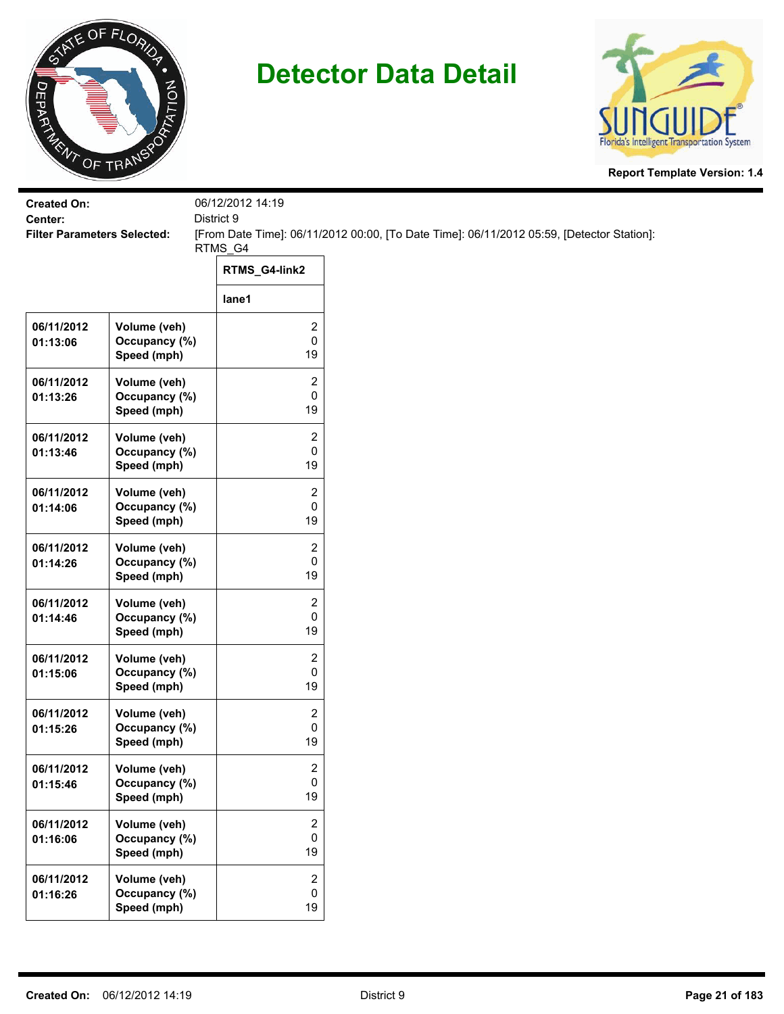



| <b>Created On:</b><br>Center:      |                                              | 06/12/2012 14:19<br>District 9    |                                                                                           |
|------------------------------------|----------------------------------------------|-----------------------------------|-------------------------------------------------------------------------------------------|
| <b>Filter Parameters Selected:</b> |                                              |                                   | [From Date Time]: 06/11/2012 00:00, [To Date Time]: 06/11/2012 05:59, [Detector Station]: |
|                                    |                                              | RTMS_G4                           |                                                                                           |
|                                    |                                              | RTMS_G4-link2                     |                                                                                           |
|                                    |                                              | lane1                             |                                                                                           |
| 06/11/2012<br>01:13:06             | Volume (veh)<br>Occupancy (%)<br>Speed (mph) | 2<br>0<br>19                      |                                                                                           |
| 06/11/2012<br>01:13:26             | Volume (veh)<br>Occupancy (%)<br>Speed (mph) | 2<br>0<br>19                      |                                                                                           |
| 06/11/2012<br>01:13:46             | Volume (veh)<br>Occupancy (%)<br>Speed (mph) | 2<br>0<br>19                      |                                                                                           |
| 06/11/2012<br>01:14:06             | Volume (veh)<br>Occupancy (%)<br>Speed (mph) | 2<br>0<br>19                      |                                                                                           |
| 06/11/2012<br>01:14:26             | Volume (veh)<br>Occupancy (%)<br>Speed (mph) | 2<br>0<br>19                      |                                                                                           |
| 06/11/2012<br>01:14:46             | Volume (veh)<br>Occupancy (%)<br>Speed (mph) | 2<br>0<br>19                      |                                                                                           |
| 06/11/2012<br>01:15:06             | Volume (veh)<br>Occupancy (%)<br>Speed (mph) | 2<br>0<br>19                      |                                                                                           |
| 06/11/2012<br>01:15:26             | Volume (veh)<br>Occupancy (%)<br>Speed (mph) | 2<br>0<br>19                      |                                                                                           |
| 06/11/2012<br>01:15:46             | Volume (veh)<br>Occupancy (%)<br>Speed (mph) | 2<br>0<br>19                      |                                                                                           |
| 06/11/2012<br>01:16:06             | Volume (veh)<br>Occupancy (%)<br>Speed (mph) | 2<br>0<br>19                      |                                                                                           |
| 06/11/2012<br>01:16:26             | Volume (veh)<br>Occupancy (%)<br>Speed (mph) | $\overline{2}$<br>$\pmb{0}$<br>19 |                                                                                           |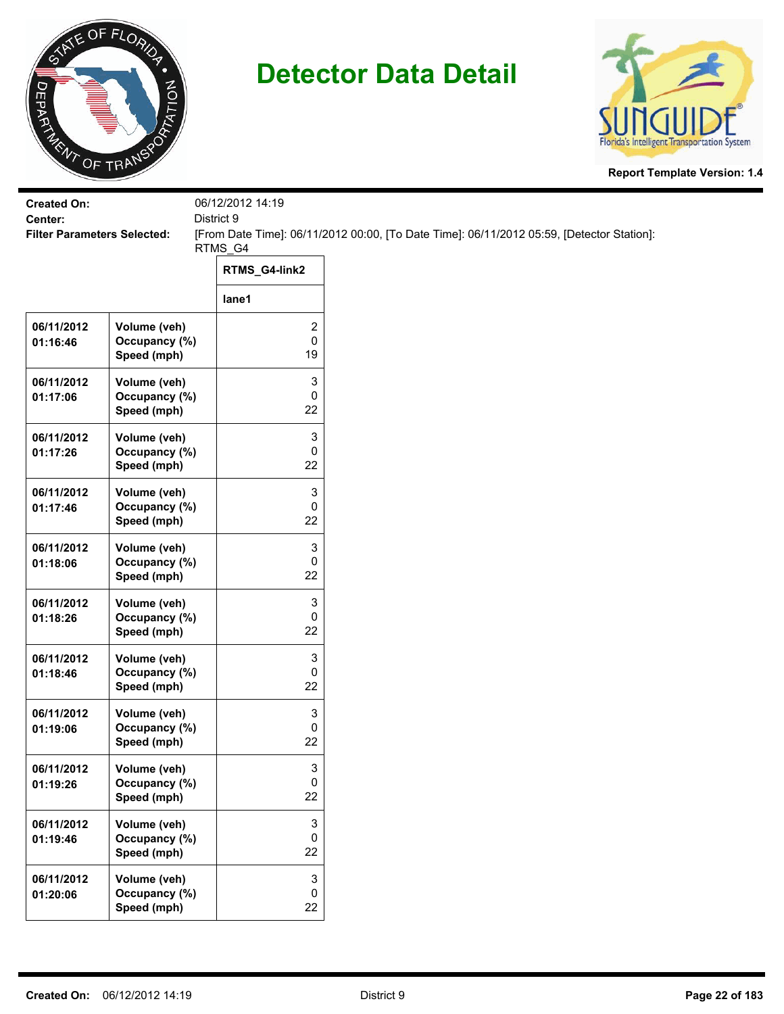



| <b>Created On:</b><br>Center:      |                                              | 06/12/2012 14:19<br>District 9       |                                                                                           |
|------------------------------------|----------------------------------------------|--------------------------------------|-------------------------------------------------------------------------------------------|
| <b>Filter Parameters Selected:</b> |                                              |                                      | [From Date Time]: 06/11/2012 00:00, [To Date Time]: 06/11/2012 05:59, [Detector Station]: |
|                                    |                                              | RTMS_G4                              |                                                                                           |
|                                    |                                              | RTMS_G4-link2                        |                                                                                           |
|                                    |                                              | lane1                                |                                                                                           |
| 06/11/2012<br>01:16:46             | Volume (veh)<br>Occupancy (%)<br>Speed (mph) | 2<br>0<br>19                         |                                                                                           |
| 06/11/2012<br>01:17:06             | Volume (veh)<br>Occupancy (%)<br>Speed (mph) | 3<br>0<br>22                         |                                                                                           |
| 06/11/2012<br>01:17:26             | Volume (veh)<br>Occupancy (%)<br>Speed (mph) | 3<br>0<br>22                         |                                                                                           |
| 06/11/2012<br>01:17:46             | Volume (veh)<br>Occupancy (%)<br>Speed (mph) | 3<br>0<br>22                         |                                                                                           |
| 06/11/2012<br>01:18:06             | Volume (veh)<br>Occupancy (%)<br>Speed (mph) | 3<br>0<br>22                         |                                                                                           |
| 06/11/2012<br>01:18:26             | Volume (veh)<br>Occupancy (%)<br>Speed (mph) | 3<br>0<br>22                         |                                                                                           |
| 06/11/2012<br>01:18:46             | Volume (veh)<br>Occupancy (%)<br>Speed (mph) | 3<br>0<br>22                         |                                                                                           |
| 06/11/2012<br>01:19:06             | Volume (veh)<br>Occupancy (%)<br>Speed (mph) | 3<br>0<br>22                         |                                                                                           |
| 06/11/2012<br>01:19:26             | Volume (veh)<br>Occupancy (%)<br>Speed (mph) | 3<br>0<br>22                         |                                                                                           |
| 06/11/2012<br>01:19:46             | Volume (veh)<br>Occupancy (%)<br>Speed (mph) | 3<br>0<br>22                         |                                                                                           |
| 06/11/2012<br>01:20:06             | Volume (veh)<br>Occupancy (%)<br>Speed (mph) | $\ensuremath{\mathsf{3}}$<br>0<br>22 |                                                                                           |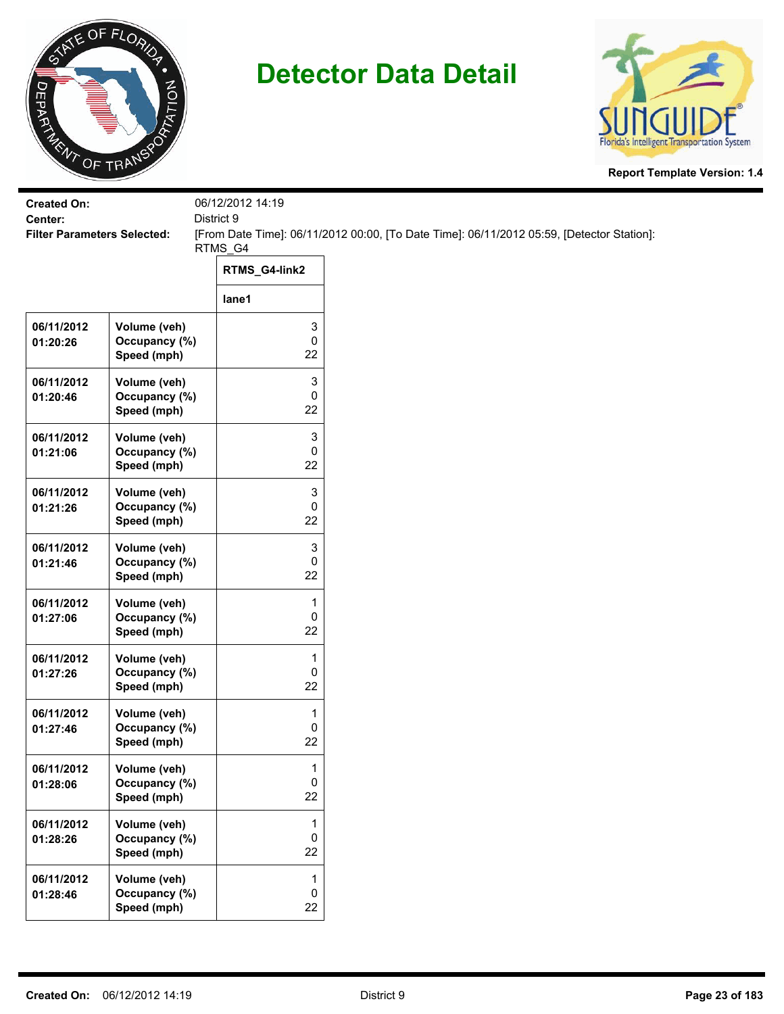



| <b>Created On:</b>                            |                                              | 06/12/2012 14:19                          |                                                                                           |
|-----------------------------------------------|----------------------------------------------|-------------------------------------------|-------------------------------------------------------------------------------------------|
| Center:<br><b>Filter Parameters Selected:</b> |                                              | District 9                                | [From Date Time]: 06/11/2012 00:00, [To Date Time]: 06/11/2012 05:59, [Detector Station]: |
|                                               |                                              | RTMS_G4                                   |                                                                                           |
|                                               |                                              | RTMS_G4-link2                             |                                                                                           |
|                                               |                                              | lane1                                     |                                                                                           |
| 06/11/2012<br>01:20:26                        | Volume (veh)<br>Occupancy (%)<br>Speed (mph) | 3<br>$\pmb{0}$<br>22                      |                                                                                           |
| 06/11/2012<br>01:20:46                        | Volume (veh)<br>Occupancy (%)<br>Speed (mph) | 3<br>$\pmb{0}$<br>22                      |                                                                                           |
| 06/11/2012<br>01:21:06                        | Volume (veh)<br>Occupancy (%)<br>Speed (mph) | 3<br>0<br>22                              |                                                                                           |
| 06/11/2012<br>01:21:26                        | Volume (veh)<br>Occupancy (%)<br>Speed (mph) | 3<br>0<br>22                              |                                                                                           |
| 06/11/2012<br>01:21:46                        | Volume (veh)<br>Occupancy (%)<br>Speed (mph) | 3<br>0<br>22                              |                                                                                           |
| 06/11/2012<br>01:27:06                        | Volume (veh)<br>Occupancy (%)<br>Speed (mph) | 1<br>$\pmb{0}$<br>22                      |                                                                                           |
| 06/11/2012<br>01:27:26                        | Volume (veh)<br>Occupancy (%)<br>Speed (mph) | 1<br>$\pmb{0}$<br>22                      |                                                                                           |
| 06/11/2012<br>01:27:46                        | Volume (veh)<br>Occupancy (%)<br>Speed (mph) | 1<br>0<br>22                              |                                                                                           |
| 06/11/2012<br>01:28:06                        | Volume (veh)<br>Occupancy (%)<br>Speed (mph) | 1<br>$\mathbf 0$<br>22                    |                                                                                           |
| 06/11/2012<br>01:28:26                        | Volume (veh)<br>Occupancy (%)<br>Speed (mph) | $\mathbf{1}$<br>$\mathsf{O}$<br>22        |                                                                                           |
| 06/11/2012<br>01:28:46                        | Volume (veh)<br>Occupancy (%)<br>Speed (mph) | $\mathbf{1}$<br>$\mathsf{O}\xspace$<br>22 |                                                                                           |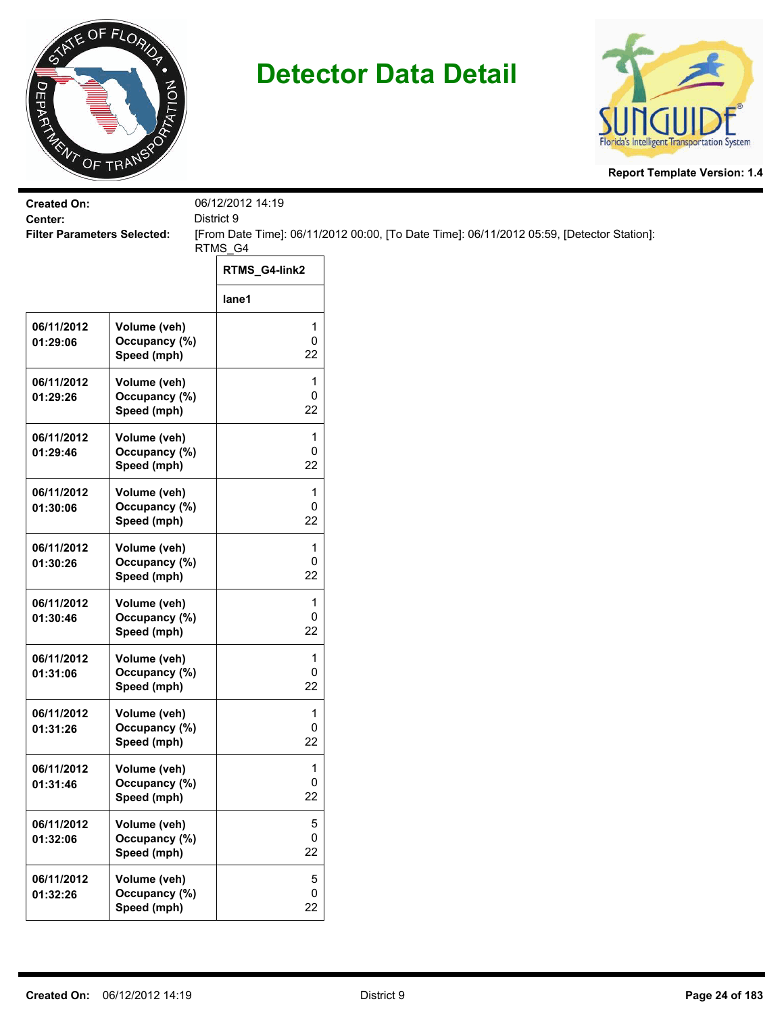



| <b>Created On:</b><br>Center:      |                                              | 06/12/2012 14:19<br>District 9 |                                                                                           |
|------------------------------------|----------------------------------------------|--------------------------------|-------------------------------------------------------------------------------------------|
| <b>Filter Parameters Selected:</b> |                                              | RTMS_G4                        | [From Date Time]: 06/11/2012 00:00, [To Date Time]: 06/11/2012 05:59, [Detector Station]: |
|                                    |                                              | RTMS_G4-link2                  |                                                                                           |
|                                    |                                              | lane1                          |                                                                                           |
| 06/11/2012<br>01:29:06             | Volume (veh)<br>Occupancy (%)<br>Speed (mph) | 1<br>0<br>22                   |                                                                                           |
| 06/11/2012<br>01:29:26             | Volume (veh)<br>Occupancy (%)<br>Speed (mph) | 1<br>0<br>22                   |                                                                                           |
| 06/11/2012<br>01:29:46             | Volume (veh)<br>Occupancy (%)<br>Speed (mph) | 1<br>0<br>22                   |                                                                                           |
| 06/11/2012<br>01:30:06             | Volume (veh)<br>Occupancy (%)<br>Speed (mph) | 1<br>0<br>22                   |                                                                                           |
| 06/11/2012<br>01:30:26             | Volume (veh)<br>Occupancy (%)<br>Speed (mph) | $\mathbf{1}$<br>0<br>22        |                                                                                           |
| 06/11/2012<br>01:30:46             | Volume (veh)<br>Occupancy (%)<br>Speed (mph) | 1<br>0<br>22                   |                                                                                           |
| 06/11/2012<br>01:31:06             | Volume (veh)<br>Occupancy (%)<br>Speed (mph) | 1<br>0<br>22                   |                                                                                           |
| 06/11/2012<br>01:31:26             | Volume (veh)<br>Occupancy (%)<br>Speed (mph) | 1<br>0<br>22                   |                                                                                           |
| 06/11/2012<br>01:31:46             | Volume (veh)<br>Occupancy (%)<br>Speed (mph) | 1<br>0<br>22                   |                                                                                           |
| 06/11/2012<br>01:32:06             | Volume (veh)<br>Occupancy (%)<br>Speed (mph) | $\,$ 5 $\,$<br>0<br>22         |                                                                                           |
| 06/11/2012<br>01:32:26             | Volume (veh)<br>Occupancy (%)<br>Speed (mph) | $\sqrt{5}$<br>0<br>22          |                                                                                           |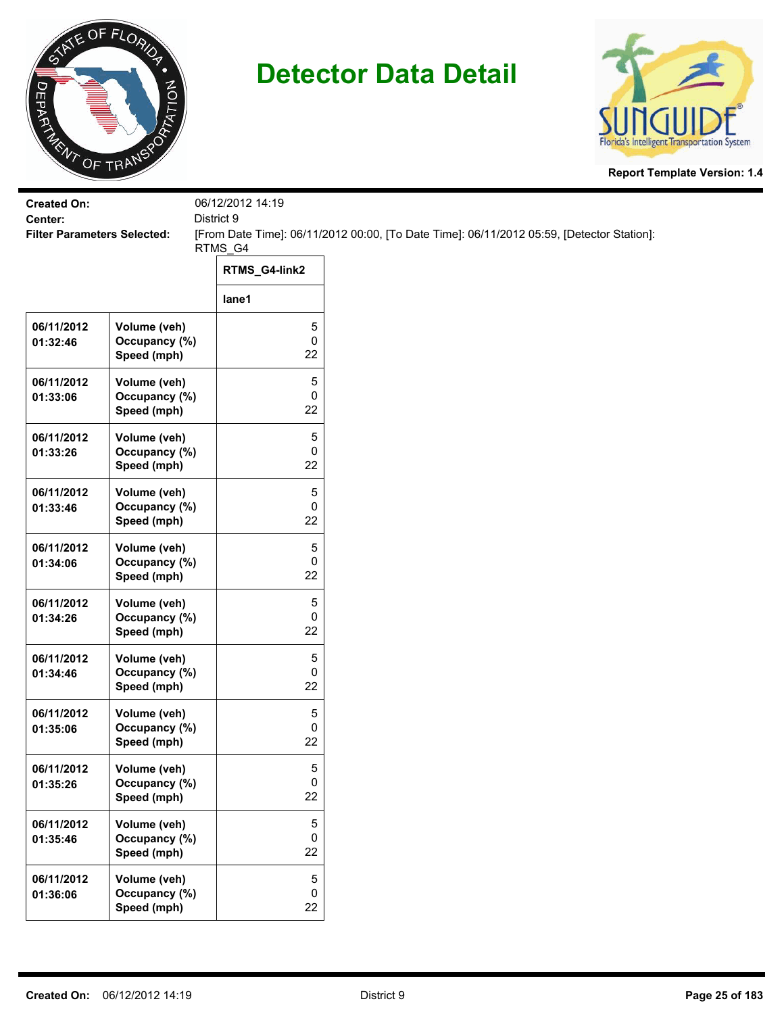



| <b>Created On:</b><br>Center:      |                                              | 06/12/2012 14:19<br>District 9 |                                                                                           |  |
|------------------------------------|----------------------------------------------|--------------------------------|-------------------------------------------------------------------------------------------|--|
| <b>Filter Parameters Selected:</b> |                                              |                                | [From Date Time]: 06/11/2012 00:00, [To Date Time]: 06/11/2012 05:59, [Detector Station]: |  |
|                                    |                                              | RTMS_G4                        |                                                                                           |  |
|                                    |                                              | RTMS_G4-link2                  |                                                                                           |  |
|                                    |                                              | lane1                          |                                                                                           |  |
| 06/11/2012<br>01:32:46             | Volume (veh)<br>Occupancy (%)<br>Speed (mph) | 5<br>0<br>22                   |                                                                                           |  |
| 06/11/2012<br>01:33:06             | Volume (veh)<br>Occupancy (%)<br>Speed (mph) | 5<br>0<br>22                   |                                                                                           |  |
| 06/11/2012<br>01:33:26             | Volume (veh)<br>Occupancy (%)<br>Speed (mph) | 5<br>0<br>22                   |                                                                                           |  |
| 06/11/2012<br>01:33:46             | Volume (veh)<br>Occupancy (%)<br>Speed (mph) | 5<br>0<br>22                   |                                                                                           |  |
| 06/11/2012<br>01:34:06             | Volume (veh)<br>Occupancy (%)<br>Speed (mph) | 5<br>0<br>22                   |                                                                                           |  |
| 06/11/2012<br>01:34:26             | Volume (veh)<br>Occupancy (%)<br>Speed (mph) | 5<br>0<br>22                   |                                                                                           |  |
| 06/11/2012<br>01:34:46             | Volume (veh)<br>Occupancy (%)<br>Speed (mph) | 5<br>0<br>22                   |                                                                                           |  |
| 06/11/2012<br>01:35:06             | Volume (veh)<br>Occupancy (%)<br>Speed (mph) | 5<br>0<br>22                   |                                                                                           |  |
| 06/11/2012<br>01:35:26             | Volume (veh)<br>Occupancy (%)<br>Speed (mph) | 5<br>0<br>22                   |                                                                                           |  |
| 06/11/2012<br>01:35:46             | Volume (veh)<br>Occupancy (%)<br>Speed (mph) | 5<br>0<br>22                   |                                                                                           |  |
| 06/11/2012<br>01:36:06             | Volume (veh)<br>Occupancy (%)<br>Speed (mph) | $\sqrt{5}$<br>0<br>22          |                                                                                           |  |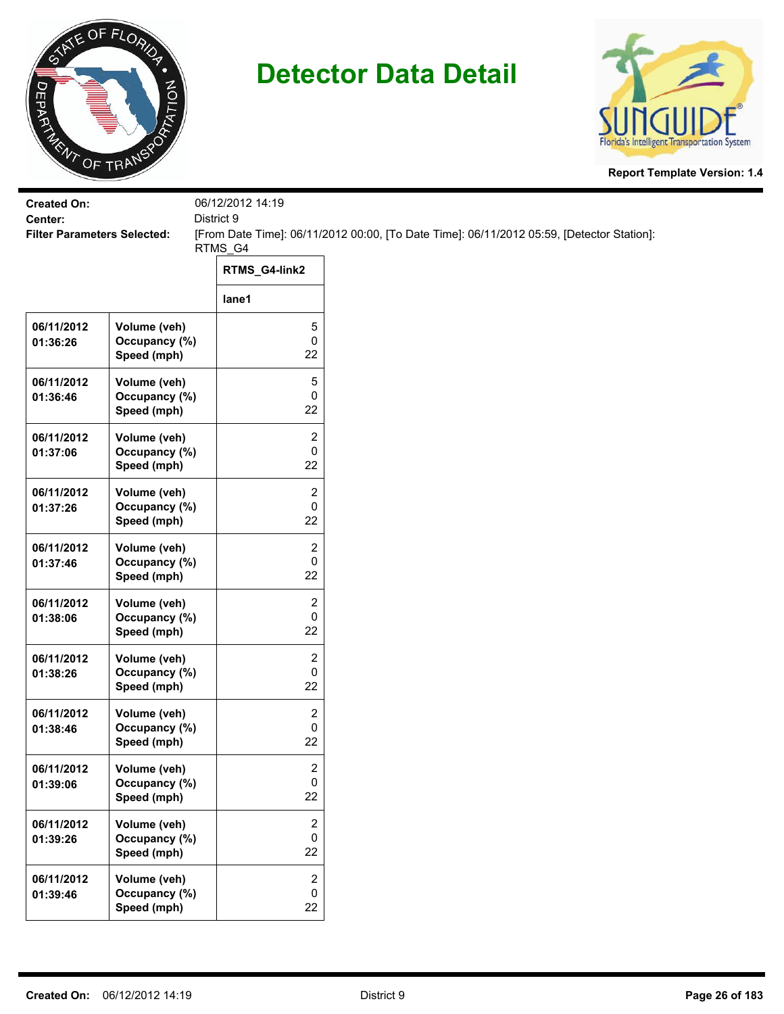



| <b>Created On:</b><br>Center:      |                                              | 06/12/2012 14:19<br>District 9       |                                                                                           |  |  |
|------------------------------------|----------------------------------------------|--------------------------------------|-------------------------------------------------------------------------------------------|--|--|
| <b>Filter Parameters Selected:</b> |                                              |                                      | [From Date Time]: 06/11/2012 00:00, [To Date Time]: 06/11/2012 05:59, [Detector Station]: |  |  |
|                                    |                                              | RTMS_G4<br>RTMS_G4-link2             |                                                                                           |  |  |
|                                    |                                              | lane1                                |                                                                                           |  |  |
| 06/11/2012<br>01:36:26             | Volume (veh)<br>Occupancy (%)<br>Speed (mph) | 5<br>$\mathsf{O}\xspace$<br>22       |                                                                                           |  |  |
| 06/11/2012<br>01:36:46             | Volume (veh)<br>Occupancy (%)<br>Speed (mph) | 5<br>$\pmb{0}$<br>22                 |                                                                                           |  |  |
| 06/11/2012<br>01:37:06             | Volume (veh)<br>Occupancy (%)<br>Speed (mph) | $\mathbf{2}$<br>$\mathbf 0$<br>22    |                                                                                           |  |  |
| 06/11/2012<br>01:37:26             | Volume (veh)<br>Occupancy (%)<br>Speed (mph) | 2<br>0<br>22                         |                                                                                           |  |  |
| 06/11/2012<br>01:37:46             | Volume (veh)<br>Occupancy (%)<br>Speed (mph) | $\overline{2}$<br>0<br>22            |                                                                                           |  |  |
| 06/11/2012<br>01:38:06             | Volume (veh)<br>Occupancy (%)<br>Speed (mph) | 2<br>$\mathbf 0$<br>22               |                                                                                           |  |  |
| 06/11/2012<br>01:38:26             | Volume (veh)<br>Occupancy (%)<br>Speed (mph) | 2<br>$\mathbf 0$<br>22               |                                                                                           |  |  |
| 06/11/2012<br>01:38:46             | Volume (veh)<br>Occupancy (%)<br>Speed (mph) | $\mathbf{2}$<br>0<br>22              |                                                                                           |  |  |
| 06/11/2012<br>01:39:06             | Volume (veh)<br>Occupancy (%)<br>Speed (mph) | 2<br>$\mathbf 0$<br>22               |                                                                                           |  |  |
| 06/11/2012<br>01:39:26             | Volume (veh)<br>Occupancy (%)<br>Speed (mph) | $\overline{2}$<br>$\mathbf 0$<br>22  |                                                                                           |  |  |
| 06/11/2012<br>01:39:46             | Volume (veh)<br>Occupancy (%)<br>Speed (mph) | $\overline{c}$<br>$\mathsf{O}$<br>22 |                                                                                           |  |  |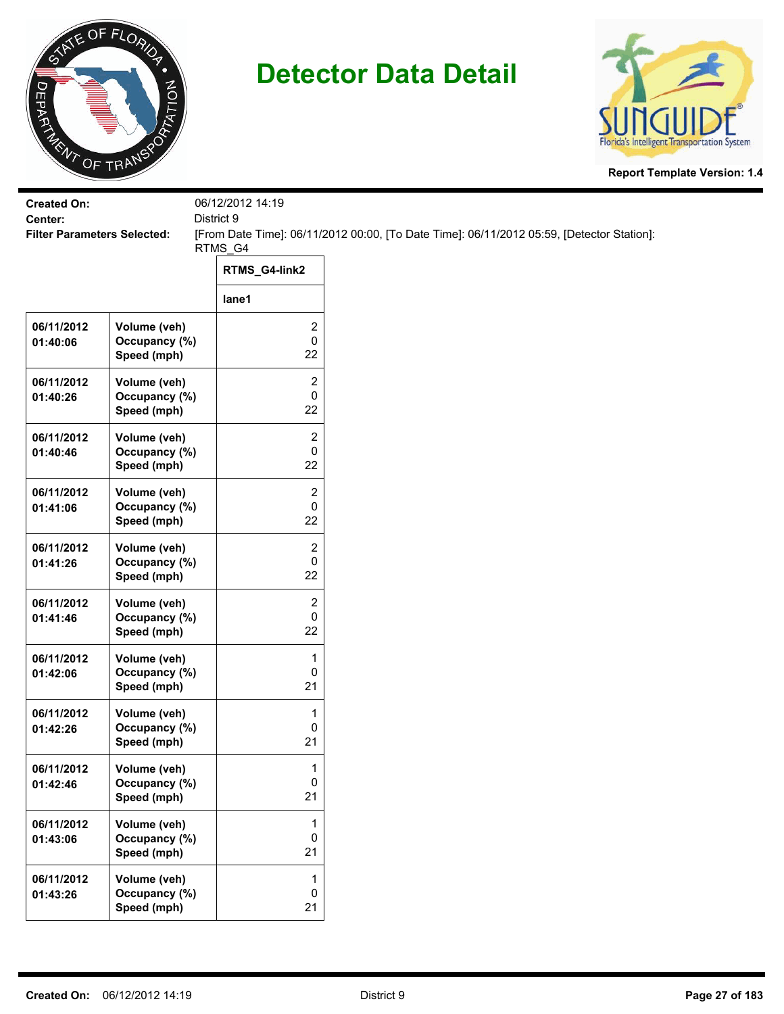



| <b>Created On:</b><br>Center:      |                                              | 06/12/2012 14:19<br>District 9     |                                                                                           |  |
|------------------------------------|----------------------------------------------|------------------------------------|-------------------------------------------------------------------------------------------|--|
| <b>Filter Parameters Selected:</b> |                                              |                                    | [From Date Time]: 06/11/2012 00:00, [To Date Time]: 06/11/2012 05:59, [Detector Station]: |  |
|                                    |                                              | RTMS_G4                            |                                                                                           |  |
|                                    |                                              | RTMS_G4-link2                      |                                                                                           |  |
|                                    |                                              | lane1                              |                                                                                           |  |
| 06/11/2012<br>01:40:06             | Volume (veh)<br>Occupancy (%)<br>Speed (mph) | 2<br>0<br>22                       |                                                                                           |  |
| 06/11/2012<br>01:40:26             | Volume (veh)<br>Occupancy (%)<br>Speed (mph) | $\overline{\mathbf{c}}$<br>0<br>22 |                                                                                           |  |
| 06/11/2012<br>01:40:46             | Volume (veh)<br>Occupancy (%)<br>Speed (mph) | 2<br>0<br>22                       |                                                                                           |  |
| 06/11/2012<br>01:41:06             | Volume (veh)<br>Occupancy (%)<br>Speed (mph) | 2<br>0<br>22                       |                                                                                           |  |
| 06/11/2012<br>01:41:26             | Volume (veh)<br>Occupancy (%)<br>Speed (mph) | 2<br>0<br>22                       |                                                                                           |  |
| 06/11/2012<br>01:41:46             | Volume (veh)<br>Occupancy (%)<br>Speed (mph) | 2<br>0<br>22                       |                                                                                           |  |
| 06/11/2012<br>01:42:06             | Volume (veh)<br>Occupancy (%)<br>Speed (mph) | 1<br>0<br>21                       |                                                                                           |  |
| 06/11/2012<br>01:42:26             | Volume (veh)<br>Occupancy (%)<br>Speed (mph) | 1<br>0<br>21                       |                                                                                           |  |
| 06/11/2012<br>01:42:46             | Volume (veh)<br>Occupancy (%)<br>Speed (mph) | 1<br>0<br>21                       |                                                                                           |  |
| 06/11/2012<br>01:43:06             | Volume (veh)<br>Occupancy (%)<br>Speed (mph) | 1<br>0<br>21                       |                                                                                           |  |
| 06/11/2012<br>01:43:26             | Volume (veh)<br>Occupancy (%)<br>Speed (mph) | $\mathbf 1$<br>$\pmb{0}$<br>21     |                                                                                           |  |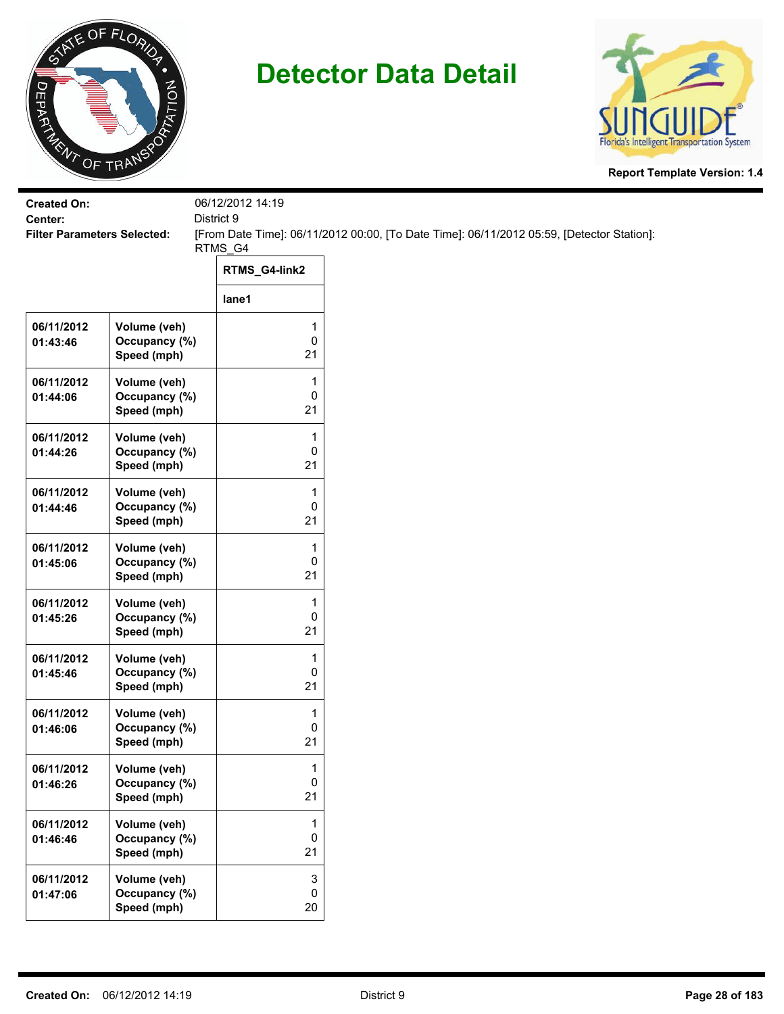



| <b>Created On:</b><br>Center:      |                                                             | 06/12/2012 14:19<br>District 9 |                                                                                           |
|------------------------------------|-------------------------------------------------------------|--------------------------------|-------------------------------------------------------------------------------------------|
| <b>Filter Parameters Selected:</b> |                                                             |                                | [From Date Time]: 06/11/2012 00:00, [To Date Time]: 06/11/2012 05:59, [Detector Station]: |
|                                    |                                                             | RTMS_G4<br>RTMS_G4-link2       |                                                                                           |
|                                    |                                                             | lane1                          |                                                                                           |
| 06/11/2012<br>01:43:46             | Volume (veh)<br>Occupancy (%)                               | 1<br>$\pmb{0}$<br>21           |                                                                                           |
| 06/11/2012<br>01:44:06             | Speed (mph)<br>Volume (veh)<br>Occupancy (%)<br>Speed (mph) | 1<br>0<br>21                   |                                                                                           |
| 06/11/2012<br>01:44:26             | Volume (veh)<br>Occupancy (%)<br>Speed (mph)                | 1<br>$\mathbf 0$<br>21         |                                                                                           |
| 06/11/2012<br>01:44:46             | Volume (veh)<br>Occupancy (%)<br>Speed (mph)                | 1<br>0<br>21                   |                                                                                           |
| 06/11/2012<br>01:45:06             | Volume (veh)<br>Occupancy (%)<br>Speed (mph)                | 1<br>0<br>21                   |                                                                                           |
| 06/11/2012<br>01:45:26             | Volume (veh)<br>Occupancy (%)<br>Speed (mph)                | 1<br>$\pmb{0}$<br>21           |                                                                                           |
| 06/11/2012<br>01:45:46             | Volume (veh)<br>Occupancy (%)<br>Speed (mph)                | 1<br>$\mathbf 0$<br>21         |                                                                                           |
| 06/11/2012<br>01:46:06             | Volume (veh)<br>Occupancy (%)<br>Speed (mph)                | 1<br>0<br>21                   |                                                                                           |
| 06/11/2012<br>01:46:26             | Volume (veh)<br>Occupancy (%)<br>Speed (mph)                | 1<br>$\pmb{0}$<br>21           |                                                                                           |
| 06/11/2012<br>01:46:46             | Volume (veh)<br>Occupancy (%)<br>Speed (mph)                | 1<br>$\pmb{0}$<br>21           |                                                                                           |
| 06/11/2012<br>01:47:06             | Volume (veh)<br>Occupancy (%)<br>Speed (mph)                | 3<br>$\mathbf 0$<br>20         |                                                                                           |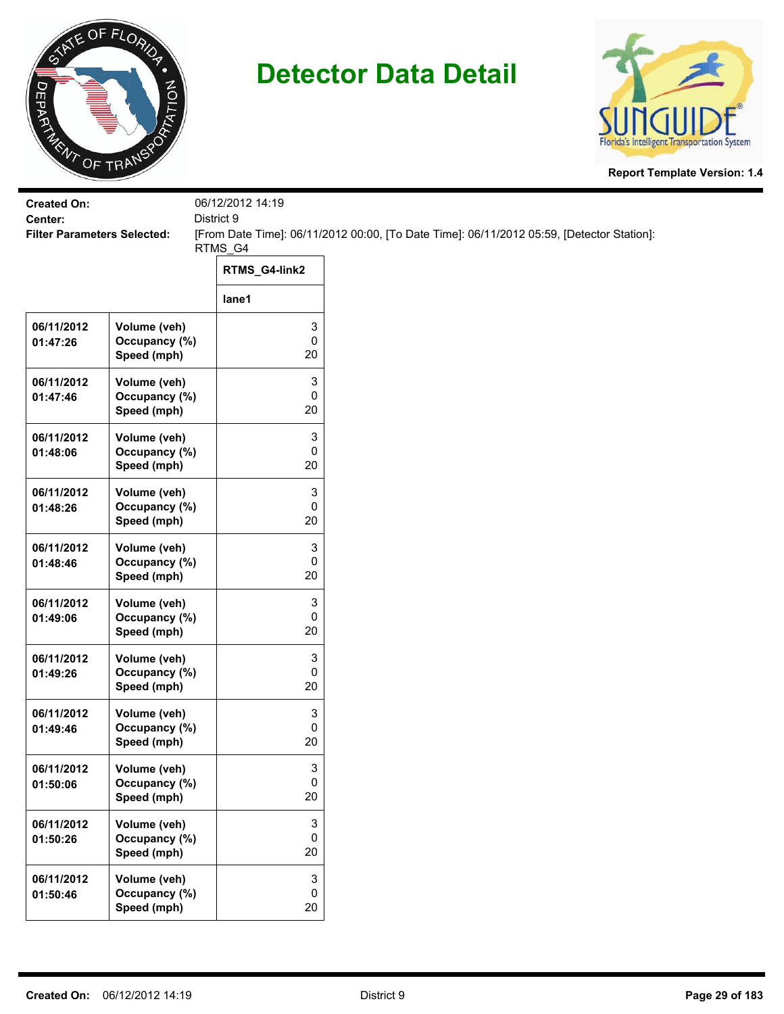



| <b>Created On:</b>                            |                               | 06/12/2012 14:19<br>District 9 |                                                                                           |  |  |
|-----------------------------------------------|-------------------------------|--------------------------------|-------------------------------------------------------------------------------------------|--|--|
| Center:<br><b>Filter Parameters Selected:</b> |                               |                                | [From Date Time]: 06/11/2012 00:00, [To Date Time]: 06/11/2012 05:59, [Detector Station]: |  |  |
|                                               |                               | RTMS_G4                        |                                                                                           |  |  |
|                                               |                               | RTMS_G4-link2                  |                                                                                           |  |  |
|                                               |                               | lane1                          |                                                                                           |  |  |
| 06/11/2012                                    | Volume (veh)                  | 3                              |                                                                                           |  |  |
| 01:47:26                                      | Occupancy (%)                 | $\mathsf 0$<br>20              |                                                                                           |  |  |
|                                               | Speed (mph)                   |                                |                                                                                           |  |  |
| 06/11/2012                                    | Volume (veh)<br>Occupancy (%) | 3<br>0                         |                                                                                           |  |  |
| 01:47:46                                      | Speed (mph)                   | 20                             |                                                                                           |  |  |
| 06/11/2012                                    | Volume (veh)                  | 3                              |                                                                                           |  |  |
| 01:48:06                                      | Occupancy (%)                 | 0                              |                                                                                           |  |  |
|                                               | Speed (mph)                   | 20                             |                                                                                           |  |  |
| 06/11/2012                                    | Volume (veh)                  | 3                              |                                                                                           |  |  |
| 01:48:26                                      | Occupancy (%)                 | 0                              |                                                                                           |  |  |
|                                               | Speed (mph)                   | 20                             |                                                                                           |  |  |
| 06/11/2012                                    | Volume (veh)                  | 3                              |                                                                                           |  |  |
| 01:48:46                                      | Occupancy (%)<br>Speed (mph)  | 0<br>20                        |                                                                                           |  |  |
|                                               |                               |                                |                                                                                           |  |  |
| 06/11/2012<br>01:49:06                        | Volume (veh)<br>Occupancy (%) | 3<br>$\pmb{0}$                 |                                                                                           |  |  |
|                                               | Speed (mph)                   | 20                             |                                                                                           |  |  |
| 06/11/2012                                    | Volume (veh)                  | 3                              |                                                                                           |  |  |
| 01:49:26                                      | Occupancy (%)                 | 0                              |                                                                                           |  |  |
|                                               | Speed (mph)                   | 20                             |                                                                                           |  |  |
| 06/11/2012                                    | Volume (veh)                  | 3                              |                                                                                           |  |  |
| 01:49:46                                      | Occupancy (%)                 | 0                              |                                                                                           |  |  |
|                                               | Speed (mph)                   | 20                             |                                                                                           |  |  |
| 06/11/2012                                    | Volume (veh)                  | 3                              |                                                                                           |  |  |
| 01:50:06                                      | Occupancy (%)<br>Speed (mph)  | $\pmb{0}$<br>20                |                                                                                           |  |  |
|                                               |                               |                                |                                                                                           |  |  |
| 06/11/2012<br>01:50:26                        | Volume (veh)<br>Occupancy (%) | 3<br>$\mathbf 0$               |                                                                                           |  |  |
|                                               | Speed (mph)                   | 20                             |                                                                                           |  |  |
| 06/11/2012                                    | Volume (veh)                  | $\mathbf 3$                    |                                                                                           |  |  |
| 01:50:46                                      | Occupancy (%)                 | 0                              |                                                                                           |  |  |
|                                               | Speed (mph)                   | 20                             |                                                                                           |  |  |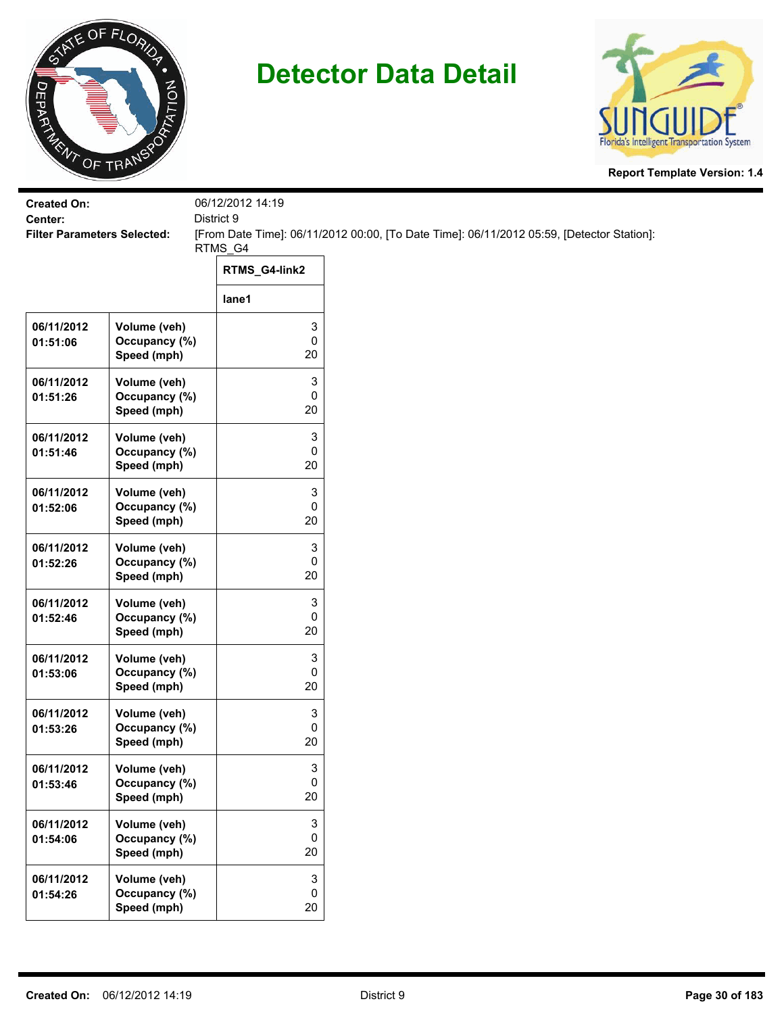



| <b>Created On:</b>                            |                               | 06/12/2012 14:19    |                                                                                           |
|-----------------------------------------------|-------------------------------|---------------------|-------------------------------------------------------------------------------------------|
| Center:<br><b>Filter Parameters Selected:</b> |                               | District 9          | [From Date Time]: 06/11/2012 00:00, [To Date Time]: 06/11/2012 05:59, [Detector Station]: |
|                                               |                               | RTMS_G4             |                                                                                           |
|                                               |                               | RTMS_G4-link2       |                                                                                           |
|                                               |                               | lane1               |                                                                                           |
| 06/11/2012                                    | Volume (veh)                  | 3                   |                                                                                           |
| 01:51:06                                      | Occupancy (%)<br>Speed (mph)  | $\pmb{0}$<br>20     |                                                                                           |
| 06/11/2012                                    | Volume (veh)                  | 3                   |                                                                                           |
| 01:51:26                                      | Occupancy (%)<br>Speed (mph)  | $\pmb{0}$<br>20     |                                                                                           |
|                                               |                               |                     |                                                                                           |
| 06/11/2012<br>01:51:46                        | Volume (veh)<br>Occupancy (%) | 3<br>0              |                                                                                           |
|                                               | Speed (mph)                   | 20                  |                                                                                           |
| 06/11/2012                                    | Volume (veh)                  | 3                   |                                                                                           |
| 01:52:06                                      | Occupancy (%)                 | 0                   |                                                                                           |
|                                               | Speed (mph)                   | 20                  |                                                                                           |
| 06/11/2012                                    | Volume (veh)<br>Occupancy (%) | 3<br>0              |                                                                                           |
| 01:52:26                                      | Speed (mph)                   | 20                  |                                                                                           |
| 06/11/2012                                    | Volume (veh)                  | 3                   |                                                                                           |
| 01:52:46                                      | Occupancy (%)                 | $\pmb{0}$           |                                                                                           |
|                                               | Speed (mph)                   | 20                  |                                                                                           |
| 06/11/2012                                    | Volume (veh)                  | 3<br>$\pmb{0}$      |                                                                                           |
| 01:53:06                                      | Occupancy (%)<br>Speed (mph)  | 20                  |                                                                                           |
| 06/11/2012                                    | Volume (veh)                  | 3                   |                                                                                           |
| 01:53:26                                      | Occupancy (%)                 | 0                   |                                                                                           |
|                                               | Speed (mph)                   | 20                  |                                                                                           |
| 06/11/2012                                    | Volume (veh)                  | 3                   |                                                                                           |
| 01:53:46                                      | Occupancy (%)<br>Speed (mph)  | $\mathbf 0$<br>20   |                                                                                           |
|                                               |                               |                     |                                                                                           |
| 06/11/2012<br>01:54:06                        | Volume (veh)<br>Occupancy (%) | 3<br>0              |                                                                                           |
|                                               | Speed (mph)                   | 20                  |                                                                                           |
| 06/11/2012                                    | Volume (veh)                  | 3                   |                                                                                           |
| 01:54:26                                      | Occupancy (%)                 | $\mathsf{O}\xspace$ |                                                                                           |
|                                               | Speed (mph)                   | 20                  |                                                                                           |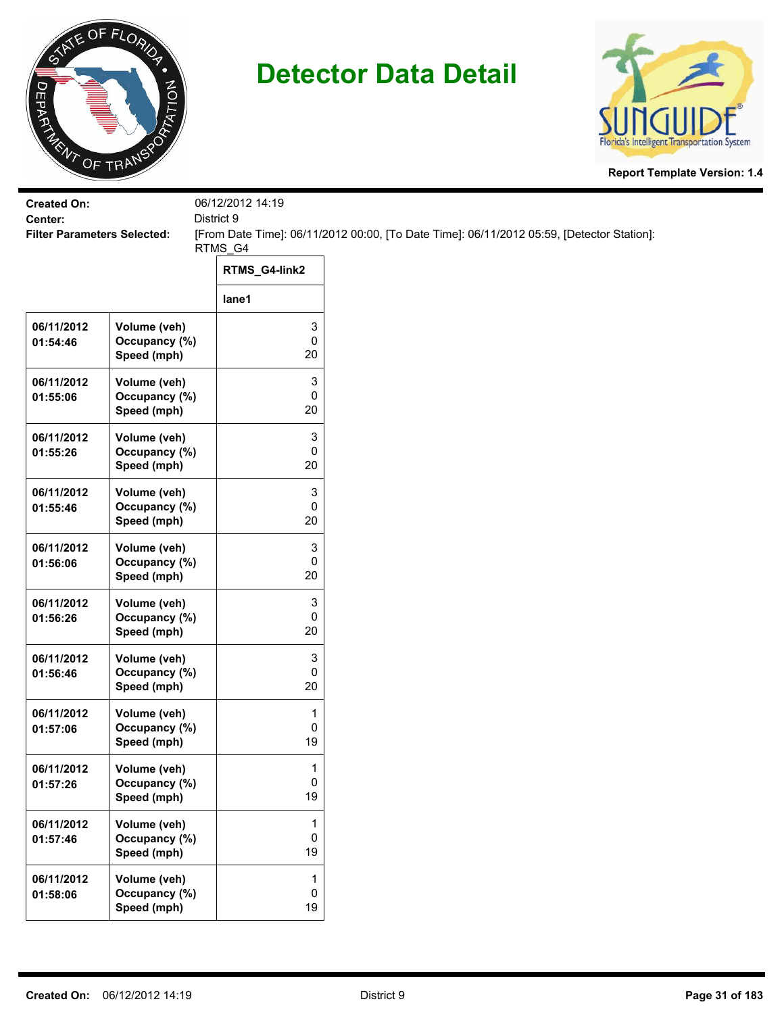



| <b>Created On:</b>                            |                                              | 06/12/2012 14:19                  |                                                                                           |
|-----------------------------------------------|----------------------------------------------|-----------------------------------|-------------------------------------------------------------------------------------------|
| Center:<br><b>Filter Parameters Selected:</b> |                                              | District 9                        | [From Date Time]: 06/11/2012 00:00, [To Date Time]: 06/11/2012 05:59, [Detector Station]: |
|                                               |                                              | RTMS_G4                           |                                                                                           |
|                                               |                                              | RTMS_G4-link2                     |                                                                                           |
|                                               |                                              | lane1                             |                                                                                           |
| 06/11/2012<br>01:54:46                        | Volume (veh)<br>Occupancy (%)<br>Speed (mph) | 3<br>$\pmb{0}$<br>20              |                                                                                           |
| 06/11/2012<br>01:55:06                        | Volume (veh)<br>Occupancy (%)<br>Speed (mph) | 3<br>$\pmb{0}$<br>20              |                                                                                           |
| 06/11/2012<br>01:55:26                        | Volume (veh)<br>Occupancy (%)<br>Speed (mph) | 3<br>0<br>20                      |                                                                                           |
| 06/11/2012<br>01:55:46                        | Volume (veh)<br>Occupancy (%)<br>Speed (mph) | 3<br>0<br>20                      |                                                                                           |
| 06/11/2012<br>01:56:06                        | Volume (veh)<br>Occupancy (%)<br>Speed (mph) | 3<br>0<br>20                      |                                                                                           |
| 06/11/2012<br>01:56:26                        | Volume (veh)<br>Occupancy (%)<br>Speed (mph) | 3<br>$\pmb{0}$<br>20              |                                                                                           |
| 06/11/2012<br>01:56:46                        | Volume (veh)<br>Occupancy (%)<br>Speed (mph) | 3<br>$\pmb{0}$<br>20              |                                                                                           |
| 06/11/2012<br>01:57:06                        | Volume (veh)<br>Occupancy (%)<br>Speed (mph) | 1<br>0<br>19                      |                                                                                           |
| 06/11/2012<br>01:57:26                        | Volume (veh)<br>Occupancy (%)<br>Speed (mph) | 1<br>0<br>19                      |                                                                                           |
| 06/11/2012<br>01:57:46                        | Volume (veh)<br>Occupancy (%)<br>Speed (mph) | $\mathbf{1}$<br>$\mathsf 0$<br>19 |                                                                                           |
| 06/11/2012<br>01:58:06                        | Volume (veh)<br>Occupancy (%)<br>Speed (mph) | $\mathbf{1}$<br>0<br>19           |                                                                                           |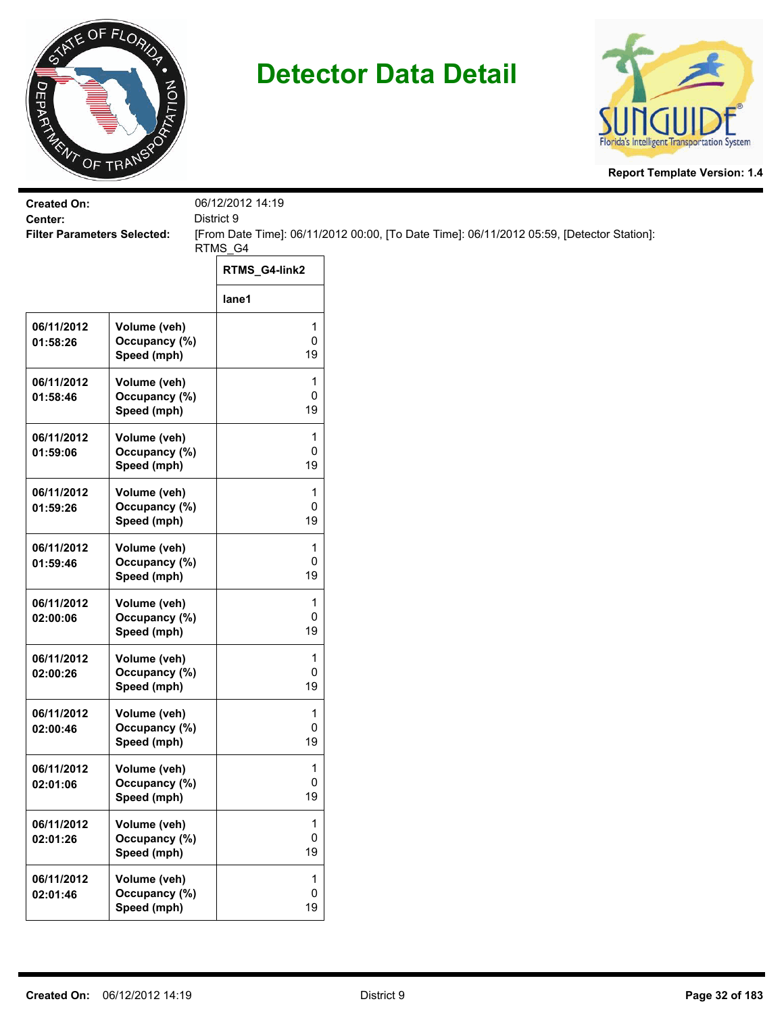



| <b>Created On:</b><br>Center:      |                                              | 06/12/2012 14:19<br>District 9 |                                                                                           |  |
|------------------------------------|----------------------------------------------|--------------------------------|-------------------------------------------------------------------------------------------|--|
| <b>Filter Parameters Selected:</b> |                                              | RTMS_G4                        | [From Date Time]: 06/11/2012 00:00, [To Date Time]: 06/11/2012 05:59, [Detector Station]: |  |
|                                    |                                              | RTMS_G4-link2                  |                                                                                           |  |
|                                    |                                              | lane1                          |                                                                                           |  |
| 06/11/2012<br>01:58:26             | Volume (veh)<br>Occupancy (%)<br>Speed (mph) | 1<br>0<br>19                   |                                                                                           |  |
| 06/11/2012<br>01:58:46             | Volume (veh)<br>Occupancy (%)<br>Speed (mph) | 1<br>0<br>19                   |                                                                                           |  |
| 06/11/2012<br>01:59:06             | Volume (veh)<br>Occupancy (%)<br>Speed (mph) | 1<br>0<br>19                   |                                                                                           |  |
| 06/11/2012<br>01:59:26             | Volume (veh)<br>Occupancy (%)<br>Speed (mph) | 1<br>0<br>19                   |                                                                                           |  |
| 06/11/2012<br>01:59:46             | Volume (veh)<br>Occupancy (%)<br>Speed (mph) | 1<br>0<br>19                   |                                                                                           |  |
| 06/11/2012<br>02:00:06             | Volume (veh)<br>Occupancy (%)<br>Speed (mph) | 1<br>0<br>19                   |                                                                                           |  |
| 06/11/2012<br>02:00:26             | Volume (veh)<br>Occupancy (%)<br>Speed (mph) | 1<br>0<br>19                   |                                                                                           |  |
| 06/11/2012<br>02:00:46             | Volume (veh)<br>Occupancy (%)<br>Speed (mph) | 1<br>0<br>19                   |                                                                                           |  |
| 06/11/2012<br>02:01:06             | Volume (veh)<br>Occupancy (%)<br>Speed (mph) | 1<br>0<br>19                   |                                                                                           |  |
| 06/11/2012<br>02:01:26             | Volume (veh)<br>Occupancy (%)<br>Speed (mph) | 1<br>0<br>19                   |                                                                                           |  |
| 06/11/2012<br>02:01:46             | Volume (veh)<br>Occupancy (%)<br>Speed (mph) | 1<br>0<br>19                   |                                                                                           |  |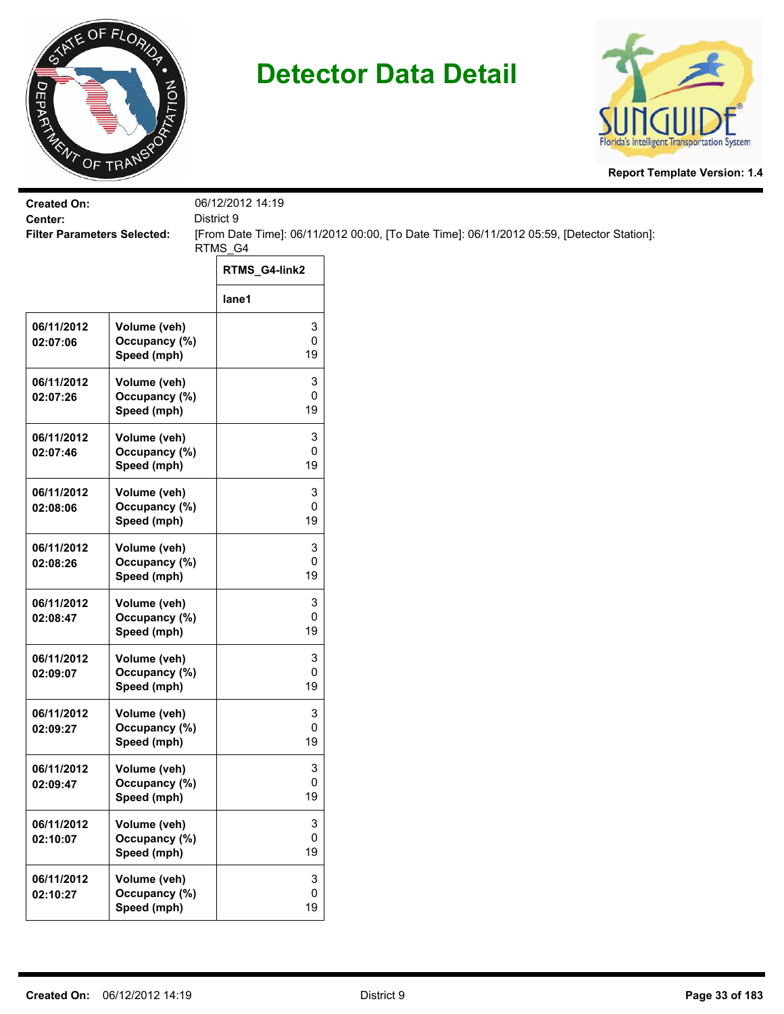



| <b>Created On:</b><br>Center:      |                                              | 06/12/2012 14:19<br>District 9 |                                                                                           |  |
|------------------------------------|----------------------------------------------|--------------------------------|-------------------------------------------------------------------------------------------|--|
| <b>Filter Parameters Selected:</b> |                                              |                                | [From Date Time]: 06/11/2012 00:00, [To Date Time]: 06/11/2012 05:59, [Detector Station]: |  |
|                                    |                                              | RTMS_G4<br>RTMS_G4-link2       |                                                                                           |  |
|                                    |                                              | lane1                          |                                                                                           |  |
| 06/11/2012<br>02:07:06             | Volume (veh)<br>Occupancy (%)<br>Speed (mph) | 3<br>0<br>19                   |                                                                                           |  |
| 06/11/2012<br>02:07:26             | Volume (veh)<br>Occupancy (%)<br>Speed (mph) | 3<br>0<br>19                   |                                                                                           |  |
| 06/11/2012<br>02:07:46             | Volume (veh)<br>Occupancy (%)<br>Speed (mph) | 3<br>0<br>19                   |                                                                                           |  |
| 06/11/2012<br>02:08:06             | Volume (veh)<br>Occupancy (%)<br>Speed (mph) | 3<br>0<br>19                   |                                                                                           |  |
| 06/11/2012<br>02:08:26             | Volume (veh)<br>Occupancy (%)<br>Speed (mph) | 3<br>0<br>19                   |                                                                                           |  |
| 06/11/2012<br>02:08:47             | Volume (veh)<br>Occupancy (%)<br>Speed (mph) | 3<br>0<br>19                   |                                                                                           |  |
| 06/11/2012<br>02:09:07             | Volume (veh)<br>Occupancy (%)<br>Speed (mph) | 3<br>0<br>19                   |                                                                                           |  |
| 06/11/2012<br>02:09:27             | Volume (veh)<br>Occupancy (%)<br>Speed (mph) | 3<br>0<br>19                   |                                                                                           |  |
| 06/11/2012<br>02:09:47             | Volume (veh)<br>Occupancy (%)<br>Speed (mph) | 3<br>0<br>19                   |                                                                                           |  |
| 06/11/2012<br>02:10:07             | Volume (veh)<br>Occupancy (%)<br>Speed (mph) | 3<br>0<br>19                   |                                                                                           |  |
| 06/11/2012<br>02:10:27             | Volume (veh)<br>Occupancy (%)<br>Speed (mph) | 3<br>0<br>19                   |                                                                                           |  |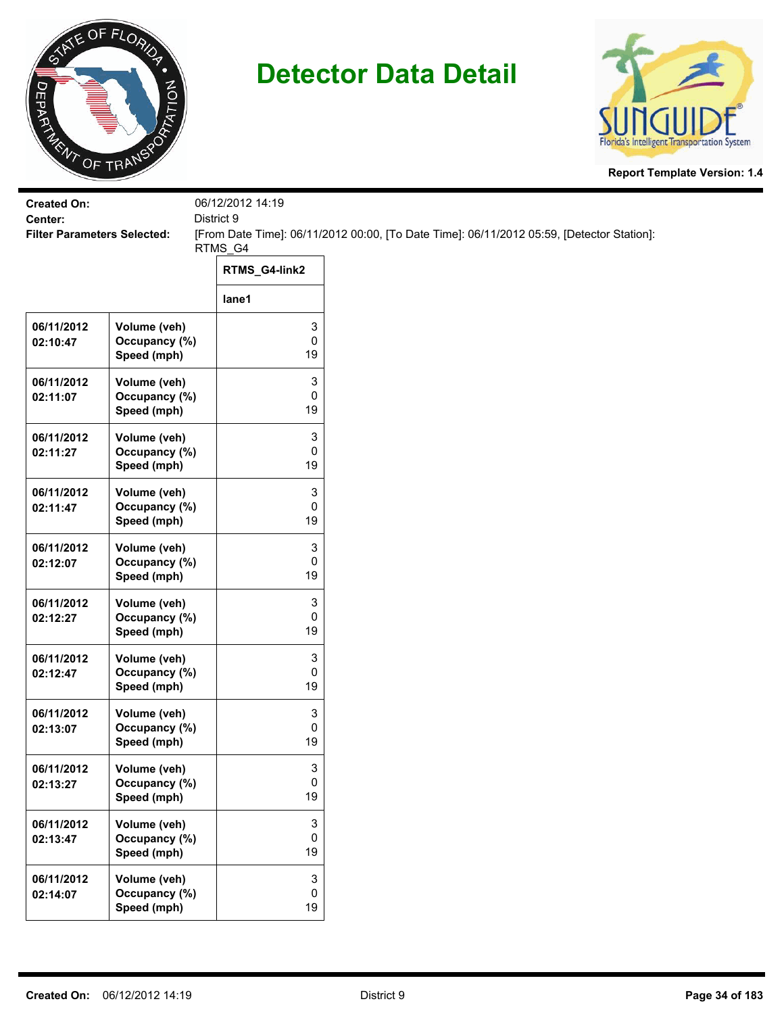



| <b>Created On:</b><br>Center:      |                                              | 06/12/2012 14:19<br>District 9       |                                                                                           |  |
|------------------------------------|----------------------------------------------|--------------------------------------|-------------------------------------------------------------------------------------------|--|
| <b>Filter Parameters Selected:</b> |                                              |                                      | [From Date Time]: 06/11/2012 00:00, [To Date Time]: 06/11/2012 05:59, [Detector Station]: |  |
|                                    |                                              | RTMS_G4<br>RTMS_G4-link2             |                                                                                           |  |
|                                    |                                              | lane1                                |                                                                                           |  |
| 06/11/2012<br>02:10:47             | Volume (veh)<br>Occupancy (%)<br>Speed (mph) | 3<br>0<br>19                         |                                                                                           |  |
| 06/11/2012<br>02:11:07             | Volume (veh)<br>Occupancy (%)<br>Speed (mph) | 3<br>0<br>19                         |                                                                                           |  |
| 06/11/2012<br>02:11:27             | Volume (veh)<br>Occupancy (%)<br>Speed (mph) | 3<br>0<br>19                         |                                                                                           |  |
| 06/11/2012<br>02:11:47             | Volume (veh)<br>Occupancy (%)<br>Speed (mph) | 3<br>0<br>19                         |                                                                                           |  |
| 06/11/2012<br>02:12:07             | Volume (veh)<br>Occupancy (%)<br>Speed (mph) | 3<br>0<br>19                         |                                                                                           |  |
| 06/11/2012<br>02:12:27             | Volume (veh)<br>Occupancy (%)<br>Speed (mph) | 3<br>0<br>19                         |                                                                                           |  |
| 06/11/2012<br>02:12:47             | Volume (veh)<br>Occupancy (%)<br>Speed (mph) | 3<br>0<br>19                         |                                                                                           |  |
| 06/11/2012<br>02:13:07             | Volume (veh)<br>Occupancy (%)<br>Speed (mph) | 3<br>0<br>19                         |                                                                                           |  |
| 06/11/2012<br>02:13:27             | Volume (veh)<br>Occupancy (%)<br>Speed (mph) | 3<br>0<br>19                         |                                                                                           |  |
| 06/11/2012<br>02:13:47             | Volume (veh)<br>Occupancy (%)<br>Speed (mph) | $\ensuremath{\mathsf{3}}$<br>0<br>19 |                                                                                           |  |
| 06/11/2012<br>02:14:07             | Volume (veh)<br>Occupancy (%)<br>Speed (mph) | 3<br>0<br>19                         |                                                                                           |  |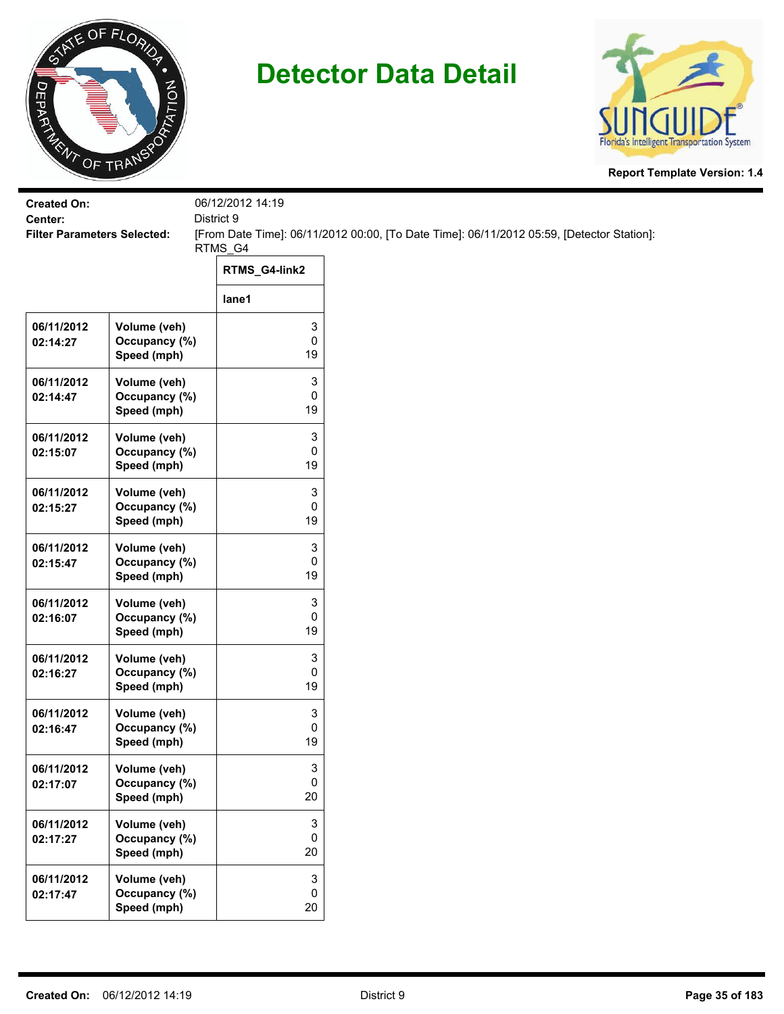



| <b>Created On:</b><br>Center:      |                                              | 06/12/2012 14:19<br>District 9 |                                                                                           |  |
|------------------------------------|----------------------------------------------|--------------------------------|-------------------------------------------------------------------------------------------|--|
| <b>Filter Parameters Selected:</b> |                                              |                                | [From Date Time]: 06/11/2012 00:00, [To Date Time]: 06/11/2012 05:59, [Detector Station]: |  |
|                                    |                                              | RTMS_G4<br>RTMS_G4-link2       |                                                                                           |  |
|                                    |                                              | lane1                          |                                                                                           |  |
| 06/11/2012<br>02:14:27             | Volume (veh)<br>Occupancy (%)<br>Speed (mph) | 3<br>0<br>19                   |                                                                                           |  |
| 06/11/2012<br>02:14:47             | Volume (veh)<br>Occupancy (%)<br>Speed (mph) | 3<br>0<br>19                   |                                                                                           |  |
| 06/11/2012<br>02:15:07             | Volume (veh)<br>Occupancy (%)<br>Speed (mph) | 3<br>0<br>19                   |                                                                                           |  |
| 06/11/2012<br>02:15:27             | Volume (veh)<br>Occupancy (%)<br>Speed (mph) | 3<br>0<br>19                   |                                                                                           |  |
| 06/11/2012<br>02:15:47             | Volume (veh)<br>Occupancy (%)<br>Speed (mph) | 3<br>0<br>19                   |                                                                                           |  |
| 06/11/2012<br>02:16:07             | Volume (veh)<br>Occupancy (%)<br>Speed (mph) | 3<br>0<br>19                   |                                                                                           |  |
| 06/11/2012<br>02:16:27             | Volume (veh)<br>Occupancy (%)<br>Speed (mph) | 3<br>0<br>19                   |                                                                                           |  |
| 06/11/2012<br>02:16:47             | Volume (veh)<br>Occupancy (%)<br>Speed (mph) | 3<br>0<br>19                   |                                                                                           |  |
| 06/11/2012<br>02:17:07             | Volume (veh)<br>Occupancy (%)<br>Speed (mph) | 3<br>0<br>20                   |                                                                                           |  |
| 06/11/2012<br>02:17:27             | Volume (veh)<br>Occupancy (%)<br>Speed (mph) | 3<br>0<br>20                   |                                                                                           |  |
| 06/11/2012<br>02:17:47             | Volume (veh)<br>Occupancy (%)<br>Speed (mph) | 3<br>0<br>20                   |                                                                                           |  |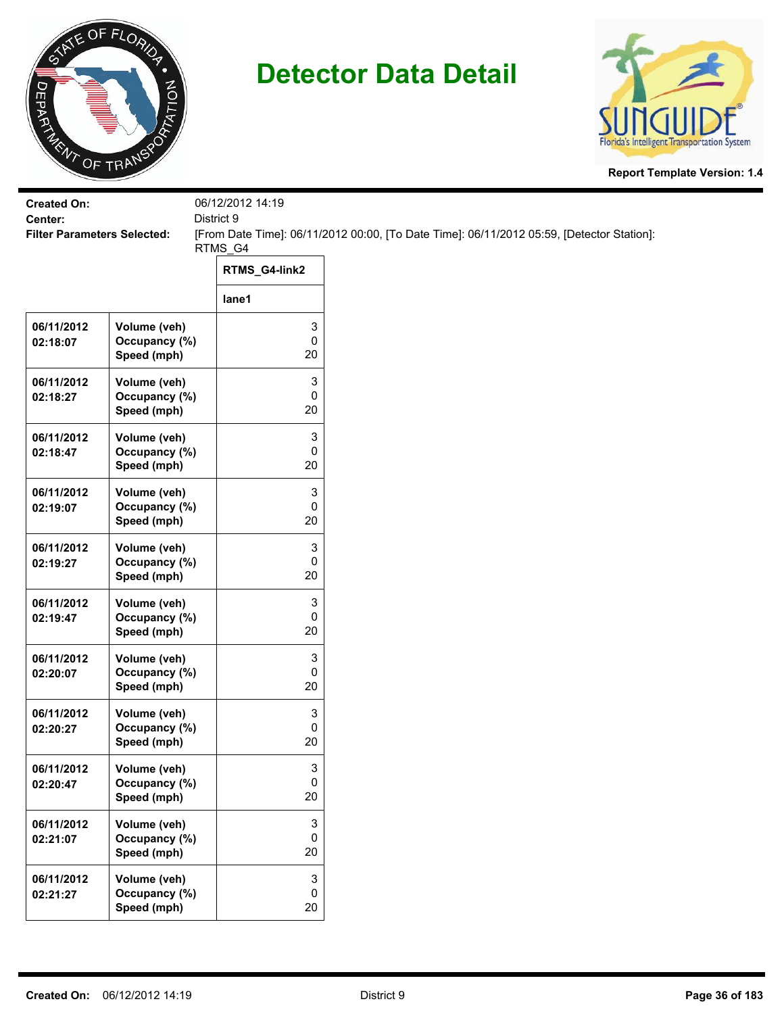



| Center:<br><b>Filter Parameters Selected:</b> |                               | District 9<br>RTMS_G4<br>RTMS_G4-link2 | [From Date Time]: 06/11/2012 00:00, [To Date Time]: 06/11/2012 05:59, [Detector Station]: |  |
|-----------------------------------------------|-------------------------------|----------------------------------------|-------------------------------------------------------------------------------------------|--|
|                                               |                               |                                        |                                                                                           |  |
|                                               |                               |                                        |                                                                                           |  |
|                                               |                               |                                        |                                                                                           |  |
|                                               |                               | lane1                                  |                                                                                           |  |
| 06/11/2012                                    | Volume (veh)                  | 3                                      |                                                                                           |  |
| 02:18:07                                      | Occupancy (%)<br>Speed (mph)  | $\pmb{0}$<br>20                        |                                                                                           |  |
| 06/11/2012                                    | Volume (veh)                  | 3                                      |                                                                                           |  |
| 02:18:27                                      | Occupancy (%)                 | 0                                      |                                                                                           |  |
|                                               | Speed (mph)                   | 20                                     |                                                                                           |  |
| 06/11/2012                                    | Volume (veh)                  | 3<br>0                                 |                                                                                           |  |
| 02:18:47                                      | Occupancy (%)<br>Speed (mph)  | 20                                     |                                                                                           |  |
| 06/11/2012                                    | Volume (veh)                  | 3                                      |                                                                                           |  |
| 02:19:07                                      | Occupancy (%)                 | 0                                      |                                                                                           |  |
|                                               | Speed (mph)                   | 20                                     |                                                                                           |  |
| 06/11/2012                                    | Volume (veh)                  | 3                                      |                                                                                           |  |
| 02:19:27                                      | Occupancy (%)                 | 0<br>20                                |                                                                                           |  |
|                                               | Speed (mph)                   |                                        |                                                                                           |  |
| 06/11/2012<br>02:19:47                        | Volume (veh)<br>Occupancy (%) | 3<br>$\pmb{0}$                         |                                                                                           |  |
|                                               | Speed (mph)                   | 20                                     |                                                                                           |  |
| 06/11/2012                                    | Volume (veh)                  | 3                                      |                                                                                           |  |
| 02:20:07                                      | Occupancy (%)                 | 0                                      |                                                                                           |  |
|                                               | Speed (mph)                   | 20                                     |                                                                                           |  |
| 06/11/2012                                    | Volume (veh)                  | 3                                      |                                                                                           |  |
| 02:20:27                                      | Occupancy (%)<br>Speed (mph)  | 0<br>20                                |                                                                                           |  |
|                                               |                               |                                        |                                                                                           |  |
| 06/11/2012<br>02:20:47                        | Volume (veh)<br>Occupancy (%) | 3<br>$\pmb{0}$                         |                                                                                           |  |
|                                               | Speed (mph)                   | 20                                     |                                                                                           |  |
| 06/11/2012                                    | Volume (veh)                  | 3                                      |                                                                                           |  |
| 02:21:07                                      | Occupancy (%)                 | $\mathbf 0$                            |                                                                                           |  |
|                                               | Speed (mph)                   | 20                                     |                                                                                           |  |
| 06/11/2012                                    | Volume (veh)                  | $\mathbf 3$                            |                                                                                           |  |
| 02:21:27                                      | Occupancy (%)<br>Speed (mph)  | 0<br>20                                |                                                                                           |  |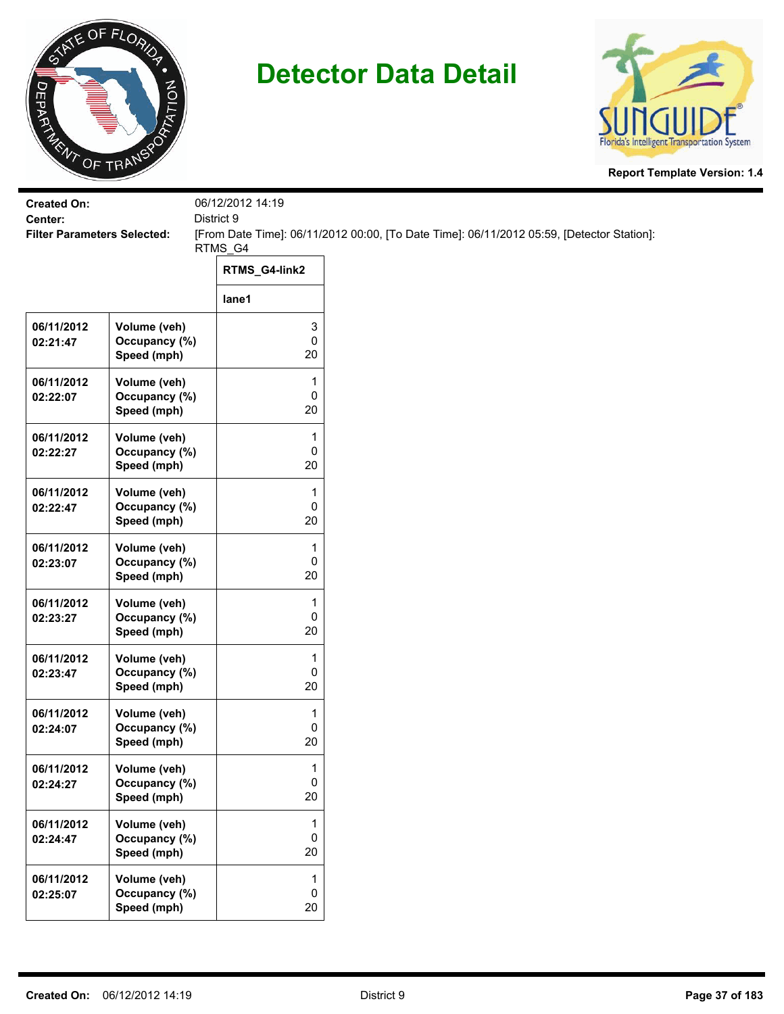



| <b>Created On:</b><br>Center:      |                                              | 06/12/2012 14:19<br>District 9 |                                                                                           |
|------------------------------------|----------------------------------------------|--------------------------------|-------------------------------------------------------------------------------------------|
| <b>Filter Parameters Selected:</b> |                                              |                                | [From Date Time]: 06/11/2012 00:00, [To Date Time]: 06/11/2012 05:59, [Detector Station]: |
|                                    |                                              | RTMS_G4<br>RTMS_G4-link2       |                                                                                           |
|                                    |                                              | lane1                          |                                                                                           |
| 06/11/2012<br>02:21:47             | Volume (veh)<br>Occupancy (%)<br>Speed (mph) | 3<br>0<br>$20\,$               |                                                                                           |
| 06/11/2012<br>02:22:07             | Volume (veh)<br>Occupancy (%)<br>Speed (mph) | 1<br>0<br>20                   |                                                                                           |
| 06/11/2012<br>02:22:27             | Volume (veh)<br>Occupancy (%)<br>Speed (mph) | 1<br>0<br>20                   |                                                                                           |
| 06/11/2012<br>02:22:47             | Volume (veh)<br>Occupancy (%)<br>Speed (mph) | 1<br>0<br>20                   |                                                                                           |
| 06/11/2012<br>02:23:07             | Volume (veh)<br>Occupancy (%)<br>Speed (mph) | 1<br>0<br>20                   |                                                                                           |
| 06/11/2012<br>02:23:27             | Volume (veh)<br>Occupancy (%)<br>Speed (mph) | 1<br>0<br>20                   |                                                                                           |
| 06/11/2012<br>02:23:47             | Volume (veh)<br>Occupancy (%)<br>Speed (mph) | 1<br>0<br>20                   |                                                                                           |
| 06/11/2012<br>02:24:07             | Volume (veh)<br>Occupancy (%)<br>Speed (mph) | 1<br>0<br>20                   |                                                                                           |
| 06/11/2012<br>02:24:27             | Volume (veh)<br>Occupancy (%)<br>Speed (mph) | $\mathbf{1}$<br>0<br>$20\,$    |                                                                                           |
| 06/11/2012<br>02:24:47             | Volume (veh)<br>Occupancy (%)<br>Speed (mph) | 1<br>0<br>20                   |                                                                                           |
| 06/11/2012<br>02:25:07             | Volume (veh)<br>Occupancy (%)<br>Speed (mph) | 1<br>0<br>20                   |                                                                                           |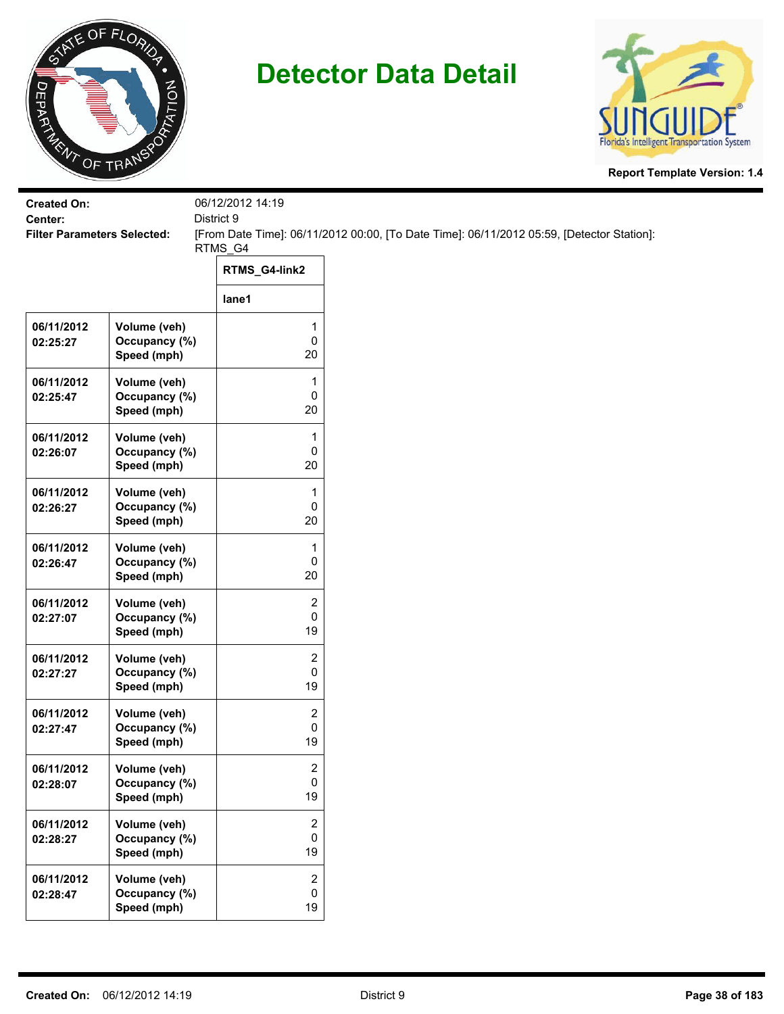



| <b>Created On:</b>                            |                                              | 06/12/2012 14:19                   |                                                                                           |
|-----------------------------------------------|----------------------------------------------|------------------------------------|-------------------------------------------------------------------------------------------|
| Center:<br><b>Filter Parameters Selected:</b> |                                              | District 9                         | [From Date Time]: 06/11/2012 00:00, [To Date Time]: 06/11/2012 05:59, [Detector Station]: |
|                                               |                                              | RTMS_G4                            |                                                                                           |
|                                               |                                              | RTMS_G4-link2                      |                                                                                           |
|                                               |                                              | lane1                              |                                                                                           |
| 06/11/2012<br>02:25:27                        | Volume (veh)<br>Occupancy (%)<br>Speed (mph) | 1<br>0<br>20                       |                                                                                           |
| 06/11/2012<br>02:25:47                        | Volume (veh)<br>Occupancy (%)<br>Speed (mph) | 1<br>0<br>20                       |                                                                                           |
| 06/11/2012<br>02:26:07                        | Volume (veh)<br>Occupancy (%)<br>Speed (mph) | 1<br>0<br>20                       |                                                                                           |
| 06/11/2012<br>02:26:27                        | Volume (veh)<br>Occupancy (%)<br>Speed (mph) | 1<br>0<br>20                       |                                                                                           |
| 06/11/2012<br>02:26:47                        | Volume (veh)<br>Occupancy (%)<br>Speed (mph) | $\mathbf{1}$<br>0<br>20            |                                                                                           |
| 06/11/2012<br>02:27:07                        | Volume (veh)<br>Occupancy (%)<br>Speed (mph) | 2<br>0<br>19                       |                                                                                           |
| 06/11/2012<br>02:27:27                        | Volume (veh)<br>Occupancy (%)<br>Speed (mph) | 2<br>0<br>19                       |                                                                                           |
| 06/11/2012<br>02:27:47                        | Volume (veh)<br>Occupancy (%)<br>Speed (mph) | 2<br>0<br>19                       |                                                                                           |
| 06/11/2012<br>02:28:07                        | Volume (veh)<br>Occupancy (%)<br>Speed (mph) | $\overline{\mathbf{c}}$<br>0<br>19 |                                                                                           |
| 06/11/2012<br>02:28:27                        | Volume (veh)<br>Occupancy (%)<br>Speed (mph) | $\overline{c}$<br>0<br>19          |                                                                                           |
| 06/11/2012<br>02:28:47                        | Volume (veh)<br>Occupancy (%)<br>Speed (mph) | $\overline{2}$<br>0<br>19          |                                                                                           |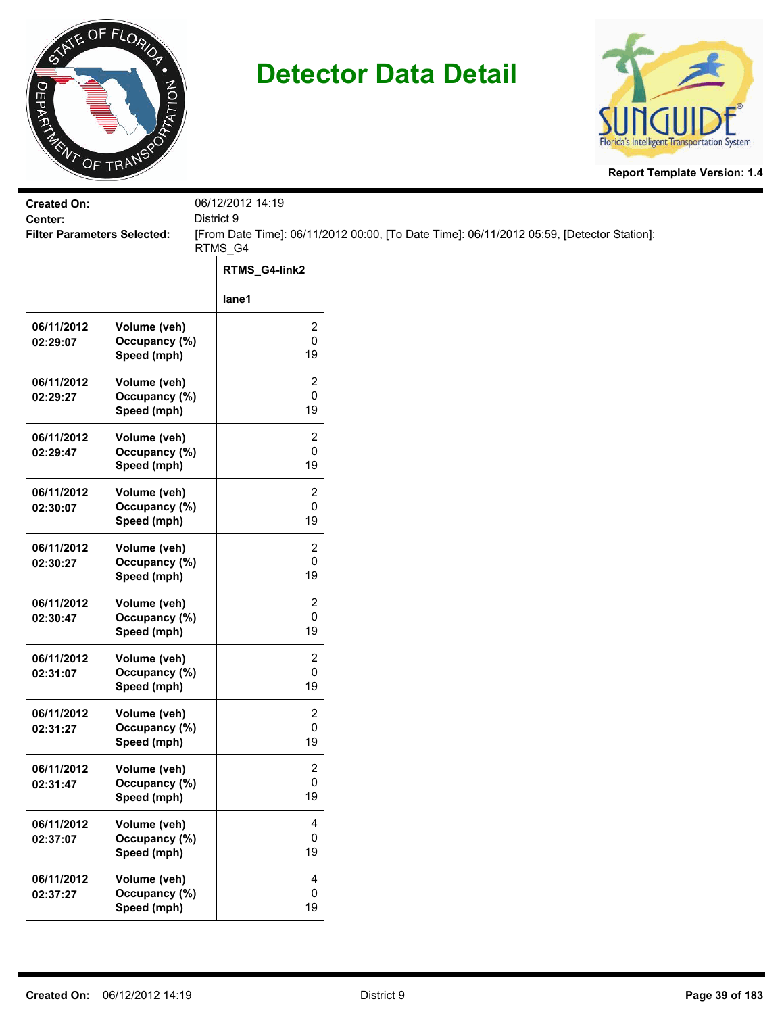



| <b>Created On:</b>                            |               | 06/12/2012 14:19        |                                                                                           |
|-----------------------------------------------|---------------|-------------------------|-------------------------------------------------------------------------------------------|
| Center:<br><b>Filter Parameters Selected:</b> |               | District 9              | [From Date Time]: 06/11/2012 00:00, [To Date Time]: 06/11/2012 05:59, [Detector Station]: |
|                                               |               | RTMS_G4                 |                                                                                           |
|                                               |               | RTMS_G4-link2           |                                                                                           |
|                                               |               | lane1                   |                                                                                           |
| 06/11/2012                                    | Volume (veh)  | 2                       |                                                                                           |
| 02:29:07                                      | Occupancy (%) | $\pmb{0}$               |                                                                                           |
|                                               | Speed (mph)   | 19                      |                                                                                           |
| 06/11/2012                                    | Volume (veh)  | $\overline{c}$          |                                                                                           |
| 02:29:27                                      | Occupancy (%) | $\pmb{0}$               |                                                                                           |
|                                               | Speed (mph)   | 19                      |                                                                                           |
| 06/11/2012                                    | Volume (veh)  | $\overline{\mathbf{c}}$ |                                                                                           |
| 02:29:47                                      | Occupancy (%) | 0                       |                                                                                           |
|                                               | Speed (mph)   | 19                      |                                                                                           |
| 06/11/2012                                    | Volume (veh)  | 2                       |                                                                                           |
| 02:30:07                                      | Occupancy (%) | 0                       |                                                                                           |
|                                               | Speed (mph)   | 19                      |                                                                                           |
| 06/11/2012                                    | Volume (veh)  | $\overline{c}$          |                                                                                           |
| 02:30:27                                      | Occupancy (%) | 0                       |                                                                                           |
|                                               | Speed (mph)   | 19                      |                                                                                           |
| 06/11/2012                                    | Volume (veh)  | $\overline{c}$          |                                                                                           |
| 02:30:47                                      | Occupancy (%) | 0                       |                                                                                           |
|                                               | Speed (mph)   | 19                      |                                                                                           |
| 06/11/2012                                    | Volume (veh)  | $\overline{c}$          |                                                                                           |
| 02:31:07                                      | Occupancy (%) | $\pmb{0}$               |                                                                                           |
|                                               | Speed (mph)   | 19                      |                                                                                           |
| 06/11/2012                                    | Volume (veh)  | 2                       |                                                                                           |
| 02:31:27                                      | Occupancy (%) | 0                       |                                                                                           |
|                                               | Speed (mph)   | 19                      |                                                                                           |
| 06/11/2012                                    | Volume (veh)  | 2                       |                                                                                           |
| 02:31:47                                      | Occupancy (%) | $\mathbf 0$             |                                                                                           |
|                                               | Speed (mph)   | 19                      |                                                                                           |
| 06/11/2012                                    | Volume (veh)  | $\overline{4}$          |                                                                                           |
| 02:37:07                                      | Occupancy (%) | 0                       |                                                                                           |
|                                               | Speed (mph)   | 19                      |                                                                                           |
| 06/11/2012                                    | Volume (veh)  | $\overline{\mathbf{4}}$ |                                                                                           |
| 02:37:27                                      | Occupancy (%) | 0                       |                                                                                           |
|                                               | Speed (mph)   | 19                      |                                                                                           |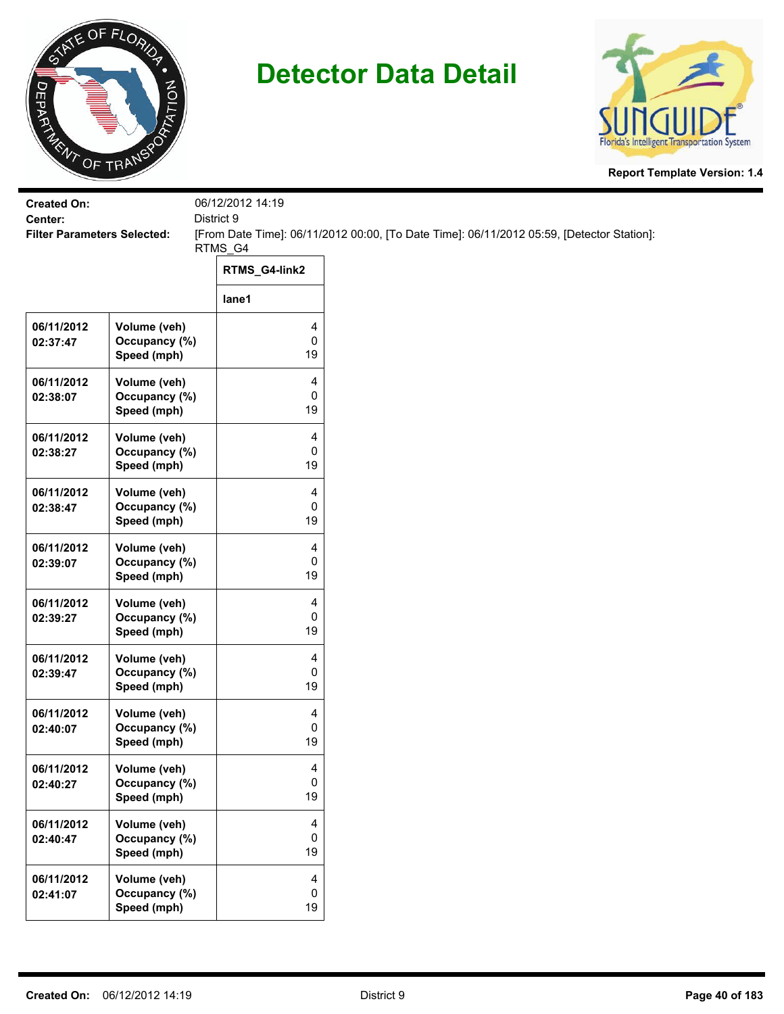



| <b>Created On:</b>                            |                              | 06/12/2012 14:19 |                                                                                           |  |
|-----------------------------------------------|------------------------------|------------------|-------------------------------------------------------------------------------------------|--|
| Center:<br><b>Filter Parameters Selected:</b> |                              | District 9       | [From Date Time]: 06/11/2012 00:00, [To Date Time]: 06/11/2012 05:59, [Detector Station]: |  |
|                                               |                              | RTMS_G4          |                                                                                           |  |
|                                               |                              | RTMS_G4-link2    |                                                                                           |  |
|                                               |                              | lane1            |                                                                                           |  |
| 06/11/2012                                    | Volume (veh)                 | 4                |                                                                                           |  |
| 02:37:47                                      | Occupancy (%)<br>Speed (mph) | 0<br>19          |                                                                                           |  |
| 06/11/2012                                    | Volume (veh)                 | 4                |                                                                                           |  |
| 02:38:07                                      | Occupancy (%)                | 0                |                                                                                           |  |
|                                               | Speed (mph)                  | 19               |                                                                                           |  |
| 06/11/2012                                    | Volume (veh)                 | 4                |                                                                                           |  |
| 02:38:27                                      | Occupancy (%)                | 0                |                                                                                           |  |
|                                               | Speed (mph)                  | 19               |                                                                                           |  |
| 06/11/2012                                    | Volume (veh)                 | 4                |                                                                                           |  |
| 02:38:47                                      | Occupancy (%)                | 0                |                                                                                           |  |
|                                               | Speed (mph)                  | 19               |                                                                                           |  |
| 06/11/2012                                    | Volume (veh)                 | 4                |                                                                                           |  |
| 02:39:07                                      | Occupancy (%)                | 0                |                                                                                           |  |
|                                               | Speed (mph)                  | 19               |                                                                                           |  |
| 06/11/2012                                    | Volume (veh)                 | 4                |                                                                                           |  |
| 02:39:27                                      | Occupancy (%)                | 0                |                                                                                           |  |
|                                               | Speed (mph)                  | 19               |                                                                                           |  |
| 06/11/2012                                    | Volume (veh)                 | 4                |                                                                                           |  |
| 02:39:47                                      | Occupancy (%)                | 0                |                                                                                           |  |
|                                               | Speed (mph)                  | 19               |                                                                                           |  |
| 06/11/2012                                    | Volume (veh)                 | 4                |                                                                                           |  |
| 02:40:07                                      | Occupancy (%)                | 0                |                                                                                           |  |
|                                               | Speed (mph)                  | 19               |                                                                                           |  |
| 06/11/2012                                    | Volume (veh)                 | 4                |                                                                                           |  |
| 02:40:27                                      | Occupancy (%)                | 0                |                                                                                           |  |
|                                               | Speed (mph)                  | 19               |                                                                                           |  |
| 06/11/2012                                    | Volume (veh)                 | 4                |                                                                                           |  |
| 02:40:47                                      | Occupancy (%)                | 0                |                                                                                           |  |
|                                               | Speed (mph)                  | 19               |                                                                                           |  |
| 06/11/2012                                    | Volume (veh)                 | 4                |                                                                                           |  |
| 02:41:07                                      | Occupancy (%)                | 0                |                                                                                           |  |
|                                               | Speed (mph)                  | 19               |                                                                                           |  |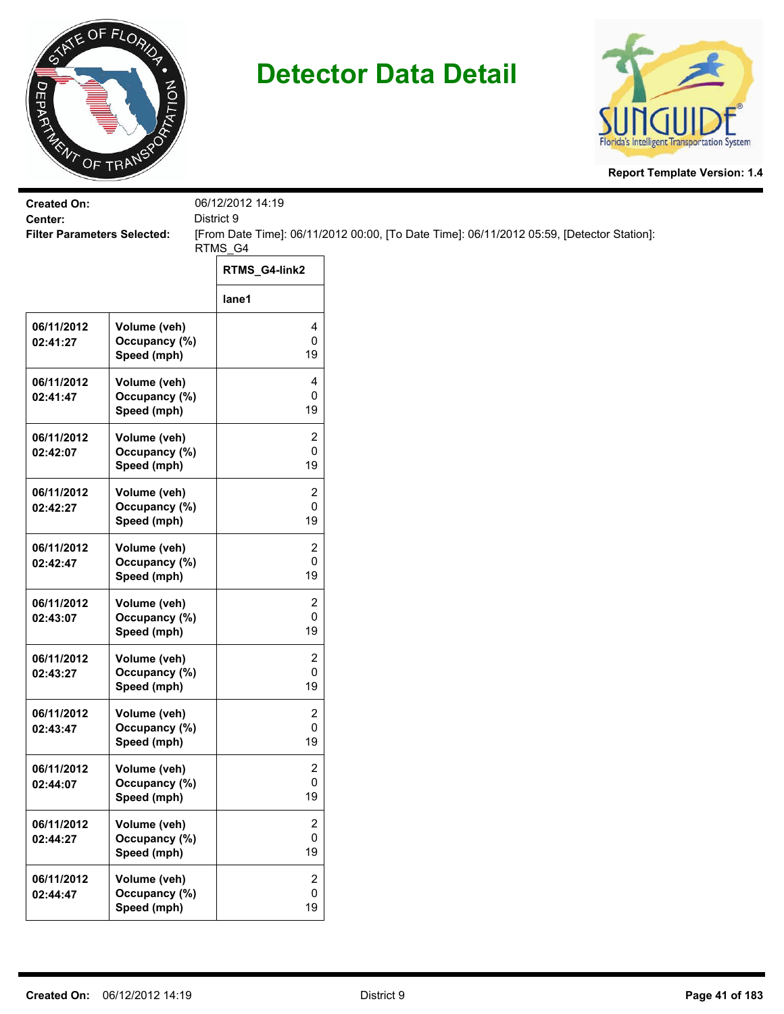



| <b>Created On:</b>                            |                                              | 06/12/2012 14:19                   |                                                                                           |
|-----------------------------------------------|----------------------------------------------|------------------------------------|-------------------------------------------------------------------------------------------|
| Center:<br><b>Filter Parameters Selected:</b> |                                              | District 9                         | [From Date Time]: 06/11/2012 00:00, [To Date Time]: 06/11/2012 05:59, [Detector Station]: |
|                                               |                                              | RTMS_G4                            |                                                                                           |
|                                               |                                              | RTMS_G4-link2                      |                                                                                           |
|                                               |                                              | lane1                              |                                                                                           |
| 06/11/2012<br>02:41:27                        | Volume (veh)<br>Occupancy (%)<br>Speed (mph) | 4<br>0<br>19                       |                                                                                           |
| 06/11/2012<br>02:41:47                        | Volume (veh)<br>Occupancy (%)<br>Speed (mph) | 4<br>0<br>19                       |                                                                                           |
| 06/11/2012<br>02:42:07                        | Volume (veh)<br>Occupancy (%)<br>Speed (mph) | 2<br>0<br>19                       |                                                                                           |
| 06/11/2012<br>02:42:27                        | Volume (veh)<br>Occupancy (%)<br>Speed (mph) | 2<br>0<br>19                       |                                                                                           |
| 06/11/2012<br>02:42:47                        | Volume (veh)<br>Occupancy (%)<br>Speed (mph) | $\overline{2}$<br>0<br>19          |                                                                                           |
| 06/11/2012<br>02:43:07                        | Volume (veh)<br>Occupancy (%)<br>Speed (mph) | 2<br>0<br>19                       |                                                                                           |
| 06/11/2012<br>02:43:27                        | Volume (veh)<br>Occupancy (%)<br>Speed (mph) | 2<br>0<br>19                       |                                                                                           |
| 06/11/2012<br>02:43:47                        | Volume (veh)<br>Occupancy (%)<br>Speed (mph) | 2<br>0<br>19                       |                                                                                           |
| 06/11/2012<br>02:44:07                        | Volume (veh)<br>Occupancy (%)<br>Speed (mph) | $\overline{\mathbf{c}}$<br>0<br>19 |                                                                                           |
| 06/11/2012<br>02:44:27                        | Volume (veh)<br>Occupancy (%)<br>Speed (mph) | $\overline{c}$<br>0<br>19          |                                                                                           |
| 06/11/2012<br>02:44:47                        | Volume (veh)<br>Occupancy (%)<br>Speed (mph) | $\overline{2}$<br>0<br>19          |                                                                                           |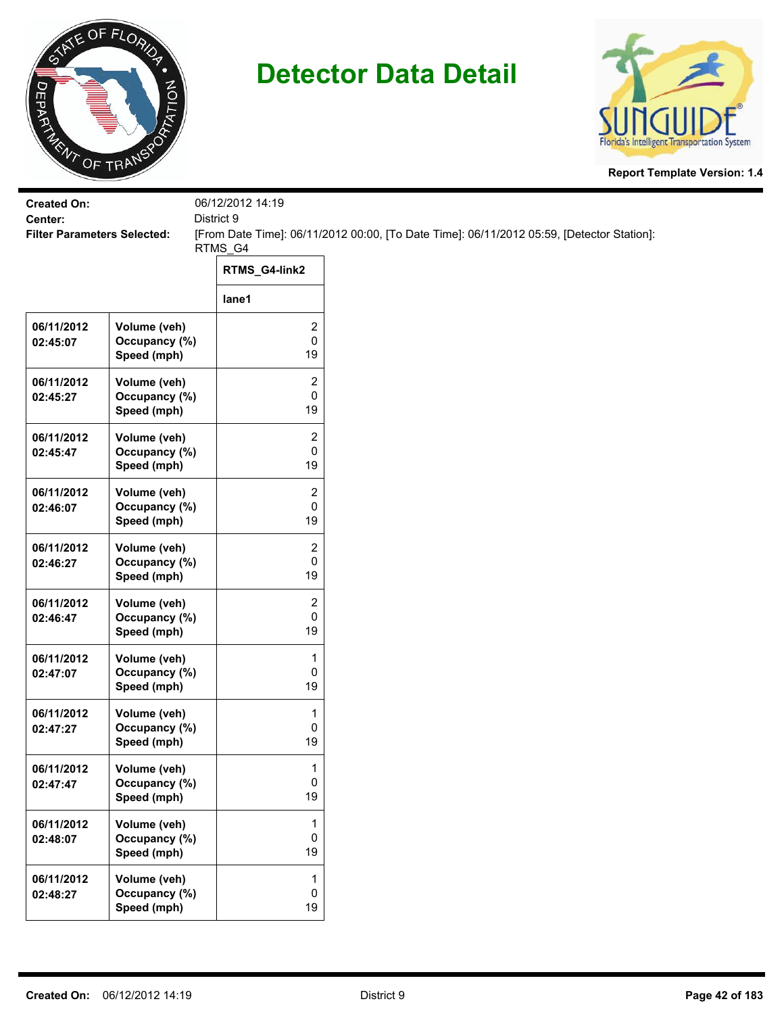



| <b>Created On:</b>                            |                               | 06/12/2012 14:19    |                                                                                           |
|-----------------------------------------------|-------------------------------|---------------------|-------------------------------------------------------------------------------------------|
| Center:<br><b>Filter Parameters Selected:</b> |                               | District 9          | [From Date Time]: 06/11/2012 00:00, [To Date Time]: 06/11/2012 05:59, [Detector Station]: |
|                                               |                               | RTMS_G4             |                                                                                           |
|                                               |                               | RTMS_G4-link2       |                                                                                           |
|                                               |                               | lane1               |                                                                                           |
| 06/11/2012                                    | Volume (veh)                  | 2                   |                                                                                           |
| 02:45:07                                      | Occupancy (%)<br>Speed (mph)  | 0<br>19             |                                                                                           |
| 06/11/2012                                    | Volume (veh)                  | 2                   |                                                                                           |
| 02:45:27                                      | Occupancy (%)<br>Speed (mph)  | 0<br>19             |                                                                                           |
| 06/11/2012                                    | Volume (veh)                  | 2                   |                                                                                           |
| 02:45:47                                      | Occupancy (%)<br>Speed (mph)  | 0<br>19             |                                                                                           |
| 06/11/2012                                    | Volume (veh)                  | 2                   |                                                                                           |
| 02:46:07                                      | Occupancy (%)                 | 0                   |                                                                                           |
|                                               | Speed (mph)                   | 19                  |                                                                                           |
| 06/11/2012<br>02:46:27                        | Volume (veh)<br>Occupancy (%) | $\overline{2}$<br>0 |                                                                                           |
|                                               | Speed (mph)                   | 19                  |                                                                                           |
| 06/11/2012                                    | Volume (veh)                  | 2                   |                                                                                           |
| 02:46:47                                      | Occupancy (%)<br>Speed (mph)  | 0<br>19             |                                                                                           |
| 06/11/2012                                    | Volume (veh)                  | 1                   |                                                                                           |
| 02:47:07                                      | Occupancy (%)                 | 0                   |                                                                                           |
|                                               | Speed (mph)                   | 19                  |                                                                                           |
| 06/11/2012<br>02:47:27                        | Volume (veh)<br>Occupancy (%) | 1<br>0              |                                                                                           |
|                                               | Speed (mph)                   | 19                  |                                                                                           |
| 06/11/2012                                    | Volume (veh)                  | 1                   |                                                                                           |
| 02:47:47                                      | Occupancy (%)<br>Speed (mph)  | 0<br>19             |                                                                                           |
|                                               |                               |                     |                                                                                           |
| 06/11/2012<br>02:48:07                        | Volume (veh)<br>Occupancy (%) | 1<br>0              |                                                                                           |
|                                               | Speed (mph)                   | 19                  |                                                                                           |
| 06/11/2012                                    | Volume (veh)                  | 1<br>$\pmb{0}$      |                                                                                           |
| 02:48:27                                      | Occupancy (%)<br>Speed (mph)  | 19                  |                                                                                           |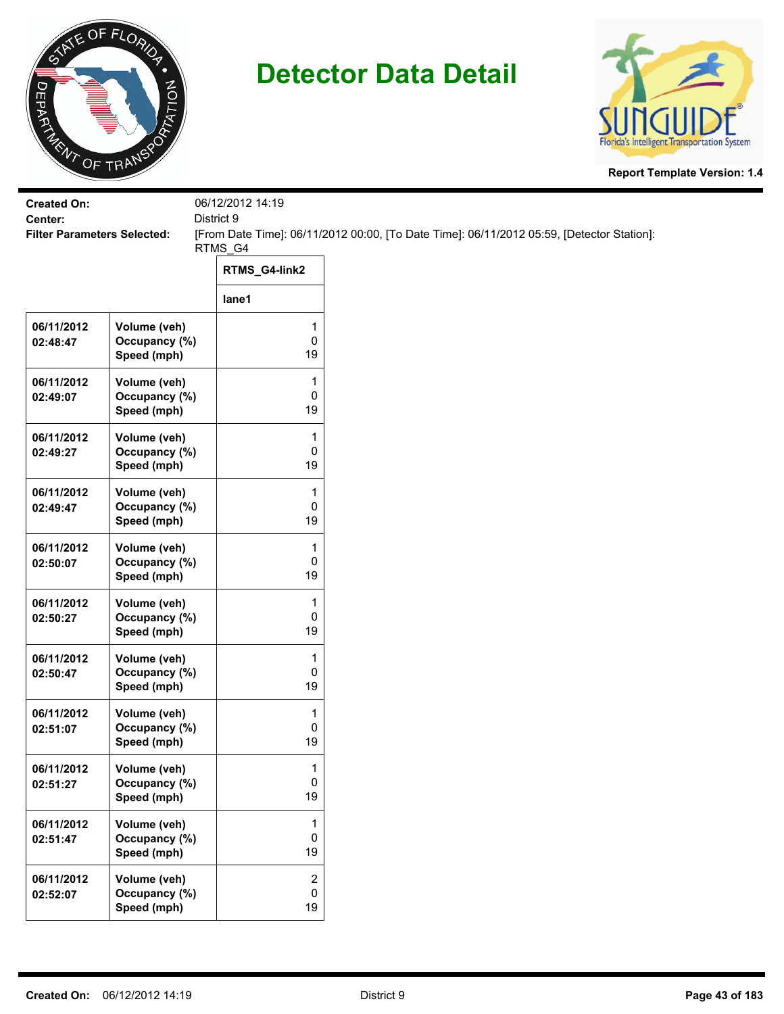



| <b>Created On:</b><br>Center:      |                                              | 06/12/2012 14:19<br>District 9 |                                                                                           |  |
|------------------------------------|----------------------------------------------|--------------------------------|-------------------------------------------------------------------------------------------|--|
| <b>Filter Parameters Selected:</b> |                                              | RTMS_G4                        | [From Date Time]: 06/11/2012 00:00, [To Date Time]: 06/11/2012 05:59, [Detector Station]: |  |
|                                    |                                              | RTMS_G4-link2                  |                                                                                           |  |
|                                    |                                              | lane1                          |                                                                                           |  |
| 06/11/2012<br>02:48:47             | Volume (veh)<br>Occupancy (%)<br>Speed (mph) | 1<br>0<br>19                   |                                                                                           |  |
| 06/11/2012<br>02:49:07             | Volume (veh)<br>Occupancy (%)<br>Speed (mph) | 1<br>0<br>19                   |                                                                                           |  |
| 06/11/2012<br>02:49:27             | Volume (veh)<br>Occupancy (%)<br>Speed (mph) | 1<br>0<br>19                   |                                                                                           |  |
| 06/11/2012<br>02:49:47             | Volume (veh)<br>Occupancy (%)<br>Speed (mph) | 1<br>0<br>19                   |                                                                                           |  |
| 06/11/2012<br>02:50:07             | Volume (veh)<br>Occupancy (%)<br>Speed (mph) | 1<br>0<br>19                   |                                                                                           |  |
| 06/11/2012<br>02:50:27             | Volume (veh)<br>Occupancy (%)<br>Speed (mph) | 1<br>0<br>19                   |                                                                                           |  |
| 06/11/2012<br>02:50:47             | Volume (veh)<br>Occupancy (%)<br>Speed (mph) | 1<br>0<br>19                   |                                                                                           |  |
| 06/11/2012<br>02:51:07             | Volume (veh)<br>Occupancy (%)<br>Speed (mph) | 1<br>0<br>19                   |                                                                                           |  |
| 06/11/2012<br>02:51:27             | Volume (veh)<br>Occupancy (%)<br>Speed (mph) | 1<br>0<br>19                   |                                                                                           |  |
| 06/11/2012<br>02:51:47             | Volume (veh)<br>Occupancy (%)<br>Speed (mph) | 1<br>0<br>19                   |                                                                                           |  |
| 06/11/2012<br>02:52:07             | Volume (veh)<br>Occupancy (%)<br>Speed (mph) | 2<br>0<br>19                   |                                                                                           |  |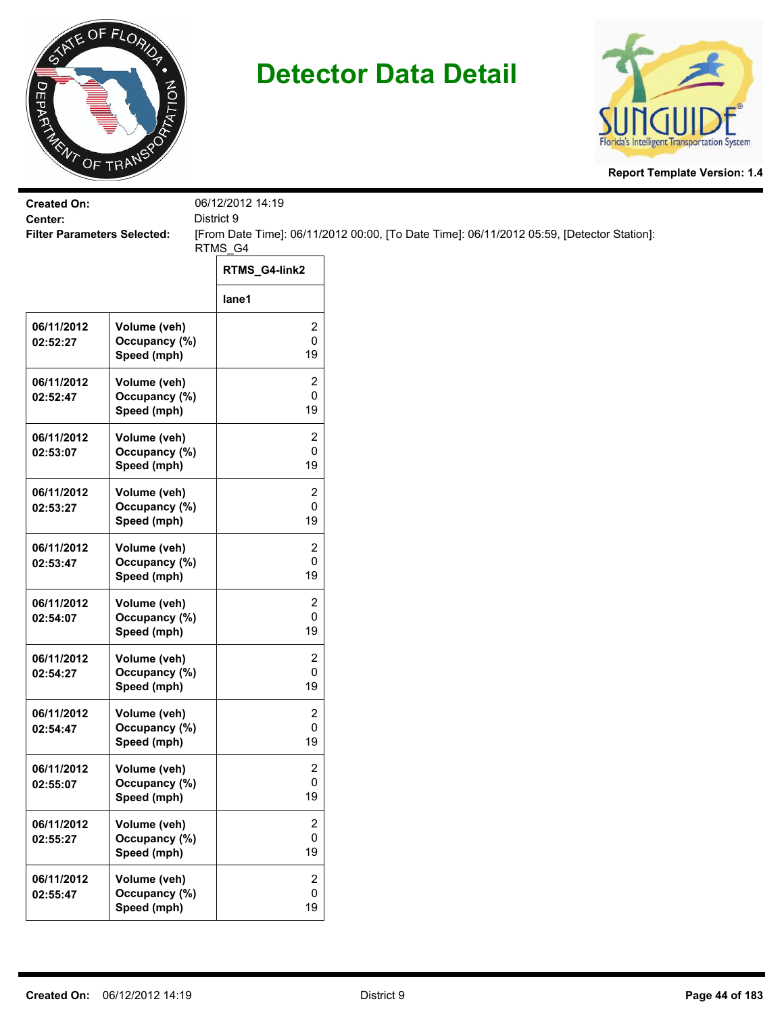



| <b>Created On:</b><br>Center:      |                                              | 06/12/2012 14:19<br>District 9    |                                                                                           |
|------------------------------------|----------------------------------------------|-----------------------------------|-------------------------------------------------------------------------------------------|
| <b>Filter Parameters Selected:</b> |                                              |                                   | [From Date Time]: 06/11/2012 00:00, [To Date Time]: 06/11/2012 05:59, [Detector Station]: |
|                                    |                                              | RTMS_G4                           |                                                                                           |
|                                    |                                              | RTMS_G4-link2                     |                                                                                           |
|                                    |                                              | lane1                             |                                                                                           |
| 06/11/2012<br>02:52:27             | Volume (veh)<br>Occupancy (%)<br>Speed (mph) | 2<br>0<br>19                      |                                                                                           |
| 06/11/2012<br>02:52:47             | Volume (veh)<br>Occupancy (%)<br>Speed (mph) | 2<br>0<br>19                      |                                                                                           |
| 06/11/2012<br>02:53:07             | Volume (veh)<br>Occupancy (%)<br>Speed (mph) | 2<br>0<br>19                      |                                                                                           |
| 06/11/2012<br>02:53:27             | Volume (veh)<br>Occupancy (%)<br>Speed (mph) | 2<br>0<br>19                      |                                                                                           |
| 06/11/2012<br>02:53:47             | Volume (veh)<br>Occupancy (%)<br>Speed (mph) | 2<br>0<br>19                      |                                                                                           |
| 06/11/2012<br>02:54:07             | Volume (veh)<br>Occupancy (%)<br>Speed (mph) | 2<br>0<br>19                      |                                                                                           |
| 06/11/2012<br>02:54:27             | Volume (veh)<br>Occupancy (%)<br>Speed (mph) | 2<br>0<br>19                      |                                                                                           |
| 06/11/2012<br>02:54:47             | Volume (veh)<br>Occupancy (%)<br>Speed (mph) | 2<br>0<br>19                      |                                                                                           |
| 06/11/2012<br>02:55:07             | Volume (veh)<br>Occupancy (%)<br>Speed (mph) | 2<br>0<br>19                      |                                                                                           |
| 06/11/2012<br>02:55:27             | Volume (veh)<br>Occupancy (%)<br>Speed (mph) | 2<br>0<br>19                      |                                                                                           |
| 06/11/2012<br>02:55:47             | Volume (veh)<br>Occupancy (%)<br>Speed (mph) | $\overline{2}$<br>$\pmb{0}$<br>19 |                                                                                           |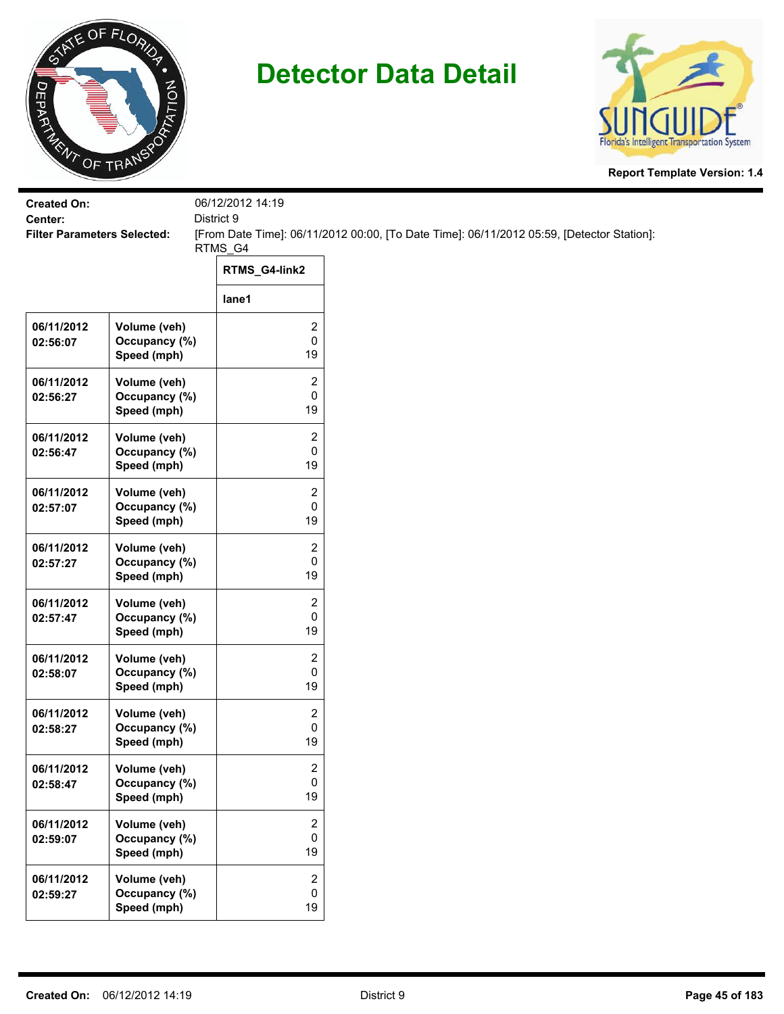



| <b>Created On:</b>                            |                              | 06/12/2012 14:19 |                                                                                           |
|-----------------------------------------------|------------------------------|------------------|-------------------------------------------------------------------------------------------|
| Center:<br><b>Filter Parameters Selected:</b> |                              | District 9       | [From Date Time]: 06/11/2012 00:00, [To Date Time]: 06/11/2012 05:59, [Detector Station]: |
|                                               |                              | RTMS_G4          |                                                                                           |
|                                               |                              | RTMS_G4-link2    |                                                                                           |
|                                               |                              | lane1            |                                                                                           |
| 06/11/2012                                    | Volume (veh)                 | 2                |                                                                                           |
| 02:56:07                                      | Occupancy (%)<br>Speed (mph) | 0<br>19          |                                                                                           |
| 06/11/2012                                    | Volume (veh)                 | $\overline{c}$   |                                                                                           |
| 02:56:27                                      | Occupancy (%)                | 0                |                                                                                           |
|                                               | Speed (mph)                  | 19               |                                                                                           |
| 06/11/2012                                    | Volume (veh)                 | $\overline{c}$   |                                                                                           |
| 02:56:47                                      | Occupancy (%)                | 0                |                                                                                           |
|                                               | Speed (mph)                  | 19               |                                                                                           |
| 06/11/2012                                    | Volume (veh)                 | 2                |                                                                                           |
| 02:57:07                                      | Occupancy (%)                | 0                |                                                                                           |
|                                               | Speed (mph)                  | 19               |                                                                                           |
| 06/11/2012                                    | Volume (veh)                 | 2                |                                                                                           |
| 02:57:27                                      | Occupancy (%)                | 0                |                                                                                           |
|                                               | Speed (mph)                  | 19               |                                                                                           |
| 06/11/2012                                    | Volume (veh)                 | 2                |                                                                                           |
| 02:57:47                                      | Occupancy (%)                | 0                |                                                                                           |
|                                               | Speed (mph)                  | 19               |                                                                                           |
| 06/11/2012                                    | Volume (veh)                 | 2                |                                                                                           |
| 02:58:07                                      | Occupancy (%)                | 0                |                                                                                           |
|                                               | Speed (mph)                  | 19               |                                                                                           |
| 06/11/2012                                    | Volume (veh)                 | 2                |                                                                                           |
| 02:58:27                                      | Occupancy (%)                | 0                |                                                                                           |
|                                               | Speed (mph)                  | 19               |                                                                                           |
| 06/11/2012                                    | Volume (veh)                 | 2                |                                                                                           |
| 02:58:47                                      | Occupancy (%)                | $\pmb{0}$        |                                                                                           |
|                                               | Speed (mph)                  | 19               |                                                                                           |
| 06/11/2012                                    | Volume (veh)                 | $\overline{2}$   |                                                                                           |
| 02:59:07                                      | Occupancy (%)                | 0                |                                                                                           |
|                                               | Speed (mph)                  | 19               |                                                                                           |
| 06/11/2012                                    | Volume (veh)                 | $\overline{2}$   |                                                                                           |
| 02:59:27                                      | Occupancy (%)                | 0                |                                                                                           |
|                                               | Speed (mph)                  | 19               |                                                                                           |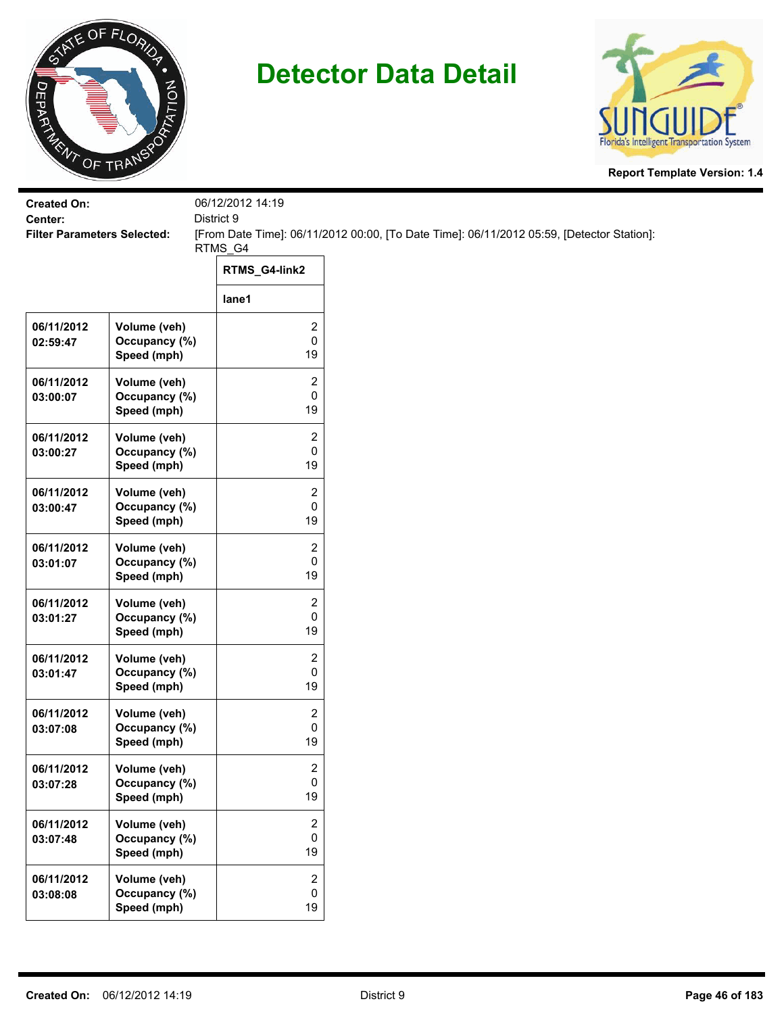



| <b>Created On:</b>                            |                              | 06/12/2012 14:19        |                                                                                           |
|-----------------------------------------------|------------------------------|-------------------------|-------------------------------------------------------------------------------------------|
| Center:<br><b>Filter Parameters Selected:</b> |                              | District 9<br>RTMS_G4   | [From Date Time]: 06/11/2012 00:00, [To Date Time]: 06/11/2012 05:59, [Detector Station]: |
|                                               |                              | RTMS_G4-link2           |                                                                                           |
|                                               |                              | lane1                   |                                                                                           |
| 06/11/2012                                    | Volume (veh)                 | 2<br>$\pmb{0}$          |                                                                                           |
| 02:59:47                                      | Occupancy (%)<br>Speed (mph) | 19                      |                                                                                           |
| 06/11/2012                                    | Volume (veh)                 | 2                       |                                                                                           |
| 03:00:07                                      | Occupancy (%)<br>Speed (mph) | 0<br>19                 |                                                                                           |
| 06/11/2012                                    | Volume (veh)                 | 2                       |                                                                                           |
| 03:00:27                                      | Occupancy (%)<br>Speed (mph) | 0<br>19                 |                                                                                           |
| 06/11/2012                                    | Volume (veh)                 | $\overline{\mathbf{c}}$ |                                                                                           |
| 03:00:47                                      | Occupancy (%)<br>Speed (mph) | 0<br>19                 |                                                                                           |
| 06/11/2012                                    | Volume (veh)                 | $\overline{c}$          |                                                                                           |
| 03:01:07                                      | Occupancy (%)<br>Speed (mph) | 0<br>19                 |                                                                                           |
| 06/11/2012                                    | Volume (veh)                 | $\overline{\mathbf{c}}$ |                                                                                           |
| 03:01:27                                      | Occupancy (%)<br>Speed (mph) | $\pmb{0}$<br>19         |                                                                                           |
| 06/11/2012                                    | Volume (veh)                 | $\overline{\mathbf{c}}$ |                                                                                           |
| 03:01:47                                      | Occupancy (%)<br>Speed (mph) | 0<br>19                 |                                                                                           |
| 06/11/2012                                    | Volume (veh)                 | $\overline{c}$          |                                                                                           |
| 03:07:08                                      | Occupancy (%)<br>Speed (mph) | 0<br>19                 |                                                                                           |
| 06/11/2012                                    | Volume (veh)                 | 2                       |                                                                                           |
| 03:07:28                                      | Occupancy (%)<br>Speed (mph) | 0<br>19                 |                                                                                           |
| 06/11/2012                                    | Volume (veh)                 | $\overline{2}$          |                                                                                           |
| 03:07:48                                      | Occupancy (%)<br>Speed (mph) | $\mathsf 0$<br>19       |                                                                                           |
| 06/11/2012                                    | Volume (veh)                 | $\overline{2}$          |                                                                                           |
| 03:08:08                                      | Occupancy (%)<br>Speed (mph) | 0<br>19                 |                                                                                           |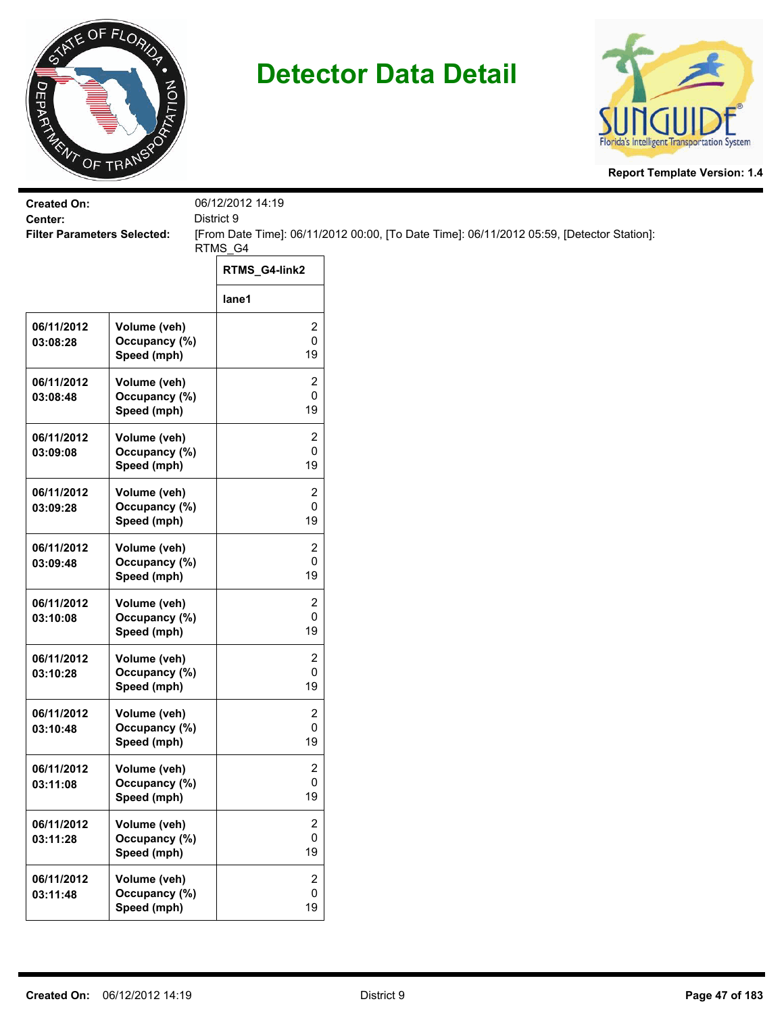



| <b>Created On:</b>                            |                                              | 06/12/2012 14:19<br>District 9    |                                                                                           |
|-----------------------------------------------|----------------------------------------------|-----------------------------------|-------------------------------------------------------------------------------------------|
| Center:<br><b>Filter Parameters Selected:</b> |                                              |                                   | [From Date Time]: 06/11/2012 00:00, [To Date Time]: 06/11/2012 05:59, [Detector Station]: |
|                                               |                                              | RTMS_G4                           |                                                                                           |
|                                               |                                              | RTMS_G4-link2                     |                                                                                           |
|                                               |                                              | lane1                             |                                                                                           |
| 06/11/2012<br>03:08:28                        | Volume (veh)<br>Occupancy (%)<br>Speed (mph) | 2<br>0<br>19                      |                                                                                           |
| 06/11/2012<br>03:08:48                        | Volume (veh)<br>Occupancy (%)<br>Speed (mph) | 2<br>0<br>19                      |                                                                                           |
| 06/11/2012<br>03:09:08                        | Volume (veh)<br>Occupancy (%)<br>Speed (mph) | 2<br>0<br>19                      |                                                                                           |
| 06/11/2012<br>03:09:28                        | Volume (veh)<br>Occupancy (%)<br>Speed (mph) | 2<br>0<br>19                      |                                                                                           |
| 06/11/2012<br>03:09:48                        | Volume (veh)<br>Occupancy (%)<br>Speed (mph) | 2<br>0<br>19                      |                                                                                           |
| 06/11/2012<br>03:10:08                        | Volume (veh)<br>Occupancy (%)<br>Speed (mph) | 2<br>0<br>19                      |                                                                                           |
| 06/11/2012<br>03:10:28                        | Volume (veh)<br>Occupancy (%)<br>Speed (mph) | 2<br>0<br>19                      |                                                                                           |
| 06/11/2012<br>03:10:48                        | Volume (veh)<br>Occupancy (%)<br>Speed (mph) | 2<br>0<br>19                      |                                                                                           |
| 06/11/2012<br>03:11:08                        | Volume (veh)<br>Occupancy (%)<br>Speed (mph) | 2<br>0<br>19                      |                                                                                           |
| 06/11/2012<br>03:11:28                        | Volume (veh)<br>Occupancy (%)<br>Speed (mph) | 2<br>0<br>19                      |                                                                                           |
| 06/11/2012<br>03:11:48                        | Volume (veh)<br>Occupancy (%)<br>Speed (mph) | $\overline{2}$<br>$\pmb{0}$<br>19 |                                                                                           |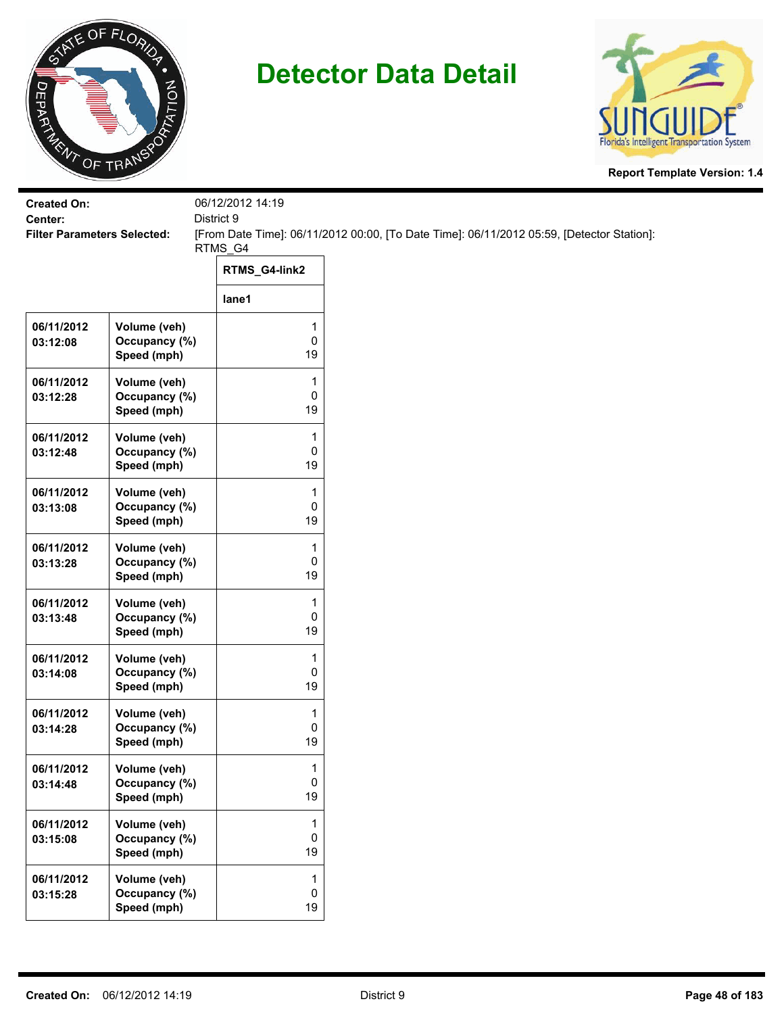



| <b>Created On:</b><br>Center:      |                                              | 06/12/2012 14:19<br>District 9  |                                                                                           |  |
|------------------------------------|----------------------------------------------|---------------------------------|-------------------------------------------------------------------------------------------|--|
| <b>Filter Parameters Selected:</b> |                                              | RTMS_G4                         | [From Date Time]: 06/11/2012 00:00, [To Date Time]: 06/11/2012 05:59, [Detector Station]: |  |
|                                    |                                              | RTMS_G4-link2                   |                                                                                           |  |
|                                    |                                              | lane1                           |                                                                                           |  |
| 06/11/2012<br>03:12:08             | Volume (veh)<br>Occupancy (%)<br>Speed (mph) | 1<br>0<br>19                    |                                                                                           |  |
| 06/11/2012<br>03:12:28             | Volume (veh)<br>Occupancy (%)<br>Speed (mph) | 1<br>0<br>19                    |                                                                                           |  |
| 06/11/2012<br>03:12:48             | Volume (veh)<br>Occupancy (%)<br>Speed (mph) | 1<br>0<br>19                    |                                                                                           |  |
| 06/11/2012<br>03:13:08             | Volume (veh)<br>Occupancy (%)<br>Speed (mph) | 1<br>0<br>19                    |                                                                                           |  |
| 06/11/2012<br>03:13:28             | Volume (veh)<br>Occupancy (%)<br>Speed (mph) | 1<br>0<br>19                    |                                                                                           |  |
| 06/11/2012<br>03:13:48             | Volume (veh)<br>Occupancy (%)<br>Speed (mph) | 1<br>0<br>19                    |                                                                                           |  |
| 06/11/2012<br>03:14:08             | Volume (veh)<br>Occupancy (%)<br>Speed (mph) | 1<br>0<br>19                    |                                                                                           |  |
| 06/11/2012<br>03:14:28             | Volume (veh)<br>Occupancy (%)<br>Speed (mph) | 1<br>0<br>19                    |                                                                                           |  |
| 06/11/2012<br>03:14:48             | Volume (veh)<br>Occupancy (%)<br>Speed (mph) | 1<br>0<br>19                    |                                                                                           |  |
| 06/11/2012<br>03:15:08             | Volume (veh)<br>Occupancy (%)<br>Speed (mph) | $\mathbf{1}$<br>0<br>19         |                                                                                           |  |
| 06/11/2012<br>03:15:28             | Volume (veh)<br>Occupancy (%)<br>Speed (mph) | $\mathbf{1}$<br>$\pmb{0}$<br>19 |                                                                                           |  |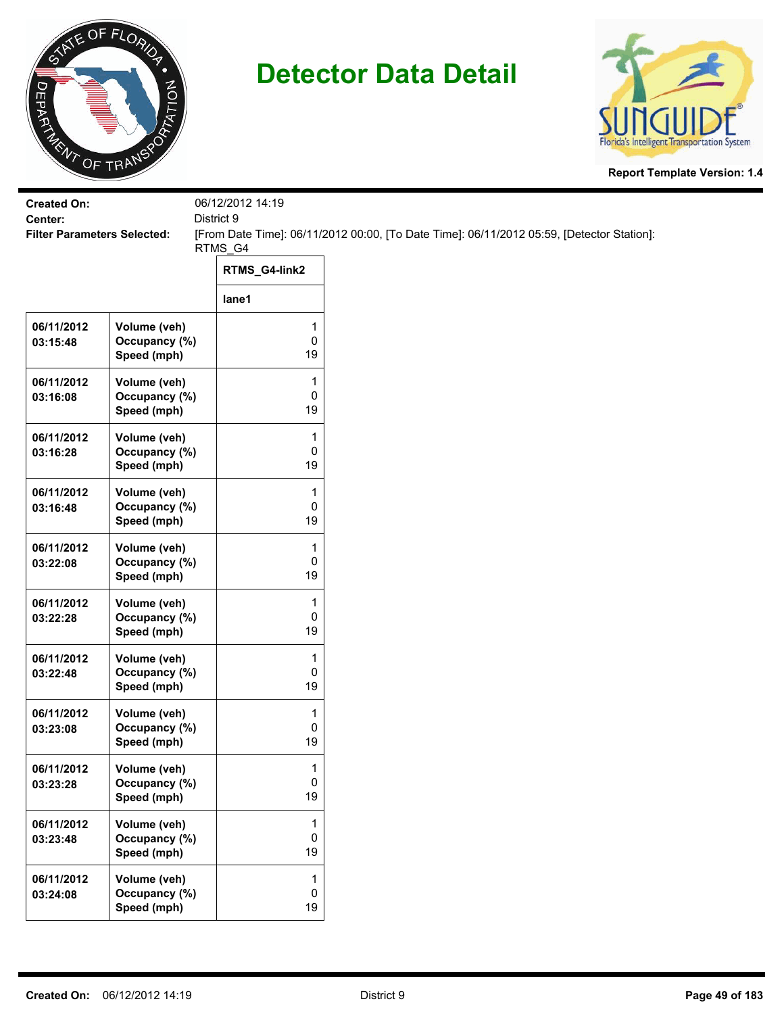



| <b>Created On:</b><br>Center:      |                                              | 06/12/2012 14:19<br>District 9 |                                                                                           |
|------------------------------------|----------------------------------------------|--------------------------------|-------------------------------------------------------------------------------------------|
| <b>Filter Parameters Selected:</b> |                                              | RTMS_G4                        | [From Date Time]: 06/11/2012 00:00, [To Date Time]: 06/11/2012 05:59, [Detector Station]: |
|                                    |                                              | RTMS_G4-link2                  |                                                                                           |
|                                    |                                              | lane1                          |                                                                                           |
| 06/11/2012<br>03:15:48             | Volume (veh)<br>Occupancy (%)<br>Speed (mph) | 1<br>0<br>19                   |                                                                                           |
| 06/11/2012<br>03:16:08             | Volume (veh)<br>Occupancy (%)<br>Speed (mph) | 1<br>0<br>19                   |                                                                                           |
| 06/11/2012<br>03:16:28             | Volume (veh)<br>Occupancy (%)<br>Speed (mph) | 1<br>0<br>19                   |                                                                                           |
| 06/11/2012<br>03:16:48             | Volume (veh)<br>Occupancy (%)<br>Speed (mph) | 1<br>0<br>19                   |                                                                                           |
| 06/11/2012<br>03:22:08             | Volume (veh)<br>Occupancy (%)<br>Speed (mph) | 1<br>0<br>19                   |                                                                                           |
| 06/11/2012<br>03:22:28             | Volume (veh)<br>Occupancy (%)<br>Speed (mph) | 1<br>0<br>19                   |                                                                                           |
| 06/11/2012<br>03:22:48             | Volume (veh)<br>Occupancy (%)<br>Speed (mph) | 1<br>0<br>19                   |                                                                                           |
| 06/11/2012<br>03:23:08             | Volume (veh)<br>Occupancy (%)<br>Speed (mph) | 1<br>0<br>19                   |                                                                                           |
| 06/11/2012<br>03:23:28             | Volume (veh)<br>Occupancy (%)<br>Speed (mph) | 1<br>0<br>19                   |                                                                                           |
| 06/11/2012<br>03:23:48             | Volume (veh)<br>Occupancy (%)<br>Speed (mph) | 1<br>0<br>19                   |                                                                                           |
| 06/11/2012<br>03:24:08             | Volume (veh)<br>Occupancy (%)<br>Speed (mph) | 1<br>0<br>19                   |                                                                                           |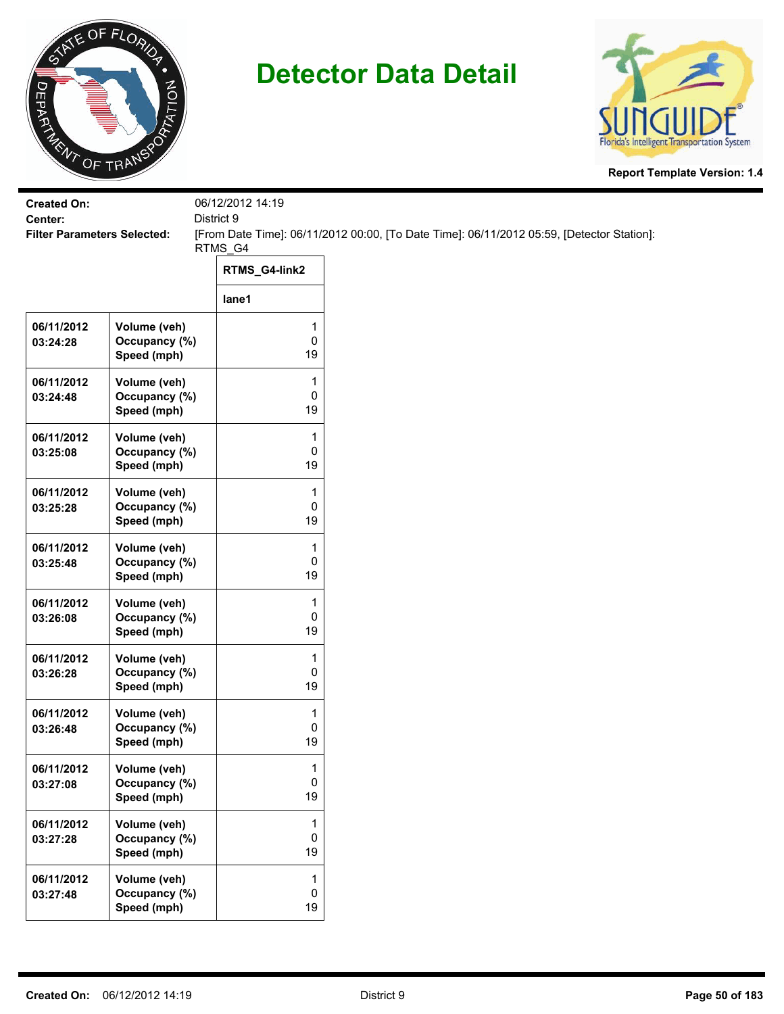



| <b>Created On:</b><br>Center:      |                                              | 06/12/2012 14:19<br>District 9 |                                                                                           |
|------------------------------------|----------------------------------------------|--------------------------------|-------------------------------------------------------------------------------------------|
| <b>Filter Parameters Selected:</b> |                                              | RTMS_G4                        | [From Date Time]: 06/11/2012 00:00, [To Date Time]: 06/11/2012 05:59, [Detector Station]: |
|                                    |                                              | RTMS_G4-link2                  |                                                                                           |
|                                    |                                              | lane1                          |                                                                                           |
| 06/11/2012<br>03:24:28             | Volume (veh)<br>Occupancy (%)<br>Speed (mph) | 1<br>0<br>19                   |                                                                                           |
| 06/11/2012<br>03:24:48             | Volume (veh)<br>Occupancy (%)<br>Speed (mph) | 1<br>0<br>19                   |                                                                                           |
| 06/11/2012<br>03:25:08             | Volume (veh)<br>Occupancy (%)<br>Speed (mph) | 1<br>0<br>19                   |                                                                                           |
| 06/11/2012<br>03:25:28             | Volume (veh)<br>Occupancy (%)<br>Speed (mph) | 1<br>0<br>19                   |                                                                                           |
| 06/11/2012<br>03:25:48             | Volume (veh)<br>Occupancy (%)<br>Speed (mph) | 1<br>0<br>19                   |                                                                                           |
| 06/11/2012<br>03:26:08             | Volume (veh)<br>Occupancy (%)<br>Speed (mph) | 1<br>0<br>19                   |                                                                                           |
| 06/11/2012<br>03:26:28             | Volume (veh)<br>Occupancy (%)<br>Speed (mph) | 1<br>0<br>19                   |                                                                                           |
| 06/11/2012<br>03:26:48             | Volume (veh)<br>Occupancy (%)<br>Speed (mph) | 1<br>0<br>19                   |                                                                                           |
| 06/11/2012<br>03:27:08             | Volume (veh)<br>Occupancy (%)<br>Speed (mph) | 1<br>0<br>19                   |                                                                                           |
| 06/11/2012<br>03:27:28             | Volume (veh)<br>Occupancy (%)<br>Speed (mph) | 1<br>0<br>19                   |                                                                                           |
| 06/11/2012<br>03:27:48             | Volume (veh)<br>Occupancy (%)<br>Speed (mph) | 1<br>0<br>19                   |                                                                                           |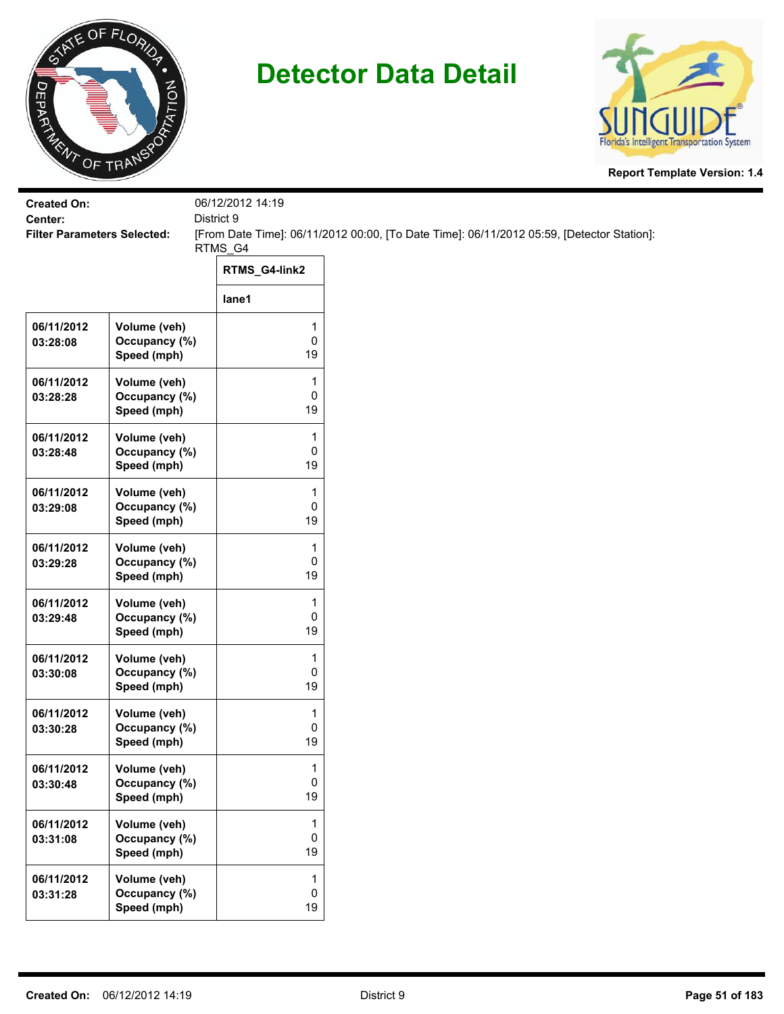



| <b>Created On:</b><br>Center:      |                                              | 06/12/2012 14:19<br>District 9 |                                                                                           |
|------------------------------------|----------------------------------------------|--------------------------------|-------------------------------------------------------------------------------------------|
| <b>Filter Parameters Selected:</b> |                                              | RTMS_G4                        | [From Date Time]: 06/11/2012 00:00, [To Date Time]: 06/11/2012 05:59, [Detector Station]: |
|                                    |                                              | RTMS_G4-link2                  |                                                                                           |
|                                    |                                              | lane1                          |                                                                                           |
| 06/11/2012<br>03:28:08             | Volume (veh)<br>Occupancy (%)<br>Speed (mph) | 1<br>0<br>19                   |                                                                                           |
| 06/11/2012<br>03:28:28             | Volume (veh)<br>Occupancy (%)<br>Speed (mph) | 1<br>0<br>19                   |                                                                                           |
| 06/11/2012<br>03:28:48             | Volume (veh)<br>Occupancy (%)<br>Speed (mph) | 1<br>0<br>19                   |                                                                                           |
| 06/11/2012<br>03:29:08             | Volume (veh)<br>Occupancy (%)<br>Speed (mph) | 1<br>0<br>19                   |                                                                                           |
| 06/11/2012<br>03:29:28             | Volume (veh)<br>Occupancy (%)<br>Speed (mph) | 1<br>0<br>19                   |                                                                                           |
| 06/11/2012<br>03:29:48             | Volume (veh)<br>Occupancy (%)<br>Speed (mph) | 1<br>0<br>19                   |                                                                                           |
| 06/11/2012<br>03:30:08             | Volume (veh)<br>Occupancy (%)<br>Speed (mph) | 1<br>0<br>19                   |                                                                                           |
| 06/11/2012<br>03:30:28             | Volume (veh)<br>Occupancy (%)<br>Speed (mph) | 1<br>0<br>19                   |                                                                                           |
| 06/11/2012<br>03:30:48             | Volume (veh)<br>Occupancy (%)<br>Speed (mph) | 1<br>0<br>19                   |                                                                                           |
| 06/11/2012<br>03:31:08             | Volume (veh)<br>Occupancy (%)<br>Speed (mph) | 1<br>0<br>19                   |                                                                                           |
| 06/11/2012<br>03:31:28             | Volume (veh)<br>Occupancy (%)<br>Speed (mph) | 1<br>0<br>19                   |                                                                                           |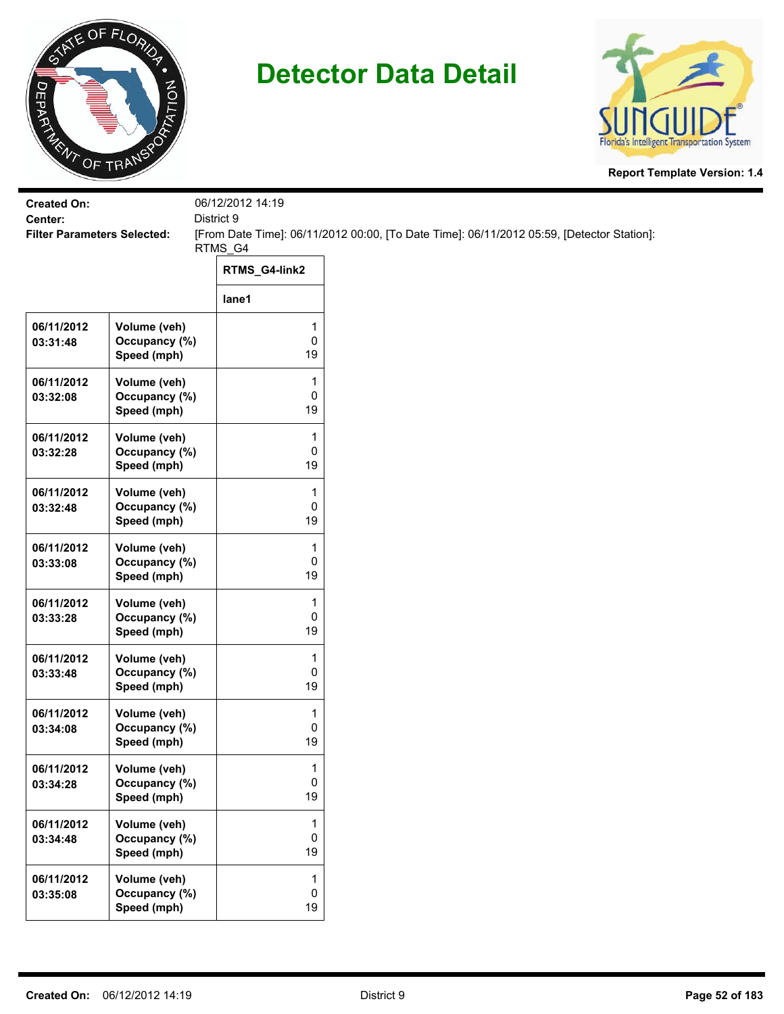



| <b>Created On:</b><br>Center:      |                                              | 06/12/2012 14:19<br>District 9 |                                                                                           |
|------------------------------------|----------------------------------------------|--------------------------------|-------------------------------------------------------------------------------------------|
| <b>Filter Parameters Selected:</b> |                                              | RTMS_G4                        | [From Date Time]: 06/11/2012 00:00, [To Date Time]: 06/11/2012 05:59, [Detector Station]: |
|                                    |                                              | RTMS_G4-link2                  |                                                                                           |
|                                    |                                              | lane1                          |                                                                                           |
| 06/11/2012<br>03:31:48             | Volume (veh)<br>Occupancy (%)<br>Speed (mph) | 1<br>0<br>19                   |                                                                                           |
| 06/11/2012<br>03:32:08             | Volume (veh)<br>Occupancy (%)<br>Speed (mph) | 1<br>0<br>19                   |                                                                                           |
| 06/11/2012<br>03:32:28             | Volume (veh)<br>Occupancy (%)<br>Speed (mph) | 1<br>0<br>19                   |                                                                                           |
| 06/11/2012<br>03:32:48             | Volume (veh)<br>Occupancy (%)<br>Speed (mph) | 1<br>0<br>19                   |                                                                                           |
| 06/11/2012<br>03:33:08             | Volume (veh)<br>Occupancy (%)<br>Speed (mph) | 1<br>0<br>19                   |                                                                                           |
| 06/11/2012<br>03:33:28             | Volume (veh)<br>Occupancy (%)<br>Speed (mph) | 1<br>0<br>19                   |                                                                                           |
| 06/11/2012<br>03:33:48             | Volume (veh)<br>Occupancy (%)<br>Speed (mph) | 1<br>0<br>19                   |                                                                                           |
| 06/11/2012<br>03:34:08             | Volume (veh)<br>Occupancy (%)<br>Speed (mph) | 1<br>0<br>19                   |                                                                                           |
| 06/11/2012<br>03:34:28             | Volume (veh)<br>Occupancy (%)<br>Speed (mph) | 1<br>0<br>19                   |                                                                                           |
| 06/11/2012<br>03:34:48             | Volume (veh)<br>Occupancy (%)<br>Speed (mph) | 1<br>0<br>19                   |                                                                                           |
| 06/11/2012<br>03:35:08             | Volume (veh)<br>Occupancy (%)<br>Speed (mph) | 1<br>0<br>19                   |                                                                                           |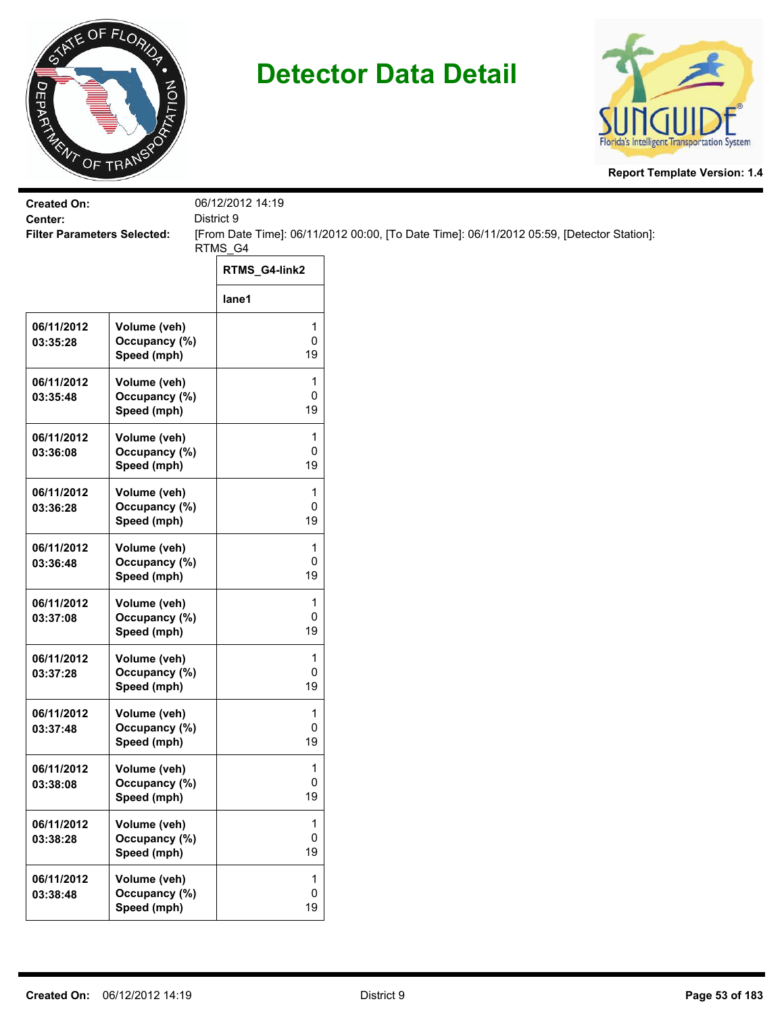



| <b>Created On:</b><br>Center:      |                                              | 06/12/2012 14:19<br>District 9 |                                                                                           |
|------------------------------------|----------------------------------------------|--------------------------------|-------------------------------------------------------------------------------------------|
| <b>Filter Parameters Selected:</b> |                                              | RTMS_G4                        | [From Date Time]: 06/11/2012 00:00, [To Date Time]: 06/11/2012 05:59, [Detector Station]: |
|                                    |                                              | RTMS_G4-link2                  |                                                                                           |
|                                    |                                              | lane1                          |                                                                                           |
| 06/11/2012<br>03:35:28             | Volume (veh)<br>Occupancy (%)<br>Speed (mph) | 1<br>0<br>19                   |                                                                                           |
| 06/11/2012<br>03:35:48             | Volume (veh)<br>Occupancy (%)<br>Speed (mph) | 1<br>0<br>19                   |                                                                                           |
| 06/11/2012<br>03:36:08             | Volume (veh)<br>Occupancy (%)<br>Speed (mph) | 1<br>0<br>19                   |                                                                                           |
| 06/11/2012<br>03:36:28             | Volume (veh)<br>Occupancy (%)<br>Speed (mph) | 1<br>0<br>19                   |                                                                                           |
| 06/11/2012<br>03:36:48             | Volume (veh)<br>Occupancy (%)<br>Speed (mph) | 1<br>0<br>19                   |                                                                                           |
| 06/11/2012<br>03:37:08             | Volume (veh)<br>Occupancy (%)<br>Speed (mph) | 1<br>0<br>19                   |                                                                                           |
| 06/11/2012<br>03:37:28             | Volume (veh)<br>Occupancy (%)<br>Speed (mph) | 1<br>0<br>19                   |                                                                                           |
| 06/11/2012<br>03:37:48             | Volume (veh)<br>Occupancy (%)<br>Speed (mph) | 1<br>0<br>19                   |                                                                                           |
| 06/11/2012<br>03:38:08             | Volume (veh)<br>Occupancy (%)<br>Speed (mph) | 1<br>0<br>19                   |                                                                                           |
| 06/11/2012<br>03:38:28             | Volume (veh)<br>Occupancy (%)<br>Speed (mph) | 1<br>0<br>19                   |                                                                                           |
| 06/11/2012<br>03:38:48             | Volume (veh)<br>Occupancy (%)<br>Speed (mph) | 1<br>0<br>19                   |                                                                                           |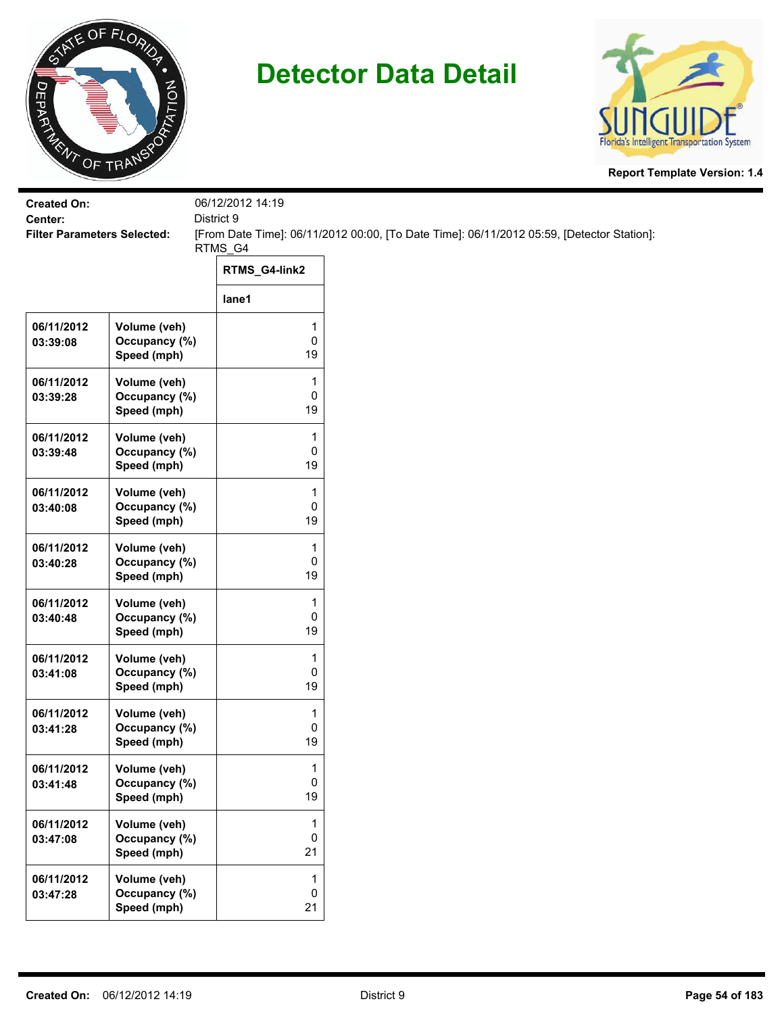



| <b>Created On:</b><br>Center:      |                                              | 06/12/2012 14:19<br>District 9 |                                                                                           |
|------------------------------------|----------------------------------------------|--------------------------------|-------------------------------------------------------------------------------------------|
| <b>Filter Parameters Selected:</b> |                                              | RTMS_G4                        | [From Date Time]: 06/11/2012 00:00, [To Date Time]: 06/11/2012 05:59, [Detector Station]: |
|                                    |                                              | RTMS_G4-link2                  |                                                                                           |
|                                    |                                              | lane1                          |                                                                                           |
| 06/11/2012<br>03:39:08             | Volume (veh)<br>Occupancy (%)<br>Speed (mph) | 1<br>0<br>19                   |                                                                                           |
| 06/11/2012<br>03:39:28             | Volume (veh)<br>Occupancy (%)<br>Speed (mph) | 1<br>0<br>19                   |                                                                                           |
| 06/11/2012<br>03:39:48             | Volume (veh)<br>Occupancy (%)<br>Speed (mph) | 1<br>0<br>19                   |                                                                                           |
| 06/11/2012<br>03:40:08             | Volume (veh)<br>Occupancy (%)<br>Speed (mph) | 1<br>0<br>19                   |                                                                                           |
| 06/11/2012<br>03:40:28             | Volume (veh)<br>Occupancy (%)<br>Speed (mph) | 1<br>0<br>19                   |                                                                                           |
| 06/11/2012<br>03:40:48             | Volume (veh)<br>Occupancy (%)<br>Speed (mph) | 1<br>0<br>19                   |                                                                                           |
| 06/11/2012<br>03:41:08             | Volume (veh)<br>Occupancy (%)<br>Speed (mph) | 1<br>0<br>19                   |                                                                                           |
| 06/11/2012<br>03:41:28             | Volume (veh)<br>Occupancy (%)<br>Speed (mph) | 1<br>0<br>19                   |                                                                                           |
| 06/11/2012<br>03:41:48             | Volume (veh)<br>Occupancy (%)<br>Speed (mph) | 1<br>0<br>19                   |                                                                                           |
| 06/11/2012<br>03:47:08             | Volume (veh)<br>Occupancy (%)<br>Speed (mph) | $\mathbf{1}$<br>0<br>21        |                                                                                           |
| 06/11/2012<br>03:47:28             | Volume (veh)<br>Occupancy (%)<br>Speed (mph) | $\mathbf{1}$<br>0<br>21        |                                                                                           |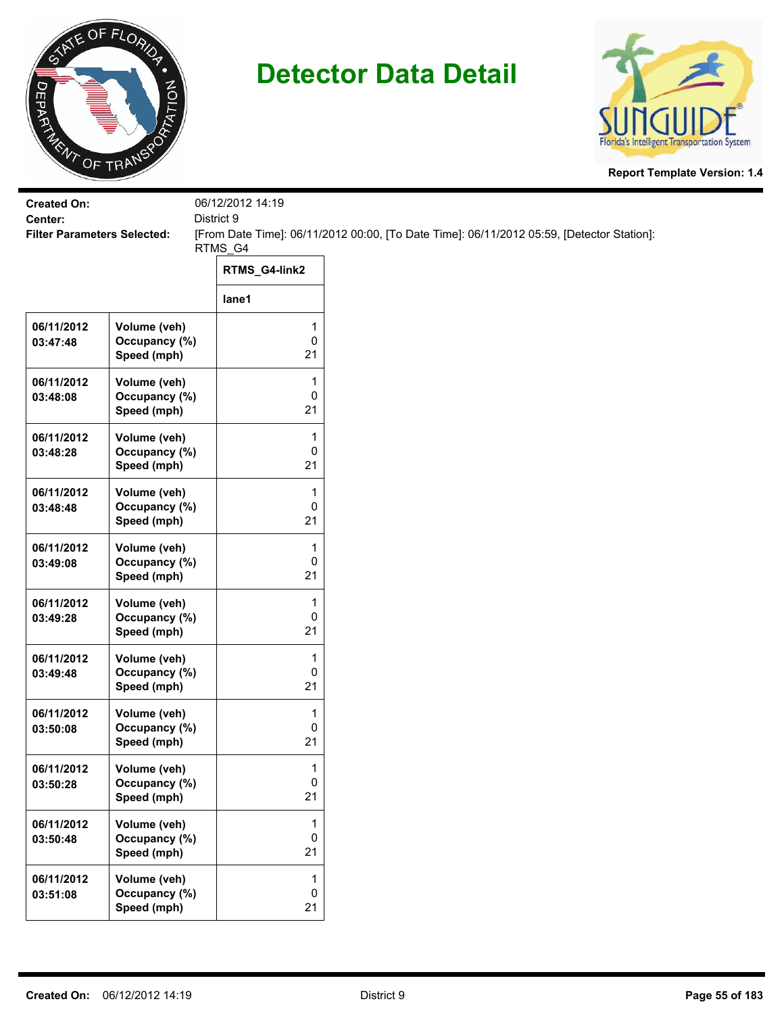



| <b>Created On:</b><br>Center:      |                                              | 06/12/2012 14:19        |                                                                                           |
|------------------------------------|----------------------------------------------|-------------------------|-------------------------------------------------------------------------------------------|
| <b>Filter Parameters Selected:</b> |                                              | District 9<br>RTMS_G4   | [From Date Time]: 06/11/2012 00:00, [To Date Time]: 06/11/2012 05:59, [Detector Station]: |
|                                    |                                              | RTMS_G4-link2           |                                                                                           |
|                                    |                                              | lane1                   |                                                                                           |
| 06/11/2012<br>03:47:48             | Volume (veh)<br>Occupancy (%)<br>Speed (mph) | 1<br>0<br>21            |                                                                                           |
| 06/11/2012<br>03:48:08             | Volume (veh)<br>Occupancy (%)<br>Speed (mph) | 1<br>0<br>21            |                                                                                           |
| 06/11/2012<br>03:48:28             | Volume (veh)<br>Occupancy (%)<br>Speed (mph) | 1<br>0<br>21            |                                                                                           |
| 06/11/2012<br>03:48:48             | Volume (veh)<br>Occupancy (%)<br>Speed (mph) | 1<br>0<br>21            |                                                                                           |
| 06/11/2012<br>03:49:08             | Volume (veh)<br>Occupancy (%)<br>Speed (mph) | $\mathbf{1}$<br>0<br>21 |                                                                                           |
| 06/11/2012<br>03:49:28             | Volume (veh)<br>Occupancy (%)<br>Speed (mph) | 1<br>0<br>21            |                                                                                           |
| 06/11/2012<br>03:49:48             | Volume (veh)<br>Occupancy (%)<br>Speed (mph) | 1<br>0<br>21            |                                                                                           |
| 06/11/2012<br>03:50:08             | Volume (veh)<br>Occupancy (%)<br>Speed (mph) | 1<br>0<br>21            |                                                                                           |
| 06/11/2012<br>03:50:28             | Volume (veh)<br>Occupancy (%)<br>Speed (mph) | 1<br>0<br>21            |                                                                                           |
| 06/11/2012<br>03:50:48             | Volume (veh)<br>Occupancy (%)<br>Speed (mph) | $\mathbf{1}$<br>0<br>21 |                                                                                           |
| 06/11/2012<br>03:51:08             | Volume (veh)<br>Occupancy (%)<br>Speed (mph) | 1<br>$\pmb{0}$<br>21    |                                                                                           |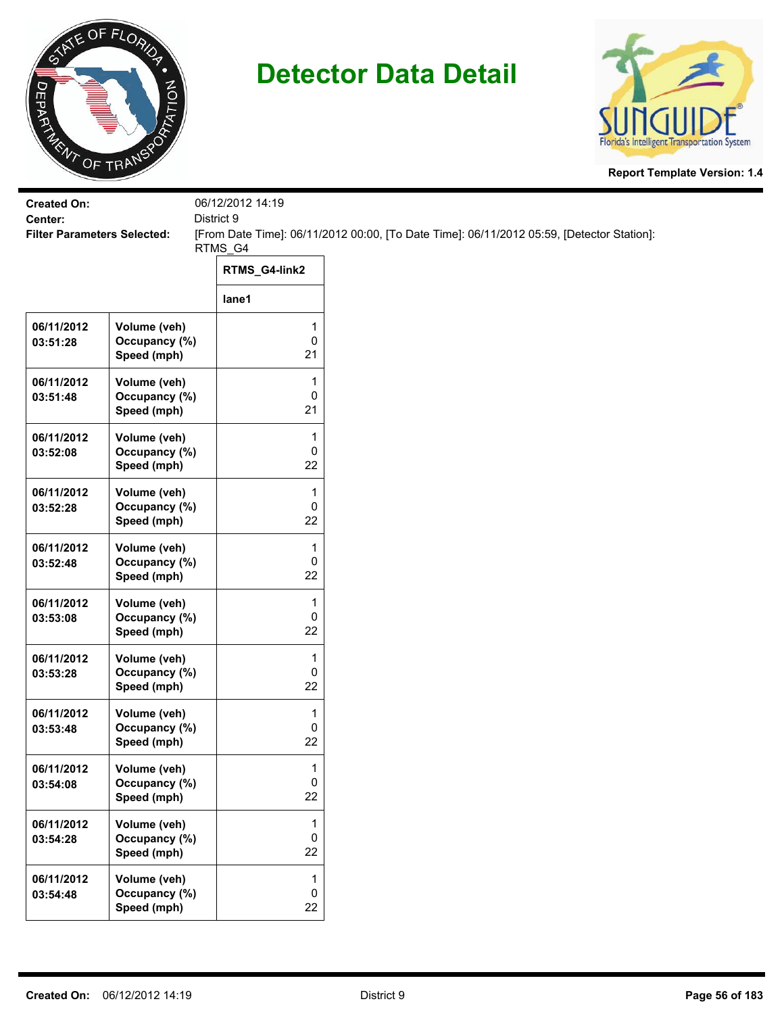



| <b>Created On:</b><br>Center:      |                                              | 06/12/2012 14:19<br>District 9 |                                                                                           |
|------------------------------------|----------------------------------------------|--------------------------------|-------------------------------------------------------------------------------------------|
| <b>Filter Parameters Selected:</b> |                                              |                                | [From Date Time]: 06/11/2012 00:00, [To Date Time]: 06/11/2012 05:59, [Detector Station]: |
|                                    |                                              | RTMS_G4<br>RTMS_G4-link2       |                                                                                           |
|                                    |                                              | lane1                          |                                                                                           |
| 06/11/2012<br>03:51:28             | Volume (veh)<br>Occupancy (%)<br>Speed (mph) | 1<br>0<br>21                   |                                                                                           |
| 06/11/2012<br>03:51:48             | Volume (veh)<br>Occupancy (%)<br>Speed (mph) | 1<br>0<br>21                   |                                                                                           |
| 06/11/2012<br>03:52:08             | Volume (veh)<br>Occupancy (%)<br>Speed (mph) | 1<br>0<br>22                   |                                                                                           |
| 06/11/2012<br>03:52:28             | Volume (veh)<br>Occupancy (%)<br>Speed (mph) | 1<br>0<br>22                   |                                                                                           |
| 06/11/2012<br>03:52:48             | Volume (veh)<br>Occupancy (%)<br>Speed (mph) | 1<br>0<br>22                   |                                                                                           |
| 06/11/2012<br>03:53:08             | Volume (veh)<br>Occupancy (%)<br>Speed (mph) | 1<br>0<br>22                   |                                                                                           |
| 06/11/2012<br>03:53:28             | Volume (veh)<br>Occupancy (%)<br>Speed (mph) | 1<br>0<br>22                   |                                                                                           |
| 06/11/2012<br>03:53:48             | Volume (veh)<br>Occupancy (%)<br>Speed (mph) | 1<br>0<br>22                   |                                                                                           |
| 06/11/2012<br>03:54:08             | Volume (veh)<br>Occupancy (%)<br>Speed (mph) | 1<br>0<br>22                   |                                                                                           |
| 06/11/2012<br>03:54:28             | Volume (veh)<br>Occupancy (%)<br>Speed (mph) | 1<br>0<br>22                   |                                                                                           |
| 06/11/2012<br>03:54:48             | Volume (veh)<br>Occupancy (%)<br>Speed (mph) | 1<br>0<br>22                   |                                                                                           |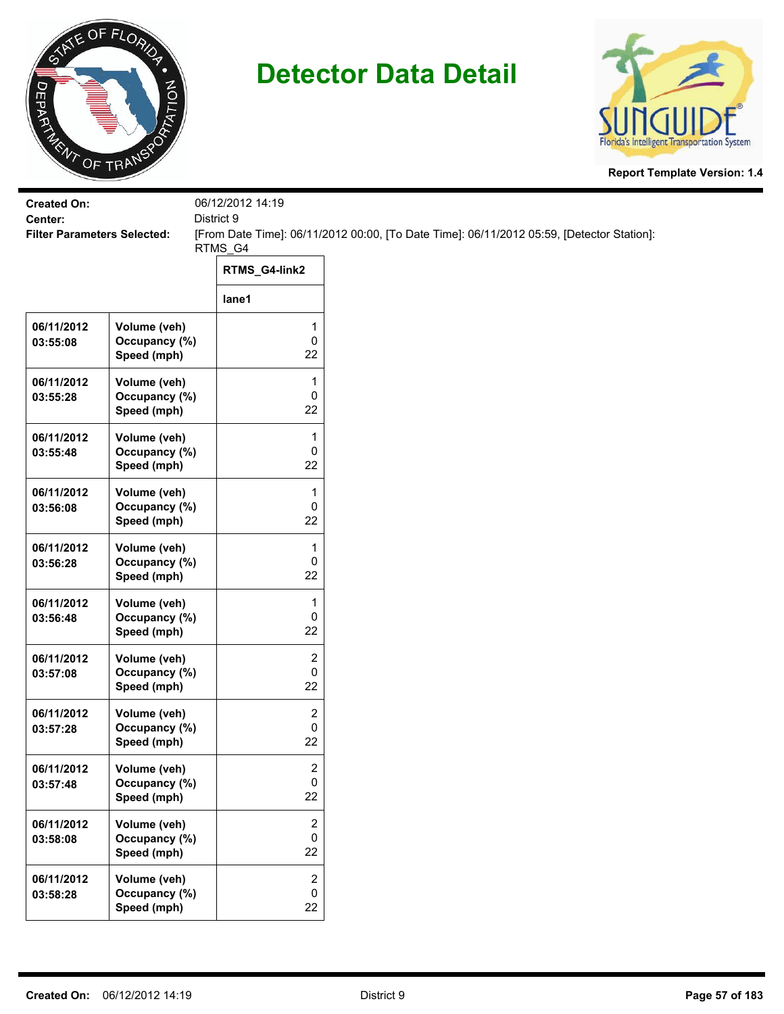



| <b>Created On:</b><br>Center:      |                                              | 06/12/2012 14:19<br>District 9     |                                                                                           |
|------------------------------------|----------------------------------------------|------------------------------------|-------------------------------------------------------------------------------------------|
| <b>Filter Parameters Selected:</b> |                                              | RTMS_G4                            | [From Date Time]: 06/11/2012 00:00, [To Date Time]: 06/11/2012 05:59, [Detector Station]: |
|                                    |                                              | RTMS_G4-link2                      |                                                                                           |
|                                    |                                              | lane1                              |                                                                                           |
| 06/11/2012<br>03:55:08             | Volume (veh)<br>Occupancy (%)<br>Speed (mph) | 1<br>0<br>22                       |                                                                                           |
| 06/11/2012<br>03:55:28             | Volume (veh)<br>Occupancy (%)<br>Speed (mph) | 1<br>0<br>22                       |                                                                                           |
| 06/11/2012<br>03:55:48             | Volume (veh)<br>Occupancy (%)<br>Speed (mph) | 1<br>0<br>22                       |                                                                                           |
| 06/11/2012<br>03:56:08             | Volume (veh)<br>Occupancy (%)<br>Speed (mph) | 1<br>0<br>22                       |                                                                                           |
| 06/11/2012<br>03:56:28             | Volume (veh)<br>Occupancy (%)<br>Speed (mph) | 1<br>0<br>22                       |                                                                                           |
| 06/11/2012<br>03:56:48             | Volume (veh)<br>Occupancy (%)<br>Speed (mph) | 1<br>0<br>22                       |                                                                                           |
| 06/11/2012<br>03:57:08             | Volume (veh)<br>Occupancy (%)<br>Speed (mph) | 2<br>0<br>22                       |                                                                                           |
| 06/11/2012<br>03:57:28             | Volume (veh)<br>Occupancy (%)<br>Speed (mph) | 2<br>0<br>22                       |                                                                                           |
| 06/11/2012<br>03:57:48             | Volume (veh)<br>Occupancy (%)<br>Speed (mph) | $\overline{\mathbf{c}}$<br>0<br>22 |                                                                                           |
| 06/11/2012<br>03:58:08             | Volume (veh)<br>Occupancy (%)<br>Speed (mph) | 2<br>0<br>22                       |                                                                                           |
| 06/11/2012<br>03:58:28             | Volume (veh)<br>Occupancy (%)<br>Speed (mph) | $\overline{c}$<br>0<br>22          |                                                                                           |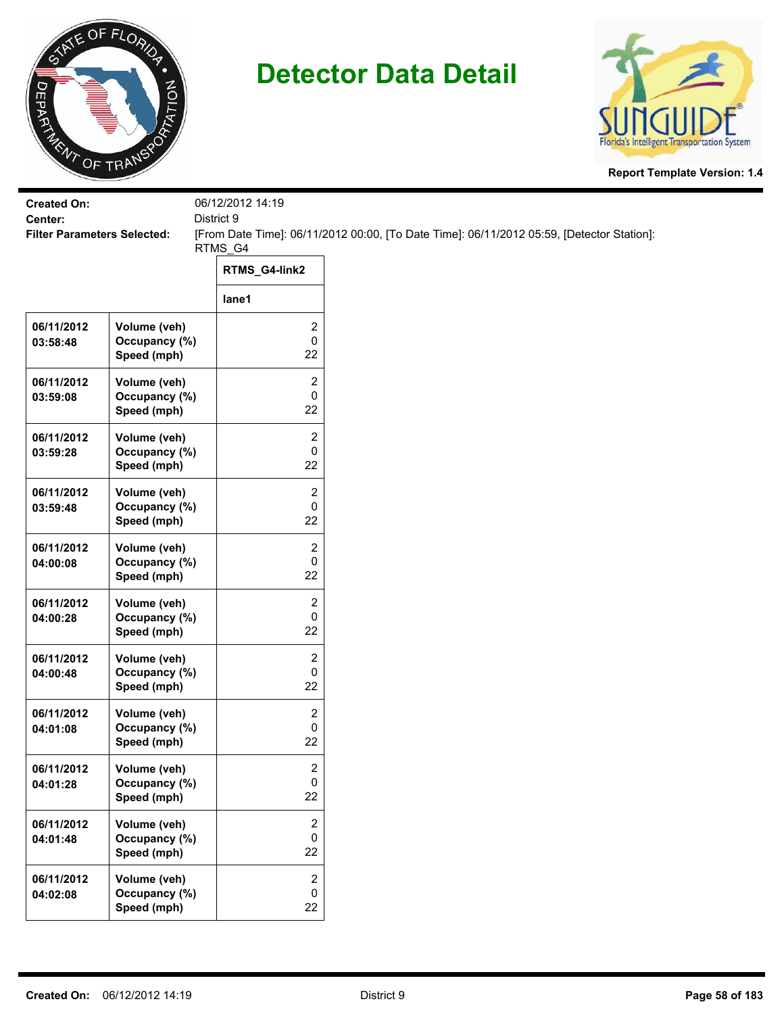



| <b>Created On:</b>                            |                                              | 06/12/2012 14:19                                                                                                   |
|-----------------------------------------------|----------------------------------------------|--------------------------------------------------------------------------------------------------------------------|
| Center:<br><b>Filter Parameters Selected:</b> |                                              | District 9<br>[From Date Time]: 06/11/2012 00:00, [To Date Time]: 06/11/2012 05:59, [Detector Station]:<br>RTMS_G4 |
|                                               |                                              | RTMS_G4-link2                                                                                                      |
|                                               |                                              | lane1                                                                                                              |
| 06/11/2012<br>03:58:48                        | Volume (veh)<br>Occupancy (%)<br>Speed (mph) | 2<br>$\pmb{0}$<br>22                                                                                               |
| 06/11/2012<br>03:59:08                        | Volume (veh)<br>Occupancy (%)<br>Speed (mph) | 2<br>0<br>22                                                                                                       |
| 06/11/2012<br>03:59:28                        | Volume (veh)<br>Occupancy (%)<br>Speed (mph) | 2<br>0<br>22                                                                                                       |
| 06/11/2012<br>03:59:48                        | Volume (veh)<br>Occupancy (%)<br>Speed (mph) | 2<br>0<br>22                                                                                                       |
| 06/11/2012<br>04:00:08                        | Volume (veh)<br>Occupancy (%)<br>Speed (mph) | $\overline{2}$<br>0<br>22                                                                                          |
| 06/11/2012<br>04:00:28                        | Volume (veh)<br>Occupancy (%)<br>Speed (mph) | 2<br>$\pmb{0}$<br>22                                                                                               |
| 06/11/2012<br>04:00:48                        | Volume (veh)<br>Occupancy (%)<br>Speed (mph) | 2<br>$\pmb{0}$<br>22                                                                                               |
| 06/11/2012<br>04:01:08                        | Volume (veh)<br>Occupancy (%)<br>Speed (mph) | 2<br>0<br>22                                                                                                       |
| 06/11/2012<br>04:01:28                        | Volume (veh)<br>Occupancy (%)<br>Speed (mph) | 2<br>$\mathbf 0$<br>22                                                                                             |
| 06/11/2012<br>04:01:48                        | Volume (veh)<br>Occupancy (%)<br>Speed (mph) | $\overline{c}$<br>$\mathbf 0$<br>22                                                                                |
| 06/11/2012<br>04:02:08                        | Volume (veh)<br>Occupancy (%)<br>Speed (mph) | $\overline{2}$<br>$\pmb{0}$<br>22                                                                                  |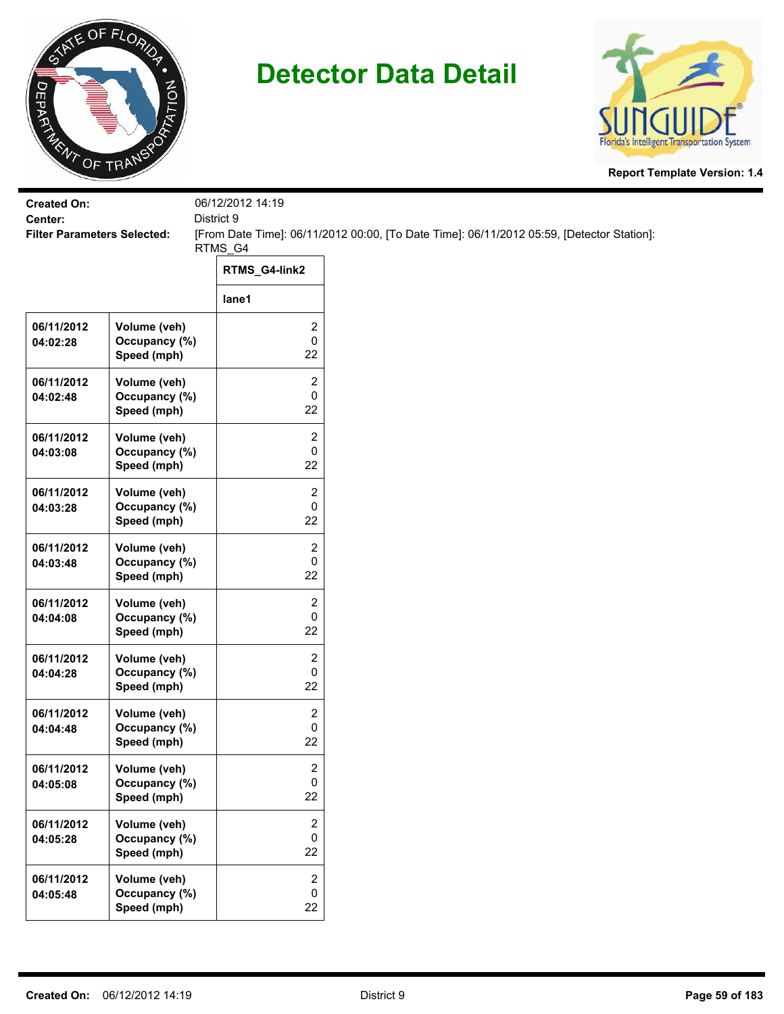



| <b>Created On:</b>                            |                                              | 06/12/2012 14:19<br>District 9     |                                                                                           |
|-----------------------------------------------|----------------------------------------------|------------------------------------|-------------------------------------------------------------------------------------------|
| Center:<br><b>Filter Parameters Selected:</b> |                                              |                                    | [From Date Time]: 06/11/2012 00:00, [To Date Time]: 06/11/2012 05:59, [Detector Station]: |
|                                               |                                              | RTMS_G4                            |                                                                                           |
|                                               |                                              | RTMS_G4-link2                      |                                                                                           |
|                                               |                                              | lane1                              |                                                                                           |
| 06/11/2012<br>04:02:28                        | Volume (veh)<br>Occupancy (%)<br>Speed (mph) | 2<br>0<br>22                       |                                                                                           |
| 06/11/2012<br>04:02:48                        | Volume (veh)<br>Occupancy (%)<br>Speed (mph) | 2<br>0<br>22                       |                                                                                           |
| 06/11/2012<br>04:03:08                        | Volume (veh)<br>Occupancy (%)<br>Speed (mph) | 2<br>0<br>22                       |                                                                                           |
| 06/11/2012<br>04:03:28                        | Volume (veh)<br>Occupancy (%)<br>Speed (mph) | 2<br>0<br>22                       |                                                                                           |
| 06/11/2012<br>04:03:48                        | Volume (veh)<br>Occupancy (%)<br>Speed (mph) | 2<br>0<br>22                       |                                                                                           |
| 06/11/2012<br>04:04:08                        | Volume (veh)<br>Occupancy (%)<br>Speed (mph) | 2<br>0<br>22                       |                                                                                           |
| 06/11/2012<br>04:04:28                        | Volume (veh)<br>Occupancy (%)<br>Speed (mph) | 2<br>0<br>22                       |                                                                                           |
| 06/11/2012<br>04:04:48                        | Volume (veh)<br>Occupancy (%)<br>Speed (mph) | 2<br>0<br>22                       |                                                                                           |
| 06/11/2012<br>04:05:08                        | Volume (veh)<br>Occupancy (%)<br>Speed (mph) | $\overline{\mathbf{c}}$<br>0<br>22 |                                                                                           |
| 06/11/2012<br>04:05:28                        | Volume (veh)<br>Occupancy (%)<br>Speed (mph) | 2<br>0<br>22                       |                                                                                           |
| 06/11/2012<br>04:05:48                        | Volume (veh)<br>Occupancy (%)<br>Speed (mph) | $\overline{2}$<br>0<br>22          |                                                                                           |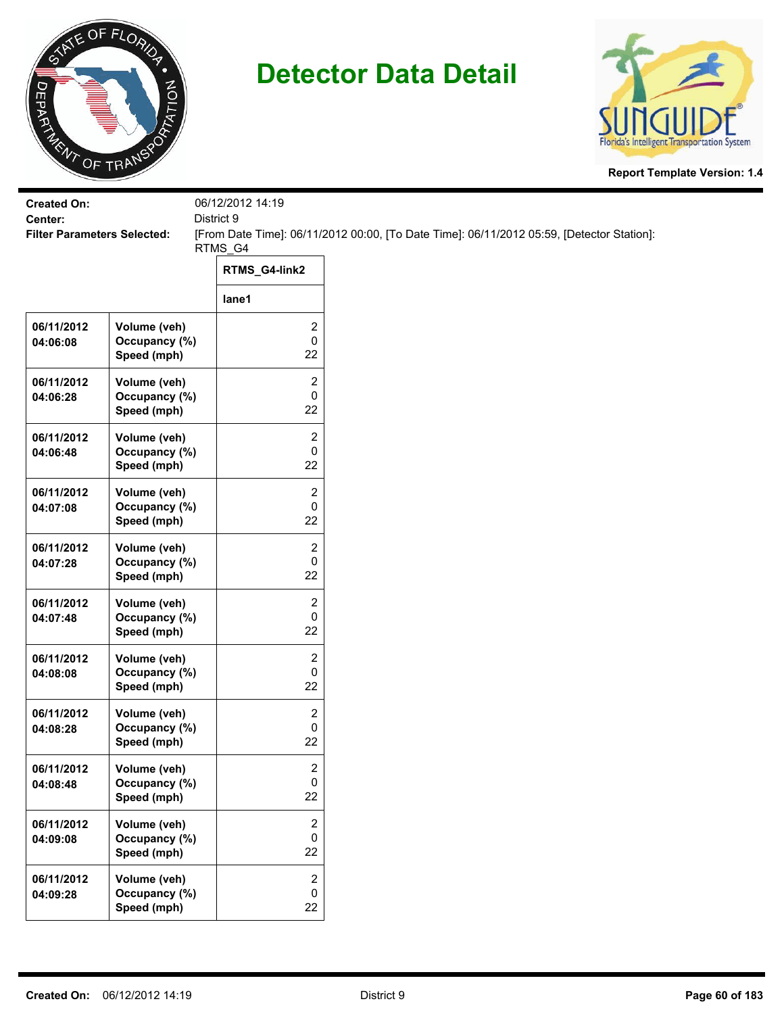



| <b>Created On:</b><br>Center:      |                                              | 06/12/2012 14:19<br>District 9     |                                                                                           |
|------------------------------------|----------------------------------------------|------------------------------------|-------------------------------------------------------------------------------------------|
| <b>Filter Parameters Selected:</b> |                                              |                                    | [From Date Time]: 06/11/2012 00:00, [To Date Time]: 06/11/2012 05:59, [Detector Station]: |
|                                    |                                              | RTMS_G4                            |                                                                                           |
|                                    |                                              | RTMS_G4-link2                      |                                                                                           |
|                                    |                                              | lane1                              |                                                                                           |
| 06/11/2012<br>04:06:08             | Volume (veh)<br>Occupancy (%)<br>Speed (mph) | 2<br>0<br>22                       |                                                                                           |
| 06/11/2012<br>04:06:28             | Volume (veh)<br>Occupancy (%)<br>Speed (mph) | 2<br>0<br>22                       |                                                                                           |
| 06/11/2012<br>04:06:48             | Volume (veh)<br>Occupancy (%)<br>Speed (mph) | 2<br>0<br>22                       |                                                                                           |
| 06/11/2012<br>04:07:08             | Volume (veh)<br>Occupancy (%)<br>Speed (mph) | 2<br>0<br>22                       |                                                                                           |
| 06/11/2012<br>04:07:28             | Volume (veh)<br>Occupancy (%)<br>Speed (mph) | 2<br>0<br>22                       |                                                                                           |
| 06/11/2012<br>04:07:48             | Volume (veh)<br>Occupancy (%)<br>Speed (mph) | 2<br>0<br>22                       |                                                                                           |
| 06/11/2012<br>04:08:08             | Volume (veh)<br>Occupancy (%)<br>Speed (mph) | 2<br>0<br>22                       |                                                                                           |
| 06/11/2012<br>04:08:28             | Volume (veh)<br>Occupancy (%)<br>Speed (mph) | 2<br>0<br>22                       |                                                                                           |
| 06/11/2012<br>04:08:48             | Volume (veh)<br>Occupancy (%)<br>Speed (mph) | $\overline{\mathbf{c}}$<br>0<br>22 |                                                                                           |
| 06/11/2012<br>04:09:08             | Volume (veh)<br>Occupancy (%)<br>Speed (mph) | 2<br>0<br>22                       |                                                                                           |
| 06/11/2012<br>04:09:28             | Volume (veh)<br>Occupancy (%)<br>Speed (mph) | $\overline{2}$<br>0<br>22          |                                                                                           |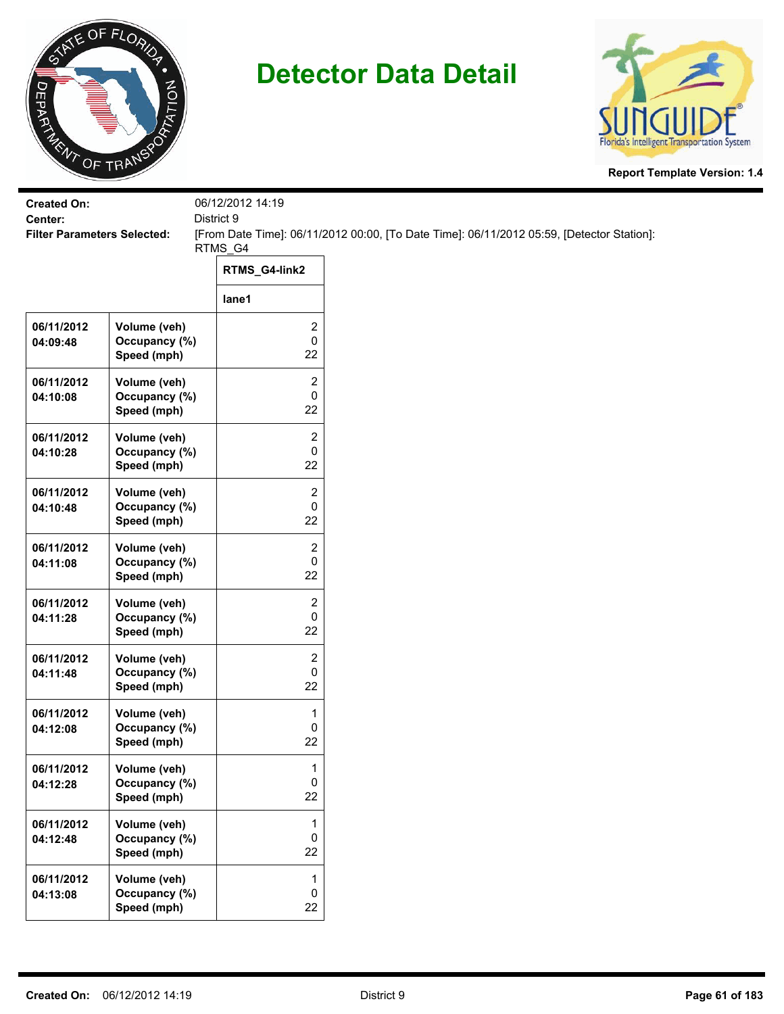



| <b>Created On:</b><br>District 9<br>Center: |                                              | 06/12/2012 14:19                   |                                                                                           |
|---------------------------------------------|----------------------------------------------|------------------------------------|-------------------------------------------------------------------------------------------|
| <b>Filter Parameters Selected:</b>          |                                              |                                    | [From Date Time]: 06/11/2012 00:00, [To Date Time]: 06/11/2012 05:59, [Detector Station]: |
|                                             |                                              | RTMS_G4                            |                                                                                           |
|                                             |                                              | RTMS_G4-link2                      |                                                                                           |
|                                             |                                              | lane1                              |                                                                                           |
| 06/11/2012<br>04:09:48                      | Volume (veh)<br>Occupancy (%)<br>Speed (mph) | 2<br>0<br>22                       |                                                                                           |
| 06/11/2012<br>04:10:08                      | Volume (veh)<br>Occupancy (%)<br>Speed (mph) | $\overline{\mathbf{c}}$<br>0<br>22 |                                                                                           |
| 06/11/2012<br>04:10:28                      | Volume (veh)<br>Occupancy (%)<br>Speed (mph) | 2<br>0<br>22                       |                                                                                           |
| 06/11/2012<br>04:10:48                      | Volume (veh)<br>Occupancy (%)<br>Speed (mph) | 2<br>0<br>22                       |                                                                                           |
| 06/11/2012<br>04:11:08                      | Volume (veh)<br>Occupancy (%)<br>Speed (mph) | 2<br>0<br>22                       |                                                                                           |
| 06/11/2012<br>04:11:28                      | Volume (veh)<br>Occupancy (%)<br>Speed (mph) | 2<br>0<br>22                       |                                                                                           |
| 06/11/2012<br>04:11:48                      | Volume (veh)<br>Occupancy (%)<br>Speed (mph) | 2<br>0<br>22                       |                                                                                           |
| 06/11/2012<br>04:12:08                      | Volume (veh)<br>Occupancy (%)<br>Speed (mph) | 1<br>0<br>22                       |                                                                                           |
| 06/11/2012<br>04:12:28                      | Volume (veh)<br>Occupancy (%)<br>Speed (mph) | 1<br>0<br>22                       |                                                                                           |
| 06/11/2012<br>04:12:48                      | Volume (veh)<br>Occupancy (%)<br>Speed (mph) | 1<br>0<br>22                       |                                                                                           |
| 06/11/2012<br>04:13:08                      | Volume (veh)<br>Occupancy (%)<br>Speed (mph) | $\mathbf{1}$<br>$\pmb{0}$<br>22    |                                                                                           |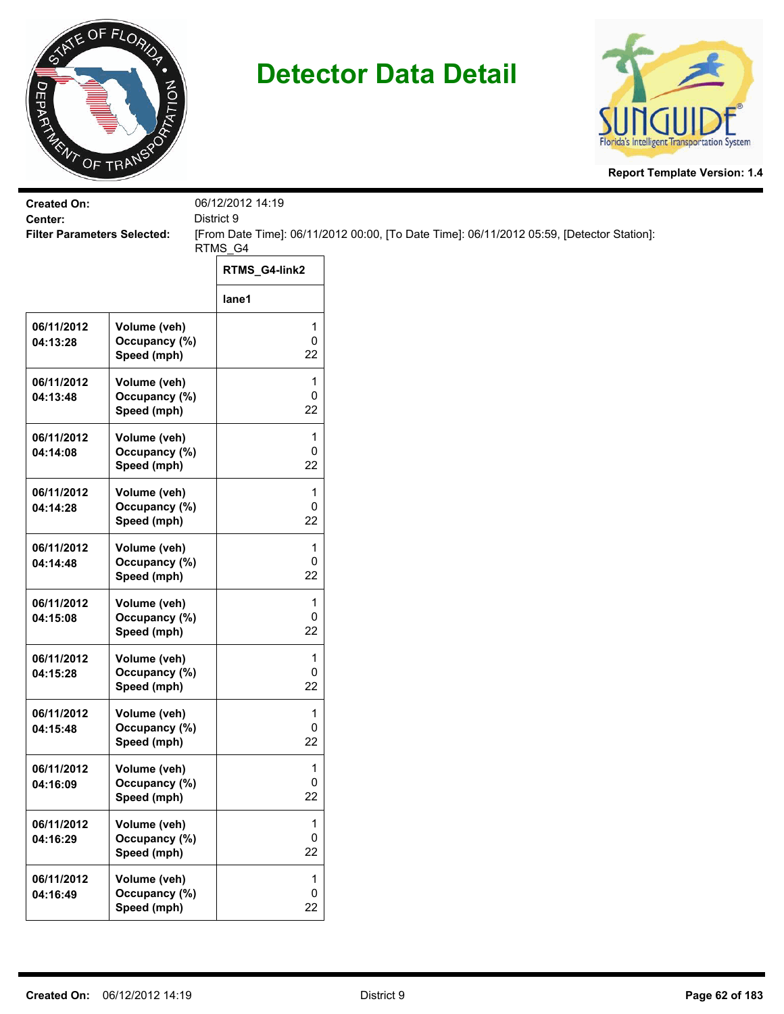



| <b>Created On:</b><br>Center:      |                                              | 06/12/2012 14:19<br>District 9 |                                                                                           |
|------------------------------------|----------------------------------------------|--------------------------------|-------------------------------------------------------------------------------------------|
| <b>Filter Parameters Selected:</b> |                                              | RTMS_G4                        | [From Date Time]: 06/11/2012 00:00, [To Date Time]: 06/11/2012 05:59, [Detector Station]: |
|                                    |                                              | RTMS_G4-link2                  |                                                                                           |
|                                    |                                              | lane1                          |                                                                                           |
| 06/11/2012<br>04:13:28             | Volume (veh)<br>Occupancy (%)<br>Speed (mph) | 1<br>0<br>22                   |                                                                                           |
| 06/11/2012<br>04:13:48             | Volume (veh)<br>Occupancy (%)<br>Speed (mph) | 1<br>0<br>22                   |                                                                                           |
| 06/11/2012<br>04:14:08             | Volume (veh)<br>Occupancy (%)<br>Speed (mph) | 1<br>0<br>22                   |                                                                                           |
| 06/11/2012<br>04:14:28             | Volume (veh)<br>Occupancy (%)<br>Speed (mph) | 1<br>0<br>22                   |                                                                                           |
| 06/11/2012<br>04:14:48             | Volume (veh)<br>Occupancy (%)<br>Speed (mph) | $\mathbf{1}$<br>0<br>22        |                                                                                           |
| 06/11/2012<br>04:15:08             | Volume (veh)<br>Occupancy (%)<br>Speed (mph) | 1<br>0<br>22                   |                                                                                           |
| 06/11/2012<br>04:15:28             | Volume (veh)<br>Occupancy (%)<br>Speed (mph) | 1<br>0<br>22                   |                                                                                           |
| 06/11/2012<br>04:15:48             | Volume (veh)<br>Occupancy (%)<br>Speed (mph) | 1<br>0<br>22                   |                                                                                           |
| 06/11/2012<br>04:16:09             | Volume (veh)<br>Occupancy (%)<br>Speed (mph) | 1<br>0<br>22                   |                                                                                           |
| 06/11/2012<br>04:16:29             | Volume (veh)<br>Occupancy (%)<br>Speed (mph) | 1<br>0<br>22                   |                                                                                           |
| 06/11/2012<br>04:16:49             | Volume (veh)<br>Occupancy (%)<br>Speed (mph) | 1<br>$\pmb{0}$<br>22           |                                                                                           |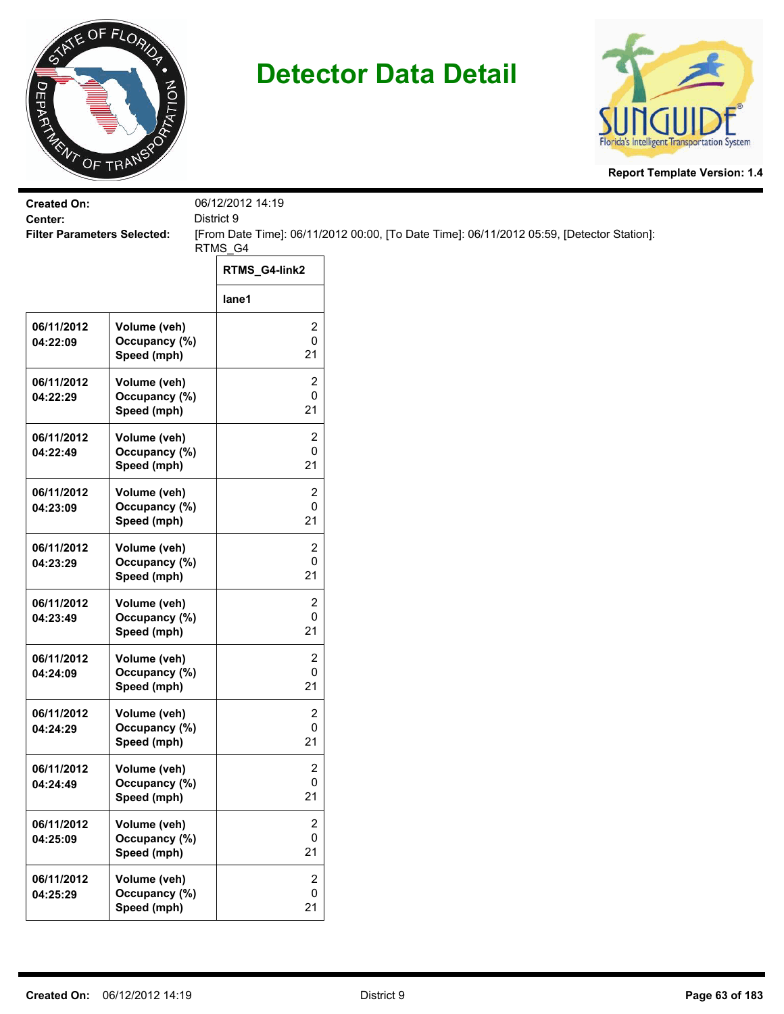



| <b>Created On:</b><br>Center:      |                                              | 06/12/2012 14:19<br>District 9    |                                                                                           |  |
|------------------------------------|----------------------------------------------|-----------------------------------|-------------------------------------------------------------------------------------------|--|
| <b>Filter Parameters Selected:</b> |                                              |                                   | [From Date Time]: 06/11/2012 00:00, [To Date Time]: 06/11/2012 05:59, [Detector Station]: |  |
|                                    |                                              | RTMS_G4                           |                                                                                           |  |
|                                    |                                              | RTMS_G4-link2                     |                                                                                           |  |
|                                    |                                              | lane1                             |                                                                                           |  |
| 06/11/2012<br>04:22:09             | Volume (veh)<br>Occupancy (%)<br>Speed (mph) | 2<br>0<br>21                      |                                                                                           |  |
| 06/11/2012<br>04:22:29             | Volume (veh)<br>Occupancy (%)<br>Speed (mph) | 2<br>0<br>21                      |                                                                                           |  |
| 06/11/2012<br>04:22:49             | Volume (veh)<br>Occupancy (%)<br>Speed (mph) | 2<br>0<br>21                      |                                                                                           |  |
| 06/11/2012<br>04:23:09             | Volume (veh)<br>Occupancy (%)<br>Speed (mph) | 2<br>0<br>21                      |                                                                                           |  |
| 06/11/2012<br>04:23:29             | Volume (veh)<br>Occupancy (%)<br>Speed (mph) | 2<br>0<br>21                      |                                                                                           |  |
| 06/11/2012<br>04:23:49             | Volume (veh)<br>Occupancy (%)<br>Speed (mph) | 2<br>0<br>21                      |                                                                                           |  |
| 06/11/2012<br>04:24:09             | Volume (veh)<br>Occupancy (%)<br>Speed (mph) | 2<br>0<br>21                      |                                                                                           |  |
| 06/11/2012<br>04:24:29             | Volume (veh)<br>Occupancy (%)<br>Speed (mph) | 2<br>0<br>21                      |                                                                                           |  |
| 06/11/2012<br>04:24:49             | Volume (veh)<br>Occupancy (%)<br>Speed (mph) | 2<br>0<br>21                      |                                                                                           |  |
| 06/11/2012<br>04:25:09             | Volume (veh)<br>Occupancy (%)<br>Speed (mph) | 2<br>0<br>21                      |                                                                                           |  |
| 06/11/2012<br>04:25:29             | Volume (veh)<br>Occupancy (%)<br>Speed (mph) | $\overline{2}$<br>$\pmb{0}$<br>21 |                                                                                           |  |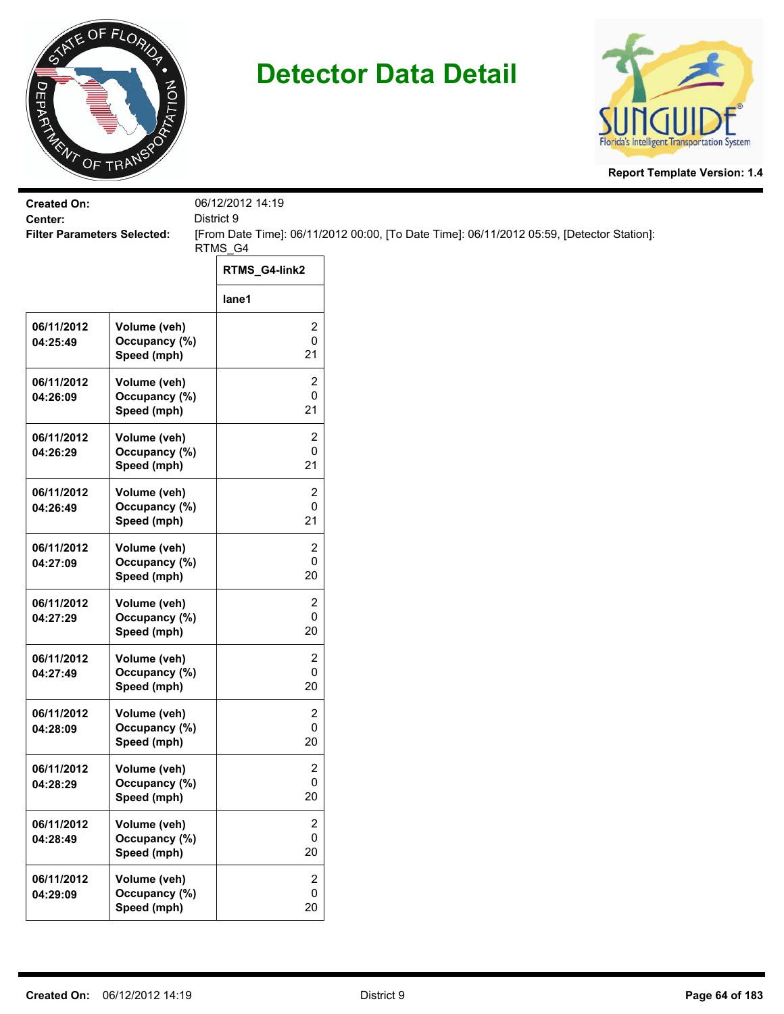



| <b>Created On:</b><br>District 9<br>Center: |                                              | 06/12/2012 14:19                   |                                                                                           |
|---------------------------------------------|----------------------------------------------|------------------------------------|-------------------------------------------------------------------------------------------|
| <b>Filter Parameters Selected:</b>          |                                              |                                    | [From Date Time]: 06/11/2012 00:00, [To Date Time]: 06/11/2012 05:59, [Detector Station]: |
|                                             |                                              | RTMS_G4                            |                                                                                           |
|                                             |                                              | RTMS_G4-link2                      |                                                                                           |
|                                             |                                              | lane1                              |                                                                                           |
| 06/11/2012<br>04:25:49                      | Volume (veh)<br>Occupancy (%)<br>Speed (mph) | 2<br>0<br>21                       |                                                                                           |
| 06/11/2012<br>04:26:09                      | Volume (veh)<br>Occupancy (%)<br>Speed (mph) | $\overline{c}$<br>0<br>21          |                                                                                           |
| 06/11/2012<br>04:26:29                      | Volume (veh)<br>Occupancy (%)<br>Speed (mph) | $\overline{c}$<br>0<br>21          |                                                                                           |
| 06/11/2012<br>04:26:49                      | Volume (veh)<br>Occupancy (%)<br>Speed (mph) | 2<br>0<br>21                       |                                                                                           |
| 06/11/2012<br>04:27:09                      | Volume (veh)<br>Occupancy (%)<br>Speed (mph) | 2<br>0<br>20                       |                                                                                           |
| 06/11/2012<br>04:27:29                      | Volume (veh)<br>Occupancy (%)<br>Speed (mph) | 2<br>0<br>20                       |                                                                                           |
| 06/11/2012<br>04:27:49                      | Volume (veh)<br>Occupancy (%)<br>Speed (mph) | $\overline{c}$<br>0<br>20          |                                                                                           |
| 06/11/2012<br>04:28:09                      | Volume (veh)<br>Occupancy (%)<br>Speed (mph) | 2<br>0<br>20                       |                                                                                           |
| 06/11/2012<br>04:28:29                      | Volume (veh)<br>Occupancy (%)<br>Speed (mph) | $\overline{\mathbf{c}}$<br>0<br>20 |                                                                                           |
| 06/11/2012<br>04:28:49                      | Volume (veh)<br>Occupancy (%)<br>Speed (mph) | $\overline{c}$<br>$\pmb{0}$<br>20  |                                                                                           |
| 06/11/2012<br>04:29:09                      | Volume (veh)<br>Occupancy (%)<br>Speed (mph) | 2<br>0<br>$20\,$                   |                                                                                           |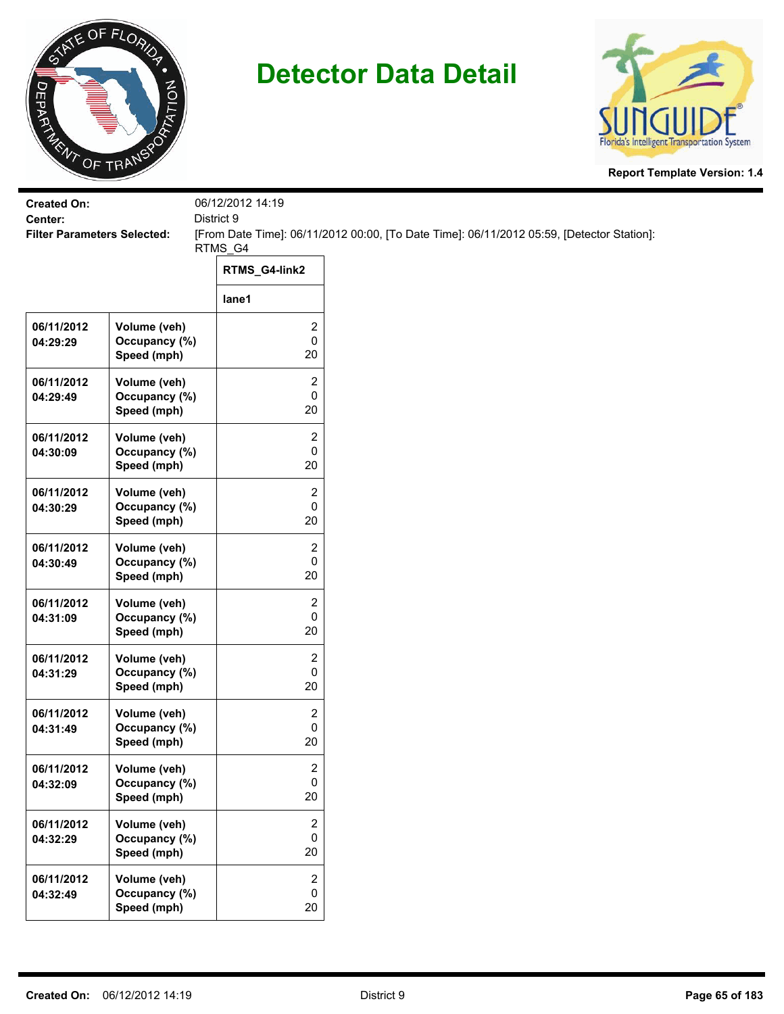



| <b>Created On:</b>                            |                               | 06/12/2012 14:19<br>District 9                                                            |                     |
|-----------------------------------------------|-------------------------------|-------------------------------------------------------------------------------------------|---------------------|
| Center:<br><b>Filter Parameters Selected:</b> |                               | [From Date Time]: 06/11/2012 00:00, [To Date Time]: 06/11/2012 05:59, [Detector Station]: |                     |
|                                               |                               | RTMS_G4                                                                                   |                     |
|                                               |                               | RTMS_G4-link2                                                                             |                     |
|                                               |                               | lane1                                                                                     |                     |
| 06/11/2012                                    | Volume (veh)                  |                                                                                           | 2                   |
| 04:29:29                                      | Occupancy (%)<br>Speed (mph)  |                                                                                           | $\pmb{0}$<br>20     |
| 06/11/2012                                    | Volume (veh)                  |                                                                                           | 2                   |
| 04:29:49                                      | Occupancy (%)<br>Speed (mph)  |                                                                                           | 0<br>20             |
| 06/11/2012                                    | Volume (veh)                  |                                                                                           | 2                   |
| 04:30:09                                      | Occupancy (%)<br>Speed (mph)  |                                                                                           | 0<br>20             |
| 06/11/2012                                    | Volume (veh)                  |                                                                                           | 2                   |
| 04:30:29                                      | Occupancy (%)                 |                                                                                           | 0                   |
|                                               | Speed (mph)                   |                                                                                           | 20                  |
| 06/11/2012<br>04:30:49                        | Volume (veh)<br>Occupancy (%) |                                                                                           | $\overline{2}$<br>0 |
|                                               | Speed (mph)                   |                                                                                           | 20                  |
| 06/11/2012                                    | Volume (veh)                  |                                                                                           | 2                   |
| 04:31:09                                      | Occupancy (%)<br>Speed (mph)  |                                                                                           | $\pmb{0}$<br>20     |
| 06/11/2012                                    | Volume (veh)                  |                                                                                           | 2                   |
| 04:31:29                                      | Occupancy (%)<br>Speed (mph)  |                                                                                           | 0<br>20             |
| 06/11/2012                                    | Volume (veh)                  |                                                                                           | 2                   |
| 04:31:49                                      | Occupancy (%)                 |                                                                                           | 0                   |
|                                               | Speed (mph)                   |                                                                                           | 20                  |
| 06/11/2012<br>04:32:09                        | Volume (veh)<br>Occupancy (%) |                                                                                           | 2<br>0              |
|                                               | Speed (mph)                   |                                                                                           | 20                  |
| 06/11/2012                                    | Volume (veh)                  |                                                                                           | $\overline{c}$      |
| 04:32:29                                      | Occupancy (%)<br>Speed (mph)  |                                                                                           | $\mathbf 0$<br>20   |
| 06/11/2012                                    | Volume (veh)                  |                                                                                           | $\overline{2}$      |
| 04:32:49                                      | Occupancy (%)                 |                                                                                           | 0                   |
|                                               | Speed (mph)                   |                                                                                           | 20                  |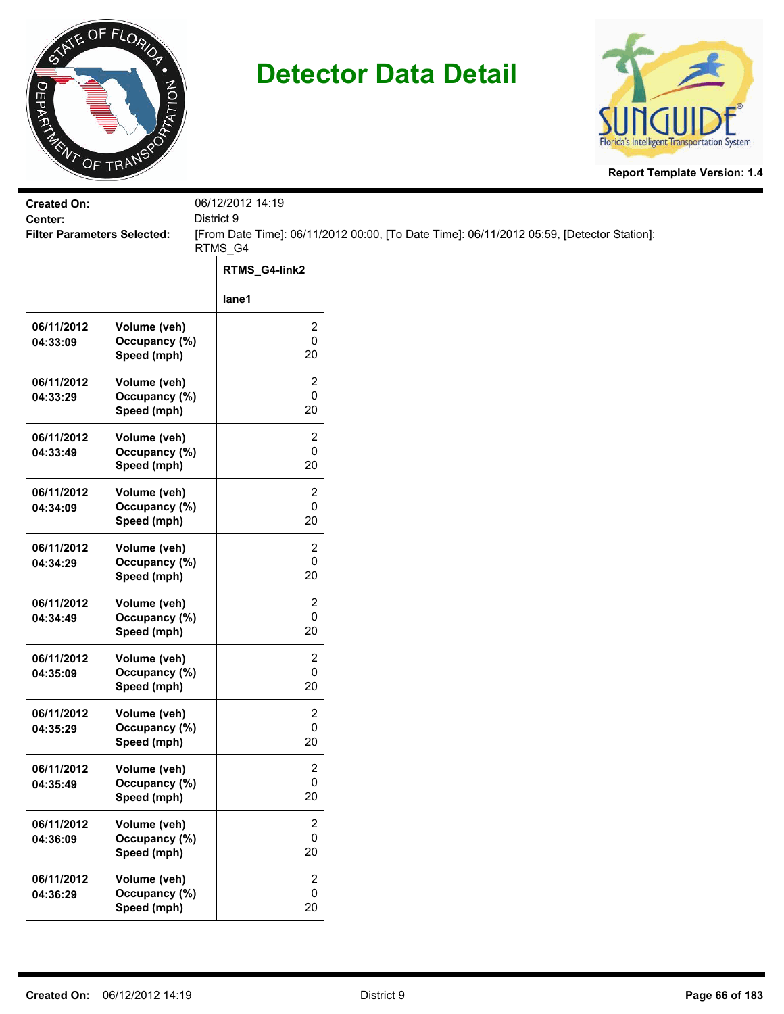



| <b>Created On:</b><br>District 9<br>Center: |                                              | 06/12/2012 14:19                   |                                                                                           |
|---------------------------------------------|----------------------------------------------|------------------------------------|-------------------------------------------------------------------------------------------|
| <b>Filter Parameters Selected:</b>          |                                              |                                    | [From Date Time]: 06/11/2012 00:00, [To Date Time]: 06/11/2012 05:59, [Detector Station]: |
|                                             |                                              | RTMS_G4                            |                                                                                           |
|                                             |                                              | RTMS_G4-link2                      |                                                                                           |
|                                             |                                              | lane1                              |                                                                                           |
| 06/11/2012<br>04:33:09                      | Volume (veh)<br>Occupancy (%)<br>Speed (mph) | 2<br>0<br>20                       |                                                                                           |
| 06/11/2012<br>04:33:29                      | Volume (veh)<br>Occupancy (%)<br>Speed (mph) | 2<br>0<br>20                       |                                                                                           |
| 06/11/2012<br>04:33:49                      | Volume (veh)<br>Occupancy (%)<br>Speed (mph) | 2<br>0<br>20                       |                                                                                           |
| 06/11/2012<br>04:34:09                      | Volume (veh)<br>Occupancy (%)<br>Speed (mph) | 2<br>0<br>20                       |                                                                                           |
| 06/11/2012<br>04:34:29                      | Volume (veh)<br>Occupancy (%)<br>Speed (mph) | 2<br>0<br>20                       |                                                                                           |
| 06/11/2012<br>04:34:49                      | Volume (veh)<br>Occupancy (%)<br>Speed (mph) | 2<br>0<br>20                       |                                                                                           |
| 06/11/2012<br>04:35:09                      | Volume (veh)<br>Occupancy (%)<br>Speed (mph) | 2<br>0<br>20                       |                                                                                           |
| 06/11/2012<br>04:35:29                      | Volume (veh)<br>Occupancy (%)<br>Speed (mph) | 2<br>0<br>20                       |                                                                                           |
| 06/11/2012<br>04:35:49                      | Volume (veh)<br>Occupancy (%)<br>Speed (mph) | $\overline{\mathbf{c}}$<br>0<br>20 |                                                                                           |
| 06/11/2012<br>04:36:09                      | Volume (veh)<br>Occupancy (%)<br>Speed (mph) | 2<br>0<br>20                       |                                                                                           |
| 06/11/2012<br>04:36:29                      | Volume (veh)<br>Occupancy (%)<br>Speed (mph) | $\overline{2}$<br>0<br>20          |                                                                                           |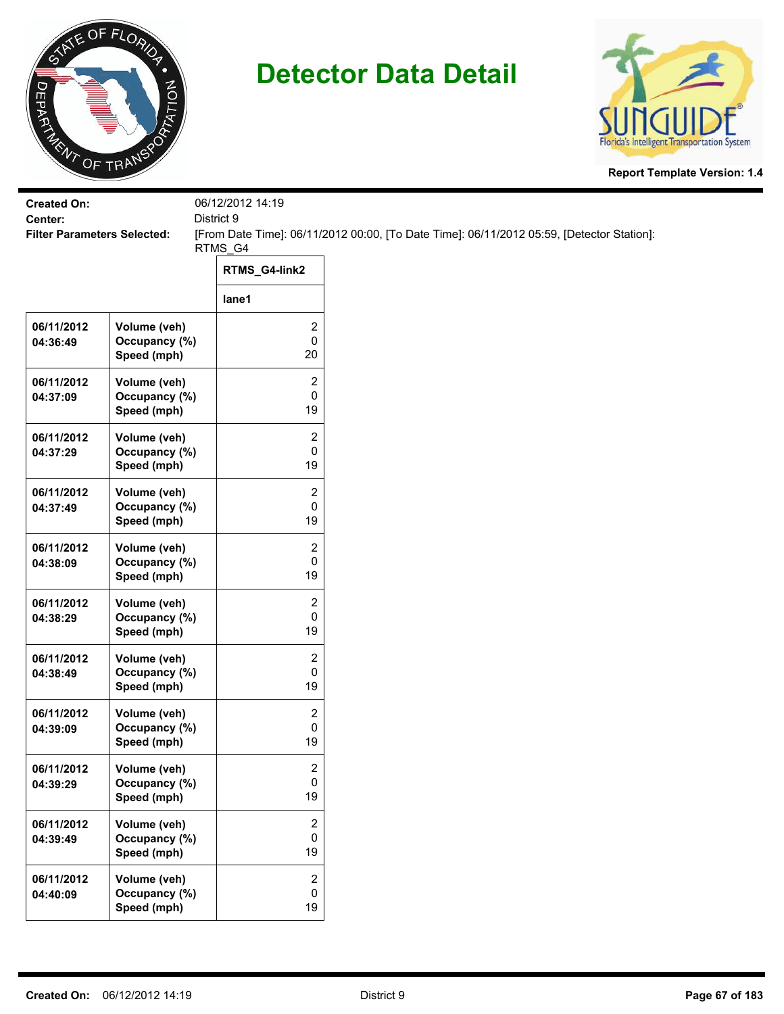



| <b>Created On:</b><br>Center:      |                                              | 06/12/2012 14:19<br>District 9    |                                                                                           |  |
|------------------------------------|----------------------------------------------|-----------------------------------|-------------------------------------------------------------------------------------------|--|
| <b>Filter Parameters Selected:</b> |                                              |                                   | [From Date Time]: 06/11/2012 00:00, [To Date Time]: 06/11/2012 05:59, [Detector Station]: |  |
|                                    |                                              | RTMS_G4                           |                                                                                           |  |
|                                    |                                              | RTMS_G4-link2                     |                                                                                           |  |
|                                    |                                              | lane1                             |                                                                                           |  |
| 06/11/2012<br>04:36:49             | Volume (veh)<br>Occupancy (%)<br>Speed (mph) | 2<br>0<br>20                      |                                                                                           |  |
| 06/11/2012<br>04:37:09             | Volume (veh)<br>Occupancy (%)<br>Speed (mph) | 2<br>0<br>19                      |                                                                                           |  |
| 06/11/2012<br>04:37:29             | Volume (veh)<br>Occupancy (%)<br>Speed (mph) | 2<br>0<br>19                      |                                                                                           |  |
| 06/11/2012<br>04:37:49             | Volume (veh)<br>Occupancy (%)<br>Speed (mph) | 2<br>0<br>19                      |                                                                                           |  |
| 06/11/2012<br>04:38:09             | Volume (veh)<br>Occupancy (%)<br>Speed (mph) | 2<br>0<br>19                      |                                                                                           |  |
| 06/11/2012<br>04:38:29             | Volume (veh)<br>Occupancy (%)<br>Speed (mph) | 2<br>0<br>19                      |                                                                                           |  |
| 06/11/2012<br>04:38:49             | Volume (veh)<br>Occupancy (%)<br>Speed (mph) | 2<br>0<br>19                      |                                                                                           |  |
| 06/11/2012<br>04:39:09             | Volume (veh)<br>Occupancy (%)<br>Speed (mph) | 2<br>0<br>19                      |                                                                                           |  |
| 06/11/2012<br>04:39:29             | Volume (veh)<br>Occupancy (%)<br>Speed (mph) | 2<br>0<br>19                      |                                                                                           |  |
| 06/11/2012<br>04:39:49             | Volume (veh)<br>Occupancy (%)<br>Speed (mph) | 2<br>0<br>19                      |                                                                                           |  |
| 06/11/2012<br>04:40:09             | Volume (veh)<br>Occupancy (%)<br>Speed (mph) | $\overline{2}$<br>$\pmb{0}$<br>19 |                                                                                           |  |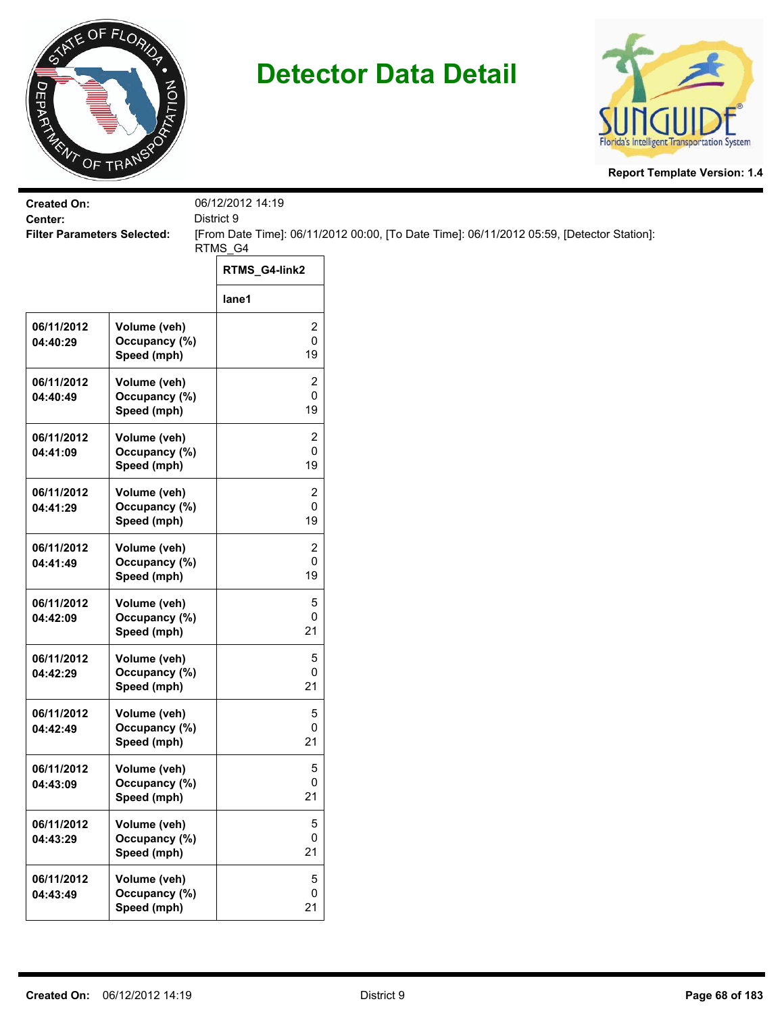



| <b>Created On:</b>                            |                               | 06/12/2012 14:19<br>District 9                                                            |                  |
|-----------------------------------------------|-------------------------------|-------------------------------------------------------------------------------------------|------------------|
| Center:<br><b>Filter Parameters Selected:</b> |                               | [From Date Time]: 06/11/2012 00:00, [To Date Time]: 06/11/2012 05:59, [Detector Station]: |                  |
|                                               |                               | RTMS_G4<br>RTMS_G4-link2                                                                  |                  |
|                                               |                               | lane1                                                                                     |                  |
| 06/11/2012                                    | Volume (veh)                  |                                                                                           | 2                |
| 04:40:29                                      | Occupancy (%)<br>Speed (mph)  |                                                                                           | $\pmb{0}$<br>19  |
| 06/11/2012                                    | Volume (veh)                  |                                                                                           | 2                |
| 04:40:49                                      | Occupancy (%)<br>Speed (mph)  |                                                                                           | 0<br>19          |
| 06/11/2012                                    | Volume (veh)                  |                                                                                           | 2                |
| 04:41:09                                      | Occupancy (%)<br>Speed (mph)  |                                                                                           | 0<br>19          |
| 06/11/2012                                    | Volume (veh)                  |                                                                                           | $\overline{c}$   |
| 04:41:29                                      | Occupancy (%)<br>Speed (mph)  |                                                                                           | 0<br>19          |
| 06/11/2012                                    | Volume (veh)                  |                                                                                           | $\overline{2}$   |
| 04:41:49                                      | Occupancy (%)<br>Speed (mph)  |                                                                                           | 0<br>19          |
| 06/11/2012                                    | Volume (veh)<br>Occupancy (%) |                                                                                           | 5<br>$\mathbf 0$ |
| 04:42:09                                      | Speed (mph)                   |                                                                                           | 21               |
| 06/11/2012                                    | Volume (veh)<br>Occupancy (%) |                                                                                           | 5<br>$\mathbf 0$ |
| 04:42:29                                      | Speed (mph)                   |                                                                                           | 21               |
| 06/11/2012                                    | Volume (veh)<br>Occupancy (%) |                                                                                           | 5<br>0           |
| 04:42:49                                      | Speed (mph)                   |                                                                                           | 21               |
| 06/11/2012                                    | Volume (veh)                  |                                                                                           | 5<br>$\pmb{0}$   |
| 04:43:09                                      | Occupancy (%)<br>Speed (mph)  |                                                                                           | 21               |
| 06/11/2012                                    | Volume (veh)                  |                                                                                           | 5<br>0           |
| 04:43:29                                      | Occupancy (%)<br>Speed (mph)  |                                                                                           | 21               |
| 06/11/2012                                    | Volume (veh)<br>Occupancy (%) |                                                                                           | 5<br>$\mathbf 0$ |
| 04:43:49                                      | Speed (mph)                   |                                                                                           | 21               |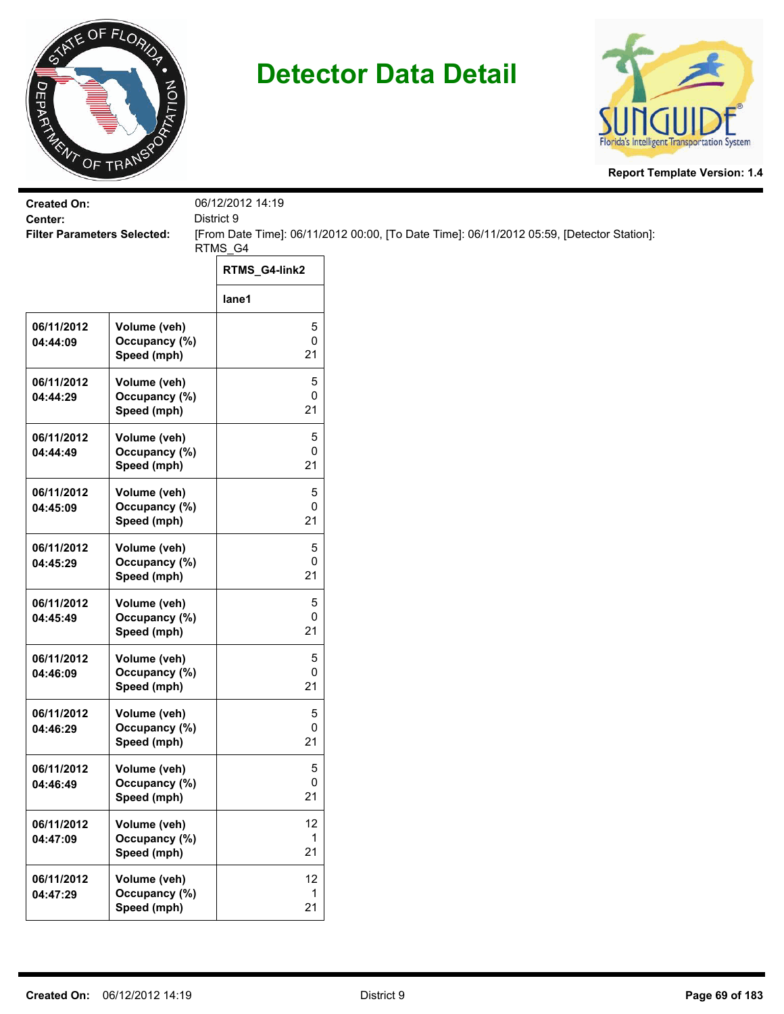



| <b>Created On:</b><br>District 9<br>Center: |                                              | 06/12/2012 14:19 |                                                                                           |
|---------------------------------------------|----------------------------------------------|------------------|-------------------------------------------------------------------------------------------|
| <b>Filter Parameters Selected:</b>          |                                              |                  | [From Date Time]: 06/11/2012 00:00, [To Date Time]: 06/11/2012 05:59, [Detector Station]: |
|                                             |                                              | RTMS_G4          |                                                                                           |
|                                             |                                              | RTMS_G4-link2    |                                                                                           |
|                                             |                                              | lane1            |                                                                                           |
| 06/11/2012<br>04:44:09                      | Volume (veh)<br>Occupancy (%)<br>Speed (mph) | 5<br>0<br>21     |                                                                                           |
| 06/11/2012<br>04:44:29                      | Volume (veh)<br>Occupancy (%)<br>Speed (mph) | 5<br>0<br>21     |                                                                                           |
| 06/11/2012<br>04:44:49                      | Volume (veh)<br>Occupancy (%)<br>Speed (mph) | 5<br>0<br>21     |                                                                                           |
| 06/11/2012<br>04:45:09                      | Volume (veh)<br>Occupancy (%)<br>Speed (mph) | 5<br>0<br>21     |                                                                                           |
| 06/11/2012<br>04:45:29                      | Volume (veh)<br>Occupancy (%)<br>Speed (mph) | 5<br>0<br>21     |                                                                                           |
| 06/11/2012<br>04:45:49                      | Volume (veh)<br>Occupancy (%)<br>Speed (mph) | 5<br>0<br>21     |                                                                                           |
| 06/11/2012<br>04:46:09                      | Volume (veh)<br>Occupancy (%)<br>Speed (mph) | 5<br>0<br>21     |                                                                                           |
| 06/11/2012<br>04:46:29                      | Volume (veh)<br>Occupancy (%)<br>Speed (mph) | 5<br>0<br>21     |                                                                                           |
| 06/11/2012<br>04:46:49                      | Volume (veh)<br>Occupancy (%)<br>Speed (mph) | 5<br>0<br>21     |                                                                                           |
| 06/11/2012<br>04:47:09                      | Volume (veh)<br>Occupancy (%)<br>Speed (mph) | 12<br>1<br>21    |                                                                                           |
| 06/11/2012<br>04:47:29                      | Volume (veh)<br>Occupancy (%)<br>Speed (mph) | 12<br>1<br>21    |                                                                                           |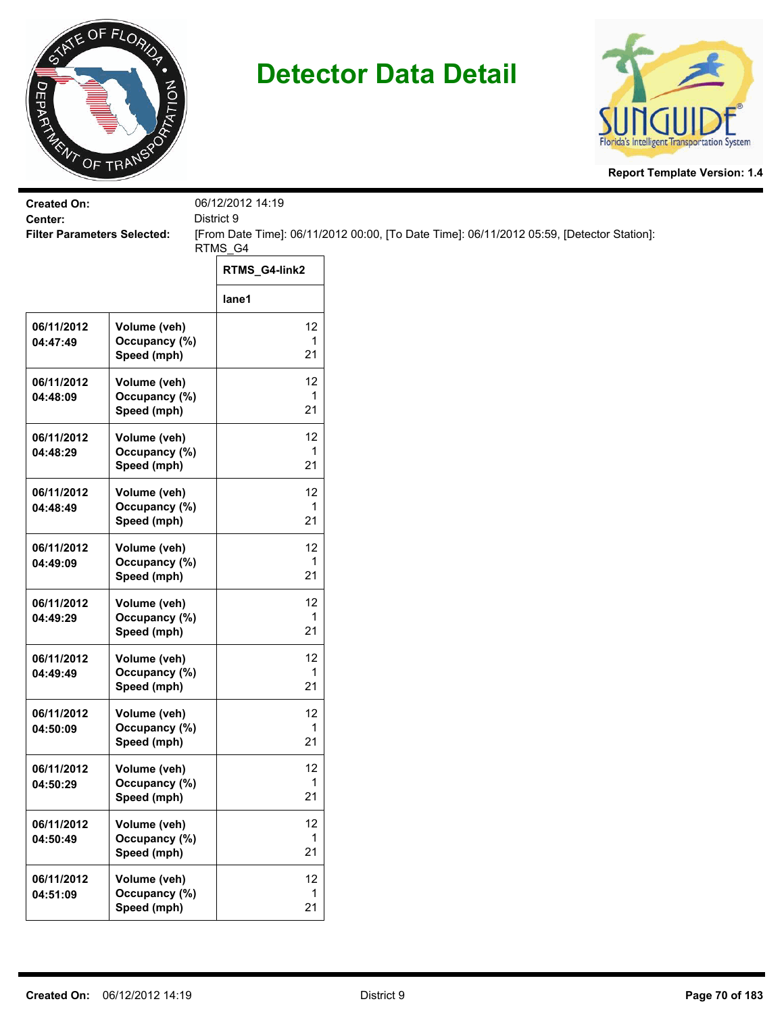



| <b>Created On:</b><br>Center:      |                                              | 06/12/2012 14:19<br>District 9 |                                                                                           |  |
|------------------------------------|----------------------------------------------|--------------------------------|-------------------------------------------------------------------------------------------|--|
| <b>Filter Parameters Selected:</b> |                                              | RTMS_G4                        | [From Date Time]: 06/11/2012 00:00, [To Date Time]: 06/11/2012 05:59, [Detector Station]: |  |
|                                    |                                              | RTMS_G4-link2                  |                                                                                           |  |
|                                    |                                              | lane1                          |                                                                                           |  |
| 06/11/2012<br>04:47:49             | Volume (veh)<br>Occupancy (%)<br>Speed (mph) | 12<br>$\mathbf{1}$<br>21       |                                                                                           |  |
| 06/11/2012<br>04:48:09             | Volume (veh)<br>Occupancy (%)<br>Speed (mph) | 12<br>1<br>21                  |                                                                                           |  |
| 06/11/2012<br>04:48:29             | Volume (veh)<br>Occupancy (%)<br>Speed (mph) | 12<br>1<br>21                  |                                                                                           |  |
| 06/11/2012<br>04:48:49             | Volume (veh)<br>Occupancy (%)<br>Speed (mph) | 12<br>1<br>21                  |                                                                                           |  |
| 06/11/2012<br>04:49:09             | Volume (veh)<br>Occupancy (%)<br>Speed (mph) | 12<br>1<br>21                  |                                                                                           |  |
| 06/11/2012<br>04:49:29             | Volume (veh)<br>Occupancy (%)<br>Speed (mph) | 12<br>$\mathbf{1}$<br>21       |                                                                                           |  |
| 06/11/2012<br>04:49:49             | Volume (veh)<br>Occupancy (%)<br>Speed (mph) | 12<br>$\mathbf{1}$<br>21       |                                                                                           |  |
| 06/11/2012<br>04:50:09             | Volume (veh)<br>Occupancy (%)<br>Speed (mph) | 12<br>1<br>21                  |                                                                                           |  |
| 06/11/2012<br>04:50:29             | Volume (veh)<br>Occupancy (%)<br>Speed (mph) | 12<br>$\mathbf 1$<br>21        |                                                                                           |  |
| 06/11/2012<br>04:50:49             | Volume (veh)<br>Occupancy (%)<br>Speed (mph) | 12<br>$\mathbf{1}$<br>21       |                                                                                           |  |
| 06/11/2012<br>04:51:09             | Volume (veh)<br>Occupancy (%)<br>Speed (mph) | 12<br>$\mathbf{1}$<br>21       |                                                                                           |  |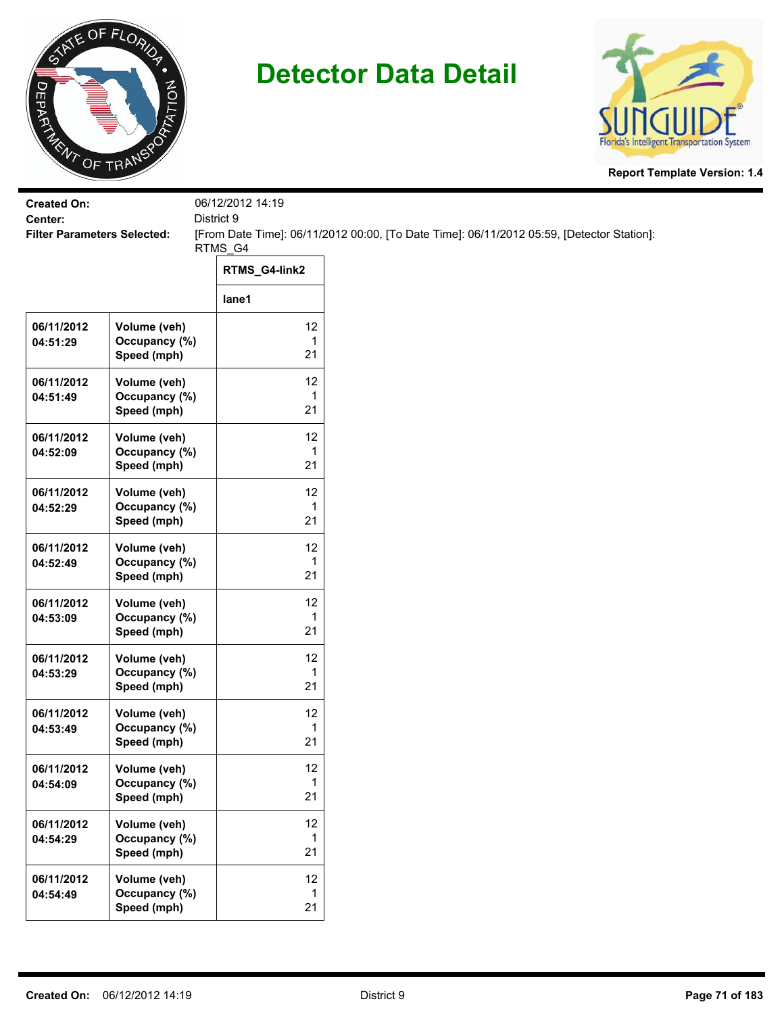



| <b>Created On:</b><br>Center:      |                                              | 06/12/2012 14:19<br>District 9 |                                                                                           |
|------------------------------------|----------------------------------------------|--------------------------------|-------------------------------------------------------------------------------------------|
| <b>Filter Parameters Selected:</b> |                                              | RTMS_G4                        | [From Date Time]: 06/11/2012 00:00, [To Date Time]: 06/11/2012 05:59, [Detector Station]: |
|                                    |                                              | RTMS_G4-link2                  |                                                                                           |
|                                    |                                              | lane1                          |                                                                                           |
| 06/11/2012<br>04:51:29             | Volume (veh)<br>Occupancy (%)<br>Speed (mph) | 12<br>$\mathbf{1}$<br>21       |                                                                                           |
| 06/11/2012<br>04:51:49             | Volume (veh)<br>Occupancy (%)<br>Speed (mph) | 12<br>1<br>21                  |                                                                                           |
| 06/11/2012<br>04:52:09             | Volume (veh)<br>Occupancy (%)<br>Speed (mph) | 12<br>1<br>21                  |                                                                                           |
| 06/11/2012<br>04:52:29             | Volume (veh)<br>Occupancy (%)<br>Speed (mph) | 12<br>1<br>21                  |                                                                                           |
| 06/11/2012<br>04:52:49             | Volume (veh)<br>Occupancy (%)<br>Speed (mph) | 12<br>1<br>21                  |                                                                                           |
| 06/11/2012<br>04:53:09             | Volume (veh)<br>Occupancy (%)<br>Speed (mph) | 12<br>$\mathbf{1}$<br>21       |                                                                                           |
| 06/11/2012<br>04:53:29             | Volume (veh)<br>Occupancy (%)<br>Speed (mph) | 12<br>1<br>21                  |                                                                                           |
| 06/11/2012<br>04:53:49             | Volume (veh)<br>Occupancy (%)<br>Speed (mph) | 12<br>1<br>21                  |                                                                                           |
| 06/11/2012<br>04:54:09             | Volume (veh)<br>Occupancy (%)<br>Speed (mph) | 12<br>$\mathbf{1}$<br>21       |                                                                                           |
| 06/11/2012<br>04:54:29             | Volume (veh)<br>Occupancy (%)<br>Speed (mph) | 12<br>$\mathbf{1}$<br>21       |                                                                                           |
| 06/11/2012<br>04:54:49             | Volume (veh)<br>Occupancy (%)<br>Speed (mph) | 12<br>$\mathbf{1}$<br>21       |                                                                                           |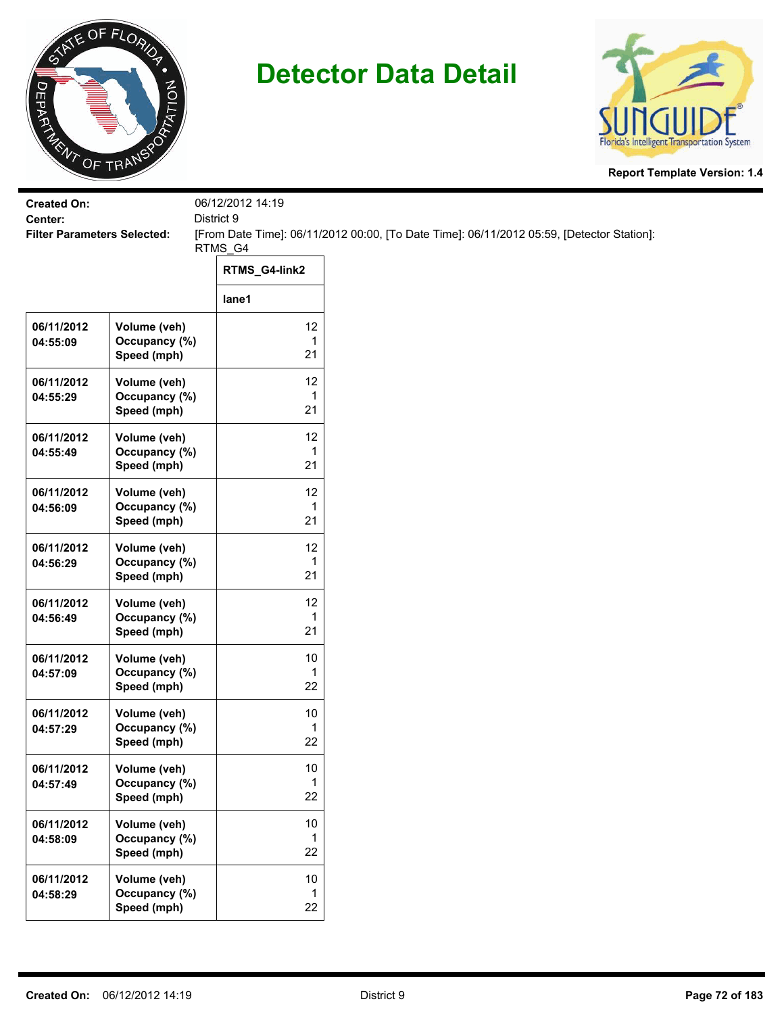



| <b>Created On:</b><br>Center:      |                                              | 06/12/2012 14:19<br>District 9 |                                                                                           |
|------------------------------------|----------------------------------------------|--------------------------------|-------------------------------------------------------------------------------------------|
| <b>Filter Parameters Selected:</b> |                                              |                                | [From Date Time]: 06/11/2012 00:00, [To Date Time]: 06/11/2012 05:59, [Detector Station]: |
|                                    |                                              | RTMS_G4<br>RTMS_G4-link2       |                                                                                           |
|                                    |                                              | lane1                          |                                                                                           |
| 06/11/2012<br>04:55:09             | Volume (veh)<br>Occupancy (%)<br>Speed (mph) | 12<br>1<br>21                  |                                                                                           |
| 06/11/2012<br>04:55:29             | Volume (veh)<br>Occupancy (%)<br>Speed (mph) | 12<br>1<br>21                  |                                                                                           |
| 06/11/2012<br>04:55:49             | Volume (veh)<br>Occupancy (%)<br>Speed (mph) | 12<br>1<br>21                  |                                                                                           |
| 06/11/2012<br>04:56:09             | Volume (veh)<br>Occupancy (%)<br>Speed (mph) | 12<br>1<br>21                  |                                                                                           |
| 06/11/2012<br>04:56:29             | Volume (veh)<br>Occupancy (%)<br>Speed (mph) | 12<br>1<br>21                  |                                                                                           |
| 06/11/2012<br>04:56:49             | Volume (veh)<br>Occupancy (%)<br>Speed (mph) | 12<br>1<br>21                  |                                                                                           |
| 06/11/2012<br>04:57:09             | Volume (veh)<br>Occupancy (%)<br>Speed (mph) | 10<br>1<br>22                  |                                                                                           |
| 06/11/2012<br>04:57:29             | Volume (veh)<br>Occupancy (%)<br>Speed (mph) | 10<br>1<br>22                  |                                                                                           |
| 06/11/2012<br>04:57:49             | Volume (veh)<br>Occupancy (%)<br>Speed (mph) | $10$<br>1<br>22                |                                                                                           |
| 06/11/2012<br>04:58:09             | Volume (veh)<br>Occupancy (%)<br>Speed (mph) | $10\,$<br>$\mathbf 1$<br>22    |                                                                                           |
| 06/11/2012<br>04:58:29             | Volume (veh)<br>Occupancy (%)<br>Speed (mph) | $10$<br>$\mathbf 1$<br>22      |                                                                                           |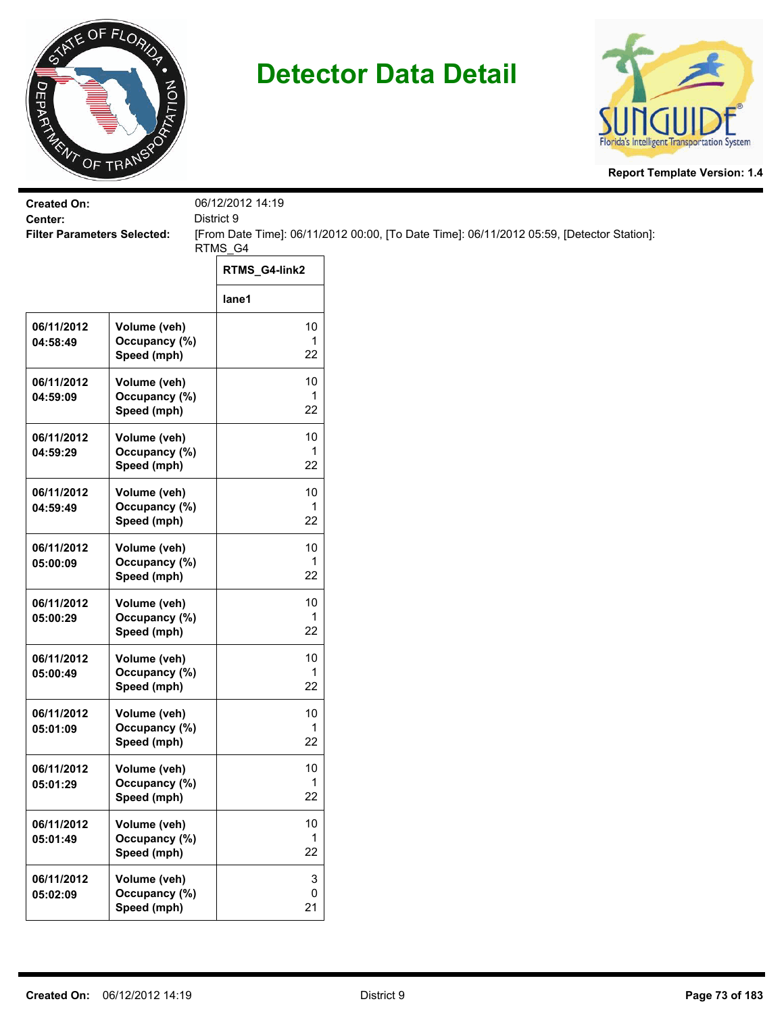



| <b>Created On:</b>                 |                                              | 06/12/2012 14:19  |                                                                                           |
|------------------------------------|----------------------------------------------|-------------------|-------------------------------------------------------------------------------------------|
| Center:                            |                                              | District 9        |                                                                                           |
| <b>Filter Parameters Selected:</b> |                                              | RTMS_G4           | [From Date Time]: 06/11/2012 00:00, [To Date Time]: 06/11/2012 05:59, [Detector Station]: |
|                                    |                                              | RTMS_G4-link2     |                                                                                           |
|                                    |                                              | lane1             |                                                                                           |
| 06/11/2012<br>04:58:49             | Volume (veh)<br>Occupancy (%)<br>Speed (mph) | 10<br>1<br>22     |                                                                                           |
| 06/11/2012<br>04:59:09             | Volume (veh)<br>Occupancy (%)<br>Speed (mph) | 10<br>1<br>22     |                                                                                           |
| 06/11/2012<br>04:59:29             | Volume (veh)<br>Occupancy (%)<br>Speed (mph) | 10<br>1<br>22     |                                                                                           |
| 06/11/2012<br>04:59:49             | Volume (veh)<br>Occupancy (%)<br>Speed (mph) | 10<br>1<br>22     |                                                                                           |
| 06/11/2012<br>05:00:09             | Volume (veh)<br>Occupancy (%)<br>Speed (mph) | $10$<br>1<br>22   |                                                                                           |
| 06/11/2012<br>05:00:29             | Volume (veh)<br>Occupancy (%)<br>Speed (mph) | 10<br>1<br>22     |                                                                                           |
| 06/11/2012<br>05:00:49             | Volume (veh)<br>Occupancy (%)<br>Speed (mph) | 10<br>1<br>22     |                                                                                           |
| 06/11/2012<br>05:01:09             | Volume (veh)<br>Occupancy (%)<br>Speed (mph) | 10<br>1<br>22     |                                                                                           |
| 06/11/2012<br>05:01:29             | Volume (veh)<br>Occupancy (%)<br>Speed (mph) | $10$<br>1<br>22   |                                                                                           |
| 06/11/2012<br>05:01:49             | Volume (veh)<br>Occupancy (%)<br>Speed (mph) | $10\,$<br>1<br>22 |                                                                                           |
| 06/11/2012<br>05:02:09             | Volume (veh)<br>Occupancy (%)<br>Speed (mph) | 3<br>0<br>21      |                                                                                           |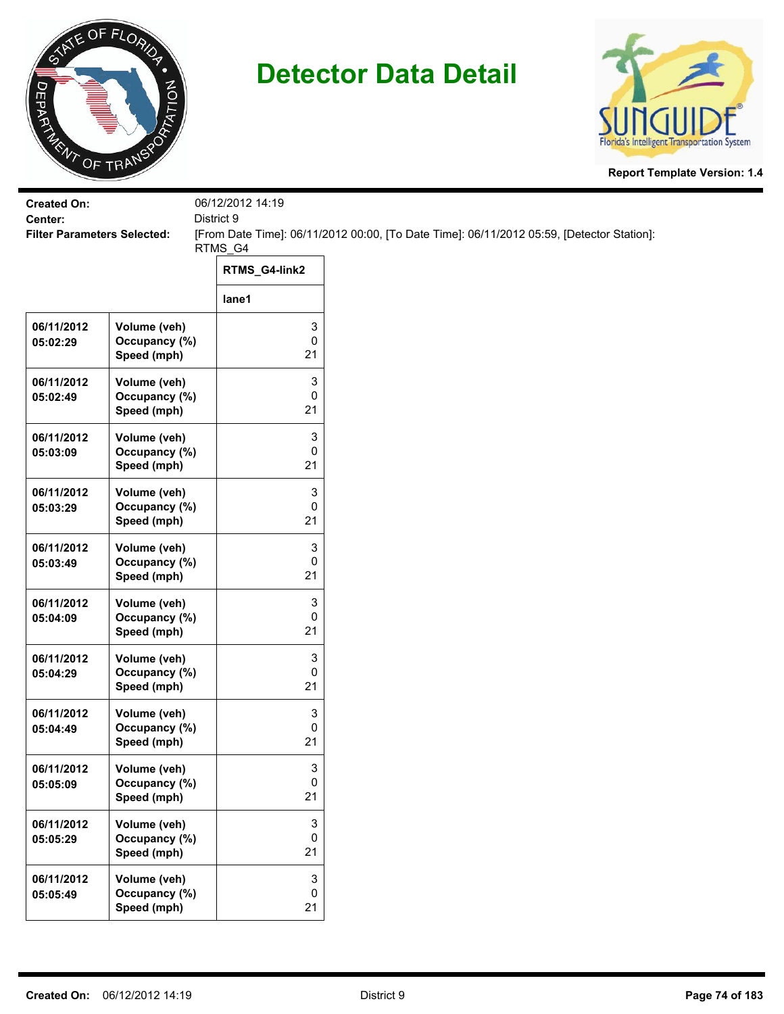



| <b>Created On:</b><br>Center:      |                                              | 06/12/2012 14:19<br>District 9 |                                                                                           |
|------------------------------------|----------------------------------------------|--------------------------------|-------------------------------------------------------------------------------------------|
| <b>Filter Parameters Selected:</b> |                                              |                                | [From Date Time]: 06/11/2012 00:00, [To Date Time]: 06/11/2012 05:59, [Detector Station]: |
|                                    |                                              | RTMS_G4<br>RTMS_G4-link2       |                                                                                           |
|                                    |                                              | lane1                          |                                                                                           |
| 06/11/2012<br>05:02:29             | Volume (veh)<br>Occupancy (%)<br>Speed (mph) | 3<br>0<br>21                   |                                                                                           |
| 06/11/2012<br>05:02:49             | Volume (veh)<br>Occupancy (%)<br>Speed (mph) | 3<br>0<br>21                   |                                                                                           |
| 06/11/2012<br>05:03:09             | Volume (veh)<br>Occupancy (%)<br>Speed (mph) | 3<br>0<br>21                   |                                                                                           |
| 06/11/2012<br>05:03:29             | Volume (veh)<br>Occupancy (%)<br>Speed (mph) | 3<br>0<br>21                   |                                                                                           |
| 06/11/2012<br>05:03:49             | Volume (veh)<br>Occupancy (%)<br>Speed (mph) | 3<br>0<br>21                   |                                                                                           |
| 06/11/2012<br>05:04:09             | Volume (veh)<br>Occupancy (%)<br>Speed (mph) | 3<br>0<br>21                   |                                                                                           |
| 06/11/2012<br>05:04:29             | Volume (veh)<br>Occupancy (%)<br>Speed (mph) | 3<br>0<br>21                   |                                                                                           |
| 06/11/2012<br>05:04:49             | Volume (veh)<br>Occupancy (%)<br>Speed (mph) | 3<br>0<br>21                   |                                                                                           |
| 06/11/2012<br>05:05:09             | Volume (veh)<br>Occupancy (%)<br>Speed (mph) | 3<br>0<br>21                   |                                                                                           |
| 06/11/2012<br>05:05:29             | Volume (veh)<br>Occupancy (%)<br>Speed (mph) | 3<br>0<br>21                   |                                                                                           |
| 06/11/2012<br>05:05:49             | Volume (veh)<br>Occupancy (%)<br>Speed (mph) | 3<br>$\pmb{0}$<br>21           |                                                                                           |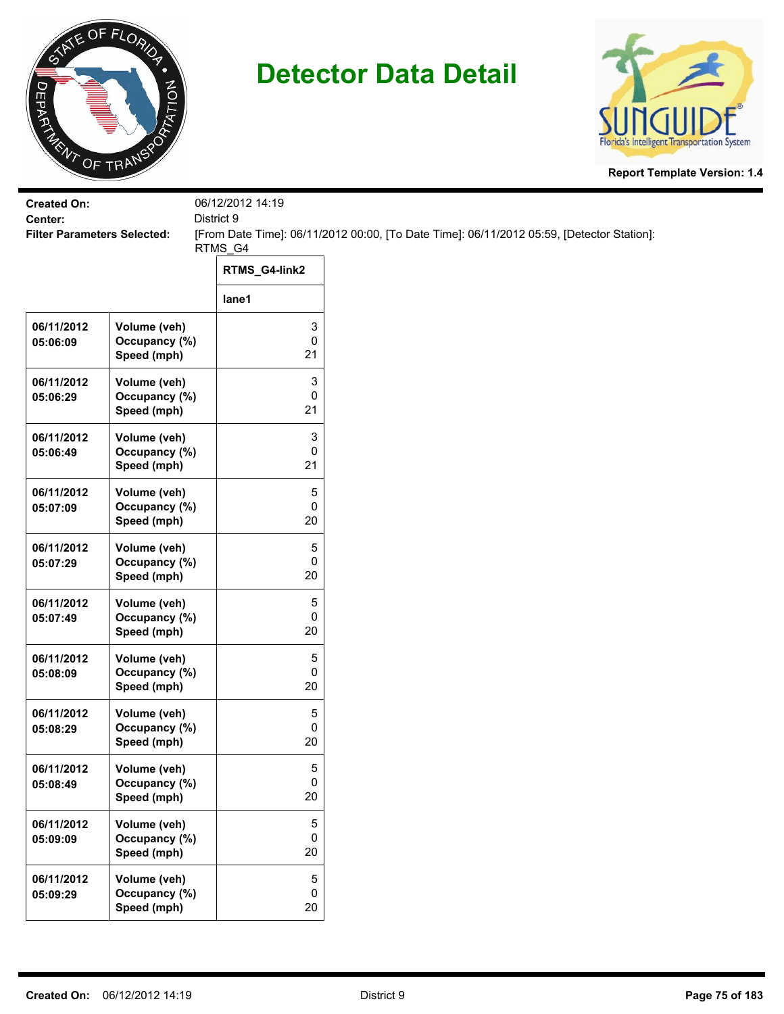



| <b>Created On:</b><br>Center:      |                                              | 06/12/2012 14:19<br>District 9 |                                                                                           |
|------------------------------------|----------------------------------------------|--------------------------------|-------------------------------------------------------------------------------------------|
| <b>Filter Parameters Selected:</b> |                                              | RTMS_G4                        | [From Date Time]: 06/11/2012 00:00, [To Date Time]: 06/11/2012 05:59, [Detector Station]: |
|                                    |                                              | RTMS_G4-link2                  |                                                                                           |
|                                    |                                              | lane1                          |                                                                                           |
| 06/11/2012<br>05:06:09             | Volume (veh)<br>Occupancy (%)<br>Speed (mph) | 3<br>0<br>21                   |                                                                                           |
| 06/11/2012<br>05:06:29             | Volume (veh)<br>Occupancy (%)<br>Speed (mph) | 3<br>0<br>21                   |                                                                                           |
| 06/11/2012<br>05:06:49             | Volume (veh)<br>Occupancy (%)<br>Speed (mph) | 3<br>0<br>21                   |                                                                                           |
| 06/11/2012<br>05:07:09             | Volume (veh)<br>Occupancy (%)<br>Speed (mph) | 5<br>0<br>20                   |                                                                                           |
| 06/11/2012<br>05:07:29             | Volume (veh)<br>Occupancy (%)<br>Speed (mph) | 5<br>0<br>20                   |                                                                                           |
| 06/11/2012<br>05:07:49             | Volume (veh)<br>Occupancy (%)<br>Speed (mph) | 5<br>0<br>20                   |                                                                                           |
| 06/11/2012<br>05:08:09             | Volume (veh)<br>Occupancy (%)<br>Speed (mph) | 5<br>0<br>20                   |                                                                                           |
| 06/11/2012<br>05:08:29             | Volume (veh)<br>Occupancy (%)<br>Speed (mph) | 5<br>0<br>20                   |                                                                                           |
| 06/11/2012<br>05:08:49             | Volume (veh)<br>Occupancy (%)<br>Speed (mph) | 5<br>0<br>20                   |                                                                                           |
| 06/11/2012<br>05:09:09             | Volume (veh)<br>Occupancy (%)<br>Speed (mph) | 5<br>0<br>20                   |                                                                                           |
| 06/11/2012<br>05:09:29             | Volume (veh)<br>Occupancy (%)<br>Speed (mph) | 5<br>0<br>20                   |                                                                                           |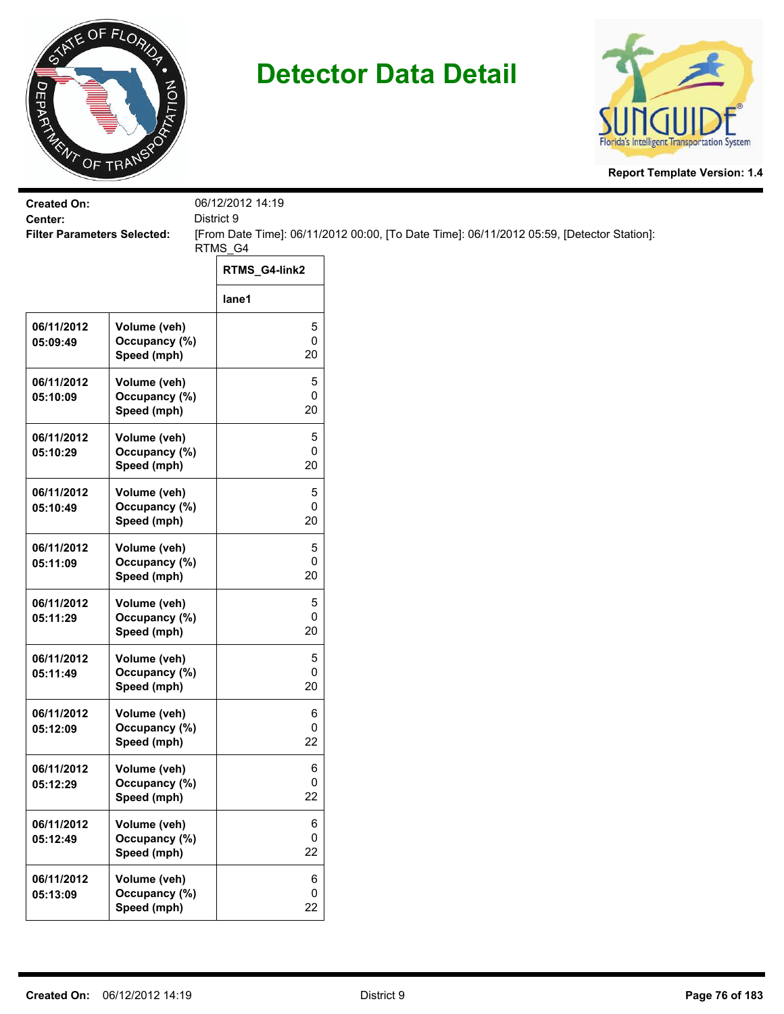



| <b>Created On:</b><br>Center:      |                                              | 06/12/2012 14:19 |                                                                                           |
|------------------------------------|----------------------------------------------|------------------|-------------------------------------------------------------------------------------------|
| <b>Filter Parameters Selected:</b> |                                              | District 9       | [From Date Time]: 06/11/2012 00:00, [To Date Time]: 06/11/2012 05:59, [Detector Station]: |
|                                    |                                              | RTMS_G4          |                                                                                           |
|                                    |                                              | RTMS_G4-link2    |                                                                                           |
|                                    |                                              | lane1            |                                                                                           |
| 06/11/2012<br>05:09:49             | Volume (veh)<br>Occupancy (%)<br>Speed (mph) | 5<br>0<br>20     |                                                                                           |
| 06/11/2012<br>05:10:09             | Volume (veh)<br>Occupancy (%)<br>Speed (mph) | 5<br>0<br>20     |                                                                                           |
| 06/11/2012<br>05:10:29             | Volume (veh)<br>Occupancy (%)<br>Speed (mph) | 5<br>0<br>20     |                                                                                           |
| 06/11/2012<br>05:10:49             | Volume (veh)<br>Occupancy (%)<br>Speed (mph) | 5<br>0<br>20     |                                                                                           |
| 06/11/2012<br>05:11:09             | Volume (veh)<br>Occupancy (%)<br>Speed (mph) | 5<br>0<br>20     |                                                                                           |
| 06/11/2012<br>05:11:29             | Volume (veh)<br>Occupancy (%)<br>Speed (mph) | 5<br>0<br>20     |                                                                                           |
| 06/11/2012<br>05:11:49             | Volume (veh)<br>Occupancy (%)<br>Speed (mph) | 5<br>0<br>20     |                                                                                           |
| 06/11/2012<br>05:12:09             | Volume (veh)<br>Occupancy (%)<br>Speed (mph) | 6<br>0<br>22     |                                                                                           |
| 06/11/2012<br>05:12:29             | Volume (veh)<br>Occupancy (%)<br>Speed (mph) | 6<br>0<br>22     |                                                                                           |
| 06/11/2012<br>05:12:49             | Volume (veh)<br>Occupancy (%)<br>Speed (mph) | 6<br>0<br>22     |                                                                                           |
| 06/11/2012<br>05:13:09             | Volume (veh)<br>Occupancy (%)<br>Speed (mph) | 6<br>0<br>22     |                                                                                           |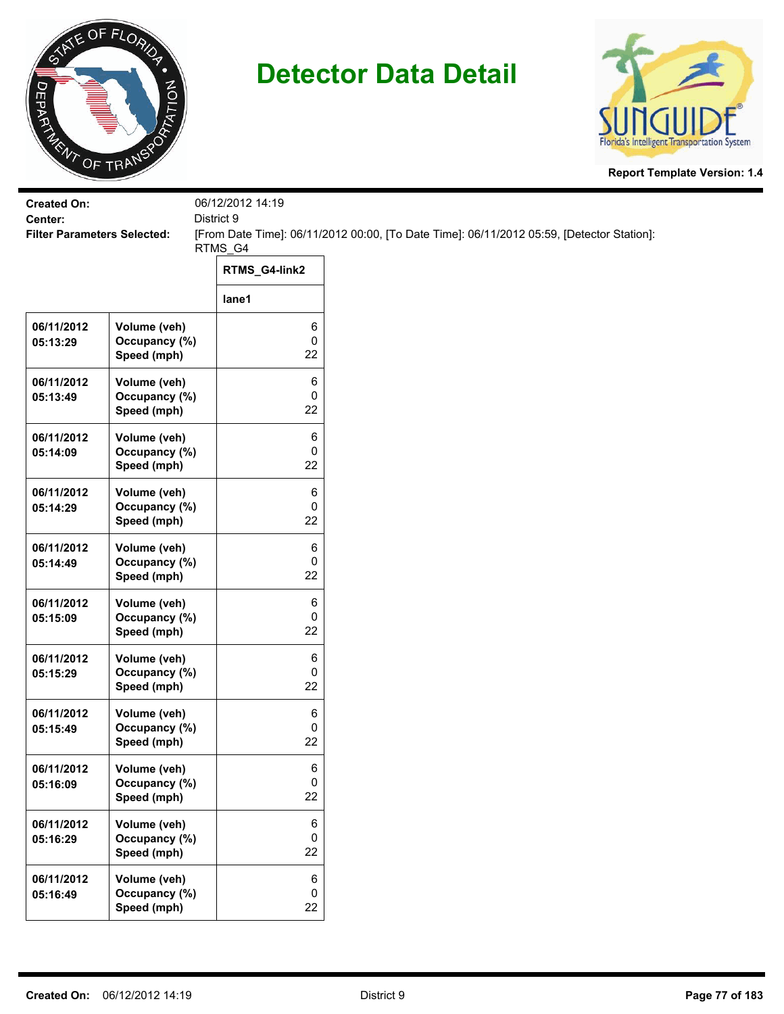



| <b>Created On:</b><br>Center:      |                                              | 06/12/2012 14:19 |                                                                                           |
|------------------------------------|----------------------------------------------|------------------|-------------------------------------------------------------------------------------------|
| <b>Filter Parameters Selected:</b> |                                              | District 9       | [From Date Time]: 06/11/2012 00:00, [To Date Time]: 06/11/2012 05:59, [Detector Station]: |
|                                    |                                              | RTMS_G4          |                                                                                           |
|                                    |                                              | RTMS_G4-link2    |                                                                                           |
|                                    |                                              | lane1            |                                                                                           |
| 06/11/2012<br>05:13:29             | Volume (veh)<br>Occupancy (%)<br>Speed (mph) | 6<br>0<br>22     |                                                                                           |
| 06/11/2012<br>05:13:49             | Volume (veh)<br>Occupancy (%)<br>Speed (mph) | 6<br>0<br>22     |                                                                                           |
| 06/11/2012<br>05:14:09             | Volume (veh)<br>Occupancy (%)<br>Speed (mph) | 6<br>0<br>22     |                                                                                           |
| 06/11/2012<br>05:14:29             | Volume (veh)<br>Occupancy (%)<br>Speed (mph) | 6<br>0<br>22     |                                                                                           |
| 06/11/2012<br>05:14:49             | Volume (veh)<br>Occupancy (%)<br>Speed (mph) | 6<br>0<br>22     |                                                                                           |
| 06/11/2012<br>05:15:09             | Volume (veh)<br>Occupancy (%)<br>Speed (mph) | 6<br>0<br>22     |                                                                                           |
| 06/11/2012<br>05:15:29             | Volume (veh)<br>Occupancy (%)<br>Speed (mph) | 6<br>0<br>22     |                                                                                           |
| 06/11/2012<br>05:15:49             | Volume (veh)<br>Occupancy (%)<br>Speed (mph) | 6<br>0<br>22     |                                                                                           |
| 06/11/2012<br>05:16:09             | Volume (veh)<br>Occupancy (%)<br>Speed (mph) | 6<br>0<br>22     |                                                                                           |
| 06/11/2012<br>05:16:29             | Volume (veh)<br>Occupancy (%)<br>Speed (mph) | 6<br>0<br>22     |                                                                                           |
| 06/11/2012<br>05:16:49             | Volume (veh)<br>Occupancy (%)<br>Speed (mph) | 6<br>0<br>22     |                                                                                           |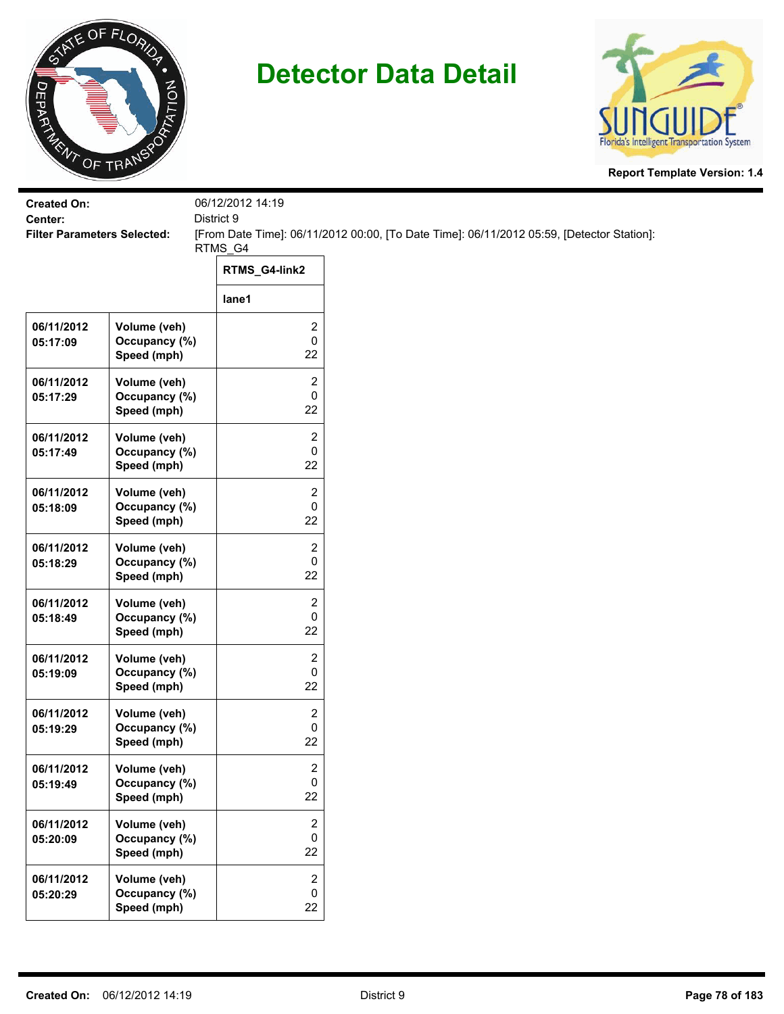



| <b>Created On:</b><br>Center:      |                                              | 06/12/2012 14:19<br>District 9     |                                                                                           |  |
|------------------------------------|----------------------------------------------|------------------------------------|-------------------------------------------------------------------------------------------|--|
| <b>Filter Parameters Selected:</b> |                                              |                                    | [From Date Time]: 06/11/2012 00:00, [To Date Time]: 06/11/2012 05:59, [Detector Station]: |  |
|                                    |                                              | RTMS_G4                            |                                                                                           |  |
|                                    |                                              | RTMS_G4-link2                      |                                                                                           |  |
|                                    |                                              | lane1                              |                                                                                           |  |
| 06/11/2012<br>05:17:09             | Volume (veh)<br>Occupancy (%)<br>Speed (mph) | 2<br>0<br>22                       |                                                                                           |  |
| 06/11/2012<br>05:17:29             | Volume (veh)<br>Occupancy (%)<br>Speed (mph) | $\overline{\mathbf{c}}$<br>0<br>22 |                                                                                           |  |
| 06/11/2012<br>05:17:49             | Volume (veh)<br>Occupancy (%)<br>Speed (mph) | 2<br>0<br>22                       |                                                                                           |  |
| 06/11/2012<br>05:18:09             | Volume (veh)<br>Occupancy (%)<br>Speed (mph) | 2<br>0<br>22                       |                                                                                           |  |
| 06/11/2012<br>05:18:29             | Volume (veh)<br>Occupancy (%)<br>Speed (mph) | 2<br>0<br>22                       |                                                                                           |  |
| 06/11/2012<br>05:18:49             | Volume (veh)<br>Occupancy (%)<br>Speed (mph) | 2<br>0<br>22                       |                                                                                           |  |
| 06/11/2012<br>05:19:09             | Volume (veh)<br>Occupancy (%)<br>Speed (mph) | 2<br>0<br>22                       |                                                                                           |  |
| 06/11/2012<br>05:19:29             | Volume (veh)<br>Occupancy (%)<br>Speed (mph) | 2<br>0<br>22                       |                                                                                           |  |
| 06/11/2012<br>05:19:49             | Volume (veh)<br>Occupancy (%)<br>Speed (mph) | $\overline{\mathbf{c}}$<br>0<br>22 |                                                                                           |  |
| 06/11/2012<br>05:20:09             | Volume (veh)<br>Occupancy (%)<br>Speed (mph) | 2<br>0<br>22                       |                                                                                           |  |
| 06/11/2012<br>05:20:29             | Volume (veh)<br>Occupancy (%)<br>Speed (mph) | $\overline{2}$<br>0<br>22          |                                                                                           |  |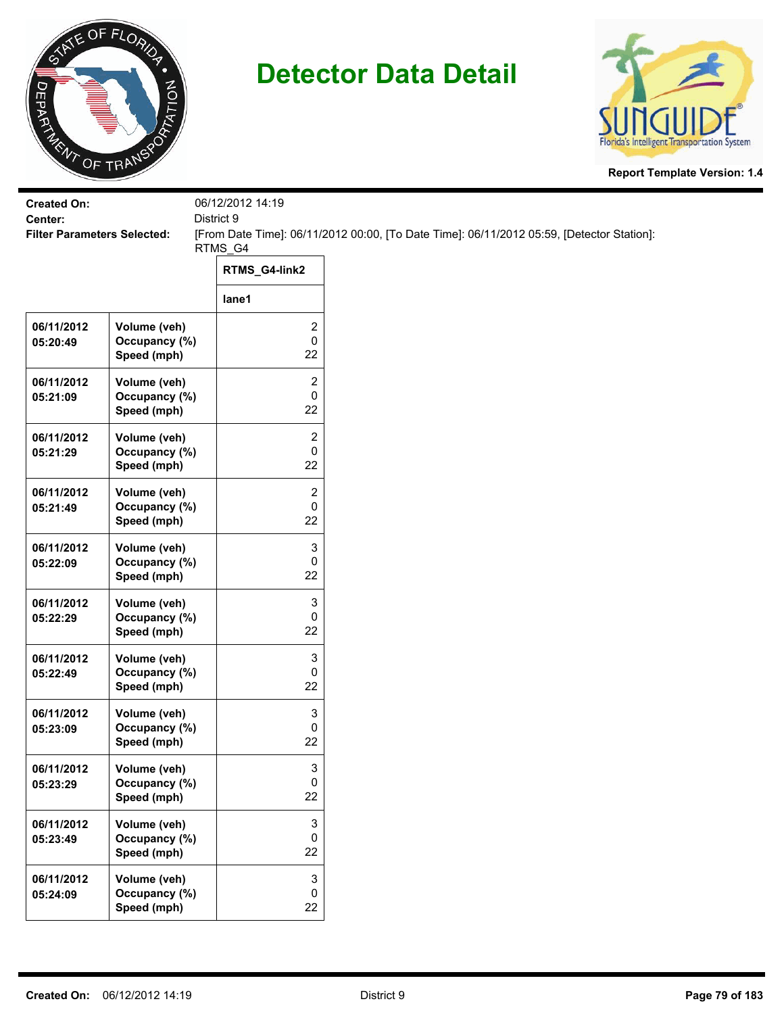



| <b>Created On:</b><br>Center:      |                                              | 06/12/2012 14:19<br>District 9       |                                                                                           |  |
|------------------------------------|----------------------------------------------|--------------------------------------|-------------------------------------------------------------------------------------------|--|
| <b>Filter Parameters Selected:</b> |                                              |                                      | [From Date Time]: 06/11/2012 00:00, [To Date Time]: 06/11/2012 05:59, [Detector Station]: |  |
|                                    |                                              | RTMS_G4                              |                                                                                           |  |
|                                    |                                              | RTMS_G4-link2                        |                                                                                           |  |
|                                    |                                              | lane1                                |                                                                                           |  |
| 06/11/2012<br>05:20:49             | Volume (veh)<br>Occupancy (%)<br>Speed (mph) | 2<br>0<br>22                         |                                                                                           |  |
| 06/11/2012<br>05:21:09             | Volume (veh)<br>Occupancy (%)<br>Speed (mph) | $\overline{\mathbf{c}}$<br>0<br>22   |                                                                                           |  |
| 06/11/2012<br>05:21:29             | Volume (veh)<br>Occupancy (%)<br>Speed (mph) | 2<br>0<br>22                         |                                                                                           |  |
| 06/11/2012<br>05:21:49             | Volume (veh)<br>Occupancy (%)<br>Speed (mph) | 2<br>0<br>22                         |                                                                                           |  |
| 06/11/2012<br>05:22:09             | Volume (veh)<br>Occupancy (%)<br>Speed (mph) | 3<br>0<br>22                         |                                                                                           |  |
| 06/11/2012<br>05:22:29             | Volume (veh)<br>Occupancy (%)<br>Speed (mph) | 3<br>0<br>22                         |                                                                                           |  |
| 06/11/2012<br>05:22:49             | Volume (veh)<br>Occupancy (%)<br>Speed (mph) | 3<br>0<br>22                         |                                                                                           |  |
| 06/11/2012<br>05:23:09             | Volume (veh)<br>Occupancy (%)<br>Speed (mph) | 3<br>0<br>22                         |                                                                                           |  |
| 06/11/2012<br>05:23:29             | Volume (veh)<br>Occupancy (%)<br>Speed (mph) | 3<br>0<br>22                         |                                                                                           |  |
| 06/11/2012<br>05:23:49             | Volume (veh)<br>Occupancy (%)<br>Speed (mph) | 3<br>0<br>22                         |                                                                                           |  |
| 06/11/2012<br>05:24:09             | Volume (veh)<br>Occupancy (%)<br>Speed (mph) | $\ensuremath{\mathsf{3}}$<br>0<br>22 |                                                                                           |  |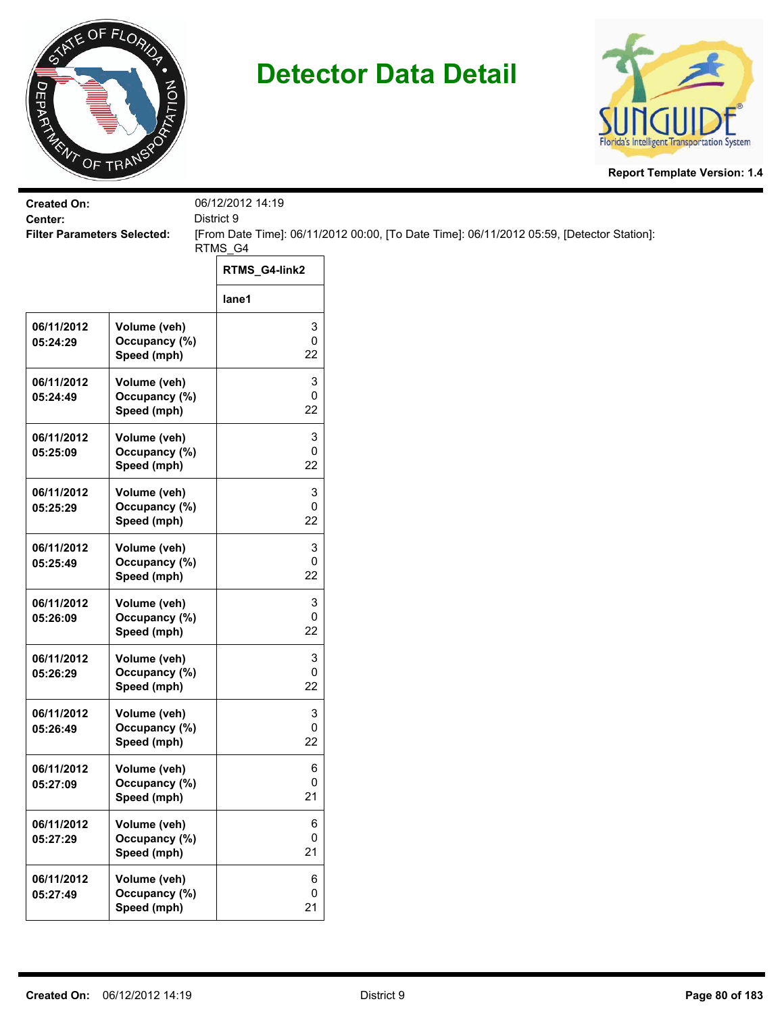



| <b>Created On:</b>                            |                                              | 06/12/2012 14:19<br>District 9 |                                                                                           |
|-----------------------------------------------|----------------------------------------------|--------------------------------|-------------------------------------------------------------------------------------------|
| Center:<br><b>Filter Parameters Selected:</b> |                                              |                                | [From Date Time]: 06/11/2012 00:00, [To Date Time]: 06/11/2012 05:59, [Detector Station]: |
|                                               |                                              | RTMS_G4                        |                                                                                           |
|                                               |                                              | RTMS_G4-link2                  |                                                                                           |
|                                               |                                              | lane1                          |                                                                                           |
| 06/11/2012<br>05:24:29                        | Volume (veh)<br>Occupancy (%)<br>Speed (mph) | 3<br>0<br>22                   |                                                                                           |
| 06/11/2012<br>05:24:49                        | Volume (veh)<br>Occupancy (%)<br>Speed (mph) | 3<br>0<br>22                   |                                                                                           |
| 06/11/2012<br>05:25:09                        | Volume (veh)<br>Occupancy (%)<br>Speed (mph) | 3<br>0<br>22                   |                                                                                           |
| 06/11/2012<br>05:25:29                        | Volume (veh)<br>Occupancy (%)<br>Speed (mph) | 3<br>0<br>22                   |                                                                                           |
| 06/11/2012<br>05:25:49                        | Volume (veh)<br>Occupancy (%)<br>Speed (mph) | 3<br>0<br>22                   |                                                                                           |
| 06/11/2012<br>05:26:09                        | Volume (veh)<br>Occupancy (%)<br>Speed (mph) | 3<br>0<br>22                   |                                                                                           |
| 06/11/2012<br>05:26:29                        | Volume (veh)<br>Occupancy (%)<br>Speed (mph) | 3<br>0<br>22                   |                                                                                           |
| 06/11/2012<br>05:26:49                        | Volume (veh)<br>Occupancy (%)<br>Speed (mph) | 3<br>0<br>22                   |                                                                                           |
| 06/11/2012<br>05:27:09                        | Volume (veh)<br>Occupancy (%)<br>Speed (mph) | 6<br>0<br>21                   |                                                                                           |
| 06/11/2012<br>05:27:29                        | Volume (veh)<br>Occupancy (%)<br>Speed (mph) | 6<br>0<br>21                   |                                                                                           |
| 06/11/2012<br>05:27:49                        | Volume (veh)<br>Occupancy (%)<br>Speed (mph) | 6<br>$\pmb{0}$<br>21           |                                                                                           |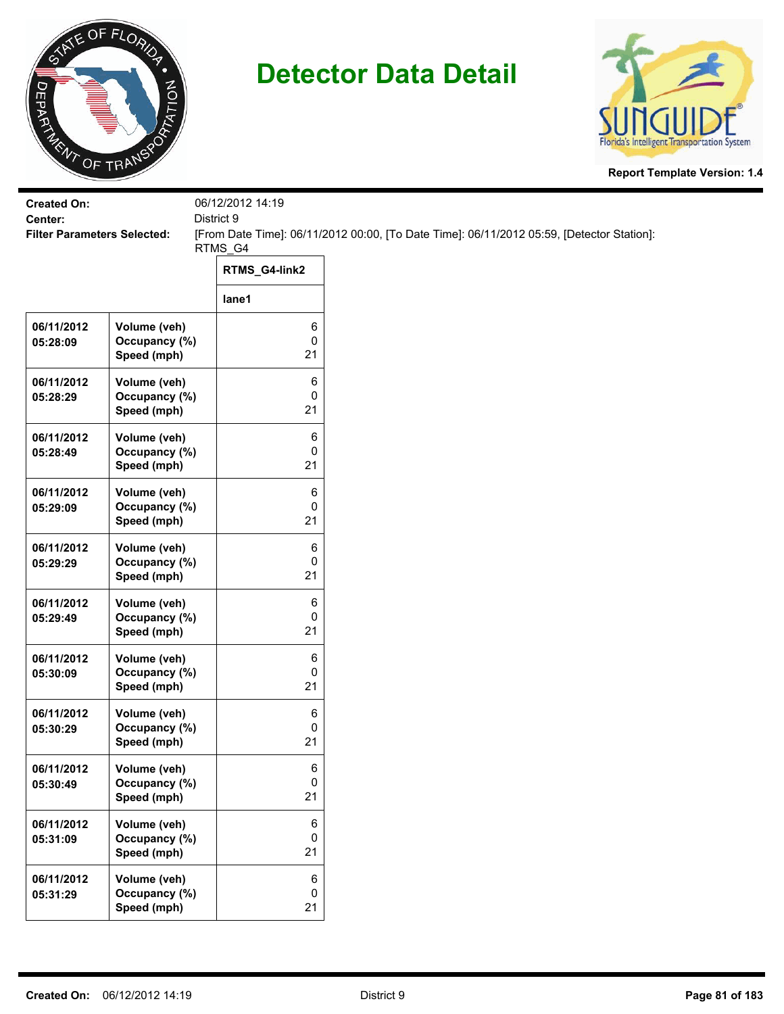



| <b>Created On:</b>                            |                                              | 06/12/2012 14:19 |                                                                                           |
|-----------------------------------------------|----------------------------------------------|------------------|-------------------------------------------------------------------------------------------|
| Center:<br><b>Filter Parameters Selected:</b> |                                              | District 9       | [From Date Time]: 06/11/2012 00:00, [To Date Time]: 06/11/2012 05:59, [Detector Station]: |
|                                               |                                              | RTMS_G4          |                                                                                           |
|                                               |                                              | RTMS_G4-link2    |                                                                                           |
|                                               |                                              | lane1            |                                                                                           |
| 06/11/2012<br>05:28:09                        | Volume (veh)<br>Occupancy (%)<br>Speed (mph) | 6<br>0<br>21     |                                                                                           |
| 06/11/2012<br>05:28:29                        | Volume (veh)<br>Occupancy (%)<br>Speed (mph) | 6<br>0<br>21     |                                                                                           |
| 06/11/2012<br>05:28:49                        | Volume (veh)<br>Occupancy (%)<br>Speed (mph) | 6<br>0<br>21     |                                                                                           |
| 06/11/2012<br>05:29:09                        | Volume (veh)<br>Occupancy (%)<br>Speed (mph) | 6<br>0<br>21     |                                                                                           |
| 06/11/2012<br>05:29:29                        | Volume (veh)<br>Occupancy (%)<br>Speed (mph) | 6<br>0<br>21     |                                                                                           |
| 06/11/2012<br>05:29:49                        | Volume (veh)<br>Occupancy (%)<br>Speed (mph) | 6<br>0<br>21     |                                                                                           |
| 06/11/2012<br>05:30:09                        | Volume (veh)<br>Occupancy (%)<br>Speed (mph) | 6<br>0<br>21     |                                                                                           |
| 06/11/2012<br>05:30:29                        | Volume (veh)<br>Occupancy (%)<br>Speed (mph) | 6<br>0<br>21     |                                                                                           |
| 06/11/2012<br>05:30:49                        | Volume (veh)<br>Occupancy (%)<br>Speed (mph) | 6<br>0<br>21     |                                                                                           |
| 06/11/2012<br>05:31:09                        | Volume (veh)<br>Occupancy (%)<br>Speed (mph) | 6<br>0<br>21     |                                                                                           |
| 06/11/2012<br>05:31:29                        | Volume (veh)<br>Occupancy (%)<br>Speed (mph) | 6<br>0<br>21     |                                                                                           |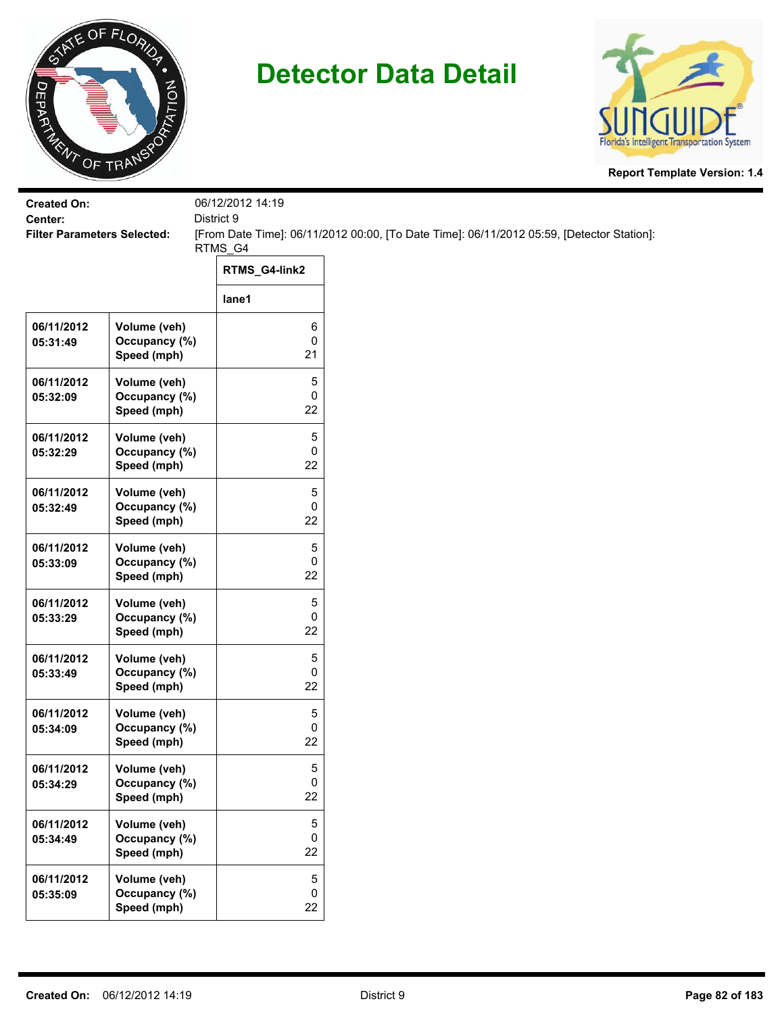



| <b>Created On:</b>                            |                                              | 06/12/2012 14:19      |                                                                                           |
|-----------------------------------------------|----------------------------------------------|-----------------------|-------------------------------------------------------------------------------------------|
| Center:<br><b>Filter Parameters Selected:</b> |                                              | District 9            | [From Date Time]: 06/11/2012 00:00, [To Date Time]: 06/11/2012 05:59, [Detector Station]: |
|                                               |                                              | RTMS_G4               |                                                                                           |
|                                               |                                              | RTMS_G4-link2         |                                                                                           |
|                                               |                                              | lane1                 |                                                                                           |
| 06/11/2012<br>05:31:49                        | Volume (veh)<br>Occupancy (%)<br>Speed (mph) | 6<br>$\pmb{0}$<br>21  |                                                                                           |
| 06/11/2012<br>05:32:09                        | Volume (veh)<br>Occupancy (%)<br>Speed (mph) | 5<br>0<br>22          |                                                                                           |
| 06/11/2012<br>05:32:29                        | Volume (veh)<br>Occupancy (%)<br>Speed (mph) | 5<br>0<br>22          |                                                                                           |
| 06/11/2012<br>05:32:49                        | Volume (veh)<br>Occupancy (%)<br>Speed (mph) | 5<br>0<br>22          |                                                                                           |
| 06/11/2012<br>05:33:09                        | Volume (veh)<br>Occupancy (%)<br>Speed (mph) | 5<br>0<br>22          |                                                                                           |
| 06/11/2012<br>05:33:29                        | Volume (veh)<br>Occupancy (%)<br>Speed (mph) | $\sqrt{5}$<br>0<br>22 |                                                                                           |
| 06/11/2012<br>05:33:49                        | Volume (veh)<br>Occupancy (%)<br>Speed (mph) | 5<br>0<br>22          |                                                                                           |
| 06/11/2012<br>05:34:09                        | Volume (veh)<br>Occupancy (%)<br>Speed (mph) | 5<br>0<br>22          |                                                                                           |
| 06/11/2012<br>05:34:29                        | Volume (veh)<br>Occupancy (%)<br>Speed (mph) | 5<br>$\pmb{0}$<br>22  |                                                                                           |
| 06/11/2012<br>05:34:49                        | Volume (veh)<br>Occupancy (%)<br>Speed (mph) | 5<br>$\pmb{0}$<br>22  |                                                                                           |
| 06/11/2012<br>05:35:09                        | Volume (veh)<br>Occupancy (%)<br>Speed (mph) | $5\,$<br>0<br>22      |                                                                                           |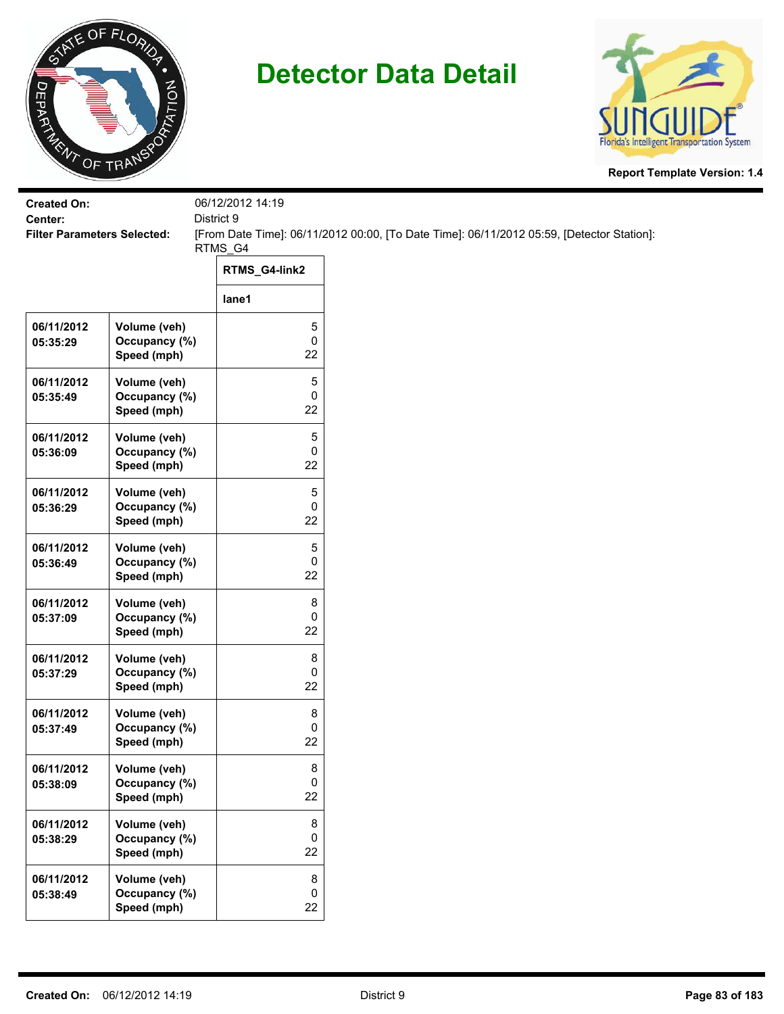



| <b>Created On:</b><br>Center:      |                                              | 06/12/2012 14:19 |                                                                                           |
|------------------------------------|----------------------------------------------|------------------|-------------------------------------------------------------------------------------------|
| <b>Filter Parameters Selected:</b> |                                              | District 9       | [From Date Time]: 06/11/2012 00:00, [To Date Time]: 06/11/2012 05:59, [Detector Station]: |
|                                    |                                              | RTMS_G4          |                                                                                           |
|                                    |                                              | RTMS_G4-link2    |                                                                                           |
|                                    |                                              | lane1            |                                                                                           |
| 06/11/2012<br>05:35:29             | Volume (veh)<br>Occupancy (%)<br>Speed (mph) | 5<br>0<br>22     |                                                                                           |
| 06/11/2012<br>05:35:49             | Volume (veh)<br>Occupancy (%)<br>Speed (mph) | 5<br>0<br>22     |                                                                                           |
| 06/11/2012<br>05:36:09             | Volume (veh)<br>Occupancy (%)<br>Speed (mph) | 5<br>0<br>22     |                                                                                           |
| 06/11/2012<br>05:36:29             | Volume (veh)<br>Occupancy (%)<br>Speed (mph) | 5<br>0<br>22     |                                                                                           |
| 06/11/2012<br>05:36:49             | Volume (veh)<br>Occupancy (%)<br>Speed (mph) | 5<br>0<br>22     |                                                                                           |
| 06/11/2012<br>05:37:09             | Volume (veh)<br>Occupancy (%)<br>Speed (mph) | 8<br>0<br>22     |                                                                                           |
| 06/11/2012<br>05:37:29             | Volume (veh)<br>Occupancy (%)<br>Speed (mph) | 8<br>0<br>22     |                                                                                           |
| 06/11/2012<br>05:37:49             | Volume (veh)<br>Occupancy (%)<br>Speed (mph) | 8<br>0<br>22     |                                                                                           |
| 06/11/2012<br>05:38:09             | Volume (veh)<br>Occupancy (%)<br>Speed (mph) | 8<br>0<br>22     |                                                                                           |
| 06/11/2012<br>05:38:29             | Volume (veh)<br>Occupancy (%)<br>Speed (mph) | 8<br>0<br>22     |                                                                                           |
| 06/11/2012<br>05:38:49             | Volume (veh)<br>Occupancy (%)<br>Speed (mph) | 8<br>0<br>22     |                                                                                           |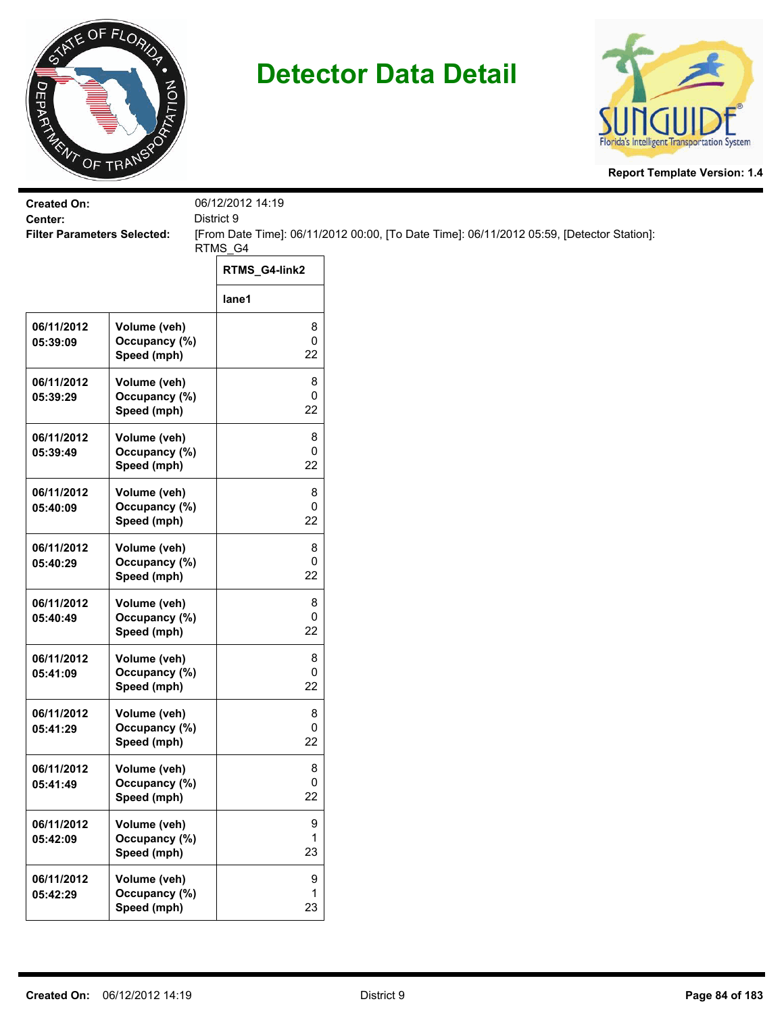



| <b>Created On:</b><br>Center:      |                                              | 06/12/2012 14:19         |                                                                                           |  |
|------------------------------------|----------------------------------------------|--------------------------|-------------------------------------------------------------------------------------------|--|
| <b>Filter Parameters Selected:</b> |                                              | District 9               | [From Date Time]: 06/11/2012 00:00, [To Date Time]: 06/11/2012 05:59, [Detector Station]: |  |
|                                    |                                              | RTMS_G4<br>RTMS_G4-link2 |                                                                                           |  |
|                                    |                                              | lane1                    |                                                                                           |  |
| 06/11/2012<br>05:39:09             | Volume (veh)<br>Occupancy (%)<br>Speed (mph) | 8<br>0<br>22             |                                                                                           |  |
| 06/11/2012<br>05:39:29             | Volume (veh)<br>Occupancy (%)<br>Speed (mph) | 8<br>0<br>22             |                                                                                           |  |
| 06/11/2012<br>05:39:49             | Volume (veh)<br>Occupancy (%)<br>Speed (mph) | 8<br>0<br>22             |                                                                                           |  |
| 06/11/2012<br>05:40:09             | Volume (veh)<br>Occupancy (%)<br>Speed (mph) | 8<br>0<br>22             |                                                                                           |  |
| 06/11/2012<br>05:40:29             | Volume (veh)<br>Occupancy (%)<br>Speed (mph) | 8<br>0<br>22             |                                                                                           |  |
| 06/11/2012<br>05:40:49             | Volume (veh)<br>Occupancy (%)<br>Speed (mph) | 8<br>0<br>22             |                                                                                           |  |
| 06/11/2012<br>05:41:09             | Volume (veh)<br>Occupancy (%)<br>Speed (mph) | 8<br>0<br>22             |                                                                                           |  |
| 06/11/2012<br>05:41:29             | Volume (veh)<br>Occupancy (%)<br>Speed (mph) | 8<br>0<br>22             |                                                                                           |  |
| 06/11/2012<br>05:41:49             | Volume (veh)<br>Occupancy (%)<br>Speed (mph) | 8<br>0<br>22             |                                                                                           |  |
| 06/11/2012<br>05:42:09             | Volume (veh)<br>Occupancy (%)<br>Speed (mph) | 9<br>1<br>23             |                                                                                           |  |
| 06/11/2012<br>05:42:29             | Volume (veh)<br>Occupancy (%)<br>Speed (mph) | 9<br>1<br>23             |                                                                                           |  |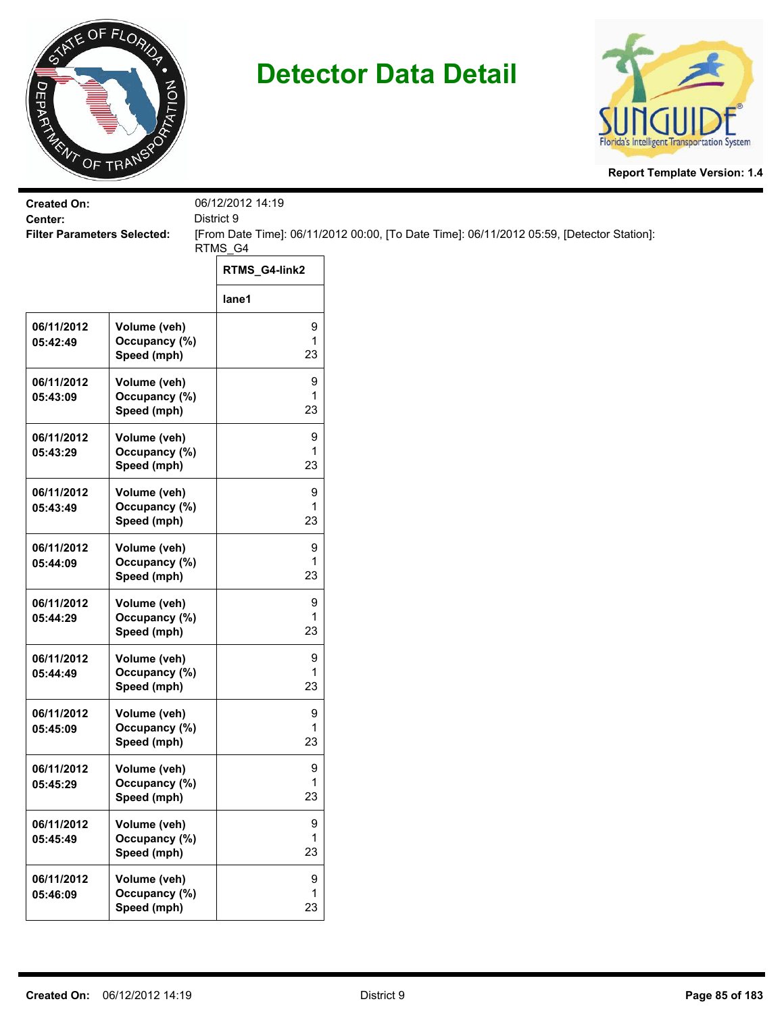



| <b>Created On:</b><br>Center:      |                                              | 06/12/2012 14:19<br>District 9 |                                                                                           |
|------------------------------------|----------------------------------------------|--------------------------------|-------------------------------------------------------------------------------------------|
| <b>Filter Parameters Selected:</b> |                                              |                                | [From Date Time]: 06/11/2012 00:00, [To Date Time]: 06/11/2012 05:59, [Detector Station]: |
|                                    |                                              | RTMS_G4                        |                                                                                           |
|                                    |                                              | RTMS_G4-link2                  |                                                                                           |
|                                    |                                              | lane1                          |                                                                                           |
| 06/11/2012<br>05:42:49             | Volume (veh)<br>Occupancy (%)<br>Speed (mph) | 9<br>$\mathbf{1}$<br>23        |                                                                                           |
| 06/11/2012<br>05:43:09             | Volume (veh)<br>Occupancy (%)<br>Speed (mph) | 9<br>1<br>23                   |                                                                                           |
| 06/11/2012<br>05:43:29             | Volume (veh)<br>Occupancy (%)<br>Speed (mph) | 9<br>1<br>23                   |                                                                                           |
| 06/11/2012<br>05:43:49             | Volume (veh)<br>Occupancy (%)<br>Speed (mph) | 9<br>1<br>23                   |                                                                                           |
| 06/11/2012<br>05:44:09             | Volume (veh)<br>Occupancy (%)<br>Speed (mph) | 9<br>1<br>23                   |                                                                                           |
| 06/11/2012<br>05:44:29             | Volume (veh)<br>Occupancy (%)<br>Speed (mph) | 9<br>1<br>23                   |                                                                                           |
| 06/11/2012<br>05:44:49             | Volume (veh)<br>Occupancy (%)<br>Speed (mph) | 9<br>1<br>23                   |                                                                                           |
| 06/11/2012<br>05:45:09             | Volume (veh)<br>Occupancy (%)<br>Speed (mph) | 9<br>1<br>23                   |                                                                                           |
| 06/11/2012<br>05:45:29             | Volume (veh)<br>Occupancy (%)<br>Speed (mph) | 9<br>1<br>23                   |                                                                                           |
| 06/11/2012<br>05:45:49             | Volume (veh)<br>Occupancy (%)<br>Speed (mph) | 9<br>1<br>23                   |                                                                                           |
| 06/11/2012<br>05:46:09             | Volume (veh)<br>Occupancy (%)<br>Speed (mph) | 9<br>1<br>23                   |                                                                                           |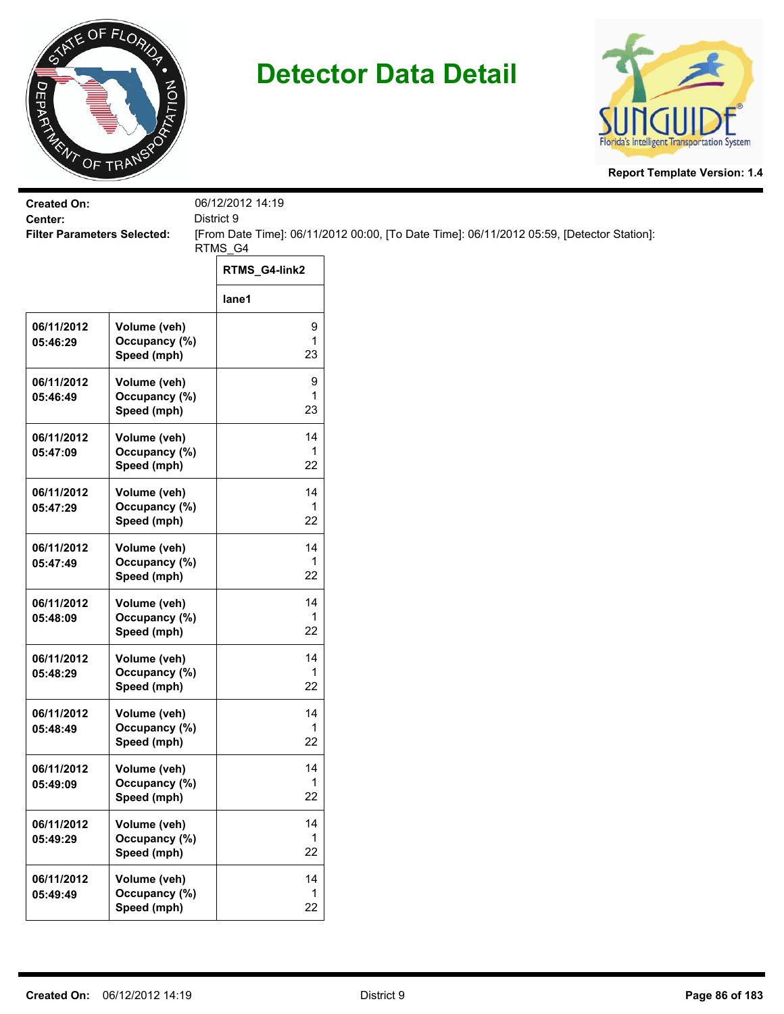



| <b>Created On:</b>                            |                                              | 06/12/2012 14:19         |                                                                                           |
|-----------------------------------------------|----------------------------------------------|--------------------------|-------------------------------------------------------------------------------------------|
| Center:<br><b>Filter Parameters Selected:</b> |                                              | District 9               | [From Date Time]: 06/11/2012 00:00, [To Date Time]: 06/11/2012 05:59, [Detector Station]: |
|                                               |                                              | RTMS_G4                  |                                                                                           |
|                                               |                                              | RTMS_G4-link2            |                                                                                           |
|                                               |                                              | lane1                    |                                                                                           |
| 06/11/2012<br>05:46:29                        | Volume (veh)<br>Occupancy (%)<br>Speed (mph) | 9<br>$\mathbf{1}$<br>23  |                                                                                           |
| 06/11/2012<br>05:46:49                        | Volume (veh)<br>Occupancy (%)<br>Speed (mph) | 9<br>1<br>23             |                                                                                           |
| 06/11/2012<br>05:47:09                        | Volume (veh)<br>Occupancy (%)<br>Speed (mph) | 14<br>1<br>22            |                                                                                           |
| 06/11/2012<br>05:47:29                        | Volume (veh)<br>Occupancy (%)<br>Speed (mph) | 14<br>$\mathbf{1}$<br>22 |                                                                                           |
| 06/11/2012<br>05:47:49                        | Volume (veh)<br>Occupancy (%)<br>Speed (mph) | 14<br>1<br>22            |                                                                                           |
| 06/11/2012<br>05:48:09                        | Volume (veh)<br>Occupancy (%)<br>Speed (mph) | 14<br>1<br>22            |                                                                                           |
| 06/11/2012<br>05:48:29                        | Volume (veh)<br>Occupancy (%)<br>Speed (mph) | 14<br>1<br>22            |                                                                                           |
| 06/11/2012<br>05:48:49                        | Volume (veh)<br>Occupancy (%)<br>Speed (mph) | 14<br>1<br>22            |                                                                                           |
| 06/11/2012<br>05:49:09                        | Volume (veh)<br>Occupancy (%)<br>Speed (mph) | 14<br>$\mathbf{1}$<br>22 |                                                                                           |
| 06/11/2012<br>05:49:29                        | Volume (veh)<br>Occupancy (%)<br>Speed (mph) | 14<br>$\mathbf{1}$<br>22 |                                                                                           |
| 06/11/2012<br>05:49:49                        | Volume (veh)<br>Occupancy (%)<br>Speed (mph) | 14<br>$\mathbf{1}$<br>22 |                                                                                           |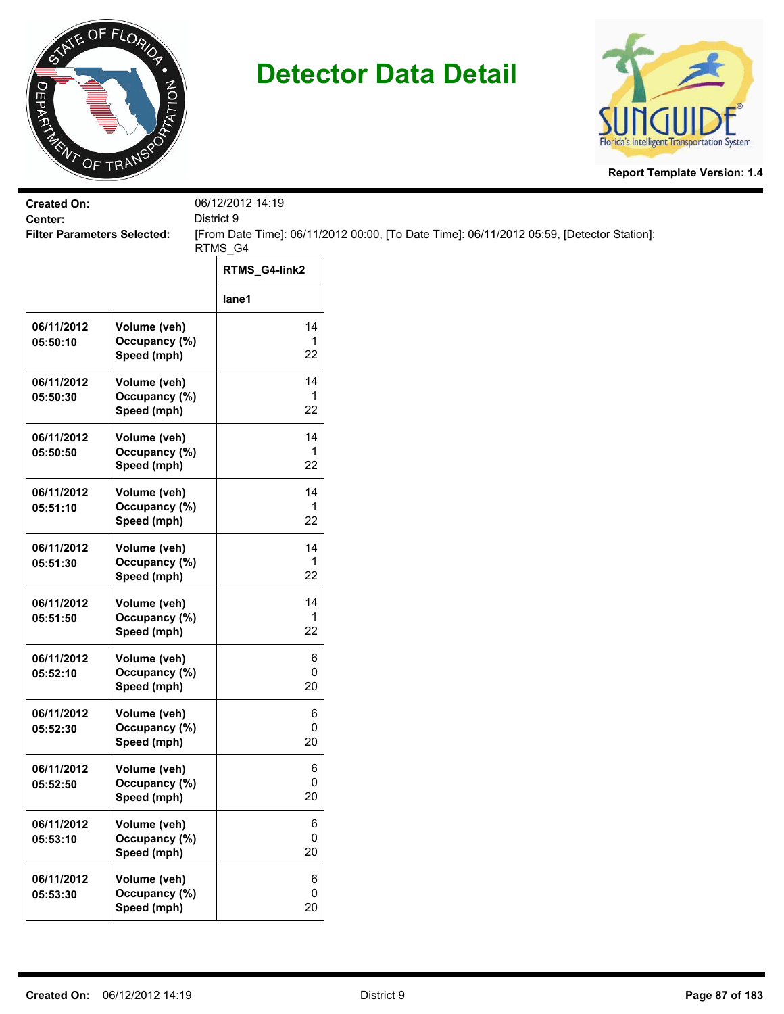



| <b>Created On:</b>                            |                               | 06/12/2012 14:19  |                                                                                           |
|-----------------------------------------------|-------------------------------|-------------------|-------------------------------------------------------------------------------------------|
| Center:<br><b>Filter Parameters Selected:</b> |                               | District 9        | [From Date Time]: 06/11/2012 00:00, [To Date Time]: 06/11/2012 05:59, [Detector Station]: |
|                                               |                               | RTMS_G4           |                                                                                           |
|                                               |                               | RTMS_G4-link2     |                                                                                           |
|                                               |                               | lane1             |                                                                                           |
| 06/11/2012<br>05:50:10                        | Volume (veh)<br>Occupancy (%) | 14<br>1           |                                                                                           |
|                                               | Speed (mph)                   | 22                |                                                                                           |
| 06/11/2012                                    | Volume (veh)                  | 14                |                                                                                           |
| 05:50:30                                      | Occupancy (%)<br>Speed (mph)  | 1<br>22           |                                                                                           |
| 06/11/2012                                    | Volume (veh)                  | 14                |                                                                                           |
| 05:50:50                                      | Occupancy (%)<br>Speed (mph)  | 22                |                                                                                           |
| 06/11/2012                                    | Volume (veh)                  | 14                |                                                                                           |
| 05:51:10                                      | Occupancy (%)<br>Speed (mph)  | 1<br>22           |                                                                                           |
| 06/11/2012                                    | Volume (veh)                  | 14                |                                                                                           |
| 05:51:30                                      | Occupancy (%)<br>Speed (mph)  | 1<br>22           |                                                                                           |
| 06/11/2012                                    | Volume (veh)                  | 14                |                                                                                           |
| 05:51:50                                      | Occupancy (%)<br>Speed (mph)  | 1<br>22           |                                                                                           |
| 06/11/2012                                    | Volume (veh)                  | 6                 |                                                                                           |
| 05:52:10                                      | Occupancy (%)<br>Speed (mph)  | 0<br>20           |                                                                                           |
| 06/11/2012                                    | Volume (veh)                  | 6                 |                                                                                           |
| 05:52:30                                      | Occupancy (%)<br>Speed (mph)  | 0<br>20           |                                                                                           |
| 06/11/2012                                    | Volume (veh)                  | 6                 |                                                                                           |
| 05:52:50                                      | Occupancy (%)<br>Speed (mph)  | 0<br>20           |                                                                                           |
| 06/11/2012                                    | Volume (veh)                  | $\,6$             |                                                                                           |
| 05:53:10                                      | Occupancy (%)<br>Speed (mph)  | $\mathbf 0$<br>20 |                                                                                           |
| 06/11/2012                                    | Volume (veh)                  | $\,6$             |                                                                                           |
| 05:53:30                                      | Occupancy (%)                 | $\mathbf 0$       |                                                                                           |
|                                               | Speed (mph)                   | 20                |                                                                                           |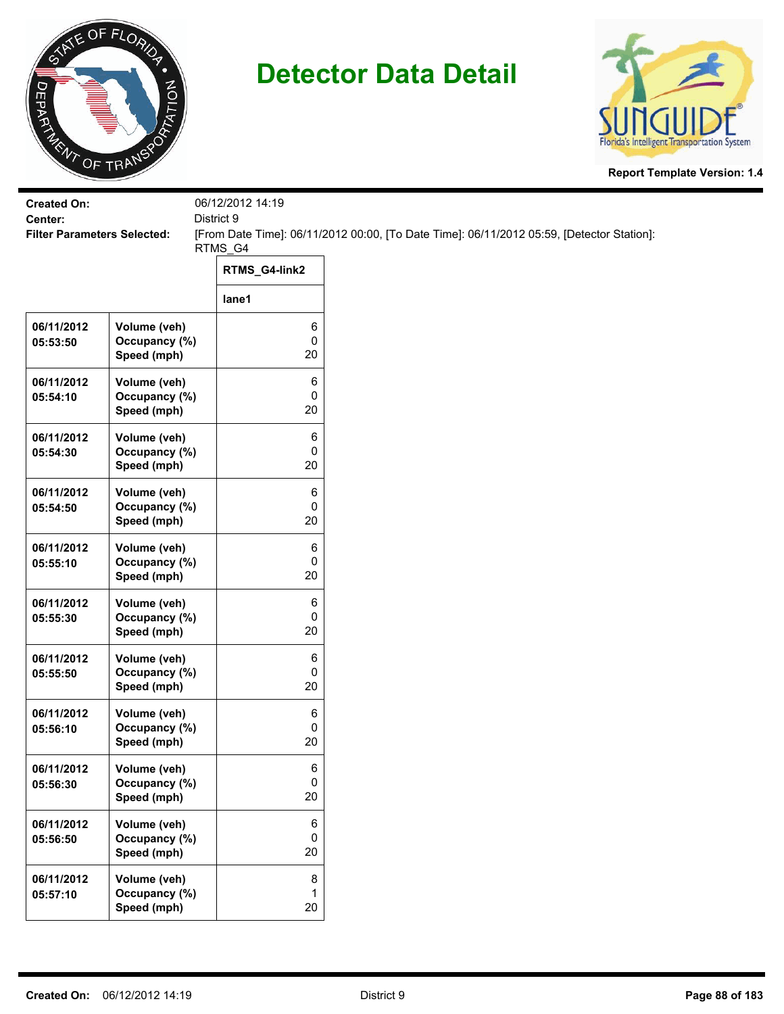



| <b>Created On:</b>                            |                                              | 06/12/2012 14:19 |                                                                                           |
|-----------------------------------------------|----------------------------------------------|------------------|-------------------------------------------------------------------------------------------|
| Center:<br><b>Filter Parameters Selected:</b> |                                              | District 9       | [From Date Time]: 06/11/2012 00:00, [To Date Time]: 06/11/2012 05:59, [Detector Station]: |
|                                               |                                              | RTMS_G4          |                                                                                           |
|                                               |                                              | RTMS_G4-link2    |                                                                                           |
|                                               |                                              | lane1            |                                                                                           |
| 06/11/2012<br>05:53:50                        | Volume (veh)<br>Occupancy (%)<br>Speed (mph) | 6<br>0<br>20     |                                                                                           |
| 06/11/2012<br>05:54:10                        | Volume (veh)<br>Occupancy (%)<br>Speed (mph) | 6<br>0<br>20     |                                                                                           |
| 06/11/2012<br>05:54:30                        | Volume (veh)<br>Occupancy (%)<br>Speed (mph) | 6<br>0<br>20     |                                                                                           |
| 06/11/2012<br>05:54:50                        | Volume (veh)<br>Occupancy (%)<br>Speed (mph) | 6<br>0<br>20     |                                                                                           |
| 06/11/2012<br>05:55:10                        | Volume (veh)<br>Occupancy (%)<br>Speed (mph) | 6<br>0<br>20     |                                                                                           |
| 06/11/2012<br>05:55:30                        | Volume (veh)<br>Occupancy (%)<br>Speed (mph) | 6<br>0<br>20     |                                                                                           |
| 06/11/2012<br>05:55:50                        | Volume (veh)<br>Occupancy (%)<br>Speed (mph) | 6<br>0<br>20     |                                                                                           |
| 06/11/2012<br>05:56:10                        | Volume (veh)<br>Occupancy (%)<br>Speed (mph) | 6<br>0<br>20     |                                                                                           |
| 06/11/2012<br>05:56:30                        | Volume (veh)<br>Occupancy (%)<br>Speed (mph) | 6<br>0<br>20     |                                                                                           |
| 06/11/2012<br>05:56:50                        | Volume (veh)<br>Occupancy (%)<br>Speed (mph) | 6<br>0<br>20     |                                                                                           |
| 06/11/2012<br>05:57:10                        | Volume (veh)<br>Occupancy (%)<br>Speed (mph) | 8<br>1<br>20     |                                                                                           |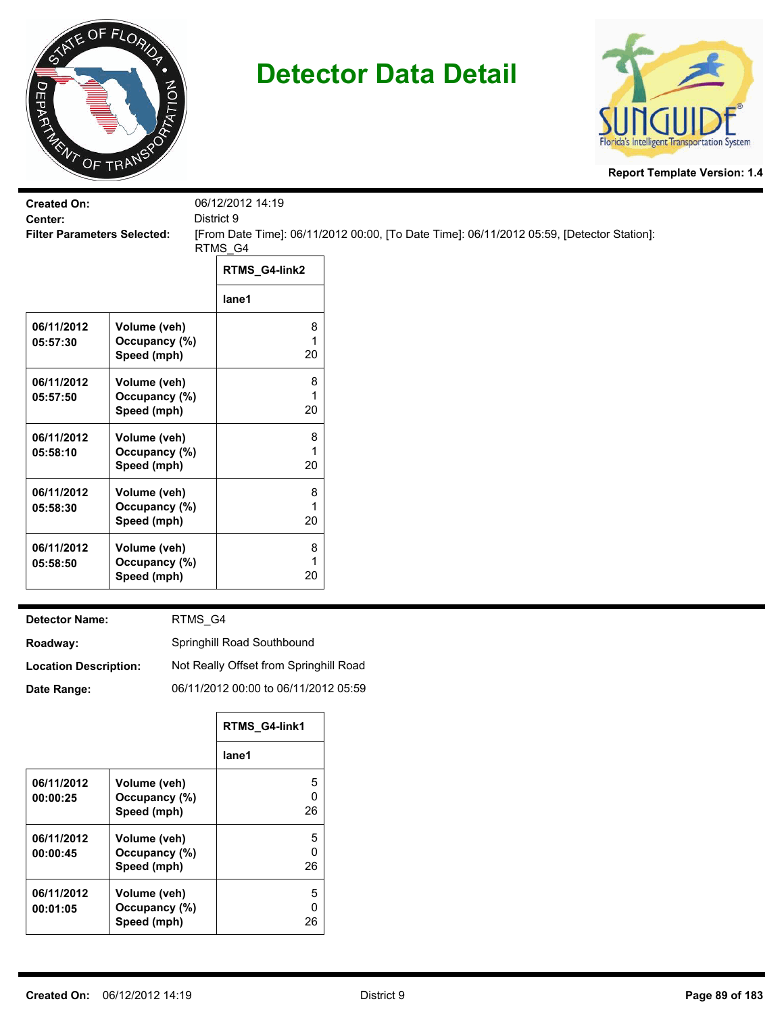



**Report Template Version: 1.4**

| <b>Created On:</b><br>Center:<br><b>Filter Parameters Selected:</b> |                              | 06/12/2012 14:19<br>District 9<br>RTMS_G4 | [From Date Time]: 06/11/2012 00:00, [To Date Time]: 06/11/2012 05:59, [Detector Station]: |
|---------------------------------------------------------------------|------------------------------|-------------------------------------------|-------------------------------------------------------------------------------------------|
|                                                                     |                              | RTMS_G4-link2                             |                                                                                           |
|                                                                     |                              | lane1                                     |                                                                                           |
| 06/11/2012                                                          | Volume (veh)                 | 8                                         |                                                                                           |
| 05:57:30                                                            | Occupancy (%)<br>Speed (mph) | 1<br>20                                   |                                                                                           |
| 06/11/2012                                                          | Volume (veh)                 | 8                                         |                                                                                           |
| 05:57:50                                                            | Occupancy (%)                | 1                                         |                                                                                           |
|                                                                     | Speed (mph)                  | 20                                        |                                                                                           |
| 06/11/2012                                                          | Volume (veh)                 | 8                                         |                                                                                           |
| 05:58:10                                                            | Occupancy (%)                | 1                                         |                                                                                           |
|                                                                     | Speed (mph)                  | 20                                        |                                                                                           |
| 06/11/2012                                                          | Volume (veh)                 | 8                                         |                                                                                           |
| 05:58:30                                                            | Occupancy (%)                | 1                                         |                                                                                           |
|                                                                     | Speed (mph)                  | 20                                        |                                                                                           |
| 06/11/2012                                                          | Volume (veh)                 | 8                                         |                                                                                           |
| 05:58:50                                                            | Occupancy (%)                | 1                                         |                                                                                           |
|                                                                     | Speed (mph)                  | 20                                        |                                                                                           |
|                                                                     |                              |                                           |                                                                                           |

**Detector Name:**

RTMS\_G4

**Roadway:** Springhill Road Southbound

**Location Description:** Not Really Offset from Springhill Road

**Date Range:**

06/11/2012 00:00 to 06/11/2012 05:59

|            |               | RTMS G4-link1 |
|------------|---------------|---------------|
|            |               | lane1         |
| 06/11/2012 | Volume (veh)  | 5             |
| 00:00:25   | Occupancy (%) | n             |
|            | Speed (mph)   | 26            |
| 06/11/2012 | Volume (veh)  | 5             |
| 00:00:45   | Occupancy (%) | n             |
|            | Speed (mph)   | 26            |
| 06/11/2012 | Volume (veh)  | 5             |
| 00:01:05   | Occupancy (%) | n             |
|            | Speed (mph)   | 26            |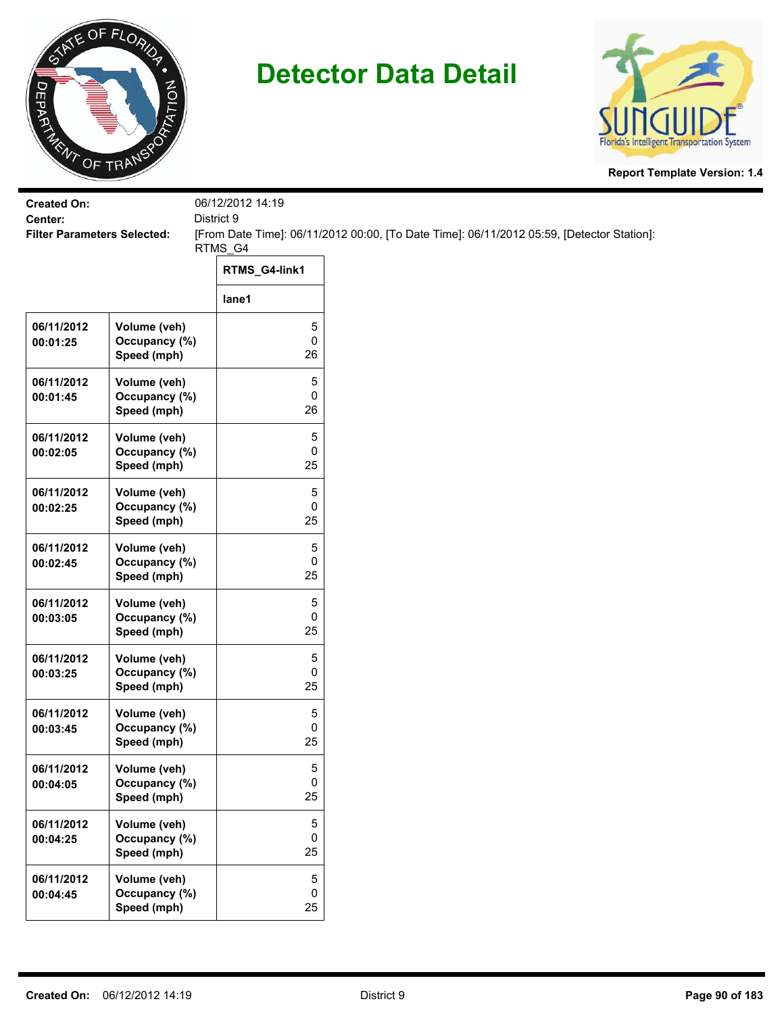



| <b>Created On:</b><br>Center:      |                               | 06/12/2012 14:19<br>District 9 |                                                                                           |
|------------------------------------|-------------------------------|--------------------------------|-------------------------------------------------------------------------------------------|
| <b>Filter Parameters Selected:</b> |                               |                                | [From Date Time]: 06/11/2012 00:00, [To Date Time]: 06/11/2012 05:59, [Detector Station]: |
|                                    |                               | RTMS_G4                        |                                                                                           |
|                                    |                               | RTMS_G4-link1                  |                                                                                           |
|                                    |                               | lane1                          |                                                                                           |
| 06/11/2012                         | Volume (veh)<br>Occupancy (%) | 5<br>$\pmb{0}$                 |                                                                                           |
| 00:01:25                           | Speed (mph)                   | 26                             |                                                                                           |
| 06/11/2012                         | Volume (veh)                  | 5                              |                                                                                           |
| 00:01:45                           | Occupancy (%)<br>Speed (mph)  | 0<br>26                        |                                                                                           |
| 06/11/2012                         | Volume (veh)                  | 5                              |                                                                                           |
| 00:02:05                           | Occupancy (%)<br>Speed (mph)  | 0<br>25                        |                                                                                           |
| 06/11/2012                         | Volume (veh)                  | 5                              |                                                                                           |
| 00:02:25                           | Occupancy (%)                 | 0                              |                                                                                           |
|                                    | Speed (mph)                   | 25                             |                                                                                           |
| 06/11/2012<br>00:02:45             | Volume (veh)<br>Occupancy (%) | 5<br>0                         |                                                                                           |
|                                    | Speed (mph)                   | 25                             |                                                                                           |
| 06/11/2012                         | Volume (veh)                  | 5                              |                                                                                           |
| 00:03:05                           | Occupancy (%)<br>Speed (mph)  | 0<br>25                        |                                                                                           |
| 06/11/2012                         | Volume (veh)                  | 5                              |                                                                                           |
| 00:03:25                           | Occupancy (%)<br>Speed (mph)  | $\mathbf 0$<br>25              |                                                                                           |
| 06/11/2012                         | Volume (veh)                  | 5                              |                                                                                           |
| 00:03:45                           | Occupancy (%)<br>Speed (mph)  | 0<br>25                        |                                                                                           |
|                                    |                               |                                |                                                                                           |
| 06/11/2012<br>00:04:05             | Volume (veh)<br>Occupancy (%) | 5<br>$\pmb{0}$                 |                                                                                           |
|                                    | Speed (mph)                   | 25                             |                                                                                           |
| 06/11/2012                         | Volume (veh)                  | 5<br>0                         |                                                                                           |
| 00:04:25                           | Occupancy (%)<br>Speed (mph)  | 25                             |                                                                                           |
| 06/11/2012                         | Volume (veh)                  | 5                              |                                                                                           |
| 00:04:45                           | Occupancy (%)<br>Speed (mph)  | $\mathsf{O}\xspace$<br>25      |                                                                                           |
|                                    |                               |                                |                                                                                           |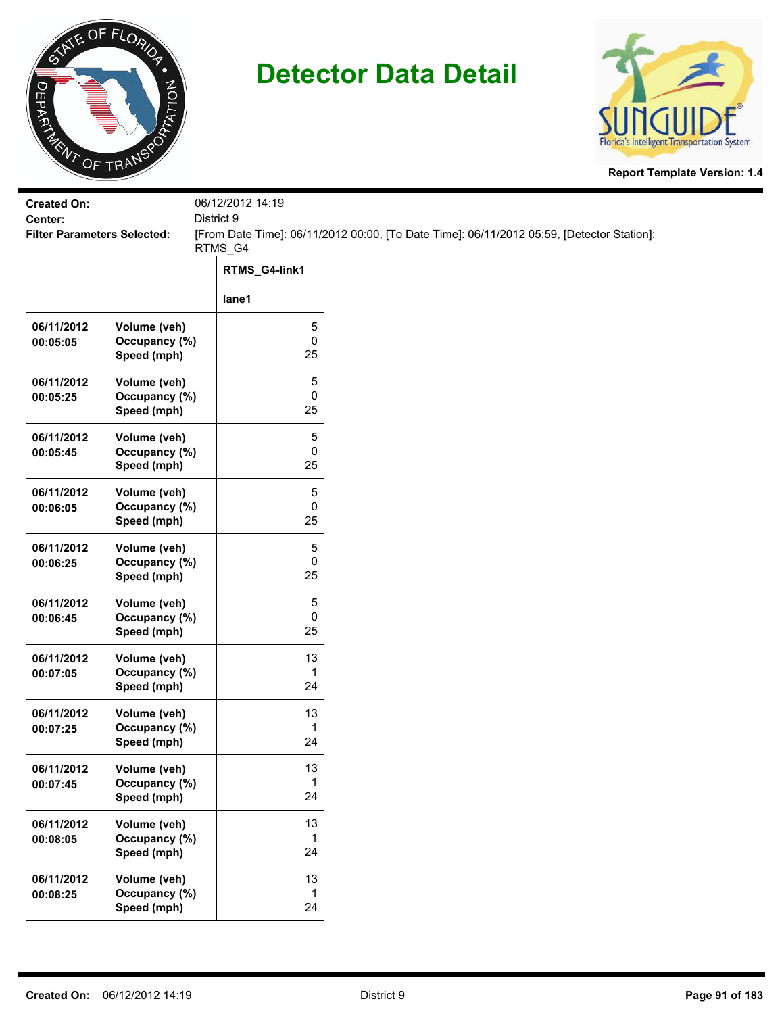



| <b>Created On:</b>                            |                                              | 06/12/2012 14:19 |                                                                                           |
|-----------------------------------------------|----------------------------------------------|------------------|-------------------------------------------------------------------------------------------|
| Center:<br><b>Filter Parameters Selected:</b> |                                              | District 9       | [From Date Time]: 06/11/2012 00:00, [To Date Time]: 06/11/2012 05:59, [Detector Station]: |
|                                               |                                              | RTMS_G4          |                                                                                           |
|                                               |                                              | RTMS_G4-link1    |                                                                                           |
|                                               |                                              | lane1            |                                                                                           |
| 06/11/2012<br>00:05:05                        | Volume (veh)<br>Occupancy (%)<br>Speed (mph) | 5<br>0<br>25     |                                                                                           |
| 06/11/2012<br>00:05:25                        | Volume (veh)<br>Occupancy (%)<br>Speed (mph) | 5<br>0<br>25     |                                                                                           |
| 06/11/2012<br>00:05:45                        | Volume (veh)<br>Occupancy (%)<br>Speed (mph) | 5<br>0<br>25     |                                                                                           |
| 06/11/2012<br>00:06:05                        | Volume (veh)<br>Occupancy (%)<br>Speed (mph) | 5<br>0<br>25     |                                                                                           |
| 06/11/2012<br>00:06:25                        | Volume (veh)<br>Occupancy (%)<br>Speed (mph) | 5<br>0<br>25     |                                                                                           |
| 06/11/2012<br>00:06:45                        | Volume (veh)<br>Occupancy (%)<br>Speed (mph) | 5<br>0<br>25     |                                                                                           |
| 06/11/2012<br>00:07:05                        | Volume (veh)<br>Occupancy (%)<br>Speed (mph) | 13<br>1<br>24    |                                                                                           |
| 06/11/2012<br>00:07:25                        | Volume (veh)<br>Occupancy (%)<br>Speed (mph) | 13<br>1<br>24    |                                                                                           |
| 06/11/2012<br>00:07:45                        | Volume (veh)<br>Occupancy (%)<br>Speed (mph) | 13<br>1<br>24    |                                                                                           |
| 06/11/2012<br>00:08:05                        | Volume (veh)<br>Occupancy (%)<br>Speed (mph) | 13<br>1<br>24    |                                                                                           |
| 06/11/2012<br>00:08:25                        | Volume (veh)<br>Occupancy (%)<br>Speed (mph) | 13<br>1<br>24    |                                                                                           |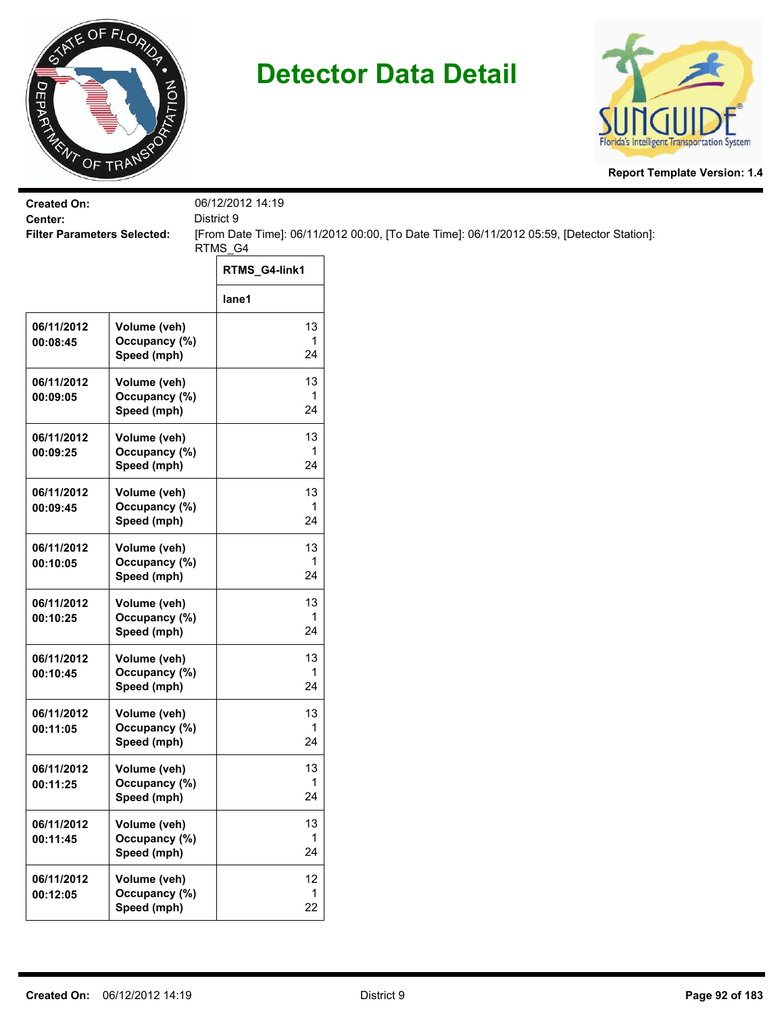



| <b>Created On:</b><br>Center:      |                                              | 06/12/2012 14:19         |                                                                                           |
|------------------------------------|----------------------------------------------|--------------------------|-------------------------------------------------------------------------------------------|
| <b>Filter Parameters Selected:</b> |                                              | District 9               | [From Date Time]: 06/11/2012 00:00, [To Date Time]: 06/11/2012 05:59, [Detector Station]: |
|                                    |                                              | RTMS_G4<br>RTMS_G4-link1 |                                                                                           |
|                                    |                                              | lane1                    |                                                                                           |
| 06/11/2012<br>00:08:45             | Volume (veh)<br>Occupancy (%)                | 13<br>1                  |                                                                                           |
|                                    | Speed (mph)                                  | 24                       |                                                                                           |
| 06/11/2012<br>00:09:05             | Volume (veh)<br>Occupancy (%)<br>Speed (mph) | 13<br>1<br>24            |                                                                                           |
| 06/11/2012<br>00:09:25             | Volume (veh)<br>Occupancy (%)<br>Speed (mph) | 13<br>1<br>24            |                                                                                           |
| 06/11/2012<br>00:09:45             | Volume (veh)<br>Occupancy (%)<br>Speed (mph) | 13<br>1<br>24            |                                                                                           |
| 06/11/2012<br>00:10:05             | Volume (veh)<br>Occupancy (%)<br>Speed (mph) | 13<br>1<br>24            |                                                                                           |
| 06/11/2012<br>00:10:25             | Volume (veh)<br>Occupancy (%)<br>Speed (mph) | 13<br>1<br>24            |                                                                                           |
| 06/11/2012<br>00:10:45             | Volume (veh)<br>Occupancy (%)<br>Speed (mph) | 13<br>1<br>24            |                                                                                           |
| 06/11/2012<br>00:11:05             | Volume (veh)<br>Occupancy (%)<br>Speed (mph) | 13<br>1<br>24            |                                                                                           |
| 06/11/2012<br>00:11:25             | Volume (veh)<br>Occupancy (%)<br>Speed (mph) | 13<br>1<br>24            |                                                                                           |
| 06/11/2012<br>00:11:45             | Volume (veh)<br>Occupancy (%)<br>Speed (mph) | 13<br>1<br>24            |                                                                                           |
| 06/11/2012<br>00:12:05             | Volume (veh)<br>Occupancy (%)<br>Speed (mph) | 12<br>$\mathbf{1}$<br>22 |                                                                                           |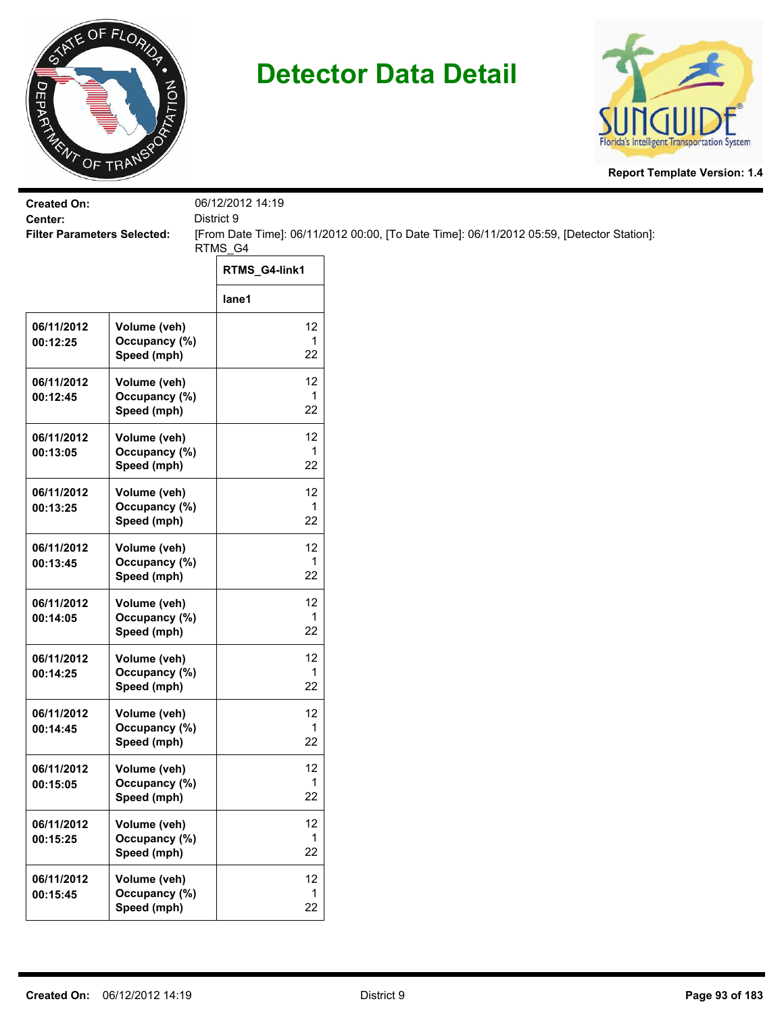



| <b>Created On:</b>     |                                              | 06/12/2012 14:19<br>District 9 |                                                                                           |
|------------------------|----------------------------------------------|--------------------------------|-------------------------------------------------------------------------------------------|
| Center:                | <b>Filter Parameters Selected:</b>           |                                | [From Date Time]: 06/11/2012 00:00, [To Date Time]: 06/11/2012 05:59, [Detector Station]: |
|                        |                                              | RTMS_G4                        |                                                                                           |
|                        |                                              | RTMS_G4-link1                  |                                                                                           |
|                        |                                              | lane1                          |                                                                                           |
| 06/11/2012<br>00:12:25 | Volume (veh)<br>Occupancy (%)<br>Speed (mph) | 12<br>$\mathbf{1}$<br>22       |                                                                                           |
| 06/11/2012<br>00:12:45 | Volume (veh)<br>Occupancy (%)<br>Speed (mph) | 12<br>1<br>22                  |                                                                                           |
| 06/11/2012<br>00:13:05 | Volume (veh)<br>Occupancy (%)<br>Speed (mph) | 12<br>1<br>22                  |                                                                                           |
| 06/11/2012<br>00:13:25 | Volume (veh)<br>Occupancy (%)<br>Speed (mph) | 12<br>$\mathbf{1}$<br>22       |                                                                                           |
| 06/11/2012<br>00:13:45 | Volume (veh)<br>Occupancy (%)<br>Speed (mph) | 12<br>1<br>22                  |                                                                                           |
| 06/11/2012<br>00:14:05 | Volume (veh)<br>Occupancy (%)<br>Speed (mph) | 12<br>$\mathbf{1}$<br>22       |                                                                                           |
| 06/11/2012<br>00:14:25 | Volume (veh)<br>Occupancy (%)<br>Speed (mph) | 12<br>$\mathbf{1}$<br>22       |                                                                                           |
| 06/11/2012<br>00:14:45 | Volume (veh)<br>Occupancy (%)<br>Speed (mph) | 12<br>1<br>22                  |                                                                                           |
| 06/11/2012<br>00:15:05 | Volume (veh)<br>Occupancy (%)<br>Speed (mph) | 12<br>1<br>22                  |                                                                                           |
| 06/11/2012<br>00:15:25 | Volume (veh)<br>Occupancy (%)<br>Speed (mph) | 12<br>1<br>22                  |                                                                                           |
| 06/11/2012<br>00:15:45 | Volume (veh)<br>Occupancy (%)<br>Speed (mph) | 12<br>1<br>22                  |                                                                                           |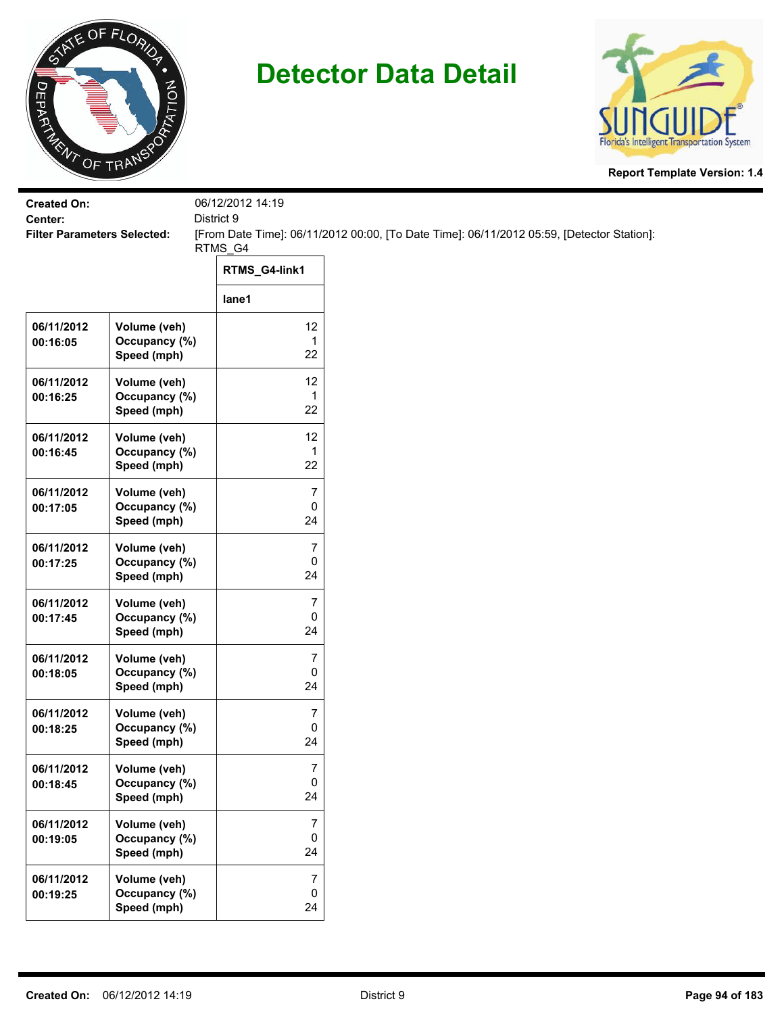



| <b>Created On:</b><br>Center:      |                                              | 06/12/2012 14:19                    |                                                                                           |
|------------------------------------|----------------------------------------------|-------------------------------------|-------------------------------------------------------------------------------------------|
| <b>Filter Parameters Selected:</b> |                                              | District 9                          | [From Date Time]: 06/11/2012 00:00, [To Date Time]: 06/11/2012 05:59, [Detector Station]: |
|                                    |                                              | RTMS_G4                             |                                                                                           |
|                                    |                                              | RTMS_G4-link1                       |                                                                                           |
|                                    |                                              | lane1                               |                                                                                           |
| 06/11/2012<br>00:16:05             | Volume (veh)<br>Occupancy (%)<br>Speed (mph) | 12<br>$\mathbf{1}$<br>22            |                                                                                           |
| 06/11/2012<br>00:16:25             | Volume (veh)<br>Occupancy (%)<br>Speed (mph) | 12<br>1<br>22                       |                                                                                           |
| 06/11/2012<br>00:16:45             | Volume (veh)<br>Occupancy (%)<br>Speed (mph) | 12<br>1<br>22                       |                                                                                           |
| 06/11/2012<br>00:17:05             | Volume (veh)<br>Occupancy (%)<br>Speed (mph) | $\overline{7}$<br>0<br>24           |                                                                                           |
| 06/11/2012<br>00:17:25             | Volume (veh)<br>Occupancy (%)<br>Speed (mph) | $\overline{7}$<br>0<br>24           |                                                                                           |
| 06/11/2012<br>00:17:45             | Volume (veh)<br>Occupancy (%)<br>Speed (mph) | $\overline{7}$<br>0<br>24           |                                                                                           |
| 06/11/2012<br>00:18:05             | Volume (veh)<br>Occupancy (%)<br>Speed (mph) | $\boldsymbol{7}$<br>0<br>24         |                                                                                           |
| 06/11/2012<br>00:18:25             | Volume (veh)<br>Occupancy (%)<br>Speed (mph) | $\overline{7}$<br>0<br>24           |                                                                                           |
| 06/11/2012<br>00:18:45             | Volume (veh)<br>Occupancy (%)<br>Speed (mph) | 7<br>0<br>24                        |                                                                                           |
| 06/11/2012<br>00:19:05             | Volume (veh)<br>Occupancy (%)<br>Speed (mph) | $\boldsymbol{7}$<br>$\pmb{0}$<br>24 |                                                                                           |
| 06/11/2012<br>00:19:25             | Volume (veh)<br>Occupancy (%)<br>Speed (mph) | $\overline{7}$<br>$\pmb{0}$<br>24   |                                                                                           |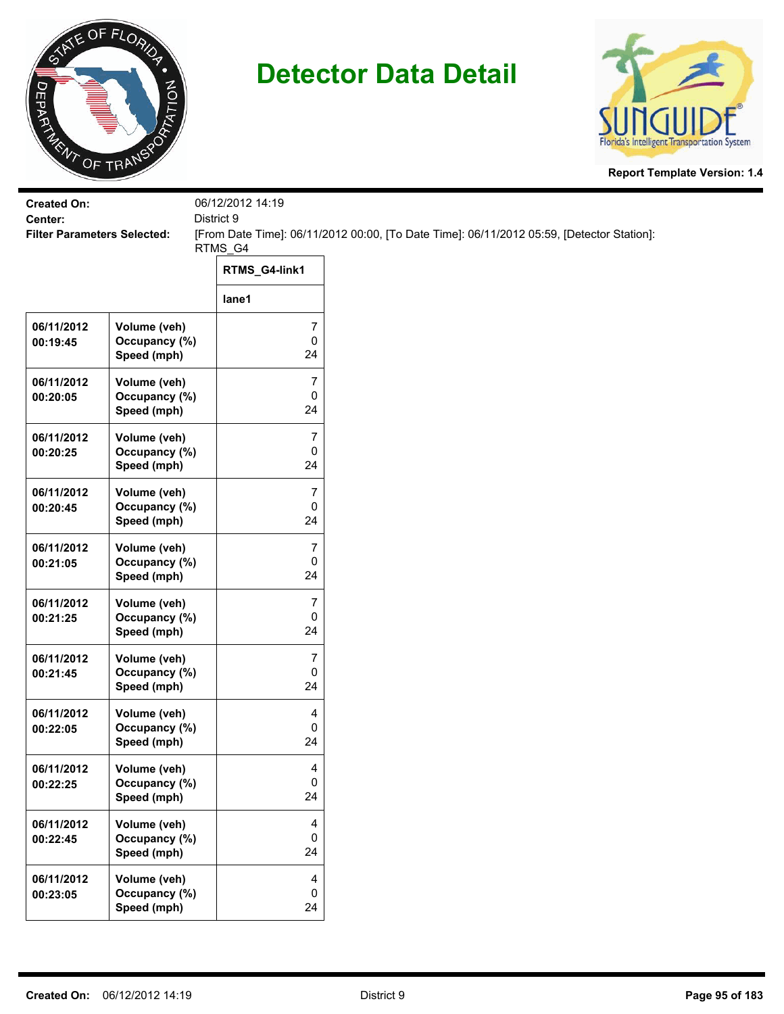



| <b>Created On:</b><br>Center:<br><b>Filter Parameters Selected:</b> |                               | 06/12/2012 14:19          |                                                                                           |  |  |
|---------------------------------------------------------------------|-------------------------------|---------------------------|-------------------------------------------------------------------------------------------|--|--|
|                                                                     |                               | District 9                | [From Date Time]: 06/11/2012 00:00, [To Date Time]: 06/11/2012 05:59, [Detector Station]: |  |  |
|                                                                     |                               | RTMS_G4                   |                                                                                           |  |  |
|                                                                     |                               | RTMS_G4-link1             |                                                                                           |  |  |
|                                                                     |                               | lane1                     |                                                                                           |  |  |
| 06/11/2012                                                          | Volume (veh)                  | 7                         |                                                                                           |  |  |
| 00:19:45                                                            | Occupancy (%)<br>Speed (mph)  | $\mathsf{O}\xspace$<br>24 |                                                                                           |  |  |
| 06/11/2012                                                          | Volume (veh)                  | 7                         |                                                                                           |  |  |
| 00:20:05                                                            | Occupancy (%)                 | 0                         |                                                                                           |  |  |
|                                                                     | Speed (mph)                   | 24                        |                                                                                           |  |  |
| 06/11/2012                                                          | Volume (veh)                  | 7                         |                                                                                           |  |  |
| 00:20:25                                                            | Occupancy (%)<br>Speed (mph)  | 0<br>24                   |                                                                                           |  |  |
|                                                                     |                               |                           |                                                                                           |  |  |
| 06/11/2012<br>00:20:45                                              | Volume (veh)<br>Occupancy (%) | 7<br>0                    |                                                                                           |  |  |
|                                                                     | Speed (mph)                   | 24                        |                                                                                           |  |  |
| 06/11/2012                                                          | Volume (veh)                  | 7                         |                                                                                           |  |  |
| 00:21:05                                                            | Occupancy (%)                 | 0                         |                                                                                           |  |  |
|                                                                     | Speed (mph)                   | 24                        |                                                                                           |  |  |
| 06/11/2012                                                          | Volume (veh)                  | 7                         |                                                                                           |  |  |
| 00:21:25                                                            | Occupancy (%)                 | $\pmb{0}$<br>24           |                                                                                           |  |  |
|                                                                     | Speed (mph)                   |                           |                                                                                           |  |  |
| 06/11/2012                                                          | Volume (veh)                  | 7                         |                                                                                           |  |  |
| 00:21:45                                                            | Occupancy (%)<br>Speed (mph)  | 0<br>24                   |                                                                                           |  |  |
|                                                                     |                               |                           |                                                                                           |  |  |
| 06/11/2012<br>00:22:05                                              | Volume (veh)<br>Occupancy (%) | 4<br>0                    |                                                                                           |  |  |
|                                                                     | Speed (mph)                   | 24                        |                                                                                           |  |  |
| 06/11/2012                                                          | Volume (veh)                  | 4                         |                                                                                           |  |  |
| 00:22:25                                                            | Occupancy (%)                 | $\mathbf 0$               |                                                                                           |  |  |
|                                                                     | Speed (mph)                   | 24                        |                                                                                           |  |  |
| 06/11/2012                                                          | Volume (veh)                  | 4                         |                                                                                           |  |  |
| 00:22:45                                                            | Occupancy (%)                 | $\mathbf 0$               |                                                                                           |  |  |
|                                                                     | Speed (mph)                   | 24                        |                                                                                           |  |  |
| 06/11/2012                                                          | Volume (veh)                  | 4                         |                                                                                           |  |  |
| 00:23:05                                                            | Occupancy (%)                 | 0                         |                                                                                           |  |  |
|                                                                     | Speed (mph)                   | 24                        |                                                                                           |  |  |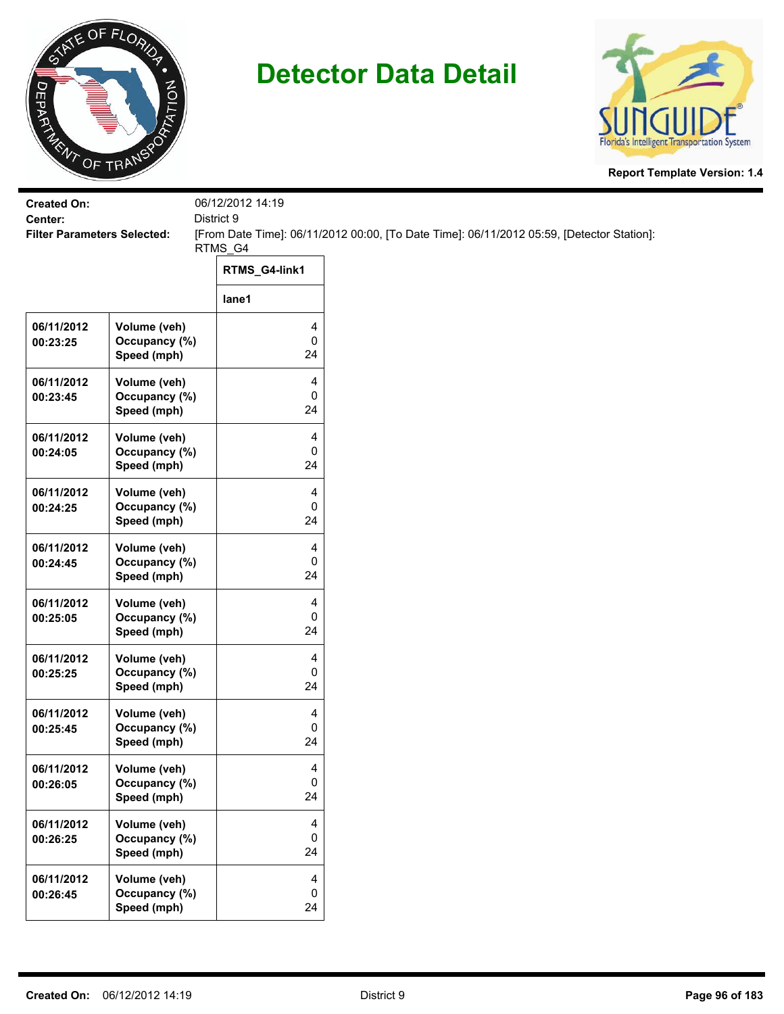



| <b>Created On:</b><br>Center:      |                                              | 06/12/2012 14:19     |                                                                                           |
|------------------------------------|----------------------------------------------|----------------------|-------------------------------------------------------------------------------------------|
| <b>Filter Parameters Selected:</b> |                                              | District 9           | [From Date Time]: 06/11/2012 00:00, [To Date Time]: 06/11/2012 05:59, [Detector Station]: |
|                                    |                                              | RTMS_G4              |                                                                                           |
|                                    |                                              | RTMS_G4-link1        |                                                                                           |
|                                    |                                              | lane1                |                                                                                           |
| 06/11/2012<br>00:23:25             | Volume (veh)<br>Occupancy (%)<br>Speed (mph) | 4<br>0<br>24         |                                                                                           |
| 06/11/2012<br>00:23:45             | Volume (veh)<br>Occupancy (%)<br>Speed (mph) | 4<br>0<br>24         |                                                                                           |
| 06/11/2012<br>00:24:05             | Volume (veh)<br>Occupancy (%)<br>Speed (mph) | 4<br>0<br>24         |                                                                                           |
| 06/11/2012<br>00:24:25             | Volume (veh)<br>Occupancy (%)<br>Speed (mph) | 4<br>0<br>24         |                                                                                           |
| 06/11/2012<br>00:24:45             | Volume (veh)<br>Occupancy (%)<br>Speed (mph) | 4<br>0<br>24         |                                                                                           |
| 06/11/2012<br>00:25:05             | Volume (veh)<br>Occupancy (%)<br>Speed (mph) | 4<br>0<br>24         |                                                                                           |
| 06/11/2012<br>00:25:25             | Volume (veh)<br>Occupancy (%)<br>Speed (mph) | 4<br>0<br>24         |                                                                                           |
| 06/11/2012<br>00:25:45             | Volume (veh)<br>Occupancy (%)<br>Speed (mph) | 4<br>0<br>24         |                                                                                           |
| 06/11/2012<br>00:26:05             | Volume (veh)<br>Occupancy (%)<br>Speed (mph) | 4<br>$\pmb{0}$<br>24 |                                                                                           |
| 06/11/2012<br>00:26:25             | Volume (veh)<br>Occupancy (%)<br>Speed (mph) | 4<br>0<br>24         |                                                                                           |
| 06/11/2012<br>00:26:45             | Volume (veh)<br>Occupancy (%)<br>Speed (mph) | 4<br>$\pmb{0}$<br>24 |                                                                                           |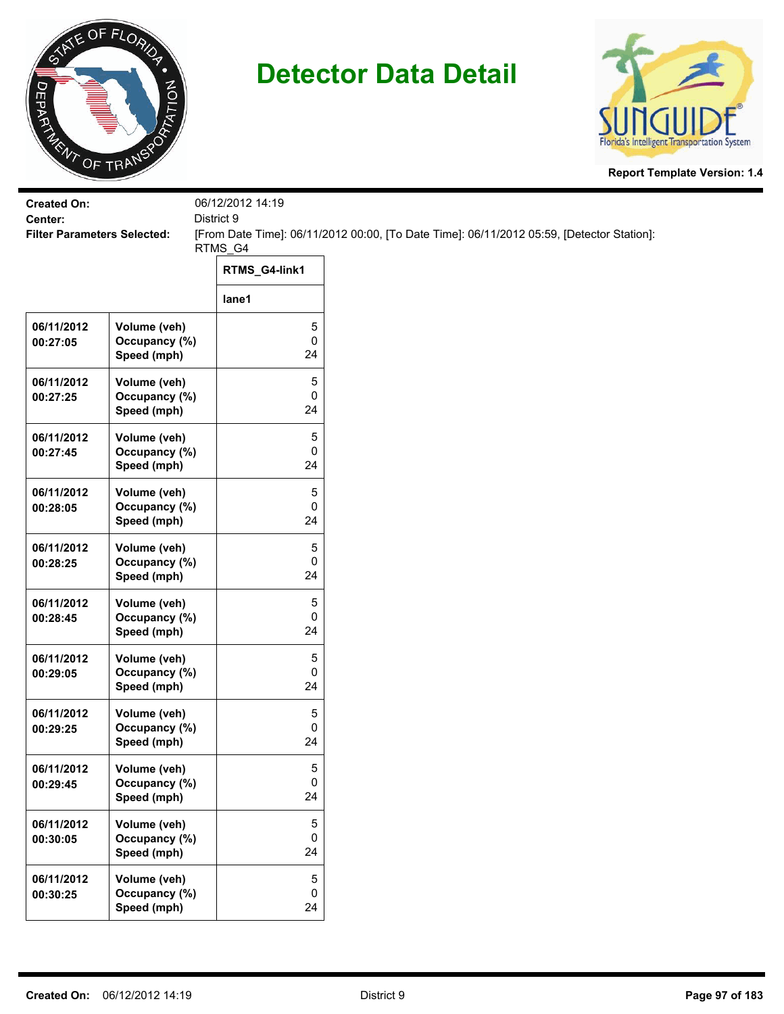



| <b>Created On:</b><br>Center:      |                                              | 06/12/2012 14:19<br>District 9 |                                                                                           |
|------------------------------------|----------------------------------------------|--------------------------------|-------------------------------------------------------------------------------------------|
| <b>Filter Parameters Selected:</b> |                                              | RTMS_G4                        | [From Date Time]: 06/11/2012 00:00, [To Date Time]: 06/11/2012 05:59, [Detector Station]: |
|                                    |                                              | RTMS_G4-link1                  |                                                                                           |
|                                    |                                              | lane1                          |                                                                                           |
| 06/11/2012<br>00:27:05             | Volume (veh)<br>Occupancy (%)<br>Speed (mph) | 5<br>0<br>24                   |                                                                                           |
| 06/11/2012<br>00:27:25             | Volume (veh)<br>Occupancy (%)<br>Speed (mph) | 5<br>0<br>24                   |                                                                                           |
| 06/11/2012<br>00:27:45             | Volume (veh)<br>Occupancy (%)<br>Speed (mph) | 5<br>0<br>24                   |                                                                                           |
| 06/11/2012<br>00:28:05             | Volume (veh)<br>Occupancy (%)<br>Speed (mph) | 5<br>0<br>24                   |                                                                                           |
| 06/11/2012<br>00:28:25             | Volume (veh)<br>Occupancy (%)<br>Speed (mph) | 5<br>0<br>24                   |                                                                                           |
| 06/11/2012<br>00:28:45             | Volume (veh)<br>Occupancy (%)<br>Speed (mph) | 5<br>0<br>24                   |                                                                                           |
| 06/11/2012<br>00:29:05             | Volume (veh)<br>Occupancy (%)<br>Speed (mph) | 5<br>0<br>24                   |                                                                                           |
| 06/11/2012<br>00:29:25             | Volume (veh)<br>Occupancy (%)<br>Speed (mph) | 5<br>0<br>24                   |                                                                                           |
| 06/11/2012<br>00:29:45             | Volume (veh)<br>Occupancy (%)<br>Speed (mph) | 5<br>0<br>24                   |                                                                                           |
| 06/11/2012<br>00:30:05             | Volume (veh)<br>Occupancy (%)<br>Speed (mph) | $\,$ 5 $\,$<br>0<br>24         |                                                                                           |
| 06/11/2012<br>00:30:25             | Volume (veh)<br>Occupancy (%)<br>Speed (mph) | 5<br>0<br>24                   |                                                                                           |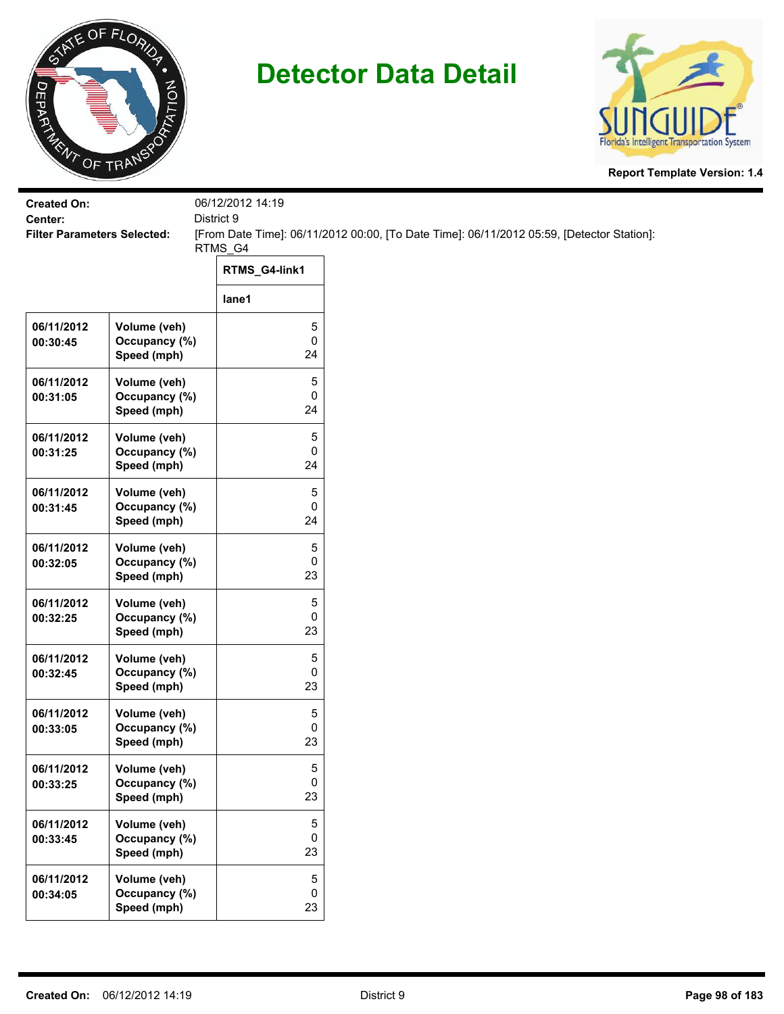



| <b>Created On:</b>                            |                                              | 06/12/2012 14:19<br>District 9 |                                                                                           |
|-----------------------------------------------|----------------------------------------------|--------------------------------|-------------------------------------------------------------------------------------------|
| Center:<br><b>Filter Parameters Selected:</b> |                                              |                                | [From Date Time]: 06/11/2012 00:00, [To Date Time]: 06/11/2012 05:59, [Detector Station]: |
|                                               |                                              | RTMS_G4                        |                                                                                           |
|                                               |                                              | RTMS_G4-link1                  |                                                                                           |
|                                               |                                              | lane1                          |                                                                                           |
| 06/11/2012<br>00:30:45                        | Volume (veh)<br>Occupancy (%)<br>Speed (mph) | 5<br>0<br>24                   |                                                                                           |
| 06/11/2012<br>00:31:05                        | Volume (veh)<br>Occupancy (%)<br>Speed (mph) | 5<br>0<br>24                   |                                                                                           |
| 06/11/2012<br>00:31:25                        | Volume (veh)<br>Occupancy (%)<br>Speed (mph) | 5<br>0<br>24                   |                                                                                           |
| 06/11/2012<br>00:31:45                        | Volume (veh)<br>Occupancy (%)<br>Speed (mph) | 5<br>0<br>24                   |                                                                                           |
| 06/11/2012<br>00:32:05                        | Volume (veh)<br>Occupancy (%)<br>Speed (mph) | 5<br>0<br>23                   |                                                                                           |
| 06/11/2012<br>00:32:25                        | Volume (veh)<br>Occupancy (%)<br>Speed (mph) | 5<br>0<br>23                   |                                                                                           |
| 06/11/2012<br>00:32:45                        | Volume (veh)<br>Occupancy (%)<br>Speed (mph) | 5<br>0<br>23                   |                                                                                           |
| 06/11/2012<br>00:33:05                        | Volume (veh)<br>Occupancy (%)<br>Speed (mph) | 5<br>0<br>23                   |                                                                                           |
| 06/11/2012<br>00:33:25                        | Volume (veh)<br>Occupancy (%)<br>Speed (mph) | 5<br>0<br>23                   |                                                                                           |
| 06/11/2012<br>00:33:45                        | Volume (veh)<br>Occupancy (%)<br>Speed (mph) | $\,$ 5 $\,$<br>0<br>23         |                                                                                           |
| 06/11/2012<br>00:34:05                        | Volume (veh)<br>Occupancy (%)<br>Speed (mph) | $\sqrt{5}$<br>0<br>23          |                                                                                           |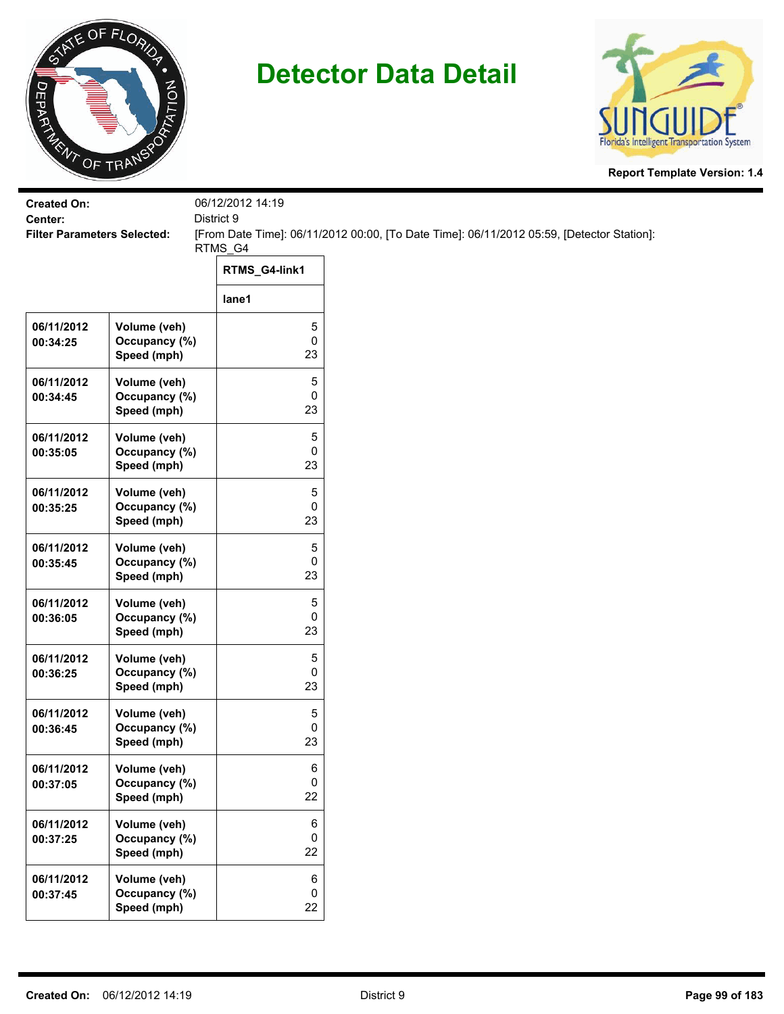



| <b>Created On:</b>                            |                                              | 06/12/2012 14:19 |                                                                                           |
|-----------------------------------------------|----------------------------------------------|------------------|-------------------------------------------------------------------------------------------|
| Center:<br><b>Filter Parameters Selected:</b> |                                              | District 9       | [From Date Time]: 06/11/2012 00:00, [To Date Time]: 06/11/2012 05:59, [Detector Station]: |
|                                               |                                              | RTMS_G4          |                                                                                           |
|                                               |                                              | RTMS_G4-link1    |                                                                                           |
|                                               |                                              | lane1            |                                                                                           |
| 06/11/2012<br>00:34:25                        | Volume (veh)<br>Occupancy (%)<br>Speed (mph) | 5<br>0<br>23     |                                                                                           |
| 06/11/2012<br>00:34:45                        | Volume (veh)<br>Occupancy (%)<br>Speed (mph) | 5<br>0<br>23     |                                                                                           |
| 06/11/2012<br>00:35:05                        | Volume (veh)<br>Occupancy (%)<br>Speed (mph) | 5<br>0<br>23     |                                                                                           |
| 06/11/2012<br>00:35:25                        | Volume (veh)<br>Occupancy (%)<br>Speed (mph) | 5<br>0<br>23     |                                                                                           |
| 06/11/2012<br>00:35:45                        | Volume (veh)<br>Occupancy (%)<br>Speed (mph) | 5<br>0<br>23     |                                                                                           |
| 06/11/2012<br>00:36:05                        | Volume (veh)<br>Occupancy (%)<br>Speed (mph) | 5<br>0<br>23     |                                                                                           |
| 06/11/2012<br>00:36:25                        | Volume (veh)<br>Occupancy (%)<br>Speed (mph) | 5<br>0<br>23     |                                                                                           |
| 06/11/2012<br>00:36:45                        | Volume (veh)<br>Occupancy (%)<br>Speed (mph) | 5<br>0<br>23     |                                                                                           |
| 06/11/2012<br>00:37:05                        | Volume (veh)<br>Occupancy (%)<br>Speed (mph) | 6<br>0<br>22     |                                                                                           |
| 06/11/2012<br>00:37:25                        | Volume (veh)<br>Occupancy (%)<br>Speed (mph) | 6<br>0<br>22     |                                                                                           |
| 06/11/2012<br>00:37:45                        | Volume (veh)<br>Occupancy (%)<br>Speed (mph) | 6<br>0<br>22     |                                                                                           |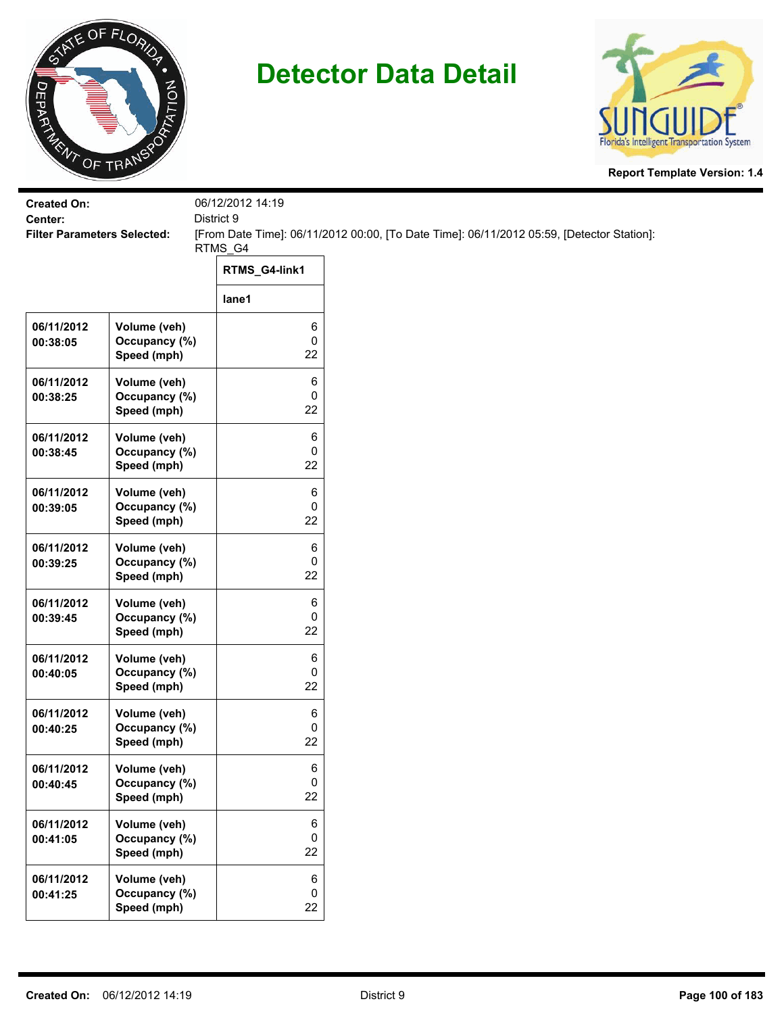



| <b>Created On:</b>                            |                                              | 06/12/2012 14:19         |                                                                                           |  |
|-----------------------------------------------|----------------------------------------------|--------------------------|-------------------------------------------------------------------------------------------|--|
| Center:<br><b>Filter Parameters Selected:</b> |                                              | District 9               | [From Date Time]: 06/11/2012 00:00, [To Date Time]: 06/11/2012 05:59, [Detector Station]: |  |
|                                               |                                              | RTMS_G4<br>RTMS_G4-link1 |                                                                                           |  |
|                                               |                                              | lane1                    |                                                                                           |  |
| 06/11/2012<br>00:38:05                        | Volume (veh)<br>Occupancy (%)<br>Speed (mph) | 6<br>0<br>22             |                                                                                           |  |
| 06/11/2012<br>00:38:25                        | Volume (veh)<br>Occupancy (%)<br>Speed (mph) | 6<br>0<br>22             |                                                                                           |  |
| 06/11/2012<br>00:38:45                        | Volume (veh)<br>Occupancy (%)<br>Speed (mph) | 6<br>0<br>22             |                                                                                           |  |
| 06/11/2012<br>00:39:05                        | Volume (veh)<br>Occupancy (%)<br>Speed (mph) | 6<br>0<br>22             |                                                                                           |  |
| 06/11/2012<br>00:39:25                        | Volume (veh)<br>Occupancy (%)<br>Speed (mph) | 6<br>0<br>22             |                                                                                           |  |
| 06/11/2012<br>00:39:45                        | Volume (veh)<br>Occupancy (%)<br>Speed (mph) | 6<br>0<br>22             |                                                                                           |  |
| 06/11/2012<br>00:40:05                        | Volume (veh)<br>Occupancy (%)<br>Speed (mph) | 6<br>0<br>22             |                                                                                           |  |
| 06/11/2012<br>00:40:25                        | Volume (veh)<br>Occupancy (%)<br>Speed (mph) | 6<br>0<br>22             |                                                                                           |  |
| 06/11/2012<br>00:40:45                        | Volume (veh)<br>Occupancy (%)<br>Speed (mph) | 6<br>0<br>22             |                                                                                           |  |
| 06/11/2012<br>00:41:05                        | Volume (veh)<br>Occupancy (%)<br>Speed (mph) | 6<br>0<br>22             |                                                                                           |  |
| 06/11/2012<br>00:41:25                        | Volume (veh)<br>Occupancy (%)<br>Speed (mph) | 6<br>0<br>22             |                                                                                           |  |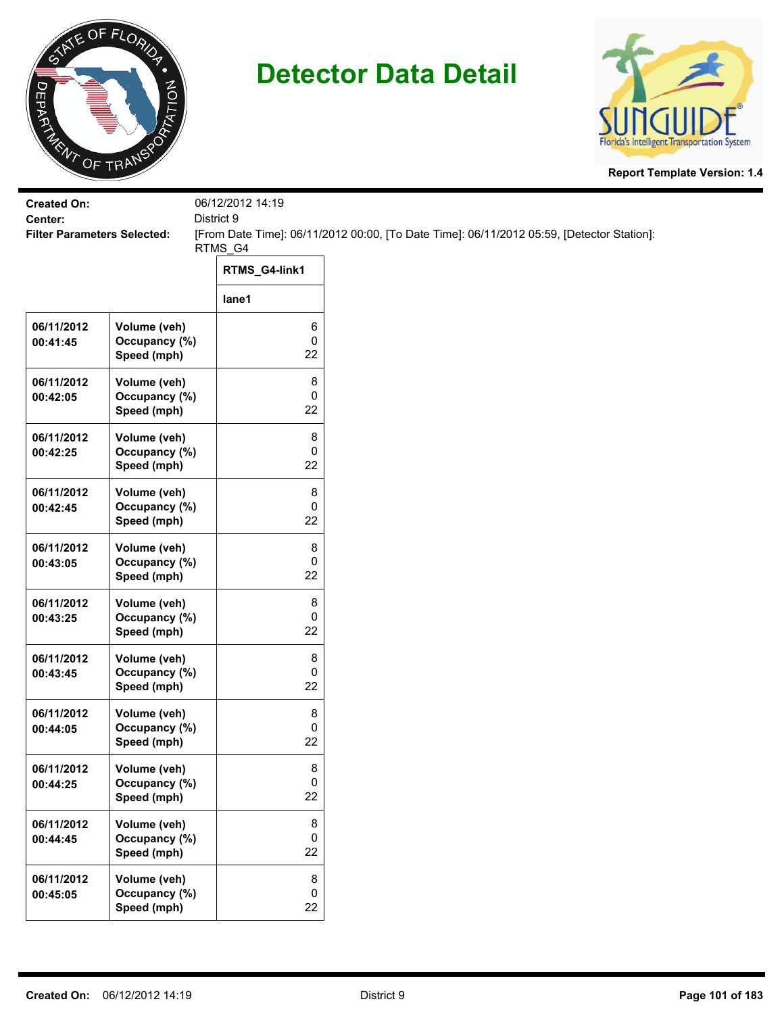



| <b>Created On:</b>                            |                                              | 06/12/2012 14:19       |                                                                                           |
|-----------------------------------------------|----------------------------------------------|------------------------|-------------------------------------------------------------------------------------------|
| Center:<br><b>Filter Parameters Selected:</b> |                                              | District 9             | [From Date Time]: 06/11/2012 00:00, [To Date Time]: 06/11/2012 05:59, [Detector Station]: |
|                                               |                                              | RTMS_G4                |                                                                                           |
|                                               |                                              | RTMS_G4-link1          |                                                                                           |
|                                               |                                              | lane1                  |                                                                                           |
| 06/11/2012<br>00:41:45                        | Volume (veh)<br>Occupancy (%)                | 6<br>$\pmb{0}$         |                                                                                           |
|                                               | Speed (mph)                                  | 22                     |                                                                                           |
| 06/11/2012<br>00:42:05                        | Volume (veh)<br>Occupancy (%)<br>Speed (mph) | 8<br>0<br>22           |                                                                                           |
| 06/11/2012<br>00:42:25                        | Volume (veh)<br>Occupancy (%)<br>Speed (mph) | 8<br>0<br>22           |                                                                                           |
| 06/11/2012<br>00:42:45                        | Volume (veh)<br>Occupancy (%)<br>Speed (mph) | 8<br>0<br>22           |                                                                                           |
| 06/11/2012<br>00:43:05                        | Volume (veh)<br>Occupancy (%)<br>Speed (mph) | 8<br>0<br>22           |                                                                                           |
| 06/11/2012<br>00:43:25                        | Volume (veh)<br>Occupancy (%)<br>Speed (mph) | 8<br>$\pmb{0}$<br>22   |                                                                                           |
| 06/11/2012<br>00:43:45                        | Volume (veh)<br>Occupancy (%)<br>Speed (mph) | 8<br>0<br>22           |                                                                                           |
| 06/11/2012<br>00:44:05                        | Volume (veh)<br>Occupancy (%)<br>Speed (mph) | 8<br>0<br>22           |                                                                                           |
| 06/11/2012<br>00:44:25                        | Volume (veh)<br>Occupancy (%)<br>Speed (mph) | 8<br>0<br>22           |                                                                                           |
| 06/11/2012<br>00:44:45                        | Volume (veh)<br>Occupancy (%)<br>Speed (mph) | 8<br>$\mathbf 0$<br>22 |                                                                                           |
| 06/11/2012<br>00:45:05                        | Volume (veh)<br>Occupancy (%)<br>Speed (mph) | 8<br>$\pmb{0}$<br>22   |                                                                                           |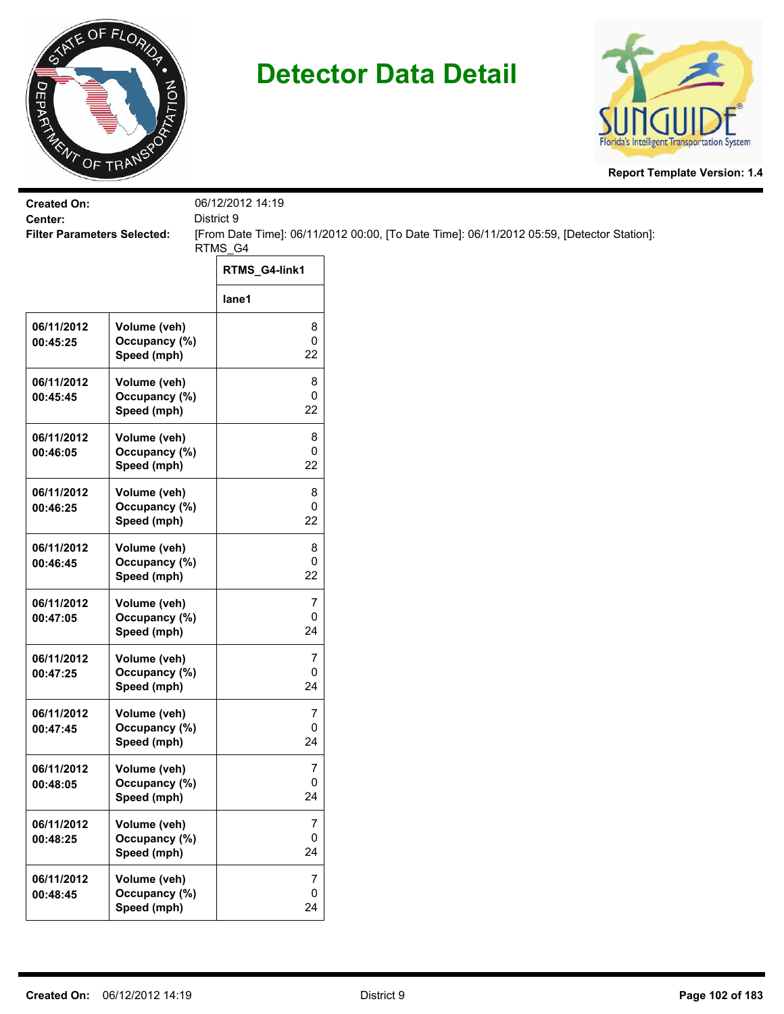



| <b>Created On:</b>                            |                                              | 06/12/2012 14:19                  |                                                                                           |
|-----------------------------------------------|----------------------------------------------|-----------------------------------|-------------------------------------------------------------------------------------------|
| Center:<br><b>Filter Parameters Selected:</b> |                                              | District 9                        | [From Date Time]: 06/11/2012 00:00, [To Date Time]: 06/11/2012 05:59, [Detector Station]: |
|                                               |                                              | RTMS_G4                           |                                                                                           |
|                                               |                                              | RTMS_G4-link1                     |                                                                                           |
|                                               |                                              | lane1                             |                                                                                           |
| 06/11/2012<br>00:45:25                        | Volume (veh)<br>Occupancy (%)<br>Speed (mph) | 8<br>$\pmb{0}$<br>22              |                                                                                           |
| 06/11/2012<br>00:45:45                        | Volume (veh)<br>Occupancy (%)<br>Speed (mph) | 8<br>0<br>22                      |                                                                                           |
| 06/11/2012<br>00:46:05                        | Volume (veh)<br>Occupancy (%)<br>Speed (mph) | 8<br>0<br>22                      |                                                                                           |
| 06/11/2012<br>00:46:25                        | Volume (veh)<br>Occupancy (%)<br>Speed (mph) | 8<br>0<br>22                      |                                                                                           |
| 06/11/2012<br>00:46:45                        | Volume (veh)<br>Occupancy (%)<br>Speed (mph) | 8<br>0<br>22                      |                                                                                           |
| 06/11/2012<br>00:47:05                        | Volume (veh)<br>Occupancy (%)<br>Speed (mph) | $\overline{7}$<br>$\pmb{0}$<br>24 |                                                                                           |
| 06/11/2012<br>00:47:25                        | Volume (veh)<br>Occupancy (%)<br>Speed (mph) | 7<br>$\pmb{0}$<br>24              |                                                                                           |
| 06/11/2012<br>00:47:45                        | Volume (veh)<br>Occupancy (%)<br>Speed (mph) | 7<br>0<br>24                      |                                                                                           |
| 06/11/2012<br>00:48:05                        | Volume (veh)<br>Occupancy (%)<br>Speed (mph) | 7<br>0<br>24                      |                                                                                           |
| 06/11/2012<br>00:48:25                        | Volume (veh)<br>Occupancy (%)<br>Speed (mph) | $\overline{7}$<br>0<br>24         |                                                                                           |
| 06/11/2012<br>00:48:45                        | Volume (veh)<br>Occupancy (%)<br>Speed (mph) | $\overline{7}$<br>$\pmb{0}$<br>24 |                                                                                           |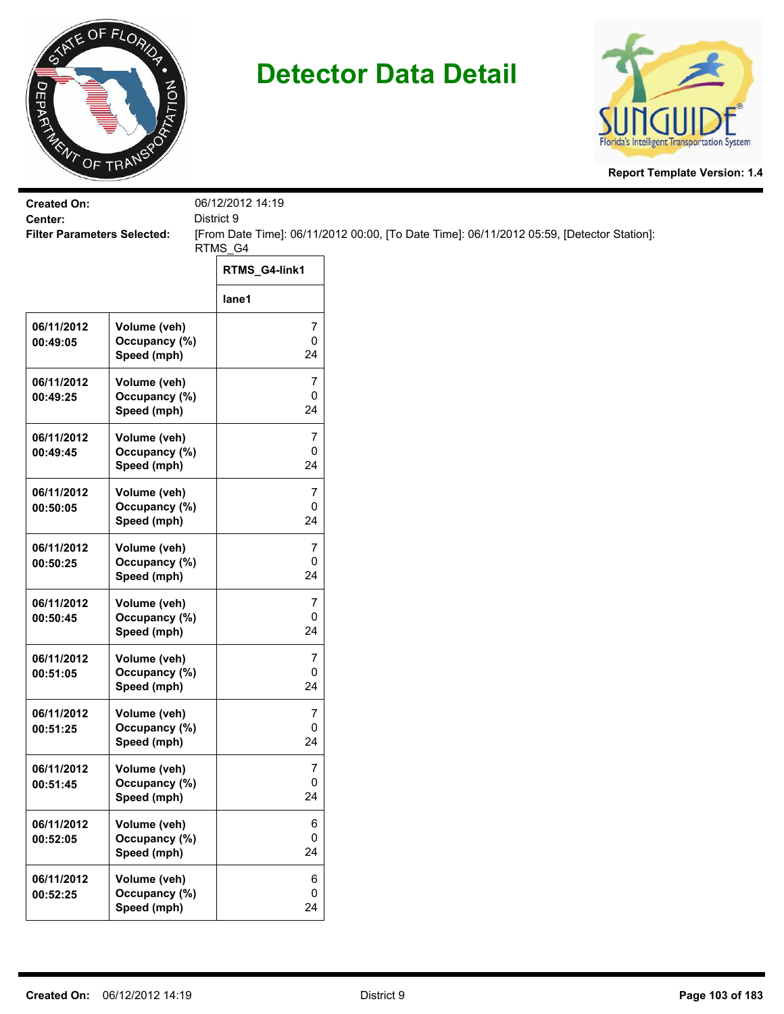



| <b>Created On:</b><br>Center:      |                                              | 06/12/2012 14:19<br>District 9      |                                                                                           |
|------------------------------------|----------------------------------------------|-------------------------------------|-------------------------------------------------------------------------------------------|
| <b>Filter Parameters Selected:</b> |                                              |                                     | [From Date Time]: 06/11/2012 00:00, [To Date Time]: 06/11/2012 05:59, [Detector Station]: |
|                                    |                                              | RTMS_G4                             |                                                                                           |
|                                    |                                              | RTMS_G4-link1                       |                                                                                           |
|                                    |                                              | lane1                               |                                                                                           |
| 06/11/2012<br>00:49:05             | Volume (veh)<br>Occupancy (%)<br>Speed (mph) | 7<br>0<br>24                        |                                                                                           |
| 06/11/2012<br>00:49:25             | Volume (veh)<br>Occupancy (%)<br>Speed (mph) | $\overline{\mathcal{I}}$<br>0<br>24 |                                                                                           |
| 06/11/2012<br>00:49:45             | Volume (veh)<br>Occupancy (%)<br>Speed (mph) | 7<br>0<br>24                        |                                                                                           |
| 06/11/2012<br>00:50:05             | Volume (veh)<br>Occupancy (%)<br>Speed (mph) | 7<br>0<br>24                        |                                                                                           |
| 06/11/2012<br>00:50:25             | Volume (veh)<br>Occupancy (%)<br>Speed (mph) | 7<br>0<br>24                        |                                                                                           |
| 06/11/2012<br>00:50:45             | Volume (veh)<br>Occupancy (%)<br>Speed (mph) | $\overline{7}$<br>0<br>24           |                                                                                           |
| 06/11/2012<br>00:51:05             | Volume (veh)<br>Occupancy (%)<br>Speed (mph) | 7<br>0<br>24                        |                                                                                           |
| 06/11/2012<br>00:51:25             | Volume (veh)<br>Occupancy (%)<br>Speed (mph) | 7<br>0<br>24                        |                                                                                           |
| 06/11/2012<br>00:51:45             | Volume (veh)<br>Occupancy (%)<br>Speed (mph) | 7<br>0<br>24                        |                                                                                           |
| 06/11/2012<br>00:52:05             | Volume (veh)<br>Occupancy (%)<br>Speed (mph) | 6<br>0<br>24                        |                                                                                           |
| 06/11/2012<br>00:52:25             | Volume (veh)<br>Occupancy (%)<br>Speed (mph) | 6<br>0<br>24                        |                                                                                           |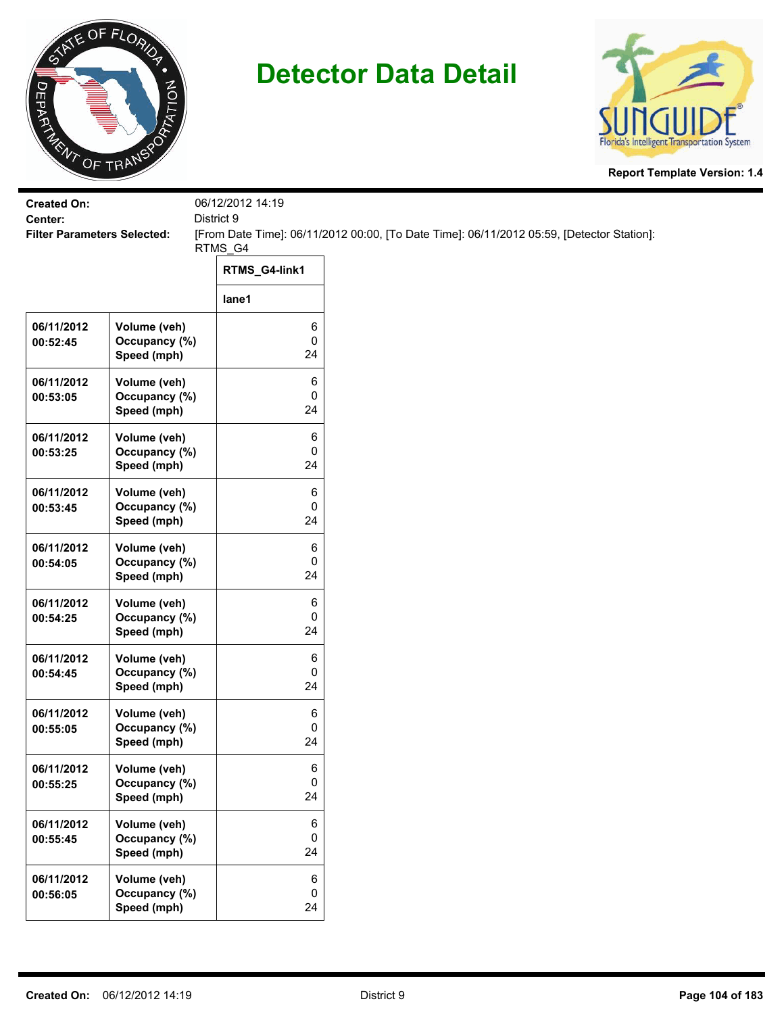



| <b>Created On:</b>                            |                                              | 06/12/2012 14:19 |                                                                                           |
|-----------------------------------------------|----------------------------------------------|------------------|-------------------------------------------------------------------------------------------|
| Center:<br><b>Filter Parameters Selected:</b> |                                              | District 9       | [From Date Time]: 06/11/2012 00:00, [To Date Time]: 06/11/2012 05:59, [Detector Station]: |
|                                               |                                              | RTMS_G4          |                                                                                           |
|                                               |                                              | RTMS_G4-link1    |                                                                                           |
|                                               |                                              | lane1            |                                                                                           |
| 06/11/2012<br>00:52:45                        | Volume (veh)<br>Occupancy (%)<br>Speed (mph) | 6<br>0<br>24     |                                                                                           |
| 06/11/2012<br>00:53:05                        | Volume (veh)<br>Occupancy (%)<br>Speed (mph) | 6<br>0<br>24     |                                                                                           |
| 06/11/2012<br>00:53:25                        | Volume (veh)<br>Occupancy (%)<br>Speed (mph) | 6<br>0<br>24     |                                                                                           |
| 06/11/2012<br>00:53:45                        | Volume (veh)<br>Occupancy (%)<br>Speed (mph) | 6<br>0<br>24     |                                                                                           |
| 06/11/2012<br>00:54:05                        | Volume (veh)<br>Occupancy (%)<br>Speed (mph) | 6<br>0<br>24     |                                                                                           |
| 06/11/2012<br>00:54:25                        | Volume (veh)<br>Occupancy (%)<br>Speed (mph) | 6<br>0<br>24     |                                                                                           |
| 06/11/2012<br>00:54:45                        | Volume (veh)<br>Occupancy (%)<br>Speed (mph) | 6<br>0<br>24     |                                                                                           |
| 06/11/2012<br>00:55:05                        | Volume (veh)<br>Occupancy (%)<br>Speed (mph) | 6<br>0<br>24     |                                                                                           |
| 06/11/2012<br>00:55:25                        | Volume (veh)<br>Occupancy (%)<br>Speed (mph) | 6<br>0<br>24     |                                                                                           |
| 06/11/2012<br>00:55:45                        | Volume (veh)<br>Occupancy (%)<br>Speed (mph) | 6<br>0<br>24     |                                                                                           |
| 06/11/2012<br>00:56:05                        | Volume (veh)<br>Occupancy (%)<br>Speed (mph) | 6<br>0<br>24     |                                                                                           |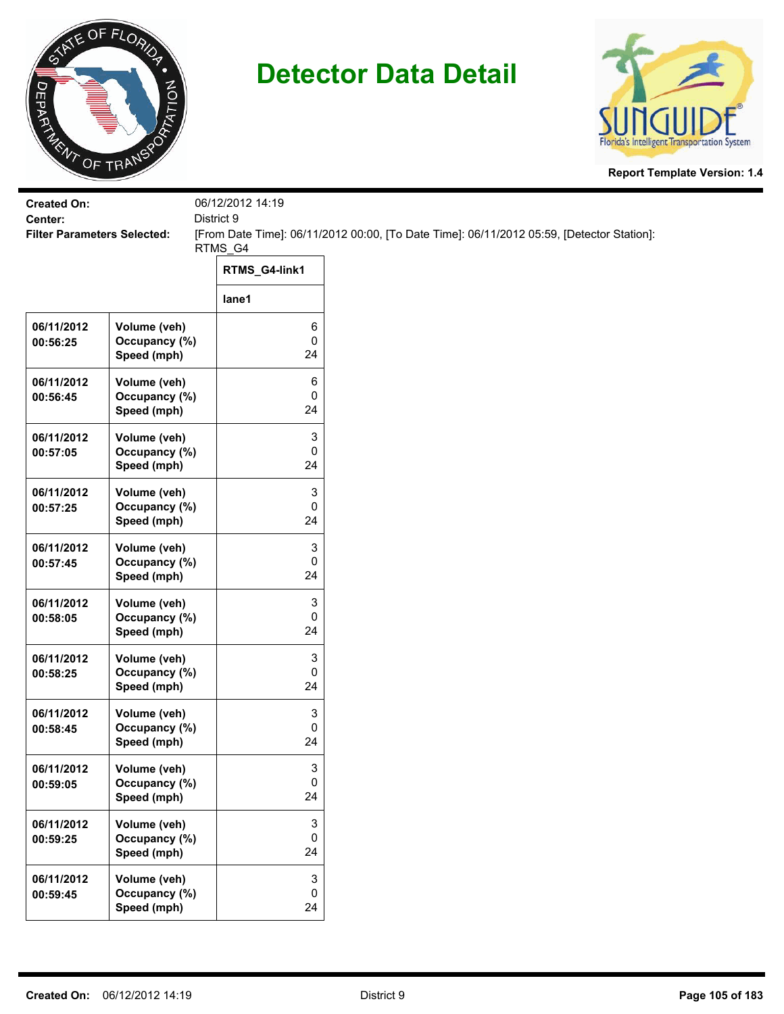



| <b>Created On:</b>                            |                               | 06/12/2012 14:19 |                                                                                           |
|-----------------------------------------------|-------------------------------|------------------|-------------------------------------------------------------------------------------------|
| Center:<br><b>Filter Parameters Selected:</b> |                               | District 9       | [From Date Time]: 06/11/2012 00:00, [To Date Time]: 06/11/2012 05:59, [Detector Station]: |
|                                               |                               | RTMS_G4          |                                                                                           |
|                                               |                               | RTMS_G4-link1    |                                                                                           |
|                                               |                               | lane1            |                                                                                           |
| 06/11/2012                                    | Volume (veh)                  | 6                |                                                                                           |
| 00:56:25                                      | Occupancy (%)<br>Speed (mph)  | $\pmb{0}$<br>24  |                                                                                           |
| 06/11/2012                                    |                               | 6                |                                                                                           |
| 00:56:45                                      | Volume (veh)<br>Occupancy (%) | 0                |                                                                                           |
|                                               | Speed (mph)                   | 24               |                                                                                           |
| 06/11/2012                                    | Volume (veh)                  | 3                |                                                                                           |
| 00:57:05                                      | Occupancy (%)                 | 0                |                                                                                           |
|                                               | Speed (mph)                   | 24               |                                                                                           |
| 06/11/2012                                    | Volume (veh)                  | 3                |                                                                                           |
| 00:57:25                                      | Occupancy (%)                 | 0                |                                                                                           |
|                                               | Speed (mph)                   | 24               |                                                                                           |
| 06/11/2012                                    | Volume (veh)                  | 3                |                                                                                           |
| 00:57:45                                      | Occupancy (%)                 | 0                |                                                                                           |
|                                               | Speed (mph)                   | 24               |                                                                                           |
| 06/11/2012                                    | Volume (veh)                  | 3                |                                                                                           |
| 00:58:05                                      | Occupancy (%)                 | $\pmb{0}$        |                                                                                           |
|                                               | Speed (mph)                   | 24               |                                                                                           |
| 06/11/2012                                    | Volume (veh)                  | 3                |                                                                                           |
| 00:58:25                                      | Occupancy (%)                 | 0                |                                                                                           |
|                                               | Speed (mph)                   | 24               |                                                                                           |
| 06/11/2012                                    | Volume (veh)                  | 3                |                                                                                           |
| 00:58:45                                      | Occupancy (%)                 | 0<br>24          |                                                                                           |
|                                               | Speed (mph)                   |                  |                                                                                           |
| 06/11/2012                                    | Volume (veh)                  | 3                |                                                                                           |
| 00:59:05                                      | Occupancy (%)                 | 0<br>24          |                                                                                           |
|                                               | Speed (mph)                   |                  |                                                                                           |
| 06/11/2012                                    | Volume (veh)                  | 3                |                                                                                           |
| 00:59:25                                      | Occupancy (%)                 | $\mathbf 0$      |                                                                                           |
|                                               | Speed (mph)                   | 24               |                                                                                           |
| 06/11/2012                                    | Volume (veh)                  | $\mathbf 3$      |                                                                                           |
| 00:59:45                                      | Occupancy (%)                 | $\mathsf 0$      |                                                                                           |
|                                               | Speed (mph)                   | 24               |                                                                                           |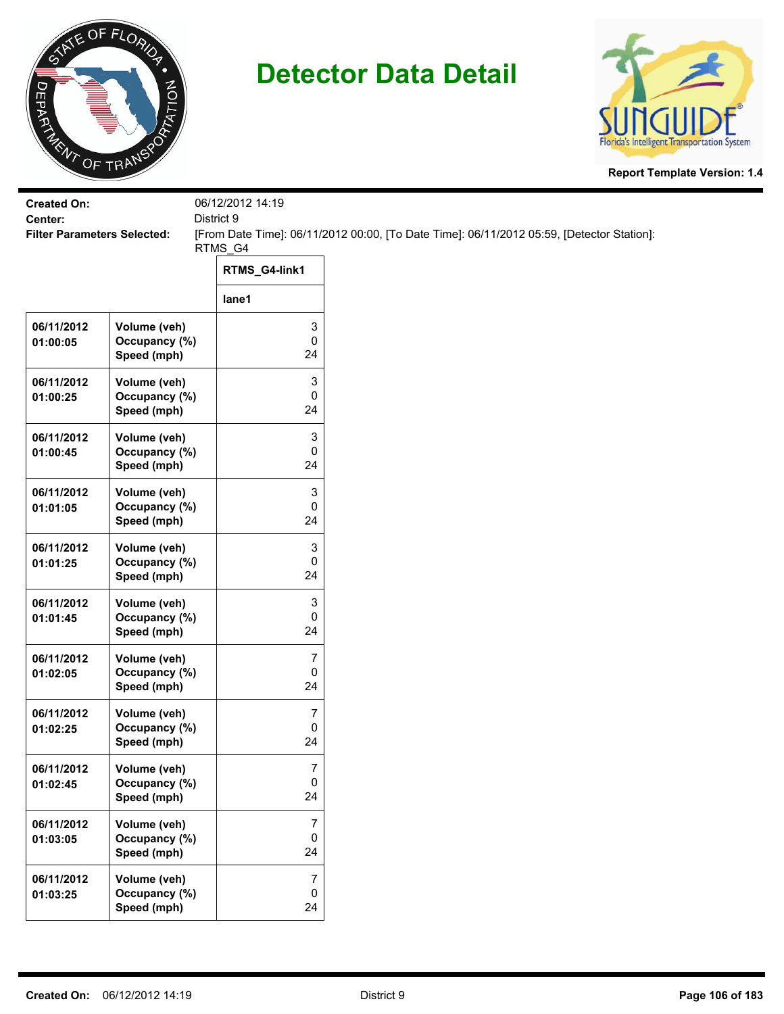



| <b>Created On:</b><br>Center:      |                                              | 06/12/2012 14:19<br>District 9 |                                                                                           |
|------------------------------------|----------------------------------------------|--------------------------------|-------------------------------------------------------------------------------------------|
| <b>Filter Parameters Selected:</b> |                                              |                                | [From Date Time]: 06/11/2012 00:00, [To Date Time]: 06/11/2012 05:59, [Detector Station]: |
|                                    |                                              | RTMS_G4<br>RTMS_G4-link1       |                                                                                           |
|                                    |                                              | lane1                          |                                                                                           |
| 06/11/2012<br>01:00:05             | Volume (veh)<br>Occupancy (%)<br>Speed (mph) | 3<br>0<br>24                   |                                                                                           |
| 06/11/2012<br>01:00:25             | Volume (veh)<br>Occupancy (%)<br>Speed (mph) | 3<br>0<br>24                   |                                                                                           |
| 06/11/2012<br>01:00:45             | Volume (veh)<br>Occupancy (%)<br>Speed (mph) | 3<br>0<br>24                   |                                                                                           |
| 06/11/2012<br>01:01:05             | Volume (veh)<br>Occupancy (%)<br>Speed (mph) | 3<br>0<br>24                   |                                                                                           |
| 06/11/2012<br>01:01:25             | Volume (veh)<br>Occupancy (%)<br>Speed (mph) | 3<br>0<br>24                   |                                                                                           |
| 06/11/2012<br>01:01:45             | Volume (veh)<br>Occupancy (%)<br>Speed (mph) | 3<br>0<br>24                   |                                                                                           |
| 06/11/2012<br>01:02:05             | Volume (veh)<br>Occupancy (%)<br>Speed (mph) | 7<br>0<br>24                   |                                                                                           |
| 06/11/2012<br>01:02:25             | Volume (veh)<br>Occupancy (%)<br>Speed (mph) | 7<br>0<br>24                   |                                                                                           |
| 06/11/2012<br>01:02:45             | Volume (veh)<br>Occupancy (%)<br>Speed (mph) | 7<br>0<br>24                   |                                                                                           |
| 06/11/2012<br>01:03:05             | Volume (veh)<br>Occupancy (%)<br>Speed (mph) | 7<br>0<br>24                   |                                                                                           |
| 06/11/2012<br>01:03:25             | Volume (veh)<br>Occupancy (%)<br>Speed (mph) | 7<br>0<br>24                   |                                                                                           |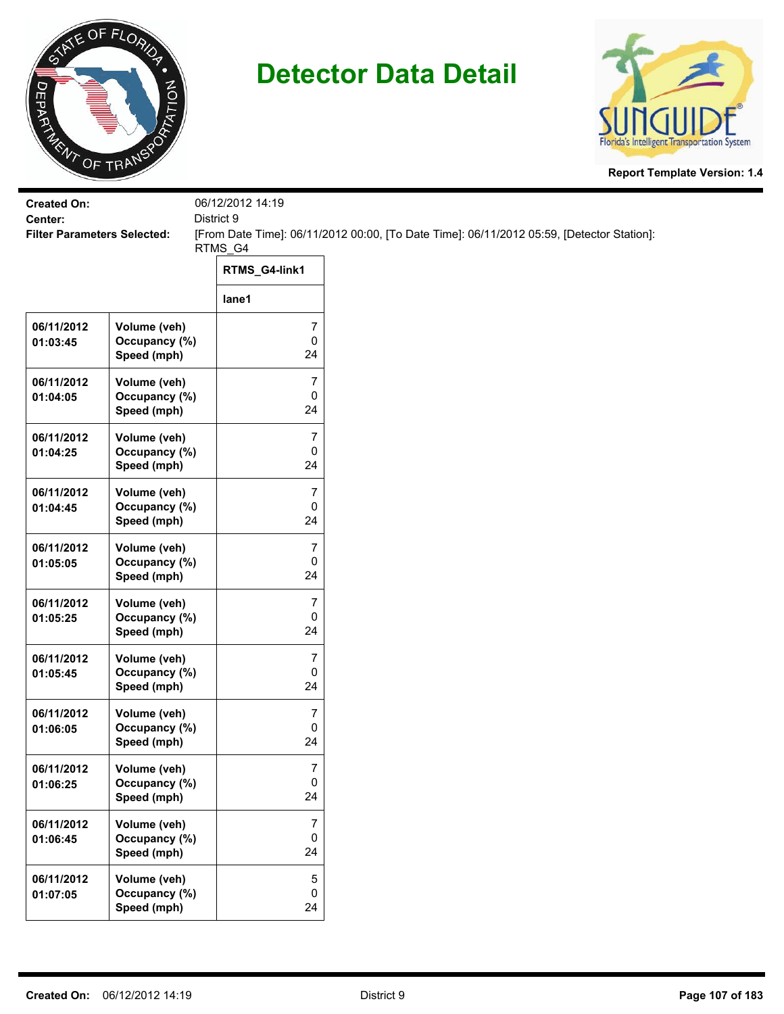



| <b>Created On:</b><br>Center:      |                                              | 06/12/2012 14:19<br>District 9      |                                                                                           |
|------------------------------------|----------------------------------------------|-------------------------------------|-------------------------------------------------------------------------------------------|
| <b>Filter Parameters Selected:</b> |                                              |                                     | [From Date Time]: 06/11/2012 00:00, [To Date Time]: 06/11/2012 05:59, [Detector Station]: |
|                                    |                                              | RTMS_G4                             |                                                                                           |
|                                    |                                              | RTMS_G4-link1                       |                                                                                           |
|                                    |                                              | lane1                               |                                                                                           |
| 06/11/2012<br>01:03:45             | Volume (veh)<br>Occupancy (%)<br>Speed (mph) | 7<br>0<br>24                        |                                                                                           |
| 06/11/2012<br>01:04:05             | Volume (veh)<br>Occupancy (%)<br>Speed (mph) | $\overline{\mathcal{I}}$<br>0<br>24 |                                                                                           |
| 06/11/2012<br>01:04:25             | Volume (veh)<br>Occupancy (%)<br>Speed (mph) | 7<br>0<br>24                        |                                                                                           |
| 06/11/2012<br>01:04:45             | Volume (veh)<br>Occupancy (%)<br>Speed (mph) | 7<br>0<br>24                        |                                                                                           |
| 06/11/2012<br>01:05:05             | Volume (veh)<br>Occupancy (%)<br>Speed (mph) | 7<br>0<br>24                        |                                                                                           |
| 06/11/2012<br>01:05:25             | Volume (veh)<br>Occupancy (%)<br>Speed (mph) | $\overline{7}$<br>0<br>24           |                                                                                           |
| 06/11/2012<br>01:05:45             | Volume (veh)<br>Occupancy (%)<br>Speed (mph) | 7<br>0<br>24                        |                                                                                           |
| 06/11/2012<br>01:06:05             | Volume (veh)<br>Occupancy (%)<br>Speed (mph) | 7<br>0<br>24                        |                                                                                           |
| 06/11/2012<br>01:06:25             | Volume (veh)<br>Occupancy (%)<br>Speed (mph) | 7<br>0<br>24                        |                                                                                           |
| 06/11/2012<br>01:06:45             | Volume (veh)<br>Occupancy (%)<br>Speed (mph) | $\overline{\mathbf{7}}$<br>0<br>24  |                                                                                           |
| 06/11/2012<br>01:07:05             | Volume (veh)<br>Occupancy (%)<br>Speed (mph) | $\sqrt{5}$<br>0<br>24               |                                                                                           |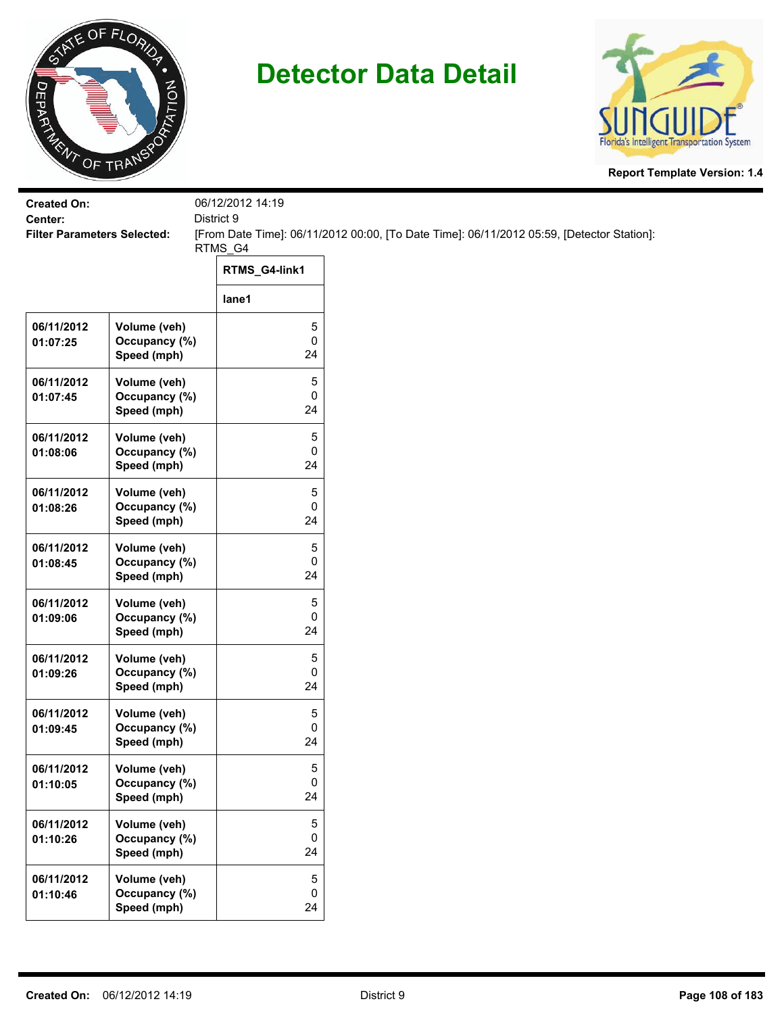



| <b>Created On:</b>                            |                                              | 06/12/2012 14:19 |                                                                                           |
|-----------------------------------------------|----------------------------------------------|------------------|-------------------------------------------------------------------------------------------|
| Center:<br><b>Filter Parameters Selected:</b> |                                              | District 9       | [From Date Time]: 06/11/2012 00:00, [To Date Time]: 06/11/2012 05:59, [Detector Station]: |
|                                               |                                              | RTMS_G4          |                                                                                           |
|                                               |                                              | RTMS_G4-link1    |                                                                                           |
|                                               |                                              | lane1            |                                                                                           |
| 06/11/2012<br>01:07:25                        | Volume (veh)<br>Occupancy (%)<br>Speed (mph) | 5<br>0<br>24     |                                                                                           |
| 06/11/2012<br>01:07:45                        | Volume (veh)<br>Occupancy (%)<br>Speed (mph) | 5<br>0<br>24     |                                                                                           |
| 06/11/2012<br>01:08:06                        | Volume (veh)<br>Occupancy (%)<br>Speed (mph) | 5<br>0<br>24     |                                                                                           |
| 06/11/2012<br>01:08:26                        | Volume (veh)<br>Occupancy (%)<br>Speed (mph) | 5<br>0<br>24     |                                                                                           |
| 06/11/2012<br>01:08:45                        | Volume (veh)<br>Occupancy (%)<br>Speed (mph) | 5<br>0<br>24     |                                                                                           |
| 06/11/2012<br>01:09:06                        | Volume (veh)<br>Occupancy (%)<br>Speed (mph) | 5<br>0<br>24     |                                                                                           |
| 06/11/2012<br>01:09:26                        | Volume (veh)<br>Occupancy (%)<br>Speed (mph) | 5<br>0<br>24     |                                                                                           |
| 06/11/2012<br>01:09:45                        | Volume (veh)<br>Occupancy (%)<br>Speed (mph) | 5<br>0<br>24     |                                                                                           |
| 06/11/2012<br>01:10:05                        | Volume (veh)<br>Occupancy (%)<br>Speed (mph) | 5<br>0<br>24     |                                                                                           |
| 06/11/2012<br>01:10:26                        | Volume (veh)<br>Occupancy (%)<br>Speed (mph) | 5<br>0<br>24     |                                                                                           |
| 06/11/2012<br>01:10:46                        | Volume (veh)<br>Occupancy (%)<br>Speed (mph) | 5<br>0<br>24     |                                                                                           |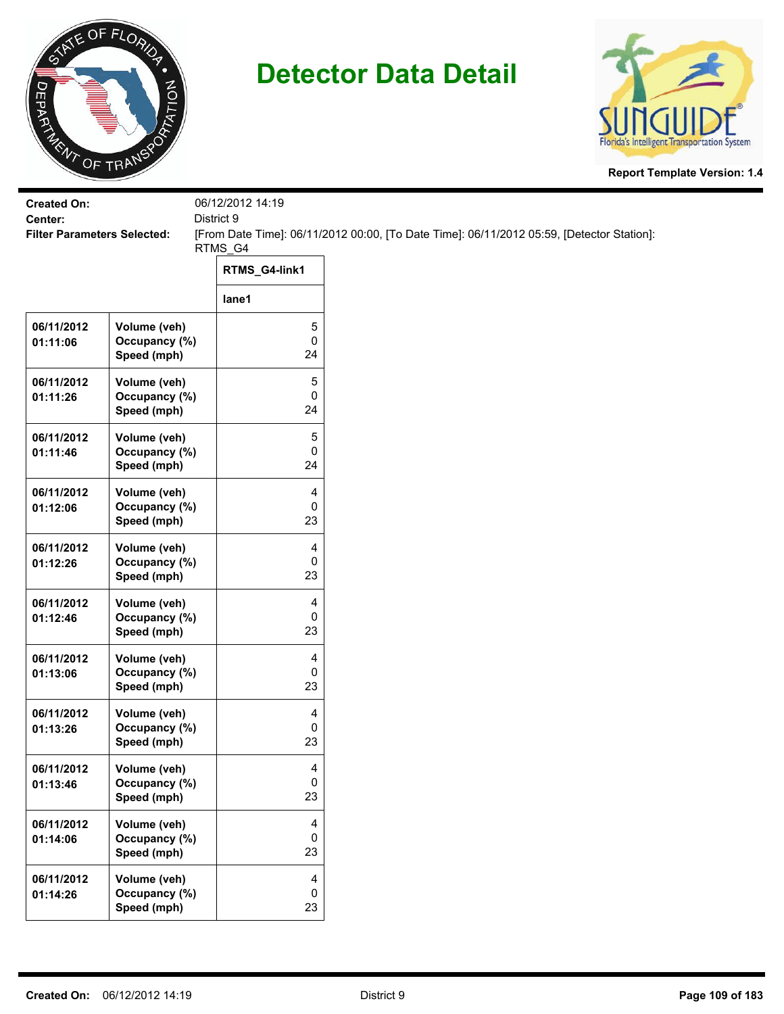



| <b>Created On:</b>                            |                                              | 06/12/2012 14:19                   |                                                                                           |
|-----------------------------------------------|----------------------------------------------|------------------------------------|-------------------------------------------------------------------------------------------|
| Center:<br><b>Filter Parameters Selected:</b> |                                              | District 9                         | [From Date Time]: 06/11/2012 00:00, [To Date Time]: 06/11/2012 05:59, [Detector Station]: |
|                                               |                                              | RTMS_G4                            |                                                                                           |
|                                               |                                              | RTMS_G4-link1                      |                                                                                           |
|                                               |                                              | lane1                              |                                                                                           |
| 06/11/2012<br>01:11:06                        | Volume (veh)<br>Occupancy (%)<br>Speed (mph) | 5<br>$\pmb{0}$<br>24               |                                                                                           |
| 06/11/2012<br>01:11:26                        | Volume (veh)<br>Occupancy (%)<br>Speed (mph) | 5<br>$\pmb{0}$<br>24               |                                                                                           |
| 06/11/2012<br>01:11:46                        | Volume (veh)<br>Occupancy (%)<br>Speed (mph) | 5<br>0<br>24                       |                                                                                           |
| 06/11/2012<br>01:12:06                        | Volume (veh)<br>Occupancy (%)<br>Speed (mph) | 4<br>0<br>23                       |                                                                                           |
| 06/11/2012<br>01:12:26                        | Volume (veh)<br>Occupancy (%)<br>Speed (mph) | 4<br>0<br>23                       |                                                                                           |
| 06/11/2012<br>01:12:46                        | Volume (veh)<br>Occupancy (%)<br>Speed (mph) | 4<br>$\pmb{0}$<br>23               |                                                                                           |
| 06/11/2012<br>01:13:06                        | Volume (veh)<br>Occupancy (%)<br>Speed (mph) | 4<br>0<br>23                       |                                                                                           |
| 06/11/2012<br>01:13:26                        | Volume (veh)<br>Occupancy (%)<br>Speed (mph) | 4<br>0<br>23                       |                                                                                           |
| 06/11/2012<br>01:13:46                        | Volume (veh)<br>Occupancy (%)<br>Speed (mph) | 4<br>$\mathbf 0$<br>23             |                                                                                           |
| 06/11/2012<br>01:14:06                        | Volume (veh)<br>Occupancy (%)<br>Speed (mph) | $\overline{4}$<br>0<br>23          |                                                                                           |
| 06/11/2012<br>01:14:26                        | Volume (veh)<br>Occupancy (%)<br>Speed (mph) | $\overline{\mathbf{4}}$<br>0<br>23 |                                                                                           |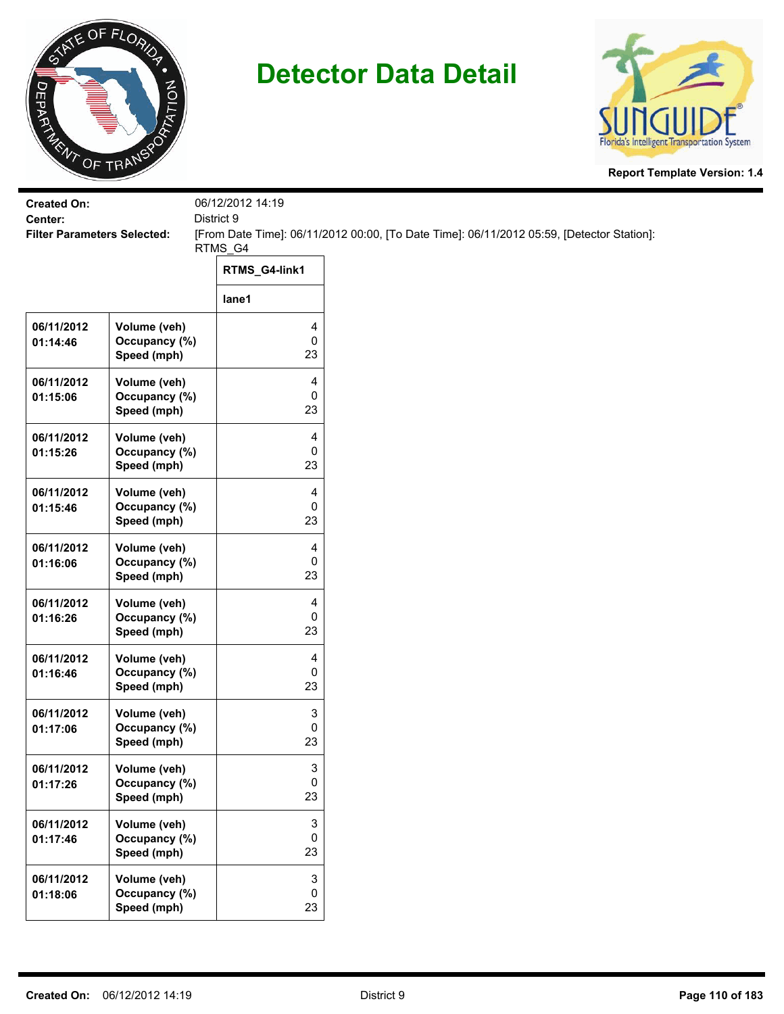



| <b>Created On:</b>                            |               | 06/12/2012 14:19                                                                                        |
|-----------------------------------------------|---------------|---------------------------------------------------------------------------------------------------------|
| Center:<br><b>Filter Parameters Selected:</b> |               | District 9<br>[From Date Time]: 06/11/2012 00:00, [To Date Time]: 06/11/2012 05:59, [Detector Station]: |
|                                               |               | RTMS_G4                                                                                                 |
|                                               |               | RTMS_G4-link1                                                                                           |
|                                               |               | lane1                                                                                                   |
| 06/11/2012                                    | Volume (veh)  | 4                                                                                                       |
| 01:14:46                                      | Occupancy (%) | $\pmb{0}$                                                                                               |
|                                               | Speed (mph)   | 23                                                                                                      |
| 06/11/2012                                    | Volume (veh)  | 4                                                                                                       |
| 01:15:06                                      | Occupancy (%) | 0                                                                                                       |
|                                               | Speed (mph)   | 23                                                                                                      |
| 06/11/2012                                    | Volume (veh)  | 4                                                                                                       |
| 01:15:26                                      | Occupancy (%) | 0                                                                                                       |
|                                               | Speed (mph)   | 23                                                                                                      |
| 06/11/2012                                    | Volume (veh)  | 4                                                                                                       |
| 01:15:46                                      | Occupancy (%) | 0                                                                                                       |
|                                               | Speed (mph)   | 23                                                                                                      |
| 06/11/2012                                    | Volume (veh)  | 4                                                                                                       |
| 01:16:06                                      | Occupancy (%) | 0                                                                                                       |
|                                               | Speed (mph)   | 23                                                                                                      |
| 06/11/2012                                    | Volume (veh)  | 4                                                                                                       |
| 01:16:26                                      | Occupancy (%) | 0                                                                                                       |
|                                               | Speed (mph)   | 23                                                                                                      |
| 06/11/2012                                    | Volume (veh)  | 4                                                                                                       |
| 01:16:46                                      | Occupancy (%) | 0                                                                                                       |
|                                               | Speed (mph)   | 23                                                                                                      |
| 06/11/2012                                    | Volume (veh)  | 3                                                                                                       |
| 01:17:06                                      | Occupancy (%) | 0                                                                                                       |
|                                               | Speed (mph)   | 23                                                                                                      |
| 06/11/2012                                    | Volume (veh)  | 3                                                                                                       |
| 01:17:26                                      | Occupancy (%) | $\mathbf 0$                                                                                             |
|                                               | Speed (mph)   | 23                                                                                                      |
| 06/11/2012                                    | Volume (veh)  | 3                                                                                                       |
| 01:17:46                                      | Occupancy (%) | $\mathbf 0$                                                                                             |
|                                               | Speed (mph)   | 23                                                                                                      |
| 06/11/2012                                    | Volume (veh)  | 3                                                                                                       |
| 01:18:06                                      | Occupancy (%) | $\pmb{0}$                                                                                               |
|                                               | Speed (mph)   | 23                                                                                                      |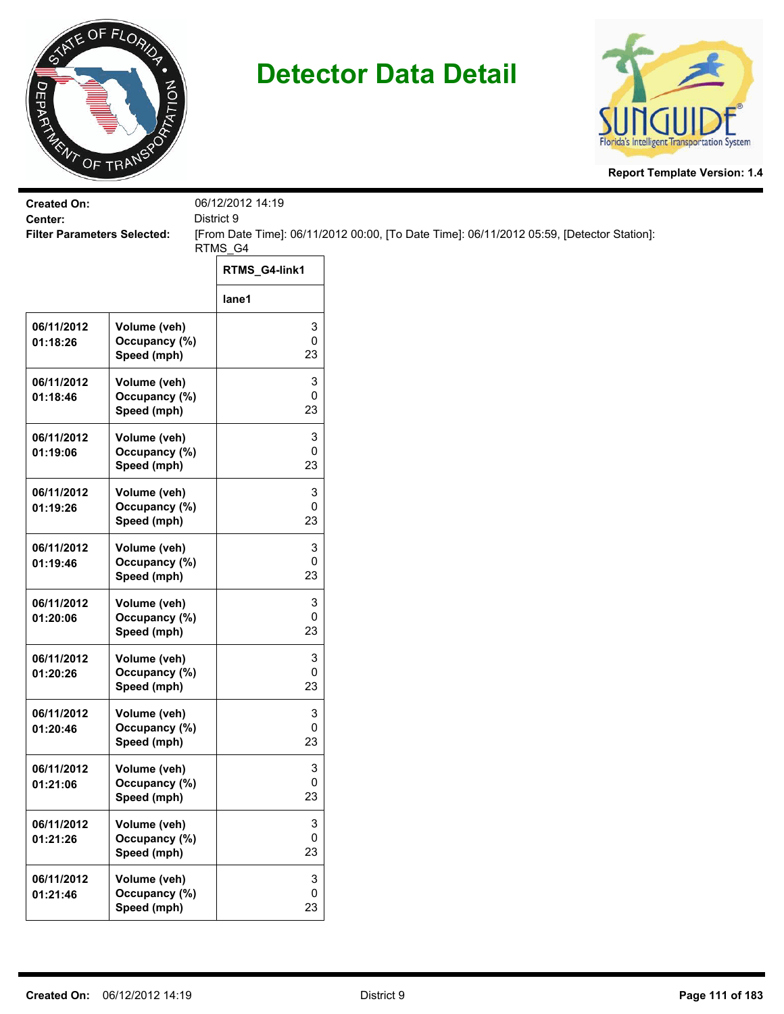



| <b>Created On:</b><br>Center:      |                                              | 06/12/2012 14:19<br>District 9 |                                                                                           |
|------------------------------------|----------------------------------------------|--------------------------------|-------------------------------------------------------------------------------------------|
| <b>Filter Parameters Selected:</b> |                                              |                                | [From Date Time]: 06/11/2012 00:00, [To Date Time]: 06/11/2012 05:59, [Detector Station]: |
|                                    |                                              | RTMS_G4<br>RTMS_G4-link1       |                                                                                           |
|                                    |                                              | lane1                          |                                                                                           |
| 06/11/2012<br>01:18:26             | Volume (veh)<br>Occupancy (%)<br>Speed (mph) | 3<br>0<br>23                   |                                                                                           |
| 06/11/2012<br>01:18:46             | Volume (veh)<br>Occupancy (%)<br>Speed (mph) | 3<br>0<br>23                   |                                                                                           |
| 06/11/2012<br>01:19:06             | Volume (veh)<br>Occupancy (%)<br>Speed (mph) | 3<br>0<br>23                   |                                                                                           |
| 06/11/2012<br>01:19:26             | Volume (veh)<br>Occupancy (%)<br>Speed (mph) | 3<br>0<br>23                   |                                                                                           |
| 06/11/2012<br>01:19:46             | Volume (veh)<br>Occupancy (%)<br>Speed (mph) | 3<br>0<br>23                   |                                                                                           |
| 06/11/2012<br>01:20:06             | Volume (veh)<br>Occupancy (%)<br>Speed (mph) | 3<br>0<br>23                   |                                                                                           |
| 06/11/2012<br>01:20:26             | Volume (veh)<br>Occupancy (%)<br>Speed (mph) | 3<br>0<br>23                   |                                                                                           |
| 06/11/2012<br>01:20:46             | Volume (veh)<br>Occupancy (%)<br>Speed (mph) | 3<br>0<br>23                   |                                                                                           |
| 06/11/2012<br>01:21:06             | Volume (veh)<br>Occupancy (%)<br>Speed (mph) | 3<br>0<br>23                   |                                                                                           |
| 06/11/2012<br>01:21:26             | Volume (veh)<br>Occupancy (%)<br>Speed (mph) | 3<br>0<br>23                   |                                                                                           |
| 06/11/2012<br>01:21:46             | Volume (veh)<br>Occupancy (%)<br>Speed (mph) | 3<br>0<br>23                   |                                                                                           |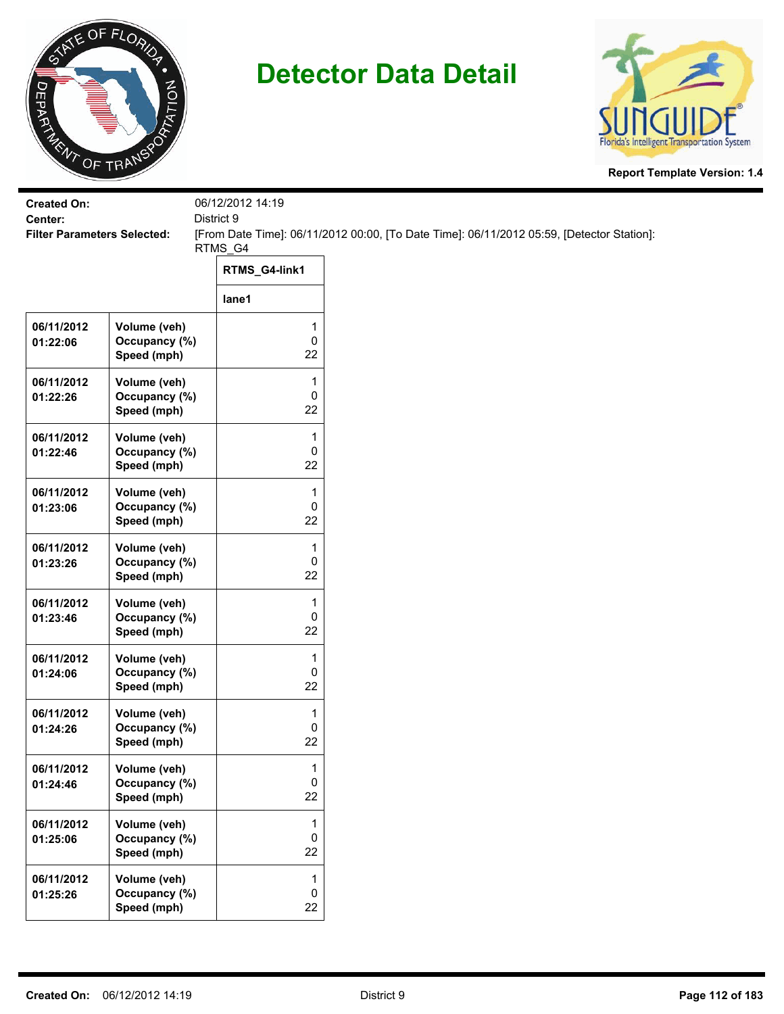



| <b>Created On:</b><br>Center:      |                                              | 06/12/2012 14:19<br>District 9 |                                                                                           |
|------------------------------------|----------------------------------------------|--------------------------------|-------------------------------------------------------------------------------------------|
| <b>Filter Parameters Selected:</b> |                                              | RTMS_G4                        | [From Date Time]: 06/11/2012 00:00, [To Date Time]: 06/11/2012 05:59, [Detector Station]: |
|                                    |                                              | RTMS_G4-link1                  |                                                                                           |
|                                    |                                              | lane1                          |                                                                                           |
| 06/11/2012<br>01:22:06             | Volume (veh)<br>Occupancy (%)<br>Speed (mph) | 1<br>0<br>22                   |                                                                                           |
| 06/11/2012<br>01:22:26             | Volume (veh)<br>Occupancy (%)<br>Speed (mph) | 1<br>0<br>22                   |                                                                                           |
| 06/11/2012<br>01:22:46             | Volume (veh)<br>Occupancy (%)<br>Speed (mph) | 1<br>0<br>22                   |                                                                                           |
| 06/11/2012<br>01:23:06             | Volume (veh)<br>Occupancy (%)<br>Speed (mph) | 1<br>0<br>22                   |                                                                                           |
| 06/11/2012<br>01:23:26             | Volume (veh)<br>Occupancy (%)<br>Speed (mph) | 1<br>0<br>22                   |                                                                                           |
| 06/11/2012<br>01:23:46             | Volume (veh)<br>Occupancy (%)<br>Speed (mph) | 1<br>0<br>22                   |                                                                                           |
| 06/11/2012<br>01:24:06             | Volume (veh)<br>Occupancy (%)<br>Speed (mph) | 1<br>0<br>22                   |                                                                                           |
| 06/11/2012<br>01:24:26             | Volume (veh)<br>Occupancy (%)<br>Speed (mph) | 1<br>0<br>22                   |                                                                                           |
| 06/11/2012<br>01:24:46             | Volume (veh)<br>Occupancy (%)<br>Speed (mph) | 1<br>0<br>22                   |                                                                                           |
| 06/11/2012<br>01:25:06             | Volume (veh)<br>Occupancy (%)<br>Speed (mph) | 1<br>0<br>22                   |                                                                                           |
| 06/11/2012<br>01:25:26             | Volume (veh)<br>Occupancy (%)<br>Speed (mph) | 1<br>$\pmb{0}$<br>22           |                                                                                           |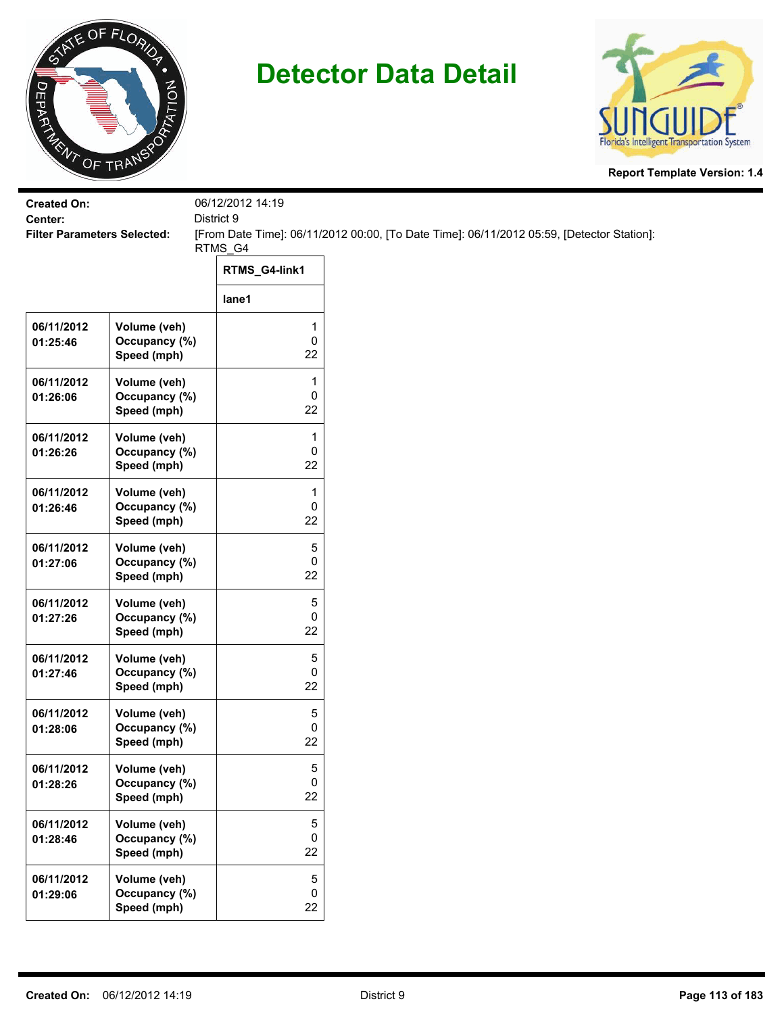



| <b>Created On:</b><br>Center:      |                                              | 06/12/2012 14:19<br>District 9 |                                                                                           |
|------------------------------------|----------------------------------------------|--------------------------------|-------------------------------------------------------------------------------------------|
| <b>Filter Parameters Selected:</b> |                                              | RTMS_G4                        | [From Date Time]: 06/11/2012 00:00, [To Date Time]: 06/11/2012 05:59, [Detector Station]: |
|                                    |                                              | RTMS_G4-link1                  |                                                                                           |
|                                    |                                              | lane1                          |                                                                                           |
| 06/11/2012<br>01:25:46             | Volume (veh)<br>Occupancy (%)<br>Speed (mph) | 1<br>0<br>22                   |                                                                                           |
| 06/11/2012<br>01:26:06             | Volume (veh)<br>Occupancy (%)<br>Speed (mph) | 1<br>0<br>22                   |                                                                                           |
| 06/11/2012<br>01:26:26             | Volume (veh)<br>Occupancy (%)<br>Speed (mph) | 1<br>0<br>22                   |                                                                                           |
| 06/11/2012<br>01:26:46             | Volume (veh)<br>Occupancy (%)<br>Speed (mph) | 1<br>0<br>22                   |                                                                                           |
| 06/11/2012<br>01:27:06             | Volume (veh)<br>Occupancy (%)<br>Speed (mph) | 5<br>0<br>22                   |                                                                                           |
| 06/11/2012<br>01:27:26             | Volume (veh)<br>Occupancy (%)<br>Speed (mph) | 5<br>0<br>22                   |                                                                                           |
| 06/11/2012<br>01:27:46             | Volume (veh)<br>Occupancy (%)<br>Speed (mph) | 5<br>0<br>22                   |                                                                                           |
| 06/11/2012<br>01:28:06             | Volume (veh)<br>Occupancy (%)<br>Speed (mph) | 5<br>0<br>22                   |                                                                                           |
| 06/11/2012<br>01:28:26             | Volume (veh)<br>Occupancy (%)<br>Speed (mph) | 5<br>$\pmb{0}$<br>22           |                                                                                           |
| 06/11/2012<br>01:28:46             | Volume (veh)<br>Occupancy (%)<br>Speed (mph) | 5<br>0<br>22                   |                                                                                           |
| 06/11/2012<br>01:29:06             | Volume (veh)<br>Occupancy (%)<br>Speed (mph) | 5<br>0<br>22                   |                                                                                           |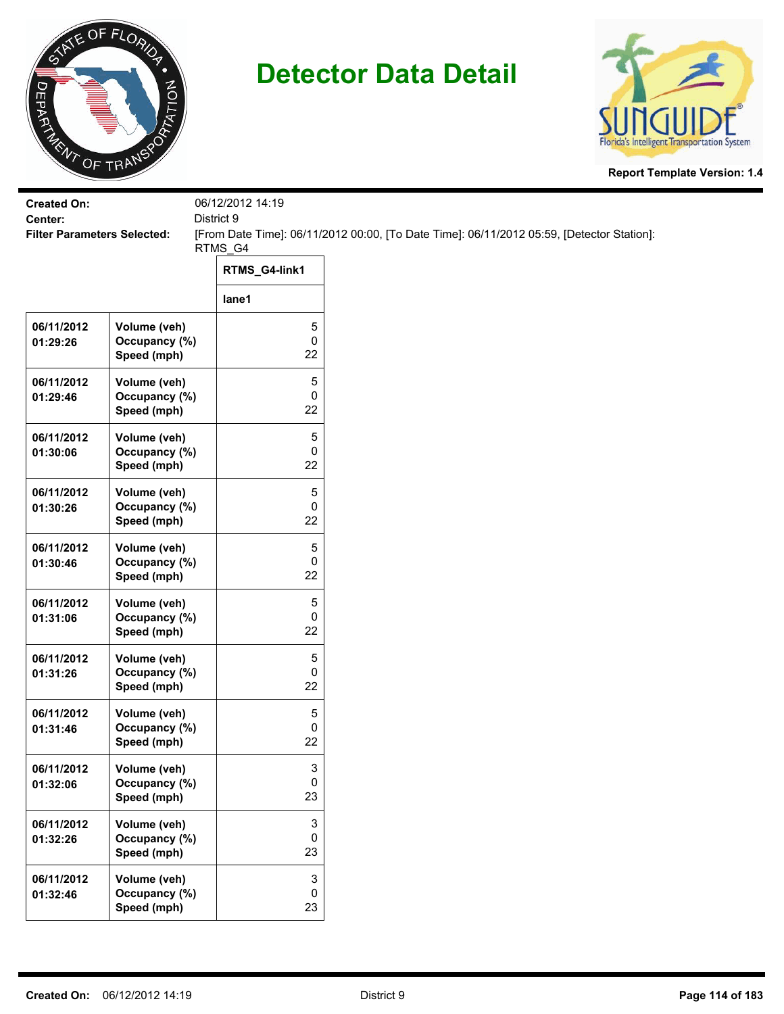



| <b>Filter Parameters Selected:</b>           |                                      | [From Date Time]: 06/11/2012 00:00, [To Date Time]: 06/11/2012 05:59, [Detector Station]: |
|----------------------------------------------|--------------------------------------|-------------------------------------------------------------------------------------------|
|                                              |                                      |                                                                                           |
|                                              |                                      |                                                                                           |
|                                              | lane1                                |                                                                                           |
| Volume (veh)<br>Occupancy (%)<br>Speed (mph) | 5<br>0<br>22                         |                                                                                           |
| Volume (veh)<br>Occupancy (%)<br>Speed (mph) | 5<br>0<br>22                         |                                                                                           |
| Volume (veh)<br>Occupancy (%)<br>Speed (mph) | 5<br>0<br>22                         |                                                                                           |
| Volume (veh)<br>Occupancy (%)<br>Speed (mph) | 5<br>0<br>22                         |                                                                                           |
| Volume (veh)<br>Occupancy (%)<br>Speed (mph) | 5<br>0<br>22                         |                                                                                           |
| Volume (veh)<br>Occupancy (%)<br>Speed (mph) | 5<br>0<br>22                         |                                                                                           |
| Volume (veh)<br>Occupancy (%)<br>Speed (mph) | 5<br>0<br>22                         |                                                                                           |
| Volume (veh)<br>Occupancy (%)<br>Speed (mph) | 5<br>0<br>22                         |                                                                                           |
| Volume (veh)<br>Occupancy (%)<br>Speed (mph) | 3<br>0<br>23                         |                                                                                           |
| Volume (veh)<br>Occupancy (%)<br>Speed (mph) | 3<br>0<br>23                         |                                                                                           |
| Volume (veh)<br>Occupancy (%)<br>Speed (mph) | $\ensuremath{\mathsf{3}}$<br>0<br>23 |                                                                                           |
|                                              |                                      | 06/12/2012 14:19<br>District 9<br>RTMS_G4<br>RTMS_G4-link1                                |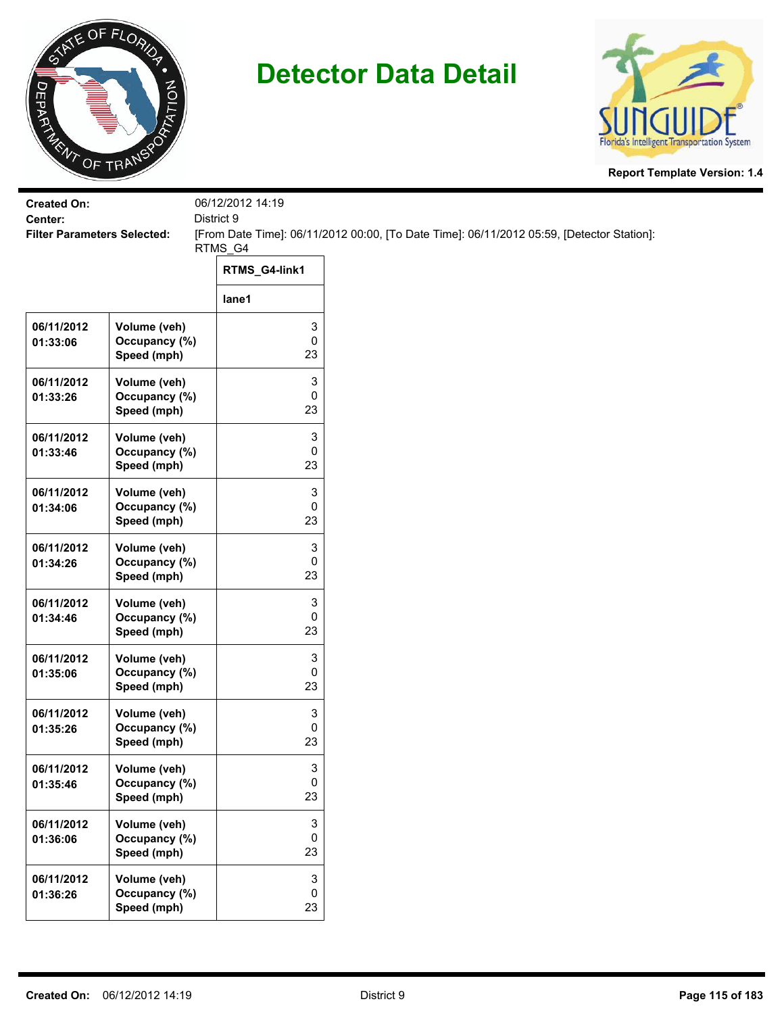



| <b>Created On:</b><br>Center:      |                                              | 06/12/2012 14:19<br>District 9 |                                                                                           |
|------------------------------------|----------------------------------------------|--------------------------------|-------------------------------------------------------------------------------------------|
| <b>Filter Parameters Selected:</b> |                                              | RTMS_G4                        | [From Date Time]: 06/11/2012 00:00, [To Date Time]: 06/11/2012 05:59, [Detector Station]: |
|                                    |                                              | RTMS_G4-link1                  |                                                                                           |
|                                    |                                              | lane1                          |                                                                                           |
| 06/11/2012<br>01:33:06             | Volume (veh)<br>Occupancy (%)<br>Speed (mph) | 3<br>0<br>23                   |                                                                                           |
| 06/11/2012<br>01:33:26             | Volume (veh)<br>Occupancy (%)<br>Speed (mph) | 3<br>0<br>23                   |                                                                                           |
| 06/11/2012<br>01:33:46             | Volume (veh)<br>Occupancy (%)<br>Speed (mph) | 3<br>0<br>23                   |                                                                                           |
| 06/11/2012<br>01:34:06             | Volume (veh)<br>Occupancy (%)<br>Speed (mph) | 3<br>0<br>23                   |                                                                                           |
| 06/11/2012<br>01:34:26             | Volume (veh)<br>Occupancy (%)<br>Speed (mph) | 3<br>0<br>23                   |                                                                                           |
| 06/11/2012<br>01:34:46             | Volume (veh)<br>Occupancy (%)<br>Speed (mph) | 3<br>0<br>23                   |                                                                                           |
| 06/11/2012<br>01:35:06             | Volume (veh)<br>Occupancy (%)<br>Speed (mph) | 3<br>0<br>23                   |                                                                                           |
| 06/11/2012<br>01:35:26             | Volume (veh)<br>Occupancy (%)<br>Speed (mph) | 3<br>0<br>23                   |                                                                                           |
| 06/11/2012<br>01:35:46             | Volume (veh)<br>Occupancy (%)<br>Speed (mph) | 3<br>0<br>23                   |                                                                                           |
| 06/11/2012<br>01:36:06             | Volume (veh)<br>Occupancy (%)<br>Speed (mph) | 3<br>0<br>23                   |                                                                                           |
| 06/11/2012<br>01:36:26             | Volume (veh)<br>Occupancy (%)<br>Speed (mph) | 3<br>0<br>23                   |                                                                                           |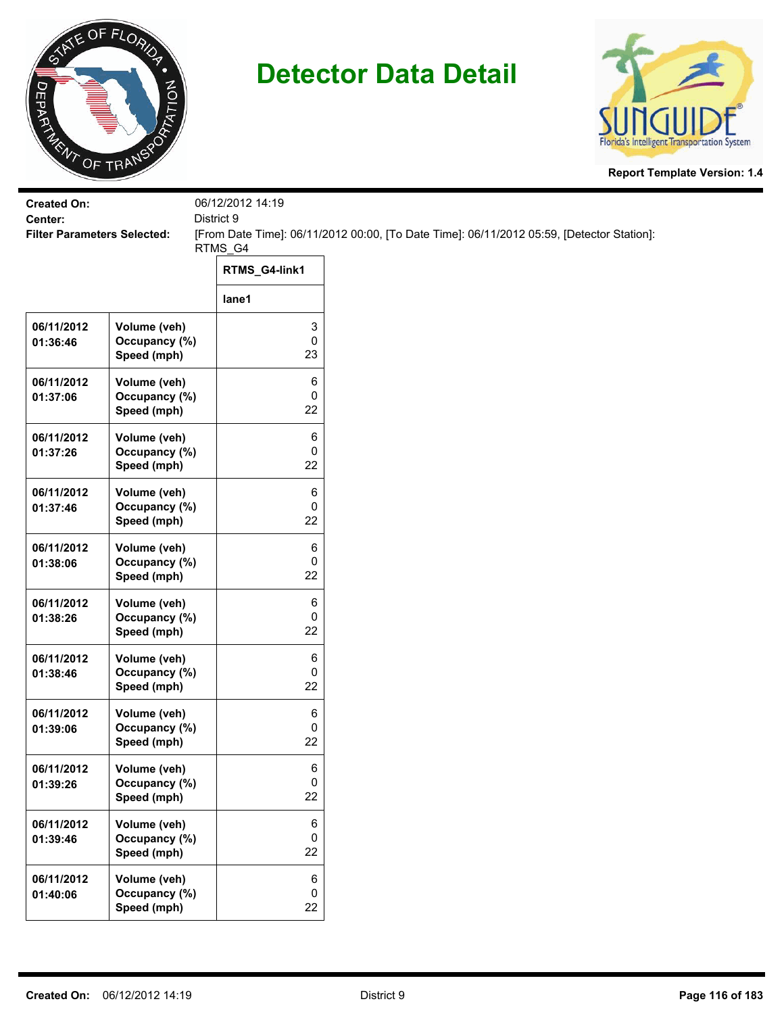



| <b>Created On:</b><br>Center:      |                                              | 06/12/2012 14:19<br>District 9 |                                                                                           |
|------------------------------------|----------------------------------------------|--------------------------------|-------------------------------------------------------------------------------------------|
| <b>Filter Parameters Selected:</b> |                                              |                                | [From Date Time]: 06/11/2012 00:00, [To Date Time]: 06/11/2012 05:59, [Detector Station]: |
|                                    |                                              | RTMS_G4                        |                                                                                           |
|                                    |                                              | RTMS_G4-link1                  |                                                                                           |
|                                    |                                              | lane1                          |                                                                                           |
| 06/11/2012<br>01:36:46             | Volume (veh)<br>Occupancy (%)<br>Speed (mph) | 3<br>0<br>23                   |                                                                                           |
| 06/11/2012<br>01:37:06             | Volume (veh)<br>Occupancy (%)<br>Speed (mph) | 6<br>0<br>22                   |                                                                                           |
| 06/11/2012<br>01:37:26             | Volume (veh)<br>Occupancy (%)<br>Speed (mph) | 6<br>0<br>22                   |                                                                                           |
| 06/11/2012<br>01:37:46             | Volume (veh)<br>Occupancy (%)<br>Speed (mph) | 6<br>0<br>22                   |                                                                                           |
| 06/11/2012<br>01:38:06             | Volume (veh)<br>Occupancy (%)<br>Speed (mph) | 6<br>0<br>22                   |                                                                                           |
| 06/11/2012<br>01:38:26             | Volume (veh)<br>Occupancy (%)<br>Speed (mph) | 6<br>0<br>22                   |                                                                                           |
| 06/11/2012<br>01:38:46             | Volume (veh)<br>Occupancy (%)<br>Speed (mph) | 6<br>0<br>22                   |                                                                                           |
| 06/11/2012<br>01:39:06             | Volume (veh)<br>Occupancy (%)<br>Speed (mph) | 6<br>0<br>22                   |                                                                                           |
| 06/11/2012<br>01:39:26             | Volume (veh)<br>Occupancy (%)<br>Speed (mph) | 6<br>0<br>22                   |                                                                                           |
| 06/11/2012<br>01:39:46             | Volume (veh)<br>Occupancy (%)<br>Speed (mph) | 6<br>0<br>22                   |                                                                                           |
| 06/11/2012<br>01:40:06             | Volume (veh)<br>Occupancy (%)<br>Speed (mph) | 6<br>0<br>22                   |                                                                                           |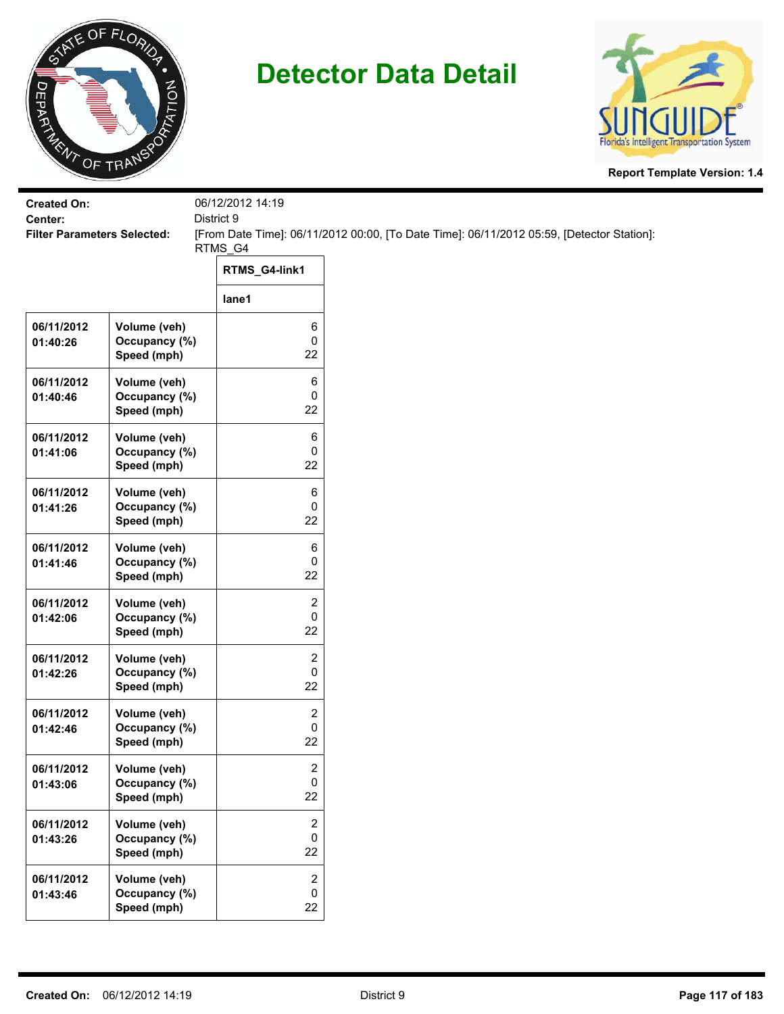



| <b>Created On:</b><br>Center:      |                                              | 06/12/2012 14:19<br>District 9      |                                                                                           |
|------------------------------------|----------------------------------------------|-------------------------------------|-------------------------------------------------------------------------------------------|
| <b>Filter Parameters Selected:</b> |                                              |                                     | [From Date Time]: 06/11/2012 00:00, [To Date Time]: 06/11/2012 05:59, [Detector Station]: |
|                                    |                                              | RTMS_G4<br>RTMS_G4-link1            |                                                                                           |
|                                    |                                              |                                     |                                                                                           |
|                                    |                                              | lane1                               |                                                                                           |
| 06/11/2012<br>01:40:26             | Volume (veh)<br>Occupancy (%)<br>Speed (mph) | 6<br>0<br>22                        |                                                                                           |
| 06/11/2012<br>01:40:46             | Volume (veh)<br>Occupancy (%)<br>Speed (mph) | 6<br>0<br>22                        |                                                                                           |
| 06/11/2012<br>01:41:06             | Volume (veh)<br>Occupancy (%)<br>Speed (mph) | 6<br>0<br>22                        |                                                                                           |
| 06/11/2012<br>01:41:26             | Volume (veh)<br>Occupancy (%)<br>Speed (mph) | 6<br>0<br>22                        |                                                                                           |
| 06/11/2012<br>01:41:46             | Volume (veh)<br>Occupancy (%)<br>Speed (mph) | 6<br>0<br>22                        |                                                                                           |
| 06/11/2012<br>01:42:06             | Volume (veh)<br>Occupancy (%)<br>Speed (mph) | 2<br>0<br>22                        |                                                                                           |
| 06/11/2012<br>01:42:26             | Volume (veh)<br>Occupancy (%)<br>Speed (mph) | 2<br>0<br>22                        |                                                                                           |
| 06/11/2012<br>01:42:46             | Volume (veh)<br>Occupancy (%)<br>Speed (mph) | 2<br>0<br>22                        |                                                                                           |
| 06/11/2012<br>01:43:06             | Volume (veh)<br>Occupancy (%)<br>Speed (mph) | $\overline{\mathbf{c}}$<br>0<br>22  |                                                                                           |
| 06/11/2012<br>01:43:26             | Volume (veh)<br>Occupancy (%)<br>Speed (mph) | $\boldsymbol{2}$<br>$\pmb{0}$<br>22 |                                                                                           |
| 06/11/2012<br>01:43:46             | Volume (veh)<br>Occupancy (%)<br>Speed (mph) | $\overline{2}$<br>0<br>22           |                                                                                           |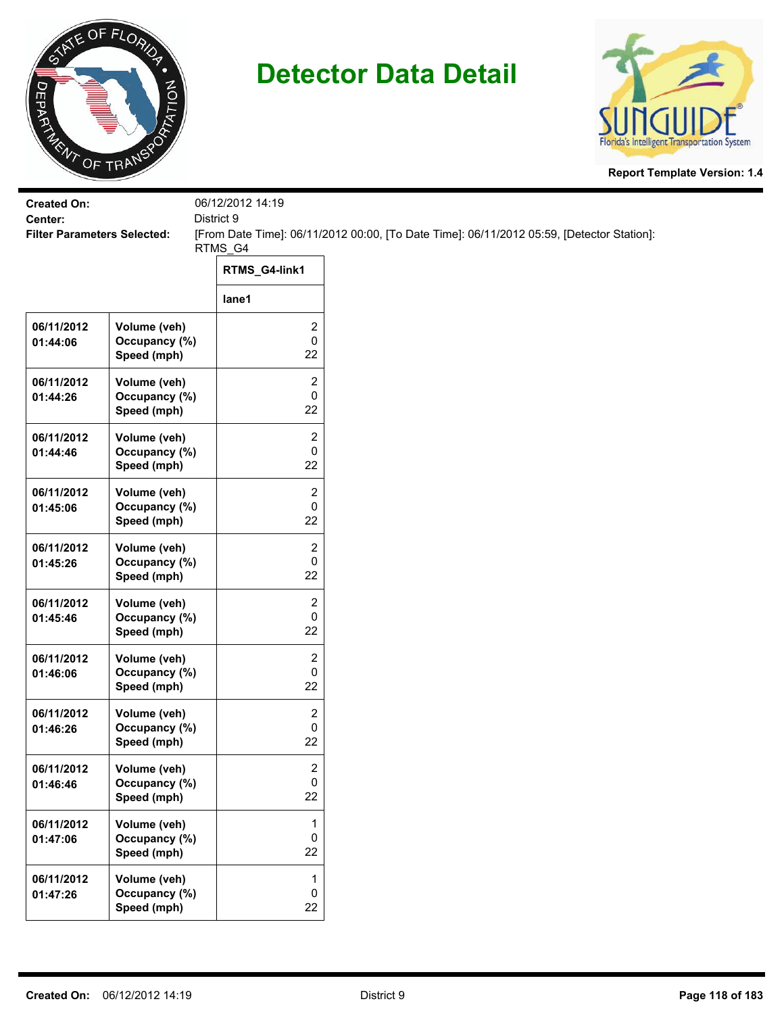



| <b>Filter Parameters Selected:</b>           |                                    | [From Date Time]: 06/11/2012 00:00, [To Date Time]: 06/11/2012 05:59, [Detector Station]: |
|----------------------------------------------|------------------------------------|-------------------------------------------------------------------------------------------|
|                                              | RTMS_G4-link1                      |                                                                                           |
|                                              | lane1                              |                                                                                           |
| Volume (veh)<br>Occupancy (%)<br>Speed (mph) | 2<br>0<br>22                       |                                                                                           |
| Volume (veh)<br>Occupancy (%)<br>Speed (mph) | 2<br>0<br>22                       |                                                                                           |
| Volume (veh)<br>Occupancy (%)<br>Speed (mph) | 2<br>0<br>22                       |                                                                                           |
| Volume (veh)<br>Occupancy (%)<br>Speed (mph) | 2<br>0<br>22                       |                                                                                           |
| Volume (veh)<br>Occupancy (%)<br>Speed (mph) | $\overline{2}$<br>0<br>22          |                                                                                           |
| Volume (veh)<br>Occupancy (%)<br>Speed (mph) | 2<br>0<br>22                       |                                                                                           |
| Volume (veh)<br>Occupancy (%)<br>Speed (mph) | 2<br>0<br>22                       |                                                                                           |
| Volume (veh)<br>Occupancy (%)<br>Speed (mph) | 2<br>0<br>22                       |                                                                                           |
| Volume (veh)<br>Occupancy (%)<br>Speed (mph) | $\overline{\mathbf{c}}$<br>0<br>22 |                                                                                           |
| Volume (veh)<br>Occupancy (%)<br>Speed (mph) | 1<br>0<br>22                       |                                                                                           |
| Volume (veh)<br>Occupancy (%)<br>Speed (mph) | 1<br>$\pmb{0}$<br>22               |                                                                                           |
|                                              |                                    | 06/12/2012 14:19<br>District 9<br>RTMS_G4                                                 |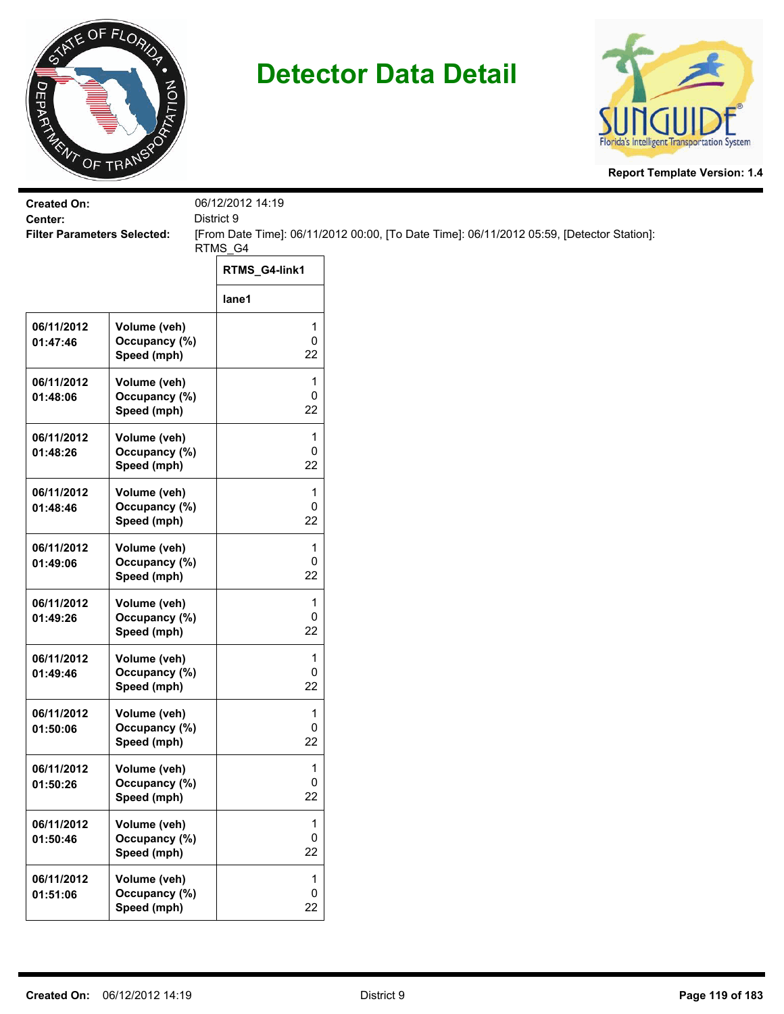



| <b>Created On:</b><br>Center:      |                                              | 06/12/2012 14:19<br>District 9 |                                                                                           |
|------------------------------------|----------------------------------------------|--------------------------------|-------------------------------------------------------------------------------------------|
| <b>Filter Parameters Selected:</b> |                                              | RTMS_G4                        | [From Date Time]: 06/11/2012 00:00, [To Date Time]: 06/11/2012 05:59, [Detector Station]: |
|                                    |                                              | RTMS_G4-link1                  |                                                                                           |
|                                    |                                              | lane1                          |                                                                                           |
| 06/11/2012<br>01:47:46             | Volume (veh)<br>Occupancy (%)<br>Speed (mph) | 1<br>0<br>22                   |                                                                                           |
| 06/11/2012<br>01:48:06             | Volume (veh)<br>Occupancy (%)<br>Speed (mph) | 1<br>0<br>22                   |                                                                                           |
| 06/11/2012<br>01:48:26             | Volume (veh)<br>Occupancy (%)<br>Speed (mph) | 1<br>0<br>22                   |                                                                                           |
| 06/11/2012<br>01:48:46             | Volume (veh)<br>Occupancy (%)<br>Speed (mph) | 1<br>0<br>22                   |                                                                                           |
| 06/11/2012<br>01:49:06             | Volume (veh)<br>Occupancy (%)<br>Speed (mph) | 1<br>0<br>22                   |                                                                                           |
| 06/11/2012<br>01:49:26             | Volume (veh)<br>Occupancy (%)<br>Speed (mph) | 1<br>0<br>22                   |                                                                                           |
| 06/11/2012<br>01:49:46             | Volume (veh)<br>Occupancy (%)<br>Speed (mph) | 1<br>0<br>22                   |                                                                                           |
| 06/11/2012<br>01:50:06             | Volume (veh)<br>Occupancy (%)<br>Speed (mph) | 1<br>0<br>22                   |                                                                                           |
| 06/11/2012<br>01:50:26             | Volume (veh)<br>Occupancy (%)<br>Speed (mph) | 1<br>0<br>22                   |                                                                                           |
| 06/11/2012<br>01:50:46             | Volume (veh)<br>Occupancy (%)<br>Speed (mph) | 1<br>0<br>22                   |                                                                                           |
| 06/11/2012<br>01:51:06             | Volume (veh)<br>Occupancy (%)<br>Speed (mph) | 1<br>0<br>22                   |                                                                                           |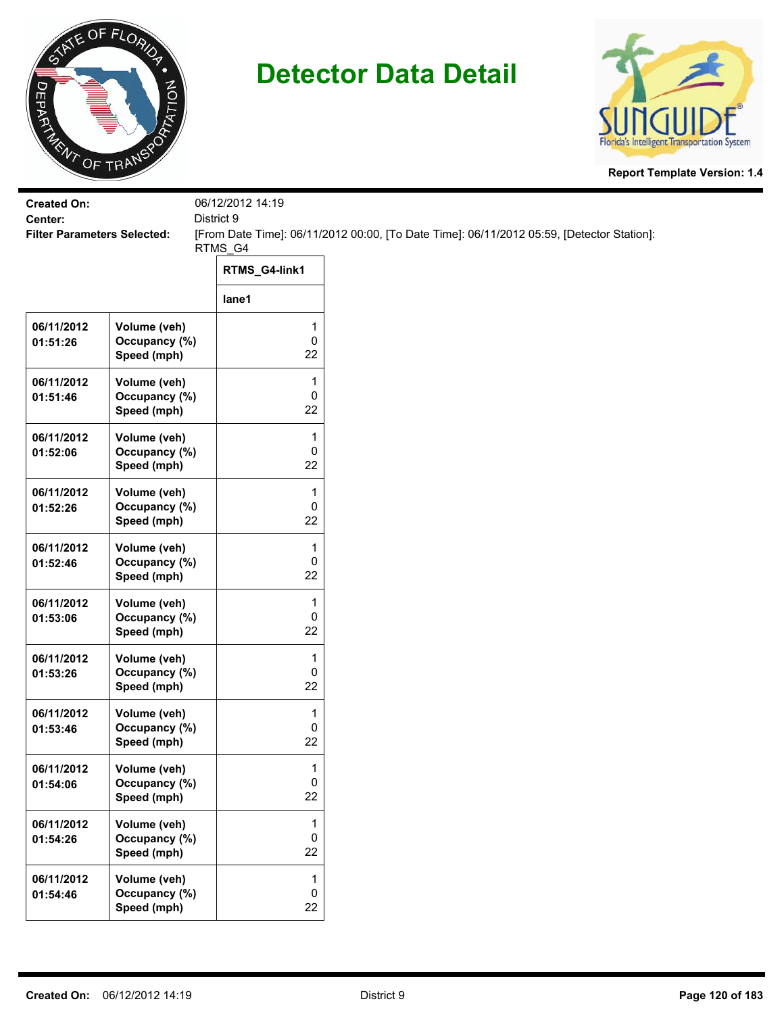



| <b>Created On:</b><br>Center:      |                                              | 06/12/2012 14:19<br>District 9 |                                                                                           |
|------------------------------------|----------------------------------------------|--------------------------------|-------------------------------------------------------------------------------------------|
| <b>Filter Parameters Selected:</b> |                                              | RTMS_G4                        | [From Date Time]: 06/11/2012 00:00, [To Date Time]: 06/11/2012 05:59, [Detector Station]: |
|                                    |                                              | RTMS_G4-link1                  |                                                                                           |
|                                    |                                              | lane1                          |                                                                                           |
| 06/11/2012<br>01:51:26             | Volume (veh)<br>Occupancy (%)<br>Speed (mph) | 1<br>0<br>22                   |                                                                                           |
| 06/11/2012<br>01:51:46             | Volume (veh)<br>Occupancy (%)<br>Speed (mph) | 1<br>0<br>22                   |                                                                                           |
| 06/11/2012<br>01:52:06             | Volume (veh)<br>Occupancy (%)<br>Speed (mph) | 1<br>0<br>22                   |                                                                                           |
| 06/11/2012<br>01:52:26             | Volume (veh)<br>Occupancy (%)<br>Speed (mph) | 1<br>0<br>22                   |                                                                                           |
| 06/11/2012<br>01:52:46             | Volume (veh)<br>Occupancy (%)<br>Speed (mph) | 1<br>0<br>22                   |                                                                                           |
| 06/11/2012<br>01:53:06             | Volume (veh)<br>Occupancy (%)<br>Speed (mph) | 1<br>0<br>22                   |                                                                                           |
| 06/11/2012<br>01:53:26             | Volume (veh)<br>Occupancy (%)<br>Speed (mph) | 1<br>0<br>22                   |                                                                                           |
| 06/11/2012<br>01:53:46             | Volume (veh)<br>Occupancy (%)<br>Speed (mph) | 1<br>0<br>22                   |                                                                                           |
| 06/11/2012<br>01:54:06             | Volume (veh)<br>Occupancy (%)<br>Speed (mph) | 1<br>0<br>22                   |                                                                                           |
| 06/11/2012<br>01:54:26             | Volume (veh)<br>Occupancy (%)<br>Speed (mph) | 1<br>0<br>22                   |                                                                                           |
| 06/11/2012<br>01:54:46             | Volume (veh)<br>Occupancy (%)<br>Speed (mph) | 1<br>$\pmb{0}$<br>22           |                                                                                           |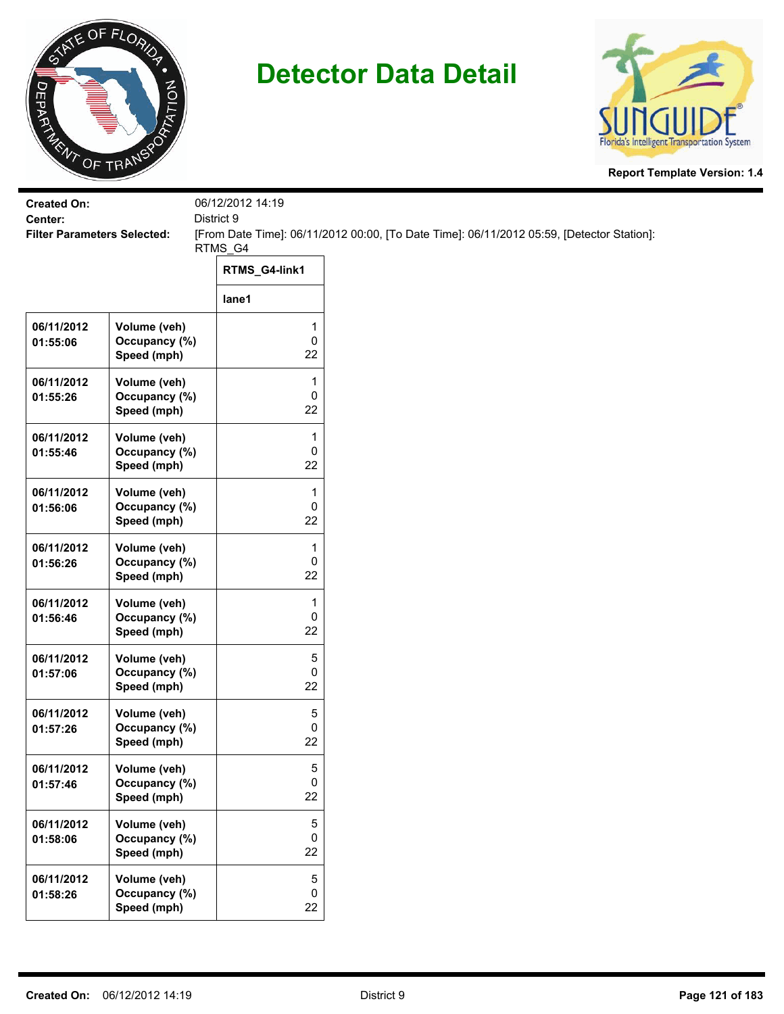



| <b>Created On:</b>                            |                                              | 06/12/2012 14:19               |                                                                                           |
|-----------------------------------------------|----------------------------------------------|--------------------------------|-------------------------------------------------------------------------------------------|
| Center:<br><b>Filter Parameters Selected:</b> |                                              | District 9                     | [From Date Time]: 06/11/2012 00:00, [To Date Time]: 06/11/2012 05:59, [Detector Station]: |
|                                               |                                              | RTMS_G4                        |                                                                                           |
|                                               |                                              | RTMS_G4-link1                  |                                                                                           |
|                                               |                                              | lane1                          |                                                                                           |
| 06/11/2012<br>01:55:06                        | Volume (veh)<br>Occupancy (%)<br>Speed (mph) | 1<br>$\pmb{0}$<br>22           |                                                                                           |
| 06/11/2012<br>01:55:26                        | Volume (veh)<br>Occupancy (%)<br>Speed (mph) | 1<br>$\pmb{0}$<br>22           |                                                                                           |
| 06/11/2012<br>01:55:46                        | Volume (veh)<br>Occupancy (%)<br>Speed (mph) | 1<br>0<br>22                   |                                                                                           |
| 06/11/2012<br>01:56:06                        | Volume (veh)<br>Occupancy (%)<br>Speed (mph) | 1<br>0<br>22                   |                                                                                           |
| 06/11/2012<br>01:56:26                        | Volume (veh)<br>Occupancy (%)<br>Speed (mph) | 1<br>0<br>22                   |                                                                                           |
| 06/11/2012<br>01:56:46                        | Volume (veh)<br>Occupancy (%)<br>Speed (mph) | 1<br>$\pmb{0}$<br>22           |                                                                                           |
| 06/11/2012<br>01:57:06                        | Volume (veh)<br>Occupancy (%)<br>Speed (mph) | 5<br>0<br>22                   |                                                                                           |
| 06/11/2012<br>01:57:26                        | Volume (veh)<br>Occupancy (%)<br>Speed (mph) | 5<br>0<br>22                   |                                                                                           |
| 06/11/2012<br>01:57:46                        | Volume (veh)<br>Occupancy (%)<br>Speed (mph) | 5<br>$\mathbf 0$<br>22         |                                                                                           |
| 06/11/2012<br>01:58:06                        | Volume (veh)<br>Occupancy (%)<br>Speed (mph) | 5<br>$\mathsf 0$<br>22         |                                                                                           |
| 06/11/2012<br>01:58:26                        | Volume (veh)<br>Occupancy (%)<br>Speed (mph) | 5<br>$\mathsf{O}\xspace$<br>22 |                                                                                           |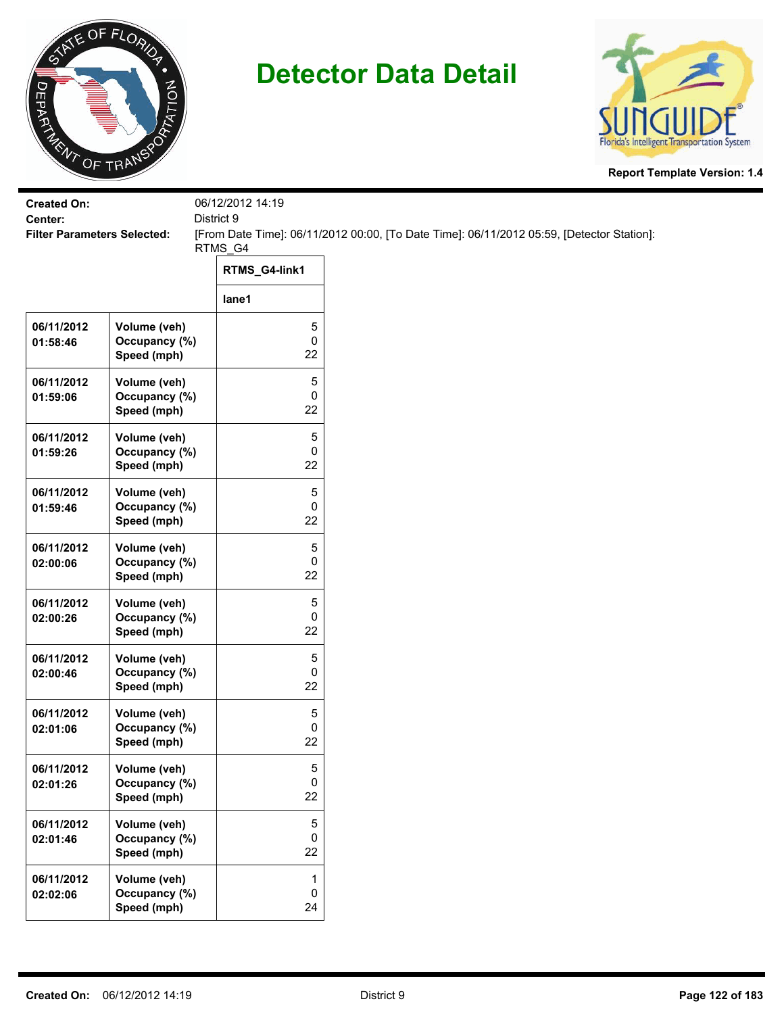



| <b>Created On:</b><br>Center:      |                                              | 06/12/2012 14:19<br>District 9 |                                                                                           |  |
|------------------------------------|----------------------------------------------|--------------------------------|-------------------------------------------------------------------------------------------|--|
| <b>Filter Parameters Selected:</b> |                                              | RTMS_G4                        | [From Date Time]: 06/11/2012 00:00, [To Date Time]: 06/11/2012 05:59, [Detector Station]: |  |
|                                    |                                              | RTMS_G4-link1                  |                                                                                           |  |
|                                    |                                              | lane1                          |                                                                                           |  |
| 06/11/2012<br>01:58:46             | Volume (veh)<br>Occupancy (%)<br>Speed (mph) | 5<br>0<br>22                   |                                                                                           |  |
| 06/11/2012<br>01:59:06             | Volume (veh)<br>Occupancy (%)<br>Speed (mph) | 5<br>0<br>22                   |                                                                                           |  |
| 06/11/2012<br>01:59:26             | Volume (veh)<br>Occupancy (%)<br>Speed (mph) | 5<br>0<br>22                   |                                                                                           |  |
| 06/11/2012<br>01:59:46             | Volume (veh)<br>Occupancy (%)<br>Speed (mph) | 5<br>0<br>22                   |                                                                                           |  |
| 06/11/2012<br>02:00:06             | Volume (veh)<br>Occupancy (%)<br>Speed (mph) | 5<br>0<br>22                   |                                                                                           |  |
| 06/11/2012<br>02:00:26             | Volume (veh)<br>Occupancy (%)<br>Speed (mph) | 5<br>0<br>22                   |                                                                                           |  |
| 06/11/2012<br>02:00:46             | Volume (veh)<br>Occupancy (%)<br>Speed (mph) | 5<br>0<br>22                   |                                                                                           |  |
| 06/11/2012<br>02:01:06             | Volume (veh)<br>Occupancy (%)<br>Speed (mph) | 5<br>0<br>22                   |                                                                                           |  |
| 06/11/2012<br>02:01:26             | Volume (veh)<br>Occupancy (%)<br>Speed (mph) | 5<br>0<br>22                   |                                                                                           |  |
| 06/11/2012<br>02:01:46             | Volume (veh)<br>Occupancy (%)<br>Speed (mph) | $\,$ 5 $\,$<br>0<br>22         |                                                                                           |  |
| 06/11/2012<br>02:02:06             | Volume (veh)<br>Occupancy (%)<br>Speed (mph) | 1<br>$\pmb{0}$<br>24           |                                                                                           |  |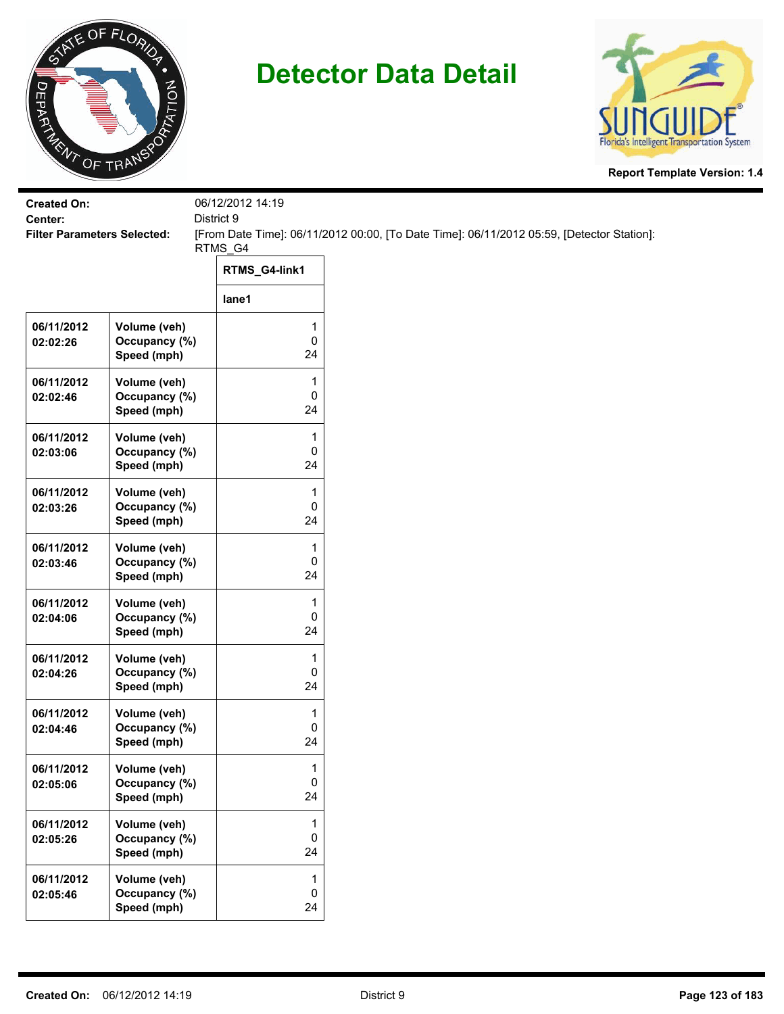



| <b>Created On:</b><br>Center:      |                                              | 06/12/2012 14:19<br>District 9     |                                                                                           |  |  |
|------------------------------------|----------------------------------------------|------------------------------------|-------------------------------------------------------------------------------------------|--|--|
| <b>Filter Parameters Selected:</b> |                                              | RTMS_G4                            | [From Date Time]: 06/11/2012 00:00, [To Date Time]: 06/11/2012 05:59, [Detector Station]: |  |  |
|                                    |                                              | RTMS_G4-link1                      |                                                                                           |  |  |
|                                    |                                              | lane1                              |                                                                                           |  |  |
| 06/11/2012<br>02:02:26             | Volume (veh)<br>Occupancy (%)<br>Speed (mph) | 1<br>$\mathsf 0$<br>24             |                                                                                           |  |  |
| 06/11/2012<br>02:02:46             | Volume (veh)<br>Occupancy (%)<br>Speed (mph) | 1<br>0<br>24                       |                                                                                           |  |  |
| 06/11/2012<br>02:03:06             | Volume (veh)<br>Occupancy (%)<br>Speed (mph) | 1<br>0<br>24                       |                                                                                           |  |  |
| 06/11/2012<br>02:03:26             | Volume (veh)<br>Occupancy (%)<br>Speed (mph) | 1<br>0<br>24                       |                                                                                           |  |  |
| 06/11/2012<br>02:03:46             | Volume (veh)<br>Occupancy (%)<br>Speed (mph) | 1<br>0<br>24                       |                                                                                           |  |  |
| 06/11/2012<br>02:04:06             | Volume (veh)<br>Occupancy (%)<br>Speed (mph) | 1<br>$\mathsf 0$<br>24             |                                                                                           |  |  |
| 06/11/2012<br>02:04:26             | Volume (veh)<br>Occupancy (%)<br>Speed (mph) | 1<br>0<br>24                       |                                                                                           |  |  |
| 06/11/2012<br>02:04:46             | Volume (veh)<br>Occupancy (%)<br>Speed (mph) | 1<br>0<br>24                       |                                                                                           |  |  |
| 06/11/2012<br>02:05:06             | Volume (veh)<br>Occupancy (%)<br>Speed (mph) | $\mathbf{1}$<br>$\mathbf 0$<br>24  |                                                                                           |  |  |
| 06/11/2012<br>02:05:26             | Volume (veh)<br>Occupancy (%)<br>Speed (mph) | $\mathbf{1}$<br>$\mathsf{O}$<br>24 |                                                                                           |  |  |
| 06/11/2012<br>02:05:46             | Volume (veh)<br>Occupancy (%)<br>Speed (mph) | $\mathbf{1}$<br>0<br>24            |                                                                                           |  |  |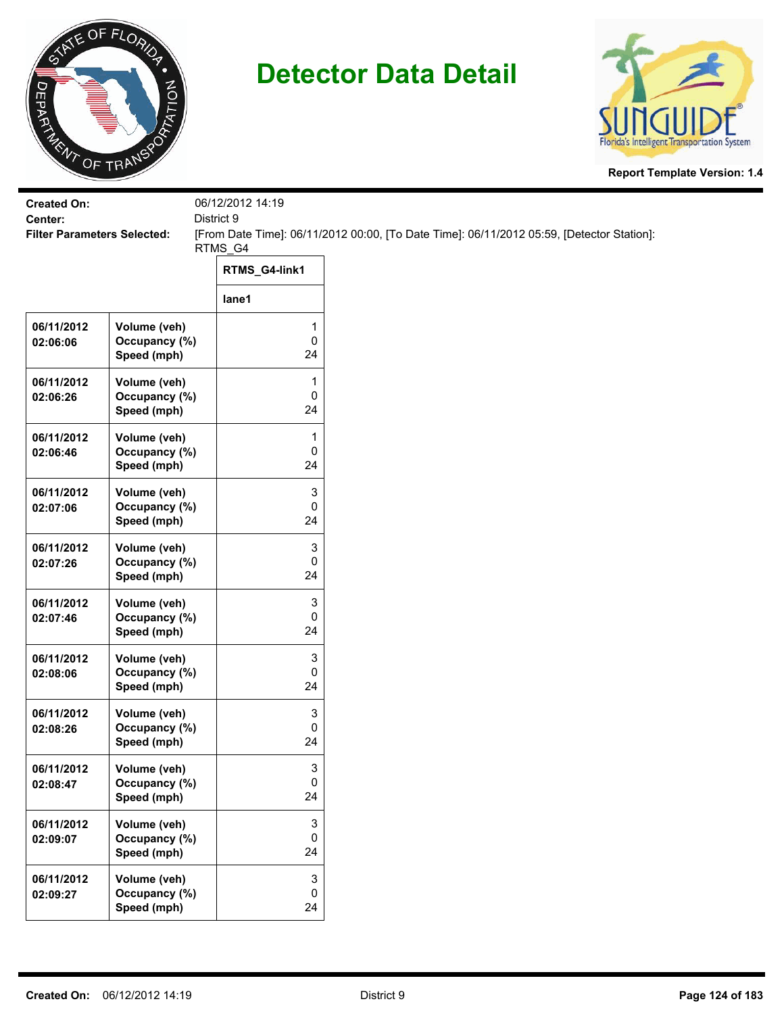



| <b>Created On:</b><br>Center:      |                                              | 06/12/2012 14:19<br>District 9 |                                                                                           |
|------------------------------------|----------------------------------------------|--------------------------------|-------------------------------------------------------------------------------------------|
| <b>Filter Parameters Selected:</b> |                                              | RTMS_G4                        | [From Date Time]: 06/11/2012 00:00, [To Date Time]: 06/11/2012 05:59, [Detector Station]: |
|                                    |                                              | RTMS_G4-link1                  |                                                                                           |
|                                    |                                              | lane1                          |                                                                                           |
| 06/11/2012<br>02:06:06             | Volume (veh)<br>Occupancy (%)<br>Speed (mph) | 1<br>0<br>24                   |                                                                                           |
| 06/11/2012<br>02:06:26             | Volume (veh)<br>Occupancy (%)<br>Speed (mph) | 1<br>0<br>24                   |                                                                                           |
| 06/11/2012<br>02:06:46             | Volume (veh)<br>Occupancy (%)<br>Speed (mph) | 1<br>0<br>24                   |                                                                                           |
| 06/11/2012<br>02:07:06             | Volume (veh)<br>Occupancy (%)<br>Speed (mph) | 3<br>0<br>24                   |                                                                                           |
| 06/11/2012<br>02:07:26             | Volume (veh)<br>Occupancy (%)<br>Speed (mph) | 3<br>0<br>24                   |                                                                                           |
| 06/11/2012<br>02:07:46             | Volume (veh)<br>Occupancy (%)<br>Speed (mph) | 3<br>0<br>24                   |                                                                                           |
| 06/11/2012<br>02:08:06             | Volume (veh)<br>Occupancy (%)<br>Speed (mph) | 3<br>0<br>24                   |                                                                                           |
| 06/11/2012<br>02:08:26             | Volume (veh)<br>Occupancy (%)<br>Speed (mph) | 3<br>0<br>24                   |                                                                                           |
| 06/11/2012<br>02:08:47             | Volume (veh)<br>Occupancy (%)<br>Speed (mph) | 3<br>0<br>24                   |                                                                                           |
| 06/11/2012<br>02:09:07             | Volume (veh)<br>Occupancy (%)<br>Speed (mph) | 3<br>0<br>24                   |                                                                                           |
| 06/11/2012<br>02:09:27             | Volume (veh)<br>Occupancy (%)<br>Speed (mph) | 3<br>$\pmb{0}$<br>24           |                                                                                           |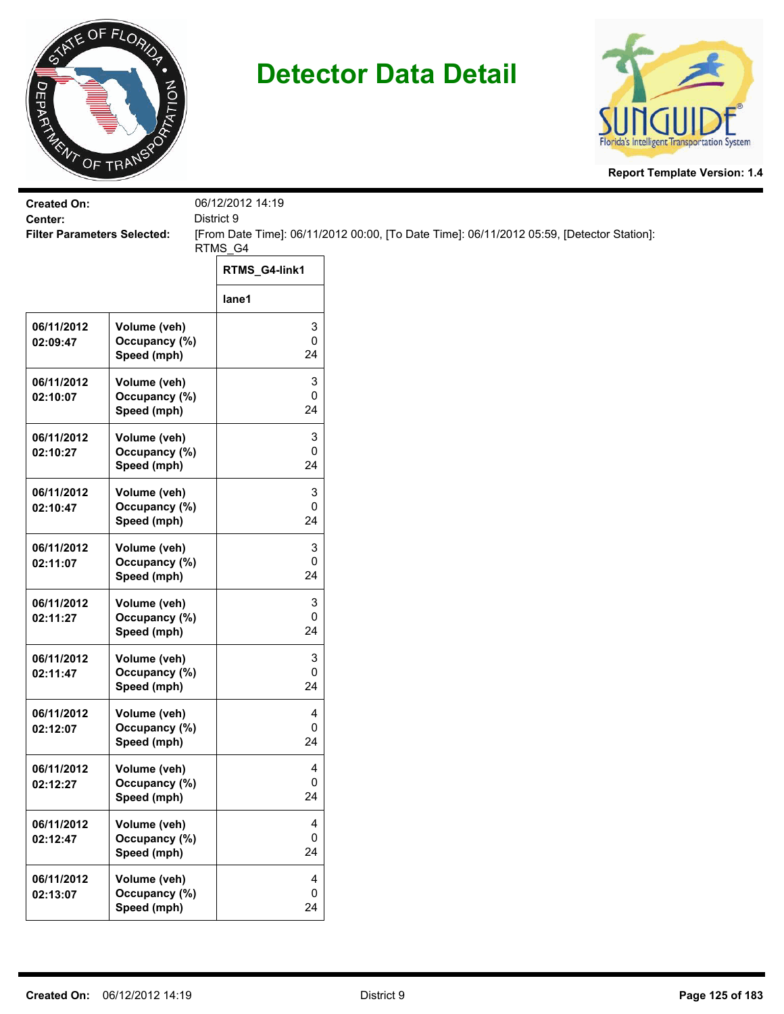



| <b>Created On:</b><br>Center:      |                                              | 06/12/2012 14:19<br>District 9 |                                                                                           |
|------------------------------------|----------------------------------------------|--------------------------------|-------------------------------------------------------------------------------------------|
| <b>Filter Parameters Selected:</b> |                                              |                                | [From Date Time]: 06/11/2012 00:00, [To Date Time]: 06/11/2012 05:59, [Detector Station]: |
|                                    |                                              | RTMS_G4                        |                                                                                           |
|                                    |                                              | RTMS_G4-link1                  |                                                                                           |
|                                    |                                              | lane1                          |                                                                                           |
| 06/11/2012<br>02:09:47             | Volume (veh)<br>Occupancy (%)<br>Speed (mph) | 3<br>0<br>24                   |                                                                                           |
| 06/11/2012<br>02:10:07             | Volume (veh)<br>Occupancy (%)<br>Speed (mph) | 3<br>0<br>24                   |                                                                                           |
| 06/11/2012<br>02:10:27             | Volume (veh)<br>Occupancy (%)<br>Speed (mph) | 3<br>0<br>24                   |                                                                                           |
| 06/11/2012<br>02:10:47             | Volume (veh)<br>Occupancy (%)<br>Speed (mph) | 3<br>0<br>24                   |                                                                                           |
| 06/11/2012<br>02:11:07             | Volume (veh)<br>Occupancy (%)<br>Speed (mph) | 3<br>0<br>24                   |                                                                                           |
| 06/11/2012<br>02:11:27             | Volume (veh)<br>Occupancy (%)<br>Speed (mph) | 3<br>0<br>24                   |                                                                                           |
| 06/11/2012<br>02:11:47             | Volume (veh)<br>Occupancy (%)<br>Speed (mph) | 3<br>0<br>24                   |                                                                                           |
| 06/11/2012<br>02:12:07             | Volume (veh)<br>Occupancy (%)<br>Speed (mph) | 4<br>0<br>24                   |                                                                                           |
| 06/11/2012<br>02:12:27             | Volume (veh)<br>Occupancy (%)<br>Speed (mph) | 4<br>0<br>24                   |                                                                                           |
| 06/11/2012<br>02:12:47             | Volume (veh)<br>Occupancy (%)<br>Speed (mph) | 4<br>0<br>24                   |                                                                                           |
| 06/11/2012<br>02:13:07             | Volume (veh)<br>Occupancy (%)<br>Speed (mph) | 4<br>$\pmb{0}$<br>24           |                                                                                           |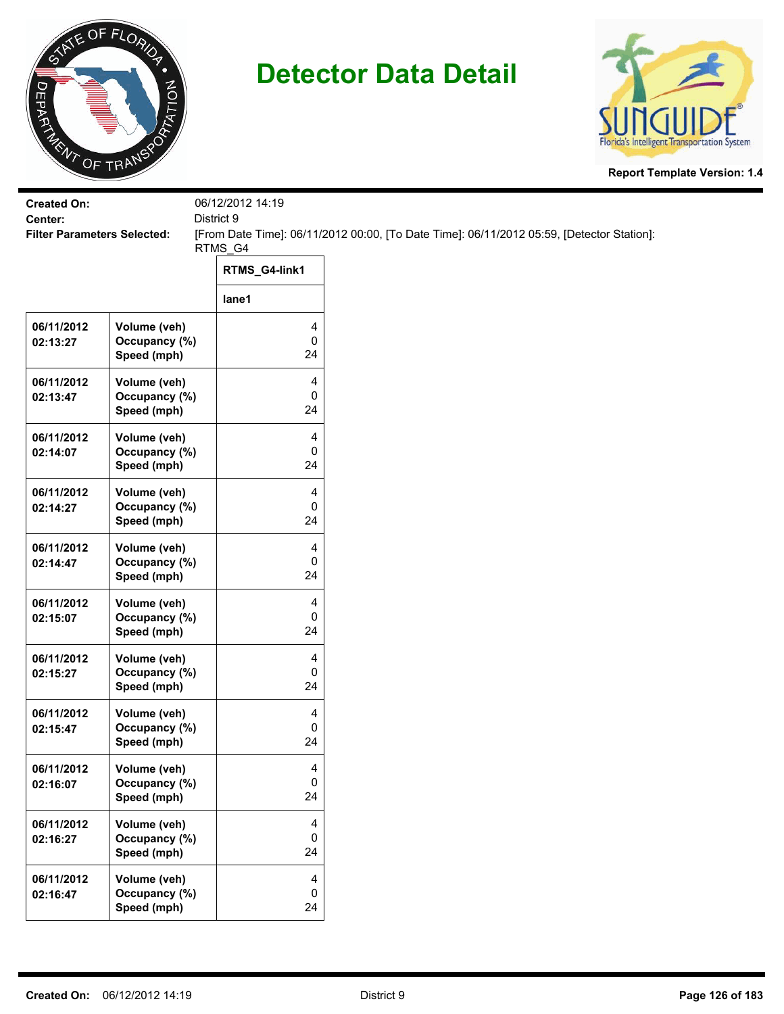



| <b>Created On:</b>                 |                               | 06/12/2012 14:19 |                                                                                           |
|------------------------------------|-------------------------------|------------------|-------------------------------------------------------------------------------------------|
| Center:                            |                               | District 9       |                                                                                           |
| <b>Filter Parameters Selected:</b> |                               | RTMS_G4          | [From Date Time]: 06/11/2012 00:00, [To Date Time]: 06/11/2012 05:59, [Detector Station]: |
|                                    |                               |                  |                                                                                           |
|                                    |                               | RTMS_G4-link1    |                                                                                           |
|                                    |                               | lane1            |                                                                                           |
|                                    |                               |                  |                                                                                           |
| 06/11/2012                         | Volume (veh)                  | 4                |                                                                                           |
| 02:13:27                           | Occupancy (%)<br>Speed (mph)  | 0<br>24          |                                                                                           |
|                                    |                               |                  |                                                                                           |
| 06/11/2012                         | Volume (veh)                  | 4                |                                                                                           |
| 02:13:47                           | Occupancy (%)                 | 0                |                                                                                           |
|                                    | Speed (mph)                   | 24               |                                                                                           |
| 06/11/2012                         | Volume (veh)                  | 4                |                                                                                           |
| 02:14:07                           | Occupancy (%)                 | 0                |                                                                                           |
|                                    | Speed (mph)                   | 24               |                                                                                           |
|                                    |                               |                  |                                                                                           |
| 06/11/2012                         | Volume (veh)                  | 4                |                                                                                           |
| 02:14:27                           | Occupancy (%)                 | 0                |                                                                                           |
|                                    | Speed (mph)                   | 24               |                                                                                           |
| 06/11/2012                         | Volume (veh)                  | 4                |                                                                                           |
| 02:14:47                           | Occupancy (%)                 | 0                |                                                                                           |
|                                    | Speed (mph)                   | 24               |                                                                                           |
| 06/11/2012                         | Volume (veh)                  | 4                |                                                                                           |
| 02:15:07                           | Occupancy (%)                 | 0                |                                                                                           |
|                                    | Speed (mph)                   | 24               |                                                                                           |
|                                    |                               |                  |                                                                                           |
| 06/11/2012                         | Volume (veh)                  | 4                |                                                                                           |
| 02:15:27                           | Occupancy (%)                 | 0                |                                                                                           |
|                                    | Speed (mph)                   | 24               |                                                                                           |
| 06/11/2012                         | Volume (veh)                  | 4                |                                                                                           |
| 02:15:47                           | Occupancy (%)                 | 0                |                                                                                           |
|                                    | Speed (mph)                   | 24               |                                                                                           |
| 06/11/2012                         |                               | 4                |                                                                                           |
| 02:16:07                           | Volume (veh)<br>Occupancy (%) | 0                |                                                                                           |
|                                    | Speed (mph)                   | 24               |                                                                                           |
|                                    |                               |                  |                                                                                           |
| 06/11/2012                         | Volume (veh)                  | 4                |                                                                                           |
| 02:16:27                           | Occupancy (%)                 | 0                |                                                                                           |
|                                    | Speed (mph)                   | 24               |                                                                                           |
| 06/11/2012                         | Volume (veh)                  | 4                |                                                                                           |
| 02:16:47                           | Occupancy (%)                 | 0                |                                                                                           |
|                                    | Speed (mph)                   | 24               |                                                                                           |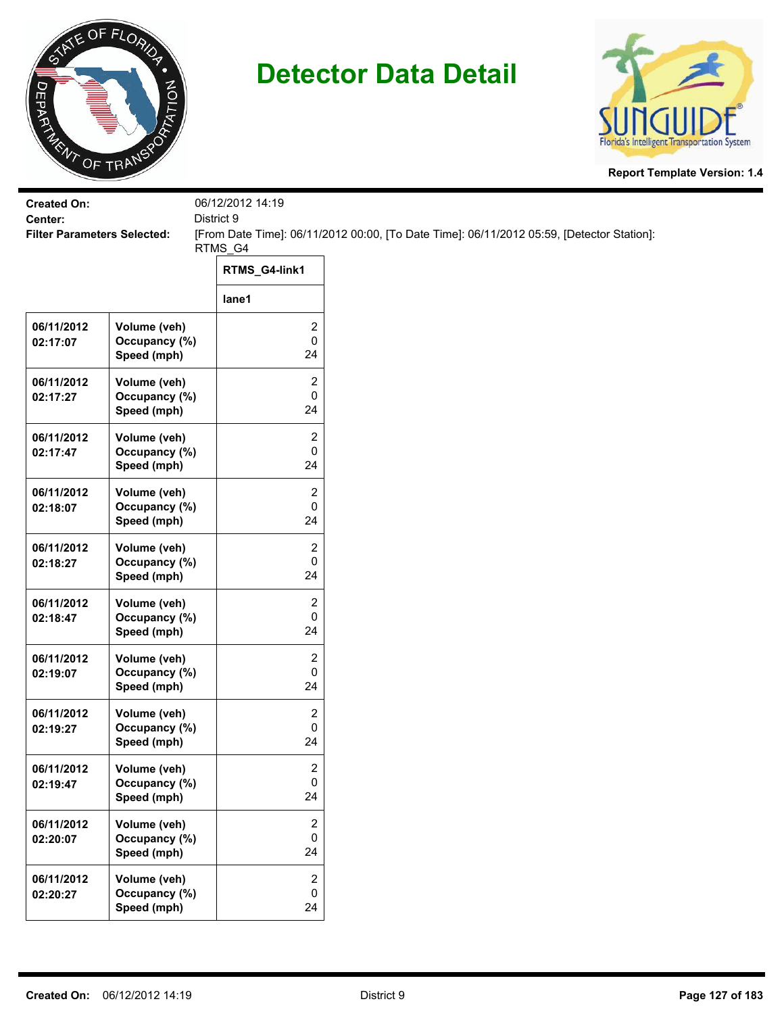



| <b>Created On:</b>                            |                                              | 06/12/2012 14:19                            |                                                                                           |
|-----------------------------------------------|----------------------------------------------|---------------------------------------------|-------------------------------------------------------------------------------------------|
| Center:<br><b>Filter Parameters Selected:</b> |                                              | District 9                                  | [From Date Time]: 06/11/2012 00:00, [To Date Time]: 06/11/2012 05:59, [Detector Station]: |
|                                               |                                              | RTMS_G4                                     |                                                                                           |
|                                               |                                              | RTMS_G4-link1                               |                                                                                           |
|                                               |                                              | lane1                                       |                                                                                           |
| 06/11/2012<br>02:17:07                        | Volume (veh)<br>Occupancy (%)<br>Speed (mph) | $\overline{\mathbf{c}}$<br>$\pmb{0}$<br>24  |                                                                                           |
| 06/11/2012<br>02:17:27                        | Volume (veh)<br>Occupancy (%)<br>Speed (mph) | $\overline{c}$<br>$\pmb{0}$<br>24           |                                                                                           |
| 06/11/2012<br>02:17:47                        | Volume (veh)<br>Occupancy (%)<br>Speed (mph) | $\overline{\mathbf{c}}$<br>$\pmb{0}$<br>24  |                                                                                           |
| 06/11/2012<br>02:18:07                        | Volume (veh)<br>Occupancy (%)<br>Speed (mph) | 2<br>0<br>24                                |                                                                                           |
| 06/11/2012<br>02:18:27                        | Volume (veh)<br>Occupancy (%)<br>Speed (mph) | $\overline{2}$<br>0<br>24                   |                                                                                           |
| 06/11/2012<br>02:18:47                        | Volume (veh)<br>Occupancy (%)<br>Speed (mph) | $\overline{c}$<br>$\pmb{0}$<br>24           |                                                                                           |
| 06/11/2012<br>02:19:07                        | Volume (veh)<br>Occupancy (%)<br>Speed (mph) | $\overline{c}$<br>$\pmb{0}$<br>24           |                                                                                           |
| 06/11/2012<br>02:19:27                        | Volume (veh)<br>Occupancy (%)<br>Speed (mph) | 2<br>$\pmb{0}$<br>24                        |                                                                                           |
| 06/11/2012<br>02:19:47                        | Volume (veh)<br>Occupancy (%)<br>Speed (mph) | 2<br>$\mathbf 0$<br>24                      |                                                                                           |
| 06/11/2012<br>02:20:07                        | Volume (veh)<br>Occupancy (%)<br>Speed (mph) | $\overline{2}$<br>0<br>24                   |                                                                                           |
| 06/11/2012<br>02:20:27                        | Volume (veh)<br>Occupancy (%)<br>Speed (mph) | $\overline{2}$<br>$\mathsf{O}\xspace$<br>24 |                                                                                           |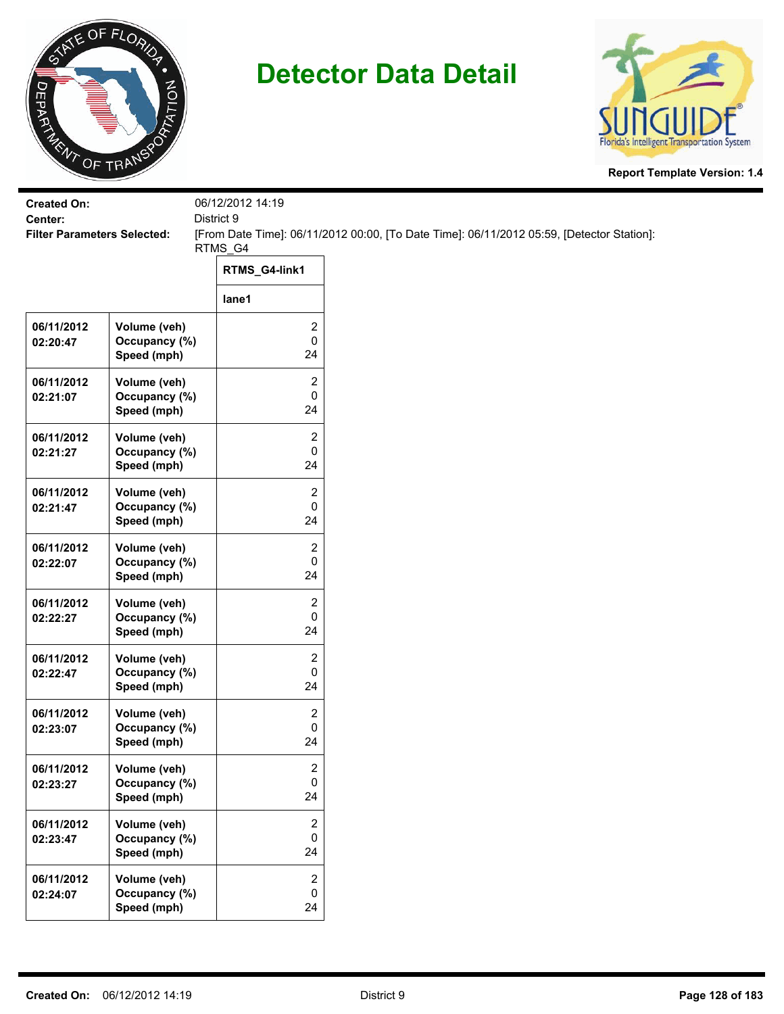



| <b>Created On:</b><br>Center:      |                                              | 06/12/2012 14:19<br>District 9    |                                                                                           |
|------------------------------------|----------------------------------------------|-----------------------------------|-------------------------------------------------------------------------------------------|
| <b>Filter Parameters Selected:</b> |                                              |                                   | [From Date Time]: 06/11/2012 00:00, [To Date Time]: 06/11/2012 05:59, [Detector Station]: |
|                                    |                                              | RTMS_G4                           |                                                                                           |
|                                    |                                              | RTMS_G4-link1                     |                                                                                           |
|                                    |                                              | lane1                             |                                                                                           |
| 06/11/2012<br>02:20:47             | Volume (veh)<br>Occupancy (%)<br>Speed (mph) | 2<br>0<br>24                      |                                                                                           |
| 06/11/2012<br>02:21:07             | Volume (veh)<br>Occupancy (%)<br>Speed (mph) | 2<br>0<br>24                      |                                                                                           |
| 06/11/2012<br>02:21:27             | Volume (veh)<br>Occupancy (%)<br>Speed (mph) | 2<br>0<br>24                      |                                                                                           |
| 06/11/2012<br>02:21:47             | Volume (veh)<br>Occupancy (%)<br>Speed (mph) | 2<br>0<br>24                      |                                                                                           |
| 06/11/2012<br>02:22:07             | Volume (veh)<br>Occupancy (%)<br>Speed (mph) | 2<br>0<br>24                      |                                                                                           |
| 06/11/2012<br>02:22:27             | Volume (veh)<br>Occupancy (%)<br>Speed (mph) | 2<br>0<br>24                      |                                                                                           |
| 06/11/2012<br>02:22:47             | Volume (veh)<br>Occupancy (%)<br>Speed (mph) | 2<br>0<br>24                      |                                                                                           |
| 06/11/2012<br>02:23:07             | Volume (veh)<br>Occupancy (%)<br>Speed (mph) | 2<br>0<br>24                      |                                                                                           |
| 06/11/2012<br>02:23:27             | Volume (veh)<br>Occupancy (%)<br>Speed (mph) | 2<br>0<br>24                      |                                                                                           |
| 06/11/2012<br>02:23:47             | Volume (veh)<br>Occupancy (%)<br>Speed (mph) | 2<br>0<br>24                      |                                                                                           |
| 06/11/2012<br>02:24:07             | Volume (veh)<br>Occupancy (%)<br>Speed (mph) | $\overline{2}$<br>$\pmb{0}$<br>24 |                                                                                           |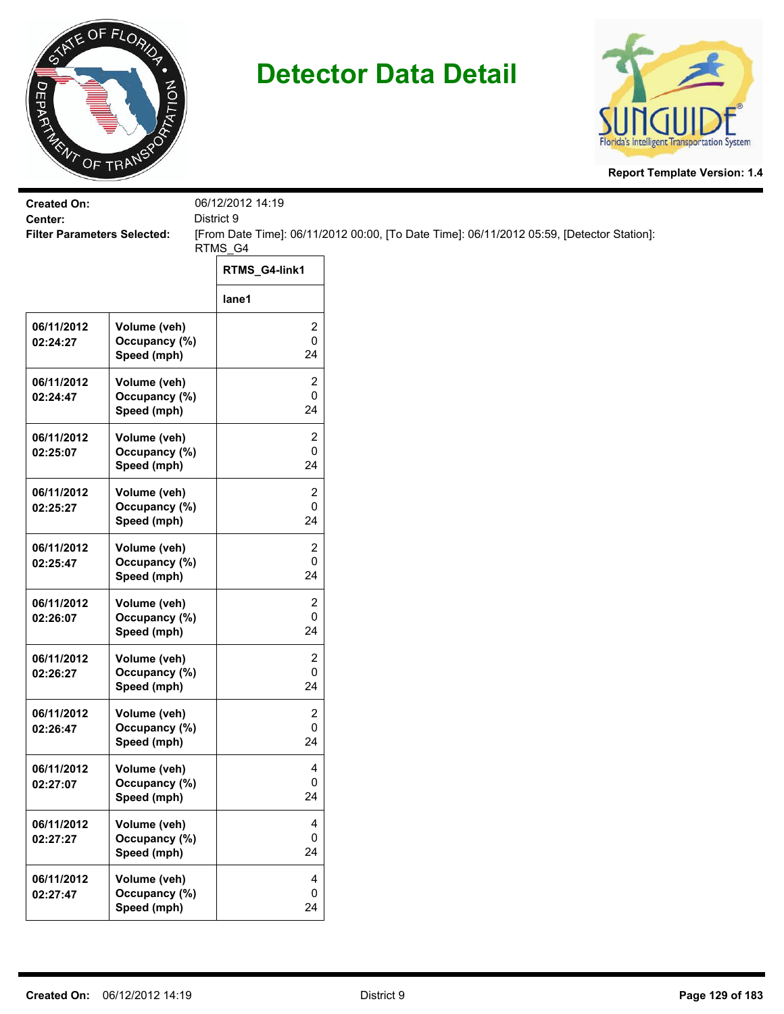



| <b>Created On:</b><br>Center:      |                                              | 06/12/2012 14:19<br>District 9               |                                                                                           |
|------------------------------------|----------------------------------------------|----------------------------------------------|-------------------------------------------------------------------------------------------|
| <b>Filter Parameters Selected:</b> |                                              | RTMS_G4                                      | [From Date Time]: 06/11/2012 00:00, [To Date Time]: 06/11/2012 05:59, [Detector Station]: |
|                                    |                                              | RTMS_G4-link1                                |                                                                                           |
|                                    |                                              | lane1                                        |                                                                                           |
| 06/11/2012<br>02:24:27             | Volume (veh)<br>Occupancy (%)<br>Speed (mph) | 2<br>$\pmb{0}$<br>24                         |                                                                                           |
| 06/11/2012<br>02:24:47             | Volume (veh)<br>Occupancy (%)<br>Speed (mph) | 2<br>0<br>24                                 |                                                                                           |
| 06/11/2012<br>02:25:07             | Volume (veh)<br>Occupancy (%)<br>Speed (mph) | $\overline{2}$<br>0<br>24                    |                                                                                           |
| 06/11/2012<br>02:25:27             | Volume (veh)<br>Occupancy (%)<br>Speed (mph) | 2<br>0<br>24                                 |                                                                                           |
| 06/11/2012<br>02:25:47             | Volume (veh)<br>Occupancy (%)<br>Speed (mph) | $\overline{c}$<br>0<br>24                    |                                                                                           |
| 06/11/2012<br>02:26:07             | Volume (veh)<br>Occupancy (%)<br>Speed (mph) | $\overline{\mathbf{c}}$<br>$\mathbf 0$<br>24 |                                                                                           |
| 06/11/2012<br>02:26:27             | Volume (veh)<br>Occupancy (%)<br>Speed (mph) | 2<br>0<br>24                                 |                                                                                           |
| 06/11/2012<br>02:26:47             | Volume (veh)<br>Occupancy (%)<br>Speed (mph) | $\overline{2}$<br>0<br>24                    |                                                                                           |
| 06/11/2012<br>02:27:07             | Volume (veh)<br>Occupancy (%)<br>Speed (mph) | 4<br>$\mathbf 0$<br>24                       |                                                                                           |
| 06/11/2012<br>02:27:27             | Volume (veh)<br>Occupancy (%)<br>Speed (mph) | $\overline{4}$<br>0<br>24                    |                                                                                           |
| 06/11/2012<br>02:27:47             | Volume (veh)<br>Occupancy (%)<br>Speed (mph) | 4<br>$\mathbf 0$<br>24                       |                                                                                           |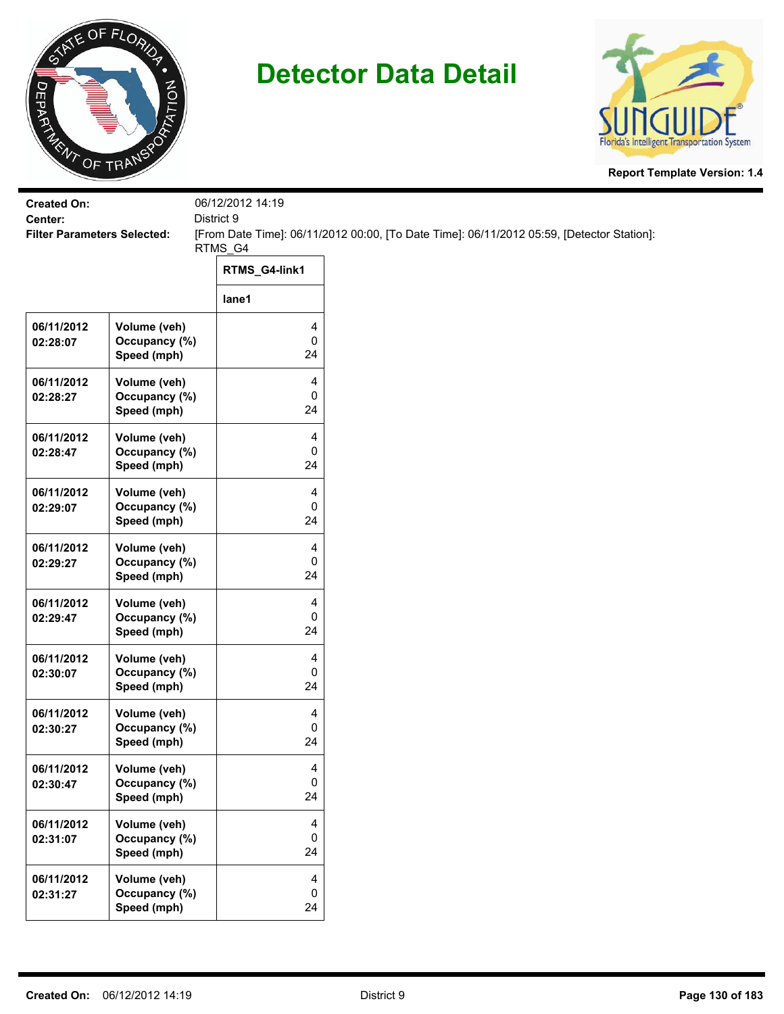



| <b>Created On:</b>                            |                               | 06/12/2012 14:19    |                                                                                           |
|-----------------------------------------------|-------------------------------|---------------------|-------------------------------------------------------------------------------------------|
| Center:<br><b>Filter Parameters Selected:</b> |                               | District 9          | [From Date Time]: 06/11/2012 00:00, [To Date Time]: 06/11/2012 05:59, [Detector Station]: |
|                                               |                               | RTMS_G4             |                                                                                           |
|                                               |                               | RTMS_G4-link1       |                                                                                           |
|                                               |                               | lane1               |                                                                                           |
| 06/11/2012                                    | Volume (veh)                  | 4                   |                                                                                           |
| 02:28:07                                      | Occupancy (%)<br>Speed (mph)  | $\mathsf 0$<br>24   |                                                                                           |
| 06/11/2012                                    | Volume (veh)                  | 4                   |                                                                                           |
| 02:28:27                                      | Occupancy (%)<br>Speed (mph)  | 0<br>24             |                                                                                           |
| 06/11/2012                                    | Volume (veh)                  | 4                   |                                                                                           |
| 02:28:47                                      | Occupancy (%)<br>Speed (mph)  | 0<br>24             |                                                                                           |
|                                               |                               |                     |                                                                                           |
| 06/11/2012<br>02:29:07                        | Volume (veh)<br>Occupancy (%) | 4<br>0              |                                                                                           |
|                                               | Speed (mph)                   | 24                  |                                                                                           |
| 06/11/2012                                    | Volume (veh)                  | 4                   |                                                                                           |
| 02:29:27                                      | Occupancy (%)<br>Speed (mph)  | 0<br>24             |                                                                                           |
|                                               |                               |                     |                                                                                           |
| 06/11/2012<br>02:29:47                        | Volume (veh)<br>Occupancy (%) | 4<br>$\mathbf 0$    |                                                                                           |
|                                               | Speed (mph)                   | 24                  |                                                                                           |
| 06/11/2012                                    | Volume (veh)                  | 4                   |                                                                                           |
| 02:30:07                                      | Occupancy (%)<br>Speed (mph)  | 0<br>24             |                                                                                           |
|                                               |                               |                     |                                                                                           |
| 06/11/2012<br>02:30:27                        | Volume (veh)<br>Occupancy (%) | 4<br>0              |                                                                                           |
|                                               | Speed (mph)                   | 24                  |                                                                                           |
| 06/11/2012                                    | Volume (veh)                  | 4                   |                                                                                           |
| 02:30:47                                      | Occupancy (%)                 | $\mathbf 0$<br>24   |                                                                                           |
|                                               | Speed (mph)                   |                     |                                                                                           |
| 06/11/2012<br>02:31:07                        | Volume (veh)<br>Occupancy (%) | $\overline{4}$<br>0 |                                                                                           |
|                                               | Speed (mph)                   | 24                  |                                                                                           |
| 06/11/2012                                    | Volume (veh)                  | 4                   |                                                                                           |
| 02:31:27                                      | Occupancy (%)                 | 0                   |                                                                                           |
|                                               | Speed (mph)                   | 24                  |                                                                                           |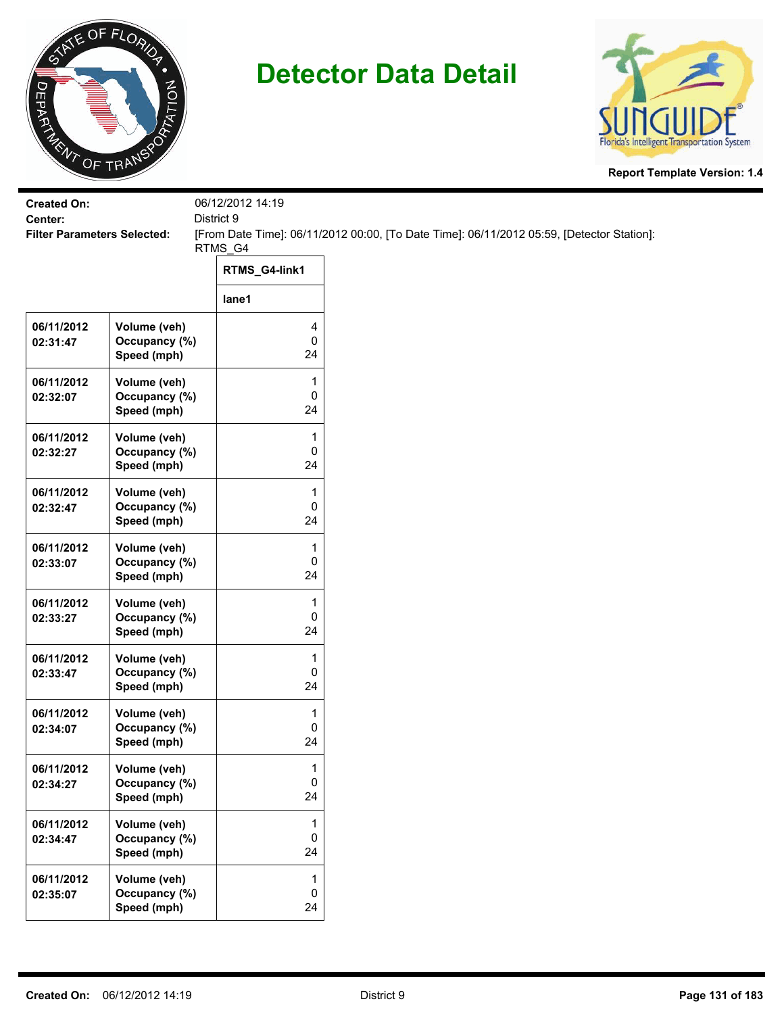



| <b>Created On:</b><br>Center:      |                                              | 06/12/2012 14:19<br>District 9 |                                                                                           |
|------------------------------------|----------------------------------------------|--------------------------------|-------------------------------------------------------------------------------------------|
| <b>Filter Parameters Selected:</b> |                                              |                                | [From Date Time]: 06/11/2012 00:00, [To Date Time]: 06/11/2012 05:59, [Detector Station]: |
|                                    |                                              | RTMS_G4                        |                                                                                           |
|                                    |                                              | RTMS_G4-link1                  |                                                                                           |
|                                    |                                              | lane1                          |                                                                                           |
| 06/11/2012<br>02:31:47             | Volume (veh)<br>Occupancy (%)<br>Speed (mph) | 4<br>0<br>24                   |                                                                                           |
| 06/11/2012<br>02:32:07             | Volume (veh)<br>Occupancy (%)<br>Speed (mph) | 1<br>0<br>24                   |                                                                                           |
| 06/11/2012<br>02:32:27             | Volume (veh)<br>Occupancy (%)<br>Speed (mph) | 1<br>0<br>24                   |                                                                                           |
| 06/11/2012<br>02:32:47             | Volume (veh)<br>Occupancy (%)<br>Speed (mph) | 1<br>0<br>24                   |                                                                                           |
| 06/11/2012<br>02:33:07             | Volume (veh)<br>Occupancy (%)<br>Speed (mph) | 1<br>0<br>24                   |                                                                                           |
| 06/11/2012<br>02:33:27             | Volume (veh)<br>Occupancy (%)<br>Speed (mph) | 1<br>0<br>24                   |                                                                                           |
| 06/11/2012<br>02:33:47             | Volume (veh)<br>Occupancy (%)<br>Speed (mph) | 1<br>0<br>24                   |                                                                                           |
| 06/11/2012<br>02:34:07             | Volume (veh)<br>Occupancy (%)<br>Speed (mph) | 1<br>0<br>24                   |                                                                                           |
| 06/11/2012<br>02:34:27             | Volume (veh)<br>Occupancy (%)<br>Speed (mph) | $\mathbf{1}$<br>0<br>24        |                                                                                           |
| 06/11/2012<br>02:34:47             | Volume (veh)<br>Occupancy (%)<br>Speed (mph) | 1<br>0<br>24                   |                                                                                           |
| 06/11/2012<br>02:35:07             | Volume (veh)<br>Occupancy (%)<br>Speed (mph) | 1<br>0<br>24                   |                                                                                           |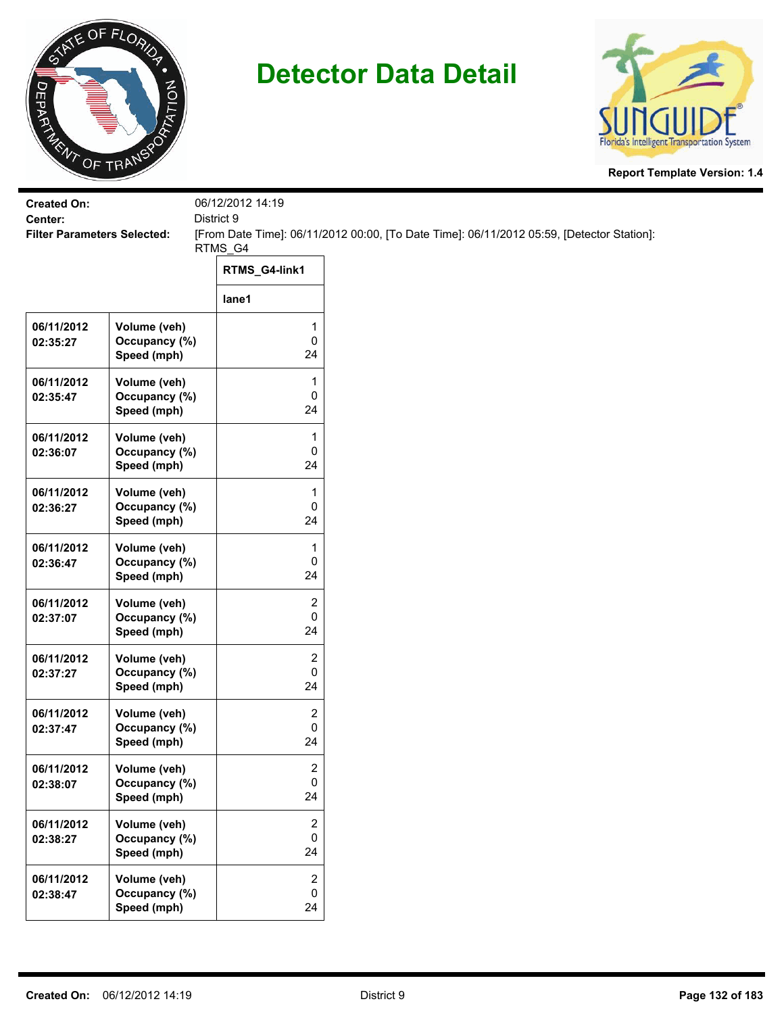



| <b>Created On:</b><br>Center:      |                                              | 06/12/2012 14:19<br>District 9     |                                                                                           |
|------------------------------------|----------------------------------------------|------------------------------------|-------------------------------------------------------------------------------------------|
| <b>Filter Parameters Selected:</b> |                                              | RTMS_G4                            | [From Date Time]: 06/11/2012 00:00, [To Date Time]: 06/11/2012 05:59, [Detector Station]: |
|                                    |                                              | RTMS_G4-link1                      |                                                                                           |
|                                    |                                              | lane1                              |                                                                                           |
| 06/11/2012<br>02:35:27             | Volume (veh)<br>Occupancy (%)<br>Speed (mph) | 1<br>0<br>24                       |                                                                                           |
| 06/11/2012<br>02:35:47             | Volume (veh)<br>Occupancy (%)<br>Speed (mph) | 1<br>0<br>24                       |                                                                                           |
| 06/11/2012<br>02:36:07             | Volume (veh)<br>Occupancy (%)<br>Speed (mph) | 1<br>0<br>24                       |                                                                                           |
| 06/11/2012<br>02:36:27             | Volume (veh)<br>Occupancy (%)<br>Speed (mph) | 1<br>0<br>24                       |                                                                                           |
| 06/11/2012<br>02:36:47             | Volume (veh)<br>Occupancy (%)<br>Speed (mph) | $\mathbf{1}$<br>0<br>24            |                                                                                           |
| 06/11/2012<br>02:37:07             | Volume (veh)<br>Occupancy (%)<br>Speed (mph) | 2<br>0<br>24                       |                                                                                           |
| 06/11/2012<br>02:37:27             | Volume (veh)<br>Occupancy (%)<br>Speed (mph) | 2<br>0<br>24                       |                                                                                           |
| 06/11/2012<br>02:37:47             | Volume (veh)<br>Occupancy (%)<br>Speed (mph) | 2<br>0<br>24                       |                                                                                           |
| 06/11/2012<br>02:38:07             | Volume (veh)<br>Occupancy (%)<br>Speed (mph) | $\overline{\mathbf{c}}$<br>0<br>24 |                                                                                           |
| 06/11/2012<br>02:38:27             | Volume (veh)<br>Occupancy (%)<br>Speed (mph) | $\boldsymbol{2}$<br>0<br>24        |                                                                                           |
| 06/11/2012<br>02:38:47             | Volume (veh)<br>Occupancy (%)<br>Speed (mph) | $\mathbf{2}$<br>0<br>24            |                                                                                           |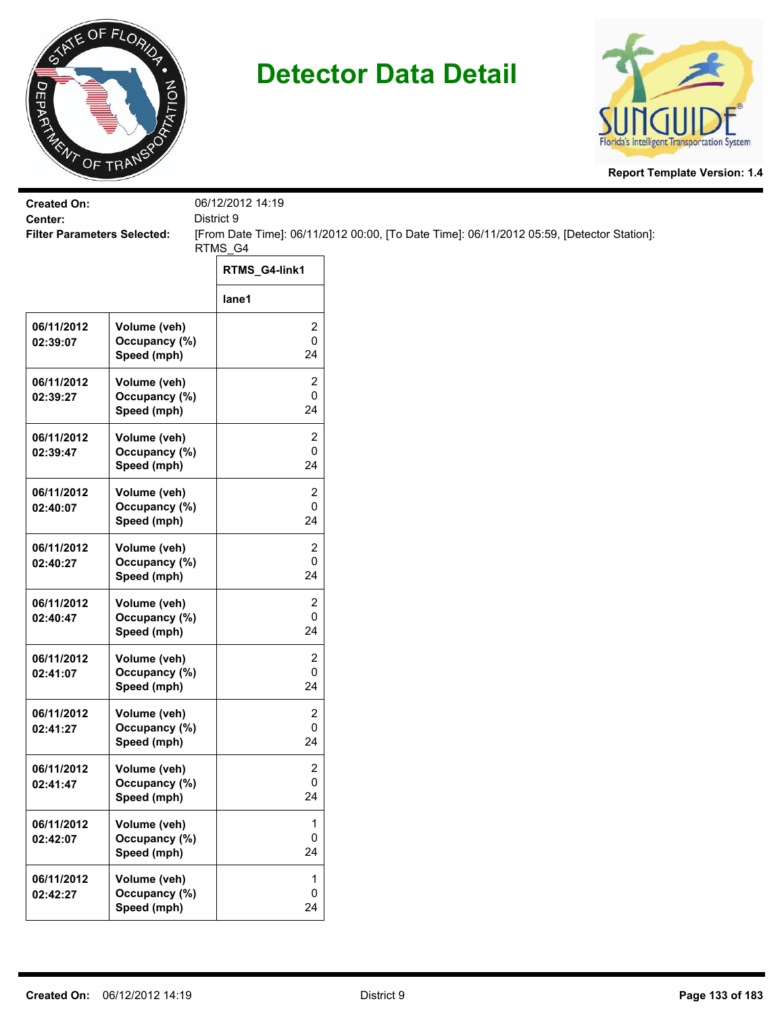



| <b>Created On:</b>                            |                               | 06/12/2012 14:19<br>District 9 |                                                                                           |
|-----------------------------------------------|-------------------------------|--------------------------------|-------------------------------------------------------------------------------------------|
| Center:<br><b>Filter Parameters Selected:</b> |                               |                                | [From Date Time]: 06/11/2012 00:00, [To Date Time]: 06/11/2012 05:59, [Detector Station]: |
|                                               |                               | RTMS_G4                        |                                                                                           |
|                                               |                               | RTMS_G4-link1                  |                                                                                           |
|                                               |                               | lane1                          |                                                                                           |
| 06/11/2012                                    | Volume (veh)                  | 2                              |                                                                                           |
| 02:39:07                                      | Occupancy (%)<br>Speed (mph)  | $\pmb{0}$<br>24                |                                                                                           |
| 06/11/2012                                    | Volume (veh)                  | 2                              |                                                                                           |
| 02:39:27                                      | Occupancy (%)<br>Speed (mph)  | 0<br>24                        |                                                                                           |
| 06/11/2012                                    | Volume (veh)                  | $\overline{2}$                 |                                                                                           |
| 02:39:47                                      | Occupancy (%)<br>Speed (mph)  | 0<br>24                        |                                                                                           |
| 06/11/2012                                    | Volume (veh)                  | 2                              |                                                                                           |
| 02:40:07                                      | Occupancy (%)                 | 0                              |                                                                                           |
|                                               | Speed (mph)                   | 24                             |                                                                                           |
| 06/11/2012<br>02:40:27                        | Volume (veh)<br>Occupancy (%) | $\overline{c}$<br>0            |                                                                                           |
|                                               | Speed (mph)                   | 24                             |                                                                                           |
| 06/11/2012                                    | Volume (veh)                  | $\overline{\mathbf{c}}$        |                                                                                           |
| 02:40:47                                      | Occupancy (%)<br>Speed (mph)  | $\mathbf 0$<br>24              |                                                                                           |
| 06/11/2012                                    | Volume (veh)                  | 2                              |                                                                                           |
| 02:41:07                                      | Occupancy (%)<br>Speed (mph)  | 0<br>24                        |                                                                                           |
| 06/11/2012                                    | Volume (veh)                  | 2                              |                                                                                           |
| 02:41:27                                      | Occupancy (%)<br>Speed (mph)  | 0<br>24                        |                                                                                           |
| 06/11/2012                                    | Volume (veh)                  | 2                              |                                                                                           |
| 02:41:47                                      | Occupancy (%)<br>Speed (mph)  | $\mathbf 0$<br>24              |                                                                                           |
| 06/11/2012                                    | Volume (veh)                  | $\mathbf{1}$                   |                                                                                           |
| 02:42:07                                      | Occupancy (%)<br>Speed (mph)  | $\mathsf 0$<br>24              |                                                                                           |
| 06/11/2012                                    | Volume (veh)                  | $\mathbf{1}$                   |                                                                                           |
| 02:42:27                                      | Occupancy (%)<br>Speed (mph)  | $\mathbf 0$<br>24              |                                                                                           |
|                                               |                               |                                |                                                                                           |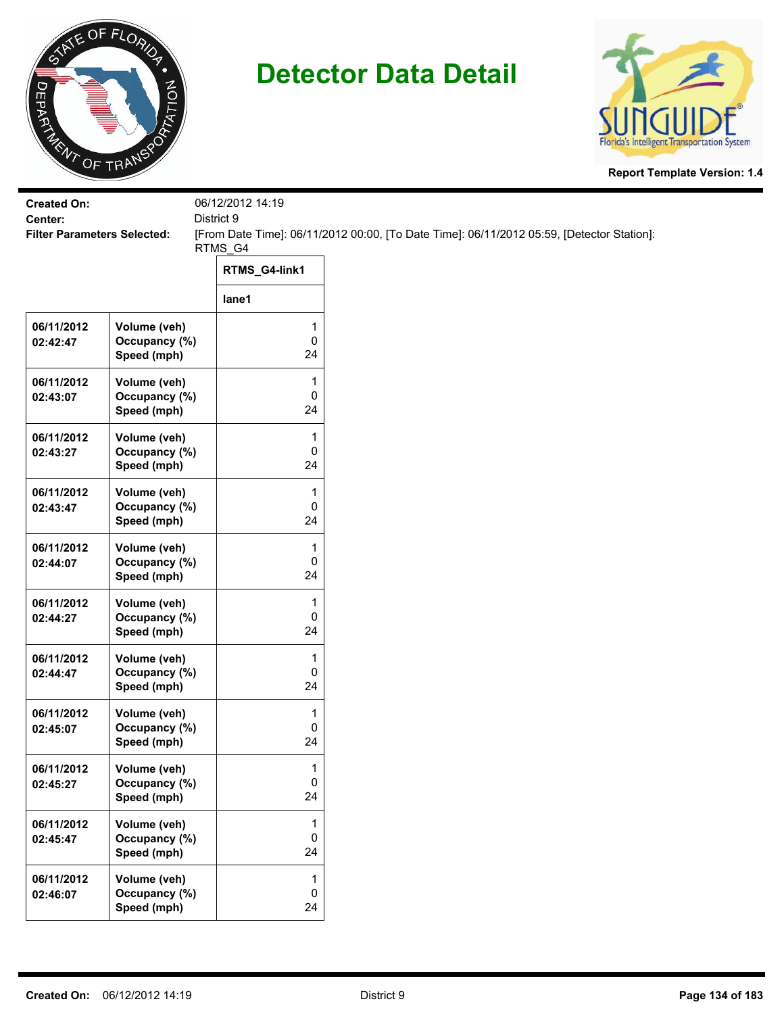



| <b>Created On:</b>                            |                               | 06/12/2012 14:19  |                                                                                           |
|-----------------------------------------------|-------------------------------|-------------------|-------------------------------------------------------------------------------------------|
| Center:<br><b>Filter Parameters Selected:</b> |                               | District 9        | [From Date Time]: 06/11/2012 00:00, [To Date Time]: 06/11/2012 05:59, [Detector Station]: |
|                                               |                               | RTMS_G4           |                                                                                           |
|                                               |                               | RTMS_G4-link1     |                                                                                           |
|                                               |                               | lane1             |                                                                                           |
| 06/11/2012<br>02:42:47                        | Volume (veh)<br>Occupancy (%) | 1<br>$\mathsf 0$  |                                                                                           |
|                                               | Speed (mph)                   | 24                |                                                                                           |
| 06/11/2012                                    | Volume (veh)                  | 1                 |                                                                                           |
| 02:43:07                                      | Occupancy (%)<br>Speed (mph)  | 0<br>24           |                                                                                           |
| 06/11/2012                                    | Volume (veh)                  | 1                 |                                                                                           |
| 02:43:27                                      | Occupancy (%)                 | 0                 |                                                                                           |
|                                               | Speed (mph)                   | 24                |                                                                                           |
| 06/11/2012                                    | Volume (veh)                  | 1                 |                                                                                           |
| 02:43:47                                      | Occupancy (%)<br>Speed (mph)  | 0<br>24           |                                                                                           |
|                                               |                               |                   |                                                                                           |
| 06/11/2012<br>02:44:07                        | Volume (veh)<br>Occupancy (%) | 1<br>0            |                                                                                           |
|                                               | Speed (mph)                   | 24                |                                                                                           |
| 06/11/2012                                    | Volume (veh)                  | 1                 |                                                                                           |
| 02:44:27                                      | Occupancy (%)                 | $\mathsf 0$       |                                                                                           |
|                                               | Speed (mph)                   | 24                |                                                                                           |
| 06/11/2012                                    | Volume (veh)<br>Occupancy (%) | 1<br>0            |                                                                                           |
| 02:44:47                                      | Speed (mph)                   | 24                |                                                                                           |
| 06/11/2012                                    | Volume (veh)                  | 1                 |                                                                                           |
| 02:45:07                                      | Occupancy (%)                 | 0                 |                                                                                           |
|                                               | Speed (mph)                   | 24                |                                                                                           |
| 06/11/2012                                    | Volume (veh)                  | 1                 |                                                                                           |
| 02:45:27                                      | Occupancy (%)<br>Speed (mph)  | $\mathbf 0$<br>24 |                                                                                           |
|                                               |                               |                   |                                                                                           |
| 06/11/2012<br>02:45:47                        | Volume (veh)<br>Occupancy (%) | 1<br>$\mathsf 0$  |                                                                                           |
|                                               | Speed (mph)                   | 24                |                                                                                           |
| 06/11/2012                                    | Volume (veh)                  | $\mathbf{1}$      |                                                                                           |
| 02:46:07                                      | Occupancy (%)                 | $\mathbf 0$       |                                                                                           |
|                                               | Speed (mph)                   | 24                |                                                                                           |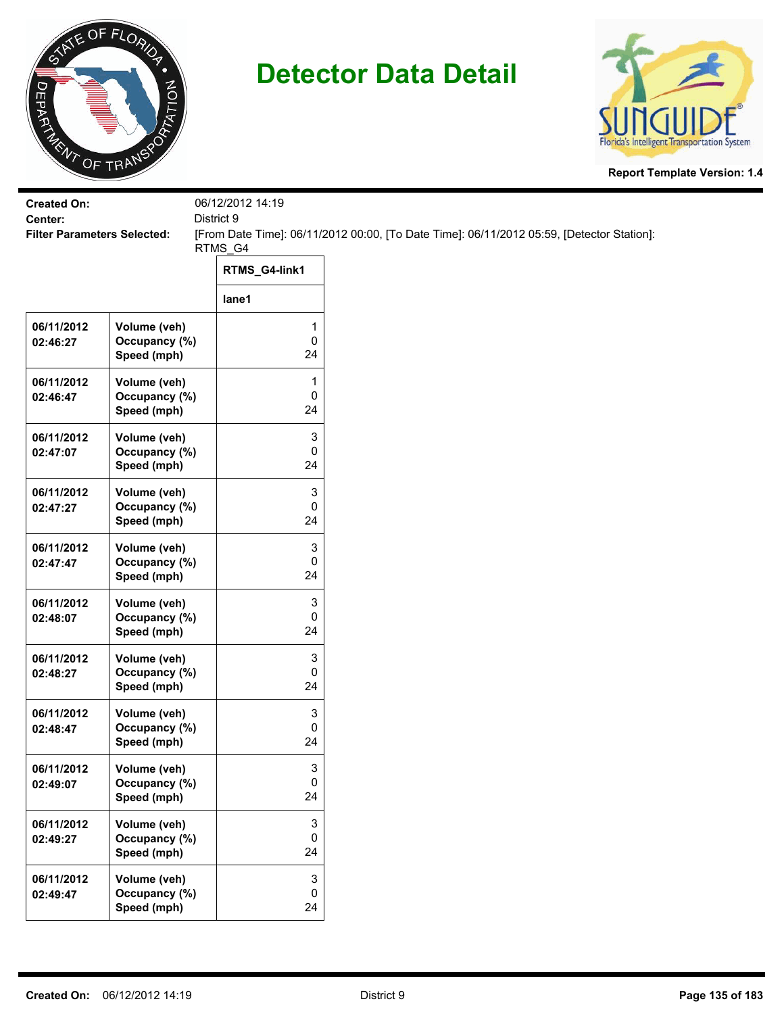



| <b>Created On:</b>                            |               | 06/12/2012 14:19 |                                                                                           |
|-----------------------------------------------|---------------|------------------|-------------------------------------------------------------------------------------------|
| Center:<br><b>Filter Parameters Selected:</b> |               | District 9       | [From Date Time]: 06/11/2012 00:00, [To Date Time]: 06/11/2012 05:59, [Detector Station]: |
|                                               |               | RTMS_G4          |                                                                                           |
|                                               |               | RTMS_G4-link1    |                                                                                           |
|                                               |               | lane1            |                                                                                           |
| 06/11/2012                                    | Volume (veh)  | 1                |                                                                                           |
| 02:46:27                                      | Occupancy (%) | $\pmb{0}$        |                                                                                           |
|                                               | Speed (mph)   | 24               |                                                                                           |
| 06/11/2012                                    | Volume (veh)  | 1                |                                                                                           |
| 02:46:47                                      | Occupancy (%) | 0<br>24          |                                                                                           |
|                                               | Speed (mph)   |                  |                                                                                           |
| 06/11/2012                                    | Volume (veh)  | 3                |                                                                                           |
| 02:47:07                                      | Occupancy (%) | 0<br>24          |                                                                                           |
|                                               | Speed (mph)   |                  |                                                                                           |
| 06/11/2012                                    | Volume (veh)  | 3                |                                                                                           |
| 02:47:27                                      | Occupancy (%) | 0                |                                                                                           |
|                                               | Speed (mph)   | 24               |                                                                                           |
| 06/11/2012                                    | Volume (veh)  | 3                |                                                                                           |
| 02:47:47                                      | Occupancy (%) | 0                |                                                                                           |
|                                               | Speed (mph)   | 24               |                                                                                           |
| 06/11/2012                                    | Volume (veh)  | 3                |                                                                                           |
| 02:48:07                                      | Occupancy (%) | $\pmb{0}$        |                                                                                           |
|                                               | Speed (mph)   | 24               |                                                                                           |
| 06/11/2012                                    | Volume (veh)  | 3                |                                                                                           |
| 02:48:27                                      | Occupancy (%) | 0                |                                                                                           |
|                                               | Speed (mph)   | 24               |                                                                                           |
| 06/11/2012                                    | Volume (veh)  | 3                |                                                                                           |
| 02:48:47                                      | Occupancy (%) | 0                |                                                                                           |
|                                               | Speed (mph)   | 24               |                                                                                           |
| 06/11/2012                                    | Volume (veh)  | 3                |                                                                                           |
| 02:49:07                                      | Occupancy (%) | 0                |                                                                                           |
|                                               | Speed (mph)   | 24               |                                                                                           |
| 06/11/2012                                    | Volume (veh)  | 3                |                                                                                           |
| 02:49:27                                      | Occupancy (%) | $\mathbf 0$      |                                                                                           |
|                                               | Speed (mph)   | 24               |                                                                                           |
| 06/11/2012                                    | Volume (veh)  | 3                |                                                                                           |
| 02:49:47                                      | Occupancy (%) | $\pmb{0}$        |                                                                                           |
|                                               | Speed (mph)   | 24               |                                                                                           |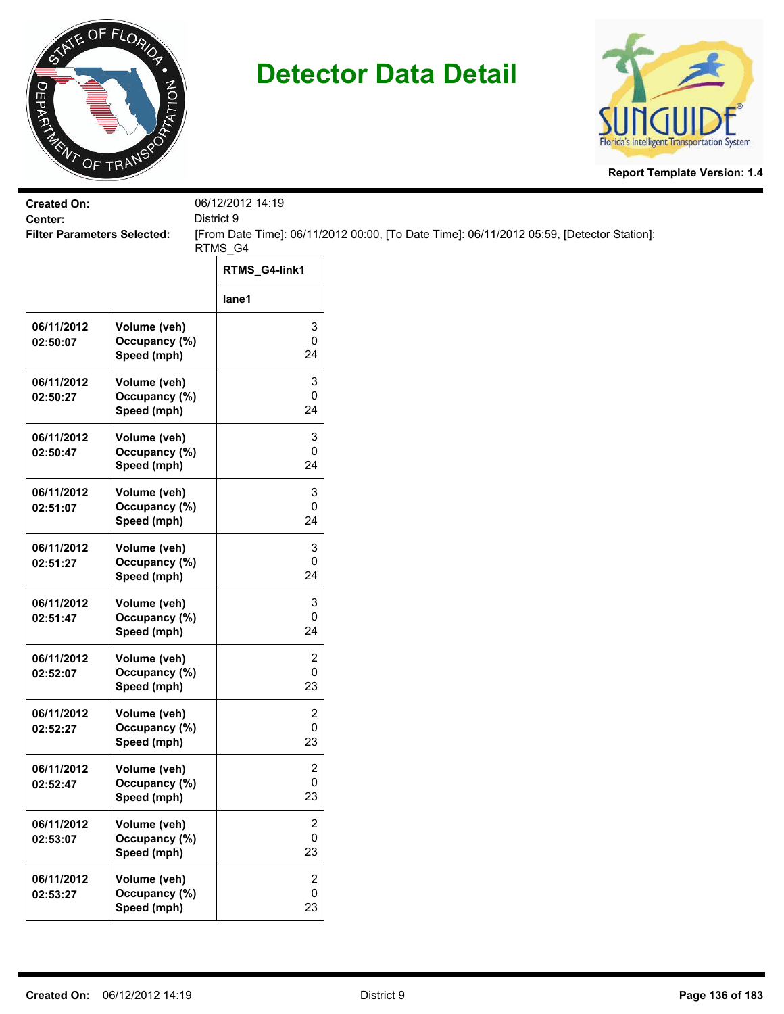



| <b>Created On:</b><br>Center:      |                                              | 06/12/2012 14:19<br>District 9     |                                                                                           |
|------------------------------------|----------------------------------------------|------------------------------------|-------------------------------------------------------------------------------------------|
| <b>Filter Parameters Selected:</b> |                                              | RTMS_G4                            | [From Date Time]: 06/11/2012 00:00, [To Date Time]: 06/11/2012 05:59, [Detector Station]: |
|                                    |                                              | RTMS_G4-link1                      |                                                                                           |
|                                    |                                              | lane1                              |                                                                                           |
| 06/11/2012<br>02:50:07             | Volume (veh)<br>Occupancy (%)<br>Speed (mph) | 3<br>0<br>24                       |                                                                                           |
| 06/11/2012<br>02:50:27             | Volume (veh)<br>Occupancy (%)<br>Speed (mph) | 3<br>0<br>24                       |                                                                                           |
| 06/11/2012<br>02:50:47             | Volume (veh)<br>Occupancy (%)<br>Speed (mph) | 3<br>0<br>24                       |                                                                                           |
| 06/11/2012<br>02:51:07             | Volume (veh)<br>Occupancy (%)<br>Speed (mph) | 3<br>0<br>24                       |                                                                                           |
| 06/11/2012<br>02:51:27             | Volume (veh)<br>Occupancy (%)<br>Speed (mph) | 3<br>0<br>24                       |                                                                                           |
| 06/11/2012<br>02:51:47             | Volume (veh)<br>Occupancy (%)<br>Speed (mph) | 3<br>0<br>24                       |                                                                                           |
| 06/11/2012<br>02:52:07             | Volume (veh)<br>Occupancy (%)<br>Speed (mph) | 2<br>0<br>23                       |                                                                                           |
| 06/11/2012<br>02:52:27             | Volume (veh)<br>Occupancy (%)<br>Speed (mph) | 2<br>0<br>23                       |                                                                                           |
| 06/11/2012<br>02:52:47             | Volume (veh)<br>Occupancy (%)<br>Speed (mph) | $\overline{\mathbf{c}}$<br>0<br>23 |                                                                                           |
| 06/11/2012<br>02:53:07             | Volume (veh)<br>Occupancy (%)<br>Speed (mph) | 2<br>0<br>23                       |                                                                                           |
| 06/11/2012<br>02:53:27             | Volume (veh)<br>Occupancy (%)<br>Speed (mph) | 2<br>0<br>23                       |                                                                                           |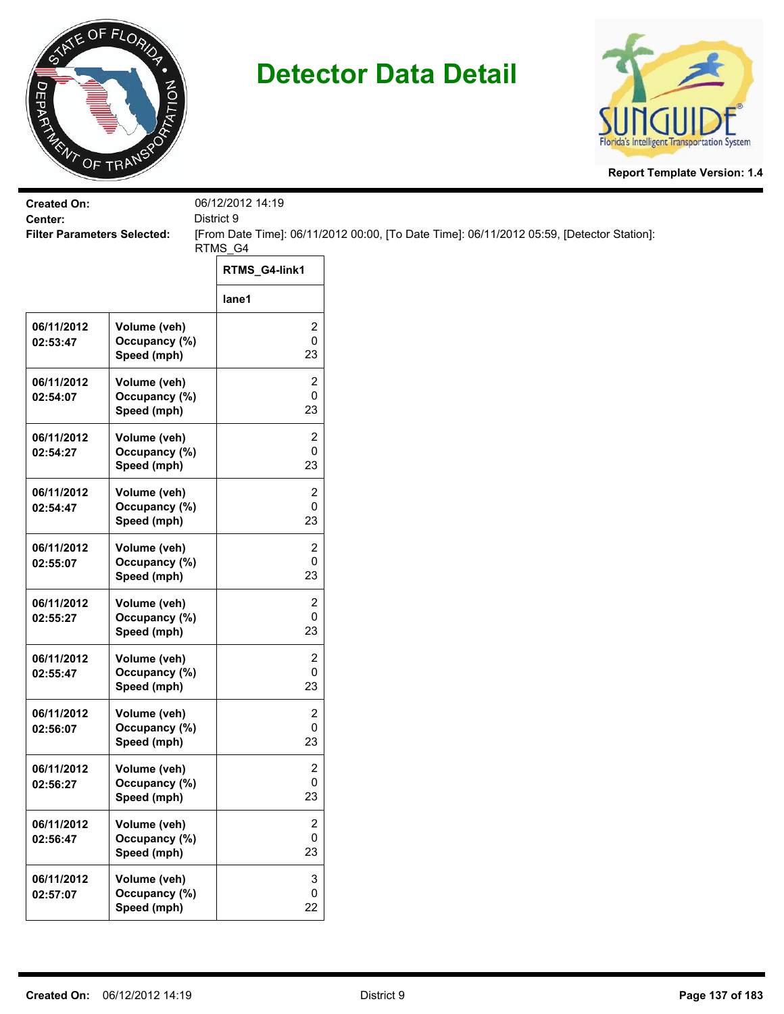



| <b>Filter Parameters Selected:</b>           |                                      | [From Date Time]: 06/11/2012 00:00, [To Date Time]: 06/11/2012 05:59, [Detector Station]: |
|----------------------------------------------|--------------------------------------|-------------------------------------------------------------------------------------------|
|                                              | RTMS_G4-link1                        |                                                                                           |
|                                              | lane1                                |                                                                                           |
| Volume (veh)<br>Occupancy (%)<br>Speed (mph) | 2<br>0<br>23                         |                                                                                           |
| Volume (veh)<br>Occupancy (%)<br>Speed (mph) | 2<br>0<br>23                         |                                                                                           |
| Volume (veh)<br>Occupancy (%)<br>Speed (mph) | 2<br>0<br>23                         |                                                                                           |
| Volume (veh)<br>Occupancy (%)<br>Speed (mph) | 2<br>0<br>23                         |                                                                                           |
| Volume (veh)<br>Occupancy (%)<br>Speed (mph) | $\overline{c}$<br>0<br>23            |                                                                                           |
| Volume (veh)<br>Occupancy (%)<br>Speed (mph) | 2<br>0<br>23                         |                                                                                           |
| Volume (veh)<br>Occupancy (%)<br>Speed (mph) | 2<br>0<br>23                         |                                                                                           |
| Volume (veh)<br>Occupancy (%)<br>Speed (mph) | 2<br>0<br>23                         |                                                                                           |
| Volume (veh)<br>Occupancy (%)<br>Speed (mph) | $\overline{\mathbf{c}}$<br>0<br>23   |                                                                                           |
| Volume (veh)<br>Occupancy (%)<br>Speed (mph) | $\boldsymbol{2}$<br>0<br>23          |                                                                                           |
| Volume (veh)<br>Occupancy (%)<br>Speed (mph) | $\ensuremath{\mathsf{3}}$<br>0<br>22 |                                                                                           |
|                                              |                                      | 06/12/2012 14:19<br>District 9<br>RTMS_G4                                                 |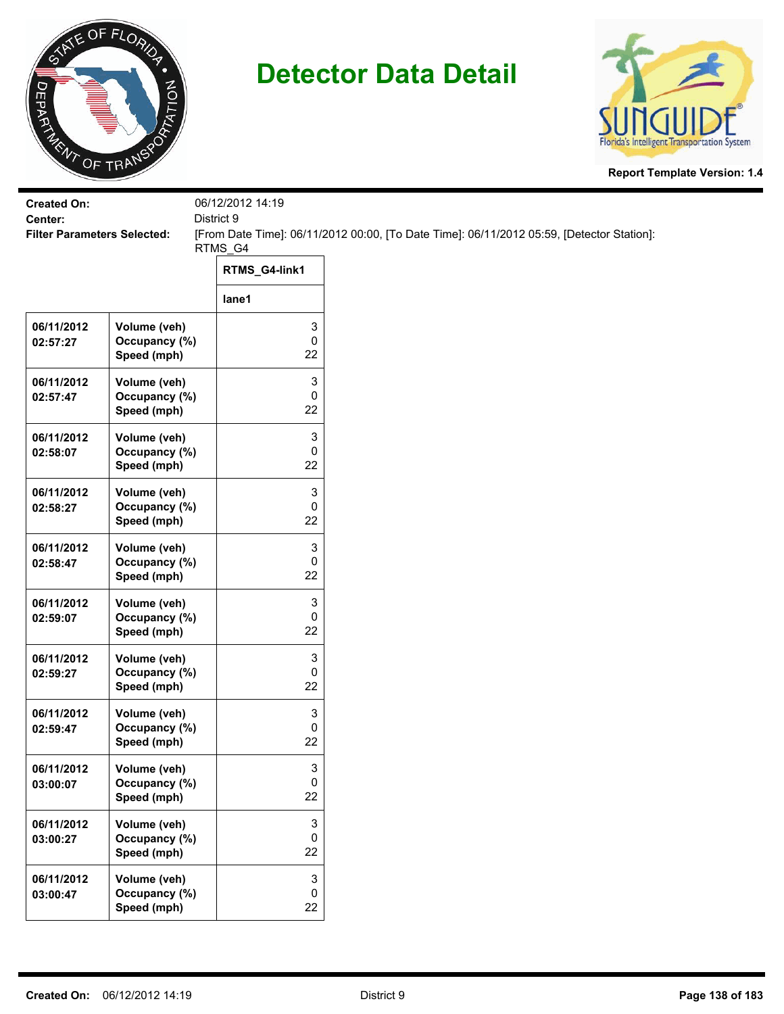



| <b>Created On:</b><br>Center:      |                                              | 06/12/2012 14:19<br>District 9 |                                                                                           |
|------------------------------------|----------------------------------------------|--------------------------------|-------------------------------------------------------------------------------------------|
| <b>Filter Parameters Selected:</b> |                                              |                                | [From Date Time]: 06/11/2012 00:00, [To Date Time]: 06/11/2012 05:59, [Detector Station]: |
|                                    |                                              | RTMS_G4<br>RTMS_G4-link1       |                                                                                           |
|                                    |                                              | lane1                          |                                                                                           |
|                                    |                                              |                                |                                                                                           |
| 06/11/2012<br>02:57:27             | Volume (veh)<br>Occupancy (%)<br>Speed (mph) | 3<br>0<br>22                   |                                                                                           |
| 06/11/2012<br>02:57:47             | Volume (veh)<br>Occupancy (%)<br>Speed (mph) | 3<br>0<br>22                   |                                                                                           |
| 06/11/2012<br>02:58:07             | Volume (veh)<br>Occupancy (%)<br>Speed (mph) | 3<br>0<br>22                   |                                                                                           |
| 06/11/2012<br>02:58:27             | Volume (veh)<br>Occupancy (%)<br>Speed (mph) | 3<br>0<br>22                   |                                                                                           |
| 06/11/2012<br>02:58:47             | Volume (veh)<br>Occupancy (%)<br>Speed (mph) | 3<br>0<br>22                   |                                                                                           |
| 06/11/2012<br>02:59:07             | Volume (veh)<br>Occupancy (%)<br>Speed (mph) | 3<br>0<br>22                   |                                                                                           |
| 06/11/2012<br>02:59:27             | Volume (veh)<br>Occupancy (%)<br>Speed (mph) | 3<br>0<br>22                   |                                                                                           |
| 06/11/2012<br>02:59:47             | Volume (veh)<br>Occupancy (%)<br>Speed (mph) | 3<br>0<br>22                   |                                                                                           |
| 06/11/2012<br>03:00:07             | Volume (veh)<br>Occupancy (%)<br>Speed (mph) | 3<br>0<br>22                   |                                                                                           |
| 06/11/2012<br>03:00:27             | Volume (veh)<br>Occupancy (%)<br>Speed (mph) | 3<br>0<br>22                   |                                                                                           |
| 06/11/2012<br>03:00:47             | Volume (veh)<br>Occupancy (%)<br>Speed (mph) | 3<br>0<br>22                   |                                                                                           |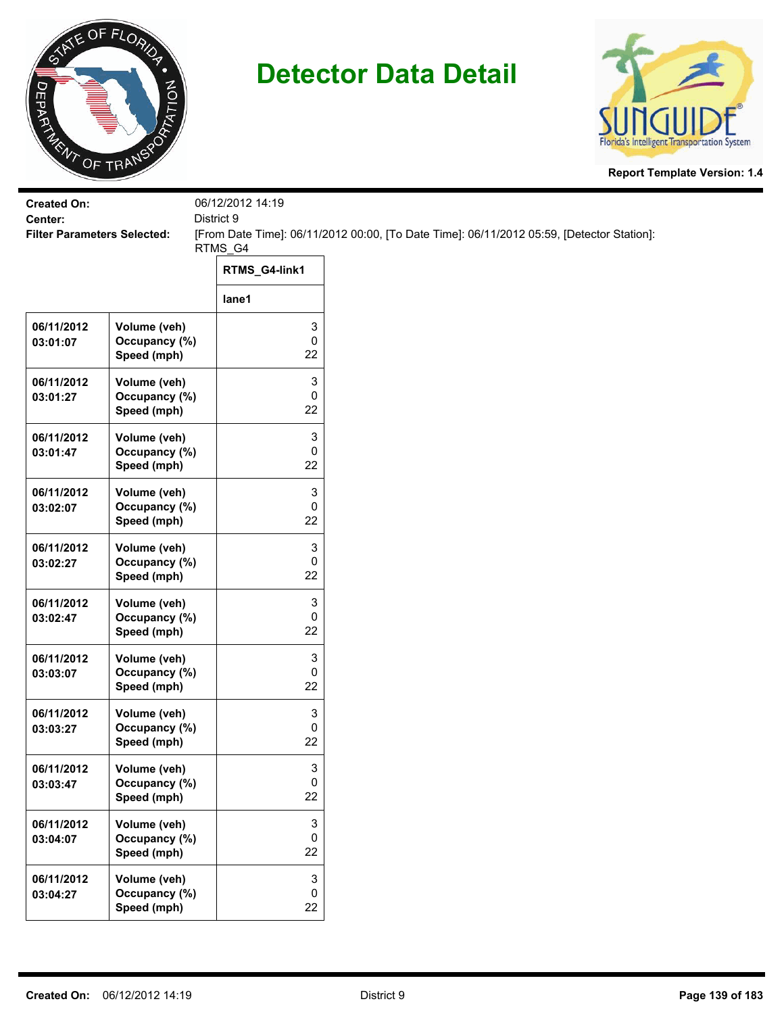



| <b>Created On:</b><br>Center:      |                                              | 06/12/2012 14:19<br>District 9 |                                                                                           |
|------------------------------------|----------------------------------------------|--------------------------------|-------------------------------------------------------------------------------------------|
| <b>Filter Parameters Selected:</b> |                                              | RTMS_G4                        | [From Date Time]: 06/11/2012 00:00, [To Date Time]: 06/11/2012 05:59, [Detector Station]: |
|                                    |                                              | RTMS_G4-link1                  |                                                                                           |
|                                    |                                              | lane1                          |                                                                                           |
| 06/11/2012<br>03:01:07             | Volume (veh)<br>Occupancy (%)<br>Speed (mph) | 3<br>0<br>22                   |                                                                                           |
| 06/11/2012<br>03:01:27             | Volume (veh)<br>Occupancy (%)<br>Speed (mph) | 3<br>0<br>22                   |                                                                                           |
| 06/11/2012<br>03:01:47             | Volume (veh)<br>Occupancy (%)<br>Speed (mph) | 3<br>0<br>22                   |                                                                                           |
| 06/11/2012<br>03:02:07             | Volume (veh)<br>Occupancy (%)<br>Speed (mph) | 3<br>0<br>22                   |                                                                                           |
| 06/11/2012<br>03:02:27             | Volume (veh)<br>Occupancy (%)<br>Speed (mph) | 3<br>0<br>22                   |                                                                                           |
| 06/11/2012<br>03:02:47             | Volume (veh)<br>Occupancy (%)<br>Speed (mph) | 3<br>0<br>22                   |                                                                                           |
| 06/11/2012<br>03:03:07             | Volume (veh)<br>Occupancy (%)<br>Speed (mph) | 3<br>0<br>22                   |                                                                                           |
| 06/11/2012<br>03:03:27             | Volume (veh)<br>Occupancy (%)<br>Speed (mph) | 3<br>0<br>22                   |                                                                                           |
| 06/11/2012<br>03:03:47             | Volume (veh)<br>Occupancy (%)<br>Speed (mph) | 3<br>0<br>22                   |                                                                                           |
| 06/11/2012<br>03:04:07             | Volume (veh)<br>Occupancy (%)<br>Speed (mph) | 3<br>0<br>22                   |                                                                                           |
| 06/11/2012<br>03:04:27             | Volume (veh)<br>Occupancy (%)<br>Speed (mph) | 3<br>0<br>22                   |                                                                                           |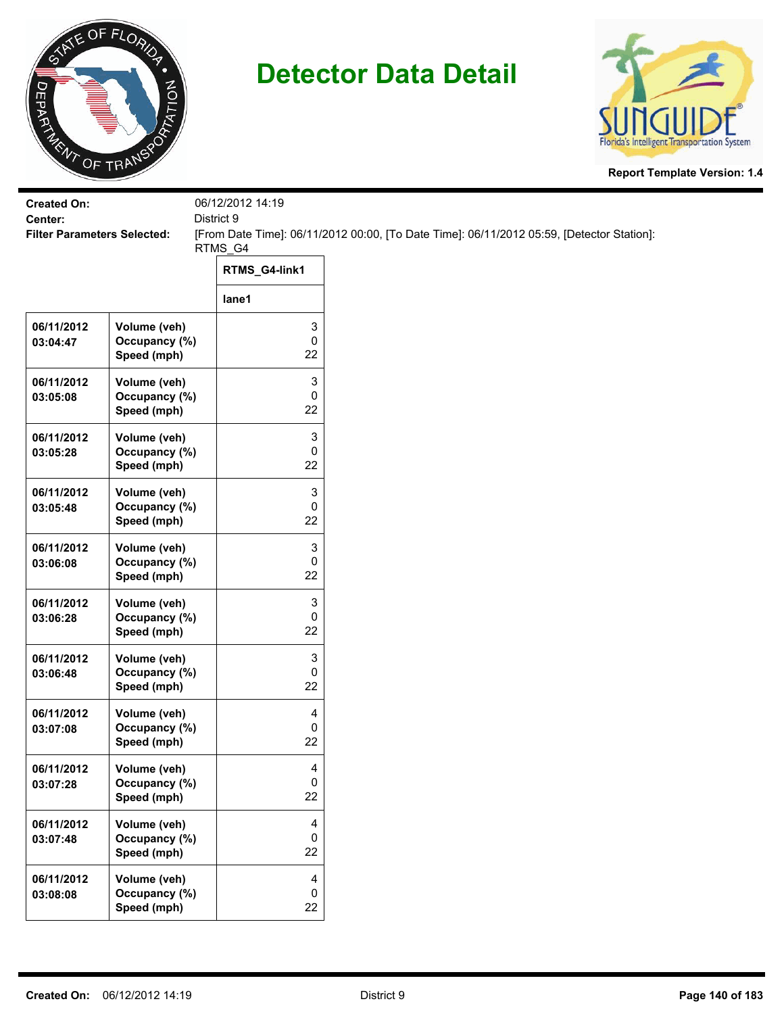



| <b>Created On:</b><br>Center:      |                                              | 06/12/2012 14:19<br>District 9 |                                                                                           |
|------------------------------------|----------------------------------------------|--------------------------------|-------------------------------------------------------------------------------------------|
| <b>Filter Parameters Selected:</b> |                                              |                                | [From Date Time]: 06/11/2012 00:00, [To Date Time]: 06/11/2012 05:59, [Detector Station]: |
|                                    |                                              | RTMS_G4<br>RTMS_G4-link1       |                                                                                           |
|                                    |                                              | lane1                          |                                                                                           |
| 06/11/2012                         |                                              | 3                              |                                                                                           |
| 03:04:47                           | Volume (veh)<br>Occupancy (%)<br>Speed (mph) | 0<br>22                        |                                                                                           |
| 06/11/2012<br>03:05:08             | Volume (veh)<br>Occupancy (%)<br>Speed (mph) | 3<br>0<br>22                   |                                                                                           |
| 06/11/2012<br>03:05:28             | Volume (veh)<br>Occupancy (%)<br>Speed (mph) | 3<br>0<br>22                   |                                                                                           |
| 06/11/2012<br>03:05:48             | Volume (veh)<br>Occupancy (%)<br>Speed (mph) | 3<br>0<br>22                   |                                                                                           |
| 06/11/2012<br>03:06:08             | Volume (veh)<br>Occupancy (%)<br>Speed (mph) | 3<br>0<br>22                   |                                                                                           |
| 06/11/2012<br>03:06:28             | Volume (veh)<br>Occupancy (%)<br>Speed (mph) | 3<br>0<br>22                   |                                                                                           |
| 06/11/2012<br>03:06:48             | Volume (veh)<br>Occupancy (%)<br>Speed (mph) | 3<br>0<br>22                   |                                                                                           |
| 06/11/2012<br>03:07:08             | Volume (veh)<br>Occupancy (%)<br>Speed (mph) | 4<br>0<br>22                   |                                                                                           |
| 06/11/2012<br>03:07:28             | Volume (veh)<br>Occupancy (%)<br>Speed (mph) | 4<br>0<br>22                   |                                                                                           |
| 06/11/2012<br>03:07:48             | Volume (veh)<br>Occupancy (%)<br>Speed (mph) | 4<br>0<br>22                   |                                                                                           |
| 06/11/2012<br>03:08:08             | Volume (veh)<br>Occupancy (%)<br>Speed (mph) | 4<br>0<br>22                   |                                                                                           |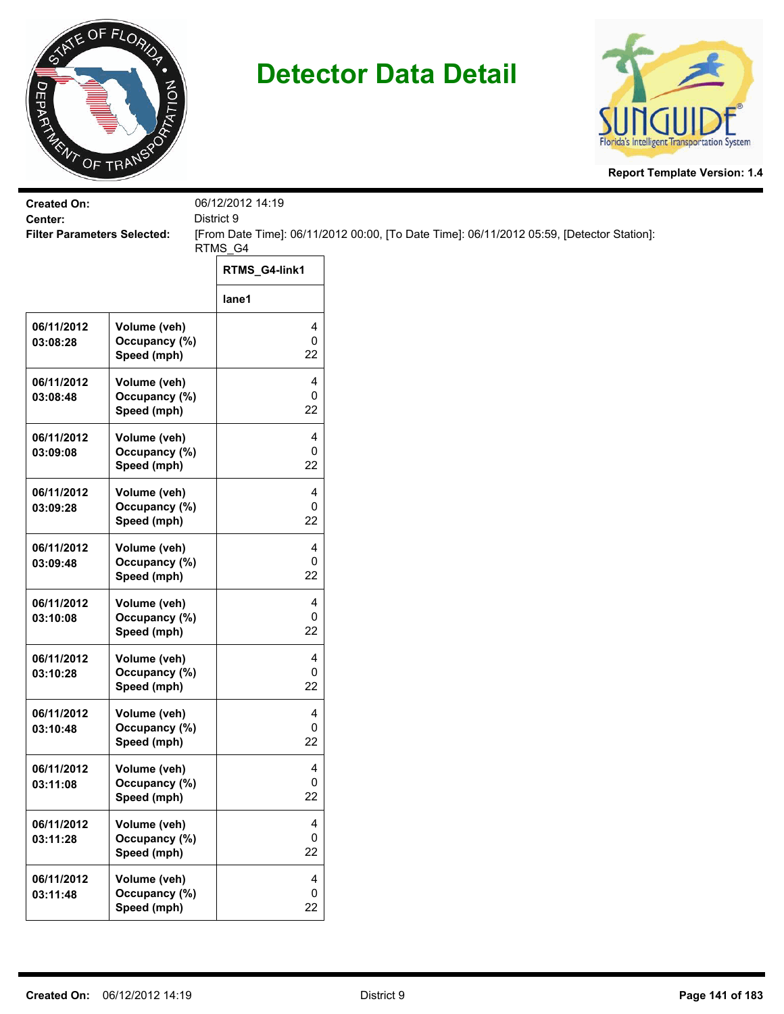



| <b>Created On:</b>                            |                                              | 06/12/2012 14:19       |                                                                                           |
|-----------------------------------------------|----------------------------------------------|------------------------|-------------------------------------------------------------------------------------------|
| Center:<br><b>Filter Parameters Selected:</b> |                                              | District 9             | [From Date Time]: 06/11/2012 00:00, [To Date Time]: 06/11/2012 05:59, [Detector Station]: |
|                                               |                                              | RTMS_G4                |                                                                                           |
|                                               |                                              | RTMS_G4-link1          |                                                                                           |
|                                               |                                              | lane1                  |                                                                                           |
| 06/11/2012<br>03:08:28                        | Volume (veh)<br>Occupancy (%)<br>Speed (mph) | 4<br>$\pmb{0}$<br>22   |                                                                                           |
| 06/11/2012<br>03:08:48                        | Volume (veh)<br>Occupancy (%)<br>Speed (mph) | 4<br>0<br>22           |                                                                                           |
| 06/11/2012<br>03:09:08                        | Volume (veh)<br>Occupancy (%)<br>Speed (mph) | 4<br>0<br>22           |                                                                                           |
| 06/11/2012<br>03:09:28                        | Volume (veh)<br>Occupancy (%)<br>Speed (mph) | 4<br>$\mathbf 0$<br>22 |                                                                                           |
| 06/11/2012<br>03:09:48                        | Volume (veh)<br>Occupancy (%)<br>Speed (mph) | 4<br>0<br>22           |                                                                                           |
| 06/11/2012<br>03:10:08                        | Volume (veh)<br>Occupancy (%)<br>Speed (mph) | 4<br>$\pmb{0}$<br>22   |                                                                                           |
| 06/11/2012<br>03:10:28                        | Volume (veh)<br>Occupancy (%)<br>Speed (mph) | 4<br>0<br>22           |                                                                                           |
| 06/11/2012<br>03:10:48                        | Volume (veh)<br>Occupancy (%)<br>Speed (mph) | 4<br>0<br>22           |                                                                                           |
| 06/11/2012<br>03:11:08                        | Volume (veh)<br>Occupancy (%)<br>Speed (mph) | 4<br>$\mathsf 0$<br>22 |                                                                                           |
| 06/11/2012<br>03:11:28                        | Volume (veh)<br>Occupancy (%)<br>Speed (mph) | 4<br>$\mathbf 0$<br>22 |                                                                                           |
| 06/11/2012<br>03:11:48                        | Volume (veh)<br>Occupancy (%)<br>Speed (mph) | 4<br>$\mathbf 0$<br>22 |                                                                                           |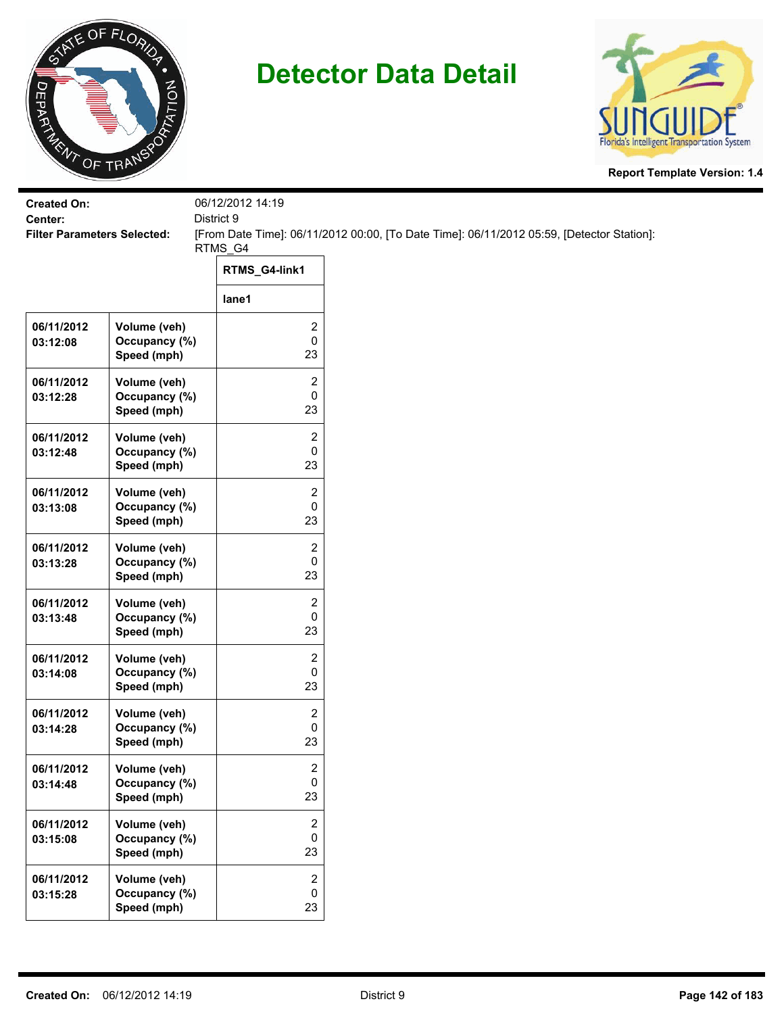



| <b>Created On:</b><br>Center:      |                                              | 06/12/2012 14:19<br>District 9    |                                                                                           |
|------------------------------------|----------------------------------------------|-----------------------------------|-------------------------------------------------------------------------------------------|
| <b>Filter Parameters Selected:</b> |                                              |                                   | [From Date Time]: 06/11/2012 00:00, [To Date Time]: 06/11/2012 05:59, [Detector Station]: |
|                                    |                                              | RTMS_G4<br>RTMS_G4-link1          |                                                                                           |
|                                    |                                              | lane1                             |                                                                                           |
| 06/11/2012<br>03:12:08             | Volume (veh)<br>Occupancy (%)<br>Speed (mph) | 2<br>0<br>23                      |                                                                                           |
| 06/11/2012<br>03:12:28             | Volume (veh)<br>Occupancy (%)<br>Speed (mph) | 2<br>0<br>23                      |                                                                                           |
| 06/11/2012<br>03:12:48             | Volume (veh)<br>Occupancy (%)<br>Speed (mph) | 2<br>0<br>23                      |                                                                                           |
| 06/11/2012<br>03:13:08             | Volume (veh)<br>Occupancy (%)<br>Speed (mph) | 2<br>0<br>23                      |                                                                                           |
| 06/11/2012<br>03:13:28             | Volume (veh)<br>Occupancy (%)<br>Speed (mph) | 2<br>0<br>23                      |                                                                                           |
| 06/11/2012<br>03:13:48             | Volume (veh)<br>Occupancy (%)<br>Speed (mph) | 2<br>0<br>23                      |                                                                                           |
| 06/11/2012<br>03:14:08             | Volume (veh)<br>Occupancy (%)<br>Speed (mph) | 2<br>0<br>23                      |                                                                                           |
| 06/11/2012<br>03:14:28             | Volume (veh)<br>Occupancy (%)<br>Speed (mph) | 2<br>0<br>23                      |                                                                                           |
| 06/11/2012<br>03:14:48             | Volume (veh)<br>Occupancy (%)<br>Speed (mph) | 2<br>0<br>23                      |                                                                                           |
| 06/11/2012<br>03:15:08             | Volume (veh)<br>Occupancy (%)<br>Speed (mph) | 2<br>0<br>23                      |                                                                                           |
| 06/11/2012<br>03:15:28             | Volume (veh)<br>Occupancy (%)<br>Speed (mph) | $\overline{2}$<br>$\pmb{0}$<br>23 |                                                                                           |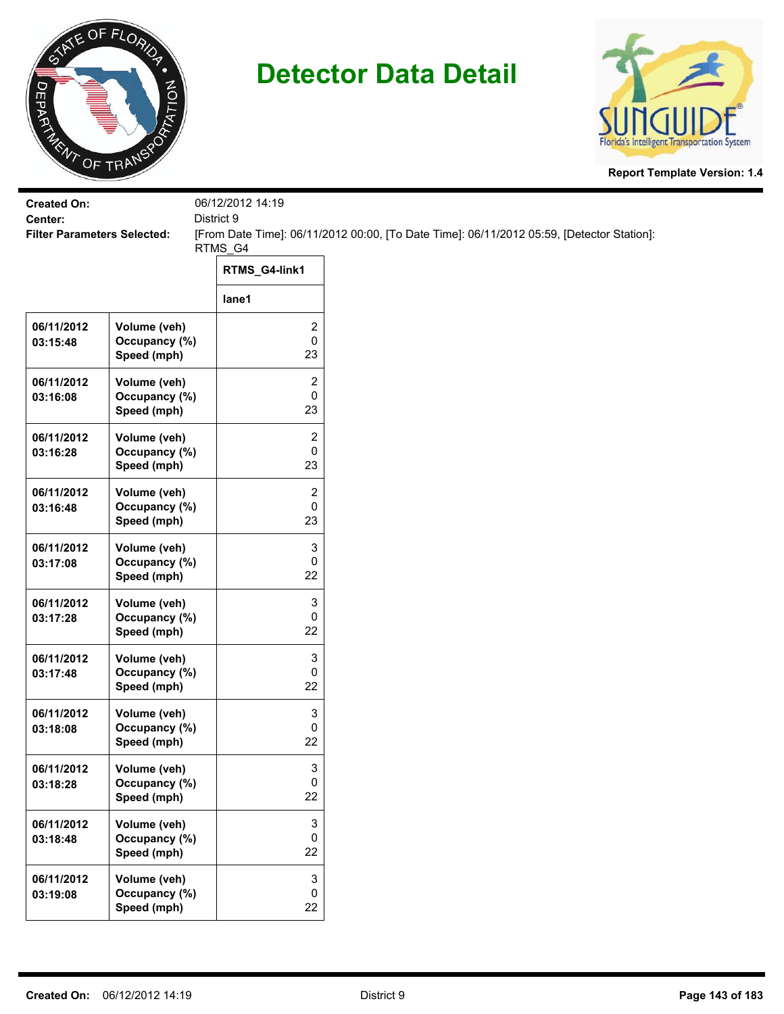



| <b>Created On:</b><br>Center:      |                                              | 06/12/2012 14:19<br>District 9       |                                                                                           |
|------------------------------------|----------------------------------------------|--------------------------------------|-------------------------------------------------------------------------------------------|
| <b>Filter Parameters Selected:</b> |                                              |                                      | [From Date Time]: 06/11/2012 00:00, [To Date Time]: 06/11/2012 05:59, [Detector Station]: |
|                                    |                                              | RTMS_G4                              |                                                                                           |
|                                    |                                              | RTMS_G4-link1                        |                                                                                           |
|                                    |                                              | lane1                                |                                                                                           |
| 06/11/2012<br>03:15:48             | Volume (veh)<br>Occupancy (%)<br>Speed (mph) | 2<br>0<br>23                         |                                                                                           |
| 06/11/2012<br>03:16:08             | Volume (veh)<br>Occupancy (%)<br>Speed (mph) | $\overline{\mathbf{c}}$<br>0<br>23   |                                                                                           |
| 06/11/2012<br>03:16:28             | Volume (veh)<br>Occupancy (%)<br>Speed (mph) | 2<br>0<br>23                         |                                                                                           |
| 06/11/2012<br>03:16:48             | Volume (veh)<br>Occupancy (%)<br>Speed (mph) | 2<br>0<br>23                         |                                                                                           |
| 06/11/2012<br>03:17:08             | Volume (veh)<br>Occupancy (%)<br>Speed (mph) | 3<br>0<br>22                         |                                                                                           |
| 06/11/2012<br>03:17:28             | Volume (veh)<br>Occupancy (%)<br>Speed (mph) | 3<br>0<br>22                         |                                                                                           |
| 06/11/2012<br>03:17:48             | Volume (veh)<br>Occupancy (%)<br>Speed (mph) | 3<br>0<br>22                         |                                                                                           |
| 06/11/2012<br>03:18:08             | Volume (veh)<br>Occupancy (%)<br>Speed (mph) | 3<br>0<br>22                         |                                                                                           |
| 06/11/2012<br>03:18:28             | Volume (veh)<br>Occupancy (%)<br>Speed (mph) | 3<br>0<br>22                         |                                                                                           |
| 06/11/2012<br>03:18:48             | Volume (veh)<br>Occupancy (%)<br>Speed (mph) | 3<br>0<br>22                         |                                                                                           |
| 06/11/2012<br>03:19:08             | Volume (veh)<br>Occupancy (%)<br>Speed (mph) | $\ensuremath{\mathsf{3}}$<br>0<br>22 |                                                                                           |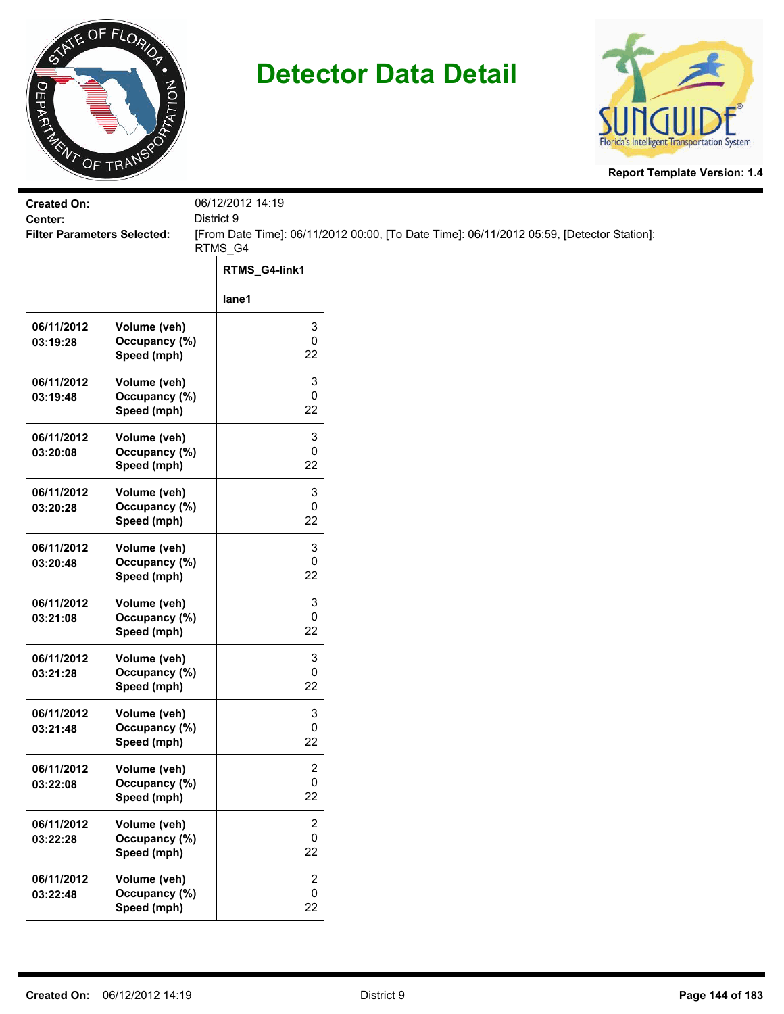



| <b>Created On:</b><br>Center:      |                                              | 06/12/2012 14:19<br>District 9     |                                                                                           |
|------------------------------------|----------------------------------------------|------------------------------------|-------------------------------------------------------------------------------------------|
| <b>Filter Parameters Selected:</b> |                                              |                                    | [From Date Time]: 06/11/2012 00:00, [To Date Time]: 06/11/2012 05:59, [Detector Station]: |
|                                    |                                              | RTMS_G4<br>RTMS_G4-link1           |                                                                                           |
|                                    |                                              | lane1                              |                                                                                           |
| 06/11/2012<br>03:19:28             | Volume (veh)<br>Occupancy (%)<br>Speed (mph) | 3<br>0<br>22                       |                                                                                           |
| 06/11/2012<br>03:19:48             | Volume (veh)<br>Occupancy (%)<br>Speed (mph) | 3<br>0<br>22                       |                                                                                           |
| 06/11/2012<br>03:20:08             | Volume (veh)<br>Occupancy (%)<br>Speed (mph) | 3<br>0<br>22                       |                                                                                           |
| 06/11/2012<br>03:20:28             | Volume (veh)<br>Occupancy (%)<br>Speed (mph) | 3<br>0<br>22                       |                                                                                           |
| 06/11/2012<br>03:20:48             | Volume (veh)<br>Occupancy (%)<br>Speed (mph) | 3<br>0<br>22                       |                                                                                           |
| 06/11/2012<br>03:21:08             | Volume (veh)<br>Occupancy (%)<br>Speed (mph) | 3<br>0<br>22                       |                                                                                           |
| 06/11/2012<br>03:21:28             | Volume (veh)<br>Occupancy (%)<br>Speed (mph) | 3<br>0<br>22                       |                                                                                           |
| 06/11/2012<br>03:21:48             | Volume (veh)<br>Occupancy (%)<br>Speed (mph) | 3<br>0<br>22                       |                                                                                           |
| 06/11/2012<br>03:22:08             | Volume (veh)<br>Occupancy (%)<br>Speed (mph) | $\overline{\mathbf{c}}$<br>0<br>22 |                                                                                           |
| 06/11/2012<br>03:22:28             | Volume (veh)<br>Occupancy (%)<br>Speed (mph) | 2<br>0<br>22                       |                                                                                           |
| 06/11/2012<br>03:22:48             | Volume (veh)<br>Occupancy (%)<br>Speed (mph) | $\overline{2}$<br>0<br>22          |                                                                                           |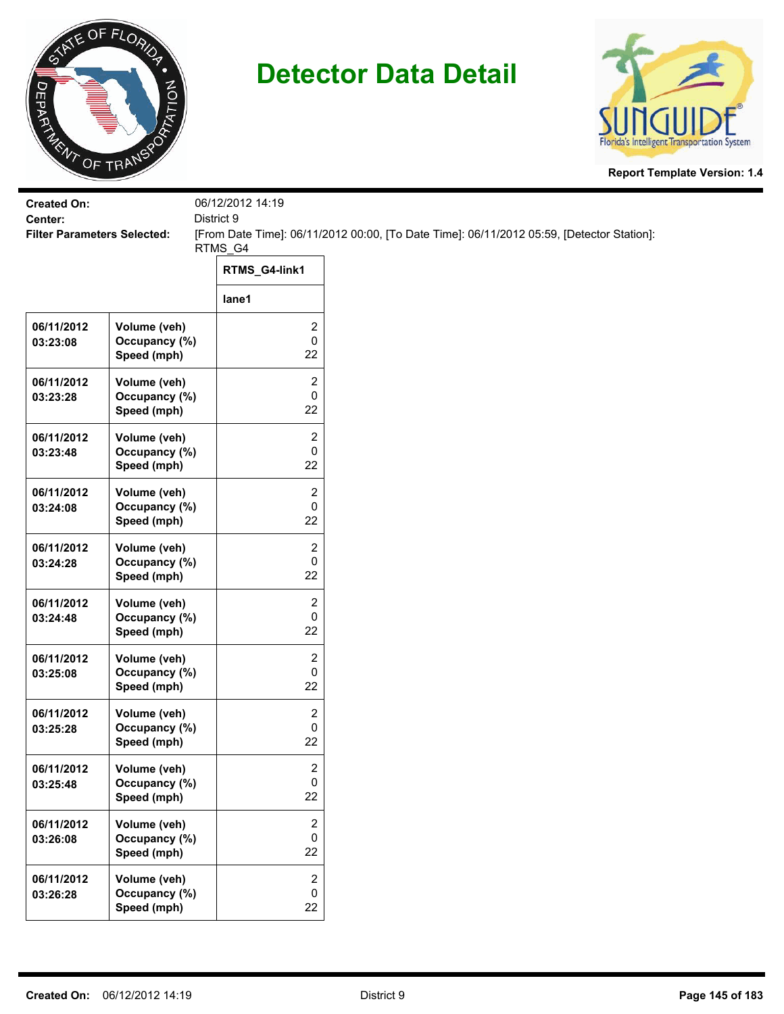



| <b>Created On:</b><br>Center:      |                                              | 06/12/2012 14:19<br>District 9     |                                                                                           |
|------------------------------------|----------------------------------------------|------------------------------------|-------------------------------------------------------------------------------------------|
| <b>Filter Parameters Selected:</b> |                                              |                                    | [From Date Time]: 06/11/2012 00:00, [To Date Time]: 06/11/2012 05:59, [Detector Station]: |
|                                    |                                              | RTMS_G4                            |                                                                                           |
|                                    |                                              | RTMS_G4-link1                      |                                                                                           |
|                                    |                                              | lane1                              |                                                                                           |
| 06/11/2012<br>03:23:08             | Volume (veh)<br>Occupancy (%)<br>Speed (mph) | 2<br>0<br>22                       |                                                                                           |
| 06/11/2012<br>03:23:28             | Volume (veh)<br>Occupancy (%)<br>Speed (mph) | 2<br>0<br>22                       |                                                                                           |
| 06/11/2012<br>03:23:48             | Volume (veh)<br>Occupancy (%)<br>Speed (mph) | 2<br>0<br>22                       |                                                                                           |
| 06/11/2012<br>03:24:08             | Volume (veh)<br>Occupancy (%)<br>Speed (mph) | 2<br>0<br>22                       |                                                                                           |
| 06/11/2012<br>03:24:28             | Volume (veh)<br>Occupancy (%)<br>Speed (mph) | 2<br>0<br>22                       |                                                                                           |
| 06/11/2012<br>03:24:48             | Volume (veh)<br>Occupancy (%)<br>Speed (mph) | 2<br>0<br>22                       |                                                                                           |
| 06/11/2012<br>03:25:08             | Volume (veh)<br>Occupancy (%)<br>Speed (mph) | 2<br>0<br>22                       |                                                                                           |
| 06/11/2012<br>03:25:28             | Volume (veh)<br>Occupancy (%)<br>Speed (mph) | 2<br>0<br>22                       |                                                                                           |
| 06/11/2012<br>03:25:48             | Volume (veh)<br>Occupancy (%)<br>Speed (mph) | $\overline{\mathbf{c}}$<br>0<br>22 |                                                                                           |
| 06/11/2012<br>03:26:08             | Volume (veh)<br>Occupancy (%)<br>Speed (mph) | 2<br>0<br>22                       |                                                                                           |
| 06/11/2012<br>03:26:28             | Volume (veh)<br>Occupancy (%)<br>Speed (mph) | $\overline{2}$<br>0<br>22          |                                                                                           |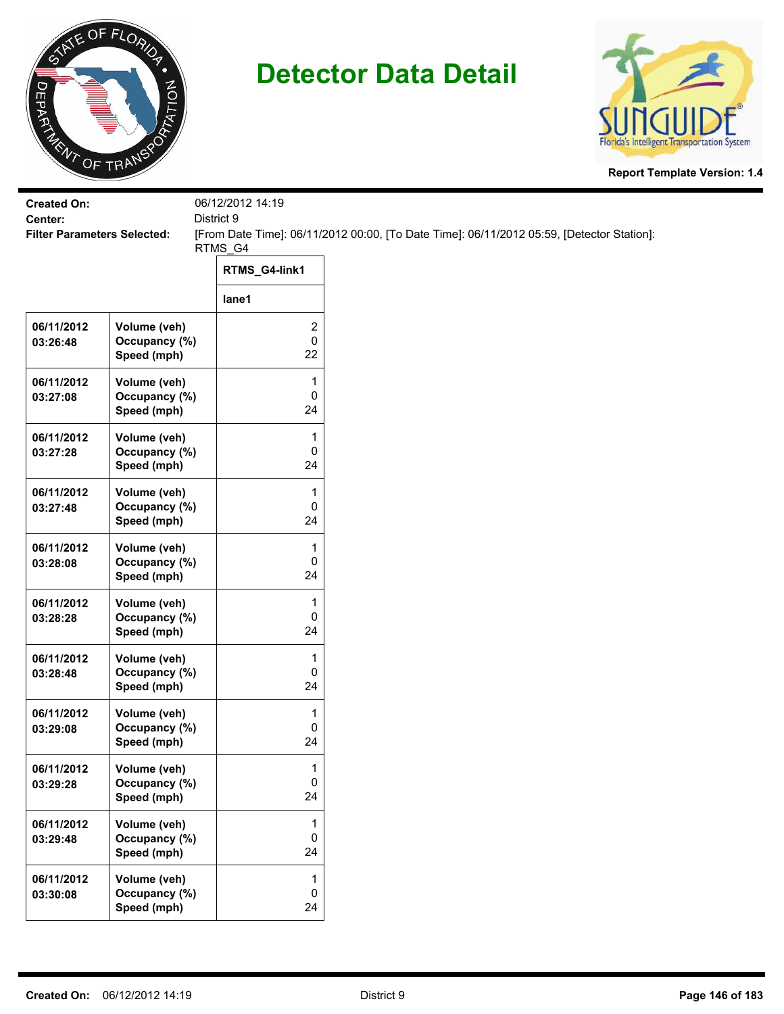



| <b>Created On:</b>                            |                              | 06/12/2012 14:19<br>District 9 |                                                                                           |
|-----------------------------------------------|------------------------------|--------------------------------|-------------------------------------------------------------------------------------------|
| Center:<br><b>Filter Parameters Selected:</b> |                              |                                | [From Date Time]: 06/11/2012 00:00, [To Date Time]: 06/11/2012 05:59, [Detector Station]: |
|                                               |                              | RTMS_G4                        |                                                                                           |
|                                               |                              | RTMS_G4-link1                  |                                                                                           |
|                                               |                              | lane1                          |                                                                                           |
| 06/11/2012                                    | Volume (veh)                 | 2                              |                                                                                           |
| 03:26:48                                      | Occupancy (%)<br>Speed (mph) | $\pmb{0}$<br>22                |                                                                                           |
| 06/11/2012                                    | Volume (veh)                 | 1                              |                                                                                           |
| 03:27:08                                      | Occupancy (%)<br>Speed (mph) | 0<br>24                        |                                                                                           |
| 06/11/2012                                    | Volume (veh)                 | 1                              |                                                                                           |
| 03:27:28                                      | Occupancy (%)<br>Speed (mph) | 0<br>24                        |                                                                                           |
| 06/11/2012                                    | Volume (veh)                 | 1                              |                                                                                           |
| 03:27:48                                      | Occupancy (%)<br>Speed (mph) | 0<br>24                        |                                                                                           |
| 06/11/2012                                    | Volume (veh)                 | 1                              |                                                                                           |
| 03:28:08                                      | Occupancy (%)<br>Speed (mph) | 0<br>24                        |                                                                                           |
| 06/11/2012                                    | Volume (veh)                 | 1                              |                                                                                           |
| 03:28:28                                      | Occupancy (%)<br>Speed (mph) | $\mathsf 0$<br>24              |                                                                                           |
| 06/11/2012                                    | Volume (veh)                 | 1                              |                                                                                           |
| 03:28:48                                      | Occupancy (%)<br>Speed (mph) | 0<br>24                        |                                                                                           |
| 06/11/2012                                    | Volume (veh)                 | 1                              |                                                                                           |
| 03:29:08                                      | Occupancy (%)<br>Speed (mph) | 0<br>24                        |                                                                                           |
| 06/11/2012                                    | Volume (veh)                 | 1                              |                                                                                           |
| 03:29:28                                      | Occupancy (%)<br>Speed (mph) | $\mathbf 0$<br>24              |                                                                                           |
| 06/11/2012                                    | Volume (veh)                 | $\mathbf{1}$                   |                                                                                           |
| 03:29:48                                      | Occupancy (%)<br>Speed (mph) | $\mathsf 0$<br>24              |                                                                                           |
| 06/11/2012                                    | Volume (veh)                 | $\mathbf 1$                    |                                                                                           |
| 03:30:08                                      | Occupancy (%)<br>Speed (mph) | $\mathbf 0$<br>24              |                                                                                           |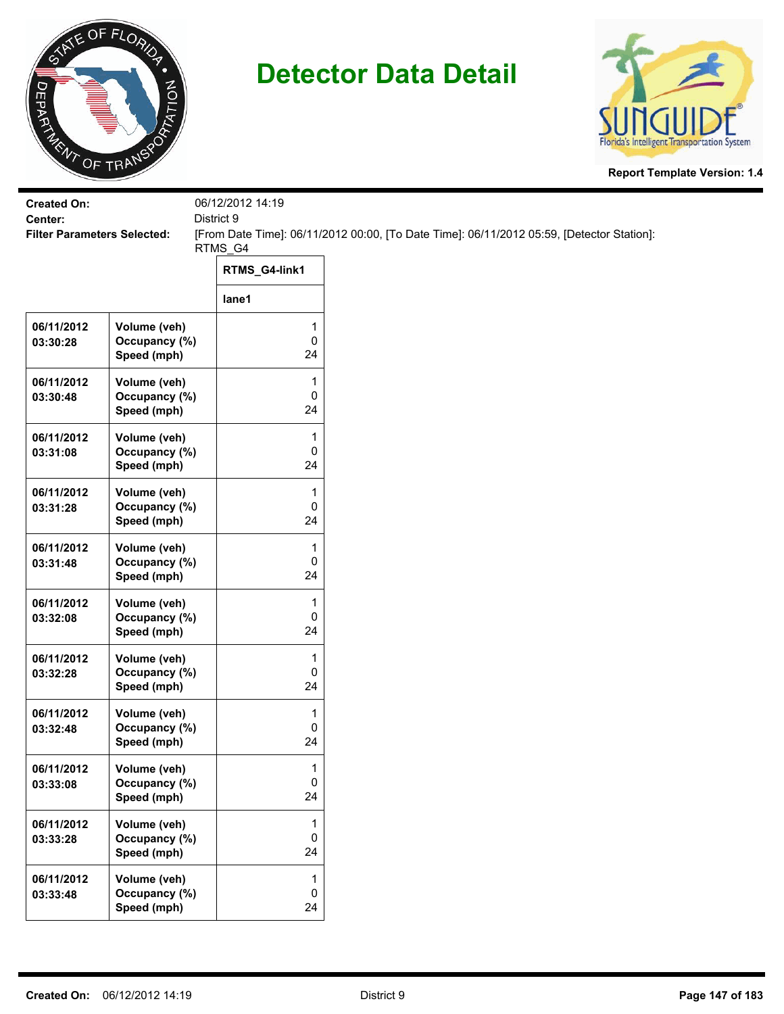



| <b>Created On:</b>                            |                                              | 06/12/2012 14:19                          |                                                                                           |
|-----------------------------------------------|----------------------------------------------|-------------------------------------------|-------------------------------------------------------------------------------------------|
| Center:<br><b>Filter Parameters Selected:</b> |                                              | District 9                                | [From Date Time]: 06/11/2012 00:00, [To Date Time]: 06/11/2012 05:59, [Detector Station]: |
|                                               |                                              | RTMS_G4                                   |                                                                                           |
|                                               |                                              | RTMS_G4-link1                             |                                                                                           |
|                                               |                                              | lane1                                     |                                                                                           |
| 06/11/2012<br>03:30:28                        | Volume (veh)<br>Occupancy (%)<br>Speed (mph) | $\mathbf 1$<br>$\mathbf 0$<br>24          |                                                                                           |
| 06/11/2012<br>03:30:48                        | Volume (veh)<br>Occupancy (%)<br>Speed (mph) | 1<br>$\pmb{0}$<br>24                      |                                                                                           |
| 06/11/2012<br>03:31:08                        | Volume (veh)<br>Occupancy (%)<br>Speed (mph) | 1<br>0<br>24                              |                                                                                           |
| 06/11/2012<br>03:31:28                        | Volume (veh)<br>Occupancy (%)<br>Speed (mph) | 1<br>0<br>24                              |                                                                                           |
| 06/11/2012<br>03:31:48                        | Volume (veh)<br>Occupancy (%)<br>Speed (mph) | 1<br>0<br>24                              |                                                                                           |
| 06/11/2012<br>03:32:08                        | Volume (veh)<br>Occupancy (%)<br>Speed (mph) | 1<br>$\pmb{0}$<br>24                      |                                                                                           |
| 06/11/2012<br>03:32:28                        | Volume (veh)<br>Occupancy (%)<br>Speed (mph) | 1<br>0<br>24                              |                                                                                           |
| 06/11/2012<br>03:32:48                        | Volume (veh)<br>Occupancy (%)<br>Speed (mph) | 1<br>0<br>24                              |                                                                                           |
| 06/11/2012<br>03:33:08                        | Volume (veh)<br>Occupancy (%)<br>Speed (mph) | 1<br>$\mathbf 0$<br>24                    |                                                                                           |
| 06/11/2012<br>03:33:28                        | Volume (veh)<br>Occupancy (%)<br>Speed (mph) | 1<br>$\mathsf 0$<br>24                    |                                                                                           |
| 06/11/2012<br>03:33:48                        | Volume (veh)<br>Occupancy (%)<br>Speed (mph) | $\mathbf{1}$<br>$\mathsf{O}\xspace$<br>24 |                                                                                           |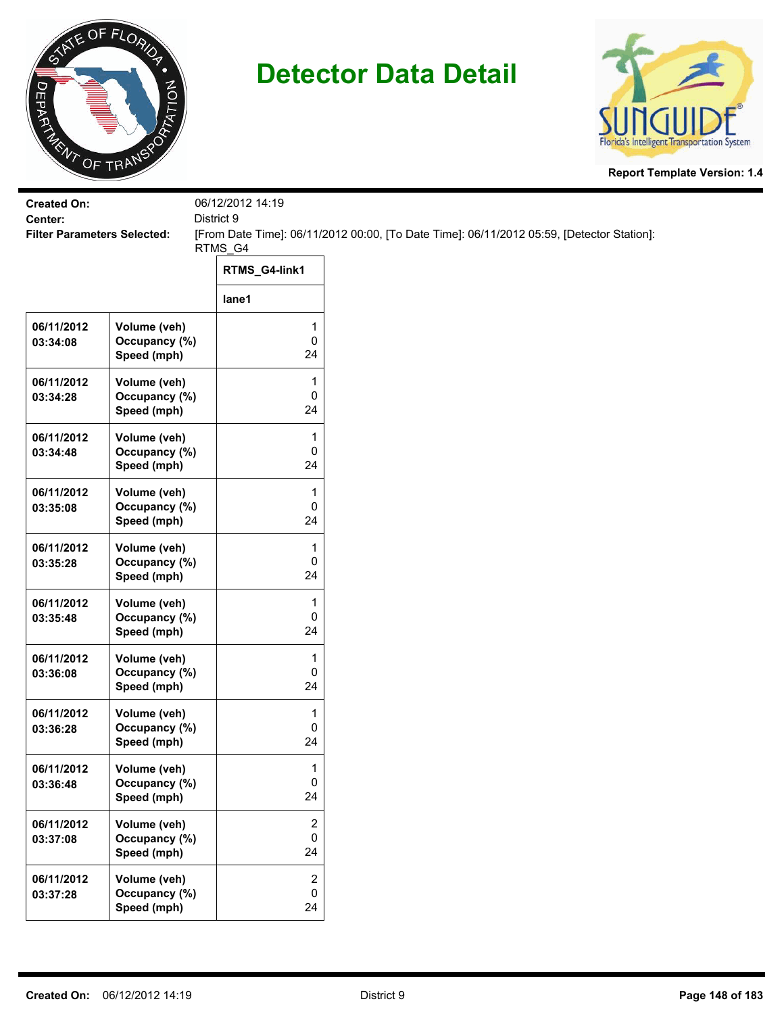



| <b>Created On:</b>                            |                               | 06/12/2012 14:19<br>District 9 |                                                                                           |
|-----------------------------------------------|-------------------------------|--------------------------------|-------------------------------------------------------------------------------------------|
| Center:<br><b>Filter Parameters Selected:</b> |                               |                                | [From Date Time]: 06/11/2012 00:00, [To Date Time]: 06/11/2012 05:59, [Detector Station]: |
|                                               |                               | RTMS_G4                        |                                                                                           |
|                                               |                               | RTMS_G4-link1                  |                                                                                           |
|                                               |                               | lane1                          |                                                                                           |
| 06/11/2012<br>03:34:08                        | Volume (veh)<br>Occupancy (%) | 1<br>$\mathsf 0$               |                                                                                           |
|                                               | Speed (mph)                   | 24                             |                                                                                           |
| 06/11/2012                                    | Volume (veh)                  | 1                              |                                                                                           |
| 03:34:28                                      | Occupancy (%)<br>Speed (mph)  | 0<br>24                        |                                                                                           |
| 06/11/2012                                    | Volume (veh)                  | 1                              |                                                                                           |
| 03:34:48                                      | Occupancy (%)<br>Speed (mph)  | 0<br>24                        |                                                                                           |
|                                               |                               |                                |                                                                                           |
| 06/11/2012<br>03:35:08                        | Volume (veh)<br>Occupancy (%) | 1<br>0                         |                                                                                           |
|                                               | Speed (mph)                   | 24                             |                                                                                           |
| 06/11/2012                                    | Volume (veh)                  | 1                              |                                                                                           |
| 03:35:28                                      | Occupancy (%)<br>Speed (mph)  | 0<br>24                        |                                                                                           |
| 06/11/2012                                    | Volume (veh)                  | 1                              |                                                                                           |
| 03:35:48                                      | Occupancy (%)<br>Speed (mph)  | $\mathsf 0$<br>24              |                                                                                           |
| 06/11/2012                                    | Volume (veh)                  | 1                              |                                                                                           |
| 03:36:08                                      | Occupancy (%)                 | 0                              |                                                                                           |
|                                               | Speed (mph)                   | 24                             |                                                                                           |
| 06/11/2012<br>03:36:28                        | Volume (veh)<br>Occupancy (%) | 1<br>0                         |                                                                                           |
|                                               | Speed (mph)                   | 24                             |                                                                                           |
| 06/11/2012                                    | Volume (veh)                  | $\mathbf{1}$                   |                                                                                           |
| 03:36:48                                      | Occupancy (%)<br>Speed (mph)  | $\mathbf 0$<br>24              |                                                                                           |
| 06/11/2012                                    | Volume (veh)                  | $\overline{c}$                 |                                                                                           |
| 03:37:08                                      | Occupancy (%)                 | 0                              |                                                                                           |
|                                               | Speed (mph)                   | 24                             |                                                                                           |
| 06/11/2012<br>03:37:28                        | Volume (veh)<br>Occupancy (%) | $\overline{2}$<br>$\mathsf{O}$ |                                                                                           |
|                                               | Speed (mph)                   | 24                             |                                                                                           |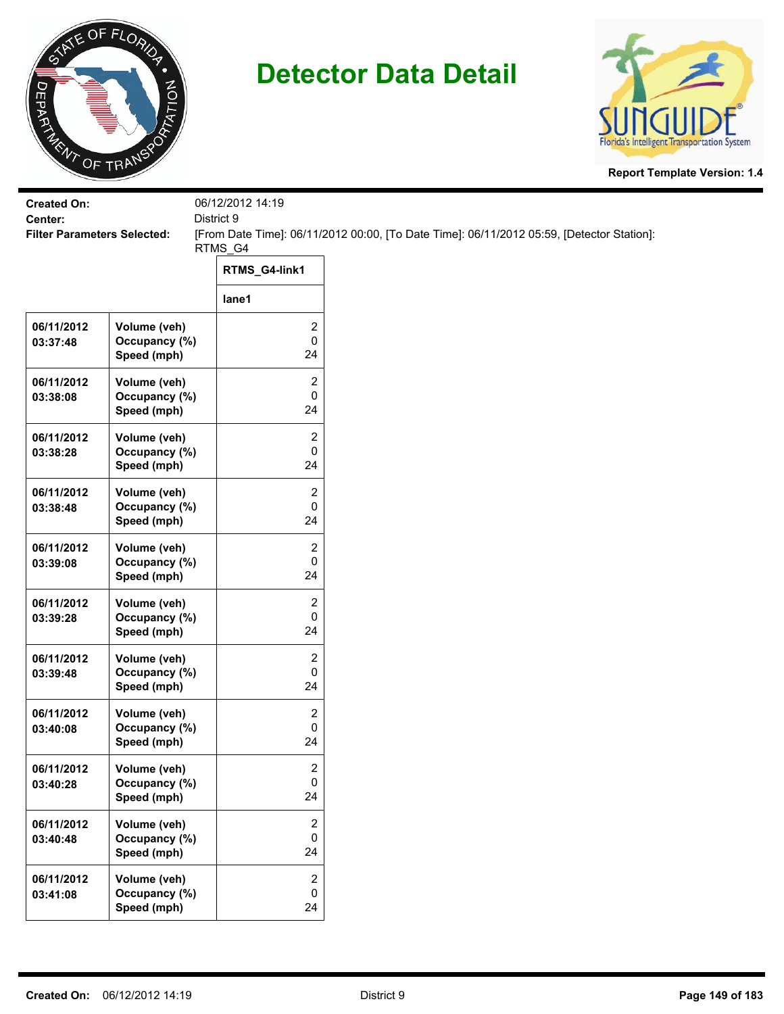



| <b>Created On:</b><br>Center:      |                                              | 06/12/2012 14:19<br>District 9    |                                                                                           |
|------------------------------------|----------------------------------------------|-----------------------------------|-------------------------------------------------------------------------------------------|
| <b>Filter Parameters Selected:</b> |                                              |                                   | [From Date Time]: 06/11/2012 00:00, [To Date Time]: 06/11/2012 05:59, [Detector Station]: |
|                                    |                                              | RTMS_G4                           |                                                                                           |
|                                    |                                              | RTMS_G4-link1                     |                                                                                           |
|                                    |                                              | lane1                             |                                                                                           |
| 06/11/2012<br>03:37:48             | Volume (veh)<br>Occupancy (%)<br>Speed (mph) | 2<br>0<br>24                      |                                                                                           |
| 06/11/2012<br>03:38:08             | Volume (veh)<br>Occupancy (%)<br>Speed (mph) | 2<br>0<br>24                      |                                                                                           |
| 06/11/2012<br>03:38:28             | Volume (veh)<br>Occupancy (%)<br>Speed (mph) | 2<br>0<br>24                      |                                                                                           |
| 06/11/2012<br>03:38:48             | Volume (veh)<br>Occupancy (%)<br>Speed (mph) | 2<br>0<br>24                      |                                                                                           |
| 06/11/2012<br>03:39:08             | Volume (veh)<br>Occupancy (%)<br>Speed (mph) | 2<br>0<br>24                      |                                                                                           |
| 06/11/2012<br>03:39:28             | Volume (veh)<br>Occupancy (%)<br>Speed (mph) | 2<br>0<br>24                      |                                                                                           |
| 06/11/2012<br>03:39:48             | Volume (veh)<br>Occupancy (%)<br>Speed (mph) | 2<br>0<br>24                      |                                                                                           |
| 06/11/2012<br>03:40:08             | Volume (veh)<br>Occupancy (%)<br>Speed (mph) | 2<br>0<br>24                      |                                                                                           |
| 06/11/2012<br>03:40:28             | Volume (veh)<br>Occupancy (%)<br>Speed (mph) | 2<br>0<br>24                      |                                                                                           |
| 06/11/2012<br>03:40:48             | Volume (veh)<br>Occupancy (%)<br>Speed (mph) | 2<br>0<br>24                      |                                                                                           |
| 06/11/2012<br>03:41:08             | Volume (veh)<br>Occupancy (%)<br>Speed (mph) | $\overline{2}$<br>$\pmb{0}$<br>24 |                                                                                           |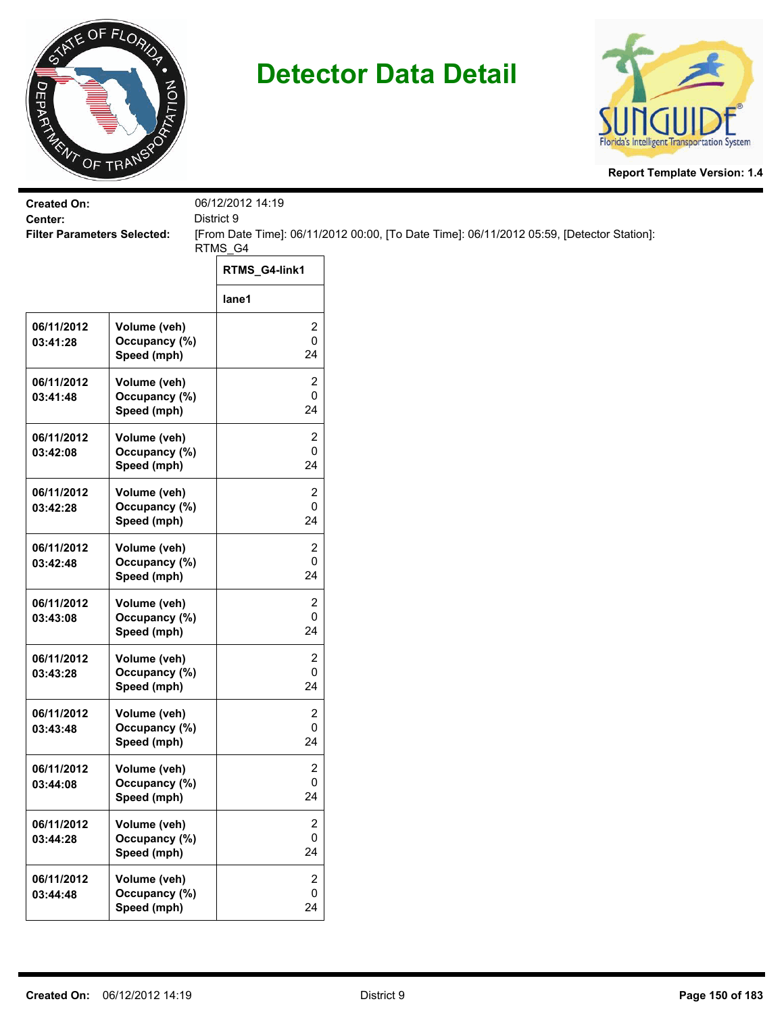



|                              | 06/12/2012 14:19                                                                                                                                                                                           |                                                                                                                      |
|------------------------------|------------------------------------------------------------------------------------------------------------------------------------------------------------------------------------------------------------|----------------------------------------------------------------------------------------------------------------------|
|                              |                                                                                                                                                                                                            | [From Date Time]: 06/11/2012 00:00, [To Date Time]: 06/11/2012 05:59, [Detector Station]:                            |
|                              |                                                                                                                                                                                                            |                                                                                                                      |
|                              | RTMS_G4-link1                                                                                                                                                                                              |                                                                                                                      |
|                              | lane1                                                                                                                                                                                                      |                                                                                                                      |
| Volume (veh)                 | $\overline{\mathbf{c}}$                                                                                                                                                                                    |                                                                                                                      |
| Speed (mph)                  | 24                                                                                                                                                                                                         |                                                                                                                      |
| Volume (veh)                 | $\overline{c}$                                                                                                                                                                                             |                                                                                                                      |
| Speed (mph)                  | 24                                                                                                                                                                                                         |                                                                                                                      |
| Volume (veh)                 | $\overline{c}$                                                                                                                                                                                             |                                                                                                                      |
| Speed (mph)                  | 24                                                                                                                                                                                                         |                                                                                                                      |
| Volume (veh)                 | 2                                                                                                                                                                                                          |                                                                                                                      |
| Speed (mph)                  | 24                                                                                                                                                                                                         |                                                                                                                      |
| Volume (veh)                 | $\overline{2}$                                                                                                                                                                                             |                                                                                                                      |
| Speed (mph)                  | 24                                                                                                                                                                                                         |                                                                                                                      |
| Volume (veh)                 | $\overline{c}$                                                                                                                                                                                             |                                                                                                                      |
| Speed (mph)                  | 24                                                                                                                                                                                                         |                                                                                                                      |
| Volume (veh)                 | $\overline{c}$                                                                                                                                                                                             |                                                                                                                      |
| Speed (mph)                  | 24                                                                                                                                                                                                         |                                                                                                                      |
| Volume (veh)                 | $\overline{2}$                                                                                                                                                                                             |                                                                                                                      |
| Speed (mph)                  | 24                                                                                                                                                                                                         |                                                                                                                      |
| Volume (veh)                 | 2                                                                                                                                                                                                          |                                                                                                                      |
| Speed (mph)                  | 24                                                                                                                                                                                                         |                                                                                                                      |
| Volume (veh)                 | $\overline{2}$                                                                                                                                                                                             |                                                                                                                      |
| Occupancy (%)<br>Speed (mph) | 0<br>24                                                                                                                                                                                                    |                                                                                                                      |
| Volume (veh)                 | $\overline{2}$                                                                                                                                                                                             |                                                                                                                      |
| Occupancy (%)                | $\mathsf{O}\xspace$                                                                                                                                                                                        |                                                                                                                      |
|                              | <b>Filter Parameters Selected:</b><br>Occupancy (%)<br>Occupancy (%)<br>Occupancy (%)<br>Occupancy (%)<br>Occupancy (%)<br>Occupancy (%)<br>Occupancy (%)<br>Occupancy (%)<br>Occupancy (%)<br>Speed (mph) | District 9<br>RTMS_G4<br>$\mathbf 0$<br>$\pmb{0}$<br>0<br>0<br>0<br>$\pmb{0}$<br>0<br>$\pmb{0}$<br>$\mathbf 0$<br>24 |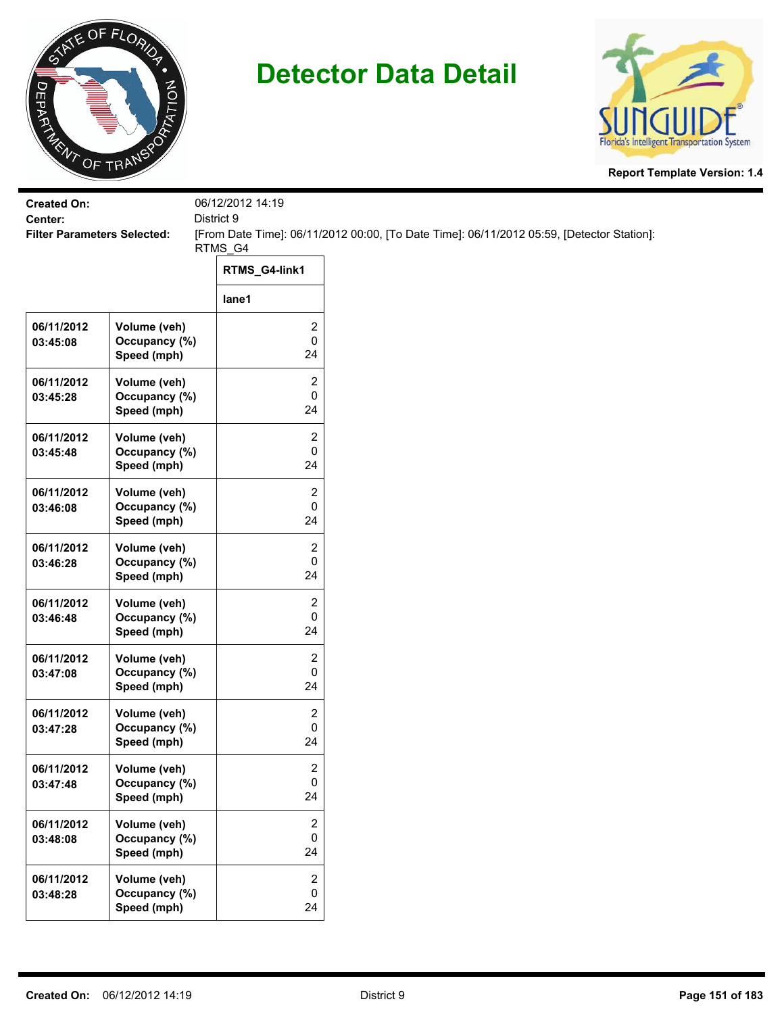



| <b>Created On:</b>                            |                                              | 06/12/2012 14:19<br>District 9    |                                                                                           |
|-----------------------------------------------|----------------------------------------------|-----------------------------------|-------------------------------------------------------------------------------------------|
| Center:<br><b>Filter Parameters Selected:</b> |                                              |                                   | [From Date Time]: 06/11/2012 00:00, [To Date Time]: 06/11/2012 05:59, [Detector Station]: |
|                                               |                                              | RTMS_G4                           |                                                                                           |
|                                               |                                              | RTMS_G4-link1                     |                                                                                           |
|                                               |                                              | lane1                             |                                                                                           |
| 06/11/2012<br>03:45:08                        | Volume (veh)<br>Occupancy (%)<br>Speed (mph) | 2<br>0<br>24                      |                                                                                           |
| 06/11/2012<br>03:45:28                        | Volume (veh)<br>Occupancy (%)<br>Speed (mph) | 2<br>0<br>24                      |                                                                                           |
| 06/11/2012<br>03:45:48                        | Volume (veh)<br>Occupancy (%)<br>Speed (mph) | 2<br>0<br>24                      |                                                                                           |
| 06/11/2012<br>03:46:08                        | Volume (veh)<br>Occupancy (%)<br>Speed (mph) | 2<br>0<br>24                      |                                                                                           |
| 06/11/2012<br>03:46:28                        | Volume (veh)<br>Occupancy (%)<br>Speed (mph) | 2<br>0<br>24                      |                                                                                           |
| 06/11/2012<br>03:46:48                        | Volume (veh)<br>Occupancy (%)<br>Speed (mph) | 2<br>0<br>24                      |                                                                                           |
| 06/11/2012<br>03:47:08                        | Volume (veh)<br>Occupancy (%)<br>Speed (mph) | 2<br>0<br>24                      |                                                                                           |
| 06/11/2012<br>03:47:28                        | Volume (veh)<br>Occupancy (%)<br>Speed (mph) | 2<br>0<br>24                      |                                                                                           |
| 06/11/2012<br>03:47:48                        | Volume (veh)<br>Occupancy (%)<br>Speed (mph) | 2<br>0<br>24                      |                                                                                           |
| 06/11/2012<br>03:48:08                        | Volume (veh)<br>Occupancy (%)<br>Speed (mph) | 2<br>0<br>24                      |                                                                                           |
| 06/11/2012<br>03:48:28                        | Volume (veh)<br>Occupancy (%)<br>Speed (mph) | $\overline{2}$<br>$\pmb{0}$<br>24 |                                                                                           |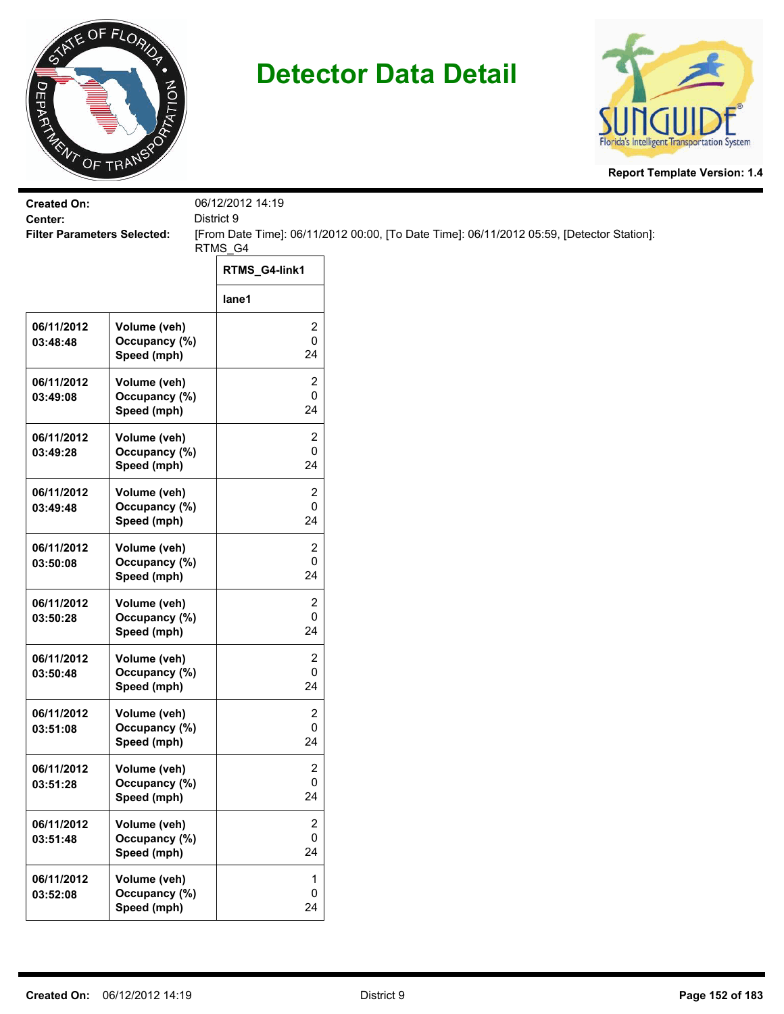



| <b>Created On:</b>                            |                               | 06/12/2012 14:19  |                                                                                           |
|-----------------------------------------------|-------------------------------|-------------------|-------------------------------------------------------------------------------------------|
| Center:<br><b>Filter Parameters Selected:</b> |                               | District 9        | [From Date Time]: 06/11/2012 00:00, [To Date Time]: 06/11/2012 05:59, [Detector Station]: |
|                                               |                               | RTMS_G4           |                                                                                           |
|                                               |                               | RTMS_G4-link1     |                                                                                           |
|                                               |                               | lane1             |                                                                                           |
| 06/11/2012                                    | Volume (veh)                  | 2                 |                                                                                           |
| 03:48:48                                      | Occupancy (%)<br>Speed (mph)  | $\pmb{0}$<br>24   |                                                                                           |
| 06/11/2012                                    | Volume (veh)                  | 2                 |                                                                                           |
| 03:49:08                                      | Occupancy (%)<br>Speed (mph)  | 0<br>24           |                                                                                           |
| 06/11/2012                                    | Volume (veh)                  | $\overline{2}$    |                                                                                           |
| 03:49:28                                      | Occupancy (%)<br>Speed (mph)  | 0<br>24           |                                                                                           |
| 06/11/2012                                    | Volume (veh)                  | 2                 |                                                                                           |
| 03:49:48                                      | Occupancy (%)<br>Speed (mph)  | 0<br>24           |                                                                                           |
| 06/11/2012                                    | Volume (veh)                  | $\overline{c}$    |                                                                                           |
| 03:50:08                                      | Occupancy (%)                 | 0                 |                                                                                           |
|                                               | Speed (mph)                   | 24                |                                                                                           |
| 06/11/2012<br>03:50:28                        | Volume (veh)<br>Occupancy (%) | 2<br>$\mathbf 0$  |                                                                                           |
|                                               | Speed (mph)                   | 24                |                                                                                           |
| 06/11/2012                                    | Volume (veh)                  | 2                 |                                                                                           |
| 03:50:48                                      | Occupancy (%)<br>Speed (mph)  | 0<br>24           |                                                                                           |
| 06/11/2012                                    | Volume (veh)                  | $\overline{2}$    |                                                                                           |
| 03:51:08                                      | Occupancy (%)<br>Speed (mph)  | 0<br>24           |                                                                                           |
| 06/11/2012                                    | Volume (veh)                  | 2                 |                                                                                           |
| 03:51:28                                      | Occupancy (%)<br>Speed (mph)  | $\mathbf 0$<br>24 |                                                                                           |
| 06/11/2012                                    | Volume (veh)                  | $\overline{c}$    |                                                                                           |
| 03:51:48                                      | Occupancy (%)<br>Speed (mph)  | 0<br>24           |                                                                                           |
| 06/11/2012                                    | Volume (veh)                  | $\mathbf 1$       |                                                                                           |
| 03:52:08                                      | Occupancy (%)<br>Speed (mph)  | $\mathbf 0$<br>24 |                                                                                           |
|                                               |                               |                   |                                                                                           |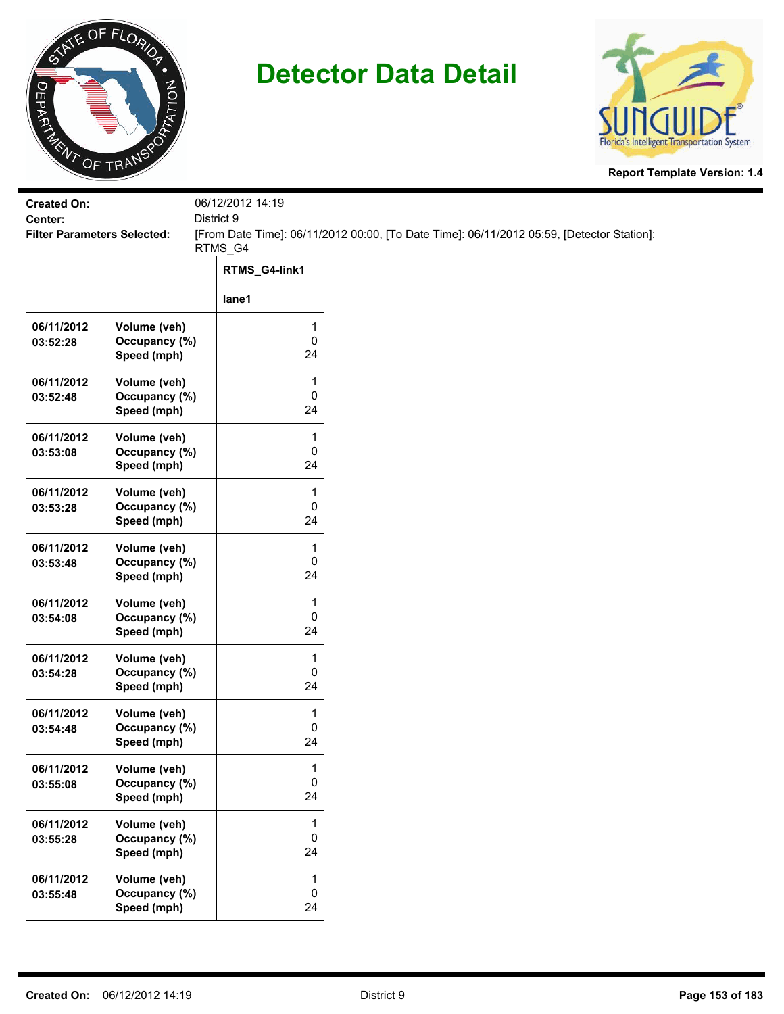



| <b>Created On:</b>     |                                                  | 06/12/2012 14:19                          |                                                                                           |
|------------------------|--------------------------------------------------|-------------------------------------------|-------------------------------------------------------------------------------------------|
| Center:                | District 9<br><b>Filter Parameters Selected:</b> |                                           | [From Date Time]: 06/11/2012 00:00, [To Date Time]: 06/11/2012 05:59, [Detector Station]: |
|                        |                                                  | RTMS_G4                                   |                                                                                           |
|                        |                                                  | RTMS_G4-link1                             |                                                                                           |
|                        |                                                  | lane1                                     |                                                                                           |
| 06/11/2012<br>03:52:28 | Volume (veh)<br>Occupancy (%)<br>Speed (mph)     | $\mathbf 1$<br>$\mathbf 0$<br>24          |                                                                                           |
| 06/11/2012<br>03:52:48 | Volume (veh)<br>Occupancy (%)<br>Speed (mph)     | 1<br>$\pmb{0}$<br>24                      |                                                                                           |
| 06/11/2012<br>03:53:08 | Volume (veh)<br>Occupancy (%)<br>Speed (mph)     | 1<br>0<br>24                              |                                                                                           |
| 06/11/2012<br>03:53:28 | Volume (veh)<br>Occupancy (%)<br>Speed (mph)     | 1<br>0<br>24                              |                                                                                           |
| 06/11/2012<br>03:53:48 | Volume (veh)<br>Occupancy (%)<br>Speed (mph)     | 1<br>0<br>24                              |                                                                                           |
| 06/11/2012<br>03:54:08 | Volume (veh)<br>Occupancy (%)<br>Speed (mph)     | 1<br>$\pmb{0}$<br>24                      |                                                                                           |
| 06/11/2012<br>03:54:28 | Volume (veh)<br>Occupancy (%)<br>Speed (mph)     | 1<br>0<br>24                              |                                                                                           |
| 06/11/2012<br>03:54:48 | Volume (veh)<br>Occupancy (%)<br>Speed (mph)     | 1<br>0<br>24                              |                                                                                           |
| 06/11/2012<br>03:55:08 | Volume (veh)<br>Occupancy (%)<br>Speed (mph)     | 1<br>$\mathbf 0$<br>24                    |                                                                                           |
| 06/11/2012<br>03:55:28 | Volume (veh)<br>Occupancy (%)<br>Speed (mph)     | 1<br>0<br>24                              |                                                                                           |
| 06/11/2012<br>03:55:48 | Volume (veh)<br>Occupancy (%)<br>Speed (mph)     | $\mathbf{1}$<br>$\mathsf{O}\xspace$<br>24 |                                                                                           |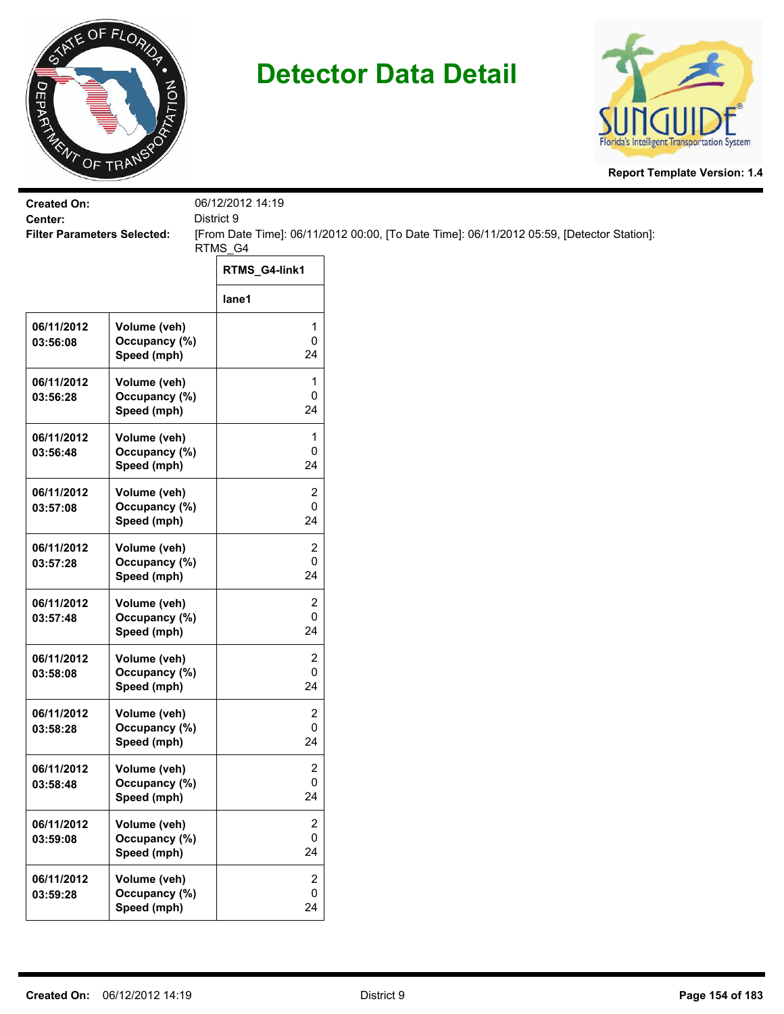



| <b>Created On:</b>                            |                                              | 06/12/2012 14:19                            |                                                                                           |
|-----------------------------------------------|----------------------------------------------|---------------------------------------------|-------------------------------------------------------------------------------------------|
| Center:<br><b>Filter Parameters Selected:</b> |                                              | District 9                                  | [From Date Time]: 06/11/2012 00:00, [To Date Time]: 06/11/2012 05:59, [Detector Station]: |
|                                               |                                              | RTMS_G4                                     |                                                                                           |
|                                               |                                              | RTMS_G4-link1                               |                                                                                           |
|                                               |                                              | lane1                                       |                                                                                           |
| 06/11/2012<br>03:56:08                        | Volume (veh)<br>Occupancy (%)<br>Speed (mph) | 1<br>$\mathbf 0$<br>24                      |                                                                                           |
| 06/11/2012<br>03:56:28                        | Volume (veh)<br>Occupancy (%)<br>Speed (mph) | 1<br>$\pmb{0}$<br>24                        |                                                                                           |
| 06/11/2012<br>03:56:48                        | Volume (veh)<br>Occupancy (%)<br>Speed (mph) | 1<br>0<br>24                                |                                                                                           |
| 06/11/2012<br>03:57:08                        | Volume (veh)<br>Occupancy (%)<br>Speed (mph) | 2<br>0<br>24                                |                                                                                           |
| 06/11/2012<br>03:57:28                        | Volume (veh)<br>Occupancy (%)<br>Speed (mph) | $\overline{2}$<br>0<br>24                   |                                                                                           |
| 06/11/2012<br>03:57:48                        | Volume (veh)<br>Occupancy (%)<br>Speed (mph) | $\overline{c}$<br>$\pmb{0}$<br>24           |                                                                                           |
| 06/11/2012<br>03:58:08                        | Volume (veh)<br>Occupancy (%)<br>Speed (mph) | $\overline{c}$<br>0<br>24                   |                                                                                           |
| 06/11/2012<br>03:58:28                        | Volume (veh)<br>Occupancy (%)<br>Speed (mph) | $\overline{2}$<br>$\pmb{0}$<br>24           |                                                                                           |
| 06/11/2012<br>03:58:48                        | Volume (veh)<br>Occupancy (%)<br>Speed (mph) | 2<br>$\mathbf 0$<br>24                      |                                                                                           |
| 06/11/2012<br>03:59:08                        | Volume (veh)<br>Occupancy (%)<br>Speed (mph) | $\overline{2}$<br>0<br>24                   |                                                                                           |
| 06/11/2012<br>03:59:28                        | Volume (veh)<br>Occupancy (%)<br>Speed (mph) | $\overline{2}$<br>$\mathsf{O}\xspace$<br>24 |                                                                                           |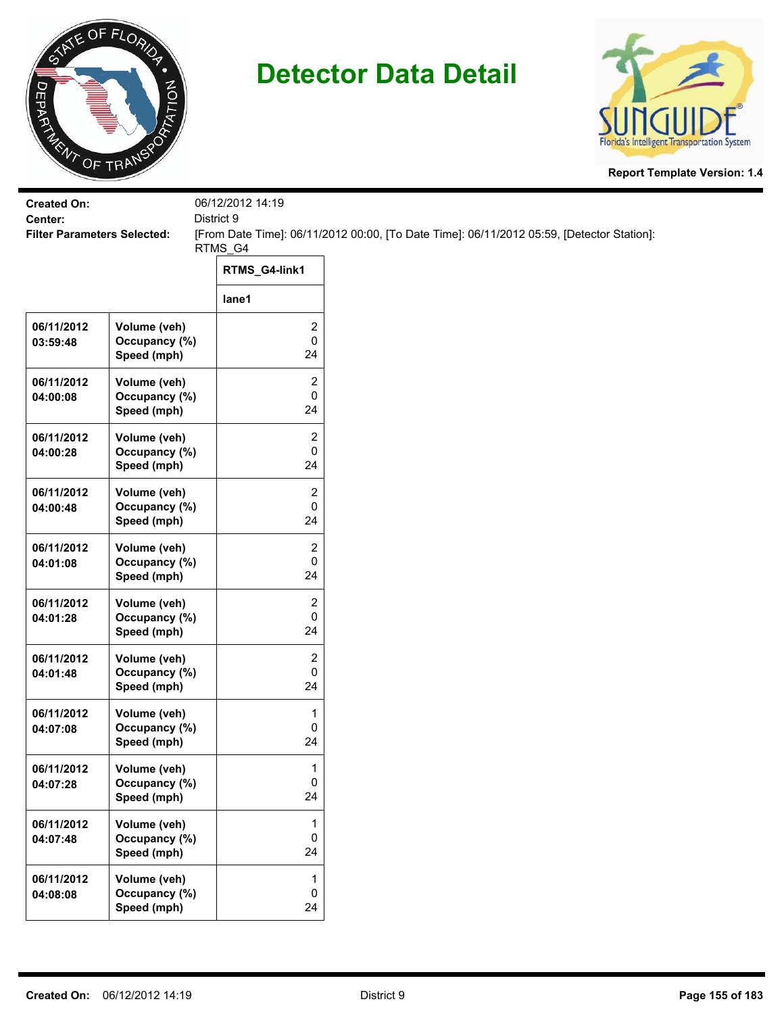



| <b>Created On:</b><br>Center:      |                                              | 06/12/2012 14:19<br>District 9 |                                                                                           |
|------------------------------------|----------------------------------------------|--------------------------------|-------------------------------------------------------------------------------------------|
| <b>Filter Parameters Selected:</b> |                                              |                                | [From Date Time]: 06/11/2012 00:00, [To Date Time]: 06/11/2012 05:59, [Detector Station]: |
|                                    |                                              | RTMS_G4<br>RTMS_G4-link1       |                                                                                           |
|                                    |                                              | lane1                          |                                                                                           |
| 06/11/2012<br>03:59:48             | Volume (veh)<br>Occupancy (%)<br>Speed (mph) | 2<br>0<br>24                   |                                                                                           |
| 06/11/2012<br>04:00:08             | Volume (veh)<br>Occupancy (%)<br>Speed (mph) | 2<br>0<br>24                   |                                                                                           |
| 06/11/2012<br>04:00:28             | Volume (veh)<br>Occupancy (%)<br>Speed (mph) | 2<br>0<br>24                   |                                                                                           |
| 06/11/2012<br>04:00:48             | Volume (veh)<br>Occupancy (%)<br>Speed (mph) | 2<br>0<br>24                   |                                                                                           |
| 06/11/2012<br>04:01:08             | Volume (veh)<br>Occupancy (%)<br>Speed (mph) | 2<br>0<br>24                   |                                                                                           |
| 06/11/2012<br>04:01:28             | Volume (veh)<br>Occupancy (%)<br>Speed (mph) | 2<br>0<br>24                   |                                                                                           |
| 06/11/2012<br>04:01:48             | Volume (veh)<br>Occupancy (%)<br>Speed (mph) | $\overline{c}$<br>0<br>24      |                                                                                           |
| 06/11/2012<br>04:07:08             | Volume (veh)<br>Occupancy (%)<br>Speed (mph) | 1<br>0<br>24                   |                                                                                           |
| 06/11/2012<br>04:07:28             | Volume (veh)<br>Occupancy (%)<br>Speed (mph) | 1<br>0<br>24                   |                                                                                           |
| 06/11/2012<br>04:07:48             | Volume (veh)<br>Occupancy (%)<br>Speed (mph) | 1<br>0<br>24                   |                                                                                           |
| 06/11/2012<br>04:08:08             | Volume (veh)<br>Occupancy (%)<br>Speed (mph) | 1<br>0<br>24                   |                                                                                           |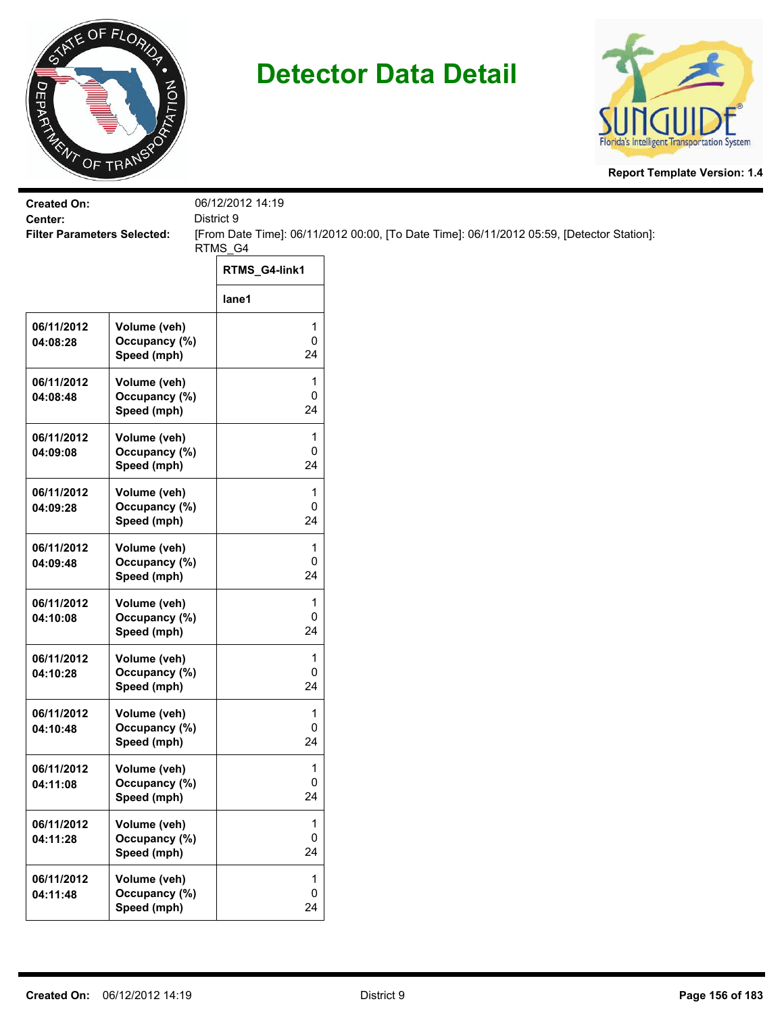



| <b>Created On:</b><br>Center:      |                                              | 06/12/2012 14:19<br>District 9 |                                                                                           |  |
|------------------------------------|----------------------------------------------|--------------------------------|-------------------------------------------------------------------------------------------|--|
| <b>Filter Parameters Selected:</b> |                                              | RTMS_G4                        | [From Date Time]: 06/11/2012 00:00, [To Date Time]: 06/11/2012 05:59, [Detector Station]: |  |
|                                    |                                              | RTMS_G4-link1                  |                                                                                           |  |
|                                    |                                              | lane1                          |                                                                                           |  |
| 06/11/2012<br>04:08:28             | Volume (veh)<br>Occupancy (%)<br>Speed (mph) | 1<br>0<br>24                   |                                                                                           |  |
| 06/11/2012<br>04:08:48             | Volume (veh)<br>Occupancy (%)<br>Speed (mph) | 1<br>0<br>24                   |                                                                                           |  |
| 06/11/2012<br>04:09:08             | Volume (veh)<br>Occupancy (%)<br>Speed (mph) | 1<br>0<br>24                   |                                                                                           |  |
| 06/11/2012<br>04:09:28             | Volume (veh)<br>Occupancy (%)<br>Speed (mph) | 1<br>0<br>24                   |                                                                                           |  |
| 06/11/2012<br>04:09:48             | Volume (veh)<br>Occupancy (%)<br>Speed (mph) | $\mathbf{1}$<br>0<br>24        |                                                                                           |  |
| 06/11/2012<br>04:10:08             | Volume (veh)<br>Occupancy (%)<br>Speed (mph) | 1<br>0<br>24                   |                                                                                           |  |
| 06/11/2012<br>04:10:28             | Volume (veh)<br>Occupancy (%)<br>Speed (mph) | 1<br>0<br>24                   |                                                                                           |  |
| 06/11/2012<br>04:10:48             | Volume (veh)<br>Occupancy (%)<br>Speed (mph) | 1<br>0<br>24                   |                                                                                           |  |
| 06/11/2012<br>04:11:08             | Volume (veh)<br>Occupancy (%)<br>Speed (mph) | 1<br>0<br>24                   |                                                                                           |  |
| 06/11/2012<br>04:11:28             | Volume (veh)<br>Occupancy (%)<br>Speed (mph) | 1<br>0<br>24                   |                                                                                           |  |
| 06/11/2012<br>04:11:48             | Volume (veh)<br>Occupancy (%)<br>Speed (mph) | 1<br>$\pmb{0}$<br>24           |                                                                                           |  |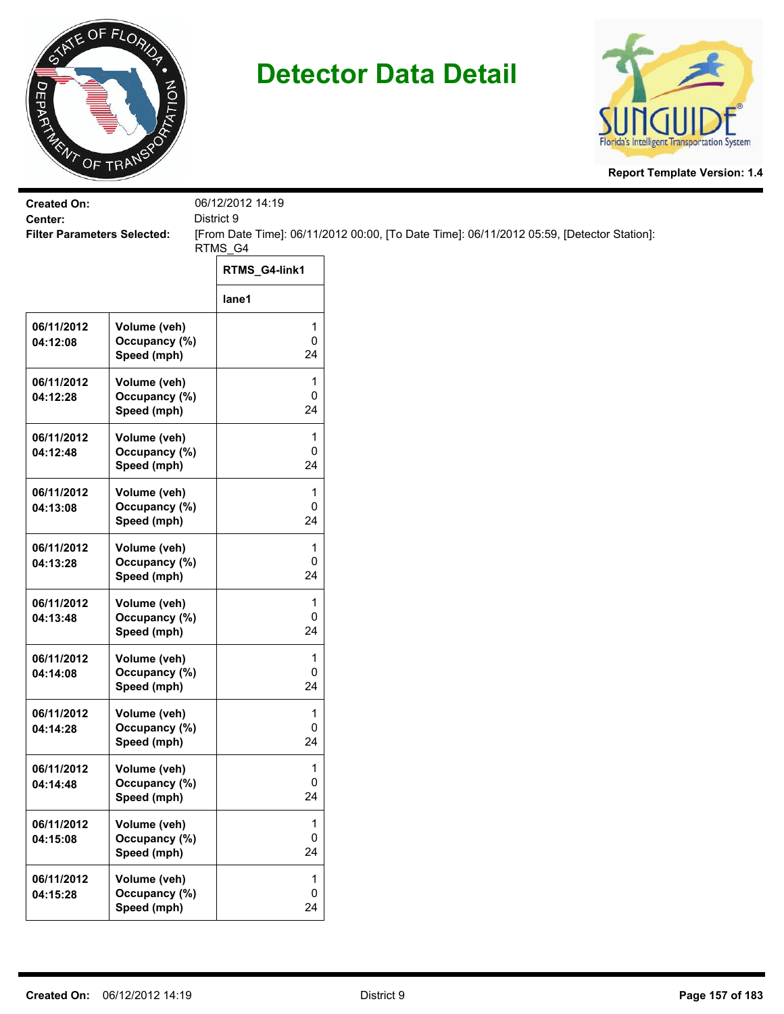



| <b>Created On:</b><br>Center:      |                                              | 06/12/2012 14:19<br>District 9 |                                                                                           |
|------------------------------------|----------------------------------------------|--------------------------------|-------------------------------------------------------------------------------------------|
| <b>Filter Parameters Selected:</b> |                                              |                                | [From Date Time]: 06/11/2012 00:00, [To Date Time]: 06/11/2012 05:59, [Detector Station]: |
|                                    |                                              | RTMS_G4<br>RTMS_G4-link1       |                                                                                           |
|                                    |                                              | lane1                          |                                                                                           |
| 06/11/2012<br>04:12:08             | Volume (veh)<br>Occupancy (%)<br>Speed (mph) | 1<br>0<br>24                   |                                                                                           |
| 06/11/2012<br>04:12:28             | Volume (veh)<br>Occupancy (%)<br>Speed (mph) | 1<br>0<br>24                   |                                                                                           |
| 06/11/2012<br>04:12:48             | Volume (veh)<br>Occupancy (%)<br>Speed (mph) | 1<br>0<br>24                   |                                                                                           |
| 06/11/2012<br>04:13:08             | Volume (veh)<br>Occupancy (%)<br>Speed (mph) | 1<br>0<br>24                   |                                                                                           |
| 06/11/2012<br>04:13:28             | Volume (veh)<br>Occupancy (%)<br>Speed (mph) | 1<br>0<br>24                   |                                                                                           |
| 06/11/2012<br>04:13:48             | Volume (veh)<br>Occupancy (%)<br>Speed (mph) | 1<br>0<br>24                   |                                                                                           |
| 06/11/2012<br>04:14:08             | Volume (veh)<br>Occupancy (%)<br>Speed (mph) | 1<br>0<br>24                   |                                                                                           |
| 06/11/2012<br>04:14:28             | Volume (veh)<br>Occupancy (%)<br>Speed (mph) | 1<br>0<br>24                   |                                                                                           |
| 06/11/2012<br>04:14:48             | Volume (veh)<br>Occupancy (%)<br>Speed (mph) | 1<br>0<br>24                   |                                                                                           |
| 06/11/2012<br>04:15:08             | Volume (veh)<br>Occupancy (%)<br>Speed (mph) | 1<br>0<br>24                   |                                                                                           |
| 06/11/2012<br>04:15:28             | Volume (veh)<br>Occupancy (%)<br>Speed (mph) | 1<br>0<br>24                   |                                                                                           |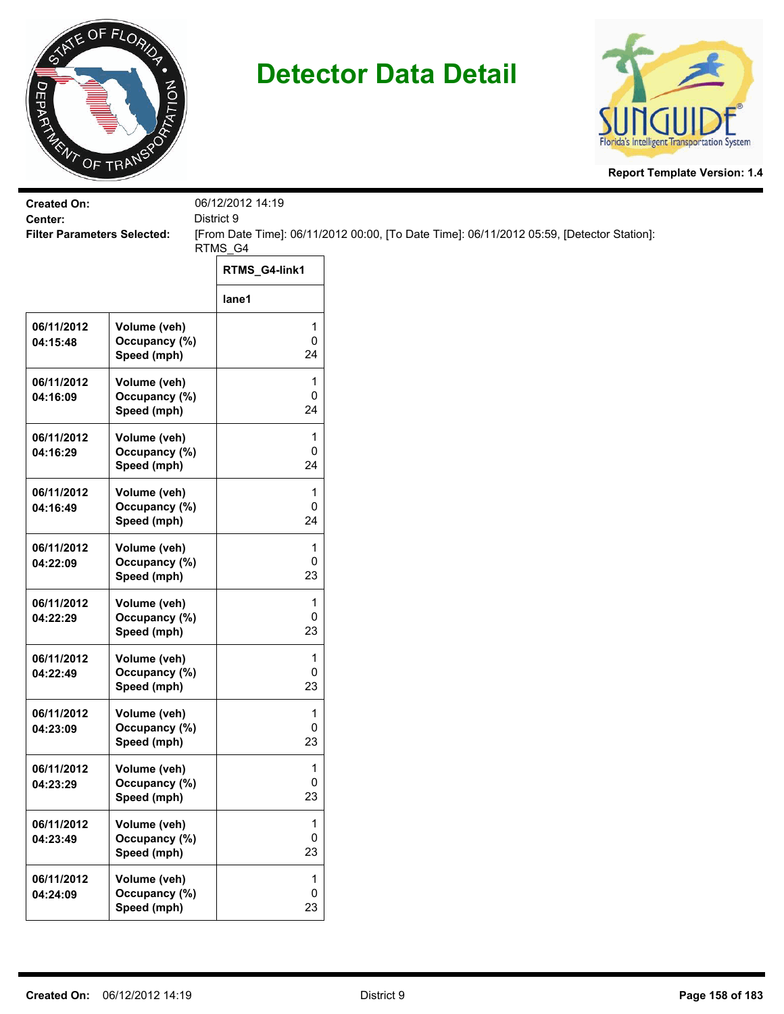



| <b>Created On:</b><br>Center:      |                                              | 06/12/2012 14:19<br>District 9 |                                                                                           |  |  |
|------------------------------------|----------------------------------------------|--------------------------------|-------------------------------------------------------------------------------------------|--|--|
| <b>Filter Parameters Selected:</b> |                                              | RTMS_G4                        | [From Date Time]: 06/11/2012 00:00, [To Date Time]: 06/11/2012 05:59, [Detector Station]: |  |  |
|                                    |                                              | RTMS_G4-link1                  |                                                                                           |  |  |
|                                    |                                              | lane1                          |                                                                                           |  |  |
| 06/11/2012<br>04:15:48             | Volume (veh)<br>Occupancy (%)<br>Speed (mph) | 1<br>0<br>24                   |                                                                                           |  |  |
| 06/11/2012<br>04:16:09             | Volume (veh)<br>Occupancy (%)<br>Speed (mph) | 1<br>0<br>24                   |                                                                                           |  |  |
| 06/11/2012<br>04:16:29             | Volume (veh)<br>Occupancy (%)<br>Speed (mph) | 1<br>0<br>24                   |                                                                                           |  |  |
| 06/11/2012<br>04:16:49             | Volume (veh)<br>Occupancy (%)<br>Speed (mph) | 1<br>0<br>24                   |                                                                                           |  |  |
| 06/11/2012<br>04:22:09             | Volume (veh)<br>Occupancy (%)<br>Speed (mph) | $\mathbf{1}$<br>0<br>23        |                                                                                           |  |  |
| 06/11/2012<br>04:22:29             | Volume (veh)<br>Occupancy (%)<br>Speed (mph) | 1<br>0<br>23                   |                                                                                           |  |  |
| 06/11/2012<br>04:22:49             | Volume (veh)<br>Occupancy (%)<br>Speed (mph) | 1<br>0<br>23                   |                                                                                           |  |  |
| 06/11/2012<br>04:23:09             | Volume (veh)<br>Occupancy (%)<br>Speed (mph) | 1<br>0<br>23                   |                                                                                           |  |  |
| 06/11/2012<br>04:23:29             | Volume (veh)<br>Occupancy (%)<br>Speed (mph) | 1<br>0<br>23                   |                                                                                           |  |  |
| 06/11/2012<br>04:23:49             | Volume (veh)<br>Occupancy (%)<br>Speed (mph) | 1<br>0<br>23                   |                                                                                           |  |  |
| 06/11/2012<br>04:24:09             | Volume (veh)<br>Occupancy (%)<br>Speed (mph) | 1<br>$\pmb{0}$<br>23           |                                                                                           |  |  |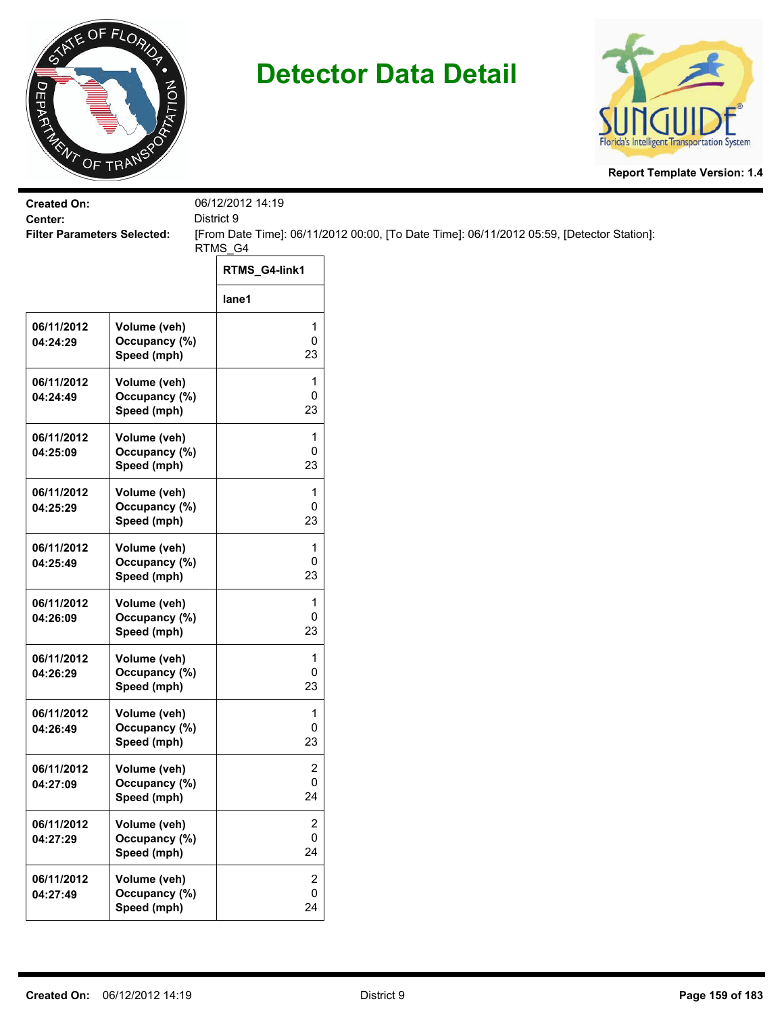



| <b>Created On:</b>                            |                                              | 06/12/2012 14:19                            |                                                                                           |
|-----------------------------------------------|----------------------------------------------|---------------------------------------------|-------------------------------------------------------------------------------------------|
| Center:<br><b>Filter Parameters Selected:</b> |                                              | District 9                                  | [From Date Time]: 06/11/2012 00:00, [To Date Time]: 06/11/2012 05:59, [Detector Station]: |
|                                               |                                              | RTMS_G4                                     |                                                                                           |
|                                               |                                              | RTMS_G4-link1                               |                                                                                           |
|                                               |                                              | lane1                                       |                                                                                           |
| 06/11/2012<br>04:24:29                        | Volume (veh)<br>Occupancy (%)<br>Speed (mph) | 1<br>$\pmb{0}$<br>23                        |                                                                                           |
| 06/11/2012<br>04:24:49                        | Volume (veh)<br>Occupancy (%)<br>Speed (mph) | 1<br>$\pmb{0}$<br>23                        |                                                                                           |
| 06/11/2012<br>04:25:09                        | Volume (veh)<br>Occupancy (%)<br>Speed (mph) | 1<br>0<br>23                                |                                                                                           |
| 06/11/2012<br>04:25:29                        | Volume (veh)<br>Occupancy (%)<br>Speed (mph) | 1<br>0<br>23                                |                                                                                           |
| 06/11/2012<br>04:25:49                        | Volume (veh)<br>Occupancy (%)<br>Speed (mph) | 1<br>0<br>23                                |                                                                                           |
| 06/11/2012<br>04:26:09                        | Volume (veh)<br>Occupancy (%)<br>Speed (mph) | 1<br>$\pmb{0}$<br>23                        |                                                                                           |
| 06/11/2012<br>04:26:29                        | Volume (veh)<br>Occupancy (%)<br>Speed (mph) | 1<br>$\pmb{0}$<br>23                        |                                                                                           |
| 06/11/2012<br>04:26:49                        | Volume (veh)<br>Occupancy (%)<br>Speed (mph) | 1<br>0<br>23                                |                                                                                           |
| 06/11/2012<br>04:27:09                        | Volume (veh)<br>Occupancy (%)<br>Speed (mph) | 2<br>$\mathbf 0$<br>24                      |                                                                                           |
| 06/11/2012<br>04:27:29                        | Volume (veh)<br>Occupancy (%)<br>Speed (mph) | $\overline{2}$<br>0<br>24                   |                                                                                           |
| 06/11/2012<br>04:27:49                        | Volume (veh)<br>Occupancy (%)<br>Speed (mph) | $\overline{2}$<br>$\mathsf{O}\xspace$<br>24 |                                                                                           |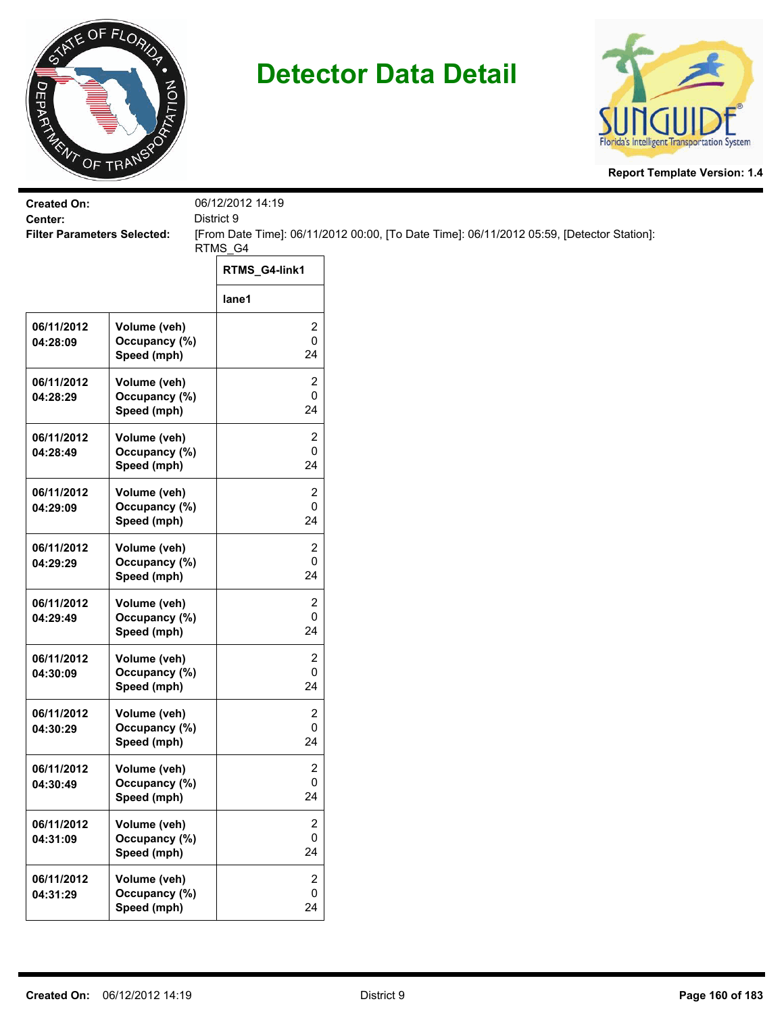



| <b>Created On:</b><br>Center:      |                                              | 06/12/2012 14:19<br>District 9     |                                                                                           |  |  |
|------------------------------------|----------------------------------------------|------------------------------------|-------------------------------------------------------------------------------------------|--|--|
| <b>Filter Parameters Selected:</b> |                                              | RTMS_G4                            | [From Date Time]: 06/11/2012 00:00, [To Date Time]: 06/11/2012 05:59, [Detector Station]: |  |  |
|                                    |                                              | RTMS_G4-link1                      |                                                                                           |  |  |
|                                    |                                              | lane1                              |                                                                                           |  |  |
| 06/11/2012<br>04:28:09             | Volume (veh)<br>Occupancy (%)<br>Speed (mph) | 2<br>0<br>24                       |                                                                                           |  |  |
| 06/11/2012<br>04:28:29             | Volume (veh)<br>Occupancy (%)<br>Speed (mph) | 2<br>0<br>24                       |                                                                                           |  |  |
| 06/11/2012<br>04:28:49             | Volume (veh)<br>Occupancy (%)<br>Speed (mph) | 2<br>0<br>24                       |                                                                                           |  |  |
| 06/11/2012<br>04:29:09             | Volume (veh)<br>Occupancy (%)<br>Speed (mph) | 2<br>0<br>24                       |                                                                                           |  |  |
| 06/11/2012<br>04:29:29             | Volume (veh)<br>Occupancy (%)<br>Speed (mph) | 2<br>0<br>24                       |                                                                                           |  |  |
| 06/11/2012<br>04:29:49             | Volume (veh)<br>Occupancy (%)<br>Speed (mph) | 2<br>0<br>24                       |                                                                                           |  |  |
| 06/11/2012<br>04:30:09             | Volume (veh)<br>Occupancy (%)<br>Speed (mph) | 2<br>0<br>24                       |                                                                                           |  |  |
| 06/11/2012<br>04:30:29             | Volume (veh)<br>Occupancy (%)<br>Speed (mph) | 2<br>0<br>24                       |                                                                                           |  |  |
| 06/11/2012<br>04:30:49             | Volume (veh)<br>Occupancy (%)<br>Speed (mph) | $\overline{\mathbf{c}}$<br>0<br>24 |                                                                                           |  |  |
| 06/11/2012<br>04:31:09             | Volume (veh)<br>Occupancy (%)<br>Speed (mph) | 2<br>0<br>24                       |                                                                                           |  |  |
| 06/11/2012<br>04:31:29             | Volume (veh)<br>Occupancy (%)<br>Speed (mph) | 2<br>0<br>24                       |                                                                                           |  |  |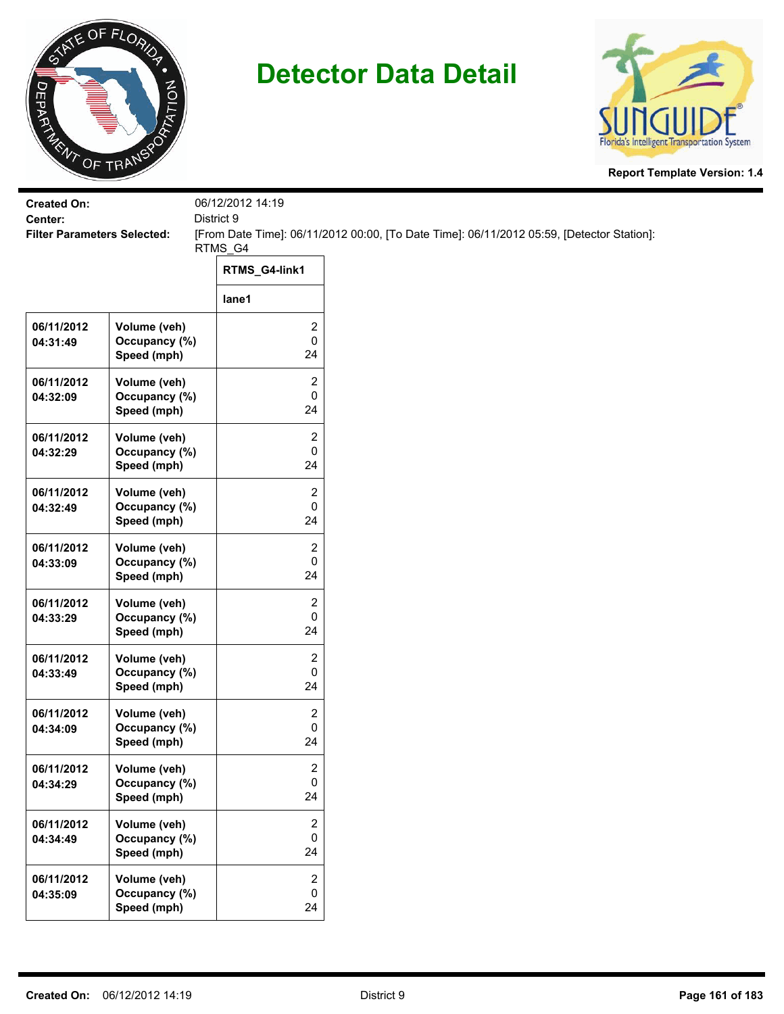



| <b>Created On:</b><br>Center:      |                                              | 06/12/2012 14:19<br>District 9     |                                                                                           |  |  |
|------------------------------------|----------------------------------------------|------------------------------------|-------------------------------------------------------------------------------------------|--|--|
| <b>Filter Parameters Selected:</b> |                                              | RTMS_G4                            | [From Date Time]: 06/11/2012 00:00, [To Date Time]: 06/11/2012 05:59, [Detector Station]: |  |  |
|                                    |                                              | RTMS_G4-link1                      |                                                                                           |  |  |
|                                    |                                              | lane1                              |                                                                                           |  |  |
| 06/11/2012<br>04:31:49             | Volume (veh)<br>Occupancy (%)<br>Speed (mph) | 2<br>0<br>24                       |                                                                                           |  |  |
| 06/11/2012<br>04:32:09             | Volume (veh)<br>Occupancy (%)<br>Speed (mph) | 2<br>0<br>24                       |                                                                                           |  |  |
| 06/11/2012<br>04:32:29             | Volume (veh)<br>Occupancy (%)<br>Speed (mph) | 2<br>0<br>24                       |                                                                                           |  |  |
| 06/11/2012<br>04:32:49             | Volume (veh)<br>Occupancy (%)<br>Speed (mph) | 2<br>0<br>24                       |                                                                                           |  |  |
| 06/11/2012<br>04:33:09             | Volume (veh)<br>Occupancy (%)<br>Speed (mph) | 2<br>0<br>24                       |                                                                                           |  |  |
| 06/11/2012<br>04:33:29             | Volume (veh)<br>Occupancy (%)<br>Speed (mph) | 2<br>0<br>24                       |                                                                                           |  |  |
| 06/11/2012<br>04:33:49             | Volume (veh)<br>Occupancy (%)<br>Speed (mph) | 2<br>0<br>24                       |                                                                                           |  |  |
| 06/11/2012<br>04:34:09             | Volume (veh)<br>Occupancy (%)<br>Speed (mph) | 2<br>0<br>24                       |                                                                                           |  |  |
| 06/11/2012<br>04:34:29             | Volume (veh)<br>Occupancy (%)<br>Speed (mph) | $\overline{\mathbf{c}}$<br>0<br>24 |                                                                                           |  |  |
| 06/11/2012<br>04:34:49             | Volume (veh)<br>Occupancy (%)<br>Speed (mph) | 2<br>0<br>24                       |                                                                                           |  |  |
| 06/11/2012<br>04:35:09             | Volume (veh)<br>Occupancy (%)<br>Speed (mph) | 2<br>0<br>24                       |                                                                                           |  |  |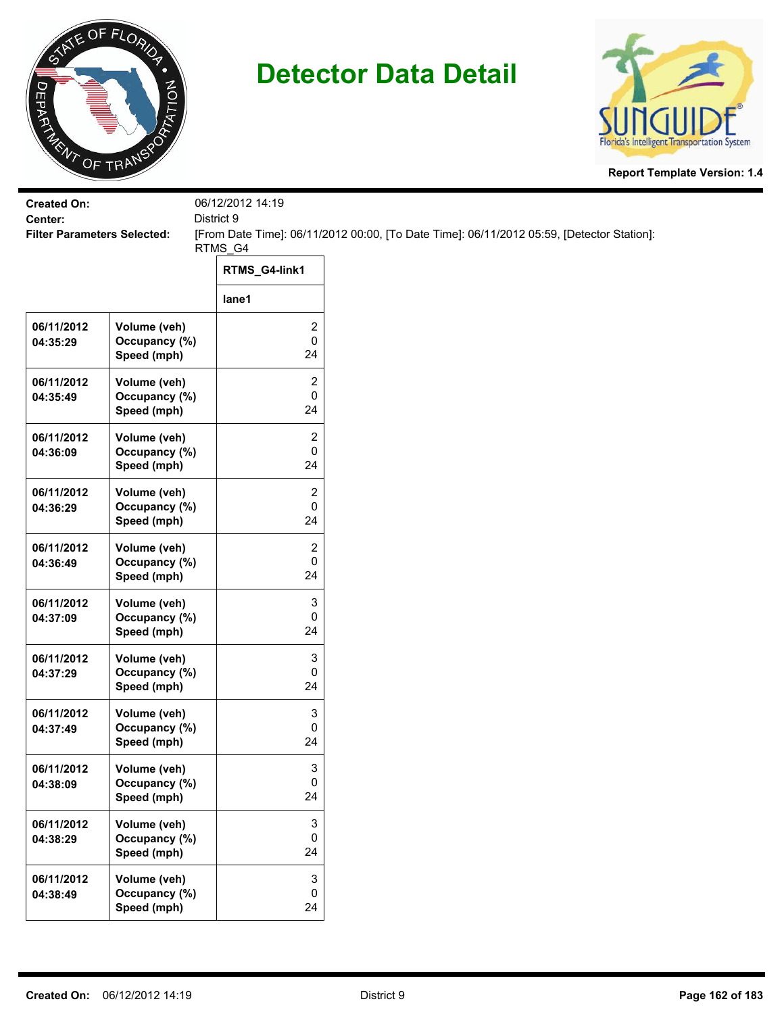



| <b>Created On:</b><br>Center:      |                                              | 06/12/2012 14:19<br>District 9       |                                                                                           |
|------------------------------------|----------------------------------------------|--------------------------------------|-------------------------------------------------------------------------------------------|
| <b>Filter Parameters Selected:</b> |                                              |                                      | [From Date Time]: 06/11/2012 00:00, [To Date Time]: 06/11/2012 05:59, [Detector Station]: |
|                                    |                                              | RTMS_G4                              |                                                                                           |
|                                    |                                              | RTMS_G4-link1                        |                                                                                           |
|                                    |                                              | lane1                                |                                                                                           |
| 06/11/2012<br>04:35:29             | Volume (veh)<br>Occupancy (%)<br>Speed (mph) | 2<br>0<br>24                         |                                                                                           |
| 06/11/2012<br>04:35:49             | Volume (veh)<br>Occupancy (%)<br>Speed (mph) | 2<br>0<br>24                         |                                                                                           |
| 06/11/2012<br>04:36:09             | Volume (veh)<br>Occupancy (%)<br>Speed (mph) | 2<br>0<br>24                         |                                                                                           |
| 06/11/2012<br>04:36:29             | Volume (veh)<br>Occupancy (%)<br>Speed (mph) | 2<br>0<br>24                         |                                                                                           |
| 06/11/2012<br>04:36:49             | Volume (veh)<br>Occupancy (%)<br>Speed (mph) | 2<br>0<br>24                         |                                                                                           |
| 06/11/2012<br>04:37:09             | Volume (veh)<br>Occupancy (%)<br>Speed (mph) | 3<br>0<br>24                         |                                                                                           |
| 06/11/2012<br>04:37:29             | Volume (veh)<br>Occupancy (%)<br>Speed (mph) | 3<br>0<br>24                         |                                                                                           |
| 06/11/2012<br>04:37:49             | Volume (veh)<br>Occupancy (%)<br>Speed (mph) | 3<br>0<br>24                         |                                                                                           |
| 06/11/2012<br>04:38:09             | Volume (veh)<br>Occupancy (%)<br>Speed (mph) | 3<br>0<br>24                         |                                                                                           |
| 06/11/2012<br>04:38:29             | Volume (veh)<br>Occupancy (%)<br>Speed (mph) | 3<br>0<br>24                         |                                                                                           |
| 06/11/2012<br>04:38:49             | Volume (veh)<br>Occupancy (%)<br>Speed (mph) | $\ensuremath{\mathsf{3}}$<br>0<br>24 |                                                                                           |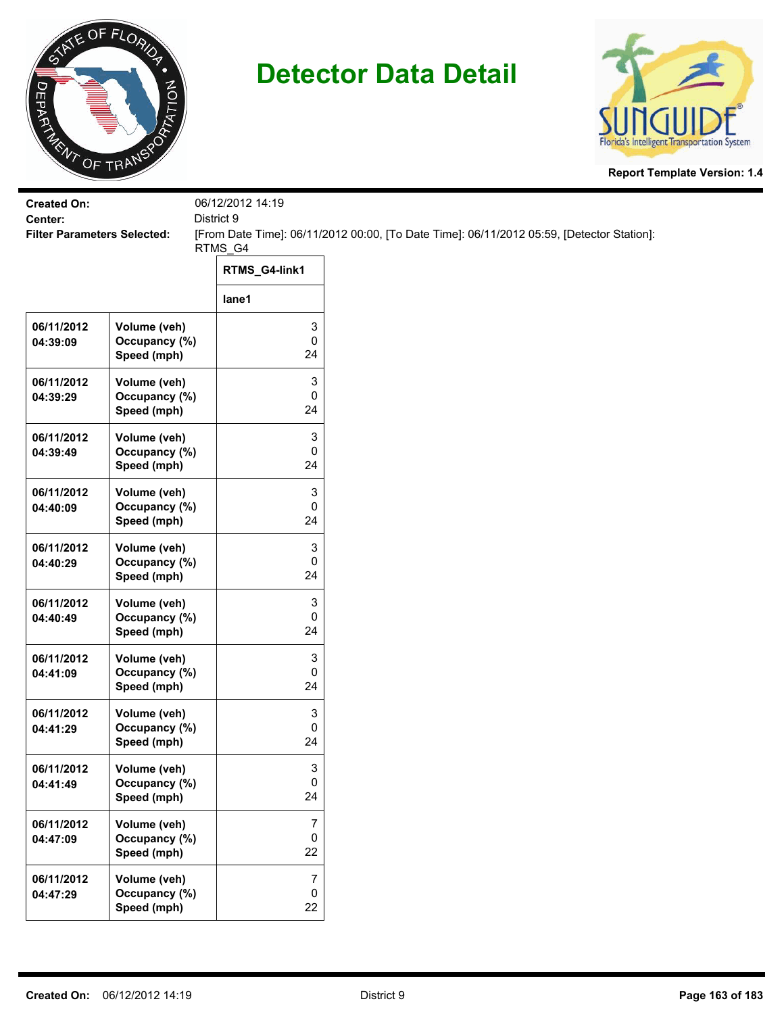



| <b>Created On:</b><br>Center:      |                                              | 06/12/2012 14:19<br>District 9 |                                                                                           |
|------------------------------------|----------------------------------------------|--------------------------------|-------------------------------------------------------------------------------------------|
| <b>Filter Parameters Selected:</b> |                                              |                                | [From Date Time]: 06/11/2012 00:00, [To Date Time]: 06/11/2012 05:59, [Detector Station]: |
|                                    |                                              | RTMS_G4                        |                                                                                           |
|                                    |                                              | RTMS_G4-link1                  |                                                                                           |
|                                    |                                              | lane1                          |                                                                                           |
| 06/11/2012<br>04:39:09             | Volume (veh)<br>Occupancy (%)<br>Speed (mph) | 3<br>0<br>24                   |                                                                                           |
| 06/11/2012<br>04:39:29             | Volume (veh)<br>Occupancy (%)<br>Speed (mph) | 3<br>0<br>24                   |                                                                                           |
| 06/11/2012<br>04:39:49             | Volume (veh)<br>Occupancy (%)<br>Speed (mph) | 3<br>0<br>24                   |                                                                                           |
| 06/11/2012<br>04:40:09             | Volume (veh)<br>Occupancy (%)<br>Speed (mph) | 3<br>0<br>24                   |                                                                                           |
| 06/11/2012<br>04:40:29             | Volume (veh)<br>Occupancy (%)<br>Speed (mph) | 3<br>0<br>24                   |                                                                                           |
| 06/11/2012<br>04:40:49             | Volume (veh)<br>Occupancy (%)<br>Speed (mph) | 3<br>0<br>24                   |                                                                                           |
| 06/11/2012<br>04:41:09             | Volume (veh)<br>Occupancy (%)<br>Speed (mph) | 3<br>0<br>24                   |                                                                                           |
| 06/11/2012<br>04:41:29             | Volume (veh)<br>Occupancy (%)<br>Speed (mph) | 3<br>0<br>24                   |                                                                                           |
| 06/11/2012<br>04:41:49             | Volume (veh)<br>Occupancy (%)<br>Speed (mph) | 3<br>0<br>24                   |                                                                                           |
| 06/11/2012<br>04:47:09             | Volume (veh)<br>Occupancy (%)<br>Speed (mph) | 7<br>0<br>22                   |                                                                                           |
| 06/11/2012<br>04:47:29             | Volume (veh)<br>Occupancy (%)<br>Speed (mph) | $\overline{7}$<br>0<br>22      |                                                                                           |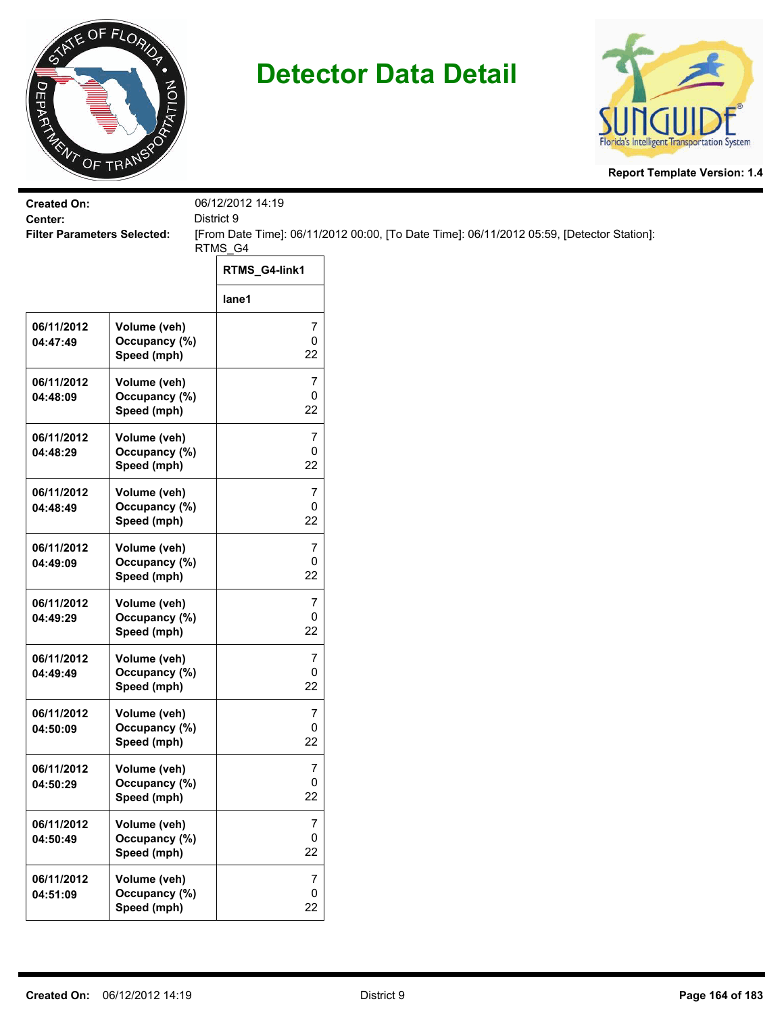



| <b>Created On:</b><br>Center:      |                                              | 06/12/2012 14:19<br>District 9 |                                                                                           |
|------------------------------------|----------------------------------------------|--------------------------------|-------------------------------------------------------------------------------------------|
| <b>Filter Parameters Selected:</b> |                                              |                                | [From Date Time]: 06/11/2012 00:00, [To Date Time]: 06/11/2012 05:59, [Detector Station]: |
|                                    |                                              | RTMS_G4                        |                                                                                           |
|                                    |                                              | RTMS_G4-link1                  |                                                                                           |
|                                    |                                              | lane1                          |                                                                                           |
| 06/11/2012<br>04:47:49             | Volume (veh)<br>Occupancy (%)<br>Speed (mph) | 7<br>0<br>22                   |                                                                                           |
| 06/11/2012<br>04:48:09             | Volume (veh)<br>Occupancy (%)<br>Speed (mph) | 7<br>0<br>22                   |                                                                                           |
| 06/11/2012<br>04:48:29             | Volume (veh)<br>Occupancy (%)<br>Speed (mph) | 7<br>0<br>22                   |                                                                                           |
| 06/11/2012<br>04:48:49             | Volume (veh)<br>Occupancy (%)<br>Speed (mph) | 7<br>0<br>22                   |                                                                                           |
| 06/11/2012<br>04:49:09             | Volume (veh)<br>Occupancy (%)<br>Speed (mph) | 7<br>0<br>22                   |                                                                                           |
| 06/11/2012<br>04:49:29             | Volume (veh)<br>Occupancy (%)<br>Speed (mph) | $\overline{7}$<br>0<br>22      |                                                                                           |
| 06/11/2012<br>04:49:49             | Volume (veh)<br>Occupancy (%)<br>Speed (mph) | 7<br>0<br>22                   |                                                                                           |
| 06/11/2012<br>04:50:09             | Volume (veh)<br>Occupancy (%)<br>Speed (mph) | 7<br>0<br>22                   |                                                                                           |
| 06/11/2012<br>04:50:29             | Volume (veh)<br>Occupancy (%)<br>Speed (mph) | 7<br>0<br>22                   |                                                                                           |
| 06/11/2012<br>04:50:49             | Volume (veh)<br>Occupancy (%)<br>Speed (mph) | 7<br>0<br>22                   |                                                                                           |
| 06/11/2012<br>04:51:09             | Volume (veh)<br>Occupancy (%)<br>Speed (mph) | $\overline{7}$<br>0<br>22      |                                                                                           |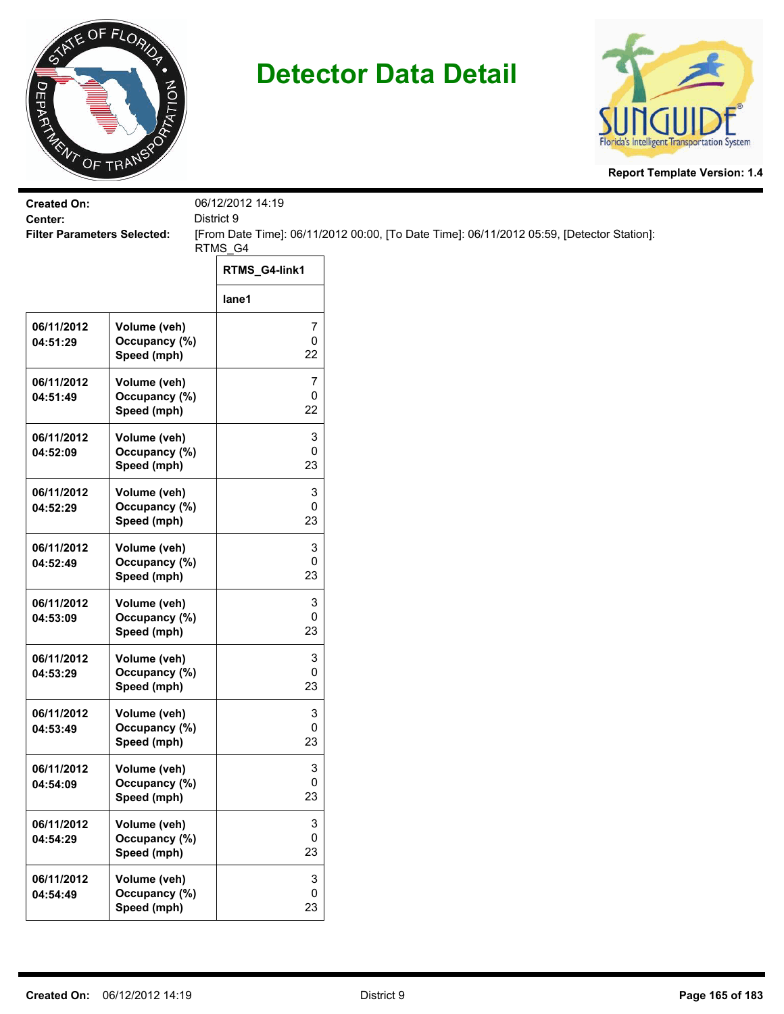



| <b>Created On:</b>                            |                                              | 06/12/2012 14:19       |                                                                                           |
|-----------------------------------------------|----------------------------------------------|------------------------|-------------------------------------------------------------------------------------------|
| Center:<br><b>Filter Parameters Selected:</b> |                                              | District 9             | [From Date Time]: 06/11/2012 00:00, [To Date Time]: 06/11/2012 05:59, [Detector Station]: |
|                                               |                                              | RTMS_G4                |                                                                                           |
|                                               |                                              | RTMS_G4-link1          |                                                                                           |
|                                               |                                              | lane1                  |                                                                                           |
| 06/11/2012<br>04:51:29                        | Volume (veh)<br>Occupancy (%)<br>Speed (mph) | 7<br>$\mathsf 0$<br>22 |                                                                                           |
| 06/11/2012<br>04:51:49                        | Volume (veh)<br>Occupancy (%)<br>Speed (mph) | 7<br>0<br>22           |                                                                                           |
| 06/11/2012<br>04:52:09                        | Volume (veh)<br>Occupancy (%)<br>Speed (mph) | 3<br>0<br>23           |                                                                                           |
| 06/11/2012<br>04:52:29                        | Volume (veh)<br>Occupancy (%)<br>Speed (mph) | 3<br>0<br>23           |                                                                                           |
| 06/11/2012<br>04:52:49                        | Volume (veh)<br>Occupancy (%)<br>Speed (mph) | 3<br>0<br>23           |                                                                                           |
| 06/11/2012<br>04:53:09                        | Volume (veh)<br>Occupancy (%)<br>Speed (mph) | 3<br>0<br>23           |                                                                                           |
| 06/11/2012<br>04:53:29                        | Volume (veh)<br>Occupancy (%)<br>Speed (mph) | 3<br>0<br>23           |                                                                                           |
| 06/11/2012<br>04:53:49                        | Volume (veh)<br>Occupancy (%)<br>Speed (mph) | 3<br>0<br>23           |                                                                                           |
| 06/11/2012<br>04:54:09                        | Volume (veh)<br>Occupancy (%)<br>Speed (mph) | 3<br>$\pmb{0}$<br>23   |                                                                                           |
| 06/11/2012<br>04:54:29                        | Volume (veh)<br>Occupancy (%)<br>Speed (mph) | 3<br>0<br>23           |                                                                                           |
| 06/11/2012<br>04:54:49                        | Volume (veh)<br>Occupancy (%)<br>Speed (mph) | 3<br>$\pmb{0}$<br>23   |                                                                                           |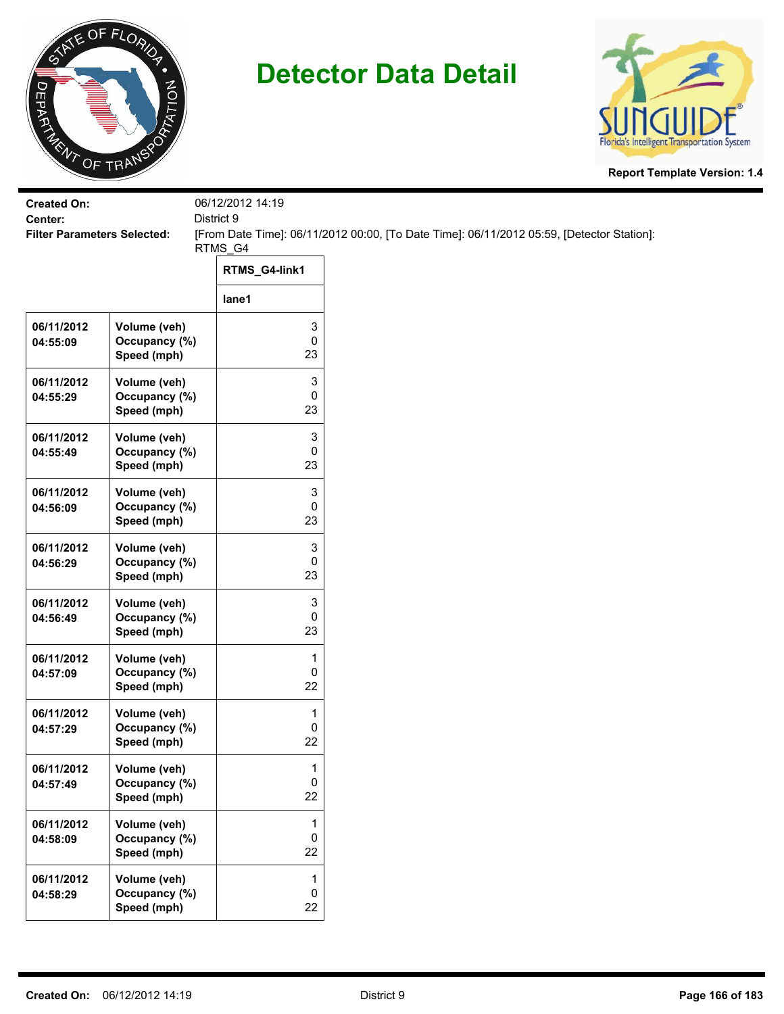



| <b>Created On:</b>                            |                               | 06/12/2012 14:19  |                                                                                           |
|-----------------------------------------------|-------------------------------|-------------------|-------------------------------------------------------------------------------------------|
| Center:<br><b>Filter Parameters Selected:</b> |                               | District 9        | [From Date Time]: 06/11/2012 00:00, [To Date Time]: 06/11/2012 05:59, [Detector Station]: |
|                                               |                               | RTMS_G4           |                                                                                           |
|                                               |                               | RTMS_G4-link1     |                                                                                           |
|                                               |                               | lane1             |                                                                                           |
| 06/11/2012                                    | Volume (veh)                  | 3                 |                                                                                           |
| 04:55:09                                      | Occupancy (%)<br>Speed (mph)  | $\mathsf 0$<br>23 |                                                                                           |
| 06/11/2012                                    | Volume (veh)                  | 3                 |                                                                                           |
| 04:55:29                                      | Occupancy (%)<br>Speed (mph)  | 0<br>23           |                                                                                           |
|                                               |                               |                   |                                                                                           |
| 06/11/2012<br>04:55:49                        | Volume (veh)<br>Occupancy (%) | 3<br>0            |                                                                                           |
|                                               | Speed (mph)                   | 23                |                                                                                           |
| 06/11/2012                                    | Volume (veh)                  | 3                 |                                                                                           |
| 04:56:09                                      | Occupancy (%)<br>Speed (mph)  | 0<br>23           |                                                                                           |
|                                               |                               |                   |                                                                                           |
| 06/11/2012<br>04:56:29                        | Volume (veh)<br>Occupancy (%) | 3<br>0            |                                                                                           |
|                                               | Speed (mph)                   | 23                |                                                                                           |
| 06/11/2012                                    | Volume (veh)                  | 3                 |                                                                                           |
| 04:56:49                                      | Occupancy (%)                 | $\pmb{0}$<br>23   |                                                                                           |
|                                               | Speed (mph)                   |                   |                                                                                           |
| 06/11/2012<br>04:57:09                        | Volume (veh)<br>Occupancy (%) | 1<br>$\pmb{0}$    |                                                                                           |
|                                               | Speed (mph)                   | 22                |                                                                                           |
| 06/11/2012                                    | Volume (veh)                  | 1                 |                                                                                           |
| 04:57:29                                      | Occupancy (%)                 | 0                 |                                                                                           |
|                                               | Speed (mph)                   | 22                |                                                                                           |
| 06/11/2012                                    | Volume (veh)                  | 1                 |                                                                                           |
| 04:57:49                                      | Occupancy (%)<br>Speed (mph)  | $\pmb{0}$<br>22   |                                                                                           |
|                                               |                               |                   |                                                                                           |
| 06/11/2012<br>04:58:09                        | Volume (veh)<br>Occupancy (%) | 1<br>$\mathsf 0$  |                                                                                           |
|                                               | Speed (mph)                   | 22                |                                                                                           |
| 06/11/2012                                    | Volume (veh)                  | $\mathbf{1}$      |                                                                                           |
| 04:58:29                                      | Occupancy (%)                 | $\pmb{0}$         |                                                                                           |
|                                               | Speed (mph)                   | 22                |                                                                                           |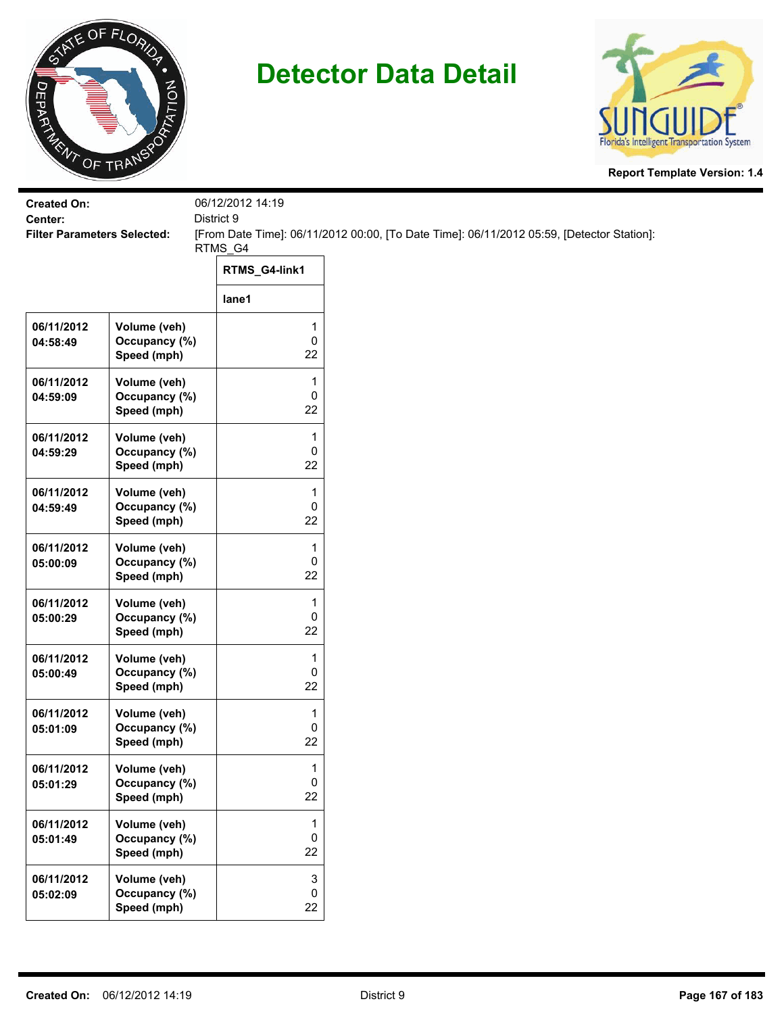



| <b>Created On:</b><br>Center:      |                                              | 06/12/2012 14:19<br>District 9       |                                                                                           |
|------------------------------------|----------------------------------------------|--------------------------------------|-------------------------------------------------------------------------------------------|
| <b>Filter Parameters Selected:</b> |                                              |                                      | [From Date Time]: 06/11/2012 00:00, [To Date Time]: 06/11/2012 05:59, [Detector Station]: |
|                                    |                                              | RTMS_G4                              |                                                                                           |
|                                    |                                              | RTMS_G4-link1                        |                                                                                           |
|                                    |                                              | lane1                                |                                                                                           |
| 06/11/2012<br>04:58:49             | Volume (veh)<br>Occupancy (%)<br>Speed (mph) | 1<br>0<br>22                         |                                                                                           |
| 06/11/2012<br>04:59:09             | Volume (veh)<br>Occupancy (%)<br>Speed (mph) | 1<br>0<br>22                         |                                                                                           |
| 06/11/2012<br>04:59:29             | Volume (veh)<br>Occupancy (%)<br>Speed (mph) | 1<br>0<br>22                         |                                                                                           |
| 06/11/2012<br>04:59:49             | Volume (veh)<br>Occupancy (%)<br>Speed (mph) | 1<br>0<br>22                         |                                                                                           |
| 06/11/2012<br>05:00:09             | Volume (veh)<br>Occupancy (%)<br>Speed (mph) | $\mathbf{1}$<br>0<br>22              |                                                                                           |
| 06/11/2012<br>05:00:29             | Volume (veh)<br>Occupancy (%)<br>Speed (mph) | 1<br>0<br>22                         |                                                                                           |
| 06/11/2012<br>05:00:49             | Volume (veh)<br>Occupancy (%)<br>Speed (mph) | 1<br>0<br>22                         |                                                                                           |
| 06/11/2012<br>05:01:09             | Volume (veh)<br>Occupancy (%)<br>Speed (mph) | 1<br>0<br>22                         |                                                                                           |
| 06/11/2012<br>05:01:29             | Volume (veh)<br>Occupancy (%)<br>Speed (mph) | 1<br>0<br>22                         |                                                                                           |
| 06/11/2012<br>05:01:49             | Volume (veh)<br>Occupancy (%)<br>Speed (mph) | 1<br>0<br>22                         |                                                                                           |
| 06/11/2012<br>05:02:09             | Volume (veh)<br>Occupancy (%)<br>Speed (mph) | $\ensuremath{\mathsf{3}}$<br>0<br>22 |                                                                                           |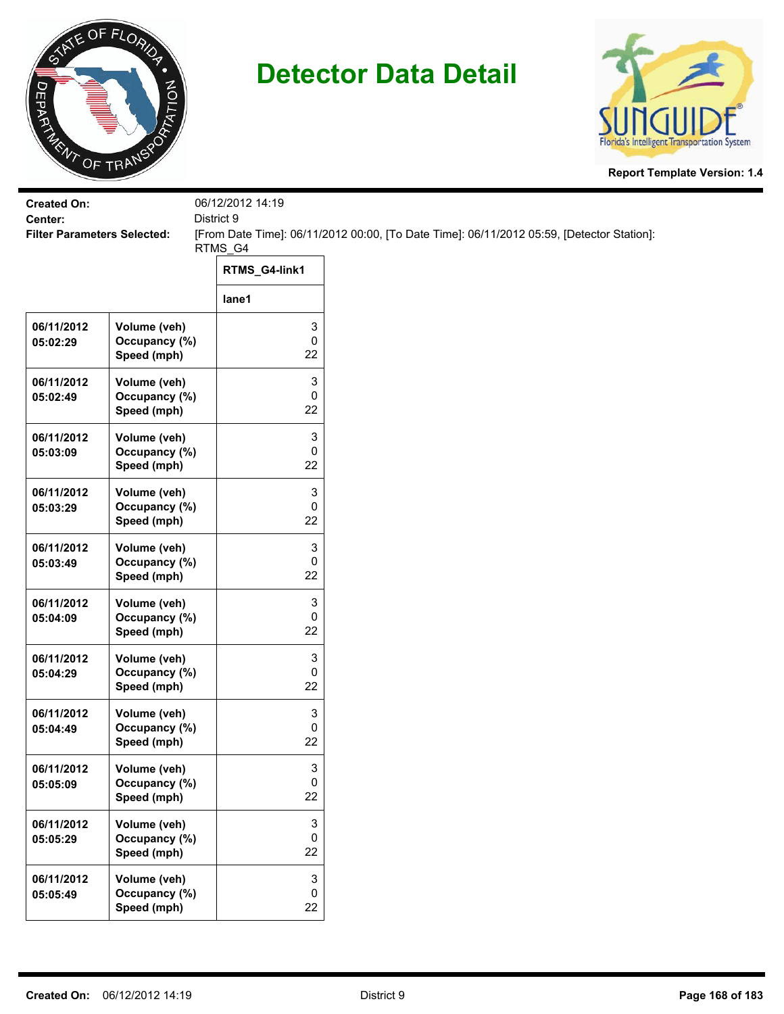



| <b>Created On:</b>                            |                                              | 06/12/2012 14:19               |                                                                                           |
|-----------------------------------------------|----------------------------------------------|--------------------------------|-------------------------------------------------------------------------------------------|
| Center:<br><b>Filter Parameters Selected:</b> |                                              | District 9                     | [From Date Time]: 06/11/2012 00:00, [To Date Time]: 06/11/2012 05:59, [Detector Station]: |
|                                               |                                              | RTMS_G4                        |                                                                                           |
|                                               |                                              | RTMS_G4-link1                  |                                                                                           |
|                                               |                                              | lane1                          |                                                                                           |
| 06/11/2012<br>05:02:29                        | Volume (veh)<br>Occupancy (%)<br>Speed (mph) | 3<br>$\pmb{0}$<br>22           |                                                                                           |
| 06/11/2012<br>05:02:49                        | Volume (veh)<br>Occupancy (%)<br>Speed (mph) | 3<br>$\pmb{0}$<br>22           |                                                                                           |
| 06/11/2012<br>05:03:09                        | Volume (veh)<br>Occupancy (%)<br>Speed (mph) | 3<br>0<br>22                   |                                                                                           |
| 06/11/2012<br>05:03:29                        | Volume (veh)<br>Occupancy (%)<br>Speed (mph) | 3<br>0<br>22                   |                                                                                           |
| 06/11/2012<br>05:03:49                        | Volume (veh)<br>Occupancy (%)<br>Speed (mph) | 3<br>0<br>22                   |                                                                                           |
| 06/11/2012<br>05:04:09                        | Volume (veh)<br>Occupancy (%)<br>Speed (mph) | 3<br>0<br>22                   |                                                                                           |
| 06/11/2012<br>05:04:29                        | Volume (veh)<br>Occupancy (%)<br>Speed (mph) | 3<br>$\pmb{0}$<br>22           |                                                                                           |
| 06/11/2012<br>05:04:49                        | Volume (veh)<br>Occupancy (%)<br>Speed (mph) | 3<br>0<br>22                   |                                                                                           |
| 06/11/2012<br>05:05:09                        | Volume (veh)<br>Occupancy (%)<br>Speed (mph) | 3<br>$\mathbf 0$<br>22         |                                                                                           |
| 06/11/2012<br>05:05:29                        | Volume (veh)<br>Occupancy (%)<br>Speed (mph) | 3<br>$\mathsf{O}$<br>22        |                                                                                           |
| 06/11/2012<br>05:05:49                        | Volume (veh)<br>Occupancy (%)<br>Speed (mph) | 3<br>$\mathsf{O}\xspace$<br>22 |                                                                                           |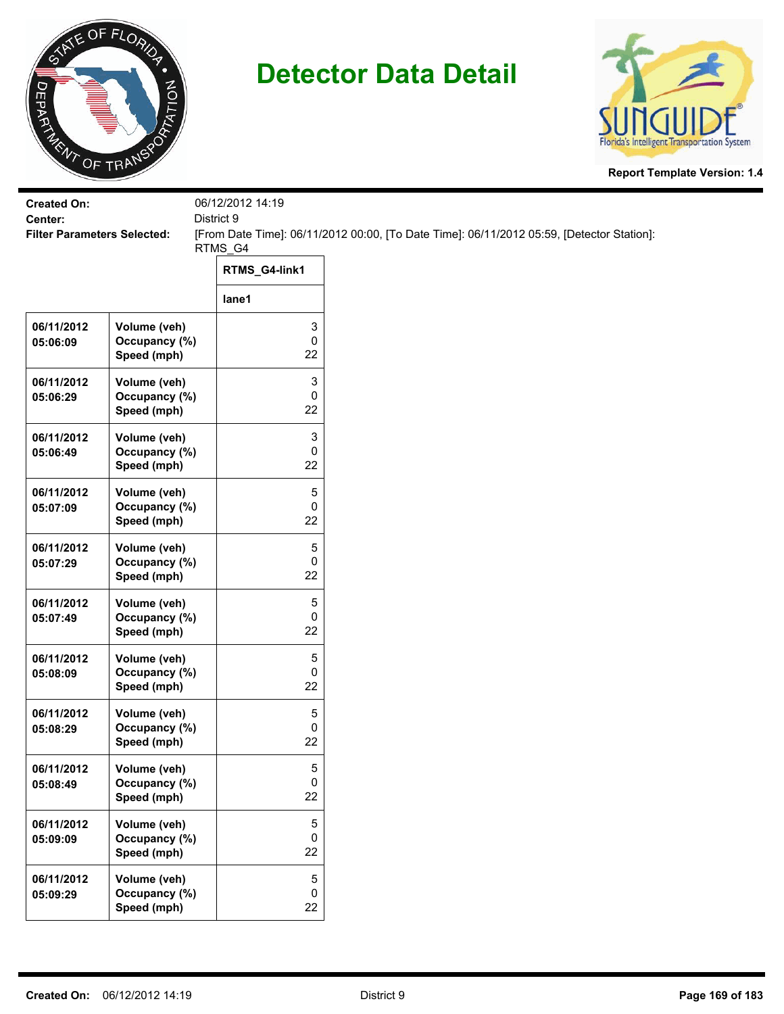



| <b>Created On:</b><br>Center:      |                                              | 06/12/2012 14:19<br>District 9 |                                                                                           |
|------------------------------------|----------------------------------------------|--------------------------------|-------------------------------------------------------------------------------------------|
| <b>Filter Parameters Selected:</b> |                                              |                                | [From Date Time]: 06/11/2012 00:00, [To Date Time]: 06/11/2012 05:59, [Detector Station]: |
|                                    |                                              | RTMS_G4                        |                                                                                           |
|                                    |                                              | RTMS_G4-link1                  |                                                                                           |
|                                    |                                              | lane1                          |                                                                                           |
| 06/11/2012<br>05:06:09             | Volume (veh)<br>Occupancy (%)<br>Speed (mph) | 3<br>0<br>22                   |                                                                                           |
| 06/11/2012<br>05:06:29             | Volume (veh)<br>Occupancy (%)<br>Speed (mph) | 3<br>0<br>22                   |                                                                                           |
| 06/11/2012<br>05:06:49             | Volume (veh)<br>Occupancy (%)<br>Speed (mph) | 3<br>0<br>22                   |                                                                                           |
| 06/11/2012<br>05:07:09             | Volume (veh)<br>Occupancy (%)<br>Speed (mph) | 5<br>0<br>22                   |                                                                                           |
| 06/11/2012<br>05:07:29             | Volume (veh)<br>Occupancy (%)<br>Speed (mph) | 5<br>0<br>22                   |                                                                                           |
| 06/11/2012<br>05:07:49             | Volume (veh)<br>Occupancy (%)<br>Speed (mph) | 5<br>0<br>22                   |                                                                                           |
| 06/11/2012<br>05:08:09             | Volume (veh)<br>Occupancy (%)<br>Speed (mph) | 5<br>0<br>22                   |                                                                                           |
| 06/11/2012<br>05:08:29             | Volume (veh)<br>Occupancy (%)<br>Speed (mph) | 5<br>0<br>22                   |                                                                                           |
| 06/11/2012<br>05:08:49             | Volume (veh)<br>Occupancy (%)<br>Speed (mph) | 5<br>0<br>22                   |                                                                                           |
| 06/11/2012<br>05:09:09             | Volume (veh)<br>Occupancy (%)<br>Speed (mph) | 5<br>0<br>22                   |                                                                                           |
| 06/11/2012<br>05:09:29             | Volume (veh)<br>Occupancy (%)<br>Speed (mph) | 5<br>0<br>22                   |                                                                                           |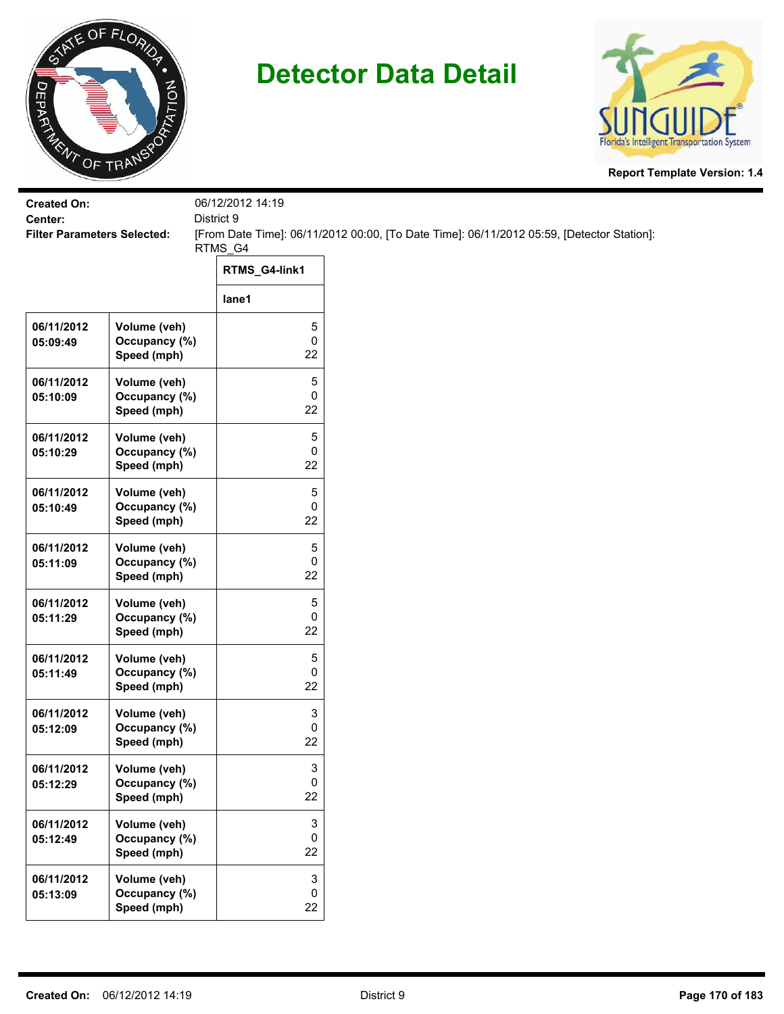



| <b>Created On:</b>                            |                                              | 06/12/2012 14:19       |                                                                                           |
|-----------------------------------------------|----------------------------------------------|------------------------|-------------------------------------------------------------------------------------------|
| Center:<br><b>Filter Parameters Selected:</b> |                                              | District 9             | [From Date Time]: 06/11/2012 00:00, [To Date Time]: 06/11/2012 05:59, [Detector Station]: |
|                                               |                                              | RTMS_G4                |                                                                                           |
|                                               |                                              | RTMS_G4-link1          |                                                                                           |
|                                               |                                              | lane1                  |                                                                                           |
| 06/11/2012<br>05:09:49                        | Volume (veh)<br>Occupancy (%)<br>Speed (mph) | 5<br>$\pmb{0}$<br>22   |                                                                                           |
| 06/11/2012<br>05:10:09                        | Volume (veh)<br>Occupancy (%)<br>Speed (mph) | 5<br>0<br>22           |                                                                                           |
| 06/11/2012<br>05:10:29                        | Volume (veh)<br>Occupancy (%)<br>Speed (mph) | 5<br>0<br>22           |                                                                                           |
| 06/11/2012<br>05:10:49                        | Volume (veh)<br>Occupancy (%)<br>Speed (mph) | 5<br>0<br>22           |                                                                                           |
| 06/11/2012<br>05:11:09                        | Volume (veh)<br>Occupancy (%)<br>Speed (mph) | 5<br>0<br>22           |                                                                                           |
| 06/11/2012<br>05:11:29                        | Volume (veh)<br>Occupancy (%)<br>Speed (mph) | 5<br>$\pmb{0}$<br>22   |                                                                                           |
| 06/11/2012<br>05:11:49                        | Volume (veh)<br>Occupancy (%)<br>Speed (mph) | 5<br>0<br>22           |                                                                                           |
| 06/11/2012<br>05:12:09                        | Volume (veh)<br>Occupancy (%)<br>Speed (mph) | 3<br>0<br>22           |                                                                                           |
| 06/11/2012<br>05:12:29                        | Volume (veh)<br>Occupancy (%)<br>Speed (mph) | 3<br>0<br>22           |                                                                                           |
| 06/11/2012<br>05:12:49                        | Volume (veh)<br>Occupancy (%)<br>Speed (mph) | 3<br>$\mathbf 0$<br>22 |                                                                                           |
| 06/11/2012<br>05:13:09                        | Volume (veh)<br>Occupancy (%)<br>Speed (mph) | 3<br>$\pmb{0}$<br>22   |                                                                                           |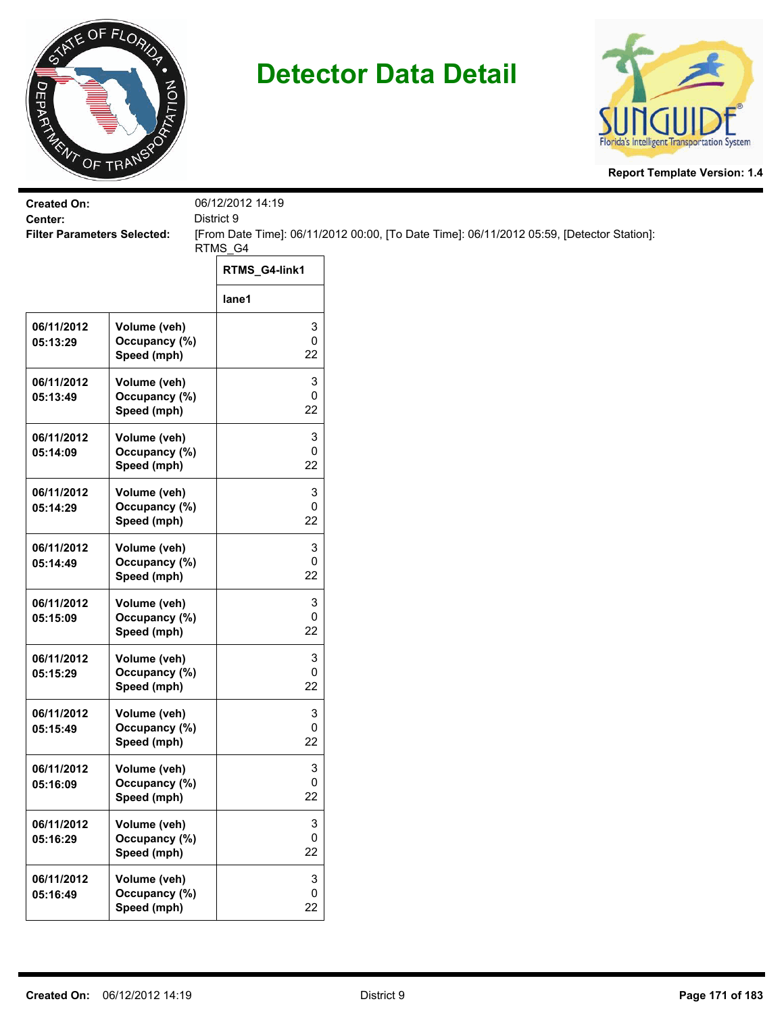



| <b>Created On:</b><br>Center:      |                                              | 06/12/2012 14:19<br>District 9 |                                                                                           |  |  |
|------------------------------------|----------------------------------------------|--------------------------------|-------------------------------------------------------------------------------------------|--|--|
| <b>Filter Parameters Selected:</b> |                                              | RTMS_G4                        | [From Date Time]: 06/11/2012 00:00, [To Date Time]: 06/11/2012 05:59, [Detector Station]: |  |  |
|                                    |                                              | RTMS_G4-link1                  |                                                                                           |  |  |
|                                    |                                              | lane1                          |                                                                                           |  |  |
| 06/11/2012<br>05:13:29             | Volume (veh)<br>Occupancy (%)<br>Speed (mph) | 3<br>0<br>22                   |                                                                                           |  |  |
| 06/11/2012<br>05:13:49             | Volume (veh)<br>Occupancy (%)<br>Speed (mph) | 3<br>0<br>22                   |                                                                                           |  |  |
| 06/11/2012<br>05:14:09             | Volume (veh)<br>Occupancy (%)<br>Speed (mph) | 3<br>0<br>22                   |                                                                                           |  |  |
| 06/11/2012<br>05:14:29             | Volume (veh)<br>Occupancy (%)<br>Speed (mph) | 3<br>0<br>22                   |                                                                                           |  |  |
| 06/11/2012<br>05:14:49             | Volume (veh)<br>Occupancy (%)<br>Speed (mph) | 3<br>0<br>22                   |                                                                                           |  |  |
| 06/11/2012<br>05:15:09             | Volume (veh)<br>Occupancy (%)<br>Speed (mph) | 3<br>0<br>22                   |                                                                                           |  |  |
| 06/11/2012<br>05:15:29             | Volume (veh)<br>Occupancy (%)<br>Speed (mph) | 3<br>0<br>22                   |                                                                                           |  |  |
| 06/11/2012<br>05:15:49             | Volume (veh)<br>Occupancy (%)<br>Speed (mph) | 3<br>0<br>22                   |                                                                                           |  |  |
| 06/11/2012<br>05:16:09             | Volume (veh)<br>Occupancy (%)<br>Speed (mph) | 3<br>0<br>22                   |                                                                                           |  |  |
| 06/11/2012<br>05:16:29             | Volume (veh)<br>Occupancy (%)<br>Speed (mph) | 3<br>0<br>22                   |                                                                                           |  |  |
| 06/11/2012<br>05:16:49             | Volume (veh)<br>Occupancy (%)<br>Speed (mph) | 3<br>0<br>22                   |                                                                                           |  |  |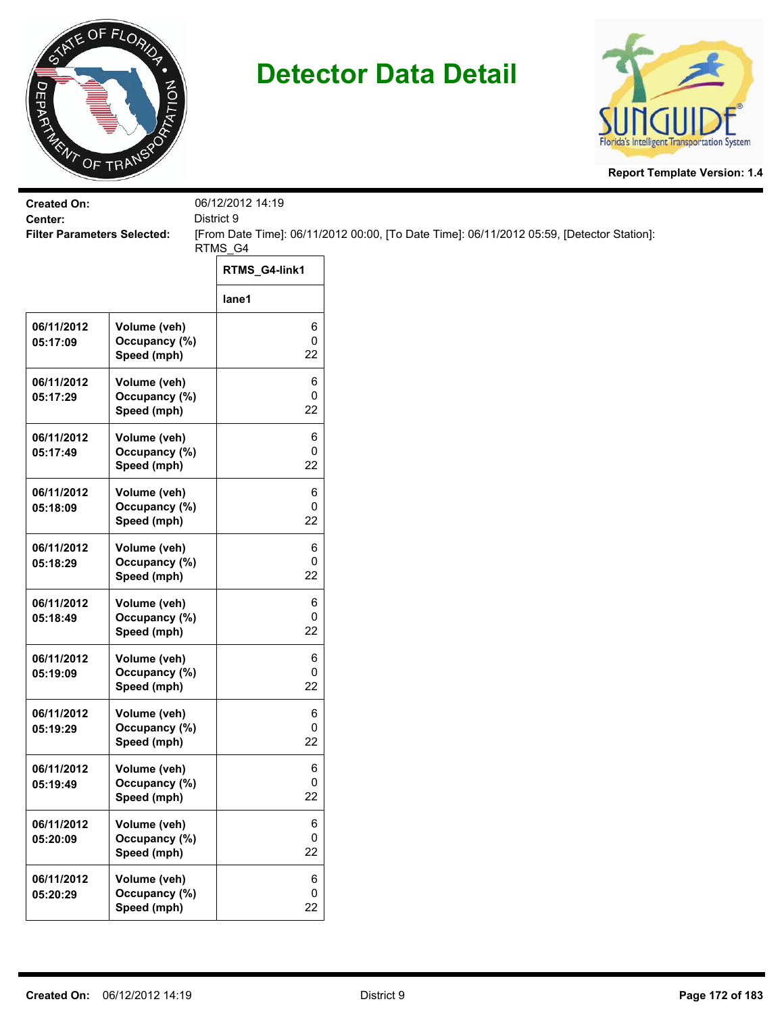



| <b>Created On:</b>                            |                                              | 06/12/2012 14:19 |                                                                                           |
|-----------------------------------------------|----------------------------------------------|------------------|-------------------------------------------------------------------------------------------|
| Center:<br><b>Filter Parameters Selected:</b> |                                              | District 9       | [From Date Time]: 06/11/2012 00:00, [To Date Time]: 06/11/2012 05:59, [Detector Station]: |
|                                               |                                              | RTMS_G4          |                                                                                           |
|                                               |                                              | RTMS_G4-link1    |                                                                                           |
|                                               |                                              | lane1            |                                                                                           |
| 06/11/2012<br>05:17:09                        | Volume (veh)<br>Occupancy (%)<br>Speed (mph) | 6<br>0<br>22     |                                                                                           |
| 06/11/2012<br>05:17:29                        | Volume (veh)<br>Occupancy (%)<br>Speed (mph) | 6<br>0<br>22     |                                                                                           |
| 06/11/2012<br>05:17:49                        | Volume (veh)<br>Occupancy (%)<br>Speed (mph) | 6<br>0<br>22     |                                                                                           |
| 06/11/2012<br>05:18:09                        | Volume (veh)<br>Occupancy (%)<br>Speed (mph) | 6<br>0<br>22     |                                                                                           |
| 06/11/2012<br>05:18:29                        | Volume (veh)<br>Occupancy (%)<br>Speed (mph) | 6<br>0<br>22     |                                                                                           |
| 06/11/2012<br>05:18:49                        | Volume (veh)<br>Occupancy (%)<br>Speed (mph) | 6<br>0<br>22     |                                                                                           |
| 06/11/2012<br>05:19:09                        | Volume (veh)<br>Occupancy (%)<br>Speed (mph) | 6<br>0<br>22     |                                                                                           |
| 06/11/2012<br>05:19:29                        | Volume (veh)<br>Occupancy (%)<br>Speed (mph) | 6<br>0<br>22     |                                                                                           |
| 06/11/2012<br>05:19:49                        | Volume (veh)<br>Occupancy (%)<br>Speed (mph) | 6<br>0<br>22     |                                                                                           |
| 06/11/2012<br>05:20:09                        | Volume (veh)<br>Occupancy (%)<br>Speed (mph) | 6<br>0<br>22     |                                                                                           |
| 06/11/2012<br>05:20:29                        | Volume (veh)<br>Occupancy (%)<br>Speed (mph) | 6<br>0<br>22     |                                                                                           |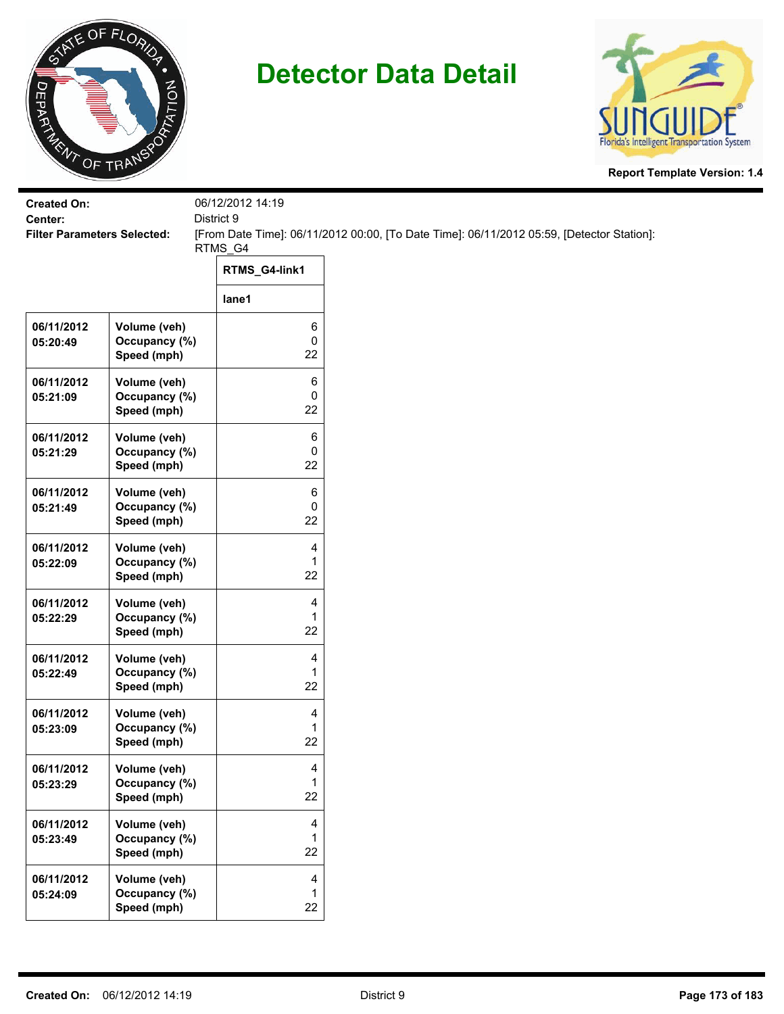



| <b>Created On:</b><br>Center:      |                                              | 06/12/2012 14:19<br>District 9 |                                                                                           |  |
|------------------------------------|----------------------------------------------|--------------------------------|-------------------------------------------------------------------------------------------|--|
| <b>Filter Parameters Selected:</b> |                                              |                                | [From Date Time]: 06/11/2012 00:00, [To Date Time]: 06/11/2012 05:59, [Detector Station]: |  |
|                                    |                                              | RTMS_G4                        |                                                                                           |  |
|                                    |                                              | RTMS_G4-link1                  |                                                                                           |  |
|                                    |                                              | lane1                          |                                                                                           |  |
| 06/11/2012<br>05:20:49             | Volume (veh)<br>Occupancy (%)<br>Speed (mph) | 6<br>0<br>22                   |                                                                                           |  |
| 06/11/2012<br>05:21:09             | Volume (veh)<br>Occupancy (%)<br>Speed (mph) | 6<br>0<br>22                   |                                                                                           |  |
| 06/11/2012<br>05:21:29             | Volume (veh)<br>Occupancy (%)<br>Speed (mph) | 6<br>0<br>22                   |                                                                                           |  |
| 06/11/2012<br>05:21:49             | Volume (veh)<br>Occupancy (%)<br>Speed (mph) | 6<br>0<br>22                   |                                                                                           |  |
| 06/11/2012<br>05:22:09             | Volume (veh)<br>Occupancy (%)<br>Speed (mph) | 4<br>1<br>22                   |                                                                                           |  |
| 06/11/2012<br>05:22:29             | Volume (veh)<br>Occupancy (%)<br>Speed (mph) | 4<br>1<br>22                   |                                                                                           |  |
| 06/11/2012<br>05:22:49             | Volume (veh)<br>Occupancy (%)<br>Speed (mph) | 4<br>$\mathbf{1}$<br>22        |                                                                                           |  |
| 06/11/2012<br>05:23:09             | Volume (veh)<br>Occupancy (%)<br>Speed (mph) | 4<br>1<br>22                   |                                                                                           |  |
| 06/11/2012<br>05:23:29             | Volume (veh)<br>Occupancy (%)<br>Speed (mph) | 4<br>1<br>22                   |                                                                                           |  |
| 06/11/2012<br>05:23:49             | Volume (veh)<br>Occupancy (%)<br>Speed (mph) | 4<br>1<br>22                   |                                                                                           |  |
| 06/11/2012<br>05:24:09             | Volume (veh)<br>Occupancy (%)<br>Speed (mph) | 4<br>1<br>22                   |                                                                                           |  |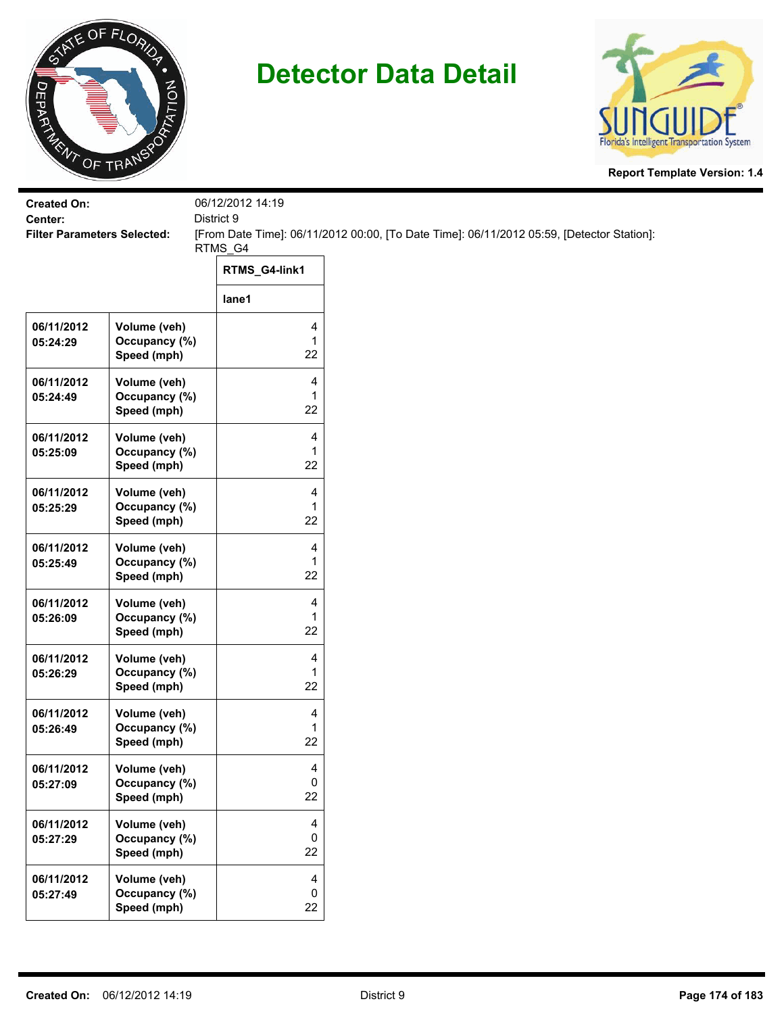



| <b>Created On:</b><br>Center:      |                                              | 06/12/2012 14:19<br>District 9 |                                                                                           |
|------------------------------------|----------------------------------------------|--------------------------------|-------------------------------------------------------------------------------------------|
| <b>Filter Parameters Selected:</b> |                                              | RTMS_G4                        | [From Date Time]: 06/11/2012 00:00, [To Date Time]: 06/11/2012 05:59, [Detector Station]: |
|                                    |                                              | RTMS_G4-link1                  |                                                                                           |
|                                    |                                              | lane1                          |                                                                                           |
| 06/11/2012<br>05:24:29             | Volume (veh)<br>Occupancy (%)<br>Speed (mph) | 4<br>1<br>22                   |                                                                                           |
| 06/11/2012<br>05:24:49             | Volume (veh)<br>Occupancy (%)<br>Speed (mph) | 4<br>$\mathbf{1}$<br>22        |                                                                                           |
| 06/11/2012<br>05:25:09             | Volume (veh)<br>Occupancy (%)<br>Speed (mph) | 4<br>1<br>22                   |                                                                                           |
| 06/11/2012<br>05:25:29             | Volume (veh)<br>Occupancy (%)<br>Speed (mph) | 4<br>1<br>22                   |                                                                                           |
| 06/11/2012<br>05:25:49             | Volume (veh)<br>Occupancy (%)<br>Speed (mph) | 4<br>1<br>22                   |                                                                                           |
| 06/11/2012<br>05:26:09             | Volume (veh)<br>Occupancy (%)<br>Speed (mph) | 4<br>1<br>22                   |                                                                                           |
| 06/11/2012<br>05:26:29             | Volume (veh)<br>Occupancy (%)<br>Speed (mph) | 4<br>1<br>22                   |                                                                                           |
| 06/11/2012<br>05:26:49             | Volume (veh)<br>Occupancy (%)<br>Speed (mph) | 4<br>1<br>22                   |                                                                                           |
| 06/11/2012<br>05:27:09             | Volume (veh)<br>Occupancy (%)<br>Speed (mph) | 4<br>0<br>22                   |                                                                                           |
| 06/11/2012<br>05:27:29             | Volume (veh)<br>Occupancy (%)<br>Speed (mph) | 4<br>0<br>22                   |                                                                                           |
| 06/11/2012<br>05:27:49             | Volume (veh)<br>Occupancy (%)<br>Speed (mph) | 4<br>0<br>22                   |                                                                                           |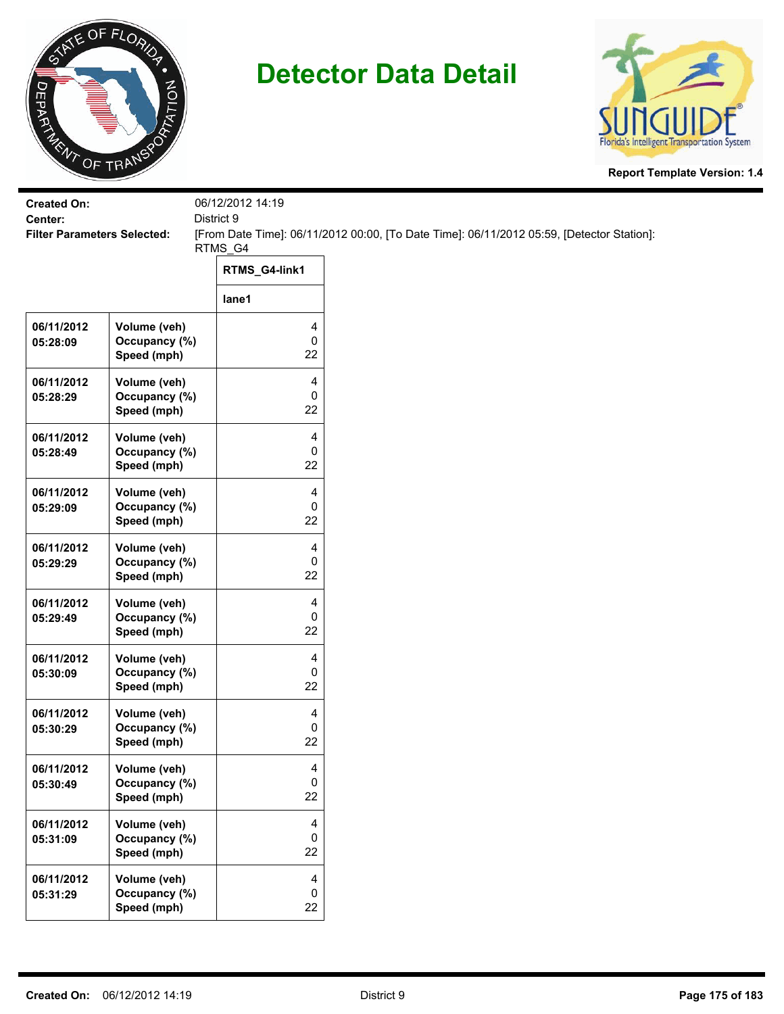



| <b>Created On:</b>                            |                               | 06/12/2012 14:19  |                                                                                           |
|-----------------------------------------------|-------------------------------|-------------------|-------------------------------------------------------------------------------------------|
| Center:<br><b>Filter Parameters Selected:</b> |                               | District 9        |                                                                                           |
|                                               |                               | RTMS_G4           | [From Date Time]: 06/11/2012 00:00, [To Date Time]: 06/11/2012 05:59, [Detector Station]: |
|                                               |                               | RTMS_G4-link1     |                                                                                           |
|                                               |                               | lane1             |                                                                                           |
| 06/11/2012<br>05:28:09                        | Volume (veh)<br>Occupancy (%) | 4<br>0            |                                                                                           |
|                                               | Speed (mph)                   | 22                |                                                                                           |
| 06/11/2012                                    | Volume (veh)<br>Occupancy (%) | 4<br>0            |                                                                                           |
| 05:28:29                                      | Speed (mph)                   | 22                |                                                                                           |
| 06/11/2012                                    | Volume (veh)                  | 4                 |                                                                                           |
| 05:28:49                                      | Occupancy (%)<br>Speed (mph)  | 0<br>22           |                                                                                           |
| 06/11/2012                                    | Volume (veh)                  | 4                 |                                                                                           |
| 05:29:09                                      | Occupancy (%)<br>Speed (mph)  | 0<br>22           |                                                                                           |
| 06/11/2012                                    | Volume (veh)                  | 4                 |                                                                                           |
| 05:29:29                                      | Occupancy (%)<br>Speed (mph)  | 0<br>22           |                                                                                           |
| 06/11/2012                                    | Volume (veh)                  | 4                 |                                                                                           |
| 05:29:49                                      | Occupancy (%)<br>Speed (mph)  | 0<br>22           |                                                                                           |
| 06/11/2012                                    | Volume (veh)                  | 4                 |                                                                                           |
| 05:30:09                                      | Occupancy (%)<br>Speed (mph)  | 0<br>22           |                                                                                           |
| 06/11/2012                                    | Volume (veh)                  | 4                 |                                                                                           |
| 05:30:29                                      | Occupancy (%)<br>Speed (mph)  | 0<br>22           |                                                                                           |
| 06/11/2012                                    | Volume (veh)                  | 4                 |                                                                                           |
| 05:30:49                                      | Occupancy (%)<br>Speed (mph)  | $\mathbf 0$<br>22 |                                                                                           |
| 06/11/2012                                    | Volume (veh)                  | 4                 |                                                                                           |
| 05:31:09                                      | Occupancy (%)<br>Speed (mph)  | $\mathbf 0$<br>22 |                                                                                           |
| 06/11/2012                                    | Volume (veh)                  | 4                 |                                                                                           |
| 05:31:29                                      | Occupancy (%)                 | 0                 |                                                                                           |
|                                               | Speed (mph)                   | 22                |                                                                                           |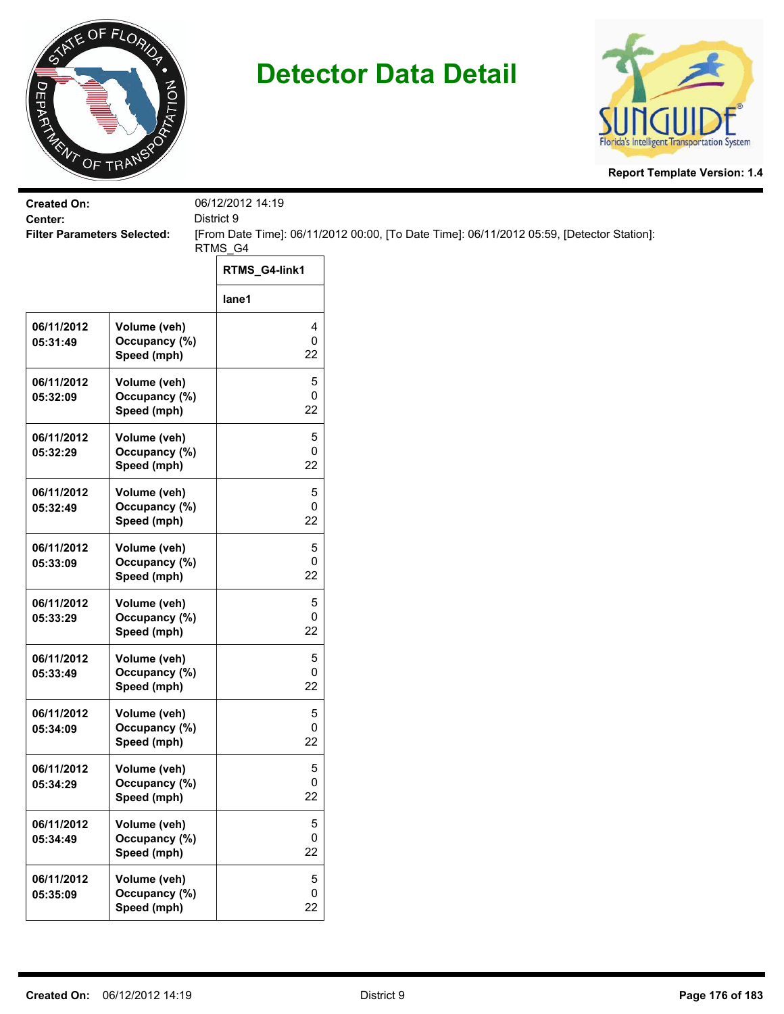



| <b>Created On:</b>                            |                                              | 06/12/2012 14:19<br>District 9 |                                                                                           |
|-----------------------------------------------|----------------------------------------------|--------------------------------|-------------------------------------------------------------------------------------------|
| Center:<br><b>Filter Parameters Selected:</b> |                                              |                                | [From Date Time]: 06/11/2012 00:00, [To Date Time]: 06/11/2012 05:59, [Detector Station]: |
|                                               |                                              | RTMS_G4                        |                                                                                           |
|                                               |                                              | RTMS_G4-link1                  |                                                                                           |
|                                               |                                              | lane1                          |                                                                                           |
| 06/11/2012<br>05:31:49                        | Volume (veh)<br>Occupancy (%)<br>Speed (mph) | 4<br>0<br>22                   |                                                                                           |
| 06/11/2012<br>05:32:09                        | Volume (veh)<br>Occupancy (%)<br>Speed (mph) | 5<br>0<br>22                   |                                                                                           |
| 06/11/2012<br>05:32:29                        | Volume (veh)<br>Occupancy (%)<br>Speed (mph) | 5<br>0<br>22                   |                                                                                           |
| 06/11/2012<br>05:32:49                        | Volume (veh)<br>Occupancy (%)<br>Speed (mph) | 5<br>0<br>22                   |                                                                                           |
| 06/11/2012<br>05:33:09                        | Volume (veh)<br>Occupancy (%)<br>Speed (mph) | 5<br>0<br>22                   |                                                                                           |
| 06/11/2012<br>05:33:29                        | Volume (veh)<br>Occupancy (%)<br>Speed (mph) | 5<br>0<br>22                   |                                                                                           |
| 06/11/2012<br>05:33:49                        | Volume (veh)<br>Occupancy (%)<br>Speed (mph) | 5<br>0<br>22                   |                                                                                           |
| 06/11/2012<br>05:34:09                        | Volume (veh)<br>Occupancy (%)<br>Speed (mph) | 5<br>0<br>22                   |                                                                                           |
| 06/11/2012<br>05:34:29                        | Volume (veh)<br>Occupancy (%)<br>Speed (mph) | 5<br>0<br>22                   |                                                                                           |
| 06/11/2012<br>05:34:49                        | Volume (veh)<br>Occupancy (%)<br>Speed (mph) | 5<br>0<br>22                   |                                                                                           |
| 06/11/2012<br>05:35:09                        | Volume (veh)<br>Occupancy (%)<br>Speed (mph) | 5<br>0<br>22                   |                                                                                           |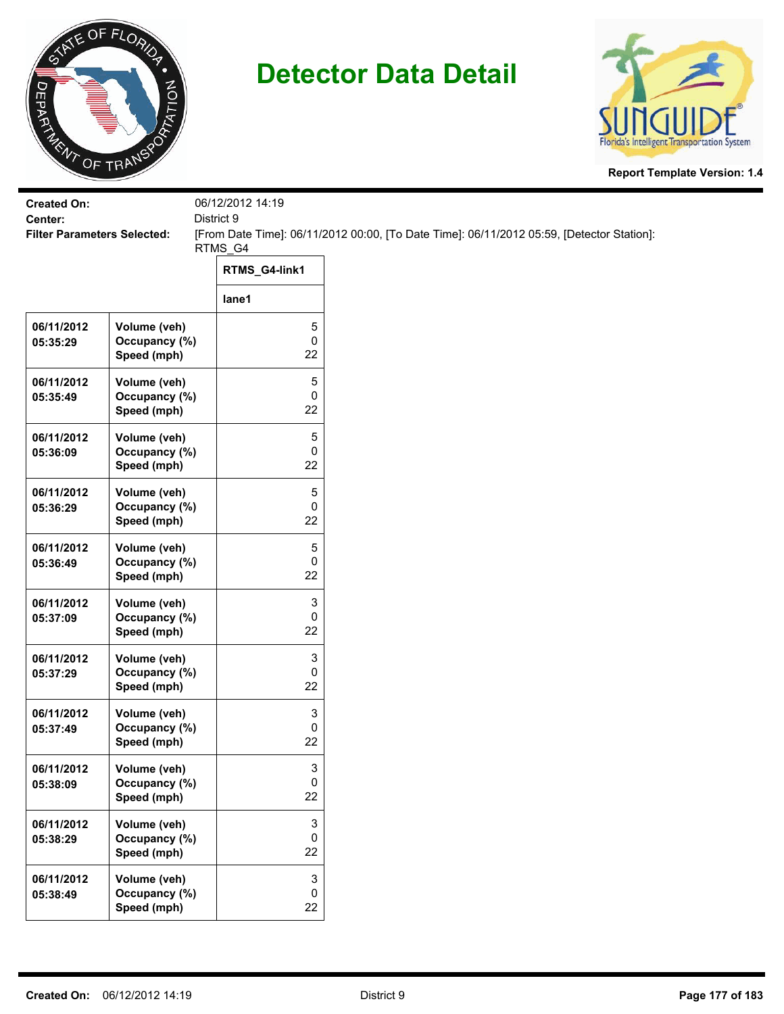



| <b>Created On:</b><br>Center:      |                                              | 06/12/2012 14:19<br>District 9       |                                                                                           |  |
|------------------------------------|----------------------------------------------|--------------------------------------|-------------------------------------------------------------------------------------------|--|
| <b>Filter Parameters Selected:</b> |                                              |                                      | [From Date Time]: 06/11/2012 00:00, [To Date Time]: 06/11/2012 05:59, [Detector Station]: |  |
|                                    |                                              | RTMS_G4<br>RTMS_G4-link1             |                                                                                           |  |
|                                    |                                              | lane1                                |                                                                                           |  |
| 06/11/2012<br>05:35:29             | Volume (veh)<br>Occupancy (%)<br>Speed (mph) | 5<br>0<br>22                         |                                                                                           |  |
| 06/11/2012<br>05:35:49             | Volume (veh)<br>Occupancy (%)<br>Speed (mph) | 5<br>0<br>22                         |                                                                                           |  |
| 06/11/2012<br>05:36:09             | Volume (veh)<br>Occupancy (%)<br>Speed (mph) | 5<br>0<br>22                         |                                                                                           |  |
| 06/11/2012<br>05:36:29             | Volume (veh)<br>Occupancy (%)<br>Speed (mph) | 5<br>0<br>22                         |                                                                                           |  |
| 06/11/2012<br>05:36:49             | Volume (veh)<br>Occupancy (%)<br>Speed (mph) | 5<br>0<br>22                         |                                                                                           |  |
| 06/11/2012<br>05:37:09             | Volume (veh)<br>Occupancy (%)<br>Speed (mph) | 3<br>0<br>22                         |                                                                                           |  |
| 06/11/2012<br>05:37:29             | Volume (veh)<br>Occupancy (%)<br>Speed (mph) | 3<br>0<br>22                         |                                                                                           |  |
| 06/11/2012<br>05:37:49             | Volume (veh)<br>Occupancy (%)<br>Speed (mph) | 3<br>0<br>22                         |                                                                                           |  |
| 06/11/2012<br>05:38:09             | Volume (veh)<br>Occupancy (%)<br>Speed (mph) | 3<br>0<br>22                         |                                                                                           |  |
| 06/11/2012<br>05:38:29             | Volume (veh)<br>Occupancy (%)<br>Speed (mph) | 3<br>0<br>22                         |                                                                                           |  |
| 06/11/2012<br>05:38:49             | Volume (veh)<br>Occupancy (%)<br>Speed (mph) | $\ensuremath{\mathsf{3}}$<br>0<br>22 |                                                                                           |  |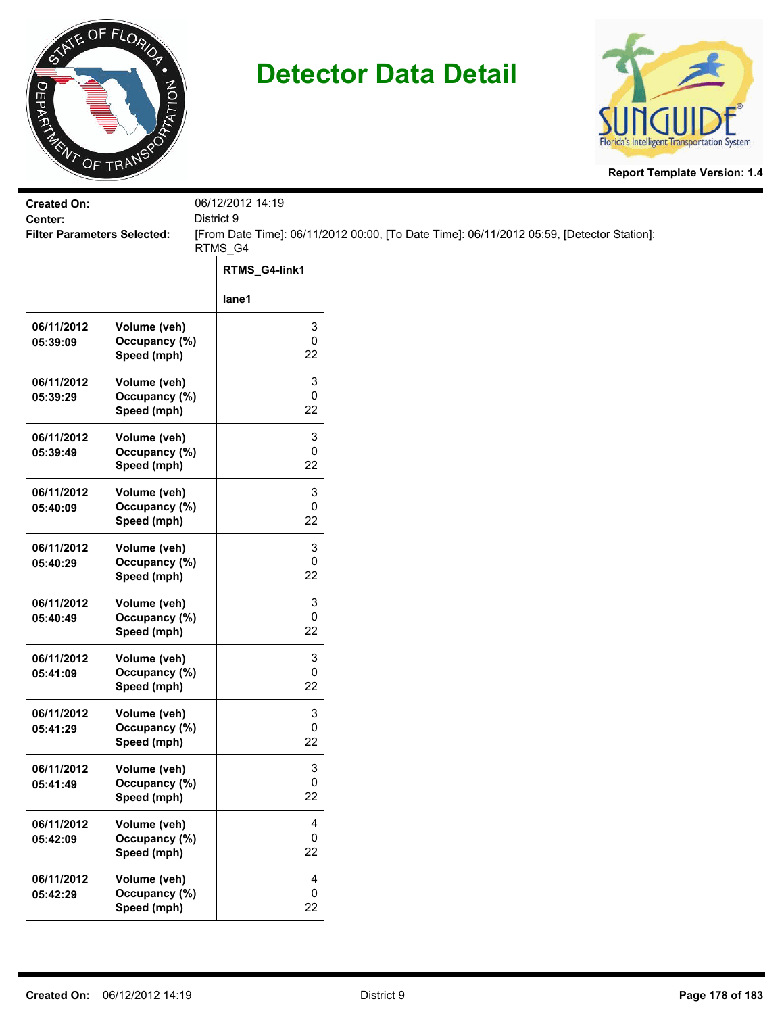



| <b>Created On:</b><br>Center:      |                                              | 06/12/2012 14:19<br>District 9 |                                                                                           |
|------------------------------------|----------------------------------------------|--------------------------------|-------------------------------------------------------------------------------------------|
| <b>Filter Parameters Selected:</b> |                                              | RTMS_G4                        | [From Date Time]: 06/11/2012 00:00, [To Date Time]: 06/11/2012 05:59, [Detector Station]: |
|                                    |                                              | RTMS_G4-link1                  |                                                                                           |
|                                    |                                              | lane1                          |                                                                                           |
| 06/11/2012<br>05:39:09             | Volume (veh)<br>Occupancy (%)<br>Speed (mph) | 3<br>0<br>22                   |                                                                                           |
| 06/11/2012<br>05:39:29             | Volume (veh)<br>Occupancy (%)<br>Speed (mph) | 3<br>0<br>22                   |                                                                                           |
| 06/11/2012<br>05:39:49             | Volume (veh)<br>Occupancy (%)<br>Speed (mph) | 3<br>0<br>22                   |                                                                                           |
| 06/11/2012<br>05:40:09             | Volume (veh)<br>Occupancy (%)<br>Speed (mph) | 3<br>0<br>22                   |                                                                                           |
| 06/11/2012<br>05:40:29             | Volume (veh)<br>Occupancy (%)<br>Speed (mph) | 3<br>0<br>22                   |                                                                                           |
| 06/11/2012<br>05:40:49             | Volume (veh)<br>Occupancy (%)<br>Speed (mph) | 3<br>0<br>22                   |                                                                                           |
| 06/11/2012<br>05:41:09             | Volume (veh)<br>Occupancy (%)<br>Speed (mph) | 3<br>0<br>22                   |                                                                                           |
| 06/11/2012<br>05:41:29             | Volume (veh)<br>Occupancy (%)<br>Speed (mph) | 3<br>0<br>22                   |                                                                                           |
| 06/11/2012<br>05:41:49             | Volume (veh)<br>Occupancy (%)<br>Speed (mph) | 3<br>0<br>22                   |                                                                                           |
| 06/11/2012<br>05:42:09             | Volume (veh)<br>Occupancy (%)<br>Speed (mph) | 4<br>0<br>22                   |                                                                                           |
| 06/11/2012<br>05:42:29             | Volume (veh)<br>Occupancy (%)<br>Speed (mph) | 4<br>0<br>22                   |                                                                                           |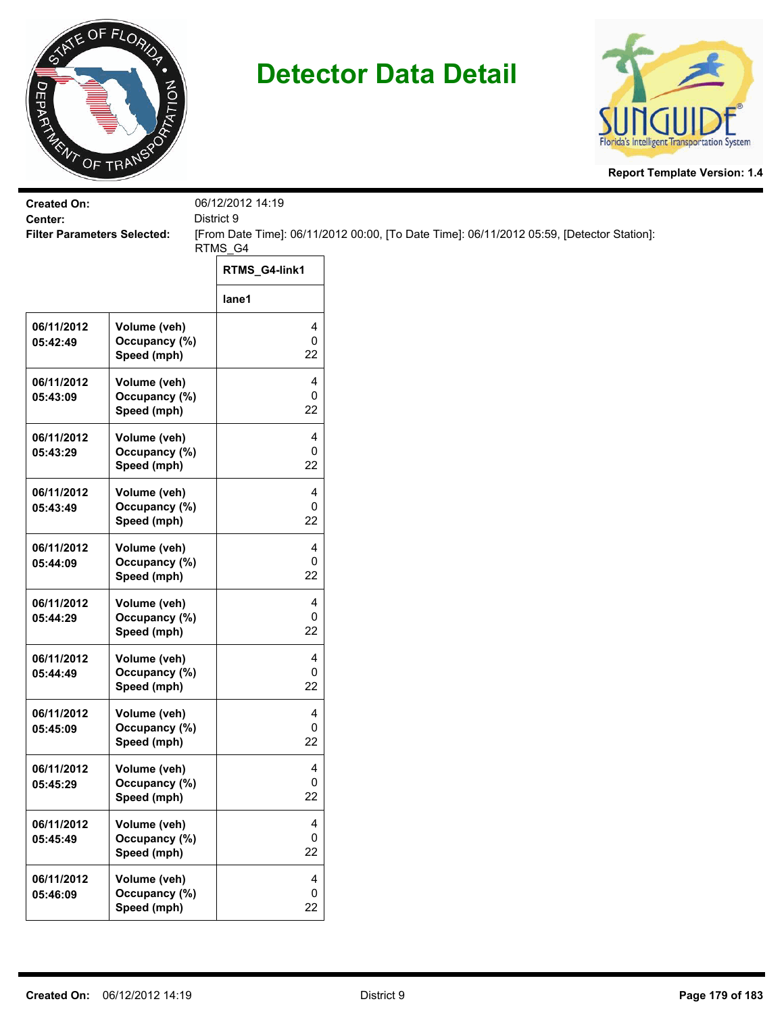



| <b>Created On:</b>                            |                                              | 06/12/2012 14:19 |                                                                                           |
|-----------------------------------------------|----------------------------------------------|------------------|-------------------------------------------------------------------------------------------|
| Center:<br><b>Filter Parameters Selected:</b> |                                              | District 9       | [From Date Time]: 06/11/2012 00:00, [To Date Time]: 06/11/2012 05:59, [Detector Station]: |
|                                               |                                              | RTMS_G4          |                                                                                           |
|                                               |                                              | RTMS_G4-link1    |                                                                                           |
|                                               |                                              | lane1            |                                                                                           |
| 06/11/2012<br>05:42:49                        | Volume (veh)<br>Occupancy (%)<br>Speed (mph) | 4<br>0<br>22     |                                                                                           |
| 06/11/2012<br>05:43:09                        | Volume (veh)<br>Occupancy (%)<br>Speed (mph) | 4<br>0<br>22     |                                                                                           |
| 06/11/2012<br>05:43:29                        | Volume (veh)<br>Occupancy (%)<br>Speed (mph) | 4<br>0<br>22     |                                                                                           |
| 06/11/2012<br>05:43:49                        | Volume (veh)<br>Occupancy (%)<br>Speed (mph) | 4<br>0<br>22     |                                                                                           |
| 06/11/2012<br>05:44:09                        | Volume (veh)<br>Occupancy (%)<br>Speed (mph) | 4<br>0<br>22     |                                                                                           |
| 06/11/2012<br>05:44:29                        | Volume (veh)<br>Occupancy (%)<br>Speed (mph) | 4<br>0<br>22     |                                                                                           |
| 06/11/2012<br>05:44:49                        | Volume (veh)<br>Occupancy (%)<br>Speed (mph) | 4<br>0<br>22     |                                                                                           |
| 06/11/2012<br>05:45:09                        | Volume (veh)<br>Occupancy (%)<br>Speed (mph) | 4<br>0<br>22     |                                                                                           |
| 06/11/2012<br>05:45:29                        | Volume (veh)<br>Occupancy (%)<br>Speed (mph) | 4<br>0<br>22     |                                                                                           |
| 06/11/2012<br>05:45:49                        | Volume (veh)<br>Occupancy (%)<br>Speed (mph) | 4<br>0<br>22     |                                                                                           |
| 06/11/2012<br>05:46:09                        | Volume (veh)<br>Occupancy (%)<br>Speed (mph) | 4<br>0<br>22     |                                                                                           |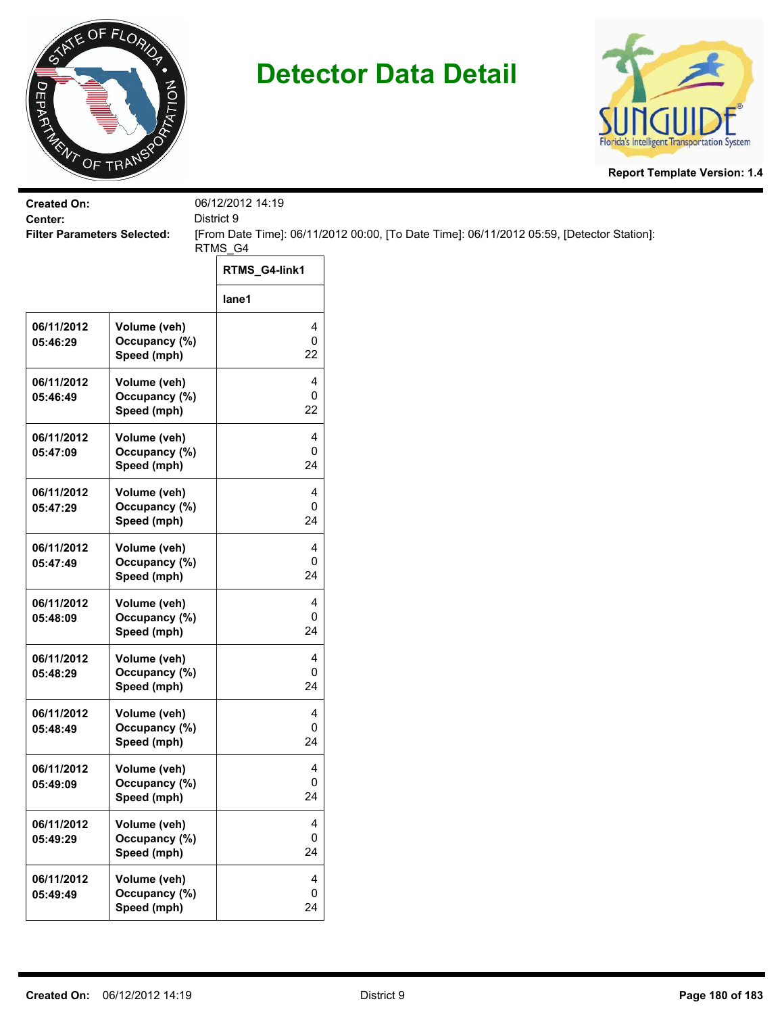



| <b>Created On:</b>                            |               | 06/12/2012 14:19 |                                                                                           |
|-----------------------------------------------|---------------|------------------|-------------------------------------------------------------------------------------------|
| Center:<br><b>Filter Parameters Selected:</b> |               | District 9       |                                                                                           |
|                                               |               | RTMS_G4          | [From Date Time]: 06/11/2012 00:00, [To Date Time]: 06/11/2012 05:59, [Detector Station]: |
|                                               |               |                  |                                                                                           |
|                                               |               | RTMS_G4-link1    |                                                                                           |
|                                               |               | lane1            |                                                                                           |
| 06/11/2012                                    | Volume (veh)  | 4                |                                                                                           |
| 05:46:29                                      | Occupancy (%) | 0                |                                                                                           |
|                                               | Speed (mph)   | 22               |                                                                                           |
| 06/11/2012                                    | Volume (veh)  | 4                |                                                                                           |
| 05:46:49                                      | Occupancy (%) | 0                |                                                                                           |
|                                               | Speed (mph)   | 22               |                                                                                           |
| 06/11/2012                                    | Volume (veh)  | 4                |                                                                                           |
| 05:47:09                                      | Occupancy (%) | 0                |                                                                                           |
|                                               | Speed (mph)   | 24               |                                                                                           |
| 06/11/2012                                    | Volume (veh)  | 4                |                                                                                           |
| 05:47:29                                      | Occupancy (%) | 0                |                                                                                           |
|                                               | Speed (mph)   | 24               |                                                                                           |
| 06/11/2012                                    | Volume (veh)  | 4                |                                                                                           |
| 05:47:49                                      | Occupancy (%) | 0                |                                                                                           |
|                                               | Speed (mph)   | 24               |                                                                                           |
| 06/11/2012                                    | Volume (veh)  | 4                |                                                                                           |
| 05:48:09                                      | Occupancy (%) | 0                |                                                                                           |
|                                               | Speed (mph)   | 24               |                                                                                           |
| 06/11/2012                                    | Volume (veh)  | 4                |                                                                                           |
| 05:48:29                                      | Occupancy (%) | 0                |                                                                                           |
|                                               | Speed (mph)   | 24               |                                                                                           |
| 06/11/2012                                    | Volume (veh)  | 4                |                                                                                           |
| 05:48:49                                      | Occupancy (%) | 0                |                                                                                           |
|                                               | Speed (mph)   | 24               |                                                                                           |
| 06/11/2012                                    | Volume (veh)  | 4                |                                                                                           |
| 05:49:09                                      | Occupancy (%) | 0                |                                                                                           |
|                                               | Speed (mph)   | 24               |                                                                                           |
| 06/11/2012                                    | Volume (veh)  | 4                |                                                                                           |
| 05:49:29                                      | Occupancy (%) | 0                |                                                                                           |
|                                               | Speed (mph)   | 24               |                                                                                           |
| 06/11/2012                                    | Volume (veh)  | 4                |                                                                                           |
| 05:49:49                                      | Occupancy (%) | 0                |                                                                                           |
|                                               | Speed (mph)   | 24               |                                                                                           |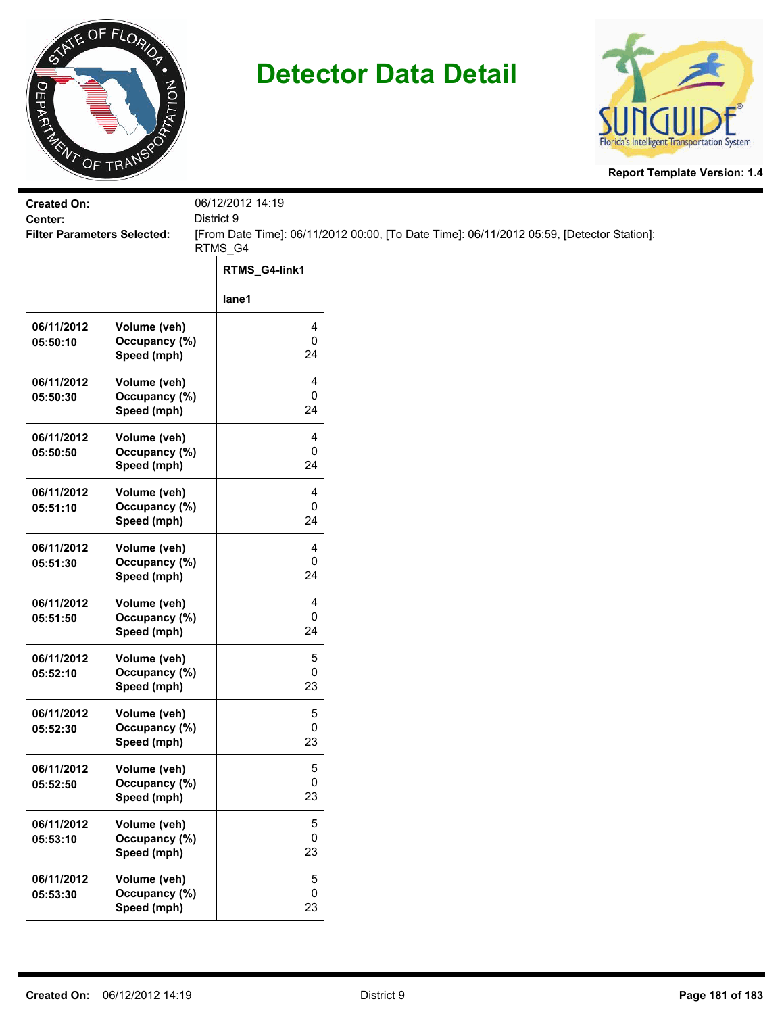

## **Detector Data Detail**



**Report Template Version: 1.4**

| <b>Created On:</b>                            |                               | 06/12/2012 14:19    |                                                                                           |
|-----------------------------------------------|-------------------------------|---------------------|-------------------------------------------------------------------------------------------|
| Center:<br><b>Filter Parameters Selected:</b> |                               | District 9          | [From Date Time]: 06/11/2012 00:00, [To Date Time]: 06/11/2012 05:59, [Detector Station]: |
|                                               |                               | RTMS_G4             |                                                                                           |
|                                               |                               | RTMS_G4-link1       |                                                                                           |
|                                               |                               | lane1               |                                                                                           |
| 06/11/2012                                    | Volume (veh)                  | 4                   |                                                                                           |
| 05:50:10                                      | Occupancy (%)<br>Speed (mph)  | $\mathsf 0$<br>24   |                                                                                           |
| 06/11/2012                                    | Volume (veh)                  | 4                   |                                                                                           |
| 05:50:30                                      | Occupancy (%)<br>Speed (mph)  | 0<br>24             |                                                                                           |
| 06/11/2012                                    | Volume (veh)                  | 4                   |                                                                                           |
| 05:50:50                                      | Occupancy (%)                 | 0<br>24             |                                                                                           |
|                                               | Speed (mph)                   |                     |                                                                                           |
| 06/11/2012                                    | Volume (veh)<br>Occupancy (%) | 4<br>0              |                                                                                           |
| 05:51:10                                      | Speed (mph)                   | 24                  |                                                                                           |
| 06/11/2012                                    | Volume (veh)                  | 4                   |                                                                                           |
| 05:51:30                                      | Occupancy (%)                 | 0                   |                                                                                           |
|                                               | Speed (mph)                   | 24                  |                                                                                           |
| 06/11/2012                                    | Volume (veh)                  | 4                   |                                                                                           |
| 05:51:50                                      | Occupancy (%)<br>Speed (mph)  | $\pmb{0}$<br>24     |                                                                                           |
| 06/11/2012                                    | Volume (veh)                  | 5                   |                                                                                           |
| 05:52:10                                      | Occupancy (%)                 | 0                   |                                                                                           |
|                                               | Speed (mph)                   | 23                  |                                                                                           |
| 06/11/2012                                    | Volume (veh)                  | 5                   |                                                                                           |
| 05:52:30                                      | Occupancy (%)<br>Speed (mph)  | 0<br>23             |                                                                                           |
|                                               |                               |                     |                                                                                           |
| 06/11/2012<br>05:52:50                        | Volume (veh)<br>Occupancy (%) | 5<br>$\mathbf 0$    |                                                                                           |
|                                               | Speed (mph)                   | 23                  |                                                                                           |
| 06/11/2012                                    | Volume (veh)                  | 5                   |                                                                                           |
| 05:53:10                                      | Occupancy (%)                 | 0                   |                                                                                           |
|                                               | Speed (mph)                   | 23                  |                                                                                           |
| 06/11/2012                                    | Volume (veh)                  | 5                   |                                                                                           |
| 05:53:30                                      | Occupancy (%)                 | $\mathsf{O}\xspace$ |                                                                                           |
|                                               | Speed (mph)                   | 23                  |                                                                                           |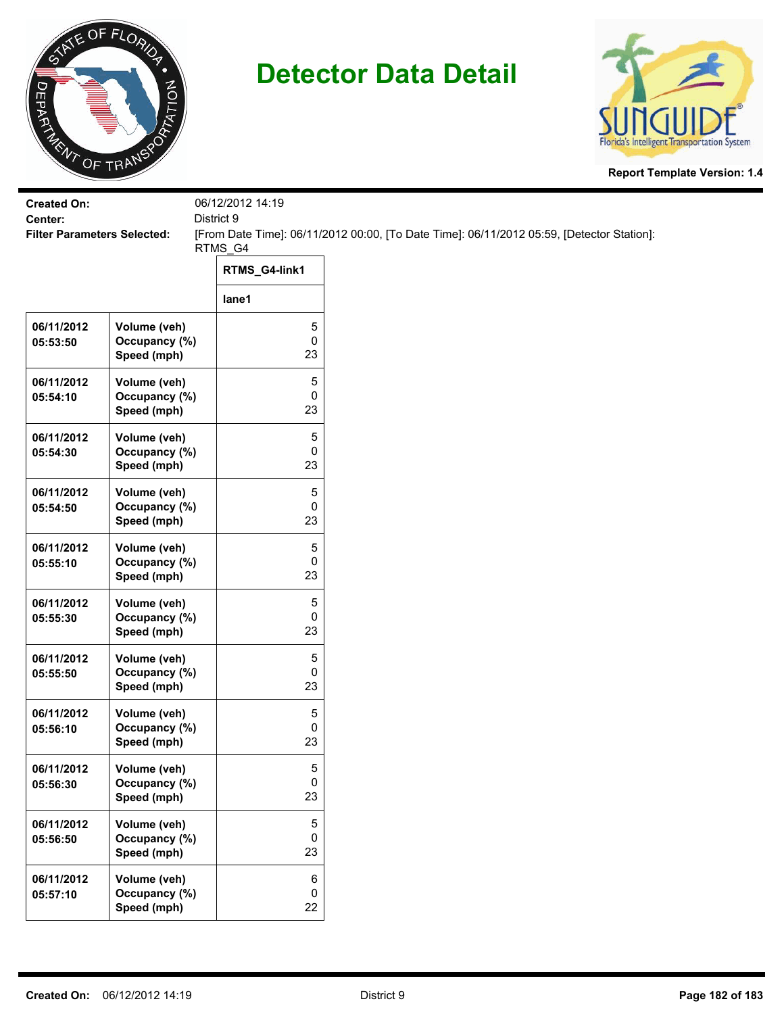

## **Detector Data Detail**



**Report Template Version: 1.4**

| <b>Created On:</b>                            |                                              | 06/12/2012 14:19     |                                                                                           |
|-----------------------------------------------|----------------------------------------------|----------------------|-------------------------------------------------------------------------------------------|
| Center:<br><b>Filter Parameters Selected:</b> |                                              | District 9           | [From Date Time]: 06/11/2012 00:00, [To Date Time]: 06/11/2012 05:59, [Detector Station]: |
|                                               |                                              | RTMS_G4              |                                                                                           |
|                                               |                                              | RTMS_G4-link1        |                                                                                           |
|                                               |                                              | lane1                |                                                                                           |
| 06/11/2012<br>05:53:50                        | Volume (veh)<br>Occupancy (%)<br>Speed (mph) | 5<br>$\pmb{0}$<br>23 |                                                                                           |
| 06/11/2012<br>05:54:10                        | Volume (veh)<br>Occupancy (%)<br>Speed (mph) | 5<br>0<br>23         |                                                                                           |
| 06/11/2012<br>05:54:30                        | Volume (veh)<br>Occupancy (%)<br>Speed (mph) | 5<br>0<br>23         |                                                                                           |
| 06/11/2012<br>05:54:50                        | Volume (veh)<br>Occupancy (%)<br>Speed (mph) | 5<br>0<br>23         |                                                                                           |
| 06/11/2012<br>05:55:10                        | Volume (veh)<br>Occupancy (%)<br>Speed (mph) | 5<br>0<br>23         |                                                                                           |
| 06/11/2012<br>05:55:30                        | Volume (veh)<br>Occupancy (%)<br>Speed (mph) | 5<br>$\pmb{0}$<br>23 |                                                                                           |
| 06/11/2012<br>05:55:50                        | Volume (veh)<br>Occupancy (%)<br>Speed (mph) | 5<br>0<br>23         |                                                                                           |
| 06/11/2012<br>05:56:10                        | Volume (veh)<br>Occupancy (%)<br>Speed (mph) | 5<br>0<br>23         |                                                                                           |
| 06/11/2012<br>05:56:30                        | Volume (veh)<br>Occupancy (%)<br>Speed (mph) | 5<br>$\pmb{0}$<br>23 |                                                                                           |
| 06/11/2012<br>05:56:50                        | Volume (veh)<br>Occupancy (%)<br>Speed (mph) | 5<br>0<br>23         |                                                                                           |
| 06/11/2012<br>05:57:10                        | Volume (veh)<br>Occupancy (%)<br>Speed (mph) | 6<br>0<br>22         |                                                                                           |